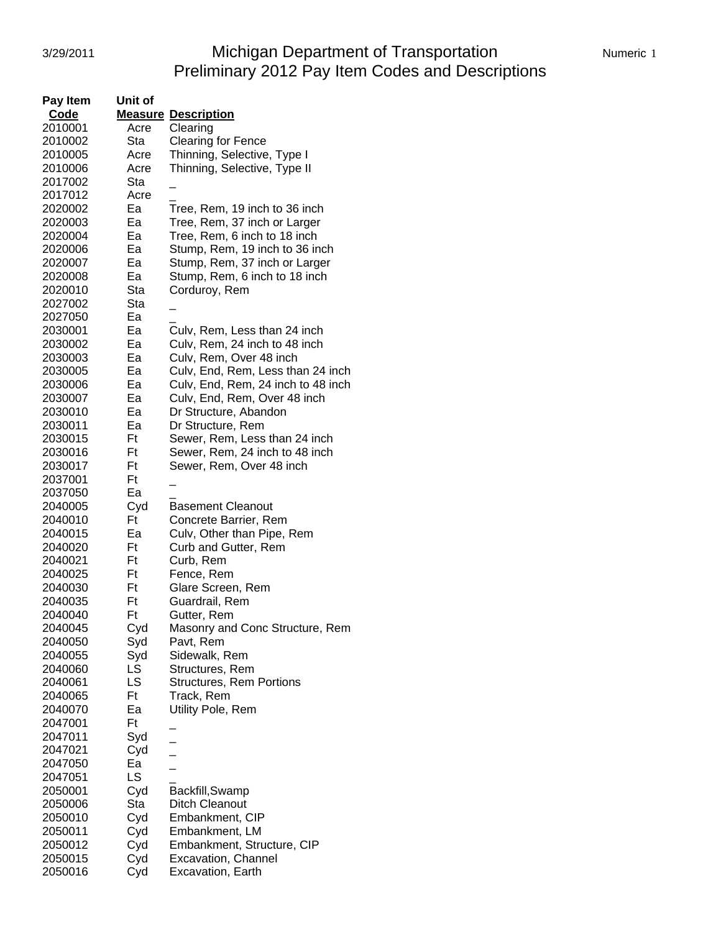# 3/29/2011 Michigan Department of Transportation Numeric 1 Preliminary 2012 Pay Item Codes and Descriptions

| Pay Item | Unit of |                                    |
|----------|---------|------------------------------------|
| Code     |         | <b>Measure Description</b>         |
| 2010001  | Acre    | Clearing                           |
| 2010002  | Sta     | <b>Clearing for Fence</b>          |
| 2010005  | Acre    | Thinning, Selective, Type I        |
| 2010006  | Acre    | Thinning, Selective, Type II       |
| 2017002  | Sta     |                                    |
| 2017012  | Acre    |                                    |
| 2020002  | Ea      | Tree, Rem, 19 inch to 36 inch      |
|          | Ea      |                                    |
| 2020003  |         | Tree, Rem, 37 inch or Larger       |
| 2020004  | Ea      | Tree, Rem, 6 inch to 18 inch       |
| 2020006  | Ea      | Stump, Rem, 19 inch to 36 inch     |
| 2020007  | Ea      | Stump, Rem, 37 inch or Larger      |
| 2020008  | Ea      | Stump, Rem, 6 inch to 18 inch      |
| 2020010  | Sta     | Corduroy, Rem                      |
| 2027002  | Sta     |                                    |
| 2027050  | Ea      |                                    |
| 2030001  | Ea      | Culv, Rem, Less than 24 inch       |
| 2030002  | Ea      | Culv, Rem, 24 inch to 48 inch      |
| 2030003  | Ea      | Culv, Rem, Over 48 inch            |
| 2030005  | Ea      | Culv, End, Rem, Less than 24 inch  |
| 2030006  | Ea      | Culv, End, Rem, 24 inch to 48 inch |
| 2030007  | Ea      | Culv, End, Rem, Over 48 inch       |
| 2030010  | Ea      | Dr Structure, Abandon              |
| 2030011  | Ea      | Dr Structure, Rem                  |
| 2030015  | Ft      | Sewer, Rem, Less than 24 inch      |
| 2030016  | Ft      | Sewer, Rem, 24 inch to 48 inch     |
| 2030017  | Ft      | Sewer, Rem, Over 48 inch           |
| 2037001  | Ft      |                                    |
| 2037050  | Ea      |                                    |
|          |         | <b>Basement Cleanout</b>           |
| 2040005  | Cyd     |                                    |
| 2040010  | Ft      | Concrete Barrier, Rem              |
| 2040015  | Ea      | Culv, Other than Pipe, Rem         |
| 2040020  | Ft      | Curb and Gutter, Rem               |
| 2040021  | Ft      | Curb, Rem                          |
| 2040025  | Ft      | Fence, Rem                         |
| 2040030  | Ft      | Glare Screen, Rem                  |
| 2040035  | Ft      | Guardrail, Rem                     |
| 2040040  | Ft      | Gutter, Rem                        |
| 2040045  | Cyd     | Masonry and Conc Structure, Rem    |
| 2040050  | Syd     | Pavt, Rem                          |
| 2040055  | Syd     | Sidewalk, Rem                      |
| 2040060  | LS      | Structures, Rem                    |
| 2040061  | LS      | <b>Structures, Rem Portions</b>    |
| 2040065  | Ft      | Track, Rem                         |
| 2040070  | Ea      | Utility Pole, Rem                  |
| 2047001  | Ft      |                                    |
| 2047011  | Syd     |                                    |
| 2047021  | Cyd     |                                    |
| 2047050  | Ea      |                                    |
| 2047051  | LS      |                                    |
| 2050001  | Cyd     | Backfill, Swamp                    |
| 2050006  | Sta     | <b>Ditch Cleanout</b>              |
| 2050010  | Cyd     | Embankment, CIP                    |
| 2050011  |         |                                    |
|          | Cyd     | Embankment, LM                     |
| 2050012  | Cyd     | Embankment, Structure, CIP         |
| 2050015  | Cyd     | <b>Excavation, Channel</b>         |
| 2050016  | Cyd     | <b>Excavation, Earth</b>           |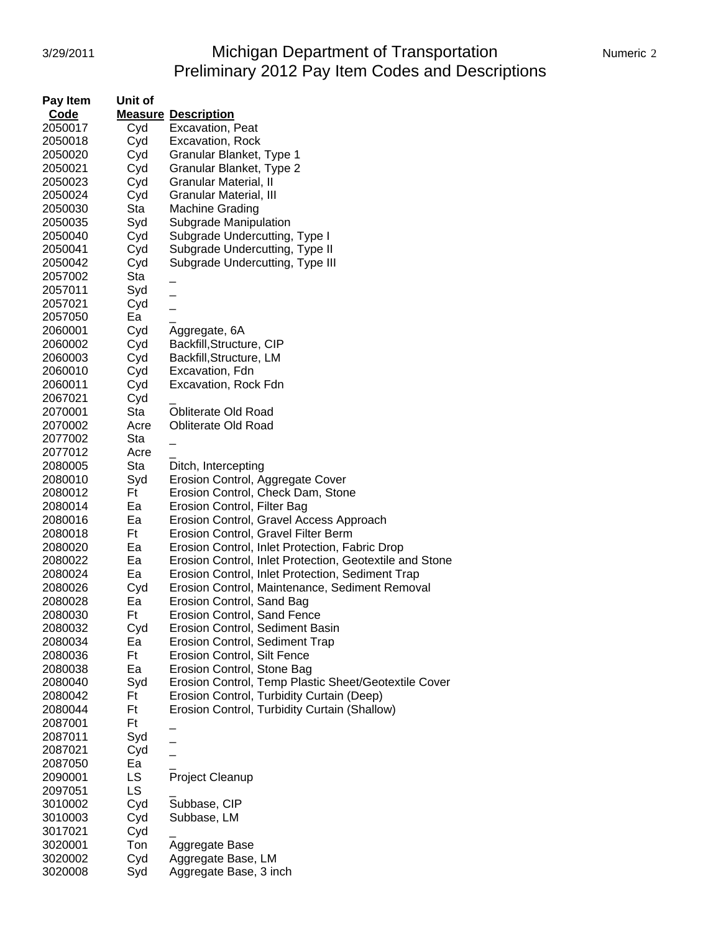# 3/29/2011 Michigan Department of Transportation Numeric 2 Preliminary 2012 Pay Item Codes and Descriptions

| Pay Item | Unit of   |                                                         |
|----------|-----------|---------------------------------------------------------|
| Code     |           | <b>Measure Description</b>                              |
| 2050017  | Cyd       | Excavation, Peat                                        |
| 2050018  | Cyd       | <b>Excavation, Rock</b>                                 |
| 2050020  | Cyd       | Granular Blanket, Type 1                                |
| 2050021  | Cyd       | Granular Blanket, Type 2                                |
| 2050023  | Cyd       | Granular Material, II                                   |
| 2050024  | Cyd       | Granular Material, III                                  |
| 2050030  | Sta       | <b>Machine Grading</b>                                  |
| 2050035  | Syd       | Subgrade Manipulation                                   |
| 2050040  | Cyd       | Subgrade Undercutting, Type I                           |
| 2050041  | Cyd       | Subgrade Undercutting, Type II                          |
| 2050042  | Cyd       | Subgrade Undercutting, Type III                         |
| 2057002  | Sta       |                                                         |
| 2057011  | Syd       |                                                         |
|          |           |                                                         |
| 2057021  | Cyd<br>Ea |                                                         |
| 2057050  |           |                                                         |
| 2060001  | Cyd       | Aggregate, 6A                                           |
| 2060002  | Cyd       | Backfill, Structure, CIP                                |
| 2060003  | Cyd       | Backfill, Structure, LM                                 |
| 2060010  | Cyd       | Excavation, Fdn                                         |
| 2060011  | Cyd       | Excavation, Rock Fdn                                    |
| 2067021  | Cyd       |                                                         |
| 2070001  | Sta       | <b>Obliterate Old Road</b>                              |
| 2070002  | Acre      | <b>Obliterate Old Road</b>                              |
| 2077002  | Sta       |                                                         |
| 2077012  | Acre      |                                                         |
| 2080005  | Sta       | Ditch, Intercepting                                     |
| 2080010  | Syd       | Erosion Control, Aggregate Cover                        |
| 2080012  | Ft        | Erosion Control, Check Dam, Stone                       |
| 2080014  | Ea        | Erosion Control, Filter Bag                             |
| 2080016  | Ea        | Erosion Control, Gravel Access Approach                 |
| 2080018  | Ft        | Erosion Control, Gravel Filter Berm                     |
| 2080020  | Ea        | Erosion Control, Inlet Protection, Fabric Drop          |
| 2080022  | Ea        | Erosion Control, Inlet Protection, Geotextile and Stone |
| 2080024  | Ea        | Erosion Control, Inlet Protection, Sediment Trap        |
| 2080026  | Cyd       | Erosion Control, Maintenance, Sediment Removal          |
| 2080028  | Ea        | Erosion Control, Sand Bag                               |
| 2080030  | Ft        | <b>Erosion Control, Sand Fence</b>                      |
| 2080032  | Cyd       | Erosion Control, Sediment Basin                         |
| 2080034  | Ea        | <b>Erosion Control, Sediment Trap</b>                   |
| 2080036  | Ft        | <b>Erosion Control, Silt Fence</b>                      |
| 2080038  | Ea        | Erosion Control, Stone Bag                              |
| 2080040  | Syd       | Erosion Control, Temp Plastic Sheet/Geotextile Cover    |
| 2080042  | Ft        | Erosion Control, Turbidity Curtain (Deep)               |
| 2080044  | Ft        | Erosion Control, Turbidity Curtain (Shallow)            |
| 2087001  | Ft        |                                                         |
| 2087011  | Syd       |                                                         |
| 2087021  | Cyd       |                                                         |
| 2087050  | Ea        |                                                         |
| 2090001  | LS        | Project Cleanup                                         |
| 2097051  | <b>LS</b> |                                                         |
| 3010002  | Cyd       | Subbase, CIP                                            |
| 3010003  | Cyd       | Subbase, LM                                             |
| 3017021  | Cyd       |                                                         |
| 3020001  | Ton       | Aggregate Base                                          |
| 3020002  | Cyd       | Aggregate Base, LM                                      |
| 3020008  | Syd       | Aggregate Base, 3 inch                                  |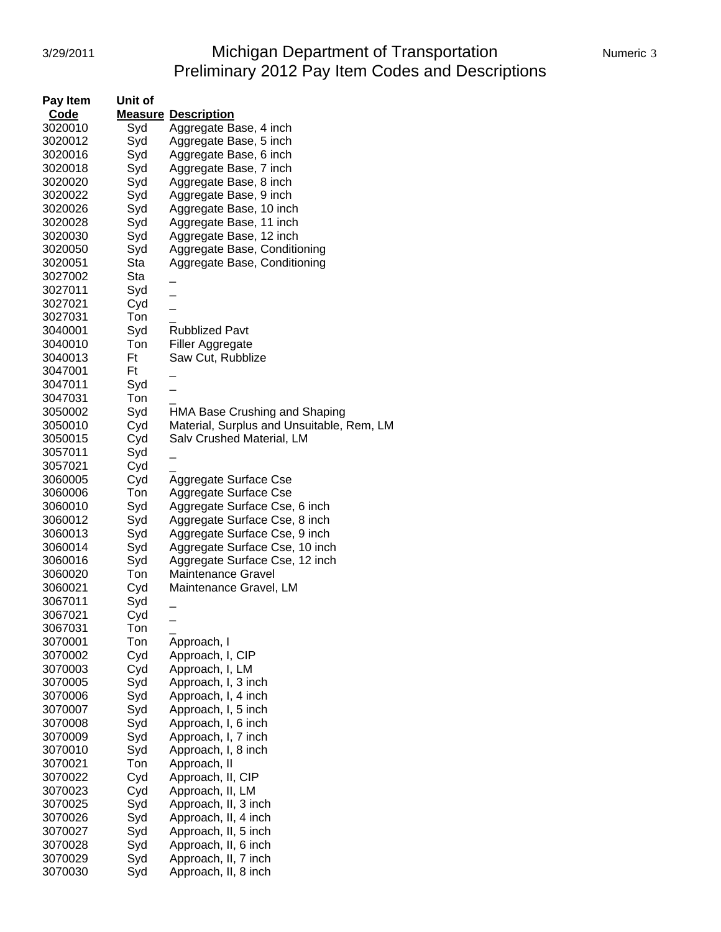# 3/29/2011 Michigan Department of Transportation Numeric 3 Preliminary 2012 Pay Item Codes and Descriptions

| Pay Item | Unit of |                                           |
|----------|---------|-------------------------------------------|
| Code     |         | <b>Measure Description</b>                |
| 3020010  | Syd     | Aggregate Base, 4 inch                    |
| 3020012  | Syd     | Aggregate Base, 5 inch                    |
| 3020016  | Syd     | Aggregate Base, 6 inch                    |
| 3020018  | Syd     | Aggregate Base, 7 inch                    |
| 3020020  | Syd     | Aggregate Base, 8 inch                    |
| 3020022  | Syd     | Aggregate Base, 9 inch                    |
| 3020026  | Syd     | Aggregate Base, 10 inch                   |
| 3020028  | Syd     |                                           |
|          |         | Aggregate Base, 11 inch                   |
| 3020030  | Syd     | Aggregate Base, 12 inch                   |
| 3020050  | Syd     | Aggregate Base, Conditioning              |
| 3020051  | Sta     | Aggregate Base, Conditioning              |
| 3027002  | Sta     |                                           |
| 3027011  | Syd     |                                           |
| 3027021  | Cyd     |                                           |
| 3027031  | Ton     |                                           |
| 3040001  | Syd     | <b>Rubblized Pavt</b>                     |
| 3040010  | Ton     | Filler Aggregate                          |
| 3040013  | Ft      | Saw Cut, Rubblize                         |
| 3047001  | Ft      |                                           |
| 3047011  | Syd     |                                           |
| 3047031  | Ton     |                                           |
| 3050002  | Syd     | HMA Base Crushing and Shaping             |
| 3050010  | Cyd     | Material, Surplus and Unsuitable, Rem, LM |
| 3050015  | Cyd     | Salv Crushed Material, LM                 |
| 3057011  | Syd     |                                           |
| 3057021  | Cyd     |                                           |
| 3060005  | Cyd     | Aggregate Surface Cse                     |
| 3060006  | Ton     | Aggregate Surface Cse                     |
| 3060010  | Syd     | Aggregate Surface Cse, 6 inch             |
| 3060012  | Syd     | Aggregate Surface Cse, 8 inch             |
| 3060013  | Syd     | Aggregate Surface Cse, 9 inch             |
| 3060014  | Syd     | Aggregate Surface Cse, 10 inch            |
| 3060016  | Syd     | Aggregate Surface Cse, 12 inch            |
| 3060020  | Ton     | <b>Maintenance Gravel</b>                 |
| 3060021  | Cyd     | Maintenance Gravel, LM                    |
| 3067011  | Syd     |                                           |
| 3067021  | Cyd     |                                           |
| 3067031  | Ton     |                                           |
| 3070001  | Ton     | Approach, I                               |
| 3070002  | Cyd     | Approach, I, CIP                          |
| 3070003  | Cyd     | Approach, I, LM                           |
| 3070005  | Syd     | Approach, I, 3 inch                       |
| 3070006  |         |                                           |
| 3070007  | Syd     | Approach, I, 4 inch                       |
|          | Syd     | Approach, I, 5 inch                       |
| 3070008  | Syd     | Approach, I, 6 inch                       |
| 3070009  | Syd     | Approach, I, 7 inch                       |
| 3070010  | Syd     | Approach, I, 8 inch                       |
| 3070021  | Ton     | Approach, II                              |
| 3070022  | Cyd     | Approach, II, CIP                         |
| 3070023  | Cyd     | Approach, II, LM                          |
| 3070025  | Syd     | Approach, II, 3 inch                      |
| 3070026  | Syd     | Approach, II, 4 inch                      |
| 3070027  | Syd     | Approach, II, 5 inch                      |
| 3070028  | Syd     | Approach, II, 6 inch                      |
| 3070029  | Syd     | Approach, II, 7 inch                      |
| 3070030  | Syd     | Approach, II, 8 inch                      |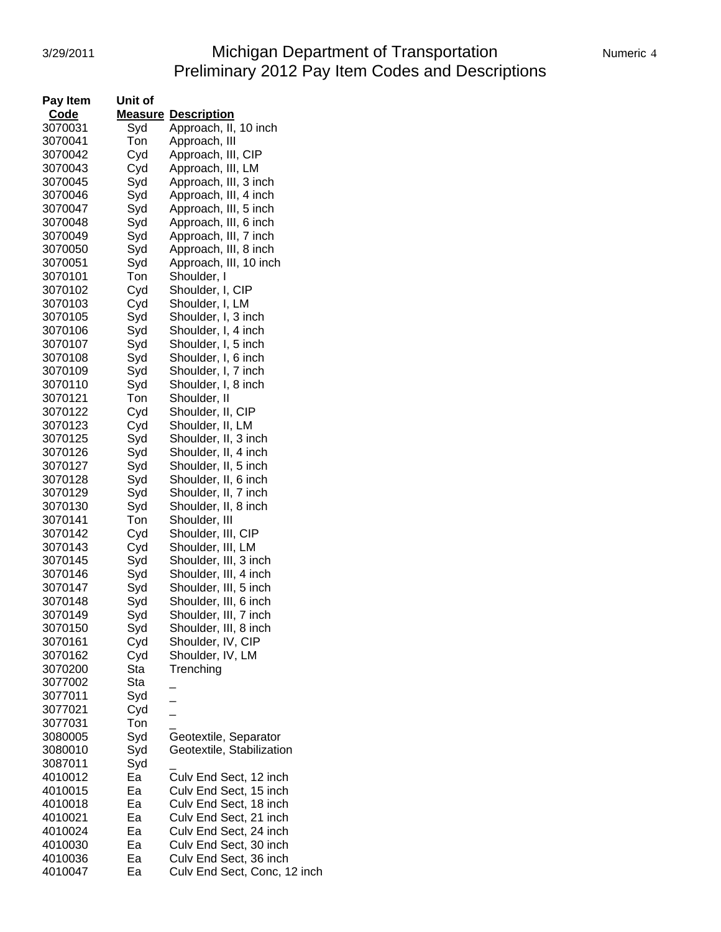#### 3/29/2011 Michigan Department of Transportation Numeric 4 Preliminary 2012 Pay Item Codes and Descriptions

| <b>Code</b><br><b>Measure Description</b><br>Approach, II, 10 inch<br>3070031<br>Syd<br>Ton<br>3070041<br>Approach, III<br>3070042<br>Cyd<br>Approach, III, CIP<br>3070043<br>Cyd<br>Approach, III, LM<br>Syd<br>Approach, III, 3 inch<br>3070045<br>Syd<br>Approach, III, 4 inch<br>3070046<br>Syd<br>3070047<br>Approach, III, 5 inch<br>Syd<br>Approach, III, 6 inch<br>3070048<br>3070049<br>Syd<br>Approach, III, 7 inch<br>Syd<br>Approach, III, 8 inch<br>3070050<br>Approach, III, 10 inch<br>Syd<br>3070051<br>3070101<br>Ton<br>Shoulder, I<br>Cyd<br>3070102<br>Shoulder, I, CIP<br>Cyd<br>3070103<br>Shoulder, I, LM<br>3070105<br>Syd<br>Shoulder, I, 3 inch<br>Syd<br>3070106<br>Shoulder, I, 4 inch<br>Syd<br>3070107<br>Shoulder, I, 5 inch<br>Syd<br>3070108<br>Shoulder, I, 6 inch<br>Syd<br>3070109<br>Shoulder, I, 7 inch<br>3070110<br>Syd<br>Shoulder, I, 8 inch<br>3070121<br>Ton<br>Shoulder, II<br>Shoulder, II, CIP<br>3070122<br>Cyd<br>Shoulder, II, LM<br>3070123<br>Cyd<br>Shoulder, II, 3 inch<br>3070125<br>Syd<br>Syd<br>Shoulder, II, 4 inch<br>3070126<br>3070127<br>Syd<br>Shoulder, II, 5 inch<br>3070128<br>Syd<br>Shoulder, II, 6 inch<br>Syd<br>Shoulder, II, 7 inch<br>3070129<br>Syd<br>3070130<br>Shoulder, II, 8 inch<br>3070141<br>Ton<br>Shoulder, III<br>Cyd<br>3070142<br>Shoulder, III, CIP<br>3070143<br>Cyd<br>Shoulder, III, LM<br>Shoulder, III, 3 inch<br>3070145<br>Syd<br>Shoulder, III, 4 inch<br>Syd<br>3070146<br>Shoulder, III, 5 inch<br>3070147<br>Syd<br>Shoulder, III, 6 inch<br>3070148<br>Syd<br>3070149<br>Shoulder, III, 7 inch<br>Syd<br>3070150<br>Syd<br>Shoulder, III, 8 inch<br>3070161<br>Cyd<br>Shoulder, IV, CIP<br>Cyd<br>Shoulder, IV, LM<br>3070162<br>Sta<br>3070200<br>Trenching<br>3077002<br>Sta<br>3077011<br>Syd<br>Cyd<br>3077021<br>$\frac{1}{1}$<br>3077031<br>Ton<br>Syd<br>3080005<br>Geotextile, Separator<br>Syd<br>Geotextile, Stabilization<br>3080010<br>Syd<br>3087011<br>Culv End Sect, 12 inch<br>Ea<br>4010012<br>Ea<br>Culv End Sect, 15 inch<br>4010015<br>Culv End Sect, 18 inch<br>4010018<br>Ea<br>Ea<br>4010021<br>Culv End Sect, 21 inch<br>Ea<br>Culv End Sect, 24 inch<br>4010024<br>Culv End Sect, 30 inch<br>4010030<br>Ea<br>Culv End Sect, 36 inch<br>4010036<br>Ea<br>4010047<br>Ea<br>Culv End Sect, Conc, 12 inch | <b>Pay Item</b> | Unit of |  |
|--------------------------------------------------------------------------------------------------------------------------------------------------------------------------------------------------------------------------------------------------------------------------------------------------------------------------------------------------------------------------------------------------------------------------------------------------------------------------------------------------------------------------------------------------------------------------------------------------------------------------------------------------------------------------------------------------------------------------------------------------------------------------------------------------------------------------------------------------------------------------------------------------------------------------------------------------------------------------------------------------------------------------------------------------------------------------------------------------------------------------------------------------------------------------------------------------------------------------------------------------------------------------------------------------------------------------------------------------------------------------------------------------------------------------------------------------------------------------------------------------------------------------------------------------------------------------------------------------------------------------------------------------------------------------------------------------------------------------------------------------------------------------------------------------------------------------------------------------------------------------------------------------------------------------------------------------------------------------------------------------------------------------------------------------------------------------------------------------------------------------------------------------------------------------------------------------------------------------------------------------------------------------------------------------------------------------------------|-----------------|---------|--|
|                                                                                                                                                                                                                                                                                                                                                                                                                                                                                                                                                                                                                                                                                                                                                                                                                                                                                                                                                                                                                                                                                                                                                                                                                                                                                                                                                                                                                                                                                                                                                                                                                                                                                                                                                                                                                                                                                                                                                                                                                                                                                                                                                                                                                                                                                                                                      |                 |         |  |
|                                                                                                                                                                                                                                                                                                                                                                                                                                                                                                                                                                                                                                                                                                                                                                                                                                                                                                                                                                                                                                                                                                                                                                                                                                                                                                                                                                                                                                                                                                                                                                                                                                                                                                                                                                                                                                                                                                                                                                                                                                                                                                                                                                                                                                                                                                                                      |                 |         |  |
|                                                                                                                                                                                                                                                                                                                                                                                                                                                                                                                                                                                                                                                                                                                                                                                                                                                                                                                                                                                                                                                                                                                                                                                                                                                                                                                                                                                                                                                                                                                                                                                                                                                                                                                                                                                                                                                                                                                                                                                                                                                                                                                                                                                                                                                                                                                                      |                 |         |  |
|                                                                                                                                                                                                                                                                                                                                                                                                                                                                                                                                                                                                                                                                                                                                                                                                                                                                                                                                                                                                                                                                                                                                                                                                                                                                                                                                                                                                                                                                                                                                                                                                                                                                                                                                                                                                                                                                                                                                                                                                                                                                                                                                                                                                                                                                                                                                      |                 |         |  |
|                                                                                                                                                                                                                                                                                                                                                                                                                                                                                                                                                                                                                                                                                                                                                                                                                                                                                                                                                                                                                                                                                                                                                                                                                                                                                                                                                                                                                                                                                                                                                                                                                                                                                                                                                                                                                                                                                                                                                                                                                                                                                                                                                                                                                                                                                                                                      |                 |         |  |
|                                                                                                                                                                                                                                                                                                                                                                                                                                                                                                                                                                                                                                                                                                                                                                                                                                                                                                                                                                                                                                                                                                                                                                                                                                                                                                                                                                                                                                                                                                                                                                                                                                                                                                                                                                                                                                                                                                                                                                                                                                                                                                                                                                                                                                                                                                                                      |                 |         |  |
|                                                                                                                                                                                                                                                                                                                                                                                                                                                                                                                                                                                                                                                                                                                                                                                                                                                                                                                                                                                                                                                                                                                                                                                                                                                                                                                                                                                                                                                                                                                                                                                                                                                                                                                                                                                                                                                                                                                                                                                                                                                                                                                                                                                                                                                                                                                                      |                 |         |  |
|                                                                                                                                                                                                                                                                                                                                                                                                                                                                                                                                                                                                                                                                                                                                                                                                                                                                                                                                                                                                                                                                                                                                                                                                                                                                                                                                                                                                                                                                                                                                                                                                                                                                                                                                                                                                                                                                                                                                                                                                                                                                                                                                                                                                                                                                                                                                      |                 |         |  |
|                                                                                                                                                                                                                                                                                                                                                                                                                                                                                                                                                                                                                                                                                                                                                                                                                                                                                                                                                                                                                                                                                                                                                                                                                                                                                                                                                                                                                                                                                                                                                                                                                                                                                                                                                                                                                                                                                                                                                                                                                                                                                                                                                                                                                                                                                                                                      |                 |         |  |
|                                                                                                                                                                                                                                                                                                                                                                                                                                                                                                                                                                                                                                                                                                                                                                                                                                                                                                                                                                                                                                                                                                                                                                                                                                                                                                                                                                                                                                                                                                                                                                                                                                                                                                                                                                                                                                                                                                                                                                                                                                                                                                                                                                                                                                                                                                                                      |                 |         |  |
|                                                                                                                                                                                                                                                                                                                                                                                                                                                                                                                                                                                                                                                                                                                                                                                                                                                                                                                                                                                                                                                                                                                                                                                                                                                                                                                                                                                                                                                                                                                                                                                                                                                                                                                                                                                                                                                                                                                                                                                                                                                                                                                                                                                                                                                                                                                                      |                 |         |  |
|                                                                                                                                                                                                                                                                                                                                                                                                                                                                                                                                                                                                                                                                                                                                                                                                                                                                                                                                                                                                                                                                                                                                                                                                                                                                                                                                                                                                                                                                                                                                                                                                                                                                                                                                                                                                                                                                                                                                                                                                                                                                                                                                                                                                                                                                                                                                      |                 |         |  |
|                                                                                                                                                                                                                                                                                                                                                                                                                                                                                                                                                                                                                                                                                                                                                                                                                                                                                                                                                                                                                                                                                                                                                                                                                                                                                                                                                                                                                                                                                                                                                                                                                                                                                                                                                                                                                                                                                                                                                                                                                                                                                                                                                                                                                                                                                                                                      |                 |         |  |
|                                                                                                                                                                                                                                                                                                                                                                                                                                                                                                                                                                                                                                                                                                                                                                                                                                                                                                                                                                                                                                                                                                                                                                                                                                                                                                                                                                                                                                                                                                                                                                                                                                                                                                                                                                                                                                                                                                                                                                                                                                                                                                                                                                                                                                                                                                                                      |                 |         |  |
|                                                                                                                                                                                                                                                                                                                                                                                                                                                                                                                                                                                                                                                                                                                                                                                                                                                                                                                                                                                                                                                                                                                                                                                                                                                                                                                                                                                                                                                                                                                                                                                                                                                                                                                                                                                                                                                                                                                                                                                                                                                                                                                                                                                                                                                                                                                                      |                 |         |  |
|                                                                                                                                                                                                                                                                                                                                                                                                                                                                                                                                                                                                                                                                                                                                                                                                                                                                                                                                                                                                                                                                                                                                                                                                                                                                                                                                                                                                                                                                                                                                                                                                                                                                                                                                                                                                                                                                                                                                                                                                                                                                                                                                                                                                                                                                                                                                      |                 |         |  |
|                                                                                                                                                                                                                                                                                                                                                                                                                                                                                                                                                                                                                                                                                                                                                                                                                                                                                                                                                                                                                                                                                                                                                                                                                                                                                                                                                                                                                                                                                                                                                                                                                                                                                                                                                                                                                                                                                                                                                                                                                                                                                                                                                                                                                                                                                                                                      |                 |         |  |
|                                                                                                                                                                                                                                                                                                                                                                                                                                                                                                                                                                                                                                                                                                                                                                                                                                                                                                                                                                                                                                                                                                                                                                                                                                                                                                                                                                                                                                                                                                                                                                                                                                                                                                                                                                                                                                                                                                                                                                                                                                                                                                                                                                                                                                                                                                                                      |                 |         |  |
|                                                                                                                                                                                                                                                                                                                                                                                                                                                                                                                                                                                                                                                                                                                                                                                                                                                                                                                                                                                                                                                                                                                                                                                                                                                                                                                                                                                                                                                                                                                                                                                                                                                                                                                                                                                                                                                                                                                                                                                                                                                                                                                                                                                                                                                                                                                                      |                 |         |  |
|                                                                                                                                                                                                                                                                                                                                                                                                                                                                                                                                                                                                                                                                                                                                                                                                                                                                                                                                                                                                                                                                                                                                                                                                                                                                                                                                                                                                                                                                                                                                                                                                                                                                                                                                                                                                                                                                                                                                                                                                                                                                                                                                                                                                                                                                                                                                      |                 |         |  |
|                                                                                                                                                                                                                                                                                                                                                                                                                                                                                                                                                                                                                                                                                                                                                                                                                                                                                                                                                                                                                                                                                                                                                                                                                                                                                                                                                                                                                                                                                                                                                                                                                                                                                                                                                                                                                                                                                                                                                                                                                                                                                                                                                                                                                                                                                                                                      |                 |         |  |
|                                                                                                                                                                                                                                                                                                                                                                                                                                                                                                                                                                                                                                                                                                                                                                                                                                                                                                                                                                                                                                                                                                                                                                                                                                                                                                                                                                                                                                                                                                                                                                                                                                                                                                                                                                                                                                                                                                                                                                                                                                                                                                                                                                                                                                                                                                                                      |                 |         |  |
|                                                                                                                                                                                                                                                                                                                                                                                                                                                                                                                                                                                                                                                                                                                                                                                                                                                                                                                                                                                                                                                                                                                                                                                                                                                                                                                                                                                                                                                                                                                                                                                                                                                                                                                                                                                                                                                                                                                                                                                                                                                                                                                                                                                                                                                                                                                                      |                 |         |  |
|                                                                                                                                                                                                                                                                                                                                                                                                                                                                                                                                                                                                                                                                                                                                                                                                                                                                                                                                                                                                                                                                                                                                                                                                                                                                                                                                                                                                                                                                                                                                                                                                                                                                                                                                                                                                                                                                                                                                                                                                                                                                                                                                                                                                                                                                                                                                      |                 |         |  |
|                                                                                                                                                                                                                                                                                                                                                                                                                                                                                                                                                                                                                                                                                                                                                                                                                                                                                                                                                                                                                                                                                                                                                                                                                                                                                                                                                                                                                                                                                                                                                                                                                                                                                                                                                                                                                                                                                                                                                                                                                                                                                                                                                                                                                                                                                                                                      |                 |         |  |
|                                                                                                                                                                                                                                                                                                                                                                                                                                                                                                                                                                                                                                                                                                                                                                                                                                                                                                                                                                                                                                                                                                                                                                                                                                                                                                                                                                                                                                                                                                                                                                                                                                                                                                                                                                                                                                                                                                                                                                                                                                                                                                                                                                                                                                                                                                                                      |                 |         |  |
|                                                                                                                                                                                                                                                                                                                                                                                                                                                                                                                                                                                                                                                                                                                                                                                                                                                                                                                                                                                                                                                                                                                                                                                                                                                                                                                                                                                                                                                                                                                                                                                                                                                                                                                                                                                                                                                                                                                                                                                                                                                                                                                                                                                                                                                                                                                                      |                 |         |  |
|                                                                                                                                                                                                                                                                                                                                                                                                                                                                                                                                                                                                                                                                                                                                                                                                                                                                                                                                                                                                                                                                                                                                                                                                                                                                                                                                                                                                                                                                                                                                                                                                                                                                                                                                                                                                                                                                                                                                                                                                                                                                                                                                                                                                                                                                                                                                      |                 |         |  |
|                                                                                                                                                                                                                                                                                                                                                                                                                                                                                                                                                                                                                                                                                                                                                                                                                                                                                                                                                                                                                                                                                                                                                                                                                                                                                                                                                                                                                                                                                                                                                                                                                                                                                                                                                                                                                                                                                                                                                                                                                                                                                                                                                                                                                                                                                                                                      |                 |         |  |
|                                                                                                                                                                                                                                                                                                                                                                                                                                                                                                                                                                                                                                                                                                                                                                                                                                                                                                                                                                                                                                                                                                                                                                                                                                                                                                                                                                                                                                                                                                                                                                                                                                                                                                                                                                                                                                                                                                                                                                                                                                                                                                                                                                                                                                                                                                                                      |                 |         |  |
|                                                                                                                                                                                                                                                                                                                                                                                                                                                                                                                                                                                                                                                                                                                                                                                                                                                                                                                                                                                                                                                                                                                                                                                                                                                                                                                                                                                                                                                                                                                                                                                                                                                                                                                                                                                                                                                                                                                                                                                                                                                                                                                                                                                                                                                                                                                                      |                 |         |  |
|                                                                                                                                                                                                                                                                                                                                                                                                                                                                                                                                                                                                                                                                                                                                                                                                                                                                                                                                                                                                                                                                                                                                                                                                                                                                                                                                                                                                                                                                                                                                                                                                                                                                                                                                                                                                                                                                                                                                                                                                                                                                                                                                                                                                                                                                                                                                      |                 |         |  |
|                                                                                                                                                                                                                                                                                                                                                                                                                                                                                                                                                                                                                                                                                                                                                                                                                                                                                                                                                                                                                                                                                                                                                                                                                                                                                                                                                                                                                                                                                                                                                                                                                                                                                                                                                                                                                                                                                                                                                                                                                                                                                                                                                                                                                                                                                                                                      |                 |         |  |
|                                                                                                                                                                                                                                                                                                                                                                                                                                                                                                                                                                                                                                                                                                                                                                                                                                                                                                                                                                                                                                                                                                                                                                                                                                                                                                                                                                                                                                                                                                                                                                                                                                                                                                                                                                                                                                                                                                                                                                                                                                                                                                                                                                                                                                                                                                                                      |                 |         |  |
|                                                                                                                                                                                                                                                                                                                                                                                                                                                                                                                                                                                                                                                                                                                                                                                                                                                                                                                                                                                                                                                                                                                                                                                                                                                                                                                                                                                                                                                                                                                                                                                                                                                                                                                                                                                                                                                                                                                                                                                                                                                                                                                                                                                                                                                                                                                                      |                 |         |  |
|                                                                                                                                                                                                                                                                                                                                                                                                                                                                                                                                                                                                                                                                                                                                                                                                                                                                                                                                                                                                                                                                                                                                                                                                                                                                                                                                                                                                                                                                                                                                                                                                                                                                                                                                                                                                                                                                                                                                                                                                                                                                                                                                                                                                                                                                                                                                      |                 |         |  |
|                                                                                                                                                                                                                                                                                                                                                                                                                                                                                                                                                                                                                                                                                                                                                                                                                                                                                                                                                                                                                                                                                                                                                                                                                                                                                                                                                                                                                                                                                                                                                                                                                                                                                                                                                                                                                                                                                                                                                                                                                                                                                                                                                                                                                                                                                                                                      |                 |         |  |
|                                                                                                                                                                                                                                                                                                                                                                                                                                                                                                                                                                                                                                                                                                                                                                                                                                                                                                                                                                                                                                                                                                                                                                                                                                                                                                                                                                                                                                                                                                                                                                                                                                                                                                                                                                                                                                                                                                                                                                                                                                                                                                                                                                                                                                                                                                                                      |                 |         |  |
|                                                                                                                                                                                                                                                                                                                                                                                                                                                                                                                                                                                                                                                                                                                                                                                                                                                                                                                                                                                                                                                                                                                                                                                                                                                                                                                                                                                                                                                                                                                                                                                                                                                                                                                                                                                                                                                                                                                                                                                                                                                                                                                                                                                                                                                                                                                                      |                 |         |  |
|                                                                                                                                                                                                                                                                                                                                                                                                                                                                                                                                                                                                                                                                                                                                                                                                                                                                                                                                                                                                                                                                                                                                                                                                                                                                                                                                                                                                                                                                                                                                                                                                                                                                                                                                                                                                                                                                                                                                                                                                                                                                                                                                                                                                                                                                                                                                      |                 |         |  |
|                                                                                                                                                                                                                                                                                                                                                                                                                                                                                                                                                                                                                                                                                                                                                                                                                                                                                                                                                                                                                                                                                                                                                                                                                                                                                                                                                                                                                                                                                                                                                                                                                                                                                                                                                                                                                                                                                                                                                                                                                                                                                                                                                                                                                                                                                                                                      |                 |         |  |
|                                                                                                                                                                                                                                                                                                                                                                                                                                                                                                                                                                                                                                                                                                                                                                                                                                                                                                                                                                                                                                                                                                                                                                                                                                                                                                                                                                                                                                                                                                                                                                                                                                                                                                                                                                                                                                                                                                                                                                                                                                                                                                                                                                                                                                                                                                                                      |                 |         |  |
|                                                                                                                                                                                                                                                                                                                                                                                                                                                                                                                                                                                                                                                                                                                                                                                                                                                                                                                                                                                                                                                                                                                                                                                                                                                                                                                                                                                                                                                                                                                                                                                                                                                                                                                                                                                                                                                                                                                                                                                                                                                                                                                                                                                                                                                                                                                                      |                 |         |  |
|                                                                                                                                                                                                                                                                                                                                                                                                                                                                                                                                                                                                                                                                                                                                                                                                                                                                                                                                                                                                                                                                                                                                                                                                                                                                                                                                                                                                                                                                                                                                                                                                                                                                                                                                                                                                                                                                                                                                                                                                                                                                                                                                                                                                                                                                                                                                      |                 |         |  |
|                                                                                                                                                                                                                                                                                                                                                                                                                                                                                                                                                                                                                                                                                                                                                                                                                                                                                                                                                                                                                                                                                                                                                                                                                                                                                                                                                                                                                                                                                                                                                                                                                                                                                                                                                                                                                                                                                                                                                                                                                                                                                                                                                                                                                                                                                                                                      |                 |         |  |
|                                                                                                                                                                                                                                                                                                                                                                                                                                                                                                                                                                                                                                                                                                                                                                                                                                                                                                                                                                                                                                                                                                                                                                                                                                                                                                                                                                                                                                                                                                                                                                                                                                                                                                                                                                                                                                                                                                                                                                                                                                                                                                                                                                                                                                                                                                                                      |                 |         |  |
|                                                                                                                                                                                                                                                                                                                                                                                                                                                                                                                                                                                                                                                                                                                                                                                                                                                                                                                                                                                                                                                                                                                                                                                                                                                                                                                                                                                                                                                                                                                                                                                                                                                                                                                                                                                                                                                                                                                                                                                                                                                                                                                                                                                                                                                                                                                                      |                 |         |  |
|                                                                                                                                                                                                                                                                                                                                                                                                                                                                                                                                                                                                                                                                                                                                                                                                                                                                                                                                                                                                                                                                                                                                                                                                                                                                                                                                                                                                                                                                                                                                                                                                                                                                                                                                                                                                                                                                                                                                                                                                                                                                                                                                                                                                                                                                                                                                      |                 |         |  |
|                                                                                                                                                                                                                                                                                                                                                                                                                                                                                                                                                                                                                                                                                                                                                                                                                                                                                                                                                                                                                                                                                                                                                                                                                                                                                                                                                                                                                                                                                                                                                                                                                                                                                                                                                                                                                                                                                                                                                                                                                                                                                                                                                                                                                                                                                                                                      |                 |         |  |
|                                                                                                                                                                                                                                                                                                                                                                                                                                                                                                                                                                                                                                                                                                                                                                                                                                                                                                                                                                                                                                                                                                                                                                                                                                                                                                                                                                                                                                                                                                                                                                                                                                                                                                                                                                                                                                                                                                                                                                                                                                                                                                                                                                                                                                                                                                                                      |                 |         |  |
|                                                                                                                                                                                                                                                                                                                                                                                                                                                                                                                                                                                                                                                                                                                                                                                                                                                                                                                                                                                                                                                                                                                                                                                                                                                                                                                                                                                                                                                                                                                                                                                                                                                                                                                                                                                                                                                                                                                                                                                                                                                                                                                                                                                                                                                                                                                                      |                 |         |  |
|                                                                                                                                                                                                                                                                                                                                                                                                                                                                                                                                                                                                                                                                                                                                                                                                                                                                                                                                                                                                                                                                                                                                                                                                                                                                                                                                                                                                                                                                                                                                                                                                                                                                                                                                                                                                                                                                                                                                                                                                                                                                                                                                                                                                                                                                                                                                      |                 |         |  |
|                                                                                                                                                                                                                                                                                                                                                                                                                                                                                                                                                                                                                                                                                                                                                                                                                                                                                                                                                                                                                                                                                                                                                                                                                                                                                                                                                                                                                                                                                                                                                                                                                                                                                                                                                                                                                                                                                                                                                                                                                                                                                                                                                                                                                                                                                                                                      |                 |         |  |
|                                                                                                                                                                                                                                                                                                                                                                                                                                                                                                                                                                                                                                                                                                                                                                                                                                                                                                                                                                                                                                                                                                                                                                                                                                                                                                                                                                                                                                                                                                                                                                                                                                                                                                                                                                                                                                                                                                                                                                                                                                                                                                                                                                                                                                                                                                                                      |                 |         |  |
|                                                                                                                                                                                                                                                                                                                                                                                                                                                                                                                                                                                                                                                                                                                                                                                                                                                                                                                                                                                                                                                                                                                                                                                                                                                                                                                                                                                                                                                                                                                                                                                                                                                                                                                                                                                                                                                                                                                                                                                                                                                                                                                                                                                                                                                                                                                                      |                 |         |  |
|                                                                                                                                                                                                                                                                                                                                                                                                                                                                                                                                                                                                                                                                                                                                                                                                                                                                                                                                                                                                                                                                                                                                                                                                                                                                                                                                                                                                                                                                                                                                                                                                                                                                                                                                                                                                                                                                                                                                                                                                                                                                                                                                                                                                                                                                                                                                      |                 |         |  |
|                                                                                                                                                                                                                                                                                                                                                                                                                                                                                                                                                                                                                                                                                                                                                                                                                                                                                                                                                                                                                                                                                                                                                                                                                                                                                                                                                                                                                                                                                                                                                                                                                                                                                                                                                                                                                                                                                                                                                                                                                                                                                                                                                                                                                                                                                                                                      |                 |         |  |
|                                                                                                                                                                                                                                                                                                                                                                                                                                                                                                                                                                                                                                                                                                                                                                                                                                                                                                                                                                                                                                                                                                                                                                                                                                                                                                                                                                                                                                                                                                                                                                                                                                                                                                                                                                                                                                                                                                                                                                                                                                                                                                                                                                                                                                                                                                                                      |                 |         |  |
|                                                                                                                                                                                                                                                                                                                                                                                                                                                                                                                                                                                                                                                                                                                                                                                                                                                                                                                                                                                                                                                                                                                                                                                                                                                                                                                                                                                                                                                                                                                                                                                                                                                                                                                                                                                                                                                                                                                                                                                                                                                                                                                                                                                                                                                                                                                                      |                 |         |  |
|                                                                                                                                                                                                                                                                                                                                                                                                                                                                                                                                                                                                                                                                                                                                                                                                                                                                                                                                                                                                                                                                                                                                                                                                                                                                                                                                                                                                                                                                                                                                                                                                                                                                                                                                                                                                                                                                                                                                                                                                                                                                                                                                                                                                                                                                                                                                      |                 |         |  |
|                                                                                                                                                                                                                                                                                                                                                                                                                                                                                                                                                                                                                                                                                                                                                                                                                                                                                                                                                                                                                                                                                                                                                                                                                                                                                                                                                                                                                                                                                                                                                                                                                                                                                                                                                                                                                                                                                                                                                                                                                                                                                                                                                                                                                                                                                                                                      |                 |         |  |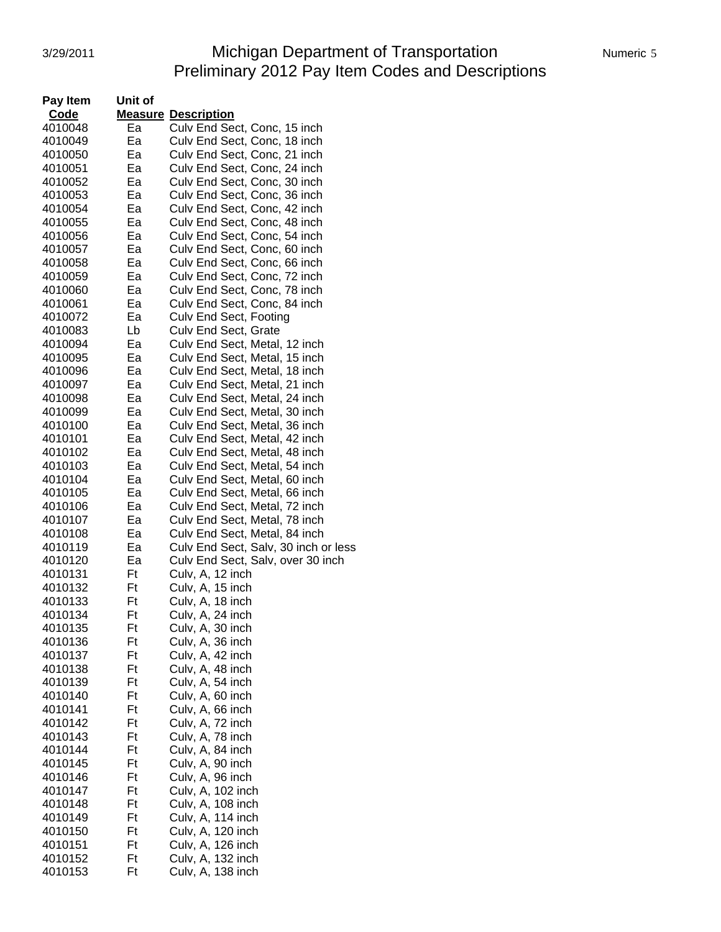# 3/29/2011 Michigan Department of Transportation Numeric 5 Preliminary 2012 Pay Item Codes and Descriptions

| Pay Item | Unit of |                                      |
|----------|---------|--------------------------------------|
| Code     |         | <b>Measure Description</b>           |
| 4010048  | Ea      | Culv End Sect, Conc, 15 inch         |
| 4010049  | Ea      | Culv End Sect, Conc, 18 inch         |
| 4010050  | Ea      | Culv End Sect, Conc, 21 inch         |
| 4010051  | Ea      | Culv End Sect, Conc, 24 inch         |
| 4010052  | Ea      | Culv End Sect, Conc, 30 inch         |
| 4010053  | Ea      | Culv End Sect, Conc, 36 inch         |
| 4010054  | Ea      |                                      |
|          |         | Culv End Sect, Conc, 42 inch         |
| 4010055  | Ea      | Culv End Sect, Conc, 48 inch         |
| 4010056  | Ea      | Culv End Sect, Conc, 54 inch         |
| 4010057  | Ea      | Culv End Sect, Conc, 60 inch         |
| 4010058  | Ea      | Culv End Sect, Conc, 66 inch         |
| 4010059  | Ea      | Culv End Sect, Conc, 72 inch         |
| 4010060  | Ea      | Culv End Sect, Conc, 78 inch         |
| 4010061  | Ea      | Culv End Sect, Conc, 84 inch         |
| 4010072  | Ea      | Culv End Sect, Footing               |
| 4010083  | Lb      | Culv End Sect, Grate                 |
| 4010094  | Ea      | Culv End Sect, Metal, 12 inch        |
| 4010095  | Ea      | Culv End Sect, Metal, 15 inch        |
| 4010096  | Ea      | Culv End Sect, Metal, 18 inch        |
| 4010097  | Ea      | Culv End Sect, Metal, 21 inch        |
| 4010098  | Ea      | Culv End Sect, Metal, 24 inch        |
| 4010099  | Ea      | Culv End Sect, Metal, 30 inch        |
| 4010100  | Ea      | Culv End Sect, Metal, 36 inch        |
|          |         |                                      |
| 4010101  | Ea      | Culv End Sect, Metal, 42 inch        |
| 4010102  | Ea      | Culv End Sect, Metal, 48 inch        |
| 4010103  | Ea      | Culv End Sect, Metal, 54 inch        |
| 4010104  | Ea      | Culv End Sect, Metal, 60 inch        |
| 4010105  | Ea      | Culv End Sect, Metal, 66 inch        |
| 4010106  | Ea      | Culv End Sect, Metal, 72 inch        |
| 4010107  | Ea      | Culv End Sect, Metal, 78 inch        |
| 4010108  | Ea      | Culv End Sect, Metal, 84 inch        |
| 4010119  | Ea      | Culv End Sect, Salv, 30 inch or less |
| 4010120  | Ea      | Culv End Sect, Salv, over 30 inch    |
| 4010131  | Ft      | Culv, A, 12 inch                     |
| 4010132  | Ft      | Culv, A, 15 inch                     |
| 4010133  | Ft      | Culv, A, 18 inch                     |
| 4010134  | Ft      | Culv, A, 24 inch                     |
| 4010135  | Ft      | Culv, A, 30 inch                     |
| 4010136  | Ft      | Culv, A, 36 inch                     |
| 4010137  | Ft      | Culv, A, 42 inch                     |
| 4010138  | Ft      | Culv, A, 48 inch                     |
| 4010139  | Ft      | Culv, A, 54 inch                     |
| 4010140  | Ft      | Culv, A, 60 inch                     |
|          |         |                                      |
| 4010141  | Ft      | Culv, A, 66 inch                     |
| 4010142  | Ft      | Culv, A, 72 inch                     |
| 4010143  | Ft      | Culv, A, 78 inch                     |
| 4010144  | Ft      | Culv, A, 84 inch                     |
| 4010145  | Ft      | Culv, A, 90 inch                     |
| 4010146  | Ft      | Culv, A, 96 inch                     |
| 4010147  | Ft      | Culv, A, 102 inch                    |
| 4010148  | Ft      | Culv, A, 108 inch                    |
| 4010149  | Ft      | Culv, A, 114 inch                    |
| 4010150  | Ft      | Culv, A, 120 inch                    |
| 4010151  | Ft      | Culv, A, 126 inch                    |
| 4010152  | Ft      | Culv, A, 132 inch                    |
| 4010153  | Ft      | Culv, A, 138 inch                    |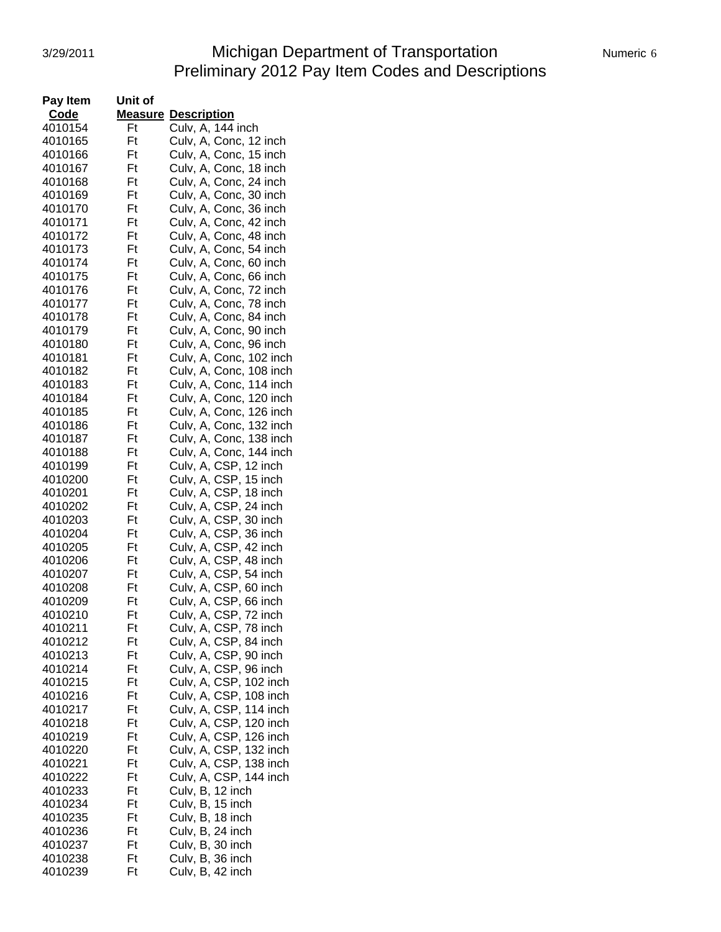#### 3/29/2011 Michigan Department of Transportation Numeric 6 Preliminary 2012 Pay Item Codes and Descriptions

| Pay Item | Unit of |                                                  |
|----------|---------|--------------------------------------------------|
| Code     |         | <b>Measure Description</b>                       |
| 4010154  | Ft      | Culv, A, 144 inch                                |
| 4010165  | Ft      | Culv, A, Conc, 12 inch                           |
| 4010166  | Ft      | Culv, A, Conc, 15 inch                           |
| 4010167  | Ft      | Culv, A, Conc, 18 inch                           |
|          | Ft      |                                                  |
| 4010168  |         | Culv, A, Conc, 24 inch                           |
| 4010169  | Ft      | Culv, A, Conc, 30 inch                           |
| 4010170  | Ft      | Culv, A, Conc, 36 inch                           |
| 4010171  | Ft      | Culv, A, Conc, 42 inch                           |
| 4010172  | Ft      | Culv, A, Conc, 48 inch                           |
| 4010173  | Ft      | Culv, A, Conc, 54 inch                           |
| 4010174  | Ft      | Culv, A, Conc, 60 inch                           |
| 4010175  | Ft      | Culv, A, Conc, 66 inch                           |
| 4010176  | Ft      | Culv, A, Conc, 72 inch                           |
| 4010177  | Ft      | Culv, A, Conc, 78 inch                           |
|          |         |                                                  |
| 4010178  | Ft      | Culv, A, Conc, 84 inch                           |
| 4010179  | Ft      | Culv, A, Conc, 90 inch                           |
| 4010180  | Ft      | Culv, A, Conc, 96 inch                           |
| 4010181  | Ft      | Culv, A, Conc, 102 inch                          |
| 4010182  | Ft      | Culv, A, Conc, 108 inch                          |
| 4010183  | Ft      | Culv, A, Conc, 114 inch                          |
| 4010184  | Ft      | Culv, A, Conc, 120 inch                          |
| 4010185  | Ft      | Culv, A, Conc, 126 inch                          |
| 4010186  | Ft      | Culv, A, Conc, 132 inch                          |
| 4010187  | Ft      | Culv, A, Conc, 138 inch                          |
|          | Ft      |                                                  |
| 4010188  |         | Culv, A, Conc, 144 inch                          |
| 4010199  | Ft      | Culv, A, CSP, 12 inch                            |
| 4010200  | Ft      | Culv, A, CSP, 15 inch                            |
| 4010201  | Ft      | Culv, A, CSP, 18 inch                            |
| 4010202  | Ft      | Culv, A, CSP, 24 inch                            |
| 4010203  | Ft      | Culv, A, CSP, 30 inch                            |
| 4010204  | Ft      | Culv, A, CSP, 36 inch                            |
| 4010205  | Ft      | Culv, A, CSP, 42 inch                            |
| 4010206  | Ft      | Culv, A, CSP, 48 inch                            |
| 4010207  | Ft      | Culv, A, CSP, 54 inch                            |
| 4010208  | Ft      | Culv, A, CSP, 60 inch                            |
| 4010209  | Ft      | Culv, A, CSP, 66 inch                            |
| 4010210  |         | Culv, A, CSP, 72 inch                            |
|          | Ft      |                                                  |
| 4010211  | Ft      | Culv, A, CSP, 78 inch                            |
| 4010212  | Ft      | Culv, A, CSP, 84 inch                            |
| 4010213  | Ft      | Culv, A, CSP, 90 inch                            |
| 4010214  | Ft      | Culv, A, CSP, 96 inch                            |
| 4010215  | Ft      | Culv, A, CSP, 102 inch                           |
| 4010216  | Ft      | Culv, A, CSP, 108 inch                           |
| 4010217  | Ft      |                                                  |
| 4010218  | Ft      | Culv, A, CSP, 114 inch<br>Culv, A, CSP, 120 inch |
| 4010219  | Ft      | Culv, A, CSP, 126 inch                           |
| 4010220  | Ft      | Culv, A, CSP, 132 inch                           |
|          |         |                                                  |
| 4010221  | Ft      | Culv, A, CSP, 138 inch                           |
| 4010222  | Ft      | Culv, A, CSP, 144 inch                           |
| 4010233  | Ft      | Culv, B, 12 inch                                 |
| 4010234  | Ft      | Culv, B, 15 inch                                 |
| 4010235  | Ft      | Culv, B, 18 inch                                 |
| 4010236  | Ft      | Culv, B, 24 inch                                 |
| 4010237  | Ft      | Culv, B, 30 inch                                 |
| 4010238  | Ft      | Culv, B, 36 inch                                 |
| 4010239  | Ft      | Culv, B, 42 inch                                 |
|          |         |                                                  |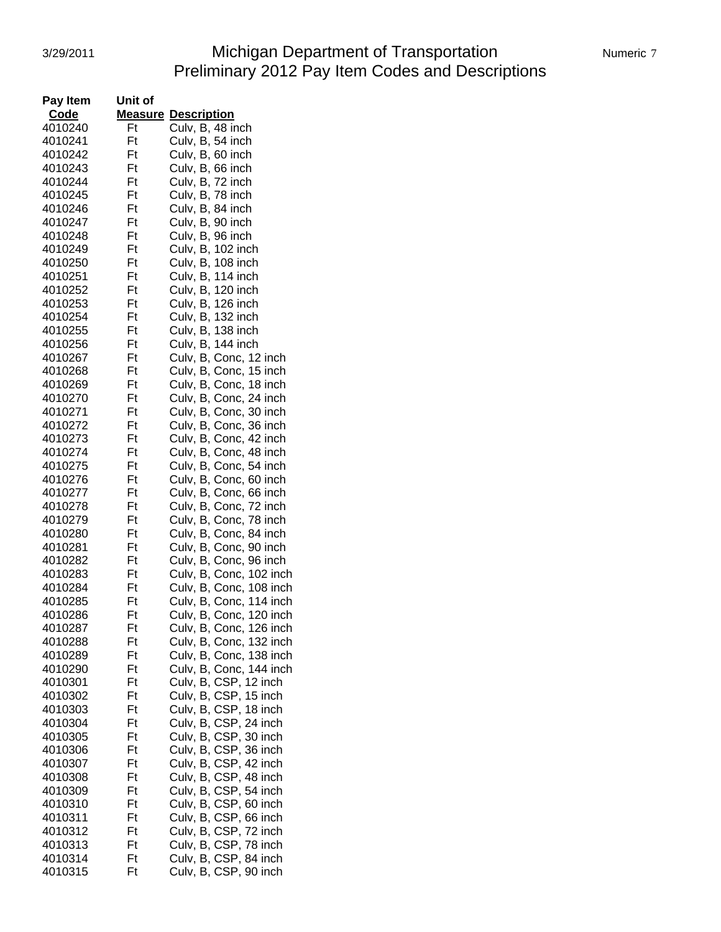# 3/29/2011 Michigan Department of Transportation Numeric 7 Preliminary 2012 Pay Item Codes and Descriptions

| Pay Item | Unit of |                            |
|----------|---------|----------------------------|
| Code     |         | <b>Measure Description</b> |
| 4010240  | Ft      | Culv, B, 48 inch           |
| 4010241  | Ft      | Culv, B, 54 inch           |
| 4010242  | Ft      | Culv, B, 60 inch           |
| 4010243  | Ft      | Culv, B, 66 inch           |
| 4010244  | Ft      | Culv, B, 72 inch           |
| 4010245  | Ft      | Culv, B, 78 inch           |
| 4010246  | Ft      | Culv, B, 84 inch           |
| 4010247  | Ft      | Culv, B, 90 inch           |
| 4010248  | Ft      | Culv, B, 96 inch           |
| 4010249  | Ft      | Culv, B, 102 inch          |
| 4010250  | Ft      | Culv, B, 108 inch          |
| 4010251  | Ft      | Culv, B, 114 inch          |
| 4010252  | Ft      | Culv, B, 120 inch          |
|          |         |                            |
| 4010253  | Ft      | Culv, B, 126 inch          |
| 4010254  | Ft      | Culv, B, 132 inch          |
| 4010255  | Ft      | Culv, B, 138 inch          |
| 4010256  | Ft      | Culv, B, 144 inch          |
| 4010267  | Ft      | Culv, B, Conc, 12 inch     |
| 4010268  | Ft      | Culv, B, Conc, 15 inch     |
| 4010269  | Ft      | Culv, B, Conc, 18 inch     |
| 4010270  | Ft      | Culv, B, Conc, 24 inch     |
| 4010271  | Ft      | Culv, B, Conc, 30 inch     |
| 4010272  | Ft      | Culv, B, Conc, 36 inch     |
| 4010273  | Ft      | Culv, B, Conc, 42 inch     |
| 4010274  | Ft      | Culv, B, Conc, 48 inch     |
| 4010275  | Ft      | Culv, B, Conc, 54 inch     |
| 4010276  | Ft      | Culv, B, Conc, 60 inch     |
| 4010277  | Ft      | Culv, B, Conc, 66 inch     |
| 4010278  | Ft      | Culv, B, Conc, 72 inch     |
| 4010279  | Ft      | Culv, B, Conc, 78 inch     |
| 4010280  | Ft      | Culv, B, Conc, 84 inch     |
| 4010281  | Ft      | Culv, B, Conc, 90 inch     |
| 4010282  | Ft      | Culv, B, Conc, 96 inch     |
| 4010283  | Ft      | Culv, B, Conc, 102 inch    |
| 4010284  | Ft      | Culv, B, Conc, 108 inch    |
| 4010285  | Ft      | Culv, B, Conc, 114 inch    |
| 4010286  | Ft      | Culv, B, Conc, 120 inch    |
| 4010287  | Ft      | Culv, B, Conc, 126 inch    |
| 4010288  | Ft      | Culv, B, Conc, 132 inch    |
| 4010289  | Ft      | Culv, B, Conc, 138 inch    |
| 4010290  | Ft      | Culv, B, Conc, 144 inch    |
| 4010301  | Ft      | Culv, B, CSP, 12 inch      |
| 4010302  | Ft      | Culv, B, CSP, 15 inch      |
| 4010303  | Ft      | Culv, B, CSP, 18 inch      |
| 4010304  | Ft      | Culv, B, CSP, 24 inch      |
| 4010305  | Ft      | Culv, B, CSP, 30 inch      |
| 4010306  | Ft      | Culv, B, CSP, 36 inch      |
| 4010307  | Ft      | Culv, B, CSP, 42 inch      |
| 4010308  | Ft      | Culv, B, CSP, 48 inch      |
| 4010309  | Ft      | Culv, B, CSP, 54 inch      |
| 4010310  | Ft      | Culv, B, CSP, 60 inch      |
| 4010311  | Ft      | Culv, B, CSP, 66 inch      |
| 4010312  | Ft      | Culv, B, CSP, 72 inch      |
| 4010313  | Ft      | Culv, B, CSP, 78 inch      |
| 4010314  | Ft      | Culv, B, CSP, 84 inch      |
| 4010315  | Ft      | Culv, B, CSP, 90 inch      |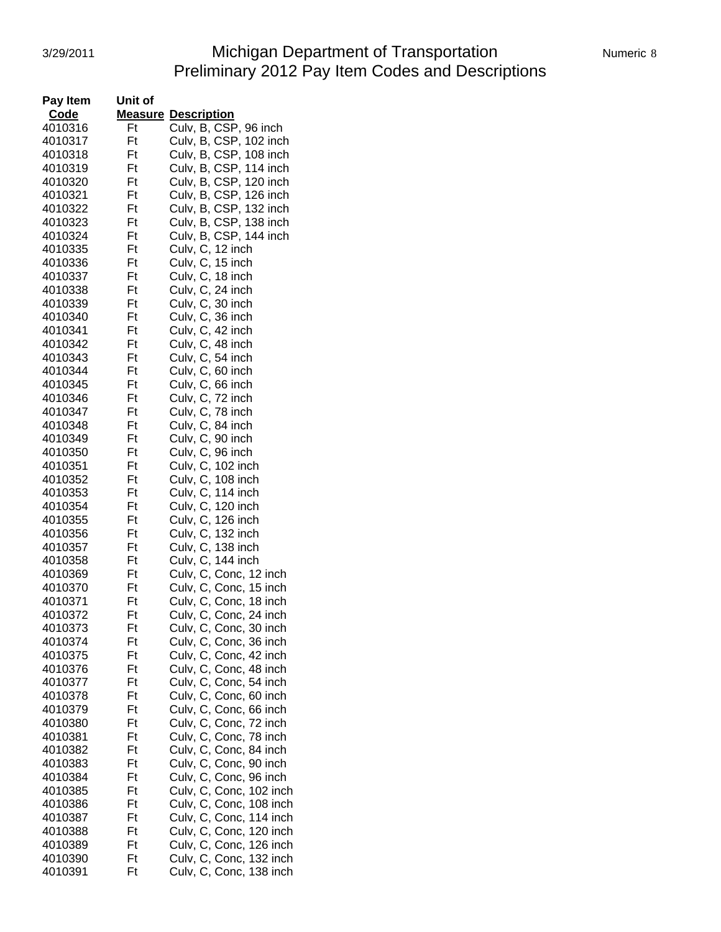#### 3/29/2011 Michigan Department of Transportation Numeric 8 Preliminary 2012 Pay Item Codes and Descriptions

| Numeric 8 |  |
|-----------|--|
|           |  |

| Pay Item | Unit of |                            |
|----------|---------|----------------------------|
| Code     |         | <b>Measure Description</b> |
| 4010316  | Ft      | Culv, B, CSP, 96 inch      |
| 4010317  | Ft      | Culv, B, CSP, 102 inch     |
| 4010318  | Ft      | Culv, B, CSP, 108 inch     |
| 4010319  | Ft      | Culv, B, CSP, 114 inch     |
| 4010320  | Ft      | Culv, B, CSP, 120 inch     |
| 4010321  | Ft      | Culv, B, CSP, 126 inch     |
| 4010322  | Ft      | Culv, B, CSP, 132 inch     |
|          | Ft      |                            |
| 4010323  |         | Culv, B, CSP, 138 inch     |
| 4010324  | Ft      | Culv, B, CSP, 144 inch     |
| 4010335  | Ft      | Culv, C, 12 inch           |
| 4010336  | Ft      | Culv, C, 15 inch           |
| 4010337  | Ft      | Culv, C, 18 inch           |
| 4010338  | Ft      | Culv, C, 24 inch           |
| 4010339  | Ft      | Culv, C, 30 inch           |
| 4010340  | Ft      | Culv, C, 36 inch           |
| 4010341  | Ft      | Culv, C, 42 inch           |
| 4010342  | Ft      | Culv, C, 48 inch           |
| 4010343  | Ft      | Culv, C, 54 inch           |
| 4010344  | Ft      | Culv, C, 60 inch           |
| 4010345  | Ft      | Culv, C, 66 inch           |
| 4010346  | Ft      | Culv, C, 72 inch           |
| 4010347  | Ft      | Culv, C, 78 inch           |
| 4010348  | Ft      | Culv, C, 84 inch           |
| 4010349  | Ft      | Culv, C, 90 inch           |
| 4010350  | Ft      | Culv, C, 96 inch           |
| 4010351  | Ft      | Culv, C, 102 inch          |
|          |         |                            |
| 4010352  | Ft      | Culv, C, 108 inch          |
| 4010353  | Ft      | Culv, C, 114 inch          |
| 4010354  | Ft      | Culv, C, 120 inch          |
| 4010355  | Ft      | Culv, C, 126 inch          |
| 4010356  | Ft      | Culv, C, 132 inch          |
| 4010357  | Ft      | Culv, C, 138 inch          |
| 4010358  | Ft      | Culv, C, 144 inch          |
| 4010369  | Ft      | Culv, C, Conc, 12 inch     |
| 4010370  | Ft      | Culv, C, Conc, 15 inch     |
| 4010371  | Ft      | Culv, C, Conc, 18 inch     |
| 4010372  | Ft      | Culv, C, Conc, 24 inch     |
| 4010373  | Ft      | Culv, C, Conc, 30 inch     |
| 4010374  | Ft      | Culv, C, Conc, 36 inch     |
| 4010375  | Ft      | Culv, C, Conc, 42 inch     |
| 4010376  | Ft      | Culv, C, Conc, 48 inch     |
| 4010377  | Ft      | Culv, C, Conc, 54 inch     |
| 4010378  | Ft      | Culv, C, Conc, 60 inch     |
| 4010379  | Ft      | Culv, C, Conc, 66 inch     |
| 4010380  | Ft      | Culv, C, Conc, 72 inch     |
| 4010381  | Ft      | Culv, C, Conc, 78 inch     |
| 4010382  | Ft      | Culv, C, Conc, 84 inch     |
|          | Ft      |                            |
| 4010383  |         | Culv, C, Conc, 90 inch     |
| 4010384  | Ft      | Culv, C, Conc, 96 inch     |
| 4010385  | Ft      | Culv, C, Conc, 102 inch    |
| 4010386  | Ft      | Culv, C, Conc, 108 inch    |
| 4010387  | Ft      | Culv, C, Conc, 114 inch    |
| 4010388  | Ft      | Culv, C, Conc, 120 inch    |
| 4010389  | Ft      | Culv, C, Conc, 126 inch    |
| 4010390  | Ft      | Culv, C, Conc, 132 inch    |
| 4010391  | Ft      | Culv, C, Conc, 138 inch    |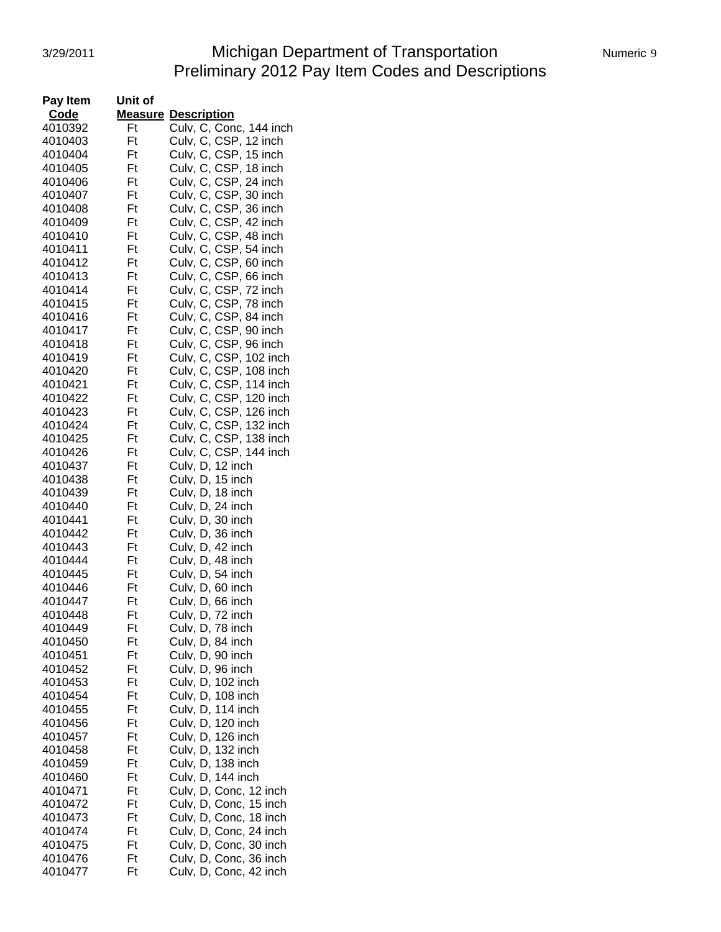#### 3/29/2011 Michigan Department of Transportation Numeric 9 Preliminary 2012 Pay Item Codes and Descriptions

| Pay Item | Unit of |                            |
|----------|---------|----------------------------|
| Code     |         | <b>Measure Description</b> |
| 4010392  | Ft      | Culv, C, Conc, 144 inch    |
| 4010403  | Ft      | Culv, C, CSP, 12 inch      |
| 4010404  | Ft      | Culv, C, CSP, 15 inch      |
| 4010405  | Ft      | Culv, C, CSP, 18 inch      |
| 4010406  | Ft      | Culv, C, CSP, 24 inch      |
|          |         | Culv, C, CSP, 30 inch      |
| 4010407  | Ft      |                            |
| 4010408  | Ft      | Culv, C, CSP, 36 inch      |
| 4010409  | Ft      | Culv, C, CSP, 42 inch      |
| 4010410  | Ft      | Culv, C, CSP, 48 inch      |
| 4010411  | Ft      | Culv, C, CSP, 54 inch      |
| 4010412  | Ft      | Culv, C, CSP, 60 inch      |
| 4010413  | Ft      | Culv, C, CSP, 66 inch      |
| 4010414  | Ft      | Culv, C, CSP, 72 inch      |
| 4010415  | Ft      | Culv, C, CSP, 78 inch      |
| 4010416  | Ft      | Culv, C, CSP, 84 inch      |
| 4010417  | Ft      | Culv, C, CSP, 90 inch      |
| 4010418  | Ft      | Culv, C, CSP, 96 inch      |
| 4010419  | Ft      | Culv, C, CSP, 102 inch     |
| 4010420  | Ft      | Culv, C, CSP, 108 inch     |
| 4010421  | Ft      | Culv, C, CSP, 114 inch     |
| 4010422  | Ft      | Culv, C, CSP, 120 inch     |
| 4010423  | Ft      | Culv, C, CSP, 126 inch     |
| 4010424  | Ft      |                            |
| 4010425  | Ft      | Culv, C, CSP, 132 inch     |
|          |         | Culv, C, CSP, 138 inch     |
| 4010426  | Ft      | Culv, C, CSP, 144 inch     |
| 4010437  | Ft      | Culv, D, 12 inch           |
| 4010438  | Ft      | Culv, D, 15 inch           |
| 4010439  | Ft      | Culv, D, 18 inch           |
| 4010440  | Ft      | Culv, D, 24 inch           |
| 4010441  | Ft      | Culv, D, 30 inch           |
| 4010442  | Ft      | Culv, D, 36 inch           |
| 4010443  | Ft      | Culv, D, 42 inch           |
| 4010444  | Ft      | Culv, D, 48 inch           |
| 4010445  | Ft      | Culv, D, 54 inch           |
| 4010446  | Ft      | Culv, D, 60 inch           |
| 4010447  | Ft      | Culv, D, 66 inch           |
| 4010448  | Ft      | Culv, D, 72 inch           |
| 4010449  | Ft      | Culv, D, 78 inch           |
| 4010450  | Ft      | Culv, D, 84 inch           |
| 4010451  | Ft      | Culv, D, 90 inch           |
| 4010452  | Ft      | Culv, D, 96 inch           |
| 4010453  | Ft      | Culv, D, 102 inch          |
| 4010454  | Ft      | Culv, D, 108 inch          |
| 4010455  | Ft      | Culv, D, 114 inch          |
| 4010456  | Ft      | Culv, D, 120 inch          |
| 4010457  | Ft      | Culv, D, 126 inch          |
| 4010458  | Ft      |                            |
|          |         | Culv, D, 132 inch          |
| 4010459  | Ft      | Culv, D, 138 inch          |
| 4010460  | Ft      | Culv, D, 144 inch          |
| 4010471  | Ft      | Culv, D, Conc, 12 inch     |
| 4010472  | Ft      | Culv, D, Conc, 15 inch     |
| 4010473  | Ft      | Culv, D, Conc, 18 inch     |
| 4010474  | Ft      | Culv, D, Conc, 24 inch     |
| 4010475  | Ft      | Culv, D, Conc, 30 inch     |
| 4010476  | Ft      | Culv, D, Conc, 36 inch     |
| 4010477  | Ft      | Culv, D, Conc, 42 inch     |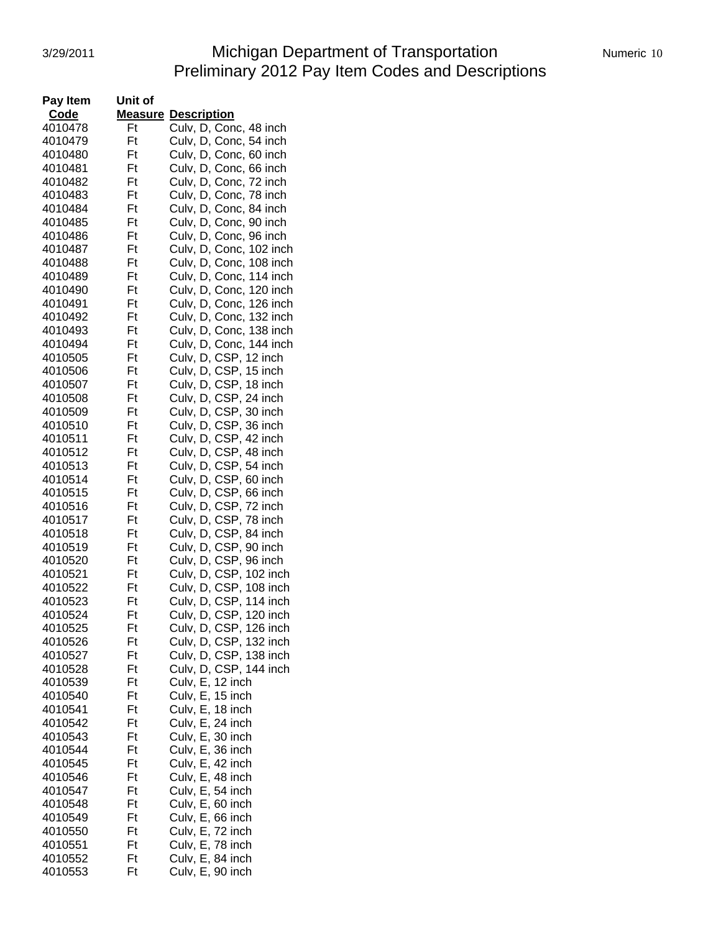#### 3/29/2011 Michigan Department of Transportation Mumeric 10 Preliminary 2012 Pay Item Codes and Descriptions

| Pay Item | Unit of |                                      |
|----------|---------|--------------------------------------|
| Code     |         | <b>Measure Description</b>           |
| 4010478  | Ft      | Culv, D, Conc, 48 inch               |
| 4010479  | Ft      | Culv, D, Conc, 54 inch               |
| 4010480  | Ft      | Culv, D, Conc, 60 inch               |
| 4010481  | Ft      | Culv, D, Conc, 66 inch               |
| 4010482  | Ft      | Culv, D, Conc, 72 inch               |
| 4010483  | Ft      | Culv, D, Conc, 78 inch               |
| 4010484  | Ft      | Culv, D, Conc, 84 inch               |
| 4010485  | Ft      | Culv, D, Conc, 90 inch               |
| 4010486  | Ft      | Culv, D, Conc, 96 inch               |
|          | Ft      | Culv, D, Conc, 102 inch              |
| 4010487  |         | Culv, D, Conc, 108 inch              |
| 4010488  | Ft      |                                      |
| 4010489  | Ft      | Culv, D, Conc, 114 inch              |
| 4010490  | Ft      | Culv, D, Conc, 120 inch              |
| 4010491  | Ft      | Culv, D, Conc, 126 inch              |
| 4010492  | Ft      | Culv, D, Conc, 132 inch              |
| 4010493  | Ft      | Culv, D, Conc, 138 inch              |
| 4010494  | Ft      | Culv, D, Conc, 144 inch              |
| 4010505  | Ft      | Culv, D, CSP, 12 inch                |
| 4010506  | Ft      | Culv, D, CSP, 15 inch                |
| 4010507  | Ft      | Culv, D, CSP, 18 inch                |
| 4010508  | Ft      | Culv, D, CSP, 24 inch                |
| 4010509  | Ft      | Culv, D, CSP, 30 inch                |
| 4010510  | Ft      | Culv, D, CSP, 36 inch                |
| 4010511  | Ft      | Culv, D, CSP, 42 inch                |
| 4010512  | Ft      | Culv, D, CSP, 48 inch                |
| 4010513  | Ft      | Culv, D, CSP, 54 inch                |
| 4010514  | Ft      | Culv, D, CSP, 60 inch                |
| 4010515  | Ft      | Culv, D, CSP, 66 inch                |
|          | Ft      |                                      |
| 4010516  |         | Culv, D, CSP, 72 inch                |
| 4010517  | Ft      | Culv, D, CSP, 78 inch                |
| 4010518  | Ft      | Culv, D, CSP, 84 inch                |
| 4010519  | Ft      | Culv, D, CSP, 90 inch                |
| 4010520  | Ft      | Culv, D, CSP, 96 inch                |
| 4010521  | Ft      | Culv, D, CSP, 102 inch               |
| 4010522  | Ft      | Culv, D, CSP, 108 inch               |
| 4010523  | Ft      | Culv, D, CSP, 114 inch               |
| 4010524  | Ft      | Culv, D, CSP, 120 inch               |
| 4010525  | Ft      | Culv, D, CSP, 126 inch               |
| 4010526  | Ft      | Culv, D, CSP, 132 inch               |
| 4010527  | Ft      | Culv, D, CSP, 138 inch               |
| 4010528  | Ft      | Culv, D, CSP, 144 inch               |
| 4010539  | Ft      | Culv, E, 12 inch                     |
| 4010540  | Ft      | Culv, E, 15 inch                     |
| 4010541  | Ft      |                                      |
| 4010542  | Ft      | Culv, E, 18 inch<br>Culv, E, 24 inch |
| 4010543  | Ft      | Culv, E, 30 inch                     |
| 4010544  | Ft      | Culv, E, 36 inch                     |
| 4010545  | Ft      | Culv, E, 42 inch                     |
|          |         |                                      |
| 4010546  | Ft      | Culv, E, 48 inch                     |
| 4010547  | Ft      | Culv, E, 54 inch                     |
| 4010548  | Ft      | Culv, E, 60 inch                     |
| 4010549  | Ft      | Culv, E, 66 inch                     |
| 4010550  | Ft      | Culv, E, 72 inch                     |
| 4010551  | Ft      | Culv, E, 78 inch                     |
| 4010552  | Ft      | Culv, E, 84 inch                     |
| 4010553  | Ft      | Culv, E, 90 inch                     |
|          |         |                                      |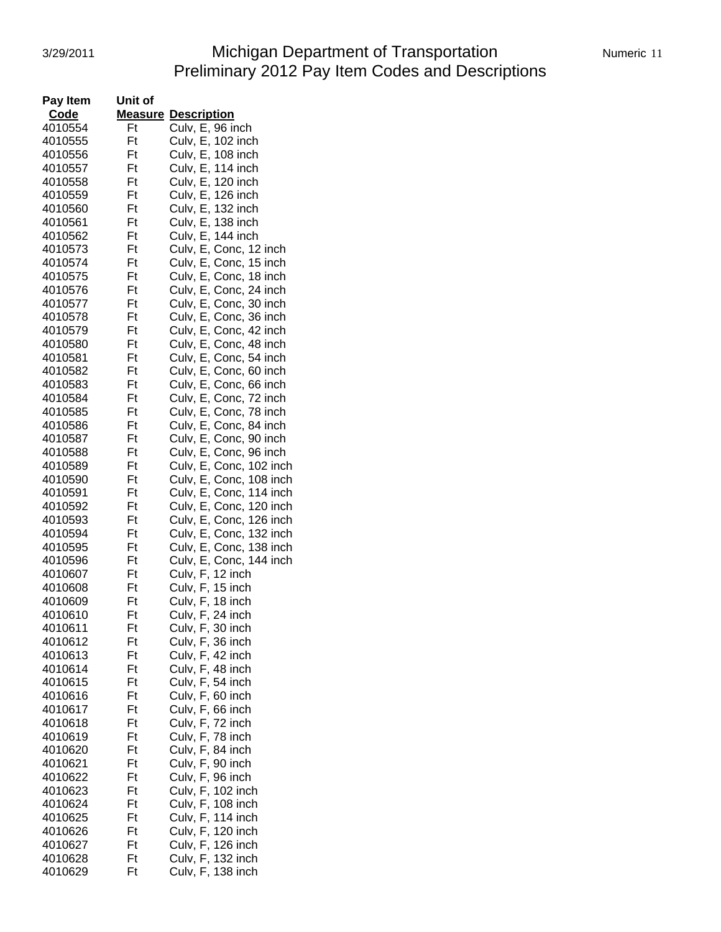# 3/29/2011 Michigan Department of Transportation Numeric 11 Preliminary 2012 Pay Item Codes and Descriptions

| Pay Item | Unit of |                                                          |
|----------|---------|----------------------------------------------------------|
| Code     |         | <b>Measure Description</b>                               |
| 4010554  | Ft      | Culv, E, 96 inch                                         |
| 4010555  | Ft      | Culv, E, 102 inch                                        |
| 4010556  | Ft      | Culv, E, 108 inch                                        |
| 4010557  | Ft      | Culv, E, 114 inch                                        |
| 4010558  | Ft      | Culv, E, 120 inch                                        |
| 4010559  | Ft      | Culv, E, 126 inch                                        |
| 4010560  | Ft      | Culv, E, 132 inch                                        |
|          | Ft      |                                                          |
| 4010561  | Ft      | Culv, E, 138 inch                                        |
| 4010562  |         | Culv, E, 144 inch                                        |
| 4010573  | Ft      | Culv, E, Conc, 12 inch                                   |
| 4010574  | Ft      | Culv, E, Conc, 15 inch                                   |
| 4010575  | Ft      | Culv, E, Conc, 18 inch                                   |
| 4010576  | Ft      | Culv, E, Conc, 24 inch                                   |
| 4010577  | Ft      | Culv, E, Conc, 30 inch                                   |
| 4010578  | Ft      | Culv, E, Conc, 36 inch                                   |
| 4010579  | Ft      | Culv, E, Conc, 42 inch                                   |
| 4010580  | Ft      | Culv, E, Conc, 48 inch                                   |
| 4010581  | Ft      | Culv, E, Conc, 54 inch                                   |
| 4010582  | Ft      | Culv, E, Conc, 60 inch                                   |
| 4010583  | Ft      | Culv, E, Conc, 66 inch                                   |
| 4010584  | Ft      | Culv, E, Conc, 72 inch                                   |
| 4010585  | Ft      | Culv, E, Conc, 78 inch                                   |
| 4010586  | Ft      | Culv, E, Conc, 84 inch                                   |
| 4010587  | Ft      | Culv, E, Conc, 90 inch                                   |
| 4010588  | Ft      | Culv, E, Conc, 96 inch                                   |
| 4010589  | Ft      | Culv, E, Conc, 102 inch                                  |
|          | Ft      |                                                          |
| 4010590  |         | Culv, E, Conc, 108 inch                                  |
| 4010591  | Ft      | Culv, E, Conc, 114 inch                                  |
| 4010592  | Ft      | Culv, E, Conc, 120 inch                                  |
| 4010593  | Ft      | Culv, E, Conc, 126 inch                                  |
| 4010594  | Ft      | Culv, E, Conc, 132 inch                                  |
| 4010595  | Ft      | Culv, E, Conc, 138 inch                                  |
| 4010596  | Ft      | Culv, E, Conc, 144 inch                                  |
| 4010607  | Ft      |                                                          |
| 4010608  | Ft      | Culv, F, 12 inch<br>Culv, F, 15 inch<br>Culv, F, 18 inch |
| 4010609  | Ft      |                                                          |
| 4010610  | Ft      | Culv, F, 24 inch                                         |
| 4010611  | Ft      | Culv, F, 30 inch                                         |
| 4010612  | Ft      | Culv, F, 36 inch                                         |
| 4010613  | Ft      | Culv, F, 42 inch                                         |
| 4010614  | Ft      | Culv, F, 48 inch                                         |
| 4010615  | Ft      | Culv, F, 54 inch                                         |
| 4010616  | Ft      | Culv, F, 60 inch                                         |
| 4010617  | Ft      |                                                          |
| 4010618  | Ft      | Culv, F, 66 inch                                         |
|          |         | Culv, $F$ , 72 inch                                      |
| 4010619  | Ft      | Culv, F, 78 inch                                         |
| 4010620  | Ft      | Culv, F, 84 inch                                         |
| 4010621  | Ft      | Culv, F, 90 inch                                         |
| 4010622  | Ft      | Culv, F, 96 inch                                         |
| 4010623  | Ft      | Culv, F, 102 inch                                        |
| 4010624  | Ft      | Culv, F, 108 inch                                        |
| 4010625  | Ft      | Culv, F, 114 inch                                        |
| 4010626  | Ft      | Culv, F, 120 inch                                        |
| 4010627  | Ft      | Culv, F, 126 inch                                        |
| 4010628  | Ft      | Culv, F, 132 inch                                        |
| 4010629  | Ft      | Culv, F, 138 inch                                        |
|          |         |                                                          |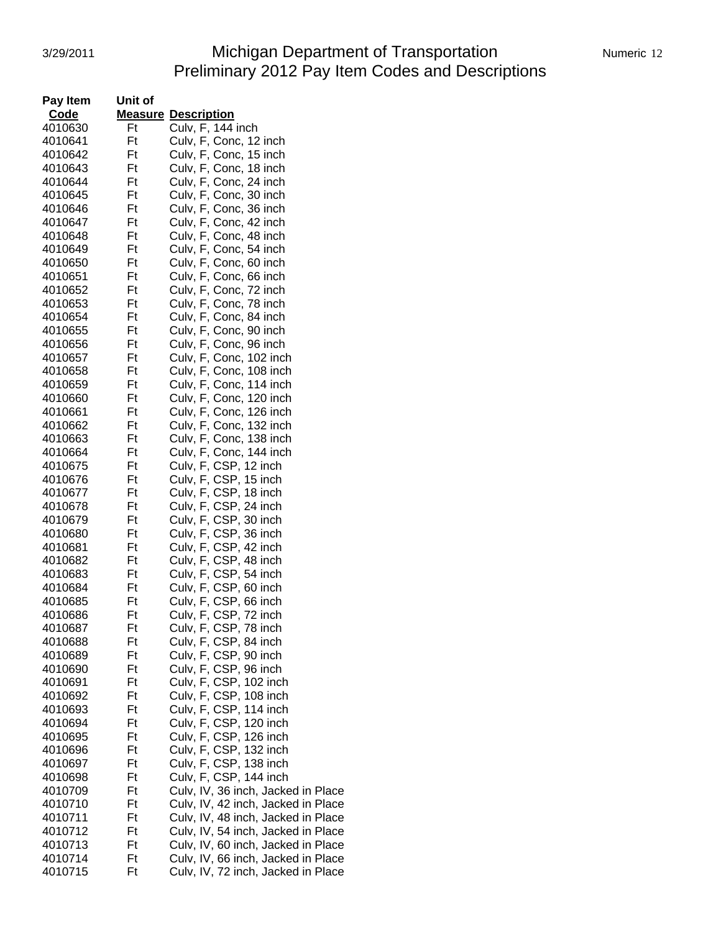#### 3/29/2011 Michigan Department of Transportation Mumeric 12 Preliminary 2012 Pay Item Codes and Descriptions

| Pay Item | Unit of |                                    |
|----------|---------|------------------------------------|
| Code     |         | <b>Measure Description</b>         |
| 4010630  | Ft      | Culv, F, 144 inch                  |
| 4010641  | Ft      | Culv, F, Conc, 12 inch             |
| 4010642  | Ft      | Culv, F, Conc, 15 inch             |
| 4010643  | Ft      | Culv, F, Conc, 18 inch             |
| 4010644  | Ft      | Culv, F, Conc, 24 inch             |
| 4010645  | Ft      | Culv, F, Conc, 30 inch             |
| 4010646  | Ft      | Culv, F, Conc, 36 inch             |
| 4010647  | Ft      | Culv, F, Conc, 42 inch             |
| 4010648  | Ft      | Culv, F, Conc, 48 inch             |
| 4010649  | Ft      | Culv, F, Conc, 54 inch             |
| 4010650  | Ft      | Culv, F, Conc, 60 inch             |
| 4010651  | Ft      | Culv, F, Conc, 66 inch             |
| 4010652  | Ft      | Culv, F, Conc, 72 inch             |
| 4010653  | Ft      | Culv, F, Conc, 78 inch             |
| 4010654  | Ft      | Culv, F, Conc, 84 inch             |
| 4010655  | Ft      | Culv, F, Conc, 90 inch             |
| 4010656  | Ft      | Culv, F, Conc, 96 inch             |
| 4010657  | Ft      | Culv, F, Conc, 102 inch            |
| 4010658  | Ft      | Culv, F, Conc, 108 inch            |
| 4010659  | Ft      | Culv, F, Conc, 114 inch            |
|          | Ft      |                                    |
| 4010660  | Ft      | Culv, F, Conc, 120 inch            |
| 4010661  |         | Culv, F, Conc, 126 inch            |
| 4010662  | Ft      | Culv, F, Conc, 132 inch            |
| 4010663  | Ft      | Culv, F, Conc, 138 inch            |
| 4010664  | Ft      | Culv, F, Conc, 144 inch            |
| 4010675  | Ft      | Culv, F, CSP, 12 inch              |
| 4010676  | Ft      | Culv, F, CSP, 15 inch              |
| 4010677  | Ft      | Culv, F, CSP, 18 inch              |
| 4010678  | Ft      | Culv, F, CSP, 24 inch              |
| 4010679  | Ft      | Culv, F, CSP, 30 inch              |
| 4010680  | Ft      | Culv, F, CSP, 36 inch              |
| 4010681  | Ft      | Culv, F, CSP, 42 inch              |
| 4010682  | Ft      | Culv, F, CSP, 48 inch              |
| 4010683  | Ft      | Culv, F, CSP, 54 inch              |
| 4010684  | Ft      | Culv, F, CSP, 60 inch              |
| 4010685  | Ft      | Culv, F, CSP, 66 inch              |
| 4010686  | Ft      | Culv, F, CSP, 72 inch              |
| 4010687  | Ft      | Culv, F, CSP, 78 inch              |
| 4010688  | Ft      | Culv, F, CSP, 84 inch              |
| 4010689  | Ft      | Culv, F, CSP, 90 inch              |
| 4010690  | Ft      | Culv, F, CSP, 96 inch              |
| 4010691  | Ft      | Culv, F, CSP, 102 inch             |
| 4010692  | Ft      | Culv, F, CSP, 108 inch             |
| 4010693  | Ft      | Culv, F, CSP, 114 inch             |
| 4010694  | Ft      | Culv, F, CSP, 120 inch             |
| 4010695  | Ft      | Culv, F, CSP, 126 inch             |
| 4010696  | Ft      | Culv, F, CSP, 132 inch             |
| 4010697  | Ft      | Culv, F, CSP, 138 inch             |
| 4010698  | Ft      | Culv, F, CSP, 144 inch             |
| 4010709  | Ft      | Culv, IV, 36 inch, Jacked in Place |
| 4010710  | Ft      | Culv, IV, 42 inch, Jacked in Place |
| 4010711  | Ft      | Culv, IV, 48 inch, Jacked in Place |
| 4010712  | Ft      | Culv, IV, 54 inch, Jacked in Place |
| 4010713  | Ft      | Culv, IV, 60 inch, Jacked in Place |
| 4010714  | Ft      | Culv, IV, 66 inch, Jacked in Place |
| 4010715  | Ft      | Culv, IV, 72 inch, Jacked in Place |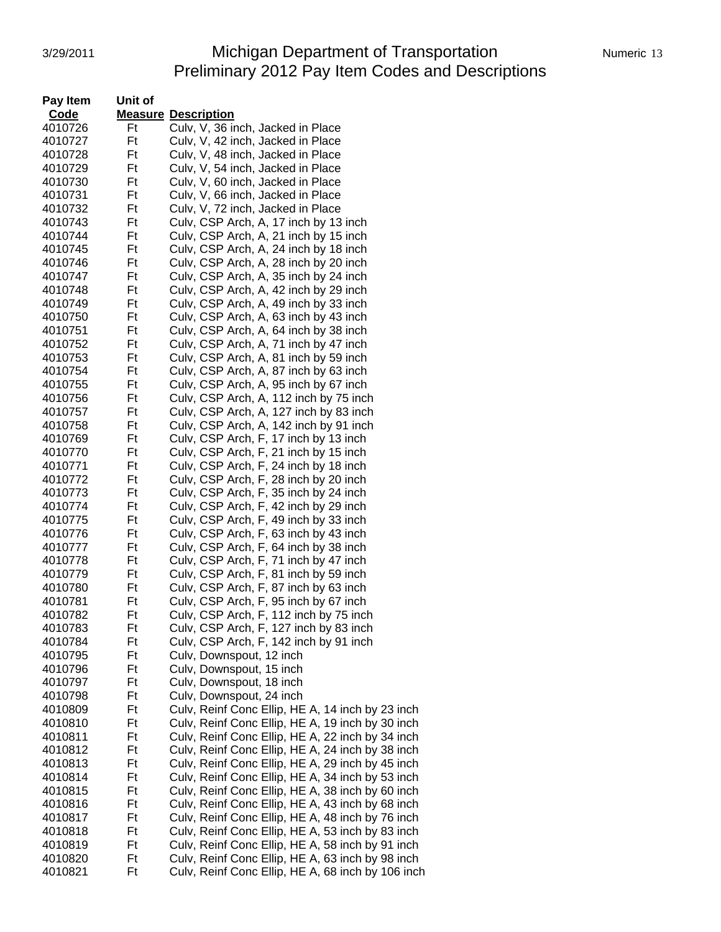# 3/29/2011 Michigan Department of Transportation Numeric 13 Preliminary 2012 Pay Item Codes and Descriptions

| Pay Item | Unit of |                                                   |
|----------|---------|---------------------------------------------------|
| Code     |         | <b>Measure Description</b>                        |
| 4010726  | Ft      | Culv, V, 36 inch, Jacked in Place                 |
| 4010727  | Ft      | Culv, V, 42 inch, Jacked in Place                 |
| 4010728  | Ft      | Culv, V, 48 inch, Jacked in Place                 |
| 4010729  | Ft      | Culv, V, 54 inch, Jacked in Place                 |
| 4010730  | Ft      | Culv, V, 60 inch, Jacked in Place                 |
| 4010731  | Ft      | Culv, V, 66 inch, Jacked in Place                 |
| 4010732  | Ft      | Culv, V, 72 inch, Jacked in Place                 |
| 4010743  | Ft      | Culv, CSP Arch, A, 17 inch by 13 inch             |
| 4010744  | Ft      | Culv, CSP Arch, A, 21 inch by 15 inch             |
| 4010745  | Ft      | Culv, CSP Arch, A, 24 inch by 18 inch             |
| 4010746  | Ft      | Culv, CSP Arch, A, 28 inch by 20 inch             |
| 4010747  | Ft      | Culv, CSP Arch, A, 35 inch by 24 inch             |
| 4010748  | Ft      | Culv, CSP Arch, A, 42 inch by 29 inch             |
| 4010749  | Ft      | Culv, CSP Arch, A, 49 inch by 33 inch             |
| 4010750  | Ft      | Culv, CSP Arch, A, 63 inch by 43 inch             |
| 4010751  | Ft      | Culv, CSP Arch, A, 64 inch by 38 inch             |
| 4010752  | Ft      | Culv, CSP Arch, A, 71 inch by 47 inch             |
| 4010753  | Ft      | Culv, CSP Arch, A, 81 inch by 59 inch             |
| 4010754  | Ft      | Culv, CSP Arch, A, 87 inch by 63 inch             |
| 4010755  | Ft      | Culv, CSP Arch, A, 95 inch by 67 inch             |
| 4010756  | Ft      | Culv, CSP Arch, A, 112 inch by 75 inch            |
| 4010757  | Ft      | Culv, CSP Arch, A, 127 inch by 83 inch            |
| 4010758  | Ft      | Culv, CSP Arch, A, 142 inch by 91 inch            |
| 4010769  | Ft      | Culv, CSP Arch, F, 17 inch by 13 inch             |
| 4010770  | Ft      | Culv, CSP Arch, F, 21 inch by 15 inch             |
| 4010771  | Ft      | Culv, CSP Arch, F, 24 inch by 18 inch             |
| 4010772  | Ft      | Culv, CSP Arch, F, 28 inch by 20 inch             |
| 4010773  | Ft      | Culv, CSP Arch, F, 35 inch by 24 inch             |
| 4010774  | Ft      | Culv, CSP Arch, F, 42 inch by 29 inch             |
| 4010775  | Ft      | Culv, CSP Arch, F, 49 inch by 33 inch             |
| 4010776  | Ft      | Culv, CSP Arch, F, 63 inch by 43 inch             |
| 4010777  | Ft      | Culv, CSP Arch, F, 64 inch by 38 inch             |
| 4010778  | Ft      | Culv, CSP Arch, F, 71 inch by 47 inch             |
| 4010779  | Ft      | Culv, CSP Arch, F, 81 inch by 59 inch             |
| 4010780  | Ft      | Culv, CSP Arch, F, 87 inch by 63 inch             |
| 4010781  | Ft      | Culv, CSP Arch, F, 95 inch by 67 inch             |
| 4010782  | Ft      | Culv, CSP Arch, F, 112 inch by 75 inch            |
| 4010783  | Ft      | Culv, CSP Arch, F, 127 inch by 83 inch            |
| 4010784  | Ft      | Culv, CSP Arch, F, 142 inch by 91 inch            |
| 4010795  | Ft      | Culv, Downspout, 12 inch                          |
| 4010796  | Ft      | Culv, Downspout, 15 inch                          |
| 4010797  | Ft      | Culv, Downspout, 18 inch                          |
| 4010798  | Ft      | Culv, Downspout, 24 inch                          |
| 4010809  | Ft      | Culv, Reinf Conc Ellip, HE A, 14 inch by 23 inch  |
| 4010810  | Ft      | Culv, Reinf Conc Ellip, HE A, 19 inch by 30 inch  |
| 4010811  | Ft      | Culv, Reinf Conc Ellip, HE A, 22 inch by 34 inch  |
| 4010812  | Ft      | Culv, Reinf Conc Ellip, HE A, 24 inch by 38 inch  |
| 4010813  | Ft      | Culv, Reinf Conc Ellip, HE A, 29 inch by 45 inch  |
| 4010814  | Ft      | Culv, Reinf Conc Ellip, HE A, 34 inch by 53 inch  |
| 4010815  | Ft      | Culv, Reinf Conc Ellip, HE A, 38 inch by 60 inch  |
| 4010816  | Ft      | Culv, Reinf Conc Ellip, HE A, 43 inch by 68 inch  |
| 4010817  | Ft      | Culv, Reinf Conc Ellip, HE A, 48 inch by 76 inch  |
| 4010818  | Ft      | Culv, Reinf Conc Ellip, HE A, 53 inch by 83 inch  |
| 4010819  | Ft      | Culv, Reinf Conc Ellip, HE A, 58 inch by 91 inch  |
| 4010820  | Ft      | Culv, Reinf Conc Ellip, HE A, 63 inch by 98 inch  |
| 4010821  | Ft      | Culv, Reinf Conc Ellip, HE A, 68 inch by 106 inch |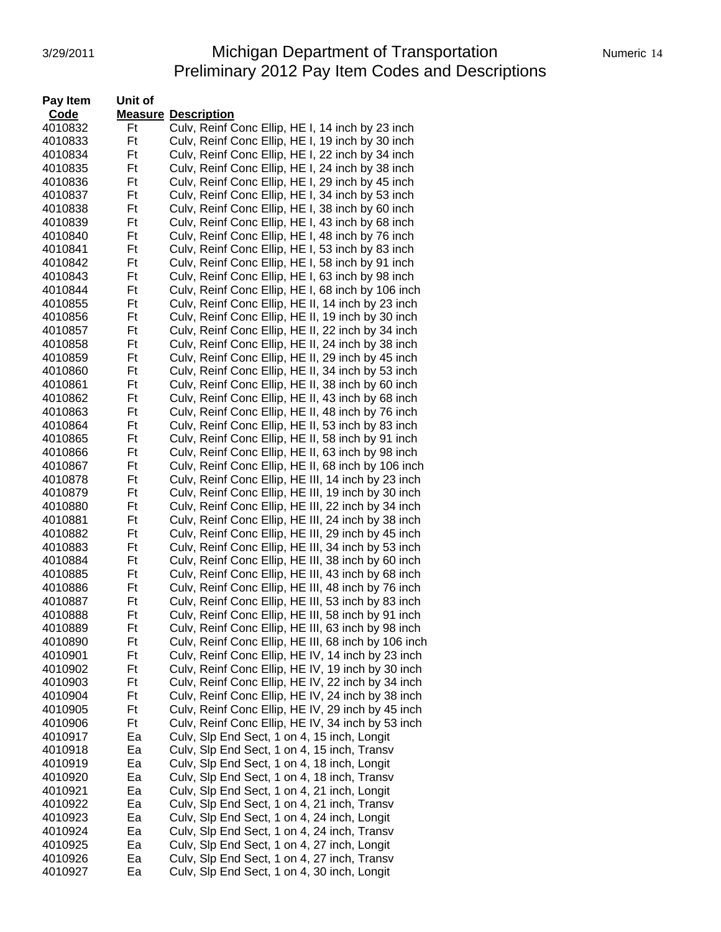#### 3/29/2011 **Michigan Department of Transportation** Numeric 14 Preliminary 2012 Pay Item Codes and Descriptions

| Pay Item | Unit of |                                                     |
|----------|---------|-----------------------------------------------------|
| Code     |         | <b>Measure Description</b>                          |
| 4010832  | Ft      | Culv, Reinf Conc Ellip, HE I, 14 inch by 23 inch    |
| 4010833  | Ft      | Culv, Reinf Conc Ellip, HE I, 19 inch by 30 inch    |
| 4010834  | Ft      | Culv, Reinf Conc Ellip, HE I, 22 inch by 34 inch    |
| 4010835  | Ft      | Culv, Reinf Conc Ellip, HE I, 24 inch by 38 inch    |
| 4010836  | Ft      | Culv, Reinf Conc Ellip, HE I, 29 inch by 45 inch    |
| 4010837  | Ft      | Culv, Reinf Conc Ellip, HE I, 34 inch by 53 inch    |
| 4010838  | Ft      | Culv, Reinf Conc Ellip, HE I, 38 inch by 60 inch    |
| 4010839  | Ft      | Culv, Reinf Conc Ellip, HE I, 43 inch by 68 inch    |
| 4010840  | Ft      | Culv, Reinf Conc Ellip, HE I, 48 inch by 76 inch    |
| 4010841  | Ft      | Culv, Reinf Conc Ellip, HE I, 53 inch by 83 inch    |
| 4010842  | Ft      | Culv, Reinf Conc Ellip, HE I, 58 inch by 91 inch    |
| 4010843  | Ft      | Culv, Reinf Conc Ellip, HE I, 63 inch by 98 inch    |
| 4010844  | Ft      | Culv, Reinf Conc Ellip, HE I, 68 inch by 106 inch   |
| 4010855  | Ft      | Culv, Reinf Conc Ellip, HE II, 14 inch by 23 inch   |
| 4010856  | Ft      | Culv, Reinf Conc Ellip, HE II, 19 inch by 30 inch   |
| 4010857  | Ft      | Culv, Reinf Conc Ellip, HE II, 22 inch by 34 inch   |
| 4010858  | Ft      | Culv, Reinf Conc Ellip, HE II, 24 inch by 38 inch   |
| 4010859  | Ft      | Culv, Reinf Conc Ellip, HE II, 29 inch by 45 inch   |
| 4010860  | Ft      | Culv, Reinf Conc Ellip, HE II, 34 inch by 53 inch   |
| 4010861  | Ft      | Culv, Reinf Conc Ellip, HE II, 38 inch by 60 inch   |
| 4010862  | Ft      | Culv, Reinf Conc Ellip, HE II, 43 inch by 68 inch   |
| 4010863  | Ft      | Culv, Reinf Conc Ellip, HE II, 48 inch by 76 inch   |
| 4010864  | Ft      | Culv, Reinf Conc Ellip, HE II, 53 inch by 83 inch   |
| 4010865  | Ft      | Culv, Reinf Conc Ellip, HE II, 58 inch by 91 inch   |
| 4010866  | Ft      | Culv, Reinf Conc Ellip, HE II, 63 inch by 98 inch   |
| 4010867  | Ft      | Culv, Reinf Conc Ellip, HE II, 68 inch by 106 inch  |
| 4010878  | Ft      | Culv, Reinf Conc Ellip, HE III, 14 inch by 23 inch  |
| 4010879  | Ft      | Culv, Reinf Conc Ellip, HE III, 19 inch by 30 inch  |
| 4010880  | Ft      | Culv, Reinf Conc Ellip, HE III, 22 inch by 34 inch  |
| 4010881  | Ft      | Culv, Reinf Conc Ellip, HE III, 24 inch by 38 inch  |
| 4010882  | Ft      | Culv, Reinf Conc Ellip, HE III, 29 inch by 45 inch  |
| 4010883  | Ft      | Culv, Reinf Conc Ellip, HE III, 34 inch by 53 inch  |
| 4010884  | Ft      | Culv, Reinf Conc Ellip, HE III, 38 inch by 60 inch  |
| 4010885  | Ft      | Culv, Reinf Conc Ellip, HE III, 43 inch by 68 inch  |
| 4010886  | Ft      | Culv, Reinf Conc Ellip, HE III, 48 inch by 76 inch  |
| 4010887  | Ft      | Culv, Reinf Conc Ellip, HE III, 53 inch by 83 inch  |
| 4010888  | Ft      | Culv, Reinf Conc Ellip, HE III, 58 inch by 91 inch  |
| 4010889  | Ft      | Culv, Reinf Conc Ellip, HE III, 63 inch by 98 inch  |
| 4010890  | Ft      | Culv, Reinf Conc Ellip, HE III, 68 inch by 106 inch |
| 4010901  | Ft      | Culv, Reinf Conc Ellip, HE IV, 14 inch by 23 inch   |
| 4010902  | Ft      | Culv, Reinf Conc Ellip, HE IV, 19 inch by 30 inch   |
| 4010903  | Ft      | Culv, Reinf Conc Ellip, HE IV, 22 inch by 34 inch   |
| 4010904  | Ft      | Culv, Reinf Conc Ellip, HE IV, 24 inch by 38 inch   |
| 4010905  | Ft      | Culv, Reinf Conc Ellip, HE IV, 29 inch by 45 inch   |
| 4010906  | Ft      | Culv, Reinf Conc Ellip, HE IV, 34 inch by 53 inch   |
| 4010917  | Ea      | Culv, Slp End Sect, 1 on 4, 15 inch, Longit         |
| 4010918  | Ea      | Culv, Slp End Sect, 1 on 4, 15 inch, Transv         |
| 4010919  | Ea      | Culv, Slp End Sect, 1 on 4, 18 inch, Longit         |
| 4010920  | Ea      | Culv, Slp End Sect, 1 on 4, 18 inch, Transv         |
| 4010921  | Ea      | Culv, Slp End Sect, 1 on 4, 21 inch, Longit         |
| 4010922  | Ea      | Culv, Slp End Sect, 1 on 4, 21 inch, Transv         |
| 4010923  | Ea      | Culv, Slp End Sect, 1 on 4, 24 inch, Longit         |
| 4010924  | Ea      | Culv, Slp End Sect, 1 on 4, 24 inch, Transv         |
| 4010925  | Ea      | Culv, Slp End Sect, 1 on 4, 27 inch, Longit         |
| 4010926  | Ea      | Culv, Slp End Sect, 1 on 4, 27 inch, Transv         |
| 4010927  | Ea      | Culv, Slp End Sect, 1 on 4, 30 inch, Longit         |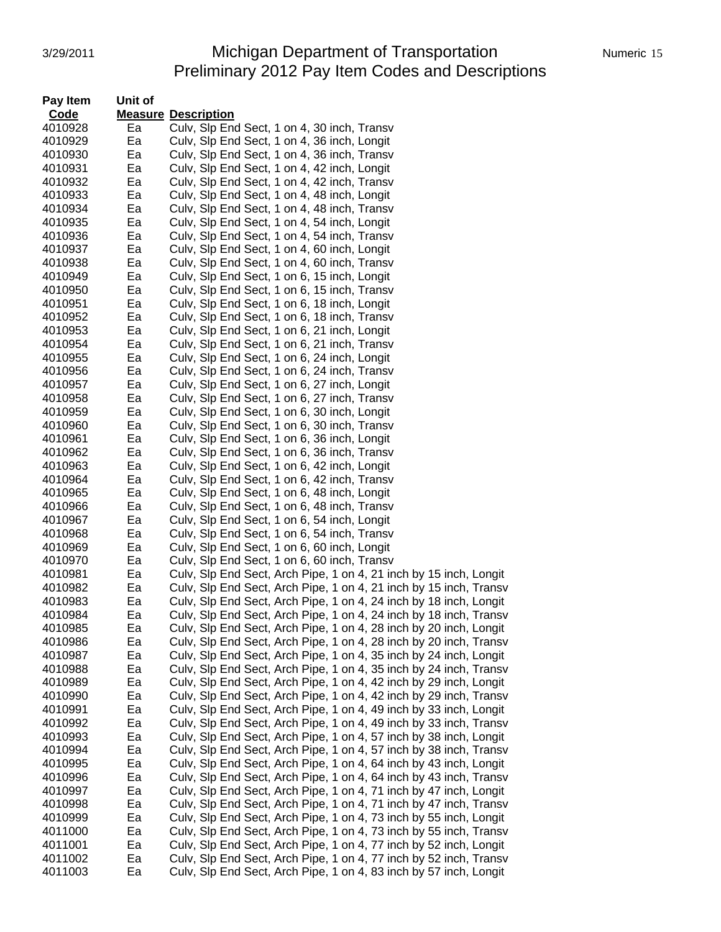# 3/29/2011 Michigan Department of Transportation Preliminary 2012 Pay Item Codes and Descriptions

| Numeric 15 |  |
|------------|--|
|            |  |

| Pay Item | Unit of |                                                                   |
|----------|---------|-------------------------------------------------------------------|
| Code     |         | <b>Measure Description</b>                                        |
| 4010928  | Ea      | Culv, SIp End Sect, 1 on 4, 30 inch, Transv                       |
| 4010929  | Ea      | Culv, Slp End Sect, 1 on 4, 36 inch, Longit                       |
| 4010930  | Ea      | Culv, SIp End Sect, 1 on 4, 36 inch, Transv                       |
| 4010931  | Ea      | Culv, SIp End Sect, 1 on 4, 42 inch, Longit                       |
| 4010932  | Ea      | Culv, Slp End Sect, 1 on 4, 42 inch, Transv                       |
| 4010933  | Ea      | Culv, SIp End Sect, 1 on 4, 48 inch, Longit                       |
| 4010934  | Ea      | Culv, Slp End Sect, 1 on 4, 48 inch, Transv                       |
| 4010935  | Ea      | Culv, Slp End Sect, 1 on 4, 54 inch, Longit                       |
| 4010936  | Ea      | Culv, Slp End Sect, 1 on 4, 54 inch, Transv                       |
| 4010937  | Ea      | Culv, Slp End Sect, 1 on 4, 60 inch, Longit                       |
| 4010938  | Ea      | Culv, Slp End Sect, 1 on 4, 60 inch, Transv                       |
| 4010949  | Ea      | Culv, Slp End Sect, 1 on 6, 15 inch, Longit                       |
| 4010950  | Ea      | Culv, Slp End Sect, 1 on 6, 15 inch, Transv                       |
| 4010951  | Ea      | Culv, Slp End Sect, 1 on 6, 18 inch, Longit                       |
| 4010952  | Ea      | Culv, Slp End Sect, 1 on 6, 18 inch, Transv                       |
| 4010953  | Ea      | Culv, Slp End Sect, 1 on 6, 21 inch, Longit                       |
| 4010954  | Ea      | Culv, Slp End Sect, 1 on 6, 21 inch, Transv                       |
| 4010955  | Ea      | Culv, Slp End Sect, 1 on 6, 24 inch, Longit                       |
|          | Ea      | Culv, Slp End Sect, 1 on 6, 24 inch, Transv                       |
| 4010956  |         |                                                                   |
| 4010957  | Ea      | Culv, Slp End Sect, 1 on 6, 27 inch, Longit                       |
| 4010958  | Ea      | Culv, Slp End Sect, 1 on 6, 27 inch, Transv                       |
| 4010959  | Ea      | Culv, Slp End Sect, 1 on 6, 30 inch, Longit                       |
| 4010960  | Ea      | Culv, Slp End Sect, 1 on 6, 30 inch, Transv                       |
| 4010961  | Ea      | Culv, Slp End Sect, 1 on 6, 36 inch, Longit                       |
| 4010962  | Ea      | Culv, Slp End Sect, 1 on 6, 36 inch, Transv                       |
| 4010963  | Ea      | Culv, Slp End Sect, 1 on 6, 42 inch, Longit                       |
| 4010964  | Ea      | Culv, Slp End Sect, 1 on 6, 42 inch, Transv                       |
| 4010965  | Ea      | Culv, Slp End Sect, 1 on 6, 48 inch, Longit                       |
| 4010966  | Ea      | Culv, Slp End Sect, 1 on 6, 48 inch, Transv                       |
| 4010967  | Ea      | Culv, Slp End Sect, 1 on 6, 54 inch, Longit                       |
| 4010968  | Ea      | Culv, Slp End Sect, 1 on 6, 54 inch, Transv                       |
| 4010969  | Ea      | Culv, Slp End Sect, 1 on 6, 60 inch, Longit                       |
| 4010970  | Ea      | Culv, Slp End Sect, 1 on 6, 60 inch, Transv                       |
| 4010981  | Ea      | Culv, Slp End Sect, Arch Pipe, 1 on 4, 21 inch by 15 inch, Longit |
| 4010982  | Ea      | Culv, Slp End Sect, Arch Pipe, 1 on 4, 21 inch by 15 inch, Transv |
| 4010983  | Ea      | Culv, Slp End Sect, Arch Pipe, 1 on 4, 24 inch by 18 inch, Longit |
| 4010984  | Ea      | Culv, Slp End Sect, Arch Pipe, 1 on 4, 24 inch by 18 inch, Transv |
| 4010985  | ьa      | Culv, Slp End Sect, Arch Pipe, 1 on 4, 28 inch by 20 inch, Longit |
| 4010986  | Ea      | Culv, Slp End Sect, Arch Pipe, 1 on 4, 28 inch by 20 inch, Transv |
| 4010987  | Ea      | Culv, Slp End Sect, Arch Pipe, 1 on 4, 35 inch by 24 inch, Longit |
| 4010988  | Ea      | Culv, Slp End Sect, Arch Pipe, 1 on 4, 35 inch by 24 inch, Transv |
| 4010989  | Ea      | Culv, Slp End Sect, Arch Pipe, 1 on 4, 42 inch by 29 inch, Longit |
| 4010990  | Ea      | Culv, Slp End Sect, Arch Pipe, 1 on 4, 42 inch by 29 inch, Transv |
| 4010991  | Ea      | Culv, Slp End Sect, Arch Pipe, 1 on 4, 49 inch by 33 inch, Longit |
| 4010992  | Ea      | Culv, Slp End Sect, Arch Pipe, 1 on 4, 49 inch by 33 inch, Transv |
| 4010993  | Ea      | Culv, Slp End Sect, Arch Pipe, 1 on 4, 57 inch by 38 inch, Longit |
| 4010994  | Ea      | Culv, Slp End Sect, Arch Pipe, 1 on 4, 57 inch by 38 inch, Transv |
| 4010995  | Ea      | Culv, Slp End Sect, Arch Pipe, 1 on 4, 64 inch by 43 inch, Longit |
| 4010996  | Ea      | Culv, Slp End Sect, Arch Pipe, 1 on 4, 64 inch by 43 inch, Transv |
| 4010997  | Ea      | Culv, Slp End Sect, Arch Pipe, 1 on 4, 71 inch by 47 inch, Longit |
| 4010998  | Ea      | Culv, Slp End Sect, Arch Pipe, 1 on 4, 71 inch by 47 inch, Transv |
| 4010999  | Ea      | Culv, Slp End Sect, Arch Pipe, 1 on 4, 73 inch by 55 inch, Longit |
| 4011000  | Ea      | Culv, Slp End Sect, Arch Pipe, 1 on 4, 73 inch by 55 inch, Transv |
| 4011001  | Ea      | Culv, Slp End Sect, Arch Pipe, 1 on 4, 77 inch by 52 inch, Longit |
| 4011002  | Ea      | Culv, Slp End Sect, Arch Pipe, 1 on 4, 77 inch by 52 inch, Transv |
| 4011003  | Ea      | Culv, Slp End Sect, Arch Pipe, 1 on 4, 83 inch by 57 inch, Longit |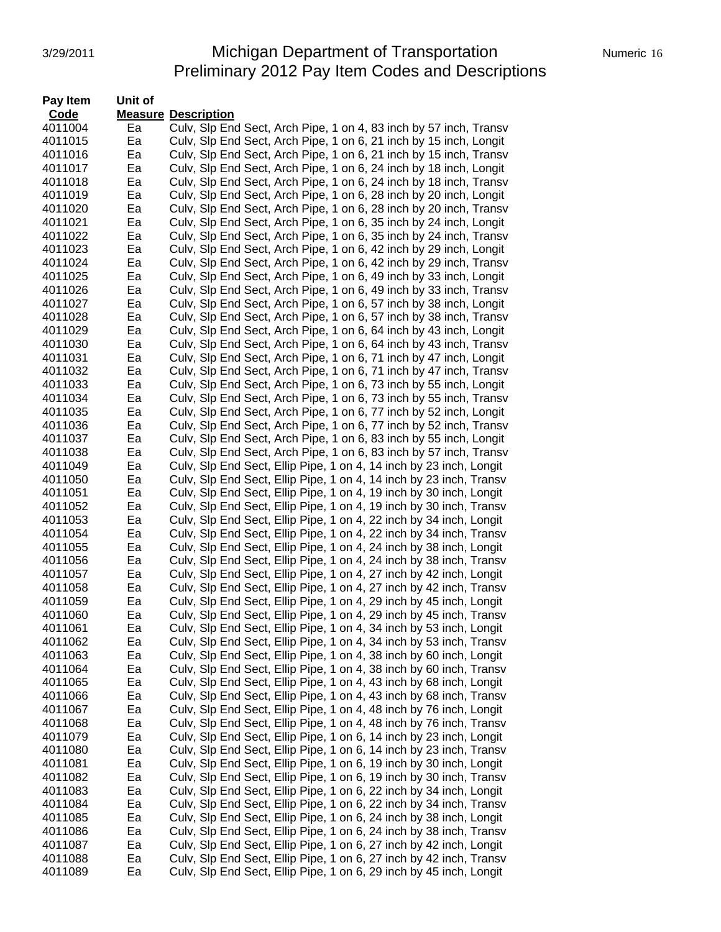#### 3/29/2011 **Michigan Department of Transportation** Numeric 16 Preliminary 2012 Pay Item Codes and Descriptions

| Pay Item | Unit of |                                                                    |
|----------|---------|--------------------------------------------------------------------|
| Code     |         | <b>Measure Description</b>                                         |
| 4011004  | Ea      | Culv, Slp End Sect, Arch Pipe, 1 on 4, 83 inch by 57 inch, Transv  |
| 4011015  | Ea      | Culv, Slp End Sect, Arch Pipe, 1 on 6, 21 inch by 15 inch, Longit  |
| 4011016  | Ea      | Culv, Slp End Sect, Arch Pipe, 1 on 6, 21 inch by 15 inch, Transv  |
| 4011017  | Ea      | Culv, Slp End Sect, Arch Pipe, 1 on 6, 24 inch by 18 inch, Longit  |
| 4011018  | Ea      | Culv, Slp End Sect, Arch Pipe, 1 on 6, 24 inch by 18 inch, Transv  |
| 4011019  | Ea      | Culv, Slp End Sect, Arch Pipe, 1 on 6, 28 inch by 20 inch, Longit  |
| 4011020  | Ea      | Culv, Slp End Sect, Arch Pipe, 1 on 6, 28 inch by 20 inch, Transv  |
| 4011021  | Ea      | Culv, Slp End Sect, Arch Pipe, 1 on 6, 35 inch by 24 inch, Longit  |
| 4011022  | Ea      | Culv, Slp End Sect, Arch Pipe, 1 on 6, 35 inch by 24 inch, Transv  |
| 4011023  | Ea      | Culv, Slp End Sect, Arch Pipe, 1 on 6, 42 inch by 29 inch, Longit  |
| 4011024  | Ea      | Culv, Slp End Sect, Arch Pipe, 1 on 6, 42 inch by 29 inch, Transv  |
| 4011025  | Ea      | Culv, Slp End Sect, Arch Pipe, 1 on 6, 49 inch by 33 inch, Longit  |
| 4011026  | Ea      | Culv, Slp End Sect, Arch Pipe, 1 on 6, 49 inch by 33 inch, Transv  |
| 4011027  | Ea      | Culv, Slp End Sect, Arch Pipe, 1 on 6, 57 inch by 38 inch, Longit  |
| 4011028  | Ea      | Culv, Slp End Sect, Arch Pipe, 1 on 6, 57 inch by 38 inch, Transv  |
| 4011029  | Ea      | Culv, Slp End Sect, Arch Pipe, 1 on 6, 64 inch by 43 inch, Longit  |
| 4011030  | Ea      | Culv, Slp End Sect, Arch Pipe, 1 on 6, 64 inch by 43 inch, Transv  |
| 4011031  | Ea      | Culv, Slp End Sect, Arch Pipe, 1 on 6, 71 inch by 47 inch, Longit  |
| 4011032  | Ea      | Culv, Slp End Sect, Arch Pipe, 1 on 6, 71 inch by 47 inch, Transv  |
| 4011033  | Ea      | Culv, Slp End Sect, Arch Pipe, 1 on 6, 73 inch by 55 inch, Longit  |
| 4011034  | Ea      | Culv, Slp End Sect, Arch Pipe, 1 on 6, 73 inch by 55 inch, Transv  |
| 4011035  | Ea      | Culv, Slp End Sect, Arch Pipe, 1 on 6, 77 inch by 52 inch, Longit  |
| 4011036  | Ea      | Culv, Slp End Sect, Arch Pipe, 1 on 6, 77 inch by 52 inch, Transv  |
| 4011037  | Ea      | Culv, Slp End Sect, Arch Pipe, 1 on 6, 83 inch by 55 inch, Longit  |
| 4011038  | Ea      | Culv, Slp End Sect, Arch Pipe, 1 on 6, 83 inch by 57 inch, Transv  |
| 4011049  | Ea      | Culv, SIp End Sect, Ellip Pipe, 1 on 4, 14 inch by 23 inch, Longit |
| 4011050  | Ea      | Culv, SIp End Sect, Ellip Pipe, 1 on 4, 14 inch by 23 inch, Transv |
| 4011051  | Ea      | Culv, SIp End Sect, Ellip Pipe, 1 on 4, 19 inch by 30 inch, Longit |
| 4011052  | Ea      | Culv, Slp End Sect, Ellip Pipe, 1 on 4, 19 inch by 30 inch, Transv |
| 4011053  | Ea      | Culv, Slp End Sect, Ellip Pipe, 1 on 4, 22 inch by 34 inch, Longit |
| 4011054  | Ea      | Culv, Slp End Sect, Ellip Pipe, 1 on 4, 22 inch by 34 inch, Transv |
| 4011055  | Ea      | Culv, SIp End Sect, Ellip Pipe, 1 on 4, 24 inch by 38 inch, Longit |
| 4011056  | Ea      | Culv, Slp End Sect, Ellip Pipe, 1 on 4, 24 inch by 38 inch, Transv |
| 4011057  | Ea      | Culv, Slp End Sect, Ellip Pipe, 1 on 4, 27 inch by 42 inch, Longit |
| 4011058  | Ea      | Culv, Slp End Sect, Ellip Pipe, 1 on 4, 27 inch by 42 inch, Transv |
| 4011059  | Ea      | Culv, Slp End Sect, Ellip Pipe, 1 on 4, 29 inch by 45 inch, Longit |
| 4011060  | Ea      | Culv, Slp End Sect, Ellip Pipe, 1 on 4, 29 inch by 45 inch, Transv |
| 4011061  | Ea      | Culv, SIp End Sect, Ellip Pipe, 1 on 4, 34 inch by 53 inch, Longit |
| 4011062  | Ea      | Culv, Slp End Sect, Ellip Pipe, 1 on 4, 34 inch by 53 inch, Transv |
| 4011063  | Ea      | Culv, Slp End Sect, Ellip Pipe, 1 on 4, 38 inch by 60 inch, Longit |
| 4011064  | Ea      | Culv, Slp End Sect, Ellip Pipe, 1 on 4, 38 inch by 60 inch, Transv |
| 4011065  | Ea      | Culv, Slp End Sect, Ellip Pipe, 1 on 4, 43 inch by 68 inch, Longit |
| 4011066  | Ea      | Culv, Slp End Sect, Ellip Pipe, 1 on 4, 43 inch by 68 inch, Transv |
| 4011067  | Ea      | Culv, Slp End Sect, Ellip Pipe, 1 on 4, 48 inch by 76 inch, Longit |
| 4011068  | Ea      | Culv, Slp End Sect, Ellip Pipe, 1 on 4, 48 inch by 76 inch, Transv |
| 4011079  | Ea      | Culv, Slp End Sect, Ellip Pipe, 1 on 6, 14 inch by 23 inch, Longit |
| 4011080  | Ea      | Culv, Slp End Sect, Ellip Pipe, 1 on 6, 14 inch by 23 inch, Transv |
| 4011081  | Ea      | Culv, Slp End Sect, Ellip Pipe, 1 on 6, 19 inch by 30 inch, Longit |
| 4011082  | Ea      | Culv, Slp End Sect, Ellip Pipe, 1 on 6, 19 inch by 30 inch, Transv |
| 4011083  | Ea      | Culv, Slp End Sect, Ellip Pipe, 1 on 6, 22 inch by 34 inch, Longit |
| 4011084  | Ea      | Culv, Slp End Sect, Ellip Pipe, 1 on 6, 22 inch by 34 inch, Transv |
| 4011085  | Ea      | Culv, Slp End Sect, Ellip Pipe, 1 on 6, 24 inch by 38 inch, Longit |
| 4011086  | Ea      | Culv, Slp End Sect, Ellip Pipe, 1 on 6, 24 inch by 38 inch, Transv |
| 4011087  | Ea      | Culv, Slp End Sect, Ellip Pipe, 1 on 6, 27 inch by 42 inch, Longit |
| 4011088  | Ea      | Culv, Slp End Sect, Ellip Pipe, 1 on 6, 27 inch by 42 inch, Transv |
| 4011089  | Ea      | Culv, Slp End Sect, Ellip Pipe, 1 on 6, 29 inch by 45 inch, Longit |
|          |         |                                                                    |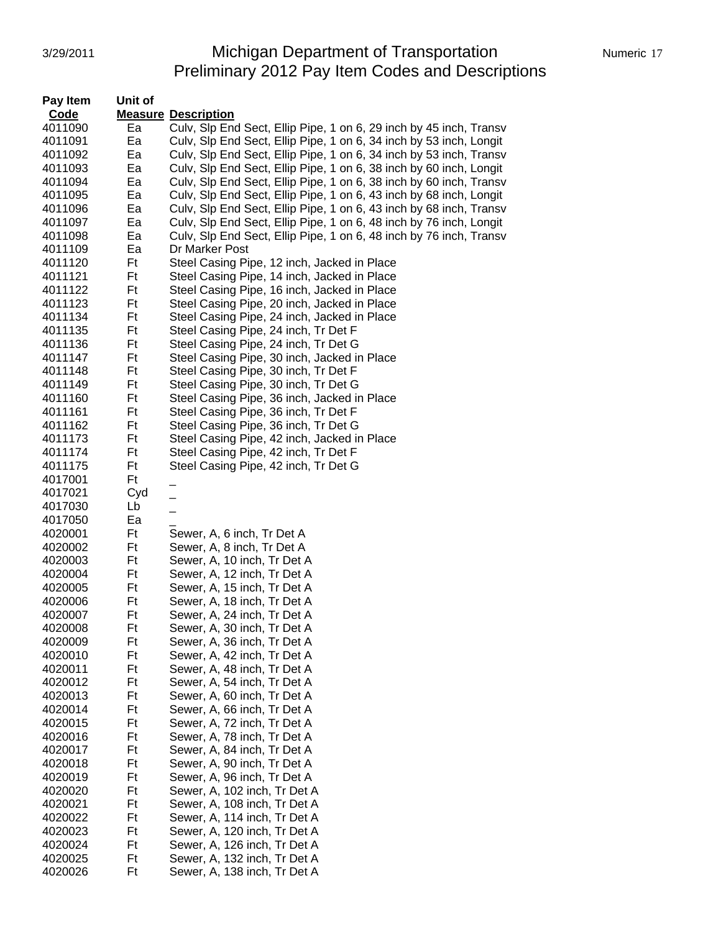#### 3/29/2011 **Michigan Department of Transportation** Numeric 17 Preliminary 2012 Pay Item Codes and Descriptions

| Pay Item    | Unit of |                                                                    |
|-------------|---------|--------------------------------------------------------------------|
| <b>Code</b> |         | <b>Measure Description</b>                                         |
| 4011090     | Ea      | Culv, Slp End Sect, Ellip Pipe, 1 on 6, 29 inch by 45 inch, Transv |
| 4011091     | Ea      | Culv, Slp End Sect, Ellip Pipe, 1 on 6, 34 inch by 53 inch, Longit |
| 4011092     | Ea      | Culv, Slp End Sect, Ellip Pipe, 1 on 6, 34 inch by 53 inch, Transv |
| 4011093     | Ea      | Culv, Slp End Sect, Ellip Pipe, 1 on 6, 38 inch by 60 inch, Longit |
| 4011094     | Ea      | Culv, Slp End Sect, Ellip Pipe, 1 on 6, 38 inch by 60 inch, Transv |
| 4011095     | Ea      | Culv, Slp End Sect, Ellip Pipe, 1 on 6, 43 inch by 68 inch, Longit |
| 4011096     | Ea      | Culv, Slp End Sect, Ellip Pipe, 1 on 6, 43 inch by 68 inch, Transv |
| 4011097     | Ea      | Culv, Slp End Sect, Ellip Pipe, 1 on 6, 48 inch by 76 inch, Longit |
| 4011098     | Ea      | Culv, Slp End Sect, Ellip Pipe, 1 on 6, 48 inch by 76 inch, Transv |
| 4011109     | Ea      | Dr Marker Post                                                     |
| 4011120     | Ft      | Steel Casing Pipe, 12 inch, Jacked in Place                        |
| 4011121     | Ft      | Steel Casing Pipe, 14 inch, Jacked in Place                        |
| 4011122     | Ft      | Steel Casing Pipe, 16 inch, Jacked in Place                        |
| 4011123     | Ft      | Steel Casing Pipe, 20 inch, Jacked in Place                        |
| 4011134     | Ft      | Steel Casing Pipe, 24 inch, Jacked in Place                        |
| 4011135     | Ft      | Steel Casing Pipe, 24 inch, Tr Det F                               |
| 4011136     | Ft      | Steel Casing Pipe, 24 inch, Tr Det G                               |
| 4011147     | Ft      | Steel Casing Pipe, 30 inch, Jacked in Place                        |
| 4011148     | Ft      | Steel Casing Pipe, 30 inch, Tr Det F                               |
| 4011149     | Ft      | Steel Casing Pipe, 30 inch, Tr Det G                               |
| 4011160     | Ft      | Steel Casing Pipe, 36 inch, Jacked in Place                        |
| 4011161     | Ft      | Steel Casing Pipe, 36 inch, Tr Det F                               |
| 4011162     | Ft      | Steel Casing Pipe, 36 inch, Tr Det G                               |
| 4011173     | Ft      | Steel Casing Pipe, 42 inch, Jacked in Place                        |
| 4011174     | Ft      | Steel Casing Pipe, 42 inch, Tr Det F                               |
| 4011175     | Ft      | Steel Casing Pipe, 42 inch, Tr Det G                               |
| 4017001     | Ft      |                                                                    |
| 4017021     | Cyd     | $\overline{\phantom{0}}$                                           |
| 4017030     | Lb      |                                                                    |
| 4017050     | Ea      |                                                                    |
| 4020001     | Ft      | Sewer, A, 6 inch, Tr Det A                                         |
| 4020002     | Ft      | Sewer, A, 8 inch, Tr Det A                                         |
| 4020003     | Ft      | Sewer, A, 10 inch, Tr Det A                                        |
| 4020004     | Ft      | Sewer, A, 12 inch, Tr Det A                                        |
| 4020005     | Ft      | Sewer, A, 15 inch, Tr Det A                                        |
| 4020006     | Ft      | Sewer, A, 18 inch, Tr Det A                                        |
| 4020007     | Ft      | Sewer, A, 24 inch, Tr Det A                                        |
| 4020008     | Ft      | Sewer, A, 30 inch, Tr Det A                                        |
| 4020009     | Ft      | Sewer, A, 36 inch, Tr Det A                                        |
| 4020010     | Ft      | Sewer, A, 42 inch, Tr Det A                                        |
| 4020011     | Ft      | Sewer, A, 48 inch, Tr Det A                                        |
| 4020012     | Ft      | Sewer, A, 54 inch, Tr Det A                                        |
| 4020013     | Ft      | Sewer, A, 60 inch, Tr Det A                                        |
| 4020014     | Ft      | Sewer, A, 66 inch, Tr Det A                                        |
| 4020015     | Ft      | Sewer, A, 72 inch, Tr Det A                                        |
| 4020016     | Ft      | Sewer, A, 78 inch, Tr Det A                                        |
| 4020017     | Ft      | Sewer, A, 84 inch, Tr Det A                                        |
| 4020018     | Ft      | Sewer, A, 90 inch, Tr Det A                                        |
| 4020019     | Ft      | Sewer, A, 96 inch, Tr Det A                                        |
| 4020020     | Ft      | Sewer, A, 102 inch, Tr Det A                                       |
| 4020021     | Ft      | Sewer, A, 108 inch, Tr Det A                                       |
| 4020022     | Ft      | Sewer, A, 114 inch, Tr Det A                                       |
| 4020023     | Ft      | Sewer, A, 120 inch, Tr Det A                                       |
| 4020024     | Ft      | Sewer, A, 126 inch, Tr Det A                                       |
| 4020025     | Ft      | Sewer, A, 132 inch, Tr Det A                                       |
| 4020026     | Ft      | Sewer, A, 138 inch, Tr Det A                                       |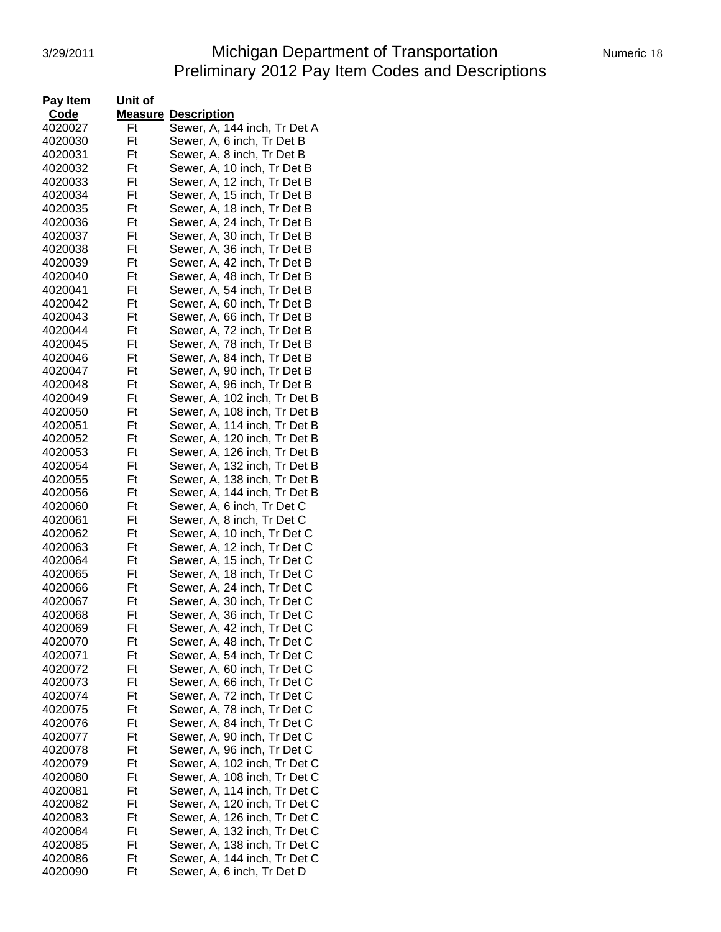# 3/29/2011 **Michigan Department of Transportation** Numeric 18 Preliminary 2012 Pay Item Codes and Descriptions

| Pay Item | Unit of  |                              |
|----------|----------|------------------------------|
| Code     |          | <b>Measure Description</b>   |
| 4020027  | Ft       | Sewer, A, 144 inch, Tr Det A |
| 4020030  | Ft       | Sewer, A, 6 inch, Tr Det B   |
| 4020031  | Ft       | Sewer, A, 8 inch, Tr Det B   |
| 4020032  | Ft       | Sewer, A, 10 inch, Tr Det B  |
| 4020033  | Ft       | Sewer, A, 12 inch, Tr Det B  |
| 4020034  | Ft       | Sewer, A, 15 inch, Tr Det B  |
| 4020035  | Ft       | Sewer, A, 18 inch, Tr Det B  |
| 4020036  | Ft       | Sewer, A, 24 inch, Tr Det B  |
| 4020037  | Ft       | Sewer, A, 30 inch, Tr Det B  |
| 4020038  | Ft       | Sewer, A, 36 inch, Tr Det B  |
| 4020039  | Ft       | Sewer, A, 42 inch, Tr Det B  |
| 4020040  | Ft       | Sewer, A, 48 inch, Tr Det B  |
| 4020041  | Ft       | Sewer, A, 54 inch, Tr Det B  |
| 4020042  | Ft       | Sewer, A, 60 inch, Tr Det B  |
| 4020043  | Ft       | Sewer, A, 66 inch, Tr Det B  |
| 4020044  | Ft       | Sewer, A, 72 inch, Tr Det B  |
| 4020045  | Ft       | Sewer, A, 78 inch, Tr Det B  |
| 4020046  | Ft       | Sewer, A, 84 inch, Tr Det B  |
| 4020047  | Ft       | Sewer, A, 90 inch, Tr Det B  |
| 4020048  | Ft       | Sewer, A, 96 inch, Tr Det B  |
| 4020049  | Ft       | Sewer, A, 102 inch, Tr Det B |
| 4020050  | Ft       | Sewer, A, 108 inch, Tr Det B |
| 4020051  | Ft       | Sewer, A, 114 inch, Tr Det B |
| 4020052  | Ft       | Sewer, A, 120 inch, Tr Det B |
| 4020053  | Ft       | Sewer, A, 126 inch, Tr Det B |
| 4020054  | Ft       | Sewer, A, 132 inch, Tr Det B |
| 4020055  | Ft       | Sewer, A, 138 inch, Tr Det B |
| 4020056  | Ft       |                              |
|          | Ft       | Sewer, A, 144 inch, Tr Det B |
| 4020060  |          | Sewer, A, 6 inch, Tr Det C   |
| 4020061  | Ft<br>Ft | Sewer, A, 8 inch, Tr Det C   |
| 4020062  |          | Sewer, A, 10 inch, Tr Det C  |
| 4020063  | Ft       | Sewer, A, 12 inch, Tr Det C  |
| 4020064  | Ft       | Sewer, A, 15 inch, Tr Det C  |
| 4020065  | Ft       | Sewer, A, 18 inch, Tr Det C  |
| 4020066  | Ft       | Sewer, A, 24 inch, Tr Det C  |
| 4020067  | Ft       | Sewer, A, 30 inch, Tr Det C  |
| 4020068  | Ft       | Sewer, A, 36 inch, Tr Det C  |
| 4020069  | Ηt       | Sewer, A, 42 inch, Tr Det C  |
| 4020070  | Ft       | Sewer, A, 48 inch, Tr Det C  |
| 4020071  | Ft       | Sewer, A, 54 inch, Tr Det C  |
| 4020072  | Ft       | Sewer, A, 60 inch, Tr Det C  |
| 4020073  | Ft       | Sewer, A, 66 inch, Tr Det C  |
| 4020074  | Ft       | Sewer, A, 72 inch, Tr Det C  |
| 4020075  | Ft       | Sewer, A, 78 inch, Tr Det C  |
| 4020076  | Ft       | Sewer, A, 84 inch, Tr Det C  |
| 4020077  | Ft       | Sewer, A, 90 inch, Tr Det C  |
| 4020078  | Ft       | Sewer, A, 96 inch, Tr Det C  |
| 4020079  | Ft       | Sewer, A, 102 inch, Tr Det C |
| 4020080  | Ft       | Sewer, A, 108 inch, Tr Det C |
| 4020081  | Ft       | Sewer, A, 114 inch, Tr Det C |
| 4020082  | Ft       | Sewer, A, 120 inch, Tr Det C |
| 4020083  | Ft       | Sewer, A, 126 inch, Tr Det C |
| 4020084  | Ft       | Sewer, A, 132 inch, Tr Det C |
| 4020085  | Ft       | Sewer, A, 138 inch, Tr Det C |
| 4020086  | Ft       | Sewer, A, 144 inch, Tr Det C |
| 4020090  | Ft       | Sewer, A, 6 inch, Tr Det D   |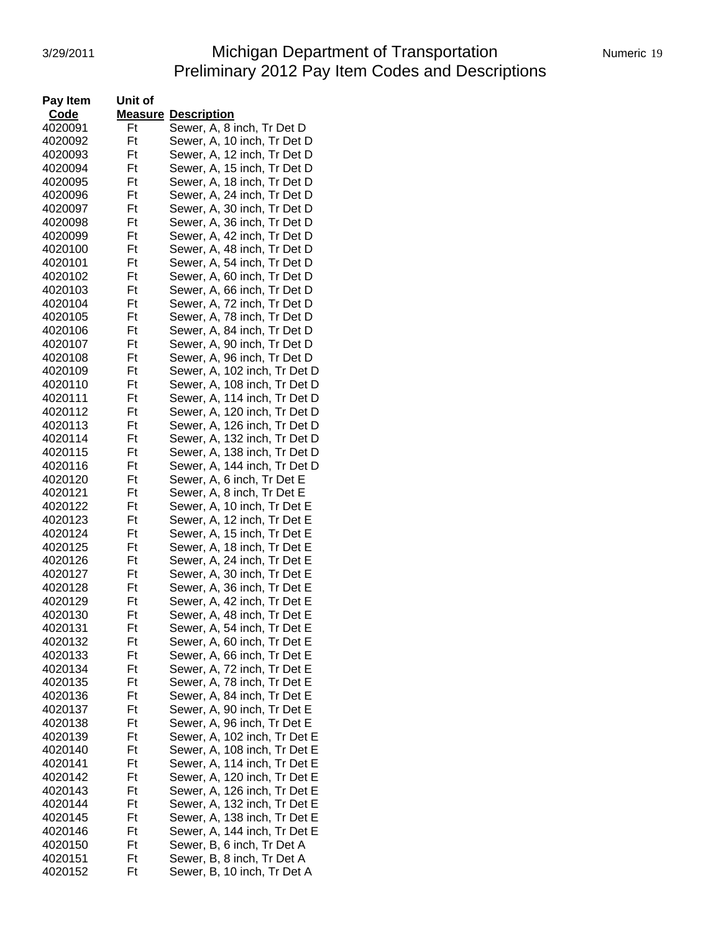# 3/29/2011 **Michigan Department of Transportation** Numeric 19 Preliminary 2012 Pay Item Codes and Descriptions

| Numeric 19 |  |
|------------|--|
|            |  |

| Code<br><b>Measure</b><br><b>Description</b><br>Sewer, A, 8 inch, Tr Det D<br>4020091<br>Ft<br>4020092<br>Ft<br>Sewer, A, 10 inch, Tr Det D<br>Sewer, A, 12 inch, Tr Det D<br>4020093<br>Ft<br>Sewer, A, 15 inch, Tr Det D<br>4020094<br>Ft<br>Sewer, A, 18 inch, Tr Det D<br>4020095<br>Ft<br>Ft<br>Sewer, A, 24 inch, Tr Det D<br>4020096<br>4020097<br>Ft<br>Sewer, A, 30 inch, Tr Det D<br>4020098<br>Ft<br>Sewer, A, 36 inch, Tr Det D<br>4020099<br>Ft<br>Sewer, A, 42 inch, Tr Det D<br>Ft<br>Sewer, A, 48 inch, Tr Det D<br>4020100<br>Ft<br>4020101<br>Sewer, A, 54 inch, Tr Det D<br>Ft<br>4020102<br>Sewer, A, 60 inch, Tr Det D<br>4020103<br>Ft<br>Sewer, A, 66 inch, Tr Det D<br>Sewer, A, 72 inch, Tr Det D<br>4020104<br>Ft<br>Sewer, A, 78 inch, Tr Det D<br>4020105<br>Ft<br>Sewer, A, 84 inch, Tr Det D<br>4020106<br>Ft<br>Sewer, A, 90 inch, Tr Det D<br>4020107<br>Ft<br>Sewer, A, 96 inch, Tr Det D<br>4020108<br>Ft<br>Ft<br>Sewer, A, 102 inch, Tr Det D<br>4020109<br>4020110<br>Ft<br>Sewer, A, 108 inch, Tr Det D<br>4020111<br>Ft<br>Sewer, A, 114 inch, Tr Det D<br>Ft<br>4020112<br>Sewer, A, 120 inch, Tr Det D<br>Ft<br>4020113<br>Sewer, A, 126 inch, Tr Det D<br>Ft<br>Sewer, A, 132 inch, Tr Det D<br>4020114<br>4020115<br>Ft<br>Sewer, A, 138 inch, Tr Det D<br>4020116<br>Ft<br>Sewer, A, 144 inch, Tr Det D<br>Sewer, A, 6 inch, Tr Det E<br>4020120<br>Ft<br>4020121<br>Ft<br>Sewer, A, 8 inch, Tr Det E<br>Sewer, A, 10 inch, Tr Det E<br>4020122<br>Ft<br>Ft<br>Sewer, A, 12 inch, Tr Det E<br>4020123<br>4020124<br>Ft<br>Sewer, A, 15 inch, Tr Det E<br>4020125<br>Ft<br>Sewer, A, 18 inch, Tr Det E<br>Ft<br>4020126<br>Sewer, A, 24 inch, Tr Det E<br>Ft<br>Sewer, A, 30 inch, Tr Det E<br>4020127<br>Ft<br>4020128<br>Sewer, A, 36 inch, Tr Det E<br>4020129<br>Ft<br>Sewer, A, 42 inch, Tr Det E<br>4020130<br>Sewer, A, 48 inch, Tr Det E<br>Ft<br>4020131<br>Ft<br>Sewer, A, 54 inch, Tr Det E<br>Sewer, A, 60 inch, Tr Det E<br>4020132<br>Ft<br>Sewer, A, 66 inch, Tr Det E<br>Ft<br>4020133<br>Sewer, A, 72 inch, Tr Det E<br>4020134<br>Ft<br>Sewer, A, 78 inch, Tr Det E<br>4020135<br>Ft<br>Ft<br>Sewer, A, 84 inch, Tr Det E<br>4020136<br>4020137<br>Ft<br>Sewer, A, 90 inch, Tr Det E<br>4020138<br>Ft<br>Sewer, A, 96 inch, Tr Det E<br>Ft<br>Sewer, A, 102 inch, Tr Det E<br>4020139<br>4020140<br>Ft<br>Sewer, A, 108 inch, Tr Det E<br>4020141<br>Ft<br>Sewer, A, 114 inch, Tr Det E<br>Ft<br>Sewer, A, 120 inch, Tr Det E<br>4020142<br>Sewer, A, 126 inch, Tr Det E<br>4020143<br>Ft<br>Sewer, A, 132 inch, Tr Det E<br>4020144<br>Ft<br>Sewer, A, 138 inch, Tr Det E<br>4020145<br>Ft<br>Sewer, A, 144 inch, Tr Det E<br>4020146<br>Ft<br>Sewer, B, 6 inch, Tr Det A<br>4020150<br>Ft<br>Sewer, B, 8 inch, Tr Det A<br>4020151<br>Ft<br>4020152<br>Ft<br>Sewer, B, 10 inch, Tr Det A | Pay Item | Unit of |  |
|---------------------------------------------------------------------------------------------------------------------------------------------------------------------------------------------------------------------------------------------------------------------------------------------------------------------------------------------------------------------------------------------------------------------------------------------------------------------------------------------------------------------------------------------------------------------------------------------------------------------------------------------------------------------------------------------------------------------------------------------------------------------------------------------------------------------------------------------------------------------------------------------------------------------------------------------------------------------------------------------------------------------------------------------------------------------------------------------------------------------------------------------------------------------------------------------------------------------------------------------------------------------------------------------------------------------------------------------------------------------------------------------------------------------------------------------------------------------------------------------------------------------------------------------------------------------------------------------------------------------------------------------------------------------------------------------------------------------------------------------------------------------------------------------------------------------------------------------------------------------------------------------------------------------------------------------------------------------------------------------------------------------------------------------------------------------------------------------------------------------------------------------------------------------------------------------------------------------------------------------------------------------------------------------------------------------------------------------------------------------------------------------------------------------------------------------------------------------------------------------------------------------------------------------------------------------------------------------------------------------------------------------------------------------------------------------------------------------------------------------------------------------------------------------------------------------------------------------------------|----------|---------|--|
|                                                                                                                                                                                                                                                                                                                                                                                                                                                                                                                                                                                                                                                                                                                                                                                                                                                                                                                                                                                                                                                                                                                                                                                                                                                                                                                                                                                                                                                                                                                                                                                                                                                                                                                                                                                                                                                                                                                                                                                                                                                                                                                                                                                                                                                                                                                                                                                                                                                                                                                                                                                                                                                                                                                                                                                                                                                         |          |         |  |
|                                                                                                                                                                                                                                                                                                                                                                                                                                                                                                                                                                                                                                                                                                                                                                                                                                                                                                                                                                                                                                                                                                                                                                                                                                                                                                                                                                                                                                                                                                                                                                                                                                                                                                                                                                                                                                                                                                                                                                                                                                                                                                                                                                                                                                                                                                                                                                                                                                                                                                                                                                                                                                                                                                                                                                                                                                                         |          |         |  |
|                                                                                                                                                                                                                                                                                                                                                                                                                                                                                                                                                                                                                                                                                                                                                                                                                                                                                                                                                                                                                                                                                                                                                                                                                                                                                                                                                                                                                                                                                                                                                                                                                                                                                                                                                                                                                                                                                                                                                                                                                                                                                                                                                                                                                                                                                                                                                                                                                                                                                                                                                                                                                                                                                                                                                                                                                                                         |          |         |  |
|                                                                                                                                                                                                                                                                                                                                                                                                                                                                                                                                                                                                                                                                                                                                                                                                                                                                                                                                                                                                                                                                                                                                                                                                                                                                                                                                                                                                                                                                                                                                                                                                                                                                                                                                                                                                                                                                                                                                                                                                                                                                                                                                                                                                                                                                                                                                                                                                                                                                                                                                                                                                                                                                                                                                                                                                                                                         |          |         |  |
|                                                                                                                                                                                                                                                                                                                                                                                                                                                                                                                                                                                                                                                                                                                                                                                                                                                                                                                                                                                                                                                                                                                                                                                                                                                                                                                                                                                                                                                                                                                                                                                                                                                                                                                                                                                                                                                                                                                                                                                                                                                                                                                                                                                                                                                                                                                                                                                                                                                                                                                                                                                                                                                                                                                                                                                                                                                         |          |         |  |
|                                                                                                                                                                                                                                                                                                                                                                                                                                                                                                                                                                                                                                                                                                                                                                                                                                                                                                                                                                                                                                                                                                                                                                                                                                                                                                                                                                                                                                                                                                                                                                                                                                                                                                                                                                                                                                                                                                                                                                                                                                                                                                                                                                                                                                                                                                                                                                                                                                                                                                                                                                                                                                                                                                                                                                                                                                                         |          |         |  |
|                                                                                                                                                                                                                                                                                                                                                                                                                                                                                                                                                                                                                                                                                                                                                                                                                                                                                                                                                                                                                                                                                                                                                                                                                                                                                                                                                                                                                                                                                                                                                                                                                                                                                                                                                                                                                                                                                                                                                                                                                                                                                                                                                                                                                                                                                                                                                                                                                                                                                                                                                                                                                                                                                                                                                                                                                                                         |          |         |  |
|                                                                                                                                                                                                                                                                                                                                                                                                                                                                                                                                                                                                                                                                                                                                                                                                                                                                                                                                                                                                                                                                                                                                                                                                                                                                                                                                                                                                                                                                                                                                                                                                                                                                                                                                                                                                                                                                                                                                                                                                                                                                                                                                                                                                                                                                                                                                                                                                                                                                                                                                                                                                                                                                                                                                                                                                                                                         |          |         |  |
|                                                                                                                                                                                                                                                                                                                                                                                                                                                                                                                                                                                                                                                                                                                                                                                                                                                                                                                                                                                                                                                                                                                                                                                                                                                                                                                                                                                                                                                                                                                                                                                                                                                                                                                                                                                                                                                                                                                                                                                                                                                                                                                                                                                                                                                                                                                                                                                                                                                                                                                                                                                                                                                                                                                                                                                                                                                         |          |         |  |
|                                                                                                                                                                                                                                                                                                                                                                                                                                                                                                                                                                                                                                                                                                                                                                                                                                                                                                                                                                                                                                                                                                                                                                                                                                                                                                                                                                                                                                                                                                                                                                                                                                                                                                                                                                                                                                                                                                                                                                                                                                                                                                                                                                                                                                                                                                                                                                                                                                                                                                                                                                                                                                                                                                                                                                                                                                                         |          |         |  |
|                                                                                                                                                                                                                                                                                                                                                                                                                                                                                                                                                                                                                                                                                                                                                                                                                                                                                                                                                                                                                                                                                                                                                                                                                                                                                                                                                                                                                                                                                                                                                                                                                                                                                                                                                                                                                                                                                                                                                                                                                                                                                                                                                                                                                                                                                                                                                                                                                                                                                                                                                                                                                                                                                                                                                                                                                                                         |          |         |  |
|                                                                                                                                                                                                                                                                                                                                                                                                                                                                                                                                                                                                                                                                                                                                                                                                                                                                                                                                                                                                                                                                                                                                                                                                                                                                                                                                                                                                                                                                                                                                                                                                                                                                                                                                                                                                                                                                                                                                                                                                                                                                                                                                                                                                                                                                                                                                                                                                                                                                                                                                                                                                                                                                                                                                                                                                                                                         |          |         |  |
|                                                                                                                                                                                                                                                                                                                                                                                                                                                                                                                                                                                                                                                                                                                                                                                                                                                                                                                                                                                                                                                                                                                                                                                                                                                                                                                                                                                                                                                                                                                                                                                                                                                                                                                                                                                                                                                                                                                                                                                                                                                                                                                                                                                                                                                                                                                                                                                                                                                                                                                                                                                                                                                                                                                                                                                                                                                         |          |         |  |
|                                                                                                                                                                                                                                                                                                                                                                                                                                                                                                                                                                                                                                                                                                                                                                                                                                                                                                                                                                                                                                                                                                                                                                                                                                                                                                                                                                                                                                                                                                                                                                                                                                                                                                                                                                                                                                                                                                                                                                                                                                                                                                                                                                                                                                                                                                                                                                                                                                                                                                                                                                                                                                                                                                                                                                                                                                                         |          |         |  |
|                                                                                                                                                                                                                                                                                                                                                                                                                                                                                                                                                                                                                                                                                                                                                                                                                                                                                                                                                                                                                                                                                                                                                                                                                                                                                                                                                                                                                                                                                                                                                                                                                                                                                                                                                                                                                                                                                                                                                                                                                                                                                                                                                                                                                                                                                                                                                                                                                                                                                                                                                                                                                                                                                                                                                                                                                                                         |          |         |  |
|                                                                                                                                                                                                                                                                                                                                                                                                                                                                                                                                                                                                                                                                                                                                                                                                                                                                                                                                                                                                                                                                                                                                                                                                                                                                                                                                                                                                                                                                                                                                                                                                                                                                                                                                                                                                                                                                                                                                                                                                                                                                                                                                                                                                                                                                                                                                                                                                                                                                                                                                                                                                                                                                                                                                                                                                                                                         |          |         |  |
|                                                                                                                                                                                                                                                                                                                                                                                                                                                                                                                                                                                                                                                                                                                                                                                                                                                                                                                                                                                                                                                                                                                                                                                                                                                                                                                                                                                                                                                                                                                                                                                                                                                                                                                                                                                                                                                                                                                                                                                                                                                                                                                                                                                                                                                                                                                                                                                                                                                                                                                                                                                                                                                                                                                                                                                                                                                         |          |         |  |
|                                                                                                                                                                                                                                                                                                                                                                                                                                                                                                                                                                                                                                                                                                                                                                                                                                                                                                                                                                                                                                                                                                                                                                                                                                                                                                                                                                                                                                                                                                                                                                                                                                                                                                                                                                                                                                                                                                                                                                                                                                                                                                                                                                                                                                                                                                                                                                                                                                                                                                                                                                                                                                                                                                                                                                                                                                                         |          |         |  |
|                                                                                                                                                                                                                                                                                                                                                                                                                                                                                                                                                                                                                                                                                                                                                                                                                                                                                                                                                                                                                                                                                                                                                                                                                                                                                                                                                                                                                                                                                                                                                                                                                                                                                                                                                                                                                                                                                                                                                                                                                                                                                                                                                                                                                                                                                                                                                                                                                                                                                                                                                                                                                                                                                                                                                                                                                                                         |          |         |  |
|                                                                                                                                                                                                                                                                                                                                                                                                                                                                                                                                                                                                                                                                                                                                                                                                                                                                                                                                                                                                                                                                                                                                                                                                                                                                                                                                                                                                                                                                                                                                                                                                                                                                                                                                                                                                                                                                                                                                                                                                                                                                                                                                                                                                                                                                                                                                                                                                                                                                                                                                                                                                                                                                                                                                                                                                                                                         |          |         |  |
|                                                                                                                                                                                                                                                                                                                                                                                                                                                                                                                                                                                                                                                                                                                                                                                                                                                                                                                                                                                                                                                                                                                                                                                                                                                                                                                                                                                                                                                                                                                                                                                                                                                                                                                                                                                                                                                                                                                                                                                                                                                                                                                                                                                                                                                                                                                                                                                                                                                                                                                                                                                                                                                                                                                                                                                                                                                         |          |         |  |
|                                                                                                                                                                                                                                                                                                                                                                                                                                                                                                                                                                                                                                                                                                                                                                                                                                                                                                                                                                                                                                                                                                                                                                                                                                                                                                                                                                                                                                                                                                                                                                                                                                                                                                                                                                                                                                                                                                                                                                                                                                                                                                                                                                                                                                                                                                                                                                                                                                                                                                                                                                                                                                                                                                                                                                                                                                                         |          |         |  |
|                                                                                                                                                                                                                                                                                                                                                                                                                                                                                                                                                                                                                                                                                                                                                                                                                                                                                                                                                                                                                                                                                                                                                                                                                                                                                                                                                                                                                                                                                                                                                                                                                                                                                                                                                                                                                                                                                                                                                                                                                                                                                                                                                                                                                                                                                                                                                                                                                                                                                                                                                                                                                                                                                                                                                                                                                                                         |          |         |  |
|                                                                                                                                                                                                                                                                                                                                                                                                                                                                                                                                                                                                                                                                                                                                                                                                                                                                                                                                                                                                                                                                                                                                                                                                                                                                                                                                                                                                                                                                                                                                                                                                                                                                                                                                                                                                                                                                                                                                                                                                                                                                                                                                                                                                                                                                                                                                                                                                                                                                                                                                                                                                                                                                                                                                                                                                                                                         |          |         |  |
|                                                                                                                                                                                                                                                                                                                                                                                                                                                                                                                                                                                                                                                                                                                                                                                                                                                                                                                                                                                                                                                                                                                                                                                                                                                                                                                                                                                                                                                                                                                                                                                                                                                                                                                                                                                                                                                                                                                                                                                                                                                                                                                                                                                                                                                                                                                                                                                                                                                                                                                                                                                                                                                                                                                                                                                                                                                         |          |         |  |
|                                                                                                                                                                                                                                                                                                                                                                                                                                                                                                                                                                                                                                                                                                                                                                                                                                                                                                                                                                                                                                                                                                                                                                                                                                                                                                                                                                                                                                                                                                                                                                                                                                                                                                                                                                                                                                                                                                                                                                                                                                                                                                                                                                                                                                                                                                                                                                                                                                                                                                                                                                                                                                                                                                                                                                                                                                                         |          |         |  |
|                                                                                                                                                                                                                                                                                                                                                                                                                                                                                                                                                                                                                                                                                                                                                                                                                                                                                                                                                                                                                                                                                                                                                                                                                                                                                                                                                                                                                                                                                                                                                                                                                                                                                                                                                                                                                                                                                                                                                                                                                                                                                                                                                                                                                                                                                                                                                                                                                                                                                                                                                                                                                                                                                                                                                                                                                                                         |          |         |  |
|                                                                                                                                                                                                                                                                                                                                                                                                                                                                                                                                                                                                                                                                                                                                                                                                                                                                                                                                                                                                                                                                                                                                                                                                                                                                                                                                                                                                                                                                                                                                                                                                                                                                                                                                                                                                                                                                                                                                                                                                                                                                                                                                                                                                                                                                                                                                                                                                                                                                                                                                                                                                                                                                                                                                                                                                                                                         |          |         |  |
|                                                                                                                                                                                                                                                                                                                                                                                                                                                                                                                                                                                                                                                                                                                                                                                                                                                                                                                                                                                                                                                                                                                                                                                                                                                                                                                                                                                                                                                                                                                                                                                                                                                                                                                                                                                                                                                                                                                                                                                                                                                                                                                                                                                                                                                                                                                                                                                                                                                                                                                                                                                                                                                                                                                                                                                                                                                         |          |         |  |
|                                                                                                                                                                                                                                                                                                                                                                                                                                                                                                                                                                                                                                                                                                                                                                                                                                                                                                                                                                                                                                                                                                                                                                                                                                                                                                                                                                                                                                                                                                                                                                                                                                                                                                                                                                                                                                                                                                                                                                                                                                                                                                                                                                                                                                                                                                                                                                                                                                                                                                                                                                                                                                                                                                                                                                                                                                                         |          |         |  |
|                                                                                                                                                                                                                                                                                                                                                                                                                                                                                                                                                                                                                                                                                                                                                                                                                                                                                                                                                                                                                                                                                                                                                                                                                                                                                                                                                                                                                                                                                                                                                                                                                                                                                                                                                                                                                                                                                                                                                                                                                                                                                                                                                                                                                                                                                                                                                                                                                                                                                                                                                                                                                                                                                                                                                                                                                                                         |          |         |  |
|                                                                                                                                                                                                                                                                                                                                                                                                                                                                                                                                                                                                                                                                                                                                                                                                                                                                                                                                                                                                                                                                                                                                                                                                                                                                                                                                                                                                                                                                                                                                                                                                                                                                                                                                                                                                                                                                                                                                                                                                                                                                                                                                                                                                                                                                                                                                                                                                                                                                                                                                                                                                                                                                                                                                                                                                                                                         |          |         |  |
|                                                                                                                                                                                                                                                                                                                                                                                                                                                                                                                                                                                                                                                                                                                                                                                                                                                                                                                                                                                                                                                                                                                                                                                                                                                                                                                                                                                                                                                                                                                                                                                                                                                                                                                                                                                                                                                                                                                                                                                                                                                                                                                                                                                                                                                                                                                                                                                                                                                                                                                                                                                                                                                                                                                                                                                                                                                         |          |         |  |
|                                                                                                                                                                                                                                                                                                                                                                                                                                                                                                                                                                                                                                                                                                                                                                                                                                                                                                                                                                                                                                                                                                                                                                                                                                                                                                                                                                                                                                                                                                                                                                                                                                                                                                                                                                                                                                                                                                                                                                                                                                                                                                                                                                                                                                                                                                                                                                                                                                                                                                                                                                                                                                                                                                                                                                                                                                                         |          |         |  |
|                                                                                                                                                                                                                                                                                                                                                                                                                                                                                                                                                                                                                                                                                                                                                                                                                                                                                                                                                                                                                                                                                                                                                                                                                                                                                                                                                                                                                                                                                                                                                                                                                                                                                                                                                                                                                                                                                                                                                                                                                                                                                                                                                                                                                                                                                                                                                                                                                                                                                                                                                                                                                                                                                                                                                                                                                                                         |          |         |  |
|                                                                                                                                                                                                                                                                                                                                                                                                                                                                                                                                                                                                                                                                                                                                                                                                                                                                                                                                                                                                                                                                                                                                                                                                                                                                                                                                                                                                                                                                                                                                                                                                                                                                                                                                                                                                                                                                                                                                                                                                                                                                                                                                                                                                                                                                                                                                                                                                                                                                                                                                                                                                                                                                                                                                                                                                                                                         |          |         |  |
|                                                                                                                                                                                                                                                                                                                                                                                                                                                                                                                                                                                                                                                                                                                                                                                                                                                                                                                                                                                                                                                                                                                                                                                                                                                                                                                                                                                                                                                                                                                                                                                                                                                                                                                                                                                                                                                                                                                                                                                                                                                                                                                                                                                                                                                                                                                                                                                                                                                                                                                                                                                                                                                                                                                                                                                                                                                         |          |         |  |
|                                                                                                                                                                                                                                                                                                                                                                                                                                                                                                                                                                                                                                                                                                                                                                                                                                                                                                                                                                                                                                                                                                                                                                                                                                                                                                                                                                                                                                                                                                                                                                                                                                                                                                                                                                                                                                                                                                                                                                                                                                                                                                                                                                                                                                                                                                                                                                                                                                                                                                                                                                                                                                                                                                                                                                                                                                                         |          |         |  |
|                                                                                                                                                                                                                                                                                                                                                                                                                                                                                                                                                                                                                                                                                                                                                                                                                                                                                                                                                                                                                                                                                                                                                                                                                                                                                                                                                                                                                                                                                                                                                                                                                                                                                                                                                                                                                                                                                                                                                                                                                                                                                                                                                                                                                                                                                                                                                                                                                                                                                                                                                                                                                                                                                                                                                                                                                                                         |          |         |  |
|                                                                                                                                                                                                                                                                                                                                                                                                                                                                                                                                                                                                                                                                                                                                                                                                                                                                                                                                                                                                                                                                                                                                                                                                                                                                                                                                                                                                                                                                                                                                                                                                                                                                                                                                                                                                                                                                                                                                                                                                                                                                                                                                                                                                                                                                                                                                                                                                                                                                                                                                                                                                                                                                                                                                                                                                                                                         |          |         |  |
|                                                                                                                                                                                                                                                                                                                                                                                                                                                                                                                                                                                                                                                                                                                                                                                                                                                                                                                                                                                                                                                                                                                                                                                                                                                                                                                                                                                                                                                                                                                                                                                                                                                                                                                                                                                                                                                                                                                                                                                                                                                                                                                                                                                                                                                                                                                                                                                                                                                                                                                                                                                                                                                                                                                                                                                                                                                         |          |         |  |
|                                                                                                                                                                                                                                                                                                                                                                                                                                                                                                                                                                                                                                                                                                                                                                                                                                                                                                                                                                                                                                                                                                                                                                                                                                                                                                                                                                                                                                                                                                                                                                                                                                                                                                                                                                                                                                                                                                                                                                                                                                                                                                                                                                                                                                                                                                                                                                                                                                                                                                                                                                                                                                                                                                                                                                                                                                                         |          |         |  |
|                                                                                                                                                                                                                                                                                                                                                                                                                                                                                                                                                                                                                                                                                                                                                                                                                                                                                                                                                                                                                                                                                                                                                                                                                                                                                                                                                                                                                                                                                                                                                                                                                                                                                                                                                                                                                                                                                                                                                                                                                                                                                                                                                                                                                                                                                                                                                                                                                                                                                                                                                                                                                                                                                                                                                                                                                                                         |          |         |  |
|                                                                                                                                                                                                                                                                                                                                                                                                                                                                                                                                                                                                                                                                                                                                                                                                                                                                                                                                                                                                                                                                                                                                                                                                                                                                                                                                                                                                                                                                                                                                                                                                                                                                                                                                                                                                                                                                                                                                                                                                                                                                                                                                                                                                                                                                                                                                                                                                                                                                                                                                                                                                                                                                                                                                                                                                                                                         |          |         |  |
|                                                                                                                                                                                                                                                                                                                                                                                                                                                                                                                                                                                                                                                                                                                                                                                                                                                                                                                                                                                                                                                                                                                                                                                                                                                                                                                                                                                                                                                                                                                                                                                                                                                                                                                                                                                                                                                                                                                                                                                                                                                                                                                                                                                                                                                                                                                                                                                                                                                                                                                                                                                                                                                                                                                                                                                                                                                         |          |         |  |
|                                                                                                                                                                                                                                                                                                                                                                                                                                                                                                                                                                                                                                                                                                                                                                                                                                                                                                                                                                                                                                                                                                                                                                                                                                                                                                                                                                                                                                                                                                                                                                                                                                                                                                                                                                                                                                                                                                                                                                                                                                                                                                                                                                                                                                                                                                                                                                                                                                                                                                                                                                                                                                                                                                                                                                                                                                                         |          |         |  |
|                                                                                                                                                                                                                                                                                                                                                                                                                                                                                                                                                                                                                                                                                                                                                                                                                                                                                                                                                                                                                                                                                                                                                                                                                                                                                                                                                                                                                                                                                                                                                                                                                                                                                                                                                                                                                                                                                                                                                                                                                                                                                                                                                                                                                                                                                                                                                                                                                                                                                                                                                                                                                                                                                                                                                                                                                                                         |          |         |  |
|                                                                                                                                                                                                                                                                                                                                                                                                                                                                                                                                                                                                                                                                                                                                                                                                                                                                                                                                                                                                                                                                                                                                                                                                                                                                                                                                                                                                                                                                                                                                                                                                                                                                                                                                                                                                                                                                                                                                                                                                                                                                                                                                                                                                                                                                                                                                                                                                                                                                                                                                                                                                                                                                                                                                                                                                                                                         |          |         |  |
|                                                                                                                                                                                                                                                                                                                                                                                                                                                                                                                                                                                                                                                                                                                                                                                                                                                                                                                                                                                                                                                                                                                                                                                                                                                                                                                                                                                                                                                                                                                                                                                                                                                                                                                                                                                                                                                                                                                                                                                                                                                                                                                                                                                                                                                                                                                                                                                                                                                                                                                                                                                                                                                                                                                                                                                                                                                         |          |         |  |
|                                                                                                                                                                                                                                                                                                                                                                                                                                                                                                                                                                                                                                                                                                                                                                                                                                                                                                                                                                                                                                                                                                                                                                                                                                                                                                                                                                                                                                                                                                                                                                                                                                                                                                                                                                                                                                                                                                                                                                                                                                                                                                                                                                                                                                                                                                                                                                                                                                                                                                                                                                                                                                                                                                                                                                                                                                                         |          |         |  |
|                                                                                                                                                                                                                                                                                                                                                                                                                                                                                                                                                                                                                                                                                                                                                                                                                                                                                                                                                                                                                                                                                                                                                                                                                                                                                                                                                                                                                                                                                                                                                                                                                                                                                                                                                                                                                                                                                                                                                                                                                                                                                                                                                                                                                                                                                                                                                                                                                                                                                                                                                                                                                                                                                                                                                                                                                                                         |          |         |  |
|                                                                                                                                                                                                                                                                                                                                                                                                                                                                                                                                                                                                                                                                                                                                                                                                                                                                                                                                                                                                                                                                                                                                                                                                                                                                                                                                                                                                                                                                                                                                                                                                                                                                                                                                                                                                                                                                                                                                                                                                                                                                                                                                                                                                                                                                                                                                                                                                                                                                                                                                                                                                                                                                                                                                                                                                                                                         |          |         |  |
|                                                                                                                                                                                                                                                                                                                                                                                                                                                                                                                                                                                                                                                                                                                                                                                                                                                                                                                                                                                                                                                                                                                                                                                                                                                                                                                                                                                                                                                                                                                                                                                                                                                                                                                                                                                                                                                                                                                                                                                                                                                                                                                                                                                                                                                                                                                                                                                                                                                                                                                                                                                                                                                                                                                                                                                                                                                         |          |         |  |
|                                                                                                                                                                                                                                                                                                                                                                                                                                                                                                                                                                                                                                                                                                                                                                                                                                                                                                                                                                                                                                                                                                                                                                                                                                                                                                                                                                                                                                                                                                                                                                                                                                                                                                                                                                                                                                                                                                                                                                                                                                                                                                                                                                                                                                                                                                                                                                                                                                                                                                                                                                                                                                                                                                                                                                                                                                                         |          |         |  |
|                                                                                                                                                                                                                                                                                                                                                                                                                                                                                                                                                                                                                                                                                                                                                                                                                                                                                                                                                                                                                                                                                                                                                                                                                                                                                                                                                                                                                                                                                                                                                                                                                                                                                                                                                                                                                                                                                                                                                                                                                                                                                                                                                                                                                                                                                                                                                                                                                                                                                                                                                                                                                                                                                                                                                                                                                                                         |          |         |  |
|                                                                                                                                                                                                                                                                                                                                                                                                                                                                                                                                                                                                                                                                                                                                                                                                                                                                                                                                                                                                                                                                                                                                                                                                                                                                                                                                                                                                                                                                                                                                                                                                                                                                                                                                                                                                                                                                                                                                                                                                                                                                                                                                                                                                                                                                                                                                                                                                                                                                                                                                                                                                                                                                                                                                                                                                                                                         |          |         |  |
|                                                                                                                                                                                                                                                                                                                                                                                                                                                                                                                                                                                                                                                                                                                                                                                                                                                                                                                                                                                                                                                                                                                                                                                                                                                                                                                                                                                                                                                                                                                                                                                                                                                                                                                                                                                                                                                                                                                                                                                                                                                                                                                                                                                                                                                                                                                                                                                                                                                                                                                                                                                                                                                                                                                                                                                                                                                         |          |         |  |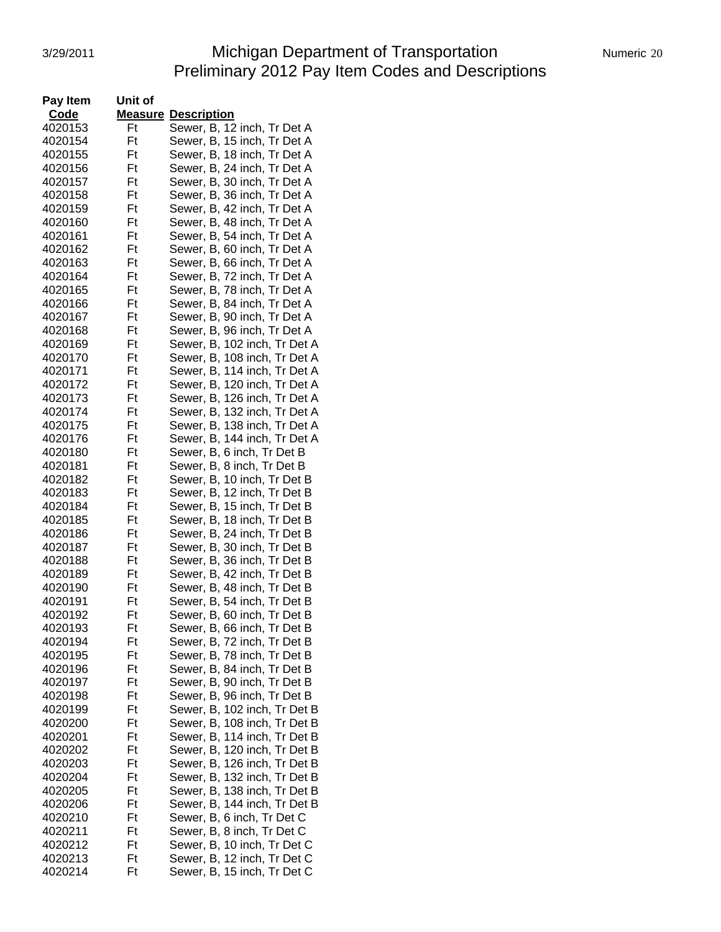# 3/29/2011 **Michigan Department of Transportation** Numeric 20 Preliminary 2012 Pay Item Codes and Descriptions

| Pay Item | Unit of |                              |
|----------|---------|------------------------------|
| Code     | Measure | <b>Description</b>           |
| 4020153  | Ft      | Sewer, B, 12 inch, Tr Det A  |
| 4020154  | Ft      | Sewer, B, 15 inch, Tr Det A  |
| 4020155  | Ft      | Sewer, B, 18 inch, Tr Det A  |
| 4020156  | Ft      | Sewer, B, 24 inch, Tr Det A  |
| 4020157  | Ft      | Sewer, B, 30 inch, Tr Det A  |
| 4020158  | Ft      | Sewer, B, 36 inch, Tr Det A  |
| 4020159  | Ft      | Sewer, B, 42 inch, Tr Det A  |
| 4020160  | Ft      | Sewer, B, 48 inch, Tr Det A  |
| 4020161  | Ft      | Sewer, B, 54 inch, Tr Det A  |
| 4020162  | Ft      | Sewer, B, 60 inch, Tr Det A  |
| 4020163  | Ft      | Sewer, B, 66 inch, Tr Det A  |
| 4020164  | Ft      | Sewer, B, 72 inch, Tr Det A  |
| 4020165  | Ft      | Sewer, B, 78 inch, Tr Det A  |
| 4020166  | Ft      | Sewer, B, 84 inch, Tr Det A  |
| 4020167  | Ft      | Sewer, B, 90 inch, Tr Det A  |
| 4020168  | Ft      | Sewer, B, 96 inch, Tr Det A  |
| 4020169  | Ft      | Sewer, B, 102 inch, Tr Det A |
| 4020170  | Ft      | Sewer, B, 108 inch, Tr Det A |
| 4020171  | Ft      | Sewer, B, 114 inch, Tr Det A |
| 4020172  | Ft      | Sewer, B, 120 inch, Tr Det A |
| 4020173  | Ft      | Sewer, B, 126 inch, Tr Det A |
| 4020174  | Ft      | Sewer, B, 132 inch, Tr Det A |
| 4020175  | Ft      | Sewer, B, 138 inch, Tr Det A |
| 4020176  | Ft      | Sewer, B, 144 inch, Tr Det A |
| 4020180  | Ft      | Sewer, B, 6 inch, Tr Det B   |
| 4020181  | Ft      | Sewer, B, 8 inch, Tr Det B   |
| 4020182  | Ft      | Sewer, B, 10 inch, Tr Det B  |
| 4020183  | Ft      | Sewer, B, 12 inch, Tr Det B  |
| 4020184  | Ft      | Sewer, B, 15 inch, Tr Det B  |
| 4020185  | Ft      | Sewer, B, 18 inch, Tr Det B  |
| 4020186  | Ft      | Sewer, B, 24 inch, Tr Det B  |
| 4020187  | Ft      | Sewer, B, 30 inch, Tr Det B  |
| 4020188  | Ft      | Sewer, B, 36 inch, Tr Det B  |
| 4020189  | Ft      | Sewer, B, 42 inch, Tr Det B  |
| 4020190  | Ft      | Sewer, B, 48 inch, Tr Det B  |
| 4020191  | Ft      | Sewer, B, 54 inch, Tr Det B  |
| 4020192  | Ft      | Sewer, B, 60 inch, Tr Det B  |
| 4020193  | Ft      | Sewer, B, 66 inch, Tr Det B  |
| 4020194  | Ft      | Sewer, B, 72 inch, Tr Det B  |
| 4020195  | Ft      | Sewer, B, 78 inch, Tr Det B  |
| 4020196  | Ft      | Sewer, B, 84 inch, Tr Det B  |
| 4020197  | Ft      | Sewer, B, 90 inch, Tr Det B  |
| 4020198  | Ft      | Sewer, B, 96 inch, Tr Det B  |
| 4020199  | Ft      | Sewer, B, 102 inch, Tr Det B |
| 4020200  | Ft      | Sewer, B, 108 inch, Tr Det B |
| 4020201  | Ft      | Sewer, B, 114 inch, Tr Det B |
| 4020202  | Ft      | Sewer, B, 120 inch, Tr Det B |
| 4020203  | Ft      | Sewer, B, 126 inch, Tr Det B |
| 4020204  | Ft      | Sewer, B, 132 inch, Tr Det B |
| 4020205  | Ft      | Sewer, B, 138 inch, Tr Det B |
| 4020206  | Ft      | Sewer, B, 144 inch, Tr Det B |
| 4020210  | Ft      | Sewer, B, 6 inch, Tr Det C   |
| 4020211  | Ft      | Sewer, B, 8 inch, Tr Det C   |
| 4020212  | Ft      | Sewer, B, 10 inch, Tr Det C  |
| 4020213  | Ft      | Sewer, B, 12 inch, Tr Det C  |
| 4020214  | Ft      | Sewer, B, 15 inch, Tr Det C  |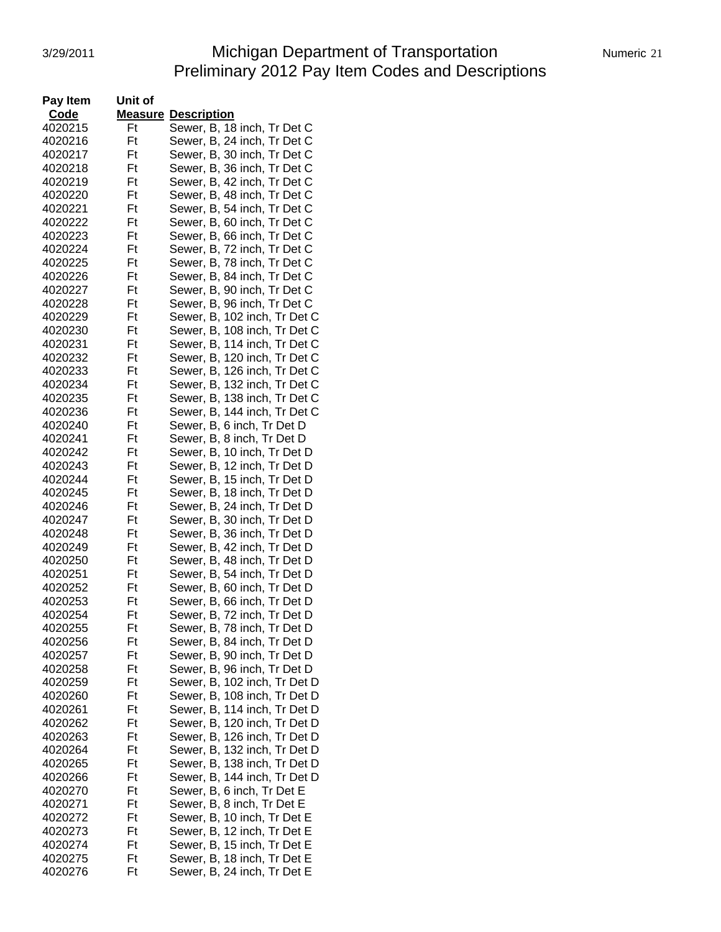# 3/29/2011 Michigan Department of Transportation Numeric 21 Preliminary 2012 Pay Item Codes and Descriptions

| Pay Item           | Unit of  |                                                            |
|--------------------|----------|------------------------------------------------------------|
| Code               | Measure  | <b>Description</b>                                         |
| 4020215            | Ft       | Sewer, B, 18 inch, Tr Det C                                |
| 4020216            | Ft       | Sewer, B, 24 inch, Tr Det C                                |
| 4020217            | Ft       | Sewer, B, 30 inch, Tr Det C                                |
| 4020218            | Ft       | Sewer, B, 36 inch, Tr Det C                                |
| 4020219            | Ft       | Sewer, B, 42 inch, Tr Det C                                |
| 4020220            | Ft       | Sewer, B, 48 inch, Tr Det C                                |
| 4020221            | Ft       | Sewer, B, 54 inch, Tr Det C                                |
| 4020222            | Ft       | Sewer, B, 60 inch, Tr Det C                                |
| 4020223            | Ft       | Sewer, B, 66 inch, Tr Det C                                |
| 4020224            | Ft       | Sewer, B, 72 inch, Tr Det C                                |
| 4020225            | Ft       | Sewer, B, 78 inch, Tr Det C                                |
| 4020226            | Ft       | Sewer, B, 84 inch, Tr Det C                                |
| 4020227            | Ft       | Sewer, B, 90 inch, Tr Det C                                |
| 4020228            | Ft       | Sewer, B, 96 inch, Tr Det C                                |
| 4020229            | Ft       | Sewer, B, 102 inch, Tr Det C                               |
| 4020230            | Ft       | Sewer, B, 108 inch, Tr Det C                               |
| 4020231            | Ft       | Sewer, B, 114 inch, Tr Det C                               |
| 4020232            | Ft       | Sewer, B, 120 inch, Tr Det C                               |
| 4020233            | Ft       | Sewer, B, 126 inch, Tr Det C                               |
| 4020234            | Ft       | Sewer, B, 132 inch, Tr Det C                               |
| 4020235            | Ft       | Sewer, B, 138 inch, Tr Det C                               |
| 4020236            | Ft       | Sewer, B, 144 inch, Tr Det C                               |
| 4020240            | Ft       | Sewer, B, 6 inch, Tr Det D                                 |
| 4020241            | Ft       | Sewer, B, 8 inch, Tr Det D                                 |
| 4020242            | Ft       | Sewer, B, 10 inch, Tr Det D                                |
| 4020243            | Ft       | Sewer, B, 12 inch, Tr Det D                                |
| 4020244            | Ft       | Sewer, B, 15 inch, Tr Det D                                |
| 4020245            | Ft       | Sewer, B, 18 inch, Tr Det D                                |
| 4020246            | Ft       | Sewer, B, 24 inch, Tr Det D                                |
| 4020247            | Ft       | Sewer, B, 30 inch, Tr Det D                                |
| 4020248            | Ft       | Sewer, B, 36 inch, Tr Det D                                |
| 4020249            | Ft       | Sewer, B, 42 inch, Tr Det D                                |
| 4020250            | Ft<br>Ft | Sewer, B, 48 inch, Tr Det D                                |
| 4020251            | Ft       | Sewer, B, 54 inch, Tr Det D                                |
| 4020252<br>4020253 | Ft       | Sewer, B, 60 inch, Tr Det D<br>Sewer, B, 66 inch, Tr Det D |
| 4020254            | Ft       | Sewer, B, 72 inch, Tr Det D                                |
| 4020255            | Ft       | Sewer, B, 78 inch, Tr Det D                                |
| 4020256            | Ft       | Sewer, B, 84 inch, Tr Det D                                |
| 4020257            | Ft       | Sewer, B, 90 inch, Tr Det D                                |
| 4020258            | Ft       | Sewer, B, 96 inch, Tr Det D                                |
| 4020259            | Ft       | Sewer, B, 102 inch, Tr Det D                               |
| 4020260            | Ft       | Sewer, B, 108 inch, Tr Det D                               |
| 4020261            | Ft       | Sewer, B, 114 inch, Tr Det D                               |
| 4020262            | Ft       | Sewer, B, 120 inch, Tr Det D                               |
| 4020263            | Ft       | Sewer, B, 126 inch, Tr Det D                               |
| 4020264            | Ft       | Sewer, B, 132 inch, Tr Det D                               |
| 4020265            | Ft       | Sewer, B, 138 inch, Tr Det D                               |
| 4020266            | Ft       | Sewer, B, 144 inch, Tr Det D                               |
| 4020270            | Ft       | Sewer, B, 6 inch, Tr Det E                                 |
| 4020271            | Ft       | Sewer, B, 8 inch, Tr Det E                                 |
| 4020272            | Ft       | Sewer, B, 10 inch, Tr Det E                                |
| 4020273            | Ft       | Sewer, B, 12 inch, Tr Det E                                |
| 4020274            | Ft       | Sewer, B, 15 inch, Tr Det E                                |
| 4020275            | Ft       | Sewer, B, 18 inch, Tr Det E                                |
| 4020276            | Ft       | Sewer, B, 24 inch, Tr Det E                                |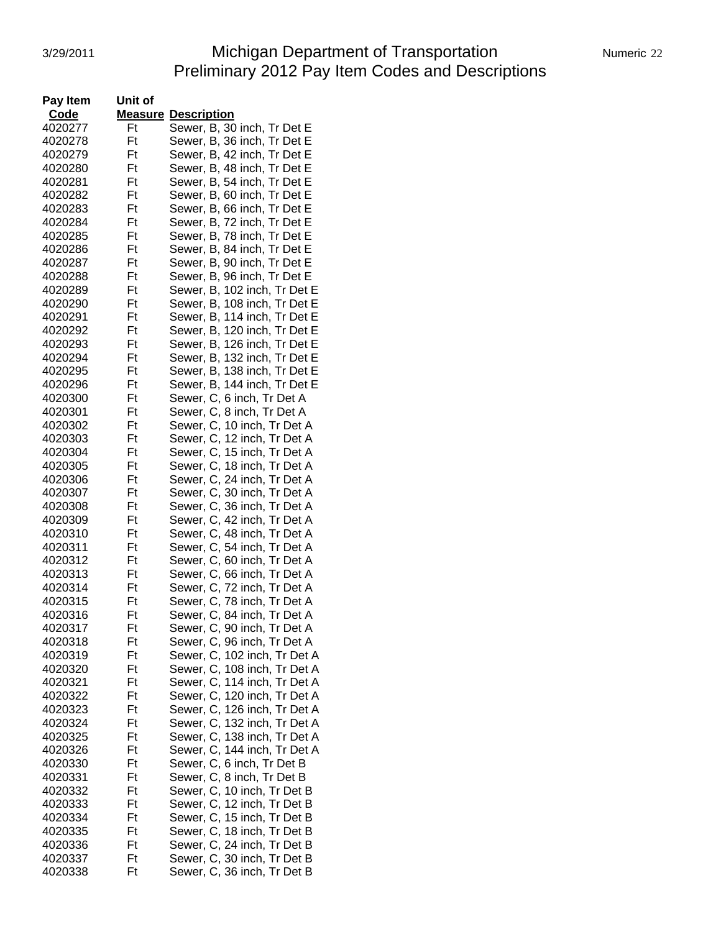# 3/29/2011 **Michigan Department of Transportation** Numeric 22 Preliminary 2012 Pay Item Codes and Descriptions

| Pay Item | Unit of        |                              |
|----------|----------------|------------------------------|
| Code     | <b>Measure</b> | <b>Description</b>           |
| 4020277  | Ft             | Sewer, B, 30 inch, Tr Det E  |
| 4020278  | Ft             | Sewer, B, 36 inch, Tr Det E  |
| 4020279  | Ft             | Sewer, B, 42 inch, Tr Det E  |
| 4020280  | Ft             | Sewer, B, 48 inch, Tr Det E  |
| 4020281  | Ft             | Sewer, B, 54 inch, Tr Det E  |
| 4020282  | Ft             | Sewer, B, 60 inch, Tr Det E  |
| 4020283  | Ft             | Sewer, B, 66 inch, Tr Det E  |
| 4020284  | Ft             | Sewer, B, 72 inch, Tr Det E  |
| 4020285  | Ft             | Sewer, B, 78 inch, Tr Det E  |
| 4020286  | Ft             | Sewer, B, 84 inch, Tr Det E  |
| 4020287  | Ft             | Sewer, B, 90 inch, Tr Det E  |
| 4020288  | Ft             | Sewer, B, 96 inch, Tr Det E  |
| 4020289  | Ft             | Sewer, B, 102 inch, Tr Det E |
| 4020290  | Ft             | Sewer, B, 108 inch, Tr Det E |
| 4020291  | Ft             | Sewer, B, 114 inch, Tr Det E |
| 4020292  | Ft             | Sewer, B, 120 inch, Tr Det E |
| 4020293  | Ft             | Sewer, B, 126 inch, Tr Det E |
| 4020294  | Ft             | Sewer, B, 132 inch, Tr Det E |
| 4020295  | Ft             | Sewer, B, 138 inch, Tr Det E |
| 4020296  | Ft             | Sewer, B, 144 inch, Tr Det E |
| 4020300  | Ft             | Sewer, C, 6 inch, Tr Det A   |
| 4020301  | Ft             | Sewer, C, 8 inch, Tr Det A   |
| 4020302  | Ft             | Sewer, C, 10 inch, Tr Det A  |
| 4020303  | Ft             | Sewer, C, 12 inch, Tr Det A  |
| 4020304  | Ft             | Sewer, C, 15 inch, Tr Det A  |
| 4020305  | Ft             | Sewer, C, 18 inch, Tr Det A  |
| 4020306  | Ft             | Sewer, C, 24 inch, Tr Det A  |
| 4020307  | Ft             | Sewer, C, 30 inch, Tr Det A  |
| 4020308  | Ft             | Sewer, C, 36 inch, Tr Det A  |
| 4020309  | Ft             | Sewer, C, 42 inch, Tr Det A  |
| 4020310  | Ft             | Sewer, C, 48 inch, Tr Det A  |
| 4020311  | Ft             | Sewer, C, 54 inch, Tr Det A  |
| 4020312  | Ft             | Sewer, C, 60 inch, Tr Det A  |
| 4020313  | Ft             | Sewer, C, 66 inch, Tr Det A  |
| 4020314  | Ft             | Sewer, C, 72 inch, Tr Det A  |
| 4020315  | Ft             | Sewer, C, 78 inch, Tr Det A  |
| 4020316  | Ft             | Sewer, C, 84 inch, Tr Det A  |
| 4020317  | Ft             | Sewer, C, 90 inch, Tr Det A  |
| 4020318  | Ft             | Sewer, C, 96 inch, Tr Det A  |
| 4020319  | Ft             | Sewer, C, 102 inch, Tr Det A |
| 4020320  | Ft             | Sewer, C, 108 inch, Tr Det A |
| 4020321  | Ft             | Sewer, C, 114 inch, Tr Det A |
| 4020322  | Ft             | Sewer, C, 120 inch, Tr Det A |
| 4020323  | Ft             | Sewer, C, 126 inch, Tr Det A |
| 4020324  | Ft             | Sewer, C, 132 inch, Tr Det A |
| 4020325  | Ft             | Sewer, C, 138 inch, Tr Det A |
| 4020326  | Ft             | Sewer, C, 144 inch, Tr Det A |
| 4020330  | Ft             | Sewer, C, 6 inch, Tr Det B   |
| 4020331  | Ft             | Sewer, C, 8 inch, Tr Det B   |
| 4020332  | Ft             | Sewer, C, 10 inch, Tr Det B  |
| 4020333  | Ft             | Sewer, C, 12 inch, Tr Det B  |
| 4020334  | Ft             | Sewer, C, 15 inch, Tr Det B  |
| 4020335  | Ft             | Sewer, C, 18 inch, Tr Det B  |
| 4020336  | Ft             | Sewer, C, 24 inch, Tr Det B  |
| 4020337  | Ft             | Sewer, C, 30 inch, Tr Det B  |
| 4020338  | Ft             | Sewer, C, 36 inch, Tr Det B  |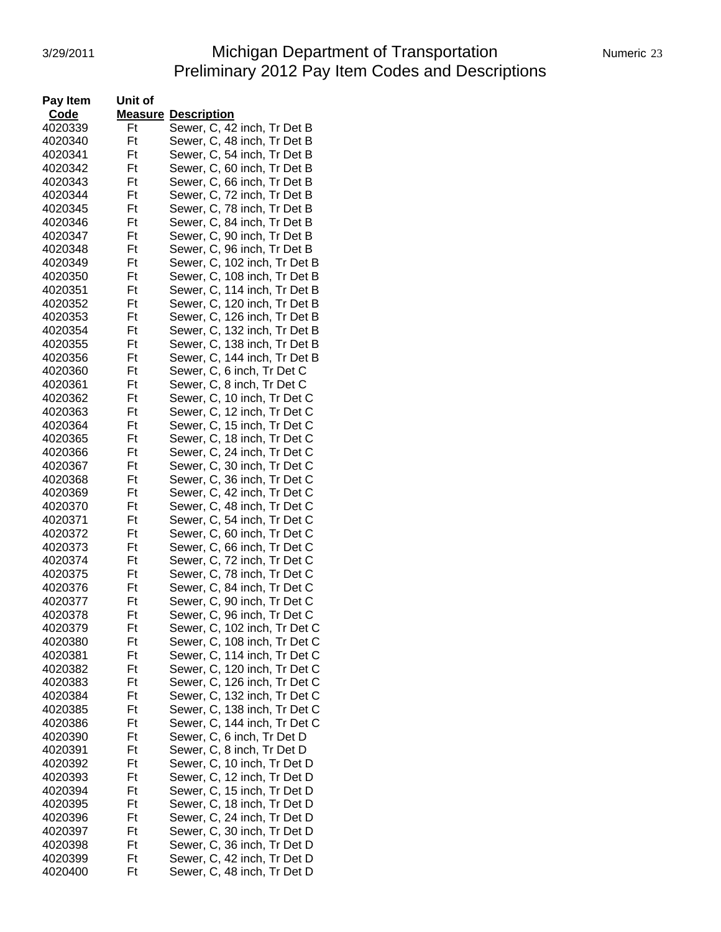# 3/29/2011 Michigan Department of Transportation Numeric 23 Preliminary 2012 Pay Item Codes and Descriptions

| Pay Item           | Unit of  |                                                              |
|--------------------|----------|--------------------------------------------------------------|
| Code               |          | <b>Measure Description</b>                                   |
| 4020339            | Ft       | Sewer, C, 42 inch, Tr Det B                                  |
| 4020340            | Ft       | Sewer, C, 48 inch, Tr Det B                                  |
| 4020341            | Ft       | Sewer, C, 54 inch, Tr Det B                                  |
| 4020342            | Ft       | Sewer, C, 60 inch, Tr Det B                                  |
| 4020343            | Ft       | Sewer, C, 66 inch, Tr Det B                                  |
| 4020344            | Ft       | Sewer, C, 72 inch, Tr Det B                                  |
| 4020345            | Ft       | Sewer, C, 78 inch, Tr Det B                                  |
| 4020346            | Ft       | Sewer, C, 84 inch, Tr Det B                                  |
| 4020347            | Ft       | Sewer, C, 90 inch, Tr Det B                                  |
| 4020348            | Ft       | Sewer, C, 96 inch, Tr Det B                                  |
| 4020349            | Ft       | Sewer, C, 102 inch, Tr Det B                                 |
| 4020350            | Ft       | Sewer, C, 108 inch, Tr Det B                                 |
| 4020351            | Ft       | Sewer, C, 114 inch, Tr Det B                                 |
| 4020352            | Ft       | Sewer, C, 120 inch, Tr Det B                                 |
| 4020353            | Ft       | Sewer, C, 126 inch, Tr Det B                                 |
| 4020354            | Ft       | Sewer, C, 132 inch, Tr Det B                                 |
| 4020355            | Ft       | Sewer, C, 138 inch, Tr Det B                                 |
| 4020356            | Ft       | Sewer, C, 144 inch, Tr Det B                                 |
| 4020360            | Ft       | Sewer, C, 6 inch, Tr Det C                                   |
| 4020361            | Ft       | Sewer, C, 8 inch, Tr Det C                                   |
| 4020362            | Ft       | Sewer, C, 10 inch, Tr Det C                                  |
| 4020363            | Ft       | Sewer, C, 12 inch, Tr Det C                                  |
| 4020364            | Ft       | Sewer, C, 15 inch, Tr Det C                                  |
| 4020365            | Ft       | Sewer, C, 18 inch, Tr Det C                                  |
| 4020366            | Ft       | Sewer, C, 24 inch, Tr Det C                                  |
| 4020367            | Ft       | Sewer, C, 30 inch, Tr Det C                                  |
| 4020368            | Ft       | Sewer, C, 36 inch, Tr Det C                                  |
| 4020369            | Ft       | Sewer, C, 42 inch, Tr Det C                                  |
| 4020370            | Ft       | Sewer, C, 48 inch, Tr Det C                                  |
| 4020371            | Ft       | Sewer, C, 54 inch, Tr Det C                                  |
| 4020372            | Ft       | Sewer, C, 60 inch, Tr Det C                                  |
| 4020373            | Ft       | Sewer, C, 66 inch, Tr Det C                                  |
| 4020374            | Ft       | Sewer, C, 72 inch, Tr Det C                                  |
| 4020375            | Ft       | Sewer, C, 78 inch, Tr Det C                                  |
| 4020376            | Ft       | Sewer, C, 84 inch, Tr Det C                                  |
| 4020377            | Ft       | Sewer, C, 90 inch, Tr Det C                                  |
| 4020378            | Ft       | Sewer, C, 96 inch, Tr Det C                                  |
| 4020379            | Ft       | Sewer, C, 102 inch, Tr Det C                                 |
| 4020380            | Ft       | Sewer, C, 108 inch, Tr Det C                                 |
| 4020381            | Ft<br>Ft | Sewer, C, 114 inch, Tr Det C                                 |
| 4020382            | Ft       | Sewer, C, 120 inch, Tr Det C                                 |
| 4020383            | Ft       | Sewer, C, 126 inch, Tr Det C<br>Sewer, C, 132 inch, Tr Det C |
| 4020384            | Ft       |                                                              |
| 4020385            |          | Sewer, C, 138 inch, Tr Det C                                 |
| 4020386            | Ft<br>Ft | Sewer, C, 144 inch, Tr Det C                                 |
| 4020390<br>4020391 | Ft       | Sewer, C, 6 inch, Tr Det D<br>Sewer, C, 8 inch, Tr Det D     |
| 4020392            | Ft       | Sewer, C, 10 inch, Tr Det D                                  |
| 4020393            | Ft       | Sewer, C, 12 inch, Tr Det D                                  |
| 4020394            | Ft       | Sewer, C, 15 inch, Tr Det D                                  |
| 4020395            | Ft       | Sewer, C, 18 inch, Tr Det D                                  |
| 4020396            | Ft       | Sewer, C, 24 inch, Tr Det D                                  |
| 4020397            | Ft       | Sewer, C, 30 inch, Tr Det D                                  |
| 4020398            | Ft       | Sewer, C, 36 inch, Tr Det D                                  |
| 4020399            | Ft       | Sewer, C, 42 inch, Tr Det D                                  |
| 4020400            | Ft       | Sewer, C, 48 inch, Tr Det D                                  |
|                    |          |                                                              |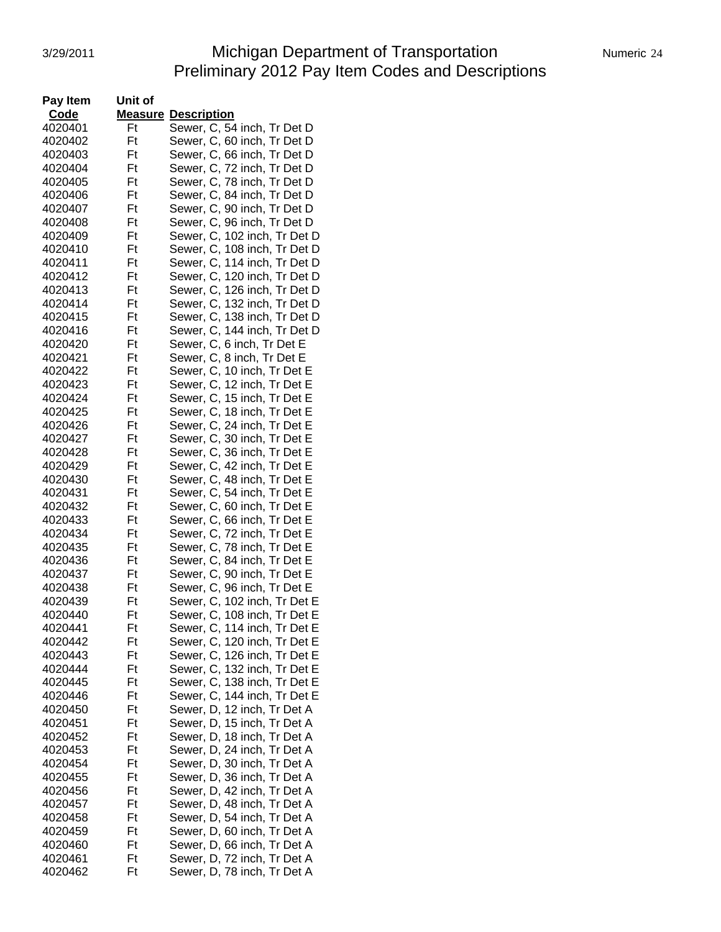# 3/29/2011 **Michigan Department of Transportation** Numeric 24 Preliminary 2012 Pay Item Codes and Descriptions

| Pay Item | Unit of |                              |
|----------|---------|------------------------------|
| Code     |         | <b>Measure Description</b>   |
| 4020401  | Ft      | Sewer, C, 54 inch, Tr Det D  |
| 4020402  | Ft      | Sewer, C, 60 inch, Tr Det D  |
| 4020403  | Ft      | Sewer, C, 66 inch, Tr Det D  |
| 4020404  | Ft      | Sewer, C, 72 inch, Tr Det D  |
| 4020405  | Ft      | Sewer, C, 78 inch, Tr Det D  |
| 4020406  | Ft      | Sewer, C, 84 inch, Tr Det D  |
| 4020407  | Ft      | Sewer, C, 90 inch, Tr Det D  |
| 4020408  | Ft      | Sewer, C, 96 inch, Tr Det D  |
| 4020409  | Ft      | Sewer, C, 102 inch, Tr Det D |
| 4020410  | Ft      | Sewer, C, 108 inch, Tr Det D |
| 4020411  | Ft      | Sewer, C, 114 inch, Tr Det D |
| 4020412  | Ft      | Sewer, C, 120 inch, Tr Det D |
| 4020413  | Ft      | Sewer, C, 126 inch, Tr Det D |
| 4020414  | Ft      | Sewer, C, 132 inch, Tr Det D |
| 4020415  | Ft      | Sewer, C, 138 inch, Tr Det D |
| 4020416  | Ft      | Sewer, C, 144 inch, Tr Det D |
| 4020420  | Ft      | Sewer, C, 6 inch, Tr Det E   |
| 4020421  | Ft      | Sewer, C, 8 inch, Tr Det E   |
| 4020422  | Ft      | Sewer, C, 10 inch, Tr Det E  |
| 4020423  | Ft      | Sewer, C, 12 inch, Tr Det E  |
| 4020424  | Ft      | Sewer, C, 15 inch, Tr Det E  |
| 4020425  | Ft      | Sewer, C, 18 inch, Tr Det E  |
| 4020426  | Ft      | Sewer, C, 24 inch, Tr Det E  |
| 4020427  | Ft      | Sewer, C, 30 inch, Tr Det E  |
| 4020428  | Ft      | Sewer, C, 36 inch, Tr Det E  |
| 4020429  | Ft      | Sewer, C, 42 inch, Tr Det E  |
| 4020430  | Ft      | Sewer, C, 48 inch, Tr Det E  |
| 4020431  | Ft      | Sewer, C, 54 inch, Tr Det E  |
| 4020432  | Ft      | Sewer, C, 60 inch, Tr Det E  |
| 4020433  | Ft      | Sewer, C, 66 inch, Tr Det E  |
| 4020434  | Ft      | Sewer, C, 72 inch, Tr Det E  |
| 4020435  | Ft      | Sewer, C, 78 inch, Tr Det E  |
| 4020436  | Ft      | Sewer, C, 84 inch, Tr Det E  |
| 4020437  | Ft      | Sewer, C, 90 inch, Tr Det E  |
| 4020438  | Ft      | Sewer, C, 96 inch, Tr Det E  |
| 4020439  | Ft      | Sewer, C, 102 inch, Tr Det E |
| 4020440  | Ft      | Sewer, C, 108 inch, Tr Det E |
| 4020441  | Ft      | Sewer, C, 114 inch, Tr Det E |
| 4020442  | Ft      | Sewer, C, 120 inch, Tr Det E |
| 4020443  | Ft      | Sewer, C, 126 inch, Tr Det E |
| 4020444  | Ft      | Sewer, C, 132 inch, Tr Det E |
| 4020445  | Ft      | Sewer, C, 138 inch, Tr Det E |
| 4020446  | Ft      | Sewer, C, 144 inch, Tr Det E |
| 4020450  | Ft      | Sewer, D, 12 inch, Tr Det A  |
| 4020451  | Ft      | Sewer, D, 15 inch, Tr Det A  |
| 4020452  | Ft      | Sewer, D, 18 inch, Tr Det A  |
| 4020453  | Ft      | Sewer, D, 24 inch, Tr Det A  |
| 4020454  | Ft      | Sewer, D, 30 inch, Tr Det A  |
| 4020455  | Ft      | Sewer, D, 36 inch, Tr Det A  |
| 4020456  | Ft      | Sewer, D, 42 inch, Tr Det A  |
| 4020457  | Ft      | Sewer, D, 48 inch, Tr Det A  |
| 4020458  | Ft      | Sewer, D, 54 inch, Tr Det A  |
| 4020459  | Ft      | Sewer, D, 60 inch, Tr Det A  |
| 4020460  | Ft      | Sewer, D, 66 inch, Tr Det A  |
| 4020461  | Ft      | Sewer, D, 72 inch, Tr Det A  |
| 4020462  | Ft      | Sewer, D, 78 inch, Tr Det A  |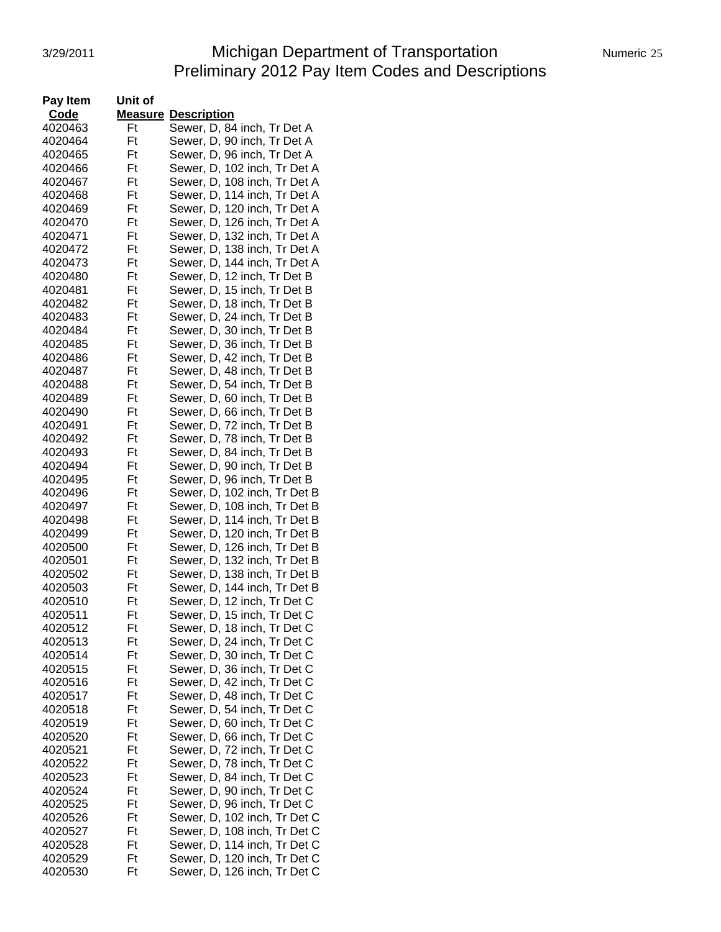# 3/29/2011 Michigan Department of Transportation Numeric 25 Preliminary 2012 Pay Item Codes and Descriptions

| Pay Item           | Unit of |                              |
|--------------------|---------|------------------------------|
| Code               |         | <b>Measure Description</b>   |
| 4020463            | Ft      | Sewer, D, 84 inch, Tr Det A  |
| 4020464            | Ft      | Sewer, D, 90 inch, Tr Det A  |
| 4020465            | Ft      | Sewer, D, 96 inch, Tr Det A  |
| 4020466            | Ft      | Sewer, D, 102 inch, Tr Det A |
| 4020467            | Ft      | Sewer, D, 108 inch, Tr Det A |
| 4020468            | Ft      | Sewer, D, 114 inch, Tr Det A |
| 4020469            | Ft      | Sewer, D, 120 inch, Tr Det A |
| 4020470            | Ft      | Sewer, D, 126 inch, Tr Det A |
| 4020471            | Ft      | Sewer, D, 132 inch, Tr Det A |
| 4020472            | Ft      | Sewer, D, 138 inch, Tr Det A |
| 4020473            | Ft      | Sewer, D, 144 inch, Tr Det A |
| 4020480            | Ft      | Sewer, D, 12 inch, Tr Det B  |
| 4020481            | Ft      | Sewer, D, 15 inch, Tr Det B  |
| 4020482            | Ft      | Sewer, D, 18 inch, Tr Det B  |
| 4020483            | Ft      | Sewer, D, 24 inch, Tr Det B  |
| 4020484            | Ft      | Sewer, D, 30 inch, Tr Det B  |
| 4020485            | Ft      | Sewer, D, 36 inch, Tr Det B  |
| 4020486            | Ft      |                              |
|                    | Ft      | Sewer, D, 42 inch, Tr Det B  |
| 4020487<br>4020488 | Ft      | Sewer, D, 48 inch, Tr Det B  |
|                    |         | Sewer, D, 54 inch, Tr Det B  |
| 4020489            | Ft      | Sewer, D, 60 inch, Tr Det B  |
| 4020490            | Ft      | Sewer, D, 66 inch, Tr Det B  |
| 4020491            | Ft      | Sewer, D, 72 inch, Tr Det B  |
| 4020492            | Ft      | Sewer, D, 78 inch, Tr Det B  |
| 4020493            | Ft      | Sewer, D, 84 inch, Tr Det B  |
| 4020494            | Ft      | Sewer, D, 90 inch, Tr Det B  |
| 4020495            | Ft      | Sewer, D, 96 inch, Tr Det B  |
| 4020496            | Ft      | Sewer, D, 102 inch, Tr Det B |
| 4020497            | Ft      | Sewer, D, 108 inch, Tr Det B |
| 4020498            | Ft      | Sewer, D, 114 inch, Tr Det B |
| 4020499            | Ft      | Sewer, D, 120 inch, Tr Det B |
| 4020500            | Ft      | Sewer, D, 126 inch, Tr Det B |
| 4020501            | Ft      | Sewer, D, 132 inch, Tr Det B |
| 4020502            | Ft      | Sewer, D, 138 inch, Tr Det B |
| 4020503            | Ft      | Sewer, D, 144 inch, Tr Det B |
| 4020510            | Ft      | Sewer, D, 12 inch, Tr Det C  |
| 4020511            | Ft      | Sewer, D, 15 inch, Tr Det C  |
| 4020512            | Ηt      | Sewer, D, 18 inch, Tr Det C  |
| 4020513            | Ft      | Sewer, D, 24 inch, Tr Det C  |
| 4020514            | Ft      | Sewer, D, 30 inch, Tr Det C  |
| 4020515            | Ft      | Sewer, D, 36 inch, Tr Det C  |
| 4020516            | Ft      | Sewer, D, 42 inch, Tr Det C  |
| 4020517            | Ft      | Sewer, D, 48 inch, Tr Det C  |
| 4020518            | Ft      | Sewer, D, 54 inch, Tr Det C  |
| 4020519            | Ft      | Sewer, D, 60 inch, Tr Det C  |
| 4020520            | Ft      | Sewer, D, 66 inch, Tr Det C  |
| 4020521            | Ft      | Sewer, D, 72 inch, Tr Det C  |
| 4020522            | Ft      | Sewer, D, 78 inch, Tr Det C  |
| 4020523            | Ft      | Sewer, D, 84 inch, Tr Det C  |
| 4020524            | Ft      | Sewer, D, 90 inch, Tr Det C  |
| 4020525            | Ft      | Sewer, D, 96 inch, Tr Det C  |
| 4020526            | Ft      | Sewer, D, 102 inch, Tr Det C |
| 4020527            | Ft      | Sewer, D, 108 inch, Tr Det C |
| 4020528            | Ft      | Sewer, D, 114 inch, Tr Det C |
| 4020529            | Ft      | Sewer, D, 120 inch, Tr Det C |
| 4020530            | Ft      | Sewer, D, 126 inch, Tr Det C |
|                    |         |                              |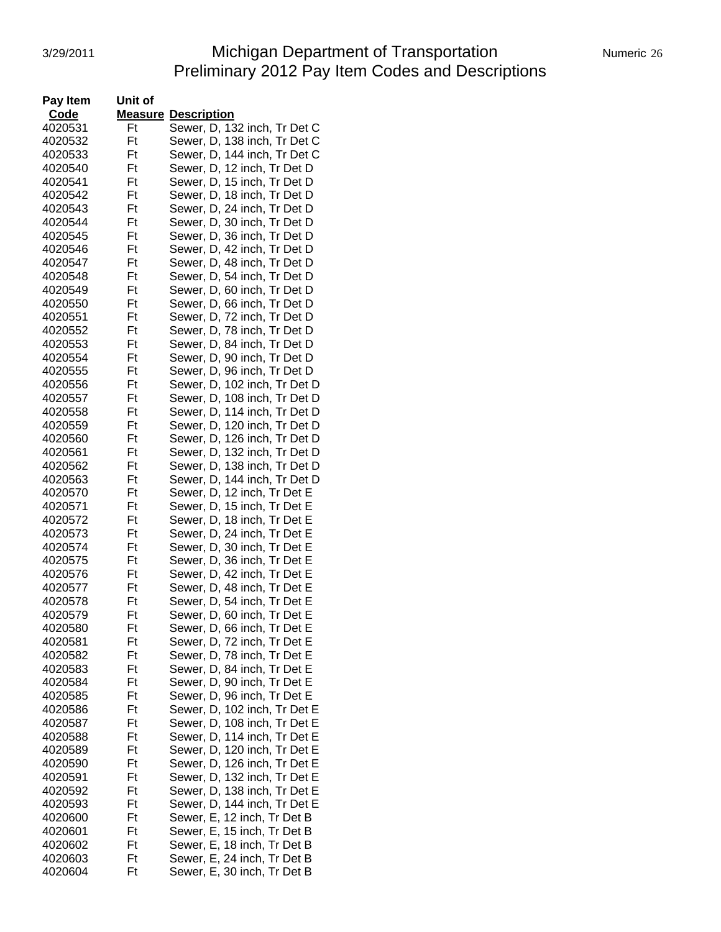# 3/29/2011 Michigan Department of Transportation Mumeric 26 Preliminary 2012 Pay Item Codes and Descriptions

| Pay Item | Unit of |                              |
|----------|---------|------------------------------|
| Code     |         | <b>Measure Description</b>   |
| 4020531  | Ft      | Sewer, D, 132 inch, Tr Det C |
| 4020532  | Ft      | Sewer, D, 138 inch, Tr Det C |
| 4020533  | Ft      | Sewer, D, 144 inch, Tr Det C |
| 4020540  | Ft      | Sewer, D, 12 inch, Tr Det D  |
| 4020541  | Ft      | Sewer, D, 15 inch, Tr Det D  |
| 4020542  | Ft      | Sewer, D, 18 inch, Tr Det D  |
| 4020543  | Ft      | Sewer, D, 24 inch, Tr Det D  |
| 4020544  | Ft      | Sewer, D, 30 inch, Tr Det D  |
| 4020545  | Ft      | Sewer, D, 36 inch, Tr Det D  |
| 4020546  | Ft      | Sewer, D, 42 inch, Tr Det D  |
| 4020547  | Ft      | Sewer, D, 48 inch, Tr Det D  |
| 4020548  | Ft      | Sewer, D, 54 inch, Tr Det D  |
| 4020549  | Ft      | Sewer, D, 60 inch, Tr Det D  |
| 4020550  | Ft      | Sewer, D, 66 inch, Tr Det D  |
| 4020551  | Ft      | Sewer, D, 72 inch, Tr Det D  |
| 4020552  | Ft      | Sewer, D, 78 inch, Tr Det D  |
| 4020553  | Ft      | Sewer, D, 84 inch, Tr Det D  |
| 4020554  | Ft      | Sewer, D, 90 inch, Tr Det D  |
| 4020555  | Ft      | Sewer, D, 96 inch, Tr Det D  |
| 4020556  | Ft      | Sewer, D, 102 inch, Tr Det D |
| 4020557  | Ft      | Sewer, D, 108 inch, Tr Det D |
| 4020558  | Ft      | Sewer, D, 114 inch, Tr Det D |
| 4020559  | Ft      | Sewer, D, 120 inch, Tr Det D |
| 4020560  | Ft      | Sewer, D, 126 inch, Tr Det D |
| 4020561  | Ft      | Sewer, D, 132 inch, Tr Det D |
| 4020562  | Ft      | Sewer, D, 138 inch, Tr Det D |
| 4020563  | Ft      | Sewer, D, 144 inch, Tr Det D |
| 4020570  | Ft      | Sewer, D, 12 inch, Tr Det E  |
| 4020571  | Ft      | Sewer, D, 15 inch, Tr Det E  |
| 4020572  | Ft      | Sewer, D, 18 inch, Tr Det E  |
| 4020573  | Ft      | Sewer, D, 24 inch, Tr Det E  |
| 4020574  | Ft      | Sewer, D, 30 inch, Tr Det E  |
| 4020575  | Ft      | Sewer, D, 36 inch, Tr Det E  |
| 4020576  | Ft      | Sewer, D, 42 inch, Tr Det E  |
| 4020577  | Ft      | Sewer, D, 48 inch, Tr Det E  |
| 4020578  | Ft      | Sewer, D, 54 inch, Tr Det E  |
| 4020579  | Ft      | Sewer, D, 60 inch, Tr Det E  |
| 4020580  | Ft      | Sewer, D, 66 inch, Tr Det E  |
| 4020581  | Ft      | Sewer, D, 72 inch, Tr Det E  |
| 4020582  | Ft      | Sewer, D, 78 inch, Tr Det E  |
| 4020583  | Ft      | Sewer, D, 84 inch, Tr Det E  |
| 4020584  | Ft      | Sewer, D, 90 inch, Tr Det E  |
| 4020585  | Ft      | Sewer, D, 96 inch, Tr Det E  |
| 4020586  | Ft      | Sewer, D, 102 inch, Tr Det E |
| 4020587  | Ft      | Sewer, D, 108 inch, Tr Det E |
| 4020588  | Ft      | Sewer, D, 114 inch, Tr Det E |
| 4020589  | Ft      | Sewer, D, 120 inch, Tr Det E |
| 4020590  | Ft      | Sewer, D, 126 inch, Tr Det E |
| 4020591  | Ft      | Sewer, D, 132 inch, Tr Det E |
| 4020592  | Ft      | Sewer, D, 138 inch, Tr Det E |
| 4020593  | Ft      | Sewer, D, 144 inch, Tr Det E |
| 4020600  | Ft      | Sewer, E, 12 inch, Tr Det B  |
| 4020601  | Ft      | Sewer, E, 15 inch, Tr Det B  |
| 4020602  | Ft      | Sewer, E, 18 inch, Tr Det B  |
| 4020603  | Ft      | Sewer, E, 24 inch, Tr Det B  |
| 4020604  | Ft      | Sewer, E, 30 inch, Tr Det B  |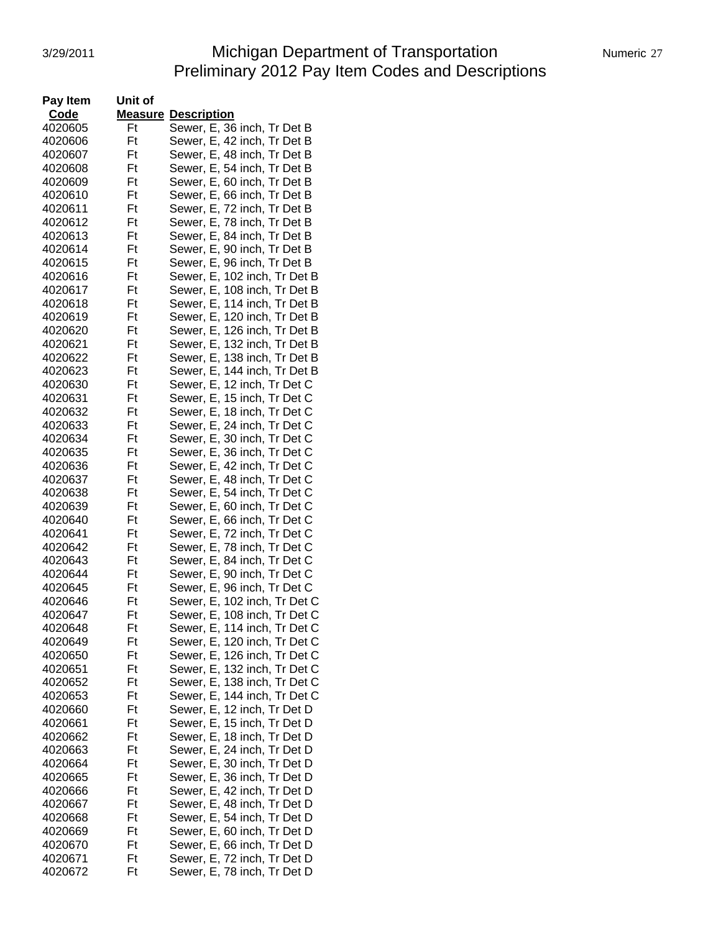# 3/29/2011 **Michigan Department of Transportation** Numeric 27 Preliminary 2012 Pay Item Codes and Descriptions

| Pay Item | Unit of |                              |
|----------|---------|------------------------------|
| Code     |         | <b>Measure Description</b>   |
| 4020605  | Ft      | Sewer, E, 36 inch, Tr Det B  |
| 4020606  | Ft      | Sewer, E, 42 inch, Tr Det B  |
| 4020607  | Ft      | Sewer, E, 48 inch, Tr Det B  |
| 4020608  | Ft      | Sewer, E, 54 inch, Tr Det B  |
| 4020609  | Ft      | Sewer, E, 60 inch, Tr Det B  |
| 4020610  | Ft      | Sewer, E, 66 inch, Tr Det B  |
| 4020611  | Ft      | Sewer, E, 72 inch, Tr Det B  |
| 4020612  | Ft      | Sewer, E, 78 inch, Tr Det B  |
| 4020613  | Ft      | Sewer, E, 84 inch, Tr Det B  |
| 4020614  | Ft      | Sewer, E, 90 inch, Tr Det B  |
| 4020615  | Ft      | Sewer, E, 96 inch, Tr Det B  |
| 4020616  | Ft      | Sewer, E, 102 inch, Tr Det B |
| 4020617  | Ft      | Sewer, E, 108 inch, Tr Det B |
| 4020618  | Ft      | Sewer, E, 114 inch, Tr Det B |
| 4020619  | Ft      | Sewer, E, 120 inch, Tr Det B |
| 4020620  | Ft      | Sewer, E, 126 inch, Tr Det B |
| 4020621  | Ft      | Sewer, E, 132 inch, Tr Det B |
| 4020622  | Ft      | Sewer, E, 138 inch, Tr Det B |
| 4020623  | Ft      | Sewer, E, 144 inch, Tr Det B |
| 4020630  | Ft      | Sewer, E, 12 inch, Tr Det C  |
| 4020631  | Ft      | Sewer, E, 15 inch, Tr Det C  |
| 4020632  | Ft      | Sewer, E, 18 inch, Tr Det C  |
| 4020633  | Ft      | Sewer, E, 24 inch, Tr Det C  |
| 4020634  | Ft      | Sewer, E, 30 inch, Tr Det C  |
| 4020635  | Ft      | Sewer, E, 36 inch, Tr Det C  |
| 4020636  | Ft      | Sewer, E, 42 inch, Tr Det C  |
| 4020637  | Ft      | Sewer, E, 48 inch, Tr Det C  |
| 4020638  | Ft      | Sewer, E, 54 inch, Tr Det C  |
| 4020639  | Ft      | Sewer, E, 60 inch, Tr Det C  |
| 4020640  | Ft      | Sewer, E, 66 inch, Tr Det C  |
| 4020641  | Ft      | Sewer, E, 72 inch, Tr Det C  |
| 4020642  | Ft      | Sewer, E, 78 inch, Tr Det C  |
| 4020643  | Ft      | Sewer, E, 84 inch, Tr Det C  |
| 4020644  | Ft      | Sewer, E, 90 inch, Tr Det C  |
| 4020645  | Ft      | Sewer, E, 96 inch, Tr Det C  |
| 4020646  | Ft      | Sewer, E, 102 inch, Tr Det C |
| 4020647  | Ft      | Sewer, E, 108 inch, Tr Det C |
| 4020648  | Ft      | Sewer, E, 114 inch, Tr Det C |
| 4020649  | Ft      | Sewer, E, 120 inch, Tr Det C |
| 4020650  | Ft      | Sewer, E, 126 inch, Tr Det C |
| 4020651  | Ft      | Sewer, E, 132 inch, Tr Det C |
| 4020652  | Ft      | Sewer, E, 138 inch, Tr Det C |
| 4020653  | Ft      | Sewer, E, 144 inch, Tr Det C |
| 4020660  | Ft      | Sewer, E, 12 inch, Tr Det D  |
| 4020661  | Ft      | Sewer, E, 15 inch, Tr Det D  |
| 4020662  | Ft      | Sewer, E, 18 inch, Tr Det D  |
| 4020663  | Ft      | Sewer, E, 24 inch, Tr Det D  |
| 4020664  | Ft      | Sewer, E, 30 inch, Tr Det D  |
| 4020665  | Ft      | Sewer, E, 36 inch, Tr Det D  |
| 4020666  | Ft      | Sewer, E, 42 inch, Tr Det D  |
| 4020667  | Ft      | Sewer, E, 48 inch, Tr Det D  |
| 4020668  | Ft      | Sewer, E, 54 inch, Tr Det D  |
| 4020669  | Ft      | Sewer, E, 60 inch, Tr Det D  |
| 4020670  | Ft      | Sewer, E, 66 inch, Tr Det D  |
| 4020671  | Ft      | Sewer, E, 72 inch, Tr Det D  |
| 4020672  | Ft      | Sewer, E, 78 inch, Tr Det D  |
|          |         |                              |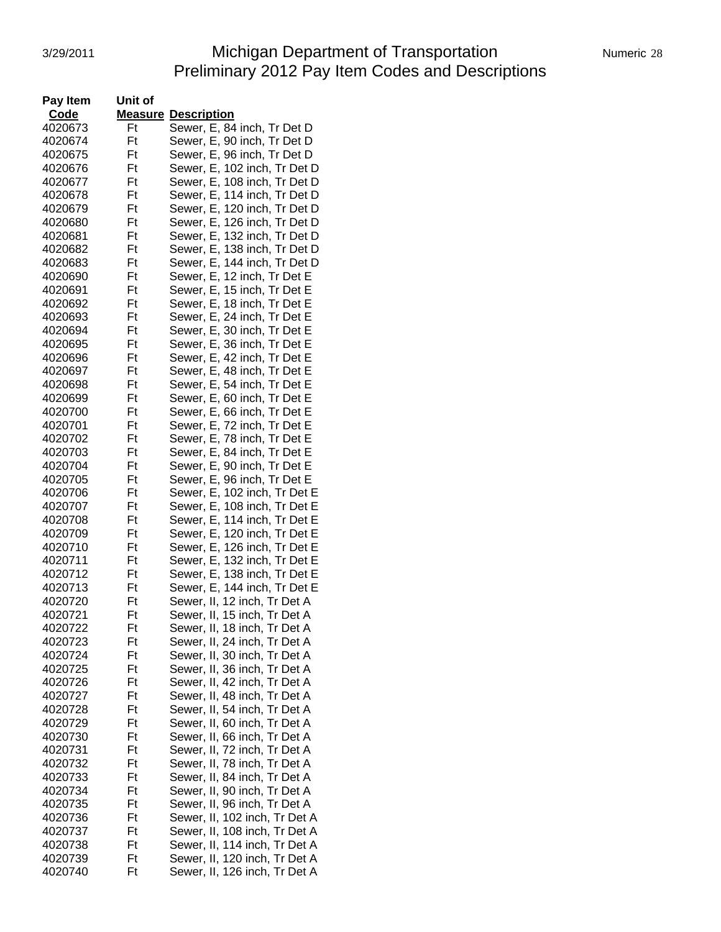# 3/29/2011 **Michigan Department of Transportation** Numeric 28 Preliminary 2012 Pay Item Codes and Descriptions

| Pay Item | Unit of |                               |
|----------|---------|-------------------------------|
| Code     |         | <b>Measure Description</b>    |
| 4020673  | Ft      | Sewer, E, 84 inch, Tr Det D   |
| 4020674  | Ft      | Sewer, E, 90 inch, Tr Det D   |
| 4020675  | Ft      | Sewer, E, 96 inch, Tr Det D   |
| 4020676  | Ft      | Sewer, E, 102 inch, Tr Det D  |
| 4020677  | Ft      | Sewer, E, 108 inch, Tr Det D  |
| 4020678  | Ft      | Sewer, E, 114 inch, Tr Det D  |
| 4020679  | Ft      | Sewer, E, 120 inch, Tr Det D  |
| 4020680  | Ft      | Sewer, E, 126 inch, Tr Det D  |
| 4020681  | Ft      | Sewer, E, 132 inch, Tr Det D  |
| 4020682  | Ft      | Sewer, E, 138 inch, Tr Det D  |
| 4020683  | Ft      | Sewer, E, 144 inch, Tr Det D  |
| 4020690  | Ft      | Sewer, E, 12 inch, Tr Det E   |
| 4020691  | Ft      | Sewer, E, 15 inch, Tr Det E   |
| 4020692  | Ft      | Sewer, E, 18 inch, Tr Det E   |
| 4020693  | Ft      | Sewer, E, 24 inch, Tr Det E   |
| 4020694  | Ft      | Sewer, E, 30 inch, Tr Det E   |
| 4020695  | Ft      | Sewer, E, 36 inch, Tr Det E   |
| 4020696  | Ft      | Sewer, E, 42 inch, Tr Det E   |
| 4020697  | Ft      | Sewer, E, 48 inch, Tr Det E   |
| 4020698  | Ft      | Sewer, E, 54 inch, Tr Det E   |
| 4020699  | Ft      | Sewer, E, 60 inch, Tr Det E   |
| 4020700  | Ft      | Sewer, E, 66 inch, Tr Det E   |
| 4020701  | Ft      | Sewer, E, 72 inch, Tr Det E   |
| 4020702  | Ft      | Sewer, E, 78 inch, Tr Det E   |
| 4020703  | Ft      | Sewer, E, 84 inch, Tr Det E   |
| 4020704  | Ft      | Sewer, E, 90 inch, Tr Det E   |
| 4020705  | Ft      | Sewer, E, 96 inch, Tr Det E   |
| 4020706  | Ft      | Sewer, E, 102 inch, Tr Det E  |
| 4020707  | Ft      | Sewer, E, 108 inch, Tr Det E  |
| 4020708  | Ft      | Sewer, E, 114 inch, Tr Det E  |
| 4020709  | Ft      | Sewer, E, 120 inch, Tr Det E  |
| 4020710  | Ft      | Sewer, E, 126 inch, Tr Det E  |
| 4020711  | Ft      | Sewer, E, 132 inch, Tr Det E  |
| 4020712  | Ft      | Sewer, E, 138 inch, Tr Det E  |
| 4020713  | Ft      | Sewer, E, 144 inch, Tr Det E  |
| 4020720  | Ft      | Sewer, II, 12 inch, Tr Det A  |
| 4020721  | Ft      | Sewer, II, 15 inch, Tr Det A  |
| 4020722  | Ft      | Sewer, II, 18 inch, Tr Det A  |
| 4020723  | Ft      | Sewer, II, 24 inch, Tr Det A  |
| 4020724  | Ft      | Sewer, II, 30 inch, Tr Det A  |
| 4020725  | Ft      | Sewer, II, 36 inch, Tr Det A  |
| 4020726  | Ft      | Sewer, II, 42 inch, Tr Det A  |
| 4020727  | Ft      | Sewer, II, 48 inch, Tr Det A  |
| 4020728  | Ft      | Sewer, II, 54 inch, Tr Det A  |
| 4020729  | Ft      | Sewer, II, 60 inch, Tr Det A  |
| 4020730  | Ft      | Sewer, II, 66 inch, Tr Det A  |
| 4020731  | Ft      | Sewer, II, 72 inch, Tr Det A  |
| 4020732  | Ft      | Sewer, II, 78 inch, Tr Det A  |
| 4020733  | Ft      | Sewer, II, 84 inch, Tr Det A  |
| 4020734  | Ft      | Sewer, II, 90 inch, Tr Det A  |
| 4020735  | Ft      | Sewer, II, 96 inch, Tr Det A  |
| 4020736  | Ft      | Sewer, II, 102 inch, Tr Det A |
| 4020737  | Ft      | Sewer, II, 108 inch, Tr Det A |
| 4020738  | Ft      | Sewer, II, 114 inch, Tr Det A |
| 4020739  | Ft      | Sewer, II, 120 inch, Tr Det A |
| 4020740  | Ft      |                               |
|          |         | Sewer, II, 126 inch, Tr Det A |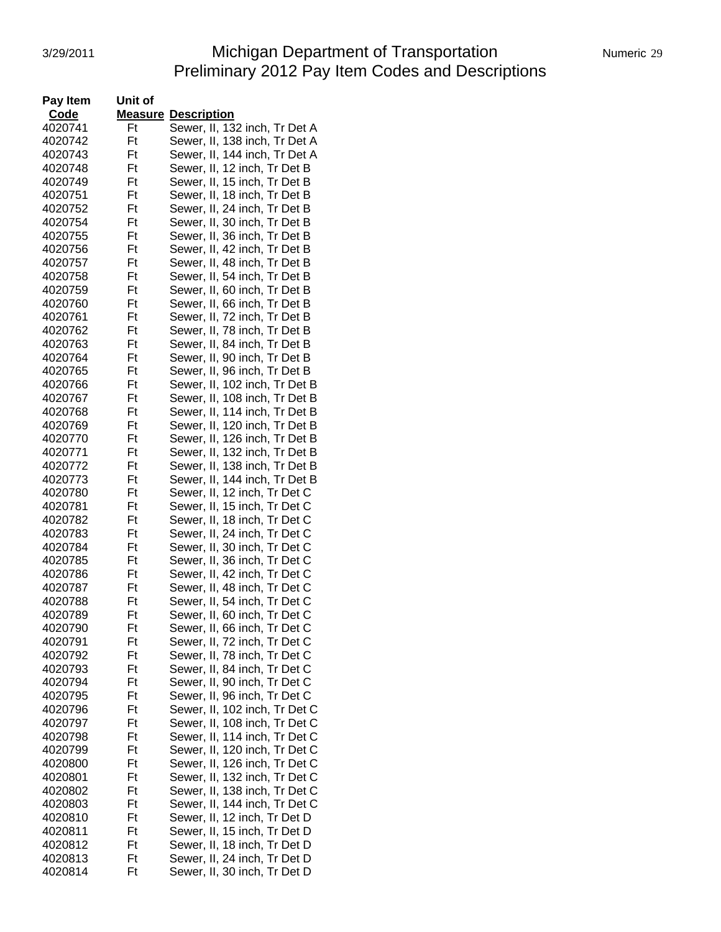# 3/29/2011 **Michigan Department of Transportation** Numeric 29 Preliminary 2012 Pay Item Codes and Descriptions

| Pay Item | Unit of |                               |
|----------|---------|-------------------------------|
| Code     |         | <b>Measure Description</b>    |
| 4020741  | Ft      | Sewer, II, 132 inch, Tr Det A |
| 4020742  | Ft      | Sewer, II, 138 inch, Tr Det A |
| 4020743  | Ft      | Sewer, II, 144 inch, Tr Det A |
| 4020748  | Ft      | Sewer, II, 12 inch, Tr Det B  |
| 4020749  | Ft      | Sewer, II, 15 inch, Tr Det B  |
| 4020751  | Ft      | Sewer, II, 18 inch, Tr Det B  |
| 4020752  | Ft      | Sewer, II, 24 inch, Tr Det B  |
| 4020754  | Ft      | Sewer, II, 30 inch, Tr Det B  |
| 4020755  | Ft      | Sewer, II, 36 inch, Tr Det B  |
| 4020756  | Ft      | Sewer, II, 42 inch, Tr Det B  |
| 4020757  | Ft      | Sewer, II, 48 inch, Tr Det B  |
| 4020758  | Ft      | Sewer, II, 54 inch, Tr Det B  |
| 4020759  | Ft      | Sewer, II, 60 inch, Tr Det B  |
| 4020760  | Ft      | Sewer, II, 66 inch, Tr Det B  |
| 4020761  | Ft      | Sewer, II, 72 inch, Tr Det B  |
| 4020762  | Ft      | Sewer, II, 78 inch, Tr Det B  |
| 4020763  | Ft      | Sewer, II, 84 inch, Tr Det B  |
| 4020764  | Ft      | Sewer, II, 90 inch, Tr Det B  |
| 4020765  | Ft      | Sewer, II, 96 inch, Tr Det B  |
| 4020766  | Ft      | Sewer, II, 102 inch, Tr Det B |
| 4020767  | Ft      | Sewer, II, 108 inch, Tr Det B |
| 4020768  | Ft      | Sewer, II, 114 inch, Tr Det B |
| 4020769  | Ft      | Sewer, II, 120 inch, Tr Det B |
| 4020770  | Ft      | Sewer, II, 126 inch, Tr Det B |
| 4020771  | Ft      |                               |
|          |         | Sewer, II, 132 inch, Tr Det B |
| 4020772  | Ft      | Sewer, II, 138 inch, Tr Det B |
| 4020773  | Ft      | Sewer, II, 144 inch, Tr Det B |
| 4020780  | Ft      | Sewer, II, 12 inch, Tr Det C  |
| 4020781  | Ft      | Sewer, II, 15 inch, Tr Det C  |
| 4020782  | Ft      | Sewer, II, 18 inch, Tr Det C  |
| 4020783  | Ft      | Sewer, II, 24 inch, Tr Det C  |
| 4020784  | Ft      | Sewer, II, 30 inch, Tr Det C  |
| 4020785  | Ft      | Sewer, II, 36 inch, Tr Det C  |
| 4020786  | Ft      | Sewer, II, 42 inch, Tr Det C  |
| 4020787  | Ft      | Sewer, II, 48 inch, Tr Det C  |
| 4020788  | Ft      | Sewer, II, 54 inch, Tr Det C  |
| 4020789  | Ft      | Sewer, II, 60 inch, Tr Det C  |
| 4020790  | Ft      | Sewer, II, 66 inch, Tr Det C  |
| 4020791  | Ft      | Sewer, II, 72 inch, Tr Det C  |
| 4020792  | Ft      | Sewer, II, 78 inch, Tr Det C  |
| 4020793  | Ft      | Sewer, II, 84 inch, Tr Det C  |
| 4020794  | Ft      | Sewer, II, 90 inch, Tr Det C  |
| 4020795  | Ft      | Sewer, II, 96 inch, Tr Det C  |
| 4020796  | Ft      | Sewer, II, 102 inch, Tr Det C |
| 4020797  | Ft      | Sewer, II, 108 inch, Tr Det C |
| 4020798  | Ft      | Sewer, II, 114 inch, Tr Det C |
| 4020799  | Ft      | Sewer, II, 120 inch, Tr Det C |
| 4020800  | Ft      | Sewer, II, 126 inch, Tr Det C |
| 4020801  | Ft      | Sewer, II, 132 inch, Tr Det C |
| 4020802  | Ft      | Sewer, II, 138 inch, Tr Det C |
| 4020803  | Ft      | Sewer, II, 144 inch, Tr Det C |
| 4020810  | Ft      | Sewer, II, 12 inch, Tr Det D  |
| 4020811  | Ft      | Sewer, II, 15 inch, Tr Det D  |
| 4020812  | Ft      | Sewer, II, 18 inch, Tr Det D  |
| 4020813  | Ft      | Sewer, II, 24 inch, Tr Det D  |
| 4020814  | Ft      | Sewer, II, 30 inch, Tr Det D  |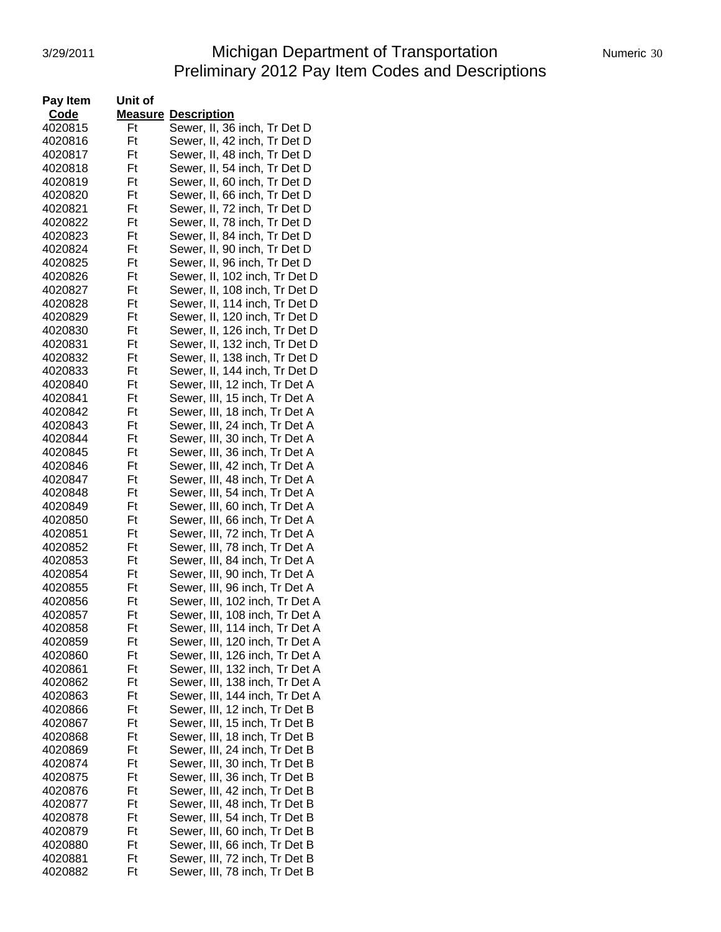# 3/29/2011 Michigan Department of Transportation Numeric 30 Preliminary 2012 Pay Item Codes and Descriptions

| Pay Item | Unit of |                                |
|----------|---------|--------------------------------|
| Code     | Measure | <b>Description</b>             |
| 4020815  | Ft      | Sewer, II, 36 inch, Tr Det D   |
| 4020816  | Ft      | Sewer, II, 42 inch, Tr Det D   |
| 4020817  | Ft      | Sewer, II, 48 inch, Tr Det D   |
| 4020818  | Ft      | Sewer, II, 54 inch, Tr Det D   |
| 4020819  | Ft      | Sewer, II, 60 inch, Tr Det D   |
| 4020820  | Ft      | Sewer, II, 66 inch, Tr Det D   |
| 4020821  | Ft      | Sewer, II, 72 inch, Tr Det D   |
| 4020822  | Ft      | Sewer, II, 78 inch, Tr Det D   |
| 4020823  | Ft      | Sewer, II, 84 inch, Tr Det D   |
| 4020824  | Ft      | Sewer, II, 90 inch, Tr Det D   |
| 4020825  | Ft      | Sewer, II, 96 inch, Tr Det D   |
| 4020826  | Ft      | Sewer, II, 102 inch, Tr Det D  |
| 4020827  | Ft      | Sewer, II, 108 inch, Tr Det D  |
| 4020828  | Ft      | Sewer, II, 114 inch, Tr Det D  |
| 4020829  | Ft      | Sewer, II, 120 inch, Tr Det D  |
| 4020830  | Ft      | Sewer, II, 126 inch, Tr Det D  |
| 4020831  | Ft      | Sewer, II, 132 inch, Tr Det D  |
| 4020832  | Ft      | Sewer, II, 138 inch, Tr Det D  |
| 4020833  | Ft      | Sewer, II, 144 inch, Tr Det D  |
| 4020840  | Ft      | Sewer, III, 12 inch, Tr Det A  |
| 4020841  | Ft      | Sewer, III, 15 inch, Tr Det A  |
| 4020842  | Ft      | Sewer, III, 18 inch, Tr Det A  |
| 4020843  | Ft      | Sewer, III, 24 inch, Tr Det A  |
| 4020844  | Ft      | Sewer, III, 30 inch, Tr Det A  |
| 4020845  | Ft      | Sewer, III, 36 inch, Tr Det A  |
| 4020846  | Ft      | Sewer, III, 42 inch, Tr Det A  |
| 4020847  | Ft      | Sewer, III, 48 inch, Tr Det A  |
| 4020848  | Ft      | Sewer, III, 54 inch, Tr Det A  |
| 4020849  | Ft      | Sewer, III, 60 inch, Tr Det A  |
| 4020850  | Ft      | Sewer, III, 66 inch, Tr Det A  |
| 4020851  | Ft      | Sewer, III, 72 inch, Tr Det A  |
| 4020852  | Ft      | Sewer, III, 78 inch, Tr Det A  |
| 4020853  | Ft      | Sewer, III, 84 inch, Tr Det A  |
| 4020854  | Ft      | Sewer, III, 90 inch, Tr Det A  |
| 4020855  | Ft      | Sewer, III, 96 inch, Tr Det A  |
| 4020856  | Ft      | Sewer, III, 102 inch, Tr Det A |
| 4020857  | Ft      | Sewer, III, 108 inch, Tr Det A |
| 4020858  | Ft      | Sewer, III, 114 inch, Tr Det A |
| 4020859  | Ft      | Sewer, III, 120 inch, Tr Det A |
| 4020860  | Ft      | Sewer, III, 126 inch, Tr Det A |
| 4020861  | Ft      | Sewer, III, 132 inch, Tr Det A |
| 4020862  | Ft      | Sewer, III, 138 inch, Tr Det A |
| 4020863  | Ft      | Sewer, III, 144 inch, Tr Det A |
| 4020866  | Ft      | Sewer, III, 12 inch, Tr Det B  |
| 4020867  | Ft      | Sewer, III, 15 inch, Tr Det B  |
| 4020868  | Ft      | Sewer, III, 18 inch, Tr Det B  |
| 4020869  | Ft      | Sewer, III, 24 inch, Tr Det B  |
| 4020874  | Ft      | Sewer, III, 30 inch, Tr Det B  |
| 4020875  | Ft      | Sewer, III, 36 inch, Tr Det B  |
| 4020876  | Ft      | Sewer, III, 42 inch, Tr Det B  |
| 4020877  | Ft      | Sewer, III, 48 inch, Tr Det B  |
| 4020878  | Ft      | Sewer, III, 54 inch, Tr Det B  |
| 4020879  | Ft      | Sewer, III, 60 inch, Tr Det B  |
| 4020880  | Ft      | Sewer, III, 66 inch, Tr Det B  |
| 4020881  | Ft      | Sewer, III, 72 inch, Tr Det B  |
| 4020882  | Ft      | Sewer, III, 78 inch, Tr Det B  |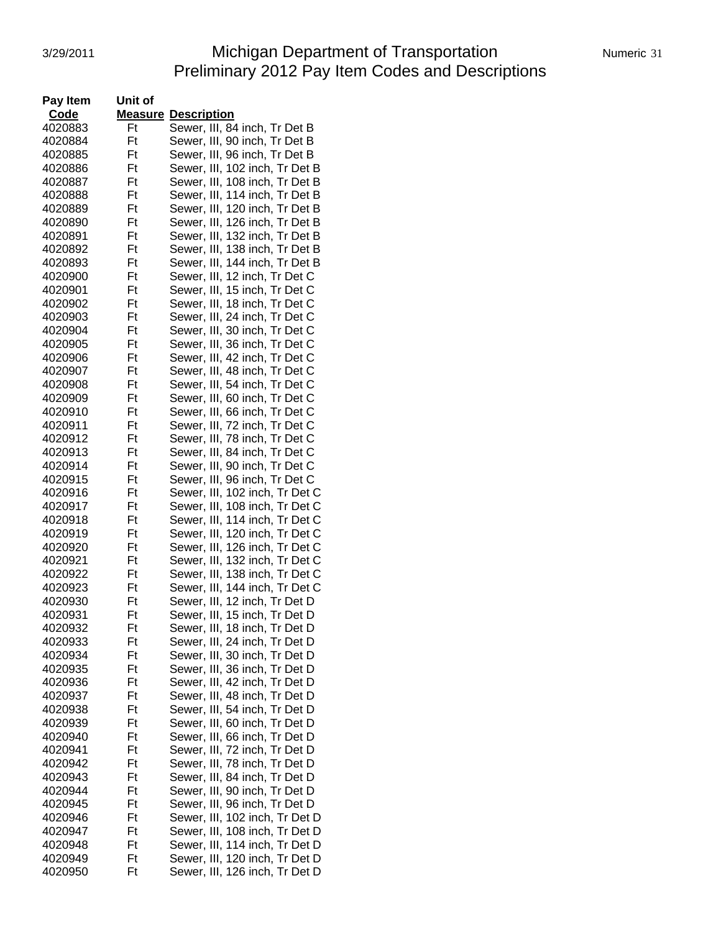# 3/29/2011 Michigan Department of Transportation Numeric 31 Preliminary 2012 Pay Item Codes and Descriptions

| Pay Item           | Unit of  |                                                                  |
|--------------------|----------|------------------------------------------------------------------|
| Code               |          | <b>Measure Description</b>                                       |
| 4020883            | Ft       | Sewer, III, 84 inch, Tr Det B                                    |
| 4020884            | Ft       | Sewer, III, 90 inch, Tr Det B                                    |
| 4020885            | Ft       | Sewer, III, 96 inch, Tr Det B                                    |
| 4020886            | Ft       | Sewer, III, 102 inch, Tr Det B                                   |
| 4020887            | Ft       | Sewer, III, 108 inch, Tr Det B                                   |
| 4020888            | Ft       | Sewer, III, 114 inch, Tr Det B                                   |
| 4020889            | Ft       | Sewer, III, 120 inch, Tr Det B                                   |
| 4020890            | Ft       | Sewer, III, 126 inch, Tr Det B                                   |
| 4020891            | Ft       | Sewer, III, 132 inch, Tr Det B                                   |
| 4020892            | Ft       | Sewer, III, 138 inch, Tr Det B                                   |
| 4020893            | Ft       | Sewer, III, 144 inch, Tr Det B                                   |
| 4020900            | Ft       | Sewer, III, 12 inch, Tr Det C                                    |
| 4020901            | Ft       | Sewer, III, 15 inch, Tr Det C                                    |
| 4020902            | Ft       | Sewer, III, 18 inch, Tr Det C                                    |
| 4020903            | Ft       | Sewer, III, 24 inch, Tr Det C                                    |
| 4020904            | Ft       | Sewer, III, 30 inch, Tr Det C                                    |
| 4020905            | Ft       | Sewer, III, 36 inch, Tr Det C                                    |
| 4020906            | Ft       | Sewer, III, 42 inch, Tr Det C                                    |
| 4020907            | Ft       | Sewer, III, 48 inch, Tr Det C                                    |
| 4020908            | Ft       | Sewer, III, 54 inch, Tr Det C                                    |
| 4020909            | Ft       | Sewer, III, 60 inch, Tr Det C                                    |
| 4020910            | Ft       | Sewer, III, 66 inch, Tr Det C                                    |
| 4020911            | Ft       | Sewer, III, 72 inch, Tr Det C                                    |
| 4020912            | Ft       | Sewer, III, 78 inch, Tr Det C                                    |
| 4020913            | Ft       | Sewer, III, 84 inch, Tr Det C                                    |
| 4020914            | Ft       | Sewer, III, 90 inch, Tr Det C                                    |
| 4020915            | Ft       | Sewer, III, 96 inch, Tr Det C                                    |
| 4020916            | Ft       | Sewer, III, 102 inch, Tr Det C                                   |
| 4020917            | Ft       | Sewer, III, 108 inch, Tr Det C                                   |
|                    | Ft       |                                                                  |
| 4020918<br>4020919 | Ft       | Sewer, III, 114 inch, Tr Det C                                   |
| 4020920            | Ft       | Sewer, III, 120 inch, Tr Det C<br>Sewer, III, 126 inch, Tr Det C |
|                    |          | Sewer, III, 132 inch, Tr Det C                                   |
| 4020921            | Ft<br>Ft | Sewer, III, 138 inch, Tr Det C                                   |
| 4020922            |          | Sewer, III, 144 inch, Tr Det C                                   |
| 4020923            | Ft       |                                                                  |
| 4020930            | Ft       | Sewer, III, 12 inch, Tr Det D                                    |
| 4020931            | Ft       | Sewer, III, 15 inch, Tr Det D                                    |
| 4020932            | Ft       | Sewer, III, 18 inch, Tr Det D                                    |
| 4020933            | Ft       | Sewer, III, 24 inch, Tr Det D                                    |
| 4020934            | Ft       | Sewer, III, 30 inch, Tr Det D                                    |
| 4020935            | Ft       | Sewer, III, 36 inch, Tr Det D                                    |
| 4020936            | Ft       | Sewer, III, 42 inch, Tr Det D                                    |
| 4020937            | Ft       | Sewer, III, 48 inch, Tr Det D                                    |
| 4020938            | Ft       | Sewer, III, 54 inch, Tr Det D                                    |
| 4020939            | Ft       | Sewer, III, 60 inch, Tr Det D                                    |
| 4020940            | Ft       | Sewer, III, 66 inch, Tr Det D                                    |
| 4020941            | Ft       | Sewer, III, 72 inch, Tr Det D                                    |
| 4020942            | Ft       | Sewer, III, 78 inch, Tr Det D                                    |
| 4020943            | Ft       | Sewer, III, 84 inch, Tr Det D                                    |
| 4020944            | Ft       | Sewer, III, 90 inch, Tr Det D                                    |
| 4020945            | Ft       | Sewer, III, 96 inch, Tr Det D                                    |
| 4020946            | Ft       | Sewer, III, 102 inch, Tr Det D                                   |
| 4020947            | Ft       | Sewer, III, 108 inch, Tr Det D                                   |
| 4020948            | Ft       | Sewer, III, 114 inch, Tr Det D                                   |
| 4020949            | Ft       | Sewer, III, 120 inch, Tr Det D                                   |
| 4020950            | Ft       | Sewer, III, 126 inch, Tr Det D                                   |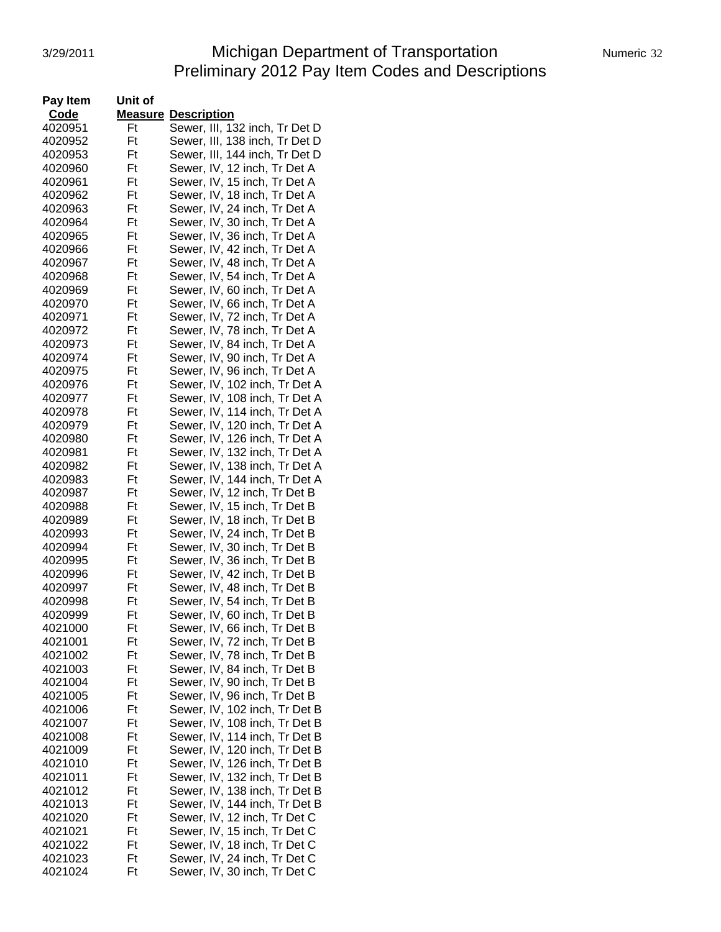# 3/29/2011 Michigan Department of Transportation Numeric 32 Preliminary 2012 Pay Item Codes and Descriptions

| Pay Item<br>Unit of            |                                                                |
|--------------------------------|----------------------------------------------------------------|
| Code                           | <b>Measure Description</b>                                     |
| 4020951<br>Ft                  | Sewer, III, 132 inch, Tr Det D                                 |
| 4020952<br>Ft                  | Sewer, III, 138 inch, Tr Det D                                 |
| Ft<br>4020953                  | Sewer, III, 144 inch, Tr Det D                                 |
| Ft<br>4020960                  | Sewer, IV, 12 inch, Tr Det A                                   |
| Ft<br>4020961                  | Sewer, IV, 15 inch, Tr Det A                                   |
| Ft<br>4020962                  | Sewer, IV, 18 inch, Tr Det A                                   |
| Ft<br>4020963                  | Sewer, IV, 24 inch, Tr Det A                                   |
| Ft<br>4020964                  | Sewer, IV, 30 inch, Tr Det A                                   |
| Ft<br>4020965                  | Sewer, IV, 36 inch, Tr Det A                                   |
| Ft<br>4020966                  | Sewer, IV, 42 inch, Tr Det A                                   |
| Ft<br>4020967                  | Sewer, IV, 48 inch, Tr Det A                                   |
| Ft<br>4020968                  | Sewer, IV, 54 inch, Tr Det A                                   |
| 4020969<br>Ft                  | Sewer, IV, 60 inch, Tr Det A                                   |
| 4020970<br>Ft                  | Sewer, IV, 66 inch, Tr Det A                                   |
| 4020971<br>Ft                  | Sewer, IV, 72 inch, Tr Det A                                   |
| Ft<br>4020972                  | Sewer, IV, 78 inch, Tr Det A                                   |
| 4020973<br>Ft                  | Sewer, IV, 84 inch, Tr Det A                                   |
| 4020974<br>Ft                  | Sewer, IV, 90 inch, Tr Det A                                   |
| Ft<br>4020975                  | Sewer, IV, 96 inch, Tr Det A                                   |
| Ft<br>4020976                  | Sewer, IV, 102 inch, Tr Det A                                  |
| Ft<br>4020977                  | Sewer, IV, 108 inch, Tr Det A                                  |
| Ft<br>4020978                  | Sewer, IV, 114 inch, Tr Det A                                  |
| Ft<br>4020979                  | Sewer, IV, 120 inch, Tr Det A<br>Sewer, IV, 126 inch, Tr Det A |
| 4020980<br>Ft<br>Ft<br>4020981 | Sewer, IV, 132 inch, Tr Det A                                  |
| 4020982<br>Ft                  | Sewer, IV, 138 inch, Tr Det A                                  |
| 4020983<br>Ft                  | Sewer, IV, 144 inch, Tr Det A                                  |
| Ft<br>4020987                  | Sewer, IV, 12 inch, Tr Det B                                   |
| 4020988<br>Ft                  | Sewer, IV, 15 inch, Tr Det B                                   |
| Ft<br>4020989                  | Sewer, IV, 18 inch, Tr Det B                                   |
| Ft<br>4020993                  | Sewer, IV, 24 inch, Tr Det B                                   |
| Ft<br>4020994                  | Sewer, IV, 30 inch, Tr Det B                                   |
| Ft<br>4020995                  | Sewer, IV, 36 inch, Tr Det B                                   |
| Ft<br>4020996                  | Sewer, IV, 42 inch, Tr Det B                                   |
| 4020997<br>Ft                  | Sewer, IV, 48 inch, Tr Det B                                   |
| Ft<br>4020998                  | Sewer, IV, 54 inch, Tr Det B                                   |
| Ft<br>4020999                  | Sewer, IV, 60 inch, Tr Det B                                   |
| 4021000<br>Ft                  | Sewer, IV, 66 inch, Tr Det B                                   |
| 4021001<br>Ft                  | Sewer, IV, 72 inch, Tr Det B                                   |
| Ft<br>4021002                  | Sewer, IV, 78 inch, Tr Det B                                   |
| 4021003<br>Ft                  | Sewer, IV, 84 inch, Tr Det B                                   |
| Ft<br>4021004                  | Sewer, IV, 90 inch, Tr Det B                                   |
| Ft<br>4021005                  | Sewer, IV, 96 inch, Tr Det B                                   |
| Ft<br>4021006                  | Sewer, IV, 102 inch, Tr Det B                                  |
| 4021007<br>Ft                  | Sewer, IV, 108 inch, Tr Det B                                  |
| Ft<br>4021008<br>4021009       | Sewer, IV, 114 inch, Tr Det B<br>Sewer, IV, 120 inch, Tr Det B |
| Ft<br>4021010<br>Ft            | Sewer, IV, 126 inch, Tr Det B                                  |
| 4021011<br>Ft                  | Sewer, IV, 132 inch, Tr Det B                                  |
| 4021012<br>Ft                  | Sewer, IV, 138 inch, Tr Det B                                  |
| 4021013<br>Ft                  | Sewer, IV, 144 inch, Tr Det B                                  |
| Ft<br>4021020                  | Sewer, IV, 12 inch, Tr Det C                                   |
| 4021021<br>Ft                  | Sewer, IV, 15 inch, Tr Det C                                   |
| Ft<br>4021022                  | Sewer, IV, 18 inch, Tr Det C                                   |
| Ft<br>4021023                  | Sewer, IV, 24 inch, Tr Det C                                   |
| 4021024<br>Ft                  | Sewer, IV, 30 inch, Tr Det C                                   |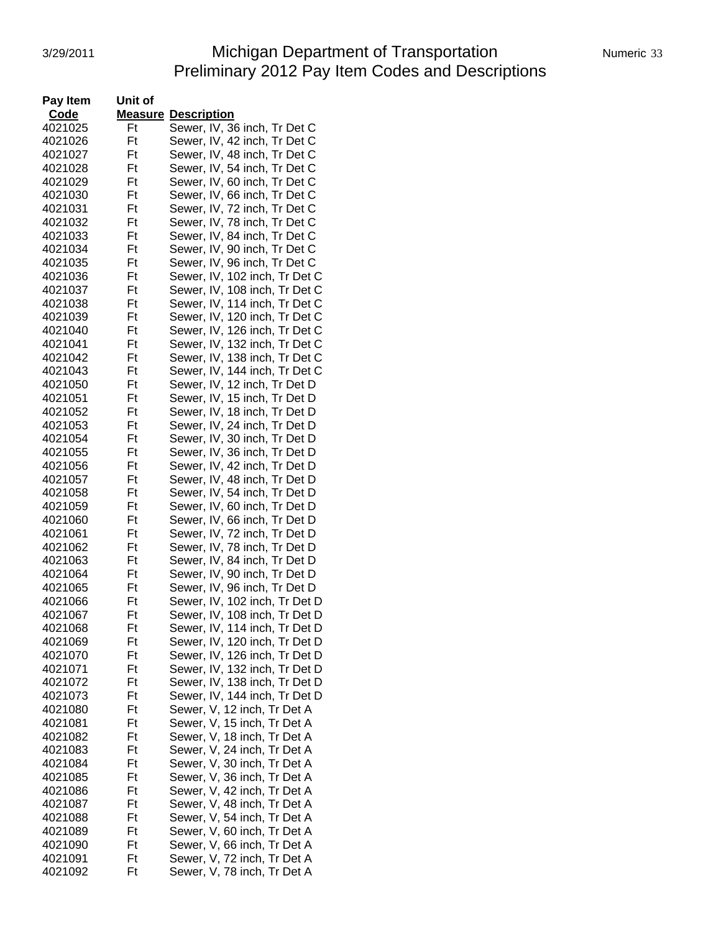# 3/29/2011 Michigan Department of Transportation Numeric 33 Preliminary 2012 Pay Item Codes and Descriptions

| Pay Item | Unit of |                                                            |
|----------|---------|------------------------------------------------------------|
| Code     |         | <b>Measure Description</b>                                 |
| 4021025  | Ft      | Sewer, IV, 36 inch, Tr Det C                               |
| 4021026  | Ft      | Sewer, IV, 42 inch, Tr Det C                               |
| 4021027  | Ft      | Sewer, IV, 48 inch, Tr Det C                               |
| 4021028  | Ft      | Sewer, IV, 54 inch, Tr Det C                               |
| 4021029  | Ft      | Sewer, IV, 60 inch, Tr Det C                               |
| 4021030  | Ft      | Sewer, IV, 66 inch, Tr Det C                               |
| 4021031  | Ft      | Sewer, IV, 72 inch, Tr Det C                               |
| 4021032  | Ft      | Sewer, IV, 78 inch, Tr Det C                               |
| 4021033  | Ft      | Sewer, IV, 84 inch, Tr Det C                               |
| 4021034  | Ft      | Sewer, IV, 90 inch, Tr Det C                               |
| 4021035  | Ft      | Sewer, IV, 96 inch, Tr Det C                               |
| 4021036  | Ft      | Sewer, IV, 102 inch, Tr Det C                              |
| 4021037  | Ft      | Sewer, IV, 108 inch, Tr Det C                              |
| 4021038  | Ft      | Sewer, IV, 114 inch, Tr Det C                              |
| 4021039  | Ft      | Sewer, IV, 120 inch, Tr Det C                              |
| 4021040  | Ft      | Sewer, IV, 126 inch, Tr Det C                              |
| 4021041  | Ft      | Sewer, IV, 132 inch, Tr Det C                              |
| 4021042  | Ft      | Sewer, IV, 138 inch, Tr Det C                              |
| 4021043  | Ft      | Sewer, IV, 144 inch, Tr Det C                              |
| 4021050  | Ft      | Sewer, IV, 12 inch, Tr Det D                               |
| 4021051  | Ft      | Sewer, IV, 15 inch, Tr Det D                               |
| 4021052  | Ft      | Sewer, IV, 18 inch, Tr Det D                               |
| 4021053  | Ft      | Sewer, IV, 24 inch, Tr Det D                               |
| 4021054  | Ft      | Sewer, IV, 30 inch, Tr Det D                               |
| 4021055  | Ft      | Sewer, IV, 36 inch, Tr Det D                               |
| 4021056  | Ft      | Sewer, IV, 42 inch, Tr Det D                               |
| 4021057  | Ft      | Sewer, IV, 48 inch, Tr Det D                               |
| 4021058  | Ft      | Sewer, IV, 54 inch, Tr Det D                               |
| 4021059  | Ft      | Sewer, IV, 60 inch, Tr Det D                               |
| 4021060  | Ft      | Sewer, IV, 66 inch, Tr Det D                               |
| 4021061  | Ft      | Sewer, IV, 72 inch, Tr Det D                               |
| 4021062  | Ft      | Sewer, IV, 78 inch, Tr Det D                               |
| 4021063  | Ft      | Sewer, IV, 84 inch, Tr Det D                               |
| 4021064  | Ft      | Sewer, IV, 90 inch, Tr Det D                               |
| 4021065  | Ft      | Sewer, IV, 96 inch, Tr Det D                               |
| 4021066  | Ft      | Sewer, IV, 102 inch, Tr Det D                              |
| 4021067  | Ft      | Sewer, IV, 108 inch, Tr Det D                              |
| 4021068  | Ft      | Sewer, IV, 114 inch, Tr Det D                              |
| 4021069  | Ft      | Sewer, IV, 120 inch, Tr Det D                              |
| 4021070  | Ft      | Sewer, IV, 126 inch, Tr Det D                              |
| 4021071  | Ft      | Sewer, IV, 132 inch, Tr Det D                              |
| 4021072  | Ft      | Sewer, IV, 138 inch, Tr Det D                              |
| 4021073  | Ft      | Sewer, IV, 144 inch, Tr Det D                              |
| 4021080  | Ft      | Sewer, V, 12 inch, Tr Det A                                |
| 4021081  | Ft      |                                                            |
| 4021082  | Ft      | Sewer, V, 15 inch, Tr Det A<br>Sewer, V, 18 inch, Tr Det A |
| 4021083  | Ft      | Sewer, V, 24 inch, Tr Det A                                |
| 4021084  | Ft      | Sewer, V, 30 inch, Tr Det A                                |
| 4021085  | Ft      | Sewer, V, 36 inch, Tr Det A                                |
| 4021086  | Ft      | Sewer, V, 42 inch, Tr Det A                                |
| 4021087  | Ft      | Sewer, V, 48 inch, Tr Det A                                |
| 4021088  | Ft      | Sewer, V, 54 inch, Tr Det A                                |
| 4021089  | Ft      | Sewer, V, 60 inch, Tr Det A                                |
| 4021090  | Ft      | Sewer, V, 66 inch, Tr Det A                                |
| 4021091  | Ft      | Sewer, V, 72 inch, Tr Det A                                |
| 4021092  | Ft      | Sewer, V, 78 inch, Tr Det A                                |
|          |         |                                                            |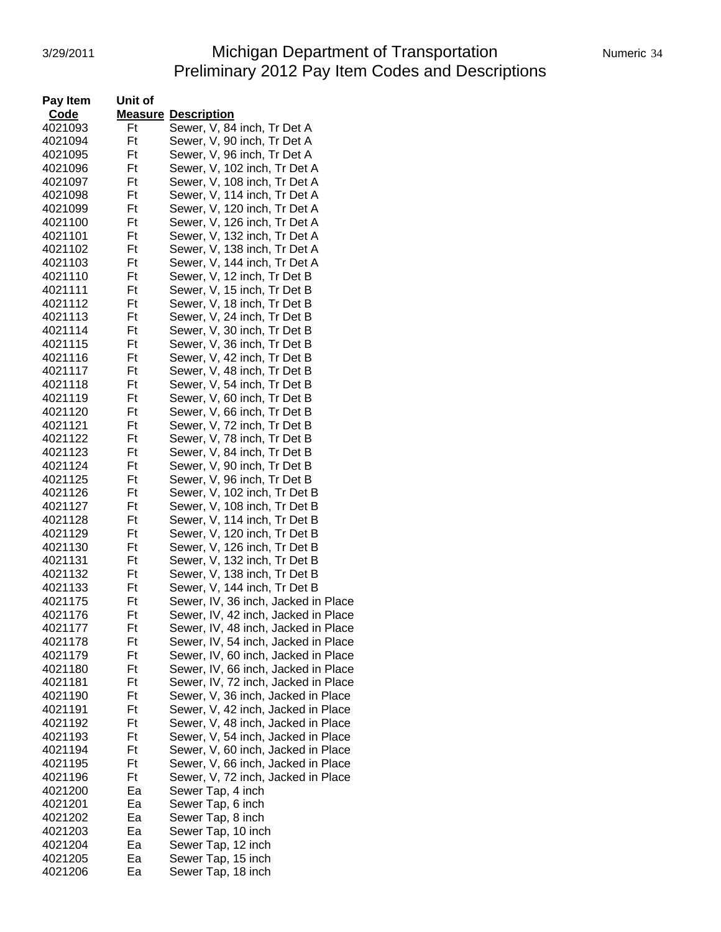# 3/29/2011 **Michigan Department of Transportation** Numeric 34 Preliminary 2012 Pay Item Codes and Descriptions

| Pay Item | Unit of |                                     |
|----------|---------|-------------------------------------|
| Code     |         | <b>Measure Description</b>          |
| 4021093  | Ft      | Sewer, V, 84 inch, Tr Det A         |
| 4021094  | Ft      | Sewer, V, 90 inch, Tr Det A         |
| 4021095  | Ft      | Sewer, V, 96 inch, Tr Det A         |
| 4021096  | Ft      | Sewer, V, 102 inch, Tr Det A        |
| 4021097  | Ft      | Sewer, V, 108 inch, Tr Det A        |
| 4021098  | Ft      |                                     |
|          | Ft      | Sewer, V, 114 inch, Tr Det A        |
| 4021099  |         | Sewer, V, 120 inch, Tr Det A        |
| 4021100  | Ft      | Sewer, V, 126 inch, Tr Det A        |
| 4021101  | Ft      | Sewer, V, 132 inch, Tr Det A        |
| 4021102  | Ft      | Sewer, V, 138 inch, Tr Det A        |
| 4021103  | Ft      | Sewer, V, 144 inch, Tr Det A        |
| 4021110  | Ft      | Sewer, V, 12 inch, Tr Det B         |
| 4021111  | Ft      | Sewer, V, 15 inch, Tr Det B         |
| 4021112  | Ft      | Sewer, V, 18 inch, Tr Det B         |
| 4021113  | Ft      | Sewer, V, 24 inch, Tr Det B         |
| 4021114  | Ft      | Sewer, V, 30 inch, Tr Det B         |
| 4021115  | Ft      | Sewer, V, 36 inch, Tr Det B         |
| 4021116  | Ft      | Sewer, V, 42 inch, Tr Det B         |
| 4021117  | Ft      | Sewer, V, 48 inch, Tr Det B         |
| 4021118  | Ft      | Sewer, V, 54 inch, Tr Det B         |
| 4021119  | Ft      | Sewer, V, 60 inch, Tr Det B         |
| 4021120  | Ft      | Sewer, V, 66 inch, Tr Det B         |
| 4021121  | Ft      | Sewer, V, 72 inch, Tr Det B         |
|          |         |                                     |
| 4021122  | Ft      | Sewer, V, 78 inch, Tr Det B         |
| 4021123  | Ft      | Sewer, V, 84 inch, Tr Det B         |
| 4021124  | Ft      | Sewer, V, 90 inch, Tr Det B         |
| 4021125  | Ft      | Sewer, V, 96 inch, Tr Det B         |
| 4021126  | Ft      | Sewer, V, 102 inch, Tr Det B        |
| 4021127  | Ft      | Sewer, V, 108 inch, Tr Det B        |
| 4021128  | Ft      | Sewer, V, 114 inch, Tr Det B        |
| 4021129  | Ft      | Sewer, V, 120 inch, Tr Det B        |
| 4021130  | Ft      | Sewer, V, 126 inch, Tr Det B        |
| 4021131  | Ft      | Sewer, V, 132 inch, Tr Det B        |
| 4021132  | Ft      | Sewer, V, 138 inch, Tr Det B        |
| 4021133  | Ft      | Sewer, V, 144 inch, Tr Det B        |
| 4021175  | Ft      | Sewer, IV, 36 inch, Jacked in Place |
| 4021176  | Ft      | Sewer, IV, 42 inch, Jacked in Place |
| 4021177  | Ft      | Sewer, IV, 48 inch, Jacked in Place |
| 4021178  | Ft      | Sewer, IV, 54 inch, Jacked in Place |
| 4021179  | Ft      | Sewer, IV, 60 inch, Jacked in Place |
| 4021180  | Ft      | Sewer, IV, 66 inch, Jacked in Place |
| 4021181  | Ft      | Sewer, IV, 72 inch, Jacked in Place |
| 4021190  | Ft      | Sewer, V, 36 inch, Jacked in Place  |
| 4021191  | Ft      |                                     |
|          |         | Sewer, V, 42 inch, Jacked in Place  |
| 4021192  | Ft      | Sewer, V, 48 inch, Jacked in Place  |
| 4021193  | Ft      | Sewer, V, 54 inch, Jacked in Place  |
| 4021194  | Ft      | Sewer, V, 60 inch, Jacked in Place  |
| 4021195  | Ft      | Sewer, V, 66 inch, Jacked in Place  |
| 4021196  | Ft      | Sewer, V, 72 inch, Jacked in Place  |
| 4021200  | Ea      | Sewer Tap, 4 inch                   |
| 4021201  | Ea      | Sewer Tap, 6 inch                   |
| 4021202  | Ea      | Sewer Tap, 8 inch                   |
| 4021203  | Ea      | Sewer Tap, 10 inch                  |
| 4021204  | Ea      | Sewer Tap, 12 inch                  |
| 4021205  | Ea      | Sewer Tap, 15 inch                  |
| 4021206  | Ea      | Sewer Tap, 18 inch                  |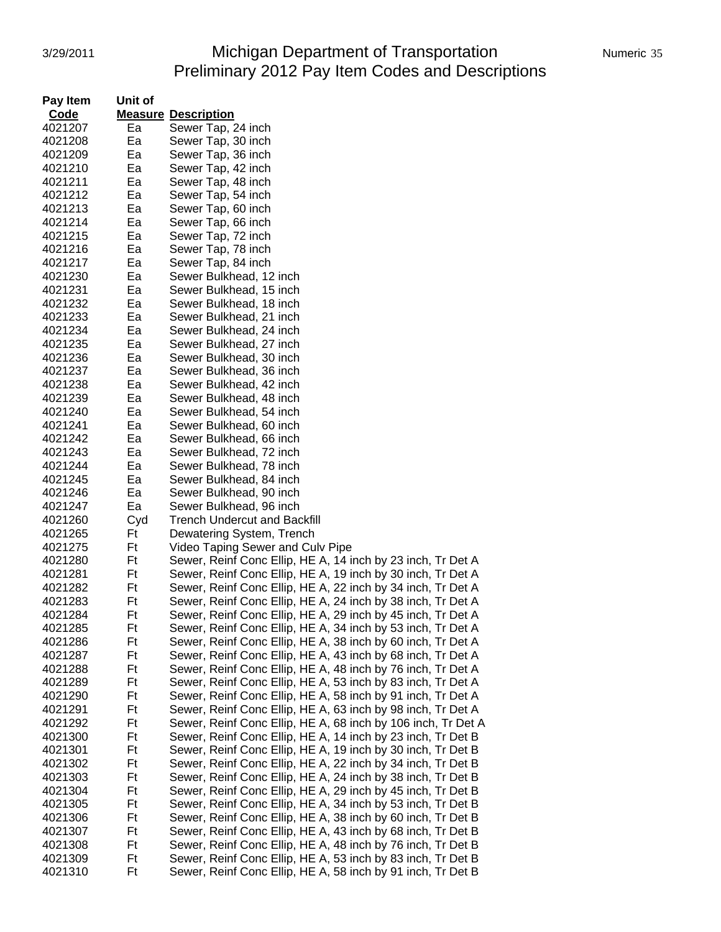#### 3/29/2011 Michigan Department of Transportation Numeric 35 Preliminary 2012 Pay Item Codes and Descriptions

| <b>Code</b><br><b>Measure Description</b><br>4021207<br>Ea<br>Sewer Tap, 24 inch<br>Ea<br>4021208<br>Sewer Tap, 30 inch<br>Ea<br>4021209<br>Sewer Tap, 36 inch<br>Ea<br>4021210<br>Sewer Tap, 42 inch<br>4021211<br>Ea<br>Sewer Tap, 48 inch<br>4021212<br>Ea<br>Sewer Tap, 54 inch<br>4021213<br>Ea<br>Sewer Tap, 60 inch<br>4021214<br>Ea<br>Sewer Tap, 66 inch<br>4021215<br>Ea<br>Sewer Tap, 72 inch<br>Sewer Tap, 78 inch<br>4021216<br>Ea<br>Ea<br>Sewer Tap, 84 inch<br>4021217<br>4021230<br>Ea<br>Sewer Bulkhead, 12 inch<br>Ea<br>Sewer Bulkhead, 15 inch<br>4021231<br>Ea<br>Sewer Bulkhead, 18 inch<br>4021232<br>Ea<br>Sewer Bulkhead, 21 inch<br>4021233<br>Ea<br>4021234<br>Sewer Bulkhead, 24 inch<br>Ea<br>Sewer Bulkhead, 27 inch<br>4021235<br>4021236<br>Ea<br>Sewer Bulkhead, 30 inch<br>Ea<br>4021237<br>Sewer Bulkhead, 36 inch<br>Ea<br>Sewer Bulkhead, 42 inch<br>4021238<br>Sewer Bulkhead, 48 inch<br>4021239<br>Ea<br>Sewer Bulkhead, 54 inch<br>4021240<br>Ea<br>Ea<br>Sewer Bulkhead, 60 inch<br>4021241<br>Ea<br>Sewer Bulkhead, 66 inch<br>4021242<br>Ea<br>4021243<br>Sewer Bulkhead, 72 inch<br>Ea<br>Sewer Bulkhead, 78 inch<br>4021244<br>Ea<br>Sewer Bulkhead, 84 inch<br>4021245<br>Ea<br>4021246<br>Sewer Bulkhead, 90 inch<br>Ea<br>4021247<br>Sewer Bulkhead, 96 inch<br>4021260<br>Cyd<br><b>Trench Undercut and Backfill</b><br>4021265<br>Ft<br>Dewatering System, Trench<br>Ft<br>Video Taping Sewer and Culv Pipe<br>4021275<br>Sewer, Reinf Conc Ellip, HE A, 14 inch by 23 inch, Tr Det A<br>4021280<br>Ft<br>Sewer, Reinf Conc Ellip, HE A, 19 inch by 30 inch, Tr Det A<br>4021281<br>Ft<br>Sewer, Reinf Conc Ellip, HE A, 22 inch by 34 inch, Tr Det A<br>Ft<br>4021282<br>Sewer, Reinf Conc Ellip, HE A, 24 inch by 38 inch, Tr Det A<br>4021283<br>Ft<br>Ft<br>Sewer, Reinf Conc Ellip, HE A, 29 inch by 45 inch, Tr Det A<br>4021284<br>Sewer, Reinf Conc Ellip, HE A, 34 inch by 53 inch, Tr Det A<br>Ft<br>4021285<br>Ft<br>4021286<br>Sewer, Reinf Conc Ellip, HE A, 38 inch by 60 inch, Tr Det A<br>Ft<br>4021287<br>Sewer, Reinf Conc Ellip, HE A, 43 inch by 68 inch, Tr Det A<br>Ft<br>Sewer, Reinf Conc Ellip, HE A, 48 inch by 76 inch, Tr Det A<br>4021288<br>Ft<br>Sewer, Reinf Conc Ellip, HE A, 53 inch by 83 inch, Tr Det A<br>4021289<br>Ft<br>Sewer, Reinf Conc Ellip, HE A, 58 inch by 91 inch, Tr Det A<br>4021290<br>Ft<br>Sewer, Reinf Conc Ellip, HE A, 63 inch by 98 inch, Tr Det A<br>4021291<br>Sewer, Reinf Conc Ellip, HE A, 68 inch by 106 inch, Tr Det A<br>Ft<br>4021292<br>Sewer, Reinf Conc Ellip, HE A, 14 inch by 23 inch, Tr Det B<br>4021300<br>Ft<br>Ft<br>Sewer, Reinf Conc Ellip, HE A, 19 inch by 30 inch, Tr Det B<br>4021301<br>Ft<br>Sewer, Reinf Conc Ellip, HE A, 22 inch by 34 inch, Tr Det B<br>4021302<br>Ft<br>Sewer, Reinf Conc Ellip, HE A, 24 inch by 38 inch, Tr Det B<br>4021303<br>Ft<br>Sewer, Reinf Conc Ellip, HE A, 29 inch by 45 inch, Tr Det B<br>4021304<br>Ft<br>Sewer, Reinf Conc Ellip, HE A, 34 inch by 53 inch, Tr Det B<br>4021305<br>Ft<br>4021306<br>Sewer, Reinf Conc Ellip, HE A, 38 inch by 60 inch, Tr Det B<br>Ft<br>Sewer, Reinf Conc Ellip, HE A, 43 inch by 68 inch, Tr Det B<br>4021307<br>Ft<br>Sewer, Reinf Conc Ellip, HE A, 48 inch by 76 inch, Tr Det B<br>4021308<br>Ft<br>Sewer, Reinf Conc Ellip, HE A, 53 inch by 83 inch, Tr Det B<br>4021309 | Pay Item | Unit of |                                                             |
|---------------------------------------------------------------------------------------------------------------------------------------------------------------------------------------------------------------------------------------------------------------------------------------------------------------------------------------------------------------------------------------------------------------------------------------------------------------------------------------------------------------------------------------------------------------------------------------------------------------------------------------------------------------------------------------------------------------------------------------------------------------------------------------------------------------------------------------------------------------------------------------------------------------------------------------------------------------------------------------------------------------------------------------------------------------------------------------------------------------------------------------------------------------------------------------------------------------------------------------------------------------------------------------------------------------------------------------------------------------------------------------------------------------------------------------------------------------------------------------------------------------------------------------------------------------------------------------------------------------------------------------------------------------------------------------------------------------------------------------------------------------------------------------------------------------------------------------------------------------------------------------------------------------------------------------------------------------------------------------------------------------------------------------------------------------------------------------------------------------------------------------------------------------------------------------------------------------------------------------------------------------------------------------------------------------------------------------------------------------------------------------------------------------------------------------------------------------------------------------------------------------------------------------------------------------------------------------------------------------------------------------------------------------------------------------------------------------------------------------------------------------------------------------------------------------------------------------------------------------------------------------------------------------------------------------------------------------------------------------------------------------------------------------------------------------------------------------------------------------------------------------------------------------------------------------------------------------------------------------------------------------------------------------------------------------------------------------------------------------------------------------------|----------|---------|-------------------------------------------------------------|
|                                                                                                                                                                                                                                                                                                                                                                                                                                                                                                                                                                                                                                                                                                                                                                                                                                                                                                                                                                                                                                                                                                                                                                                                                                                                                                                                                                                                                                                                                                                                                                                                                                                                                                                                                                                                                                                                                                                                                                                                                                                                                                                                                                                                                                                                                                                                                                                                                                                                                                                                                                                                                                                                                                                                                                                                                                                                                                                                                                                                                                                                                                                                                                                                                                                                                                                                                                                             |          |         |                                                             |
|                                                                                                                                                                                                                                                                                                                                                                                                                                                                                                                                                                                                                                                                                                                                                                                                                                                                                                                                                                                                                                                                                                                                                                                                                                                                                                                                                                                                                                                                                                                                                                                                                                                                                                                                                                                                                                                                                                                                                                                                                                                                                                                                                                                                                                                                                                                                                                                                                                                                                                                                                                                                                                                                                                                                                                                                                                                                                                                                                                                                                                                                                                                                                                                                                                                                                                                                                                                             |          |         |                                                             |
|                                                                                                                                                                                                                                                                                                                                                                                                                                                                                                                                                                                                                                                                                                                                                                                                                                                                                                                                                                                                                                                                                                                                                                                                                                                                                                                                                                                                                                                                                                                                                                                                                                                                                                                                                                                                                                                                                                                                                                                                                                                                                                                                                                                                                                                                                                                                                                                                                                                                                                                                                                                                                                                                                                                                                                                                                                                                                                                                                                                                                                                                                                                                                                                                                                                                                                                                                                                             |          |         |                                                             |
|                                                                                                                                                                                                                                                                                                                                                                                                                                                                                                                                                                                                                                                                                                                                                                                                                                                                                                                                                                                                                                                                                                                                                                                                                                                                                                                                                                                                                                                                                                                                                                                                                                                                                                                                                                                                                                                                                                                                                                                                                                                                                                                                                                                                                                                                                                                                                                                                                                                                                                                                                                                                                                                                                                                                                                                                                                                                                                                                                                                                                                                                                                                                                                                                                                                                                                                                                                                             |          |         |                                                             |
|                                                                                                                                                                                                                                                                                                                                                                                                                                                                                                                                                                                                                                                                                                                                                                                                                                                                                                                                                                                                                                                                                                                                                                                                                                                                                                                                                                                                                                                                                                                                                                                                                                                                                                                                                                                                                                                                                                                                                                                                                                                                                                                                                                                                                                                                                                                                                                                                                                                                                                                                                                                                                                                                                                                                                                                                                                                                                                                                                                                                                                                                                                                                                                                                                                                                                                                                                                                             |          |         |                                                             |
|                                                                                                                                                                                                                                                                                                                                                                                                                                                                                                                                                                                                                                                                                                                                                                                                                                                                                                                                                                                                                                                                                                                                                                                                                                                                                                                                                                                                                                                                                                                                                                                                                                                                                                                                                                                                                                                                                                                                                                                                                                                                                                                                                                                                                                                                                                                                                                                                                                                                                                                                                                                                                                                                                                                                                                                                                                                                                                                                                                                                                                                                                                                                                                                                                                                                                                                                                                                             |          |         |                                                             |
|                                                                                                                                                                                                                                                                                                                                                                                                                                                                                                                                                                                                                                                                                                                                                                                                                                                                                                                                                                                                                                                                                                                                                                                                                                                                                                                                                                                                                                                                                                                                                                                                                                                                                                                                                                                                                                                                                                                                                                                                                                                                                                                                                                                                                                                                                                                                                                                                                                                                                                                                                                                                                                                                                                                                                                                                                                                                                                                                                                                                                                                                                                                                                                                                                                                                                                                                                                                             |          |         |                                                             |
|                                                                                                                                                                                                                                                                                                                                                                                                                                                                                                                                                                                                                                                                                                                                                                                                                                                                                                                                                                                                                                                                                                                                                                                                                                                                                                                                                                                                                                                                                                                                                                                                                                                                                                                                                                                                                                                                                                                                                                                                                                                                                                                                                                                                                                                                                                                                                                                                                                                                                                                                                                                                                                                                                                                                                                                                                                                                                                                                                                                                                                                                                                                                                                                                                                                                                                                                                                                             |          |         |                                                             |
|                                                                                                                                                                                                                                                                                                                                                                                                                                                                                                                                                                                                                                                                                                                                                                                                                                                                                                                                                                                                                                                                                                                                                                                                                                                                                                                                                                                                                                                                                                                                                                                                                                                                                                                                                                                                                                                                                                                                                                                                                                                                                                                                                                                                                                                                                                                                                                                                                                                                                                                                                                                                                                                                                                                                                                                                                                                                                                                                                                                                                                                                                                                                                                                                                                                                                                                                                                                             |          |         |                                                             |
|                                                                                                                                                                                                                                                                                                                                                                                                                                                                                                                                                                                                                                                                                                                                                                                                                                                                                                                                                                                                                                                                                                                                                                                                                                                                                                                                                                                                                                                                                                                                                                                                                                                                                                                                                                                                                                                                                                                                                                                                                                                                                                                                                                                                                                                                                                                                                                                                                                                                                                                                                                                                                                                                                                                                                                                                                                                                                                                                                                                                                                                                                                                                                                                                                                                                                                                                                                                             |          |         |                                                             |
|                                                                                                                                                                                                                                                                                                                                                                                                                                                                                                                                                                                                                                                                                                                                                                                                                                                                                                                                                                                                                                                                                                                                                                                                                                                                                                                                                                                                                                                                                                                                                                                                                                                                                                                                                                                                                                                                                                                                                                                                                                                                                                                                                                                                                                                                                                                                                                                                                                                                                                                                                                                                                                                                                                                                                                                                                                                                                                                                                                                                                                                                                                                                                                                                                                                                                                                                                                                             |          |         |                                                             |
|                                                                                                                                                                                                                                                                                                                                                                                                                                                                                                                                                                                                                                                                                                                                                                                                                                                                                                                                                                                                                                                                                                                                                                                                                                                                                                                                                                                                                                                                                                                                                                                                                                                                                                                                                                                                                                                                                                                                                                                                                                                                                                                                                                                                                                                                                                                                                                                                                                                                                                                                                                                                                                                                                                                                                                                                                                                                                                                                                                                                                                                                                                                                                                                                                                                                                                                                                                                             |          |         |                                                             |
|                                                                                                                                                                                                                                                                                                                                                                                                                                                                                                                                                                                                                                                                                                                                                                                                                                                                                                                                                                                                                                                                                                                                                                                                                                                                                                                                                                                                                                                                                                                                                                                                                                                                                                                                                                                                                                                                                                                                                                                                                                                                                                                                                                                                                                                                                                                                                                                                                                                                                                                                                                                                                                                                                                                                                                                                                                                                                                                                                                                                                                                                                                                                                                                                                                                                                                                                                                                             |          |         |                                                             |
|                                                                                                                                                                                                                                                                                                                                                                                                                                                                                                                                                                                                                                                                                                                                                                                                                                                                                                                                                                                                                                                                                                                                                                                                                                                                                                                                                                                                                                                                                                                                                                                                                                                                                                                                                                                                                                                                                                                                                                                                                                                                                                                                                                                                                                                                                                                                                                                                                                                                                                                                                                                                                                                                                                                                                                                                                                                                                                                                                                                                                                                                                                                                                                                                                                                                                                                                                                                             |          |         |                                                             |
|                                                                                                                                                                                                                                                                                                                                                                                                                                                                                                                                                                                                                                                                                                                                                                                                                                                                                                                                                                                                                                                                                                                                                                                                                                                                                                                                                                                                                                                                                                                                                                                                                                                                                                                                                                                                                                                                                                                                                                                                                                                                                                                                                                                                                                                                                                                                                                                                                                                                                                                                                                                                                                                                                                                                                                                                                                                                                                                                                                                                                                                                                                                                                                                                                                                                                                                                                                                             |          |         |                                                             |
|                                                                                                                                                                                                                                                                                                                                                                                                                                                                                                                                                                                                                                                                                                                                                                                                                                                                                                                                                                                                                                                                                                                                                                                                                                                                                                                                                                                                                                                                                                                                                                                                                                                                                                                                                                                                                                                                                                                                                                                                                                                                                                                                                                                                                                                                                                                                                                                                                                                                                                                                                                                                                                                                                                                                                                                                                                                                                                                                                                                                                                                                                                                                                                                                                                                                                                                                                                                             |          |         |                                                             |
|                                                                                                                                                                                                                                                                                                                                                                                                                                                                                                                                                                                                                                                                                                                                                                                                                                                                                                                                                                                                                                                                                                                                                                                                                                                                                                                                                                                                                                                                                                                                                                                                                                                                                                                                                                                                                                                                                                                                                                                                                                                                                                                                                                                                                                                                                                                                                                                                                                                                                                                                                                                                                                                                                                                                                                                                                                                                                                                                                                                                                                                                                                                                                                                                                                                                                                                                                                                             |          |         |                                                             |
|                                                                                                                                                                                                                                                                                                                                                                                                                                                                                                                                                                                                                                                                                                                                                                                                                                                                                                                                                                                                                                                                                                                                                                                                                                                                                                                                                                                                                                                                                                                                                                                                                                                                                                                                                                                                                                                                                                                                                                                                                                                                                                                                                                                                                                                                                                                                                                                                                                                                                                                                                                                                                                                                                                                                                                                                                                                                                                                                                                                                                                                                                                                                                                                                                                                                                                                                                                                             |          |         |                                                             |
|                                                                                                                                                                                                                                                                                                                                                                                                                                                                                                                                                                                                                                                                                                                                                                                                                                                                                                                                                                                                                                                                                                                                                                                                                                                                                                                                                                                                                                                                                                                                                                                                                                                                                                                                                                                                                                                                                                                                                                                                                                                                                                                                                                                                                                                                                                                                                                                                                                                                                                                                                                                                                                                                                                                                                                                                                                                                                                                                                                                                                                                                                                                                                                                                                                                                                                                                                                                             |          |         |                                                             |
|                                                                                                                                                                                                                                                                                                                                                                                                                                                                                                                                                                                                                                                                                                                                                                                                                                                                                                                                                                                                                                                                                                                                                                                                                                                                                                                                                                                                                                                                                                                                                                                                                                                                                                                                                                                                                                                                                                                                                                                                                                                                                                                                                                                                                                                                                                                                                                                                                                                                                                                                                                                                                                                                                                                                                                                                                                                                                                                                                                                                                                                                                                                                                                                                                                                                                                                                                                                             |          |         |                                                             |
|                                                                                                                                                                                                                                                                                                                                                                                                                                                                                                                                                                                                                                                                                                                                                                                                                                                                                                                                                                                                                                                                                                                                                                                                                                                                                                                                                                                                                                                                                                                                                                                                                                                                                                                                                                                                                                                                                                                                                                                                                                                                                                                                                                                                                                                                                                                                                                                                                                                                                                                                                                                                                                                                                                                                                                                                                                                                                                                                                                                                                                                                                                                                                                                                                                                                                                                                                                                             |          |         |                                                             |
|                                                                                                                                                                                                                                                                                                                                                                                                                                                                                                                                                                                                                                                                                                                                                                                                                                                                                                                                                                                                                                                                                                                                                                                                                                                                                                                                                                                                                                                                                                                                                                                                                                                                                                                                                                                                                                                                                                                                                                                                                                                                                                                                                                                                                                                                                                                                                                                                                                                                                                                                                                                                                                                                                                                                                                                                                                                                                                                                                                                                                                                                                                                                                                                                                                                                                                                                                                                             |          |         |                                                             |
|                                                                                                                                                                                                                                                                                                                                                                                                                                                                                                                                                                                                                                                                                                                                                                                                                                                                                                                                                                                                                                                                                                                                                                                                                                                                                                                                                                                                                                                                                                                                                                                                                                                                                                                                                                                                                                                                                                                                                                                                                                                                                                                                                                                                                                                                                                                                                                                                                                                                                                                                                                                                                                                                                                                                                                                                                                                                                                                                                                                                                                                                                                                                                                                                                                                                                                                                                                                             |          |         |                                                             |
|                                                                                                                                                                                                                                                                                                                                                                                                                                                                                                                                                                                                                                                                                                                                                                                                                                                                                                                                                                                                                                                                                                                                                                                                                                                                                                                                                                                                                                                                                                                                                                                                                                                                                                                                                                                                                                                                                                                                                                                                                                                                                                                                                                                                                                                                                                                                                                                                                                                                                                                                                                                                                                                                                                                                                                                                                                                                                                                                                                                                                                                                                                                                                                                                                                                                                                                                                                                             |          |         |                                                             |
|                                                                                                                                                                                                                                                                                                                                                                                                                                                                                                                                                                                                                                                                                                                                                                                                                                                                                                                                                                                                                                                                                                                                                                                                                                                                                                                                                                                                                                                                                                                                                                                                                                                                                                                                                                                                                                                                                                                                                                                                                                                                                                                                                                                                                                                                                                                                                                                                                                                                                                                                                                                                                                                                                                                                                                                                                                                                                                                                                                                                                                                                                                                                                                                                                                                                                                                                                                                             |          |         |                                                             |
|                                                                                                                                                                                                                                                                                                                                                                                                                                                                                                                                                                                                                                                                                                                                                                                                                                                                                                                                                                                                                                                                                                                                                                                                                                                                                                                                                                                                                                                                                                                                                                                                                                                                                                                                                                                                                                                                                                                                                                                                                                                                                                                                                                                                                                                                                                                                                                                                                                                                                                                                                                                                                                                                                                                                                                                                                                                                                                                                                                                                                                                                                                                                                                                                                                                                                                                                                                                             |          |         |                                                             |
|                                                                                                                                                                                                                                                                                                                                                                                                                                                                                                                                                                                                                                                                                                                                                                                                                                                                                                                                                                                                                                                                                                                                                                                                                                                                                                                                                                                                                                                                                                                                                                                                                                                                                                                                                                                                                                                                                                                                                                                                                                                                                                                                                                                                                                                                                                                                                                                                                                                                                                                                                                                                                                                                                                                                                                                                                                                                                                                                                                                                                                                                                                                                                                                                                                                                                                                                                                                             |          |         |                                                             |
|                                                                                                                                                                                                                                                                                                                                                                                                                                                                                                                                                                                                                                                                                                                                                                                                                                                                                                                                                                                                                                                                                                                                                                                                                                                                                                                                                                                                                                                                                                                                                                                                                                                                                                                                                                                                                                                                                                                                                                                                                                                                                                                                                                                                                                                                                                                                                                                                                                                                                                                                                                                                                                                                                                                                                                                                                                                                                                                                                                                                                                                                                                                                                                                                                                                                                                                                                                                             |          |         |                                                             |
|                                                                                                                                                                                                                                                                                                                                                                                                                                                                                                                                                                                                                                                                                                                                                                                                                                                                                                                                                                                                                                                                                                                                                                                                                                                                                                                                                                                                                                                                                                                                                                                                                                                                                                                                                                                                                                                                                                                                                                                                                                                                                                                                                                                                                                                                                                                                                                                                                                                                                                                                                                                                                                                                                                                                                                                                                                                                                                                                                                                                                                                                                                                                                                                                                                                                                                                                                                                             |          |         |                                                             |
|                                                                                                                                                                                                                                                                                                                                                                                                                                                                                                                                                                                                                                                                                                                                                                                                                                                                                                                                                                                                                                                                                                                                                                                                                                                                                                                                                                                                                                                                                                                                                                                                                                                                                                                                                                                                                                                                                                                                                                                                                                                                                                                                                                                                                                                                                                                                                                                                                                                                                                                                                                                                                                                                                                                                                                                                                                                                                                                                                                                                                                                                                                                                                                                                                                                                                                                                                                                             |          |         |                                                             |
|                                                                                                                                                                                                                                                                                                                                                                                                                                                                                                                                                                                                                                                                                                                                                                                                                                                                                                                                                                                                                                                                                                                                                                                                                                                                                                                                                                                                                                                                                                                                                                                                                                                                                                                                                                                                                                                                                                                                                                                                                                                                                                                                                                                                                                                                                                                                                                                                                                                                                                                                                                                                                                                                                                                                                                                                                                                                                                                                                                                                                                                                                                                                                                                                                                                                                                                                                                                             |          |         |                                                             |
|                                                                                                                                                                                                                                                                                                                                                                                                                                                                                                                                                                                                                                                                                                                                                                                                                                                                                                                                                                                                                                                                                                                                                                                                                                                                                                                                                                                                                                                                                                                                                                                                                                                                                                                                                                                                                                                                                                                                                                                                                                                                                                                                                                                                                                                                                                                                                                                                                                                                                                                                                                                                                                                                                                                                                                                                                                                                                                                                                                                                                                                                                                                                                                                                                                                                                                                                                                                             |          |         |                                                             |
|                                                                                                                                                                                                                                                                                                                                                                                                                                                                                                                                                                                                                                                                                                                                                                                                                                                                                                                                                                                                                                                                                                                                                                                                                                                                                                                                                                                                                                                                                                                                                                                                                                                                                                                                                                                                                                                                                                                                                                                                                                                                                                                                                                                                                                                                                                                                                                                                                                                                                                                                                                                                                                                                                                                                                                                                                                                                                                                                                                                                                                                                                                                                                                                                                                                                                                                                                                                             |          |         |                                                             |
|                                                                                                                                                                                                                                                                                                                                                                                                                                                                                                                                                                                                                                                                                                                                                                                                                                                                                                                                                                                                                                                                                                                                                                                                                                                                                                                                                                                                                                                                                                                                                                                                                                                                                                                                                                                                                                                                                                                                                                                                                                                                                                                                                                                                                                                                                                                                                                                                                                                                                                                                                                                                                                                                                                                                                                                                                                                                                                                                                                                                                                                                                                                                                                                                                                                                                                                                                                                             |          |         |                                                             |
|                                                                                                                                                                                                                                                                                                                                                                                                                                                                                                                                                                                                                                                                                                                                                                                                                                                                                                                                                                                                                                                                                                                                                                                                                                                                                                                                                                                                                                                                                                                                                                                                                                                                                                                                                                                                                                                                                                                                                                                                                                                                                                                                                                                                                                                                                                                                                                                                                                                                                                                                                                                                                                                                                                                                                                                                                                                                                                                                                                                                                                                                                                                                                                                                                                                                                                                                                                                             |          |         |                                                             |
|                                                                                                                                                                                                                                                                                                                                                                                                                                                                                                                                                                                                                                                                                                                                                                                                                                                                                                                                                                                                                                                                                                                                                                                                                                                                                                                                                                                                                                                                                                                                                                                                                                                                                                                                                                                                                                                                                                                                                                                                                                                                                                                                                                                                                                                                                                                                                                                                                                                                                                                                                                                                                                                                                                                                                                                                                                                                                                                                                                                                                                                                                                                                                                                                                                                                                                                                                                                             |          |         |                                                             |
|                                                                                                                                                                                                                                                                                                                                                                                                                                                                                                                                                                                                                                                                                                                                                                                                                                                                                                                                                                                                                                                                                                                                                                                                                                                                                                                                                                                                                                                                                                                                                                                                                                                                                                                                                                                                                                                                                                                                                                                                                                                                                                                                                                                                                                                                                                                                                                                                                                                                                                                                                                                                                                                                                                                                                                                                                                                                                                                                                                                                                                                                                                                                                                                                                                                                                                                                                                                             |          |         |                                                             |
|                                                                                                                                                                                                                                                                                                                                                                                                                                                                                                                                                                                                                                                                                                                                                                                                                                                                                                                                                                                                                                                                                                                                                                                                                                                                                                                                                                                                                                                                                                                                                                                                                                                                                                                                                                                                                                                                                                                                                                                                                                                                                                                                                                                                                                                                                                                                                                                                                                                                                                                                                                                                                                                                                                                                                                                                                                                                                                                                                                                                                                                                                                                                                                                                                                                                                                                                                                                             |          |         |                                                             |
|                                                                                                                                                                                                                                                                                                                                                                                                                                                                                                                                                                                                                                                                                                                                                                                                                                                                                                                                                                                                                                                                                                                                                                                                                                                                                                                                                                                                                                                                                                                                                                                                                                                                                                                                                                                                                                                                                                                                                                                                                                                                                                                                                                                                                                                                                                                                                                                                                                                                                                                                                                                                                                                                                                                                                                                                                                                                                                                                                                                                                                                                                                                                                                                                                                                                                                                                                                                             |          |         |                                                             |
|                                                                                                                                                                                                                                                                                                                                                                                                                                                                                                                                                                                                                                                                                                                                                                                                                                                                                                                                                                                                                                                                                                                                                                                                                                                                                                                                                                                                                                                                                                                                                                                                                                                                                                                                                                                                                                                                                                                                                                                                                                                                                                                                                                                                                                                                                                                                                                                                                                                                                                                                                                                                                                                                                                                                                                                                                                                                                                                                                                                                                                                                                                                                                                                                                                                                                                                                                                                             |          |         |                                                             |
|                                                                                                                                                                                                                                                                                                                                                                                                                                                                                                                                                                                                                                                                                                                                                                                                                                                                                                                                                                                                                                                                                                                                                                                                                                                                                                                                                                                                                                                                                                                                                                                                                                                                                                                                                                                                                                                                                                                                                                                                                                                                                                                                                                                                                                                                                                                                                                                                                                                                                                                                                                                                                                                                                                                                                                                                                                                                                                                                                                                                                                                                                                                                                                                                                                                                                                                                                                                             |          |         |                                                             |
|                                                                                                                                                                                                                                                                                                                                                                                                                                                                                                                                                                                                                                                                                                                                                                                                                                                                                                                                                                                                                                                                                                                                                                                                                                                                                                                                                                                                                                                                                                                                                                                                                                                                                                                                                                                                                                                                                                                                                                                                                                                                                                                                                                                                                                                                                                                                                                                                                                                                                                                                                                                                                                                                                                                                                                                                                                                                                                                                                                                                                                                                                                                                                                                                                                                                                                                                                                                             |          |         |                                                             |
|                                                                                                                                                                                                                                                                                                                                                                                                                                                                                                                                                                                                                                                                                                                                                                                                                                                                                                                                                                                                                                                                                                                                                                                                                                                                                                                                                                                                                                                                                                                                                                                                                                                                                                                                                                                                                                                                                                                                                                                                                                                                                                                                                                                                                                                                                                                                                                                                                                                                                                                                                                                                                                                                                                                                                                                                                                                                                                                                                                                                                                                                                                                                                                                                                                                                                                                                                                                             |          |         |                                                             |
|                                                                                                                                                                                                                                                                                                                                                                                                                                                                                                                                                                                                                                                                                                                                                                                                                                                                                                                                                                                                                                                                                                                                                                                                                                                                                                                                                                                                                                                                                                                                                                                                                                                                                                                                                                                                                                                                                                                                                                                                                                                                                                                                                                                                                                                                                                                                                                                                                                                                                                                                                                                                                                                                                                                                                                                                                                                                                                                                                                                                                                                                                                                                                                                                                                                                                                                                                                                             |          |         |                                                             |
|                                                                                                                                                                                                                                                                                                                                                                                                                                                                                                                                                                                                                                                                                                                                                                                                                                                                                                                                                                                                                                                                                                                                                                                                                                                                                                                                                                                                                                                                                                                                                                                                                                                                                                                                                                                                                                                                                                                                                                                                                                                                                                                                                                                                                                                                                                                                                                                                                                                                                                                                                                                                                                                                                                                                                                                                                                                                                                                                                                                                                                                                                                                                                                                                                                                                                                                                                                                             |          |         |                                                             |
|                                                                                                                                                                                                                                                                                                                                                                                                                                                                                                                                                                                                                                                                                                                                                                                                                                                                                                                                                                                                                                                                                                                                                                                                                                                                                                                                                                                                                                                                                                                                                                                                                                                                                                                                                                                                                                                                                                                                                                                                                                                                                                                                                                                                                                                                                                                                                                                                                                                                                                                                                                                                                                                                                                                                                                                                                                                                                                                                                                                                                                                                                                                                                                                                                                                                                                                                                                                             |          |         |                                                             |
|                                                                                                                                                                                                                                                                                                                                                                                                                                                                                                                                                                                                                                                                                                                                                                                                                                                                                                                                                                                                                                                                                                                                                                                                                                                                                                                                                                                                                                                                                                                                                                                                                                                                                                                                                                                                                                                                                                                                                                                                                                                                                                                                                                                                                                                                                                                                                                                                                                                                                                                                                                                                                                                                                                                                                                                                                                                                                                                                                                                                                                                                                                                                                                                                                                                                                                                                                                                             |          |         |                                                             |
|                                                                                                                                                                                                                                                                                                                                                                                                                                                                                                                                                                                                                                                                                                                                                                                                                                                                                                                                                                                                                                                                                                                                                                                                                                                                                                                                                                                                                                                                                                                                                                                                                                                                                                                                                                                                                                                                                                                                                                                                                                                                                                                                                                                                                                                                                                                                                                                                                                                                                                                                                                                                                                                                                                                                                                                                                                                                                                                                                                                                                                                                                                                                                                                                                                                                                                                                                                                             |          |         |                                                             |
|                                                                                                                                                                                                                                                                                                                                                                                                                                                                                                                                                                                                                                                                                                                                                                                                                                                                                                                                                                                                                                                                                                                                                                                                                                                                                                                                                                                                                                                                                                                                                                                                                                                                                                                                                                                                                                                                                                                                                                                                                                                                                                                                                                                                                                                                                                                                                                                                                                                                                                                                                                                                                                                                                                                                                                                                                                                                                                                                                                                                                                                                                                                                                                                                                                                                                                                                                                                             |          |         |                                                             |
|                                                                                                                                                                                                                                                                                                                                                                                                                                                                                                                                                                                                                                                                                                                                                                                                                                                                                                                                                                                                                                                                                                                                                                                                                                                                                                                                                                                                                                                                                                                                                                                                                                                                                                                                                                                                                                                                                                                                                                                                                                                                                                                                                                                                                                                                                                                                                                                                                                                                                                                                                                                                                                                                                                                                                                                                                                                                                                                                                                                                                                                                                                                                                                                                                                                                                                                                                                                             |          |         |                                                             |
|                                                                                                                                                                                                                                                                                                                                                                                                                                                                                                                                                                                                                                                                                                                                                                                                                                                                                                                                                                                                                                                                                                                                                                                                                                                                                                                                                                                                                                                                                                                                                                                                                                                                                                                                                                                                                                                                                                                                                                                                                                                                                                                                                                                                                                                                                                                                                                                                                                                                                                                                                                                                                                                                                                                                                                                                                                                                                                                                                                                                                                                                                                                                                                                                                                                                                                                                                                                             |          |         |                                                             |
|                                                                                                                                                                                                                                                                                                                                                                                                                                                                                                                                                                                                                                                                                                                                                                                                                                                                                                                                                                                                                                                                                                                                                                                                                                                                                                                                                                                                                                                                                                                                                                                                                                                                                                                                                                                                                                                                                                                                                                                                                                                                                                                                                                                                                                                                                                                                                                                                                                                                                                                                                                                                                                                                                                                                                                                                                                                                                                                                                                                                                                                                                                                                                                                                                                                                                                                                                                                             |          |         |                                                             |
|                                                                                                                                                                                                                                                                                                                                                                                                                                                                                                                                                                                                                                                                                                                                                                                                                                                                                                                                                                                                                                                                                                                                                                                                                                                                                                                                                                                                                                                                                                                                                                                                                                                                                                                                                                                                                                                                                                                                                                                                                                                                                                                                                                                                                                                                                                                                                                                                                                                                                                                                                                                                                                                                                                                                                                                                                                                                                                                                                                                                                                                                                                                                                                                                                                                                                                                                                                                             |          |         |                                                             |
|                                                                                                                                                                                                                                                                                                                                                                                                                                                                                                                                                                                                                                                                                                                                                                                                                                                                                                                                                                                                                                                                                                                                                                                                                                                                                                                                                                                                                                                                                                                                                                                                                                                                                                                                                                                                                                                                                                                                                                                                                                                                                                                                                                                                                                                                                                                                                                                                                                                                                                                                                                                                                                                                                                                                                                                                                                                                                                                                                                                                                                                                                                                                                                                                                                                                                                                                                                                             |          |         |                                                             |
|                                                                                                                                                                                                                                                                                                                                                                                                                                                                                                                                                                                                                                                                                                                                                                                                                                                                                                                                                                                                                                                                                                                                                                                                                                                                                                                                                                                                                                                                                                                                                                                                                                                                                                                                                                                                                                                                                                                                                                                                                                                                                                                                                                                                                                                                                                                                                                                                                                                                                                                                                                                                                                                                                                                                                                                                                                                                                                                                                                                                                                                                                                                                                                                                                                                                                                                                                                                             | 4021310  | Ft      | Sewer, Reinf Conc Ellip, HE A, 58 inch by 91 inch, Tr Det B |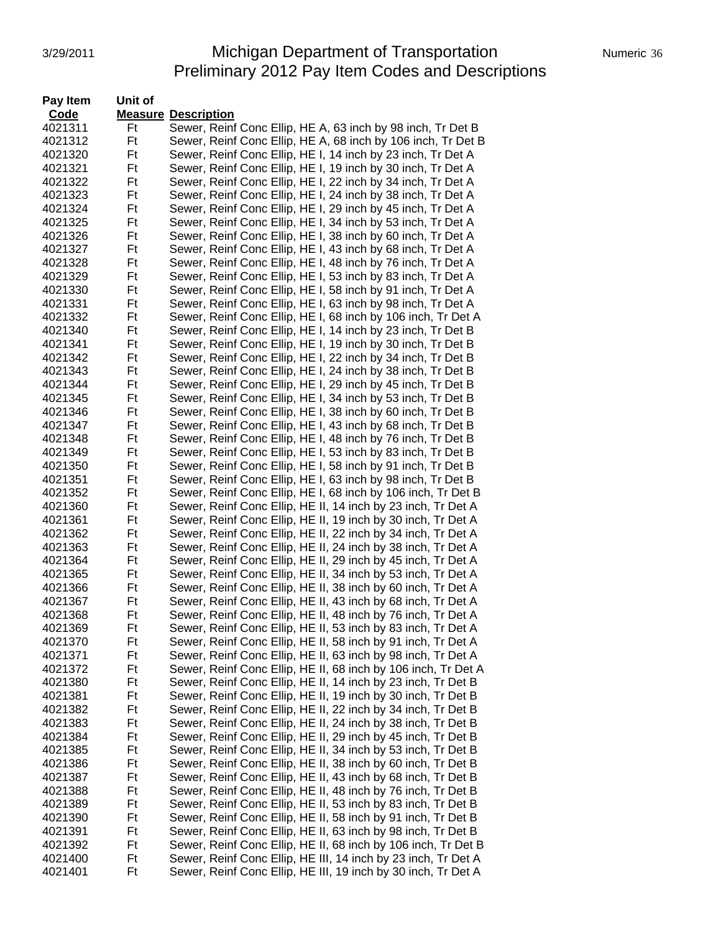#### 3/29/2011 Michigan Department of Transportation Numeric 36 Preliminary 2012 Pay Item Codes and Descriptions

| Pay Item | Unit of |                                                               |
|----------|---------|---------------------------------------------------------------|
| Code     |         | <b>Measure Description</b>                                    |
| 4021311  | Ft      | Sewer, Reinf Conc Ellip, HE A, 63 inch by 98 inch, Tr Det B   |
| 4021312  | Ft      | Sewer, Reinf Conc Ellip, HE A, 68 inch by 106 inch, Tr Det B  |
| 4021320  | Ft      | Sewer, Reinf Conc Ellip, HE I, 14 inch by 23 inch, Tr Det A   |
| 4021321  | Ft      | Sewer, Reinf Conc Ellip, HE I, 19 inch by 30 inch, Tr Det A   |
| 4021322  | Ft      | Sewer, Reinf Conc Ellip, HE I, 22 inch by 34 inch, Tr Det A   |
| 4021323  | Ft      | Sewer, Reinf Conc Ellip, HE I, 24 inch by 38 inch, Tr Det A   |
| 4021324  | Ft      | Sewer, Reinf Conc Ellip, HE I, 29 inch by 45 inch, Tr Det A   |
| 4021325  | Ft      | Sewer, Reinf Conc Ellip, HE I, 34 inch by 53 inch, Tr Det A   |
| 4021326  | Ft      | Sewer, Reinf Conc Ellip, HE I, 38 inch by 60 inch, Tr Det A   |
| 4021327  | Ft      | Sewer, Reinf Conc Ellip, HE I, 43 inch by 68 inch, Tr Det A   |
| 4021328  | Ft      | Sewer, Reinf Conc Ellip, HE I, 48 inch by 76 inch, Tr Det A   |
| 4021329  | Ft      | Sewer, Reinf Conc Ellip, HE I, 53 inch by 83 inch, Tr Det A   |
| 4021330  | Ft      | Sewer, Reinf Conc Ellip, HE I, 58 inch by 91 inch, Tr Det A   |
| 4021331  | Ft      | Sewer, Reinf Conc Ellip, HE I, 63 inch by 98 inch, Tr Det A   |
| 4021332  | Ft      | Sewer, Reinf Conc Ellip, HE I, 68 inch by 106 inch, Tr Det A  |
| 4021340  | Ft      | Sewer, Reinf Conc Ellip, HE I, 14 inch by 23 inch, Tr Det B   |
| 4021341  | Ft      | Sewer, Reinf Conc Ellip, HE I, 19 inch by 30 inch, Tr Det B   |
| 4021342  | Ft      | Sewer, Reinf Conc Ellip, HE I, 22 inch by 34 inch, Tr Det B   |
| 4021343  | Ft      | Sewer, Reinf Conc Ellip, HE I, 24 inch by 38 inch, Tr Det B   |
| 4021344  | Ft      | Sewer, Reinf Conc Ellip, HE I, 29 inch by 45 inch, Tr Det B   |
| 4021345  | Ft      | Sewer, Reinf Conc Ellip, HE I, 34 inch by 53 inch, Tr Det B   |
| 4021346  | Ft      | Sewer, Reinf Conc Ellip, HE I, 38 inch by 60 inch, Tr Det B   |
| 4021347  | Ft      | Sewer, Reinf Conc Ellip, HE I, 43 inch by 68 inch, Tr Det B   |
| 4021348  | Ft      | Sewer, Reinf Conc Ellip, HE I, 48 inch by 76 inch, Tr Det B   |
| 4021349  | Ft      | Sewer, Reinf Conc Ellip, HE I, 53 inch by 83 inch, Tr Det B   |
| 4021350  | Ft      | Sewer, Reinf Conc Ellip, HE I, 58 inch by 91 inch, Tr Det B   |
| 4021351  | Ft      | Sewer, Reinf Conc Ellip, HE I, 63 inch by 98 inch, Tr Det B   |
| 4021352  | Ft      | Sewer, Reinf Conc Ellip, HE I, 68 inch by 106 inch, Tr Det B  |
| 4021360  | Ft      | Sewer, Reinf Conc Ellip, HE II, 14 inch by 23 inch, Tr Det A  |
| 4021361  | Ft      | Sewer, Reinf Conc Ellip, HE II, 19 inch by 30 inch, Tr Det A  |
| 4021362  | Ft      | Sewer, Reinf Conc Ellip, HE II, 22 inch by 34 inch, Tr Det A  |
| 4021363  | Ft      | Sewer, Reinf Conc Ellip, HE II, 24 inch by 38 inch, Tr Det A  |
| 4021364  | Ft      | Sewer, Reinf Conc Ellip, HE II, 29 inch by 45 inch, Tr Det A  |
| 4021365  | Ft      | Sewer, Reinf Conc Ellip, HE II, 34 inch by 53 inch, Tr Det A  |
| 4021366  | Ft      | Sewer, Reinf Conc Ellip, HE II, 38 inch by 60 inch, Tr Det A  |
| 4021367  | Ft      | Sewer, Reinf Conc Ellip, HE II, 43 inch by 68 inch, Tr Det A  |
| 4021368  | Ft      | Sewer, Reinf Conc Ellip, HE II, 48 inch by 76 inch, Tr Det A  |
| 4021369  | Ft      | Sewer, Reinf Conc Ellip, HE II, 53 inch by 83 inch, Tr Det A  |
| 4021370  | Ft      | Sewer, Reinf Conc Ellip, HE II, 58 inch by 91 inch, Tr Det A  |
| 4021371  | Ft      | Sewer, Reinf Conc Ellip, HE II, 63 inch by 98 inch, Tr Det A  |
| 4021372  | Ft      | Sewer, Reinf Conc Ellip, HE II, 68 inch by 106 inch, Tr Det A |
| 4021380  | Ft      | Sewer, Reinf Conc Ellip, HE II, 14 inch by 23 inch, Tr Det B  |
| 4021381  | Ft      | Sewer, Reinf Conc Ellip, HE II, 19 inch by 30 inch, Tr Det B  |
| 4021382  | Ft      | Sewer, Reinf Conc Ellip, HE II, 22 inch by 34 inch, Tr Det B  |
| 4021383  | Ft      | Sewer, Reinf Conc Ellip, HE II, 24 inch by 38 inch, Tr Det B  |
| 4021384  | Ft      | Sewer, Reinf Conc Ellip, HE II, 29 inch by 45 inch, Tr Det B  |
| 4021385  | Ft      | Sewer, Reinf Conc Ellip, HE II, 34 inch by 53 inch, Tr Det B  |
| 4021386  | Ft      | Sewer, Reinf Conc Ellip, HE II, 38 inch by 60 inch, Tr Det B  |
| 4021387  | Ft      | Sewer, Reinf Conc Ellip, HE II, 43 inch by 68 inch, Tr Det B  |
| 4021388  | Ft      | Sewer, Reinf Conc Ellip, HE II, 48 inch by 76 inch, Tr Det B  |
| 4021389  | Ft      | Sewer, Reinf Conc Ellip, HE II, 53 inch by 83 inch, Tr Det B  |
| 4021390  | Ft      | Sewer, Reinf Conc Ellip, HE II, 58 inch by 91 inch, Tr Det B  |
| 4021391  | Ft      | Sewer, Reinf Conc Ellip, HE II, 63 inch by 98 inch, Tr Det B  |
| 4021392  | Ft      | Sewer, Reinf Conc Ellip, HE II, 68 inch by 106 inch, Tr Det B |
| 4021400  | Ft      | Sewer, Reinf Conc Ellip, HE III, 14 inch by 23 inch, Tr Det A |
| 4021401  | Ft      | Sewer, Reinf Conc Ellip, HE III, 19 inch by 30 inch, Tr Det A |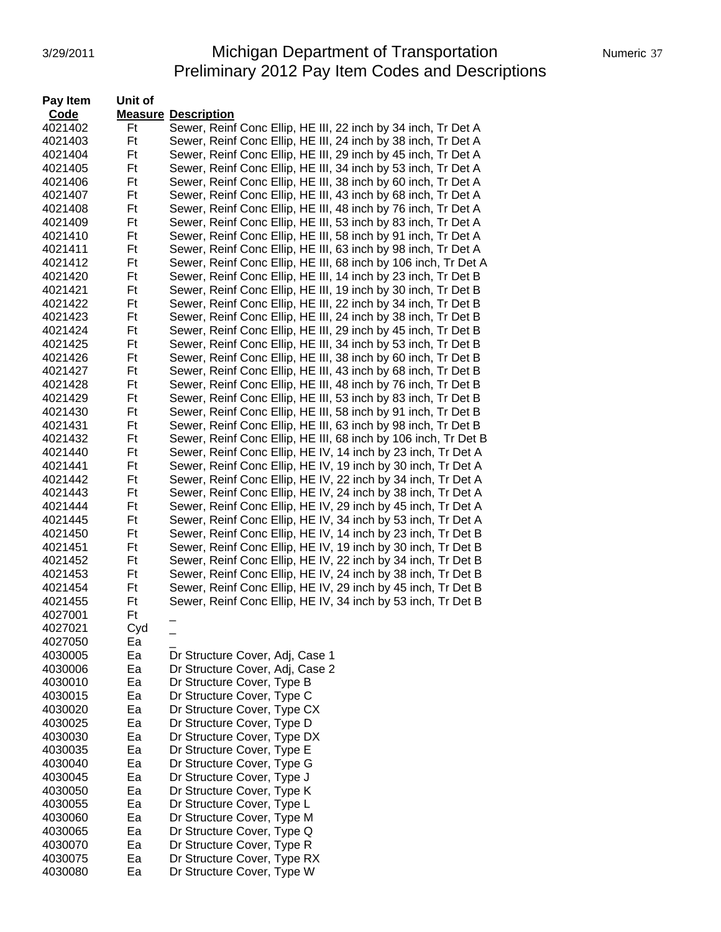## 3/29/2011 Michigan Department of Transportation Numeric 37 Preliminary 2012 Pay Item Codes and Descriptions

| Pay Item | Unit of |                                                                |
|----------|---------|----------------------------------------------------------------|
| Code     |         | <b>Measure Description</b>                                     |
| 4021402  | Ft      | Sewer, Reinf Conc Ellip, HE III, 22 inch by 34 inch, Tr Det A  |
| 4021403  | Ft      | Sewer, Reinf Conc Ellip, HE III, 24 inch by 38 inch, Tr Det A  |
| 4021404  | Ft      | Sewer, Reinf Conc Ellip, HE III, 29 inch by 45 inch, Tr Det A  |
| 4021405  | Ft      | Sewer, Reinf Conc Ellip, HE III, 34 inch by 53 inch, Tr Det A  |
| 4021406  | Ft      | Sewer, Reinf Conc Ellip, HE III, 38 inch by 60 inch, Tr Det A  |
| 4021407  | Ft      | Sewer, Reinf Conc Ellip, HE III, 43 inch by 68 inch, Tr Det A  |
| 4021408  | Ft      | Sewer, Reinf Conc Ellip, HE III, 48 inch by 76 inch, Tr Det A  |
| 4021409  | Ft      | Sewer, Reinf Conc Ellip, HE III, 53 inch by 83 inch, Tr Det A  |
| 4021410  | Ft      | Sewer, Reinf Conc Ellip, HE III, 58 inch by 91 inch, Tr Det A  |
| 4021411  | Ft      | Sewer, Reinf Conc Ellip, HE III, 63 inch by 98 inch, Tr Det A  |
| 4021412  | Ft      | Sewer, Reinf Conc Ellip, HE III, 68 inch by 106 inch, Tr Det A |
| 4021420  | Ft      | Sewer, Reinf Conc Ellip, HE III, 14 inch by 23 inch, Tr Det B  |
| 4021421  | Ft      | Sewer, Reinf Conc Ellip, HE III, 19 inch by 30 inch, Tr Det B  |
| 4021422  | Ft      | Sewer, Reinf Conc Ellip, HE III, 22 inch by 34 inch, Tr Det B  |
| 4021423  | Ft      | Sewer, Reinf Conc Ellip, HE III, 24 inch by 38 inch, Tr Det B  |
| 4021424  | Ft      | Sewer, Reinf Conc Ellip, HE III, 29 inch by 45 inch, Tr Det B  |
| 4021425  | Ft      | Sewer, Reinf Conc Ellip, HE III, 34 inch by 53 inch, Tr Det B  |
| 4021426  | Ft      | Sewer, Reinf Conc Ellip, HE III, 38 inch by 60 inch, Tr Det B  |
| 4021427  | Ft      | Sewer, Reinf Conc Ellip, HE III, 43 inch by 68 inch, Tr Det B  |
| 4021428  | Ft      | Sewer, Reinf Conc Ellip, HE III, 48 inch by 76 inch, Tr Det B  |
| 4021429  | Ft      | Sewer, Reinf Conc Ellip, HE III, 53 inch by 83 inch, Tr Det B  |
| 4021430  | Ft      | Sewer, Reinf Conc Ellip, HE III, 58 inch by 91 inch, Tr Det B  |
| 4021431  | Ft      | Sewer, Reinf Conc Ellip, HE III, 63 inch by 98 inch, Tr Det B  |
| 4021432  | Ft      | Sewer, Reinf Conc Ellip, HE III, 68 inch by 106 inch, Tr Det B |
| 4021440  | Ft      | Sewer, Reinf Conc Ellip, HE IV, 14 inch by 23 inch, Tr Det A   |
| 4021441  | Ft      | Sewer, Reinf Conc Ellip, HE IV, 19 inch by 30 inch, Tr Det A   |
| 4021442  | Ft      | Sewer, Reinf Conc Ellip, HE IV, 22 inch by 34 inch, Tr Det A   |
| 4021443  | Ft      | Sewer, Reinf Conc Ellip, HE IV, 24 inch by 38 inch, Tr Det A   |
| 4021444  | Ft      | Sewer, Reinf Conc Ellip, HE IV, 29 inch by 45 inch, Tr Det A   |
| 4021445  | Ft      | Sewer, Reinf Conc Ellip, HE IV, 34 inch by 53 inch, Tr Det A   |
| 4021450  | Ft      | Sewer, Reinf Conc Ellip, HE IV, 14 inch by 23 inch, Tr Det B   |
| 4021451  | Ft      | Sewer, Reinf Conc Ellip, HE IV, 19 inch by 30 inch, Tr Det B   |
| 4021452  | Ft      | Sewer, Reinf Conc Ellip, HE IV, 22 inch by 34 inch, Tr Det B   |
| 4021453  | Ft      | Sewer, Reinf Conc Ellip, HE IV, 24 inch by 38 inch, Tr Det B   |
| 4021454  | Ft      | Sewer, Reinf Conc Ellip, HE IV, 29 inch by 45 inch, Tr Det B   |
| 4021455  | Ft      | Sewer, Reinf Conc Ellip, HE IV, 34 inch by 53 inch, Tr Det B   |
| 4027001  | Ft      |                                                                |
| 4027021  | Cyd     |                                                                |
| 4027050  | Ea      |                                                                |
| 4030005  | Ea      | Dr Structure Cover, Adj, Case 1                                |
| 4030006  | Ea      | Dr Structure Cover, Adj, Case 2                                |
| 4030010  | Ea      | Dr Structure Cover, Type B                                     |
| 4030015  | Ea      | Dr Structure Cover, Type C                                     |
| 4030020  | Ea      | Dr Structure Cover, Type CX                                    |
| 4030025  | Ea      | Dr Structure Cover, Type D                                     |
| 4030030  | Ea      | Dr Structure Cover, Type DX                                    |
| 4030035  | Ea      | Dr Structure Cover, Type E                                     |
| 4030040  | Ea      | Dr Structure Cover, Type G                                     |
| 4030045  | Ea      | Dr Structure Cover, Type J                                     |
| 4030050  | Ea      | Dr Structure Cover, Type K                                     |
| 4030055  | Ea      | Dr Structure Cover, Type L                                     |
| 4030060  | Ea      | Dr Structure Cover, Type M                                     |
| 4030065  | Ea      | Dr Structure Cover, Type Q                                     |
| 4030070  | Ea      | Dr Structure Cover, Type R                                     |
| 4030075  | Ea      | Dr Structure Cover, Type RX                                    |
| 4030080  | Ea      | Dr Structure Cover, Type W                                     |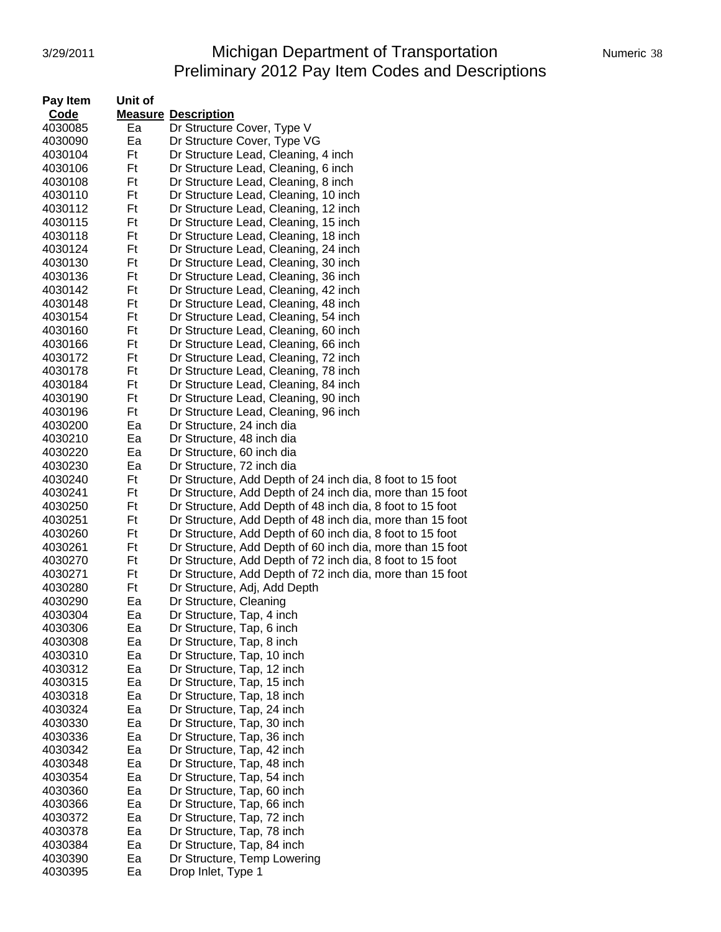# 3/29/2011 **Michigan Department of Transportation** Numeric 38 Preliminary 2012 Pay Item Codes and Descriptions

| Pay Item | Unit of |                                                           |
|----------|---------|-----------------------------------------------------------|
| Code     |         | <b>Measure Description</b>                                |
| 4030085  | Ea      | Dr Structure Cover, Type V                                |
| 4030090  | Ea      | Dr Structure Cover, Type VG                               |
| 4030104  | Ft      | Dr Structure Lead, Cleaning, 4 inch                       |
| 4030106  | Ft      | Dr Structure Lead, Cleaning, 6 inch                       |
| 4030108  | Ft      | Dr Structure Lead, Cleaning, 8 inch                       |
| 4030110  | Ft      | Dr Structure Lead, Cleaning, 10 inch                      |
| 4030112  | Ft      | Dr Structure Lead, Cleaning, 12 inch                      |
| 4030115  | Ft      | Dr Structure Lead, Cleaning, 15 inch                      |
| 4030118  | Ft      | Dr Structure Lead, Cleaning, 18 inch                      |
| 4030124  | Ft      | Dr Structure Lead, Cleaning, 24 inch                      |
| 4030130  | Ft      | Dr Structure Lead, Cleaning, 30 inch                      |
| 4030136  | Ft      | Dr Structure Lead, Cleaning, 36 inch                      |
| 4030142  | Ft      | Dr Structure Lead, Cleaning, 42 inch                      |
| 4030148  | Ft      | Dr Structure Lead, Cleaning, 48 inch                      |
| 4030154  | Ft      | Dr Structure Lead, Cleaning, 54 inch                      |
| 4030160  | Ft      | Dr Structure Lead, Cleaning, 60 inch                      |
| 4030166  | Ft      | Dr Structure Lead, Cleaning, 66 inch                      |
| 4030172  | Ft      | Dr Structure Lead, Cleaning, 72 inch                      |
| 4030178  | Ft      | Dr Structure Lead, Cleaning, 78 inch                      |
| 4030184  | Ft      | Dr Structure Lead, Cleaning, 84 inch                      |
| 4030190  | Ft      | Dr Structure Lead, Cleaning, 90 inch                      |
| 4030196  | Ft      | Dr Structure Lead, Cleaning, 96 inch                      |
| 4030200  | Ea      | Dr Structure, 24 inch dia                                 |
| 4030210  | Ea      | Dr Structure, 48 inch dia                                 |
| 4030220  | Ea      | Dr Structure, 60 inch dia                                 |
| 4030230  | Ea      | Dr Structure, 72 inch dia                                 |
| 4030240  | Ft      | Dr Structure, Add Depth of 24 inch dia, 8 foot to 15 foot |
| 4030241  | Ft      | Dr Structure, Add Depth of 24 inch dia, more than 15 foot |
| 4030250  | Ft      | Dr Structure, Add Depth of 48 inch dia, 8 foot to 15 foot |
| 4030251  | Ft      | Dr Structure, Add Depth of 48 inch dia, more than 15 foot |
| 4030260  | Ft      | Dr Structure, Add Depth of 60 inch dia, 8 foot to 15 foot |
| 4030261  | Ft      | Dr Structure, Add Depth of 60 inch dia, more than 15 foot |
| 4030270  | Ft      | Dr Structure, Add Depth of 72 inch dia, 8 foot to 15 foot |
| 4030271  | Ft      | Dr Structure, Add Depth of 72 inch dia, more than 15 foot |
| 4030280  | Ft      | Dr Structure, Adj, Add Depth                              |
| 4030290  | Ea      | Dr Structure, Cleaning                                    |
| 4030304  | Ea      | Dr Structure, Tap, 4 inch                                 |
| 4030306  | Ea      | Dr Structure, Tap, 6 inch                                 |
| 4030308  | Ea      | Dr Structure, Tap, 8 inch                                 |
| 4030310  | Ea      | Dr Structure, Tap, 10 inch                                |
| 4030312  | Ea      | Dr Structure, Tap, 12 inch                                |
| 4030315  | Ea      | Dr Structure, Tap, 15 inch                                |
| 4030318  | Ea      | Dr Structure, Tap, 18 inch                                |
| 4030324  | Ea      | Dr Structure, Tap, 24 inch                                |
| 4030330  | Ea      | Dr Structure, Tap, 30 inch                                |
| 4030336  | Ea      | Dr Structure, Tap, 36 inch                                |
| 4030342  | Ea      | Dr Structure, Tap, 42 inch                                |
| 4030348  | Ea      | Dr Structure, Tap, 48 inch                                |
| 4030354  | Ea      | Dr Structure, Tap, 54 inch                                |
| 4030360  | Ea      | Dr Structure, Tap, 60 inch                                |
| 4030366  | Ea      | Dr Structure, Tap, 66 inch                                |
| 4030372  | Ea      | Dr Structure, Tap, 72 inch                                |
| 4030378  | Ea      | Dr Structure, Tap, 78 inch                                |
| 4030384  | Ea      | Dr Structure, Tap, 84 inch                                |
| 4030390  | Ea      | Dr Structure, Temp Lowering                               |
| 4030395  | Ea      | Drop Inlet, Type 1                                        |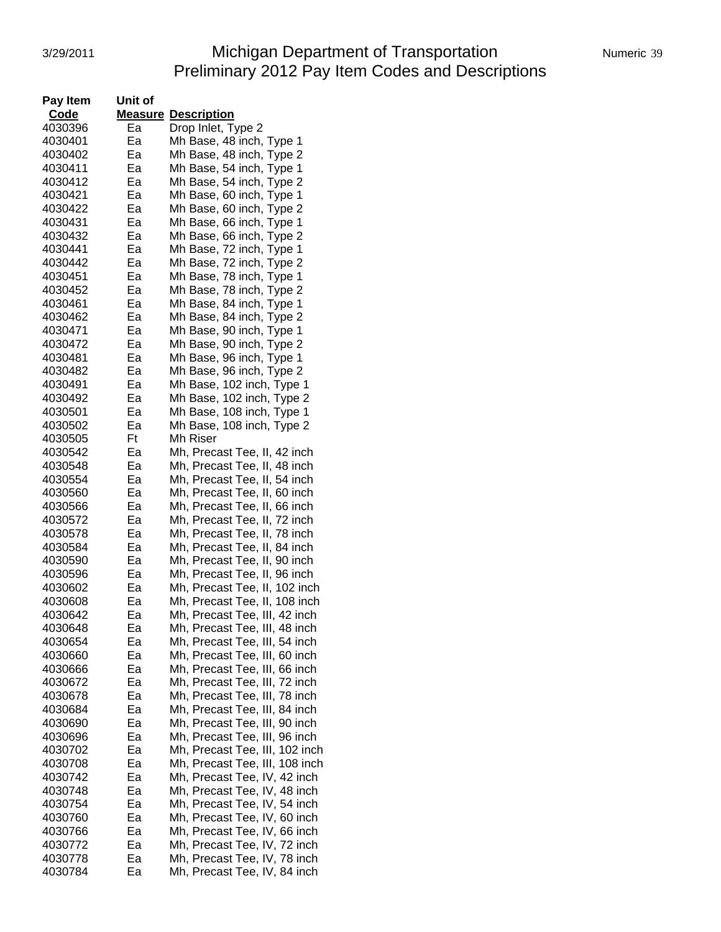# 3/29/2011 **Michigan Department of Transportation** Numeric 39 Preliminary 2012 Pay Item Codes and Descriptions

| Pay Item | Unit of |                                |
|----------|---------|--------------------------------|
| Code     |         | <b>Measure Description</b>     |
| 4030396  | Ea      | Drop Inlet, Type 2             |
| 4030401  | Ea      | Mh Base, 48 inch, Type 1       |
| 4030402  | Ea      | Mh Base, 48 inch, Type 2       |
| 4030411  | Ea      | Mh Base, 54 inch, Type 1       |
| 4030412  | Ea      | Mh Base, 54 inch, Type 2       |
| 4030421  | Ea      | Mh Base, 60 inch, Type 1       |
| 4030422  | Ea      | Mh Base, 60 inch, Type 2       |
| 4030431  | Ea      | Mh Base, 66 inch, Type 1       |
| 4030432  | Ea      | Mh Base, 66 inch, Type 2       |
| 4030441  | Ea      | Mh Base, 72 inch, Type 1       |
| 4030442  | Ea      | Mh Base, 72 inch, Type 2       |
| 4030451  | Ea      |                                |
|          |         | Mh Base, 78 inch, Type 1       |
| 4030452  | Ea      | Mh Base, 78 inch, Type 2       |
| 4030461  | Ea      | Mh Base, 84 inch, Type 1       |
| 4030462  | Ea      | Mh Base, 84 inch, Type 2       |
| 4030471  | Ea      | Mh Base, 90 inch, Type 1       |
| 4030472  | Ea      | Mh Base, 90 inch, Type 2       |
| 4030481  | Ea      | Mh Base, 96 inch, Type 1       |
| 4030482  | Ea      | Mh Base, 96 inch, Type 2       |
| 4030491  | Ea      | Mh Base, 102 inch, Type 1      |
| 4030492  | Ea      | Mh Base, 102 inch, Type 2      |
| 4030501  | Ea      | Mh Base, 108 inch, Type 1      |
| 4030502  | Ea      | Mh Base, 108 inch, Type 2      |
| 4030505  | Ft      | Mh Riser                       |
| 4030542  | Ea      | Mh, Precast Tee, II, 42 inch   |
| 4030548  | Ea      | Mh, Precast Tee, II, 48 inch   |
| 4030554  | Ea      | Mh, Precast Tee, II, 54 inch   |
| 4030560  | Ea      | Mh, Precast Tee, II, 60 inch   |
| 4030566  | Ea      | Mh, Precast Tee, II, 66 inch   |
| 4030572  | Ea      | Mh, Precast Tee, II, 72 inch   |
| 4030578  | Ea      | Mh, Precast Tee, II, 78 inch   |
| 4030584  | Ea      | Mh, Precast Tee, II, 84 inch   |
| 4030590  | Ea      | Mh, Precast Tee, II, 90 inch   |
| 4030596  | Ea      | Mh, Precast Tee, II, 96 inch   |
| 4030602  | Ea      | Mh, Precast Tee, II, 102 inch  |
| 4030608  | Ea      | Mh, Precast Tee, II, 108 inch  |
| 4030642  | Ea      | Mh, Precast Tee, III, 42 inch  |
| 4030648  | Ea      | Mh, Precast Tee, III, 48 inch  |
| 4030654  | Ea      | Mh, Precast Tee, III, 54 inch  |
| 4030660  | Ea      | Mh, Precast Tee, III, 60 inch  |
| 4030666  | Ea      | Mh, Precast Tee, III, 66 inch  |
| 4030672  | Ea      | Mh, Precast Tee, III, 72 inch  |
| 4030678  | Ea      | Mh, Precast Tee, III, 78 inch  |
| 4030684  | Ea      | Mh, Precast Tee, III, 84 inch  |
| 4030690  | Ea      | Mh, Precast Tee, III, 90 inch  |
| 4030696  | Ea      | Mh, Precast Tee, III, 96 inch  |
| 4030702  | Ea      | Mh, Precast Tee, III, 102 inch |
| 4030708  | Ea      | Mh, Precast Tee, III, 108 inch |
| 4030742  | Ea      | Mh, Precast Tee, IV, 42 inch   |
| 4030748  | Ea      | Mh, Precast Tee, IV, 48 inch   |
| 4030754  | Ea      | Mh, Precast Tee, IV, 54 inch   |
| 4030760  | Ea      | Mh, Precast Tee, IV, 60 inch   |
| 4030766  | Ea      | Mh, Precast Tee, IV, 66 inch   |
| 4030772  | Ea      | Mh, Precast Tee, IV, 72 inch   |
| 4030778  | Ea      | Mh, Precast Tee, IV, 78 inch   |
| 4030784  | Ea      | Mh, Precast Tee, IV, 84 inch   |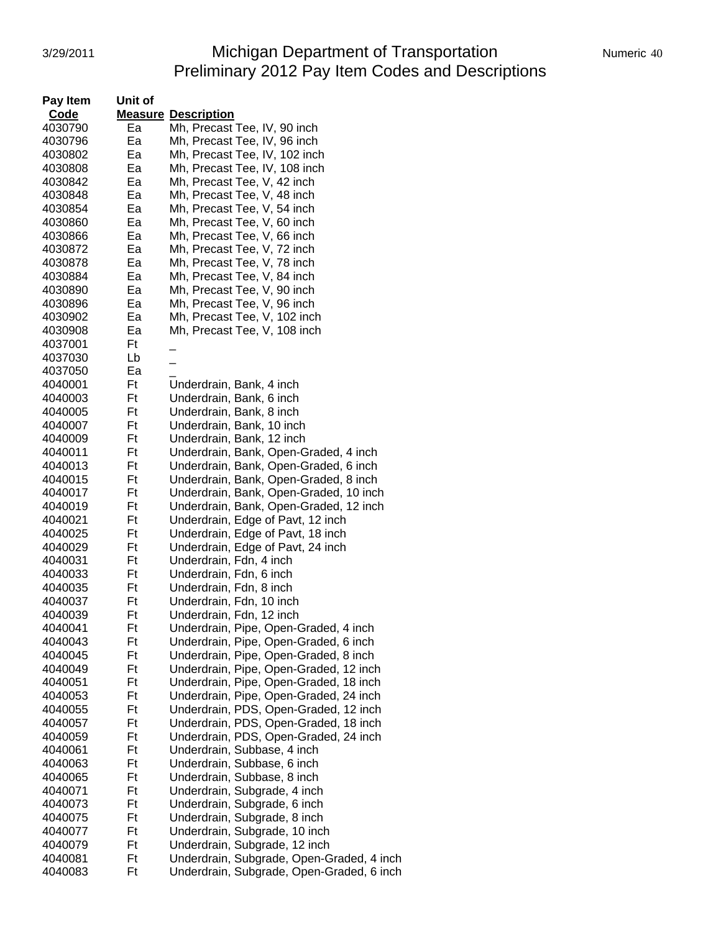# 3/29/2011 **Michigan Department of Transportation** Numeric 40 Preliminary 2012 Pay Item Codes and Descriptions

| <b>Numeric</b> |
|----------------|
|                |

| Code<br><b>Measure Description</b><br>Mh, Precast Tee, IV, 90 inch<br>4030790<br>Ea<br>4030796<br>Ea<br>Mh, Precast Tee, IV, 96 inch<br>4030802<br>Ea<br>Mh, Precast Tee, IV, 102 inch<br>Ea<br>4030808<br>Mh, Precast Tee, IV, 108 inch<br>Ea<br>4030842<br>Mh, Precast Tee, V, 42 inch<br>Ea<br>4030848<br>Mh, Precast Tee, V, 48 inch<br>4030854<br>Ea<br>Mh, Precast Tee, V, 54 inch<br>4030860<br>Ea<br>Mh, Precast Tee, V, 60 inch<br>4030866<br>Ea<br>Mh, Precast Tee, V, 66 inch<br>4030872<br>Ea<br>Mh, Precast Tee, V, 72 inch<br>4030878<br>Ea<br>Mh, Precast Tee, V, 78 inch<br>Mh, Precast Tee, V, 84 inch<br>4030884<br>Ea<br>Mh, Precast Tee, V, 90 inch<br>4030890<br>Ea<br>4030896<br>Ea<br>Mh, Precast Tee, V, 96 inch<br>Ea<br>Mh, Precast Tee, V, 102 inch<br>4030902<br>4030908<br>Ea<br>Mh, Precast Tee, V, 108 inch<br>Ft<br>4037001<br>Lb<br>4037030<br>Ea<br>4037050<br>Ft<br>4040001<br>Underdrain, Bank, 4 inch<br>Ft<br>Underdrain, Bank, 6 inch<br>4040003<br>4040005<br>Ft<br>Underdrain, Bank, 8 inch<br>Ft<br>Underdrain, Bank, 10 inch<br>4040007<br>Ft<br>Underdrain, Bank, 12 inch<br>4040009<br>Ft<br>Underdrain, Bank, Open-Graded, 4 inch<br>4040011<br>Ft<br>4040013<br>Underdrain, Bank, Open-Graded, 6 inch<br>Ft<br>4040015<br>Underdrain, Bank, Open-Graded, 8 inch<br>Ft<br>Underdrain, Bank, Open-Graded, 10 inch<br>4040017<br>Ft<br>Underdrain, Bank, Open-Graded, 12 inch<br>4040019<br>Ft<br>Underdrain, Edge of Pavt, 12 inch<br>4040021<br>Ft<br>Underdrain, Edge of Pavt, 18 inch<br>4040025<br>Ft<br>Underdrain, Edge of Pavt, 24 inch<br>4040029<br>Underdrain, Fdn, 4 inch<br>4040031<br>Ft<br>4040033<br>Ft<br>Underdrain, Fdn, 6 inch<br>Underdrain, Fdn, 8 inch<br>4040035<br>Ft<br>Underdrain, Fdn, 10 inch<br>4040037<br>Ft<br>4040039<br>Ft<br>Underdrain, Fdn, 12 inch<br>4040041<br>Underdrain, Pipe, Open-Graded, 4 inch<br>Ft<br>4040043<br>Ft<br>Underdrain, Pipe, Open-Graded, 6 inch<br>Ft<br>4040045<br>Underdrain, Pipe, Open-Graded, 8 inch<br>Ft<br>Underdrain, Pipe, Open-Graded, 12 inch<br>4040049<br>Ft<br>4040051<br>Underdrain, Pipe, Open-Graded, 18 inch<br>Ft<br>Underdrain, Pipe, Open-Graded, 24 inch<br>4040053<br>Ft<br>Underdrain, PDS, Open-Graded, 12 inch<br>4040055<br>4040057<br>Ft<br>Underdrain, PDS, Open-Graded, 18 inch<br>Ft<br>Underdrain, PDS, Open-Graded, 24 inch<br>4040059<br>Ft<br>Underdrain, Subbase, 4 inch<br>4040061<br>Underdrain, Subbase, 6 inch<br>Ft<br>4040063<br>Underdrain, Subbase, 8 inch<br>4040065<br>Ft<br>Ft<br>Underdrain, Subgrade, 4 inch<br>4040071<br>Ft<br>Underdrain, Subgrade, 6 inch<br>4040073<br>Ft<br>4040075<br>Underdrain, Subgrade, 8 inch<br>Ft<br>Underdrain, Subgrade, 10 inch<br>4040077<br>Ft<br>4040079<br>Underdrain, Subgrade, 12 inch<br>4040081<br>Ft<br>Underdrain, Subgrade, Open-Graded, 4 inch<br>Ft<br>4040083 | Pay Item | Unit of |                                           |
|-------------------------------------------------------------------------------------------------------------------------------------------------------------------------------------------------------------------------------------------------------------------------------------------------------------------------------------------------------------------------------------------------------------------------------------------------------------------------------------------------------------------------------------------------------------------------------------------------------------------------------------------------------------------------------------------------------------------------------------------------------------------------------------------------------------------------------------------------------------------------------------------------------------------------------------------------------------------------------------------------------------------------------------------------------------------------------------------------------------------------------------------------------------------------------------------------------------------------------------------------------------------------------------------------------------------------------------------------------------------------------------------------------------------------------------------------------------------------------------------------------------------------------------------------------------------------------------------------------------------------------------------------------------------------------------------------------------------------------------------------------------------------------------------------------------------------------------------------------------------------------------------------------------------------------------------------------------------------------------------------------------------------------------------------------------------------------------------------------------------------------------------------------------------------------------------------------------------------------------------------------------------------------------------------------------------------------------------------------------------------------------------------------------------------------------------------------------------------------------------------------------------------------------------------------------------------------------------------------------------------------------------------------------------------------------------------------------------------------------------------------------------------------------------------------------------------------------------------------------------------|----------|---------|-------------------------------------------|
|                                                                                                                                                                                                                                                                                                                                                                                                                                                                                                                                                                                                                                                                                                                                                                                                                                                                                                                                                                                                                                                                                                                                                                                                                                                                                                                                                                                                                                                                                                                                                                                                                                                                                                                                                                                                                                                                                                                                                                                                                                                                                                                                                                                                                                                                                                                                                                                                                                                                                                                                                                                                                                                                                                                                                                                                                                                                         |          |         |                                           |
|                                                                                                                                                                                                                                                                                                                                                                                                                                                                                                                                                                                                                                                                                                                                                                                                                                                                                                                                                                                                                                                                                                                                                                                                                                                                                                                                                                                                                                                                                                                                                                                                                                                                                                                                                                                                                                                                                                                                                                                                                                                                                                                                                                                                                                                                                                                                                                                                                                                                                                                                                                                                                                                                                                                                                                                                                                                                         |          |         |                                           |
|                                                                                                                                                                                                                                                                                                                                                                                                                                                                                                                                                                                                                                                                                                                                                                                                                                                                                                                                                                                                                                                                                                                                                                                                                                                                                                                                                                                                                                                                                                                                                                                                                                                                                                                                                                                                                                                                                                                                                                                                                                                                                                                                                                                                                                                                                                                                                                                                                                                                                                                                                                                                                                                                                                                                                                                                                                                                         |          |         |                                           |
|                                                                                                                                                                                                                                                                                                                                                                                                                                                                                                                                                                                                                                                                                                                                                                                                                                                                                                                                                                                                                                                                                                                                                                                                                                                                                                                                                                                                                                                                                                                                                                                                                                                                                                                                                                                                                                                                                                                                                                                                                                                                                                                                                                                                                                                                                                                                                                                                                                                                                                                                                                                                                                                                                                                                                                                                                                                                         |          |         |                                           |
|                                                                                                                                                                                                                                                                                                                                                                                                                                                                                                                                                                                                                                                                                                                                                                                                                                                                                                                                                                                                                                                                                                                                                                                                                                                                                                                                                                                                                                                                                                                                                                                                                                                                                                                                                                                                                                                                                                                                                                                                                                                                                                                                                                                                                                                                                                                                                                                                                                                                                                                                                                                                                                                                                                                                                                                                                                                                         |          |         |                                           |
|                                                                                                                                                                                                                                                                                                                                                                                                                                                                                                                                                                                                                                                                                                                                                                                                                                                                                                                                                                                                                                                                                                                                                                                                                                                                                                                                                                                                                                                                                                                                                                                                                                                                                                                                                                                                                                                                                                                                                                                                                                                                                                                                                                                                                                                                                                                                                                                                                                                                                                                                                                                                                                                                                                                                                                                                                                                                         |          |         |                                           |
|                                                                                                                                                                                                                                                                                                                                                                                                                                                                                                                                                                                                                                                                                                                                                                                                                                                                                                                                                                                                                                                                                                                                                                                                                                                                                                                                                                                                                                                                                                                                                                                                                                                                                                                                                                                                                                                                                                                                                                                                                                                                                                                                                                                                                                                                                                                                                                                                                                                                                                                                                                                                                                                                                                                                                                                                                                                                         |          |         |                                           |
|                                                                                                                                                                                                                                                                                                                                                                                                                                                                                                                                                                                                                                                                                                                                                                                                                                                                                                                                                                                                                                                                                                                                                                                                                                                                                                                                                                                                                                                                                                                                                                                                                                                                                                                                                                                                                                                                                                                                                                                                                                                                                                                                                                                                                                                                                                                                                                                                                                                                                                                                                                                                                                                                                                                                                                                                                                                                         |          |         |                                           |
|                                                                                                                                                                                                                                                                                                                                                                                                                                                                                                                                                                                                                                                                                                                                                                                                                                                                                                                                                                                                                                                                                                                                                                                                                                                                                                                                                                                                                                                                                                                                                                                                                                                                                                                                                                                                                                                                                                                                                                                                                                                                                                                                                                                                                                                                                                                                                                                                                                                                                                                                                                                                                                                                                                                                                                                                                                                                         |          |         |                                           |
|                                                                                                                                                                                                                                                                                                                                                                                                                                                                                                                                                                                                                                                                                                                                                                                                                                                                                                                                                                                                                                                                                                                                                                                                                                                                                                                                                                                                                                                                                                                                                                                                                                                                                                                                                                                                                                                                                                                                                                                                                                                                                                                                                                                                                                                                                                                                                                                                                                                                                                                                                                                                                                                                                                                                                                                                                                                                         |          |         |                                           |
|                                                                                                                                                                                                                                                                                                                                                                                                                                                                                                                                                                                                                                                                                                                                                                                                                                                                                                                                                                                                                                                                                                                                                                                                                                                                                                                                                                                                                                                                                                                                                                                                                                                                                                                                                                                                                                                                                                                                                                                                                                                                                                                                                                                                                                                                                                                                                                                                                                                                                                                                                                                                                                                                                                                                                                                                                                                                         |          |         |                                           |
|                                                                                                                                                                                                                                                                                                                                                                                                                                                                                                                                                                                                                                                                                                                                                                                                                                                                                                                                                                                                                                                                                                                                                                                                                                                                                                                                                                                                                                                                                                                                                                                                                                                                                                                                                                                                                                                                                                                                                                                                                                                                                                                                                                                                                                                                                                                                                                                                                                                                                                                                                                                                                                                                                                                                                                                                                                                                         |          |         |                                           |
|                                                                                                                                                                                                                                                                                                                                                                                                                                                                                                                                                                                                                                                                                                                                                                                                                                                                                                                                                                                                                                                                                                                                                                                                                                                                                                                                                                                                                                                                                                                                                                                                                                                                                                                                                                                                                                                                                                                                                                                                                                                                                                                                                                                                                                                                                                                                                                                                                                                                                                                                                                                                                                                                                                                                                                                                                                                                         |          |         |                                           |
|                                                                                                                                                                                                                                                                                                                                                                                                                                                                                                                                                                                                                                                                                                                                                                                                                                                                                                                                                                                                                                                                                                                                                                                                                                                                                                                                                                                                                                                                                                                                                                                                                                                                                                                                                                                                                                                                                                                                                                                                                                                                                                                                                                                                                                                                                                                                                                                                                                                                                                                                                                                                                                                                                                                                                                                                                                                                         |          |         |                                           |
|                                                                                                                                                                                                                                                                                                                                                                                                                                                                                                                                                                                                                                                                                                                                                                                                                                                                                                                                                                                                                                                                                                                                                                                                                                                                                                                                                                                                                                                                                                                                                                                                                                                                                                                                                                                                                                                                                                                                                                                                                                                                                                                                                                                                                                                                                                                                                                                                                                                                                                                                                                                                                                                                                                                                                                                                                                                                         |          |         |                                           |
|                                                                                                                                                                                                                                                                                                                                                                                                                                                                                                                                                                                                                                                                                                                                                                                                                                                                                                                                                                                                                                                                                                                                                                                                                                                                                                                                                                                                                                                                                                                                                                                                                                                                                                                                                                                                                                                                                                                                                                                                                                                                                                                                                                                                                                                                                                                                                                                                                                                                                                                                                                                                                                                                                                                                                                                                                                                                         |          |         |                                           |
|                                                                                                                                                                                                                                                                                                                                                                                                                                                                                                                                                                                                                                                                                                                                                                                                                                                                                                                                                                                                                                                                                                                                                                                                                                                                                                                                                                                                                                                                                                                                                                                                                                                                                                                                                                                                                                                                                                                                                                                                                                                                                                                                                                                                                                                                                                                                                                                                                                                                                                                                                                                                                                                                                                                                                                                                                                                                         |          |         |                                           |
|                                                                                                                                                                                                                                                                                                                                                                                                                                                                                                                                                                                                                                                                                                                                                                                                                                                                                                                                                                                                                                                                                                                                                                                                                                                                                                                                                                                                                                                                                                                                                                                                                                                                                                                                                                                                                                                                                                                                                                                                                                                                                                                                                                                                                                                                                                                                                                                                                                                                                                                                                                                                                                                                                                                                                                                                                                                                         |          |         |                                           |
|                                                                                                                                                                                                                                                                                                                                                                                                                                                                                                                                                                                                                                                                                                                                                                                                                                                                                                                                                                                                                                                                                                                                                                                                                                                                                                                                                                                                                                                                                                                                                                                                                                                                                                                                                                                                                                                                                                                                                                                                                                                                                                                                                                                                                                                                                                                                                                                                                                                                                                                                                                                                                                                                                                                                                                                                                                                                         |          |         |                                           |
|                                                                                                                                                                                                                                                                                                                                                                                                                                                                                                                                                                                                                                                                                                                                                                                                                                                                                                                                                                                                                                                                                                                                                                                                                                                                                                                                                                                                                                                                                                                                                                                                                                                                                                                                                                                                                                                                                                                                                                                                                                                                                                                                                                                                                                                                                                                                                                                                                                                                                                                                                                                                                                                                                                                                                                                                                                                                         |          |         |                                           |
|                                                                                                                                                                                                                                                                                                                                                                                                                                                                                                                                                                                                                                                                                                                                                                                                                                                                                                                                                                                                                                                                                                                                                                                                                                                                                                                                                                                                                                                                                                                                                                                                                                                                                                                                                                                                                                                                                                                                                                                                                                                                                                                                                                                                                                                                                                                                                                                                                                                                                                                                                                                                                                                                                                                                                                                                                                                                         |          |         |                                           |
|                                                                                                                                                                                                                                                                                                                                                                                                                                                                                                                                                                                                                                                                                                                                                                                                                                                                                                                                                                                                                                                                                                                                                                                                                                                                                                                                                                                                                                                                                                                                                                                                                                                                                                                                                                                                                                                                                                                                                                                                                                                                                                                                                                                                                                                                                                                                                                                                                                                                                                                                                                                                                                                                                                                                                                                                                                                                         |          |         |                                           |
|                                                                                                                                                                                                                                                                                                                                                                                                                                                                                                                                                                                                                                                                                                                                                                                                                                                                                                                                                                                                                                                                                                                                                                                                                                                                                                                                                                                                                                                                                                                                                                                                                                                                                                                                                                                                                                                                                                                                                                                                                                                                                                                                                                                                                                                                                                                                                                                                                                                                                                                                                                                                                                                                                                                                                                                                                                                                         |          |         |                                           |
|                                                                                                                                                                                                                                                                                                                                                                                                                                                                                                                                                                                                                                                                                                                                                                                                                                                                                                                                                                                                                                                                                                                                                                                                                                                                                                                                                                                                                                                                                                                                                                                                                                                                                                                                                                                                                                                                                                                                                                                                                                                                                                                                                                                                                                                                                                                                                                                                                                                                                                                                                                                                                                                                                                                                                                                                                                                                         |          |         |                                           |
|                                                                                                                                                                                                                                                                                                                                                                                                                                                                                                                                                                                                                                                                                                                                                                                                                                                                                                                                                                                                                                                                                                                                                                                                                                                                                                                                                                                                                                                                                                                                                                                                                                                                                                                                                                                                                                                                                                                                                                                                                                                                                                                                                                                                                                                                                                                                                                                                                                                                                                                                                                                                                                                                                                                                                                                                                                                                         |          |         |                                           |
|                                                                                                                                                                                                                                                                                                                                                                                                                                                                                                                                                                                                                                                                                                                                                                                                                                                                                                                                                                                                                                                                                                                                                                                                                                                                                                                                                                                                                                                                                                                                                                                                                                                                                                                                                                                                                                                                                                                                                                                                                                                                                                                                                                                                                                                                                                                                                                                                                                                                                                                                                                                                                                                                                                                                                                                                                                                                         |          |         |                                           |
|                                                                                                                                                                                                                                                                                                                                                                                                                                                                                                                                                                                                                                                                                                                                                                                                                                                                                                                                                                                                                                                                                                                                                                                                                                                                                                                                                                                                                                                                                                                                                                                                                                                                                                                                                                                                                                                                                                                                                                                                                                                                                                                                                                                                                                                                                                                                                                                                                                                                                                                                                                                                                                                                                                                                                                                                                                                                         |          |         |                                           |
|                                                                                                                                                                                                                                                                                                                                                                                                                                                                                                                                                                                                                                                                                                                                                                                                                                                                                                                                                                                                                                                                                                                                                                                                                                                                                                                                                                                                                                                                                                                                                                                                                                                                                                                                                                                                                                                                                                                                                                                                                                                                                                                                                                                                                                                                                                                                                                                                                                                                                                                                                                                                                                                                                                                                                                                                                                                                         |          |         |                                           |
|                                                                                                                                                                                                                                                                                                                                                                                                                                                                                                                                                                                                                                                                                                                                                                                                                                                                                                                                                                                                                                                                                                                                                                                                                                                                                                                                                                                                                                                                                                                                                                                                                                                                                                                                                                                                                                                                                                                                                                                                                                                                                                                                                                                                                                                                                                                                                                                                                                                                                                                                                                                                                                                                                                                                                                                                                                                                         |          |         |                                           |
|                                                                                                                                                                                                                                                                                                                                                                                                                                                                                                                                                                                                                                                                                                                                                                                                                                                                                                                                                                                                                                                                                                                                                                                                                                                                                                                                                                                                                                                                                                                                                                                                                                                                                                                                                                                                                                                                                                                                                                                                                                                                                                                                                                                                                                                                                                                                                                                                                                                                                                                                                                                                                                                                                                                                                                                                                                                                         |          |         |                                           |
|                                                                                                                                                                                                                                                                                                                                                                                                                                                                                                                                                                                                                                                                                                                                                                                                                                                                                                                                                                                                                                                                                                                                                                                                                                                                                                                                                                                                                                                                                                                                                                                                                                                                                                                                                                                                                                                                                                                                                                                                                                                                                                                                                                                                                                                                                                                                                                                                                                                                                                                                                                                                                                                                                                                                                                                                                                                                         |          |         |                                           |
|                                                                                                                                                                                                                                                                                                                                                                                                                                                                                                                                                                                                                                                                                                                                                                                                                                                                                                                                                                                                                                                                                                                                                                                                                                                                                                                                                                                                                                                                                                                                                                                                                                                                                                                                                                                                                                                                                                                                                                                                                                                                                                                                                                                                                                                                                                                                                                                                                                                                                                                                                                                                                                                                                                                                                                                                                                                                         |          |         |                                           |
|                                                                                                                                                                                                                                                                                                                                                                                                                                                                                                                                                                                                                                                                                                                                                                                                                                                                                                                                                                                                                                                                                                                                                                                                                                                                                                                                                                                                                                                                                                                                                                                                                                                                                                                                                                                                                                                                                                                                                                                                                                                                                                                                                                                                                                                                                                                                                                                                                                                                                                                                                                                                                                                                                                                                                                                                                                                                         |          |         |                                           |
|                                                                                                                                                                                                                                                                                                                                                                                                                                                                                                                                                                                                                                                                                                                                                                                                                                                                                                                                                                                                                                                                                                                                                                                                                                                                                                                                                                                                                                                                                                                                                                                                                                                                                                                                                                                                                                                                                                                                                                                                                                                                                                                                                                                                                                                                                                                                                                                                                                                                                                                                                                                                                                                                                                                                                                                                                                                                         |          |         |                                           |
|                                                                                                                                                                                                                                                                                                                                                                                                                                                                                                                                                                                                                                                                                                                                                                                                                                                                                                                                                                                                                                                                                                                                                                                                                                                                                                                                                                                                                                                                                                                                                                                                                                                                                                                                                                                                                                                                                                                                                                                                                                                                                                                                                                                                                                                                                                                                                                                                                                                                                                                                                                                                                                                                                                                                                                                                                                                                         |          |         |                                           |
|                                                                                                                                                                                                                                                                                                                                                                                                                                                                                                                                                                                                                                                                                                                                                                                                                                                                                                                                                                                                                                                                                                                                                                                                                                                                                                                                                                                                                                                                                                                                                                                                                                                                                                                                                                                                                                                                                                                                                                                                                                                                                                                                                                                                                                                                                                                                                                                                                                                                                                                                                                                                                                                                                                                                                                                                                                                                         |          |         |                                           |
|                                                                                                                                                                                                                                                                                                                                                                                                                                                                                                                                                                                                                                                                                                                                                                                                                                                                                                                                                                                                                                                                                                                                                                                                                                                                                                                                                                                                                                                                                                                                                                                                                                                                                                                                                                                                                                                                                                                                                                                                                                                                                                                                                                                                                                                                                                                                                                                                                                                                                                                                                                                                                                                                                                                                                                                                                                                                         |          |         |                                           |
|                                                                                                                                                                                                                                                                                                                                                                                                                                                                                                                                                                                                                                                                                                                                                                                                                                                                                                                                                                                                                                                                                                                                                                                                                                                                                                                                                                                                                                                                                                                                                                                                                                                                                                                                                                                                                                                                                                                                                                                                                                                                                                                                                                                                                                                                                                                                                                                                                                                                                                                                                                                                                                                                                                                                                                                                                                                                         |          |         |                                           |
|                                                                                                                                                                                                                                                                                                                                                                                                                                                                                                                                                                                                                                                                                                                                                                                                                                                                                                                                                                                                                                                                                                                                                                                                                                                                                                                                                                                                                                                                                                                                                                                                                                                                                                                                                                                                                                                                                                                                                                                                                                                                                                                                                                                                                                                                                                                                                                                                                                                                                                                                                                                                                                                                                                                                                                                                                                                                         |          |         |                                           |
|                                                                                                                                                                                                                                                                                                                                                                                                                                                                                                                                                                                                                                                                                                                                                                                                                                                                                                                                                                                                                                                                                                                                                                                                                                                                                                                                                                                                                                                                                                                                                                                                                                                                                                                                                                                                                                                                                                                                                                                                                                                                                                                                                                                                                                                                                                                                                                                                                                                                                                                                                                                                                                                                                                                                                                                                                                                                         |          |         |                                           |
|                                                                                                                                                                                                                                                                                                                                                                                                                                                                                                                                                                                                                                                                                                                                                                                                                                                                                                                                                                                                                                                                                                                                                                                                                                                                                                                                                                                                                                                                                                                                                                                                                                                                                                                                                                                                                                                                                                                                                                                                                                                                                                                                                                                                                                                                                                                                                                                                                                                                                                                                                                                                                                                                                                                                                                                                                                                                         |          |         |                                           |
|                                                                                                                                                                                                                                                                                                                                                                                                                                                                                                                                                                                                                                                                                                                                                                                                                                                                                                                                                                                                                                                                                                                                                                                                                                                                                                                                                                                                                                                                                                                                                                                                                                                                                                                                                                                                                                                                                                                                                                                                                                                                                                                                                                                                                                                                                                                                                                                                                                                                                                                                                                                                                                                                                                                                                                                                                                                                         |          |         |                                           |
|                                                                                                                                                                                                                                                                                                                                                                                                                                                                                                                                                                                                                                                                                                                                                                                                                                                                                                                                                                                                                                                                                                                                                                                                                                                                                                                                                                                                                                                                                                                                                                                                                                                                                                                                                                                                                                                                                                                                                                                                                                                                                                                                                                                                                                                                                                                                                                                                                                                                                                                                                                                                                                                                                                                                                                                                                                                                         |          |         |                                           |
|                                                                                                                                                                                                                                                                                                                                                                                                                                                                                                                                                                                                                                                                                                                                                                                                                                                                                                                                                                                                                                                                                                                                                                                                                                                                                                                                                                                                                                                                                                                                                                                                                                                                                                                                                                                                                                                                                                                                                                                                                                                                                                                                                                                                                                                                                                                                                                                                                                                                                                                                                                                                                                                                                                                                                                                                                                                                         |          |         |                                           |
|                                                                                                                                                                                                                                                                                                                                                                                                                                                                                                                                                                                                                                                                                                                                                                                                                                                                                                                                                                                                                                                                                                                                                                                                                                                                                                                                                                                                                                                                                                                                                                                                                                                                                                                                                                                                                                                                                                                                                                                                                                                                                                                                                                                                                                                                                                                                                                                                                                                                                                                                                                                                                                                                                                                                                                                                                                                                         |          |         |                                           |
|                                                                                                                                                                                                                                                                                                                                                                                                                                                                                                                                                                                                                                                                                                                                                                                                                                                                                                                                                                                                                                                                                                                                                                                                                                                                                                                                                                                                                                                                                                                                                                                                                                                                                                                                                                                                                                                                                                                                                                                                                                                                                                                                                                                                                                                                                                                                                                                                                                                                                                                                                                                                                                                                                                                                                                                                                                                                         |          |         |                                           |
|                                                                                                                                                                                                                                                                                                                                                                                                                                                                                                                                                                                                                                                                                                                                                                                                                                                                                                                                                                                                                                                                                                                                                                                                                                                                                                                                                                                                                                                                                                                                                                                                                                                                                                                                                                                                                                                                                                                                                                                                                                                                                                                                                                                                                                                                                                                                                                                                                                                                                                                                                                                                                                                                                                                                                                                                                                                                         |          |         |                                           |
|                                                                                                                                                                                                                                                                                                                                                                                                                                                                                                                                                                                                                                                                                                                                                                                                                                                                                                                                                                                                                                                                                                                                                                                                                                                                                                                                                                                                                                                                                                                                                                                                                                                                                                                                                                                                                                                                                                                                                                                                                                                                                                                                                                                                                                                                                                                                                                                                                                                                                                                                                                                                                                                                                                                                                                                                                                                                         |          |         |                                           |
|                                                                                                                                                                                                                                                                                                                                                                                                                                                                                                                                                                                                                                                                                                                                                                                                                                                                                                                                                                                                                                                                                                                                                                                                                                                                                                                                                                                                                                                                                                                                                                                                                                                                                                                                                                                                                                                                                                                                                                                                                                                                                                                                                                                                                                                                                                                                                                                                                                                                                                                                                                                                                                                                                                                                                                                                                                                                         |          |         |                                           |
|                                                                                                                                                                                                                                                                                                                                                                                                                                                                                                                                                                                                                                                                                                                                                                                                                                                                                                                                                                                                                                                                                                                                                                                                                                                                                                                                                                                                                                                                                                                                                                                                                                                                                                                                                                                                                                                                                                                                                                                                                                                                                                                                                                                                                                                                                                                                                                                                                                                                                                                                                                                                                                                                                                                                                                                                                                                                         |          |         |                                           |
|                                                                                                                                                                                                                                                                                                                                                                                                                                                                                                                                                                                                                                                                                                                                                                                                                                                                                                                                                                                                                                                                                                                                                                                                                                                                                                                                                                                                                                                                                                                                                                                                                                                                                                                                                                                                                                                                                                                                                                                                                                                                                                                                                                                                                                                                                                                                                                                                                                                                                                                                                                                                                                                                                                                                                                                                                                                                         |          |         |                                           |
|                                                                                                                                                                                                                                                                                                                                                                                                                                                                                                                                                                                                                                                                                                                                                                                                                                                                                                                                                                                                                                                                                                                                                                                                                                                                                                                                                                                                                                                                                                                                                                                                                                                                                                                                                                                                                                                                                                                                                                                                                                                                                                                                                                                                                                                                                                                                                                                                                                                                                                                                                                                                                                                                                                                                                                                                                                                                         |          |         |                                           |
|                                                                                                                                                                                                                                                                                                                                                                                                                                                                                                                                                                                                                                                                                                                                                                                                                                                                                                                                                                                                                                                                                                                                                                                                                                                                                                                                                                                                                                                                                                                                                                                                                                                                                                                                                                                                                                                                                                                                                                                                                                                                                                                                                                                                                                                                                                                                                                                                                                                                                                                                                                                                                                                                                                                                                                                                                                                                         |          |         |                                           |
|                                                                                                                                                                                                                                                                                                                                                                                                                                                                                                                                                                                                                                                                                                                                                                                                                                                                                                                                                                                                                                                                                                                                                                                                                                                                                                                                                                                                                                                                                                                                                                                                                                                                                                                                                                                                                                                                                                                                                                                                                                                                                                                                                                                                                                                                                                                                                                                                                                                                                                                                                                                                                                                                                                                                                                                                                                                                         |          |         |                                           |
|                                                                                                                                                                                                                                                                                                                                                                                                                                                                                                                                                                                                                                                                                                                                                                                                                                                                                                                                                                                                                                                                                                                                                                                                                                                                                                                                                                                                                                                                                                                                                                                                                                                                                                                                                                                                                                                                                                                                                                                                                                                                                                                                                                                                                                                                                                                                                                                                                                                                                                                                                                                                                                                                                                                                                                                                                                                                         |          |         |                                           |
|                                                                                                                                                                                                                                                                                                                                                                                                                                                                                                                                                                                                                                                                                                                                                                                                                                                                                                                                                                                                                                                                                                                                                                                                                                                                                                                                                                                                                                                                                                                                                                                                                                                                                                                                                                                                                                                                                                                                                                                                                                                                                                                                                                                                                                                                                                                                                                                                                                                                                                                                                                                                                                                                                                                                                                                                                                                                         |          |         |                                           |
|                                                                                                                                                                                                                                                                                                                                                                                                                                                                                                                                                                                                                                                                                                                                                                                                                                                                                                                                                                                                                                                                                                                                                                                                                                                                                                                                                                                                                                                                                                                                                                                                                                                                                                                                                                                                                                                                                                                                                                                                                                                                                                                                                                                                                                                                                                                                                                                                                                                                                                                                                                                                                                                                                                                                                                                                                                                                         |          |         | Underdrain, Subgrade, Open-Graded, 6 inch |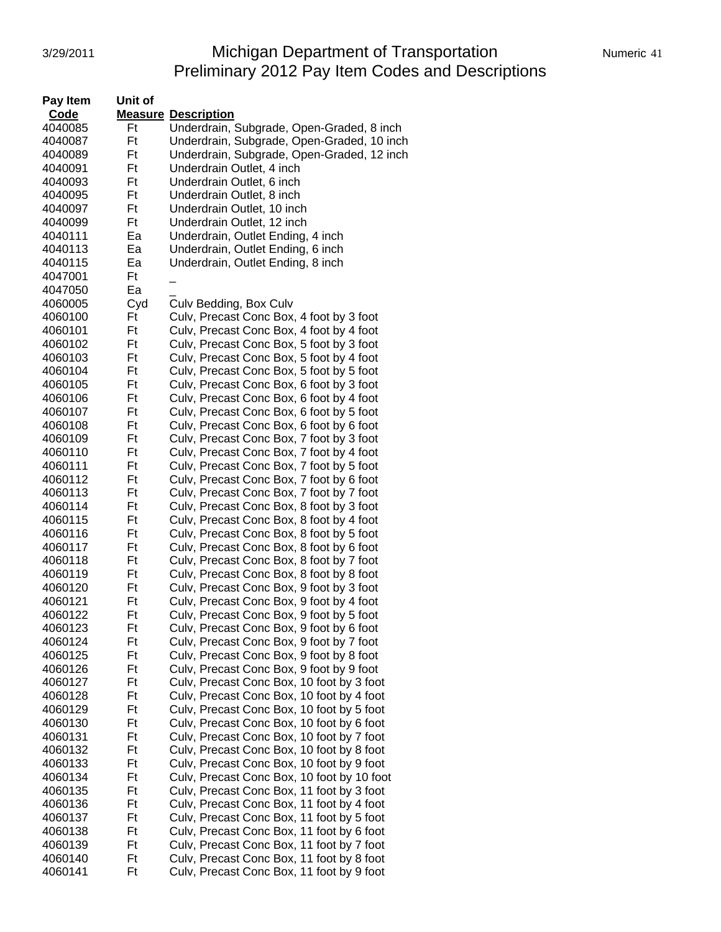### 3/29/2011 **Michigan Department of Transportation** Numeric 41 Preliminary 2012 Pay Item Codes and Descriptions

| Pay Item | Unit of |                                            |
|----------|---------|--------------------------------------------|
| Code     |         | <b>Measure Description</b>                 |
| 4040085  | Ft      | Underdrain, Subgrade, Open-Graded, 8 inch  |
| 4040087  | Ft      | Underdrain, Subgrade, Open-Graded, 10 inch |
| 4040089  | Ft      | Underdrain, Subgrade, Open-Graded, 12 inch |
| 4040091  | Ft      | Underdrain Outlet, 4 inch                  |
| 4040093  | Ft      | Underdrain Outlet, 6 inch                  |
| 4040095  | Ft      | Underdrain Outlet, 8 inch                  |
| 4040097  | Ft      | Underdrain Outlet, 10 inch                 |
| 4040099  | Ft      | Underdrain Outlet, 12 inch                 |
| 4040111  | Ea      | Underdrain, Outlet Ending, 4 inch          |
| 4040113  | Ea      | Underdrain, Outlet Ending, 6 inch          |
| 4040115  | Ea      | Underdrain, Outlet Ending, 8 inch          |
| 4047001  | Ft      |                                            |
| 4047050  | Ea      |                                            |
| 4060005  | Cyd     | Culv Bedding, Box Culv                     |
| 4060100  | Ft      | Culv, Precast Conc Box, 4 foot by 3 foot   |
| 4060101  | Ft      | Culv, Precast Conc Box, 4 foot by 4 foot   |
| 4060102  | Ft      | Culv, Precast Conc Box, 5 foot by 3 foot   |
| 4060103  | Ft      | Culv, Precast Conc Box, 5 foot by 4 foot   |
| 4060104  | Ft      | Culv, Precast Conc Box, 5 foot by 5 foot   |
| 4060105  | Ft      | Culv, Precast Conc Box, 6 foot by 3 foot   |
| 4060106  | Ft      | Culv, Precast Conc Box, 6 foot by 4 foot   |
| 4060107  | Ft      | Culv, Precast Conc Box, 6 foot by 5 foot   |
| 4060108  | Ft      | Culv, Precast Conc Box, 6 foot by 6 foot   |
| 4060109  | Ft      | Culv, Precast Conc Box, 7 foot by 3 foot   |
| 4060110  | Ft      | Culv, Precast Conc Box, 7 foot by 4 foot   |
| 4060111  | Ft      | Culv, Precast Conc Box, 7 foot by 5 foot   |
| 4060112  | Ft      | Culv, Precast Conc Box, 7 foot by 6 foot   |
| 4060113  | Ft      | Culv, Precast Conc Box, 7 foot by 7 foot   |
| 4060114  | Ft      | Culv, Precast Conc Box, 8 foot by 3 foot   |
| 4060115  | Ft      | Culv, Precast Conc Box, 8 foot by 4 foot   |
| 4060116  | Ft      | Culv, Precast Conc Box, 8 foot by 5 foot   |
| 4060117  | Ft      | Culv, Precast Conc Box, 8 foot by 6 foot   |
| 4060118  | Ft      | Culv, Precast Conc Box, 8 foot by 7 foot   |
| 4060119  | Ft      | Culv, Precast Conc Box, 8 foot by 8 foot   |
| 4060120  | Ft      | Culv, Precast Conc Box, 9 foot by 3 foot   |
| 4060121  | Ft      | Culv, Precast Conc Box, 9 foot by 4 foot   |
| 4060122  | Ft      | Culv, Precast Conc Box, 9 foot by 5 foot   |
| 4060123  | Ft      | Culv, Precast Conc Box, 9 foot by 6 foot   |
| 4060124  | Ft      | Culv, Precast Conc Box, 9 foot by 7 foot   |
| 4060125  | Ft      | Culv, Precast Conc Box, 9 foot by 8 foot   |
| 4060126  | Ft      | Culv, Precast Conc Box, 9 foot by 9 foot   |
| 4060127  | Ft      | Culv, Precast Conc Box, 10 foot by 3 foot  |
| 4060128  | Ft      | Culv, Precast Conc Box, 10 foot by 4 foot  |
| 4060129  | Ft      | Culv, Precast Conc Box, 10 foot by 5 foot  |
| 4060130  | Ft      | Culv, Precast Conc Box, 10 foot by 6 foot  |
| 4060131  | Ft      | Culv, Precast Conc Box, 10 foot by 7 foot  |
| 4060132  | Ft      | Culv, Precast Conc Box, 10 foot by 8 foot  |
| 4060133  | Ft      | Culv, Precast Conc Box, 10 foot by 9 foot  |
| 4060134  | Ft      | Culv, Precast Conc Box, 10 foot by 10 foot |
| 4060135  | Ft      | Culv, Precast Conc Box, 11 foot by 3 foot  |
| 4060136  | Ft      | Culv, Precast Conc Box, 11 foot by 4 foot  |
| 4060137  | Ft      | Culv, Precast Conc Box, 11 foot by 5 foot  |
| 4060138  | Ft      | Culv, Precast Conc Box, 11 foot by 6 foot  |
| 4060139  | Ft      | Culv, Precast Conc Box, 11 foot by 7 foot  |
| 4060140  | Ft      | Culv, Precast Conc Box, 11 foot by 8 foot  |
| 4060141  | Ft      | Culv, Precast Conc Box, 11 foot by 9 foot  |
|          |         |                                            |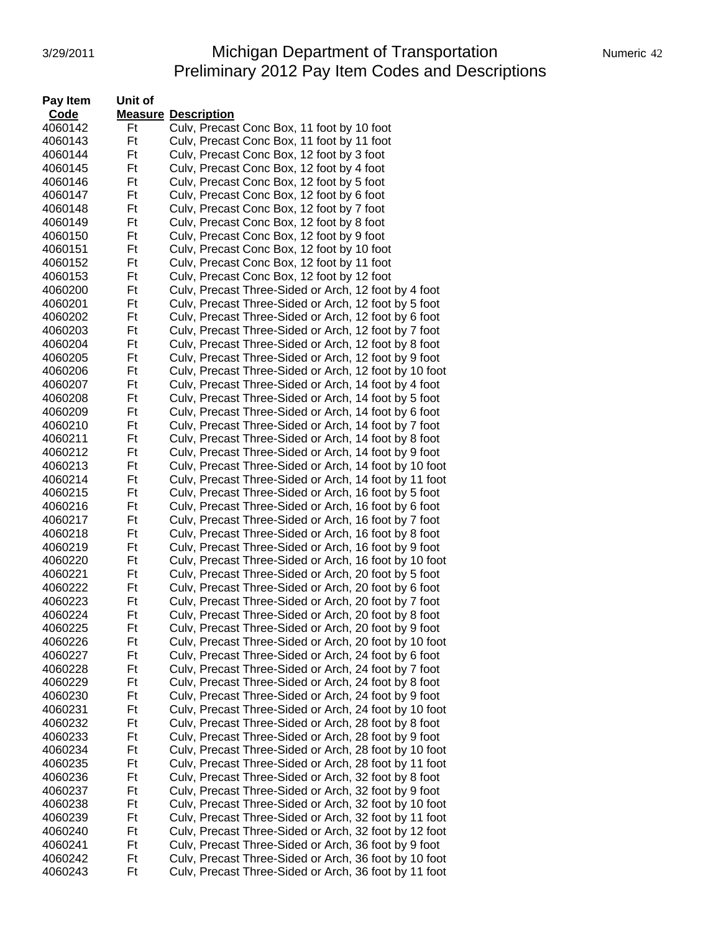### 3/29/2011 **Michigan Department of Transportation** Numeric 42 Preliminary 2012 Pay Item Codes and Descriptions

| Pay Item | Unit of |                                                       |
|----------|---------|-------------------------------------------------------|
| Code     |         | <b>Measure Description</b>                            |
| 4060142  | Ft      | Culv, Precast Conc Box, 11 foot by 10 foot            |
| 4060143  | Ft      | Culv, Precast Conc Box, 11 foot by 11 foot            |
| 4060144  | Ft      | Culv, Precast Conc Box, 12 foot by 3 foot             |
| 4060145  | Ft      | Culv, Precast Conc Box, 12 foot by 4 foot             |
| 4060146  | Ft      | Culv, Precast Conc Box, 12 foot by 5 foot             |
| 4060147  | Ft      | Culv, Precast Conc Box, 12 foot by 6 foot             |
| 4060148  | Ft      | Culv, Precast Conc Box, 12 foot by 7 foot             |
| 4060149  | Ft      | Culv, Precast Conc Box, 12 foot by 8 foot             |
| 4060150  | Ft      | Culv, Precast Conc Box, 12 foot by 9 foot             |
| 4060151  | Ft      | Culv, Precast Conc Box, 12 foot by 10 foot            |
| 4060152  | Ft      | Culv, Precast Conc Box, 12 foot by 11 foot            |
| 4060153  | Ft      | Culv, Precast Conc Box, 12 foot by 12 foot            |
| 4060200  | Ft      | Culv, Precast Three-Sided or Arch, 12 foot by 4 foot  |
| 4060201  | Ft      | Culv, Precast Three-Sided or Arch, 12 foot by 5 foot  |
| 4060202  | Ft      | Culv, Precast Three-Sided or Arch, 12 foot by 6 foot  |
| 4060203  | Ft      | Culv, Precast Three-Sided or Arch, 12 foot by 7 foot  |
| 4060204  | Ft      | Culv, Precast Three-Sided or Arch, 12 foot by 8 foot  |
| 4060205  | Ft      | Culv, Precast Three-Sided or Arch, 12 foot by 9 foot  |
| 4060206  | Ft      | Culv, Precast Three-Sided or Arch, 12 foot by 10 foot |
| 4060207  | Ft      | Culv, Precast Three-Sided or Arch, 14 foot by 4 foot  |
| 4060208  | Ft      | Culv, Precast Three-Sided or Arch, 14 foot by 5 foot  |
| 4060209  | Ft      | Culv, Precast Three-Sided or Arch, 14 foot by 6 foot  |
| 4060210  | Ft      | Culv, Precast Three-Sided or Arch, 14 foot by 7 foot  |
| 4060211  | Ft      | Culv, Precast Three-Sided or Arch, 14 foot by 8 foot  |
| 4060212  | Ft      | Culv, Precast Three-Sided or Arch, 14 foot by 9 foot  |
| 4060213  | Ft      | Culv, Precast Three-Sided or Arch, 14 foot by 10 foot |
| 4060214  | Ft      | Culv, Precast Three-Sided or Arch, 14 foot by 11 foot |
| 4060215  | Ft      | Culv, Precast Three-Sided or Arch, 16 foot by 5 foot  |
| 4060216  | Ft      | Culv, Precast Three-Sided or Arch, 16 foot by 6 foot  |
| 4060217  | Ft      | Culv, Precast Three-Sided or Arch, 16 foot by 7 foot  |
| 4060218  | Ft      | Culv, Precast Three-Sided or Arch, 16 foot by 8 foot  |
| 4060219  | Ft      | Culv, Precast Three-Sided or Arch, 16 foot by 9 foot  |
| 4060220  | Ft      | Culv, Precast Three-Sided or Arch, 16 foot by 10 foot |
| 4060221  | Ft      | Culv, Precast Three-Sided or Arch, 20 foot by 5 foot  |
| 4060222  | Ft      | Culv, Precast Three-Sided or Arch, 20 foot by 6 foot  |
| 4060223  | Ft      | Culv, Precast Three-Sided or Arch, 20 foot by 7 foot  |
| 4060224  | Ft      | Culv, Precast Three-Sided or Arch, 20 foot by 8 foot  |
| 4060225  | Ft      | Culv, Precast Three-Sided or Arch, 20 foot by 9 foot  |
| 4060226  | Ft      | Culv, Precast Three-Sided or Arch, 20 foot by 10 foot |
| 4060227  | Ft      | Culv, Precast Three-Sided or Arch, 24 foot by 6 foot  |
| 4060228  | Ft      | Culv, Precast Three-Sided or Arch, 24 foot by 7 foot  |
| 4060229  | Ft      | Culv, Precast Three-Sided or Arch, 24 foot by 8 foot  |
| 4060230  | Ft      | Culv, Precast Three-Sided or Arch, 24 foot by 9 foot  |
| 4060231  | Ft      | Culv, Precast Three-Sided or Arch, 24 foot by 10 foot |
| 4060232  | Ft      | Culv, Precast Three-Sided or Arch, 28 foot by 8 foot  |
| 4060233  | Ft      | Culv, Precast Three-Sided or Arch, 28 foot by 9 foot  |
| 4060234  | Ft      | Culv, Precast Three-Sided or Arch, 28 foot by 10 foot |
| 4060235  | Ft      | Culv, Precast Three-Sided or Arch, 28 foot by 11 foot |
| 4060236  | Ft      | Culv, Precast Three-Sided or Arch, 32 foot by 8 foot  |
| 4060237  | Ft      | Culv, Precast Three-Sided or Arch, 32 foot by 9 foot  |
| 4060238  | Ft      | Culv, Precast Three-Sided or Arch, 32 foot by 10 foot |
| 4060239  | Ft      | Culv, Precast Three-Sided or Arch, 32 foot by 11 foot |
| 4060240  | Ft      | Culv, Precast Three-Sided or Arch, 32 foot by 12 foot |
| 4060241  | Ft      | Culv, Precast Three-Sided or Arch, 36 foot by 9 foot  |
| 4060242  | Ft      | Culv, Precast Three-Sided or Arch, 36 foot by 10 foot |
| 4060243  | Ft      | Culv, Precast Three-Sided or Arch, 36 foot by 11 foot |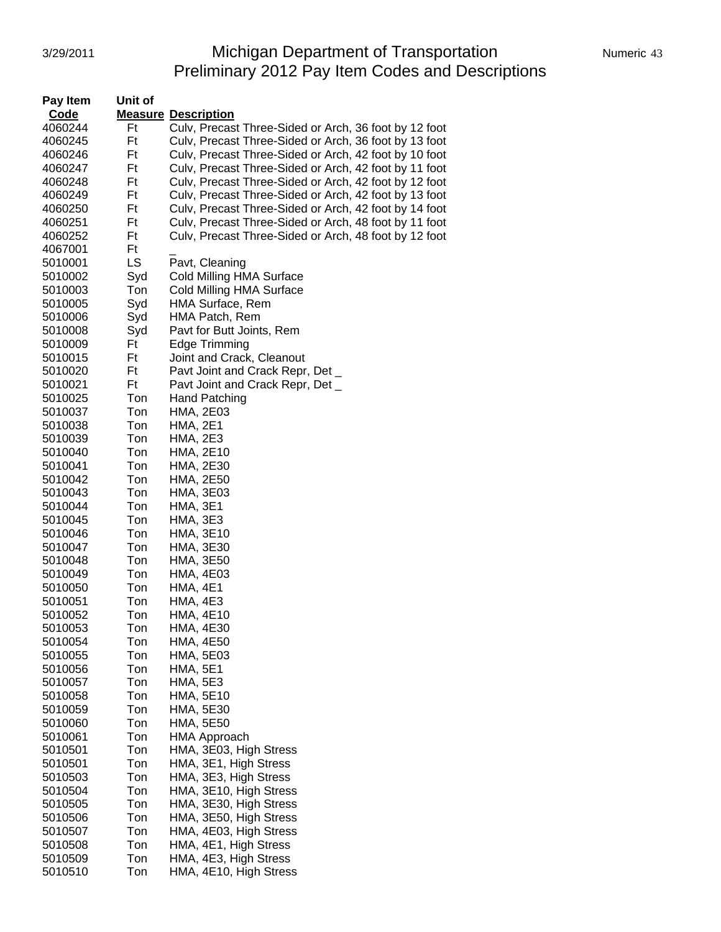# 3/29/2011 Michigan Department of Transportation Numeric 43 Preliminary 2012 Pay Item Codes and Descriptions

| <b>Pay Item</b> | Unit of |                                                       |
|-----------------|---------|-------------------------------------------------------|
| Code            |         | <b>Measure Description</b>                            |
| 4060244         | Ft      | Culv, Precast Three-Sided or Arch, 36 foot by 12 foot |
| 4060245         | Ft      | Culv, Precast Three-Sided or Arch, 36 foot by 13 foot |
| 4060246         | Ft      | Culv, Precast Three-Sided or Arch, 42 foot by 10 foot |
| 4060247         | Ft      | Culv, Precast Three-Sided or Arch, 42 foot by 11 foot |
| 4060248         | Ft      | Culv, Precast Three-Sided or Arch, 42 foot by 12 foot |
| 4060249         | Ft      | Culv, Precast Three-Sided or Arch, 42 foot by 13 foot |
| 4060250         | Ft      | Culv, Precast Three-Sided or Arch, 42 foot by 14 foot |
| 4060251         | Ft      | Culv, Precast Three-Sided or Arch, 48 foot by 11 foot |
| 4060252         | Ft      | Culv, Precast Three-Sided or Arch, 48 foot by 12 foot |
| 4067001         | Ft      |                                                       |
| 5010001         | LS      | Pavt, Cleaning                                        |
|                 |         |                                                       |
| 5010002         | Syd     | Cold Milling HMA Surface                              |
| 5010003         | Ton     | Cold Milling HMA Surface                              |
| 5010005         | Syd     | HMA Surface, Rem                                      |
| 5010006         | Syd     | HMA Patch, Rem                                        |
| 5010008         | Syd     | Pavt for Butt Joints, Rem                             |
| 5010009         | Ft      | Edge Trimming                                         |
| 5010015         | Ft      | Joint and Crack, Cleanout                             |
| 5010020         | Ft      | Pavt Joint and Crack Repr, Det _                      |
| 5010021         | Ft      | Pavt Joint and Crack Repr, Det _                      |
| 5010025         | Ton     | <b>Hand Patching</b>                                  |
| 5010037         | Ton     | <b>HMA, 2E03</b>                                      |
| 5010038         | Ton     | <b>HMA, 2E1</b>                                       |
| 5010039         | Ton     | <b>HMA, 2E3</b>                                       |
| 5010040         | Ton     | HMA, 2E10                                             |
| 5010041         | Ton     | HMA, 2E30                                             |
| 5010042         | Ton     | <b>HMA, 2E50</b>                                      |
| 5010043         | Ton     | <b>HMA, 3E03</b>                                      |
| 5010044         | Ton     | <b>HMA, 3E1</b>                                       |
| 5010045         | Ton     | <b>HMA, 3E3</b>                                       |
| 5010046         | Ton     | HMA, 3E10                                             |
| 5010047         | Ton     | HMA, 3E30                                             |
| 5010048         | Ton     | <b>HMA, 3E50</b>                                      |
| 5010049         | Ton     | <b>HMA, 4E03</b>                                      |
| 5010050         | Ton     | <b>HMA, 4E1</b>                                       |
| 5010051         | Ton     | <b>HMA, 4E3</b>                                       |
| 5010052         | Ton     | <b>HMA, 4E10</b>                                      |
| 5010053         | Ton     | <b>HMA, 4E30</b>                                      |
| 5010054         | Ton     | <b>HMA, 4E50</b>                                      |
| 5010055         | Ton     | HMA, 5E03                                             |
| 5010056         | Ton     | <b>HMA, 5E1</b>                                       |
| 5010057         | Ton     | <b>HMA, 5E3</b>                                       |
| 5010058         | Ton     | <b>HMA, 5E10</b>                                      |
| 5010059         | Ton     | HMA, 5E30                                             |
| 5010060         | Ton     | <b>HMA, 5E50</b>                                      |
| 5010061         | Ton     | HMA Approach                                          |
| 5010501         | Ton     | HMA, 3E03, High Stress                                |
| 5010501         | Ton     | HMA, 3E1, High Stress                                 |
| 5010503         | Ton     | HMA, 3E3, High Stress                                 |
| 5010504         | Ton     | HMA, 3E10, High Stress                                |
| 5010505         | Ton     | HMA, 3E30, High Stress                                |
| 5010506         | Ton     | HMA, 3E50, High Stress                                |
| 5010507         | Ton     | HMA, 4E03, High Stress                                |
| 5010508         | Ton     | HMA, 4E1, High Stress                                 |
| 5010509         | Ton     | HMA, 4E3, High Stress                                 |
| 5010510         | Ton     | HMA, 4E10, High Stress                                |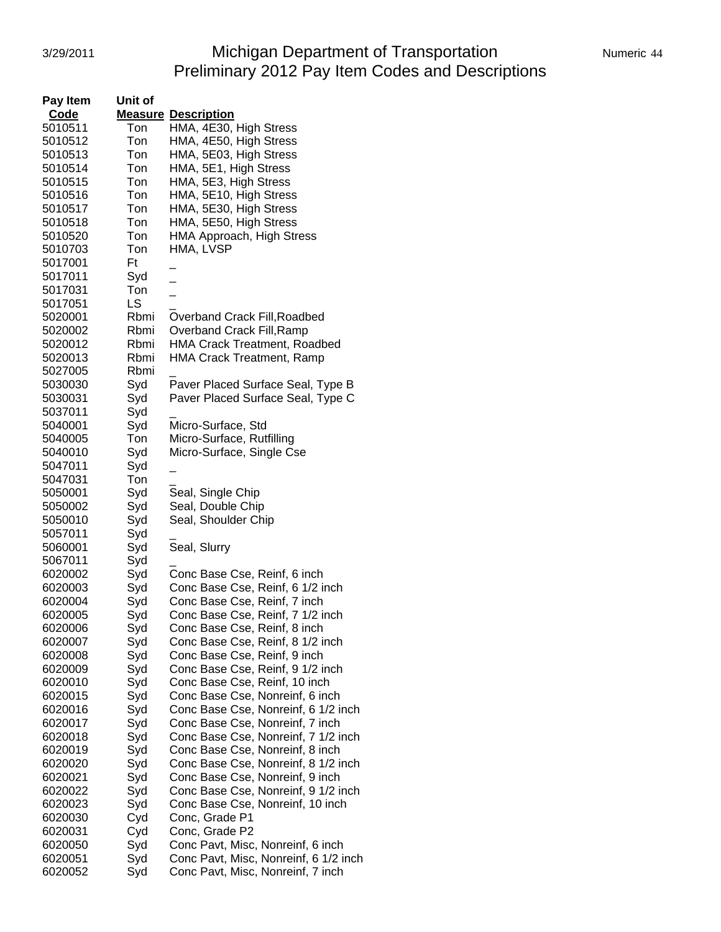# 3/29/2011 **Michigan Department of Transportation** Numeric 44 Preliminary 2012 Pay Item Codes and Descriptions

| Numeric 44 |  |
|------------|--|
|            |  |

| Pay Item | Unit of |                                       |
|----------|---------|---------------------------------------|
| Code     |         | <b>Measure Description</b>            |
| 5010511  | Ton     | HMA, 4E30, High Stress                |
| 5010512  | Ton     | HMA, 4E50, High Stress                |
| 5010513  | Ton     | HMA, 5E03, High Stress                |
| 5010514  | Ton     | HMA, 5E1, High Stress                 |
| 5010515  | Ton     | HMA, 5E3, High Stress                 |
|          |         |                                       |
| 5010516  | Ton     | HMA, 5E10, High Stress                |
| 5010517  | Ton     | HMA, 5E30, High Stress                |
| 5010518  | Ton     | HMA, 5E50, High Stress                |
| 5010520  | Ton     | HMA Approach, High Stress             |
| 5010703  | Ton     | HMA, LVSP                             |
| 5017001  | Ft      |                                       |
| 5017011  | Syd     |                                       |
| 5017031  | Ton     |                                       |
| 5017051  | LS      |                                       |
| 5020001  | Rbmi    | Overband Crack Fill, Roadbed          |
| 5020002  | Rbmi    | Overband Crack Fill, Ramp             |
| 5020012  | Rbmi    | <b>HMA Crack Treatment, Roadbed</b>   |
| 5020013  | Rbmi    | <b>HMA Crack Treatment, Ramp</b>      |
| 5027005  | Rbmi    |                                       |
| 5030030  | Syd     | Paver Placed Surface Seal, Type B     |
| 5030031  | Syd     | Paver Placed Surface Seal, Type C     |
| 5037011  | Syd     |                                       |
| 5040001  |         |                                       |
|          | Syd     | Micro-Surface, Std                    |
| 5040005  | Ton     | Micro-Surface, Rutfilling             |
| 5040010  | Syd     | Micro-Surface, Single Cse             |
| 5047011  | Syd     |                                       |
| 5047031  | Ton     |                                       |
| 5050001  | Syd     | Seal, Single Chip                     |
| 5050002  | Syd     | Seal, Double Chip                     |
| 5050010  | Syd     | Seal, Shoulder Chip                   |
| 5057011  | Syd     |                                       |
| 5060001  | Syd     | Seal, Slurry                          |
| 5067011  | Syd     |                                       |
| 6020002  | Syd     | Conc Base Cse, Reinf, 6 inch          |
| 6020003  | Syd     | Conc Base Cse, Reinf, 6 1/2 inch      |
| 6020004  | Syd     | Conc Base Cse, Reinf, 7 inch          |
| 6020005  | Syd     | Conc Base Cse, Reinf, 7 1/2 inch      |
| 6020006  | Syd     | Conc Base Cse, Reinf, 8 inch          |
| 6020007  | Syd     | Conc Base Cse, Reinf, 8 1/2 inch      |
| 6020008  | Syd     | Conc Base Cse, Reinf, 9 inch          |
| 6020009  | Syd     | Conc Base Cse, Reinf, 9 1/2 inch      |
| 6020010  | Syd     | Conc Base Cse, Reinf, 10 inch         |
| 6020015  | Syd     | Conc Base Cse, Nonreinf, 6 inch       |
| 6020016  | Syd     | Conc Base Cse, Nonreinf, 6 1/2 inch   |
|          |         | Conc Base Cse, Nonreinf, 7 inch       |
| 6020017  | Syd     |                                       |
| 6020018  | Syd     | Conc Base Cse, Nonreinf, 7 1/2 inch   |
| 6020019  | Syd     | Conc Base Cse, Nonreinf, 8 inch       |
| 6020020  | Syd     | Conc Base Cse, Nonreinf, 8 1/2 inch   |
| 6020021  | Syd     | Conc Base Cse, Nonreinf, 9 inch       |
| 6020022  | Syd     | Conc Base Cse, Nonreinf, 9 1/2 inch   |
| 6020023  | Syd     | Conc Base Cse, Nonreinf, 10 inch      |
| 6020030  | Cyd     | Conc, Grade P1                        |
| 6020031  | Cyd     | Conc, Grade P2                        |
| 6020050  | Syd     | Conc Pavt, Misc, Nonreinf, 6 inch     |
| 6020051  | Syd     | Conc Pavt, Misc, Nonreinf, 6 1/2 inch |
| 6020052  | Syd     | Conc Pavt, Misc, Nonreinf, 7 inch     |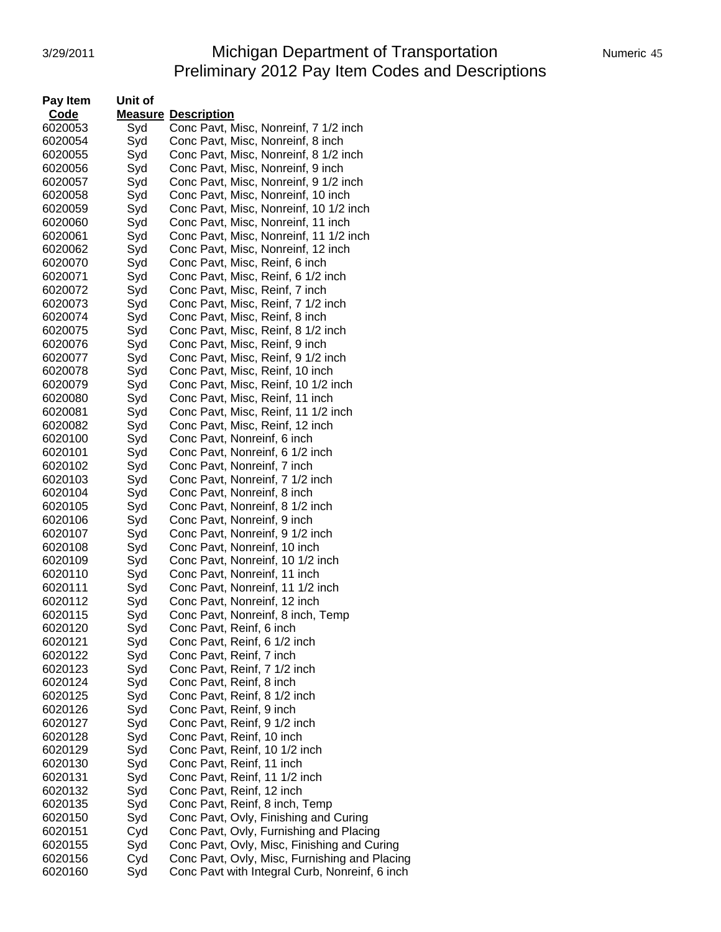### 3/29/2011 **Michigan Department of Transportation** Numeric 45 Preliminary 2012 Pay Item Codes and Descriptions

| <b>Pay Item</b> | Unit of |                                                |
|-----------------|---------|------------------------------------------------|
| Code            |         | <b>Measure Description</b>                     |
| 6020053         | Syd     | Conc Pavt, Misc, Nonreinf, 7 1/2 inch          |
| 6020054         | Syd     | Conc Pavt, Misc, Nonreinf, 8 inch              |
| 6020055         | Syd     | Conc Pavt, Misc, Nonreinf, 8 1/2 inch          |
| 6020056         | Syd     | Conc Pavt, Misc, Nonreinf, 9 inch              |
| 6020057         | Syd     | Conc Pavt, Misc, Nonreinf, 9 1/2 inch          |
| 6020058         | Syd     | Conc Pavt, Misc, Nonreinf, 10 inch             |
| 6020059         | Syd     | Conc Pavt, Misc, Nonreinf, 10 1/2 inch         |
| 6020060         | Syd     | Conc Pavt, Misc, Nonreinf, 11 inch             |
|                 |         |                                                |
| 6020061         | Syd     | Conc Pavt, Misc, Nonreinf, 11 1/2 inch         |
| 6020062         | Syd     | Conc Pavt, Misc, Nonreinf, 12 inch             |
| 6020070         | Syd     | Conc Pavt, Misc, Reinf, 6 inch                 |
| 6020071         | Syd     | Conc Pavt, Misc, Reinf, 6 1/2 inch             |
| 6020072         | Syd     | Conc Pavt, Misc, Reinf, 7 inch                 |
| 6020073         | Syd     | Conc Pavt, Misc, Reinf, 7 1/2 inch             |
| 6020074         | Syd     | Conc Pavt, Misc, Reinf, 8 inch                 |
| 6020075         | Syd     | Conc Pavt, Misc, Reinf, 8 1/2 inch             |
| 6020076         | Syd     | Conc Pavt, Misc, Reinf, 9 inch                 |
| 6020077         | Syd     | Conc Pavt, Misc, Reinf, 9 1/2 inch             |
| 6020078         | Syd     | Conc Pavt, Misc, Reinf, 10 inch                |
| 6020079         | Syd     | Conc Pavt, Misc, Reinf, 10 1/2 inch            |
| 6020080         | Syd     | Conc Pavt, Misc, Reinf, 11 inch                |
| 6020081         | Syd     | Conc Pavt, Misc, Reinf, 11 1/2 inch            |
| 6020082         | Syd     | Conc Pavt, Misc, Reinf, 12 inch                |
| 6020100         | Syd     | Conc Pavt, Nonreinf, 6 inch                    |
| 6020101         | Syd     | Conc Pavt, Nonreinf, 6 1/2 inch                |
| 6020102         | Syd     | Conc Pavt, Nonreinf, 7 inch                    |
| 6020103         | Syd     | Conc Pavt, Nonreinf, 7 1/2 inch                |
| 6020104         | Syd     | Conc Pavt, Nonreinf, 8 inch                    |
| 6020105         | Syd     | Conc Pavt, Nonreinf, 8 1/2 inch                |
| 6020106         | Syd     | Conc Pavt, Nonreinf, 9 inch                    |
| 6020107         | Syd     | Conc Pavt, Nonreinf, 9 1/2 inch                |
| 6020108         | Syd     | Conc Pavt, Nonreinf, 10 inch                   |
| 6020109         | Syd     | Conc Pavt, Nonreinf, 10 1/2 inch               |
| 6020110         | Syd     | Conc Pavt, Nonreinf, 11 inch                   |
| 6020111         | Syd     | Conc Pavt, Nonreinf, 11 1/2 inch               |
| 6020112         | Syd     | Conc Pavt, Nonreinf, 12 inch                   |
| 6020115         | Syd     | Conc Pavt, Nonreinf, 8 inch, Temp              |
| 6020120         | Syd     | Conc Pavt, Reinf, 6 inch                       |
| 6020121         | Syd     | Conc Pavt, Reinf, 6 1/2 inch                   |
| 6020122         | Syd     | Conc Pavt, Reinf, 7 inch                       |
| 6020123         | Syd     | Conc Pavt, Reinf, 7 1/2 inch                   |
| 6020124         | Syd     | Conc Pavt, Reinf, 8 inch                       |
| 6020125         | Syd     | Conc Pavt, Reinf, 8 1/2 inch                   |
| 6020126         | Syd     | Conc Pavt, Reinf, 9 inch                       |
| 6020127         | Syd     | Conc Pavt, Reinf, 9 1/2 inch                   |
| 6020128         | Syd     | Conc Pavt, Reinf, 10 inch                      |
| 6020129         | Syd     | Conc Pavt, Reinf, 10 1/2 inch                  |
| 6020130         | Syd     | Conc Pavt, Reinf, 11 inch                      |
| 6020131         | Syd     | Conc Pavt, Reinf, 11 1/2 inch                  |
|                 |         |                                                |
| 6020132         | Syd     | Conc Pavt, Reinf, 12 inch                      |
| 6020135         | Syd     | Conc Pavt, Reinf, 8 inch, Temp                 |
| 6020150         | Syd     | Conc Pavt, Ovly, Finishing and Curing          |
| 6020151         | Cyd     | Conc Pavt, Ovly, Furnishing and Placing        |
| 6020155         | Syd     | Conc Pavt, Ovly, Misc, Finishing and Curing    |
| 6020156         | Cyd     | Conc Pavt, Ovly, Misc, Furnishing and Placing  |
| 6020160         | Syd     | Conc Pavt with Integral Curb, Nonreinf, 6 inch |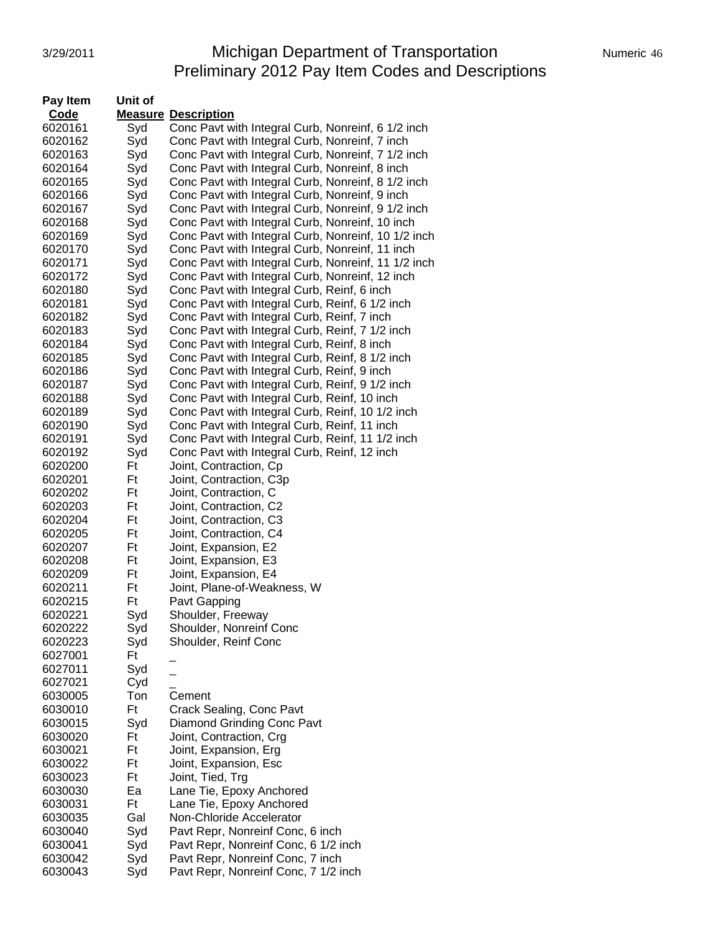# 3/29/2011 **Michigan Department of Transportation** Numeric 46 Preliminary 2012 Pay Item Codes and Descriptions

| <b>Pay Item</b>    | Unit of   |                                                     |
|--------------------|-----------|-----------------------------------------------------|
| Code               |           | <b>Measure Description</b>                          |
| 6020161            | Syd       | Conc Pavt with Integral Curb, Nonreinf, 6 1/2 inch  |
| 6020162            | Syd       | Conc Pavt with Integral Curb, Nonreinf, 7 inch      |
| 6020163            | Syd       | Conc Pavt with Integral Curb, Nonreinf, 7 1/2 inch  |
| 6020164            | Syd       | Conc Pavt with Integral Curb, Nonreinf, 8 inch      |
| 6020165            | Syd       | Conc Pavt with Integral Curb, Nonreinf, 8 1/2 inch  |
| 6020166            | Syd       | Conc Pavt with Integral Curb, Nonreinf, 9 inch      |
| 6020167            | Syd       | Conc Pavt with Integral Curb, Nonreinf, 9 1/2 inch  |
| 6020168            | Syd       | Conc Pavt with Integral Curb, Nonreinf, 10 inch     |
| 6020169            | Syd       | Conc Pavt with Integral Curb, Nonreinf, 10 1/2 inch |
| 6020170            | Syd       | Conc Pavt with Integral Curb, Nonreinf, 11 inch     |
| 6020171            | Syd       | Conc Pavt with Integral Curb, Nonreinf, 11 1/2 inch |
| 6020172            | Syd       | Conc Pavt with Integral Curb, Nonreinf, 12 inch     |
| 6020180            | Syd       | Conc Pavt with Integral Curb, Reinf, 6 inch         |
| 6020181            | Syd       | Conc Pavt with Integral Curb, Reinf, 6 1/2 inch     |
| 6020182            | Syd       | Conc Pavt with Integral Curb, Reinf, 7 inch         |
| 6020183            | Syd       | Conc Pavt with Integral Curb, Reinf, 7 1/2 inch     |
| 6020184            | Syd       | Conc Pavt with Integral Curb, Reinf, 8 inch         |
| 6020185            | Syd       | Conc Pavt with Integral Curb, Reinf, 8 1/2 inch     |
| 6020186            | Syd       | Conc Pavt with Integral Curb, Reinf, 9 inch         |
| 6020187            | Syd       | Conc Pavt with Integral Curb, Reinf, 9 1/2 inch     |
| 6020188            | Syd       | Conc Pavt with Integral Curb, Reinf, 10 inch        |
| 6020189            | Syd       | Conc Pavt with Integral Curb, Reinf, 10 1/2 inch    |
| 6020190            | Syd       | Conc Pavt with Integral Curb, Reinf, 11 inch        |
| 6020191            | Syd       | Conc Pavt with Integral Curb, Reinf, 11 1/2 inch    |
| 6020192            | Syd       | Conc Pavt with Integral Curb, Reinf, 12 inch        |
| 6020200            | Ft        | Joint, Contraction, Cp                              |
| 6020201            | Ft        | Joint, Contraction, C3p                             |
| 6020202            | Ft        | Joint, Contraction, C                               |
| 6020203            | Ft        | Joint, Contraction, C2                              |
|                    | Ft        |                                                     |
| 6020204<br>6020205 | Ft        | Joint, Contraction, C3                              |
| 6020207            | Ft        | Joint, Contraction, C4                              |
| 6020208            | Ft        | Joint, Expansion, E2<br>Joint, Expansion, E3        |
| 6020209            | Ft        |                                                     |
| 6020211            | Ft        | Joint, Expansion, E4<br>Joint, Plane-of-Weakness, W |
|                    | Ft        |                                                     |
| 6020215<br>6020221 |           | Pavt Gapping<br>Shoulder, Freeway                   |
| 6020222            | Syd       | Shoulder, Nonreinf Conc                             |
|                    | Syd       |                                                     |
| 6020223            | Syd<br>Ft | Shoulder, Reinf Conc                                |
| 6027001            |           |                                                     |
| 6027011            | Syd       |                                                     |
| 6027021            | Cyd       |                                                     |
| 6030005            | Ton       | Cement                                              |
| 6030010            | Ft        | Crack Sealing, Conc Pavt                            |
| 6030015            | Syd       | Diamond Grinding Conc Pavt                          |
| 6030020            | Ft        | Joint, Contraction, Crg                             |
| 6030021            | Ft        | Joint, Expansion, Erg                               |
| 6030022            | Ft        | Joint, Expansion, Esc                               |
| 6030023            | Ft        | Joint, Tied, Trg                                    |
| 6030030            | Ea        | Lane Tie, Epoxy Anchored                            |
| 6030031            | Ft        | Lane Tie, Epoxy Anchored                            |
| 6030035            | Gal       | Non-Chloride Accelerator                            |
| 6030040            | Syd       | Pavt Repr, Nonreinf Conc, 6 inch                    |
| 6030041            | Syd       | Pavt Repr, Nonreinf Conc, 6 1/2 inch                |
| 6030042            | Syd       | Pavt Repr, Nonreinf Conc, 7 inch                    |
| 6030043            | Syd       | Pavt Repr, Nonreinf Conc, 7 1/2 inch                |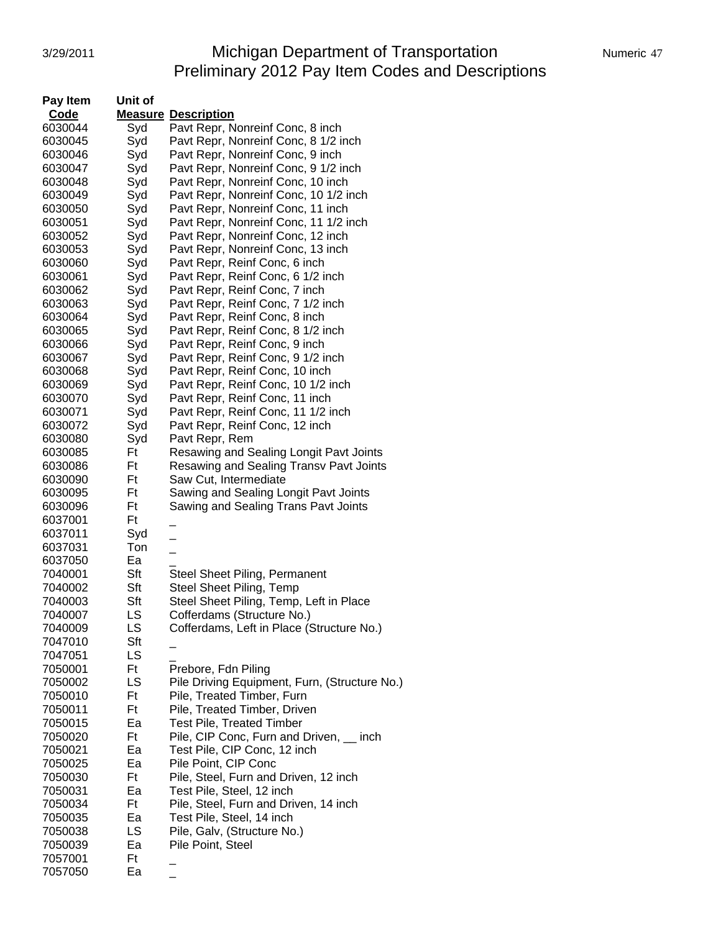# 3/29/2011 **Michigan Department of Transportation** Numeric 47 Preliminary 2012 Pay Item Codes and Descriptions

| Pay Item | Unit of |                                                |
|----------|---------|------------------------------------------------|
| Code     |         | <b>Measure Description</b>                     |
| 6030044  | Syd     | Pavt Repr, Nonreinf Conc, 8 inch               |
| 6030045  | Syd     | Pavt Repr, Nonreinf Conc, 8 1/2 inch           |
| 6030046  | Syd     | Pavt Repr, Nonreinf Conc, 9 inch               |
| 6030047  | Syd     | Pavt Repr, Nonreinf Conc, 9 1/2 inch           |
| 6030048  | Syd     | Pavt Repr, Nonreinf Conc, 10 inch              |
| 6030049  | Syd     | Pavt Repr, Nonreinf Conc, 10 1/2 inch          |
| 6030050  | Syd     | Pavt Repr, Nonreinf Conc, 11 inch              |
| 6030051  | Syd     | Pavt Repr, Nonreinf Conc, 11 1/2 inch          |
| 6030052  | Syd     | Pavt Repr, Nonreinf Conc, 12 inch              |
| 6030053  | Syd     | Pavt Repr, Nonreinf Conc, 13 inch              |
| 6030060  | Syd     | Pavt Repr, Reinf Conc, 6 inch                  |
| 6030061  | Syd     | Pavt Repr, Reinf Conc, 6 1/2 inch              |
|          | Syd     | Pavt Repr, Reinf Conc, 7 inch                  |
| 6030062  |         |                                                |
| 6030063  | Syd     | Pavt Repr, Reinf Conc, 7 1/2 inch              |
| 6030064  | Syd     | Pavt Repr, Reinf Conc, 8 inch                  |
| 6030065  | Syd     | Pavt Repr, Reinf Conc, 8 1/2 inch              |
| 6030066  | Syd     | Pavt Repr, Reinf Conc, 9 inch                  |
| 6030067  | Syd     | Pavt Repr, Reinf Conc, 9 1/2 inch              |
| 6030068  | Syd     | Pavt Repr, Reinf Conc, 10 inch                 |
| 6030069  | Syd     | Pavt Repr, Reinf Conc, 10 1/2 inch             |
| 6030070  | Syd     | Pavt Repr, Reinf Conc, 11 inch                 |
| 6030071  | Syd     | Pavt Repr, Reinf Conc, 11 1/2 inch             |
| 6030072  | Syd     | Pavt Repr, Reinf Conc, 12 inch                 |
| 6030080  | Syd     | Pavt Repr, Rem                                 |
| 6030085  | Ft      | Resawing and Sealing Longit Pavt Joints        |
| 6030086  | Ft      | <b>Resawing and Sealing Transv Pavt Joints</b> |
| 6030090  | Ft      | Saw Cut, Intermediate                          |
| 6030095  | Ft      | Sawing and Sealing Longit Pavt Joints          |
| 6030096  | Ft      | Sawing and Sealing Trans Pavt Joints           |
| 6037001  | Ft      |                                                |
| 6037011  | Syd     |                                                |
| 6037031  | Ton     | $\overline{a}$                                 |
| 6037050  | Ea      |                                                |
| 7040001  | Sft     | <b>Steel Sheet Piling, Permanent</b>           |
| 7040002  | Sft     | Steel Sheet Piling, Temp                       |
| 7040003  | Sft     | Steel Sheet Piling, Temp, Left in Place        |
| 7040007  | LS      | Cofferdams (Structure No.)                     |
| 7040009  | LS      | Cofferdams, Left in Place (Structure No.)      |
| 7047010  | Sft     |                                                |
| 7047051  | LS      |                                                |
| 7050001  | Ft      | Prebore, Fdn Piling                            |
| 7050002  | LS      | Pile Driving Equipment, Furn, (Structure No.)  |
| 7050010  | Ft      | Pile, Treated Timber, Furn                     |
| 7050011  | Ft      | Pile, Treated Timber, Driven                   |
| 7050015  | Ea      | <b>Test Pile, Treated Timber</b>               |
| 7050020  | Ft      | Pile, CIP Conc, Furn and Driven, __ inch       |
| 7050021  | Ea      | Test Pile, CIP Conc, 12 inch                   |
| 7050025  | Ea      | Pile Point, CIP Conc                           |
| 7050030  | Ft      | Pile, Steel, Furn and Driven, 12 inch          |
| 7050031  | Ea      | Test Pile, Steel, 12 inch                      |
| 7050034  | Ft      | Pile, Steel, Furn and Driven, 14 inch          |
| 7050035  | Ea      | Test Pile, Steel, 14 inch                      |
| 7050038  | LS      | Pile, Galv, (Structure No.)                    |
| 7050039  | Ea      | Pile Point, Steel                              |
| 7057001  | Ft      |                                                |
| 7057050  | Ea      |                                                |
|          |         |                                                |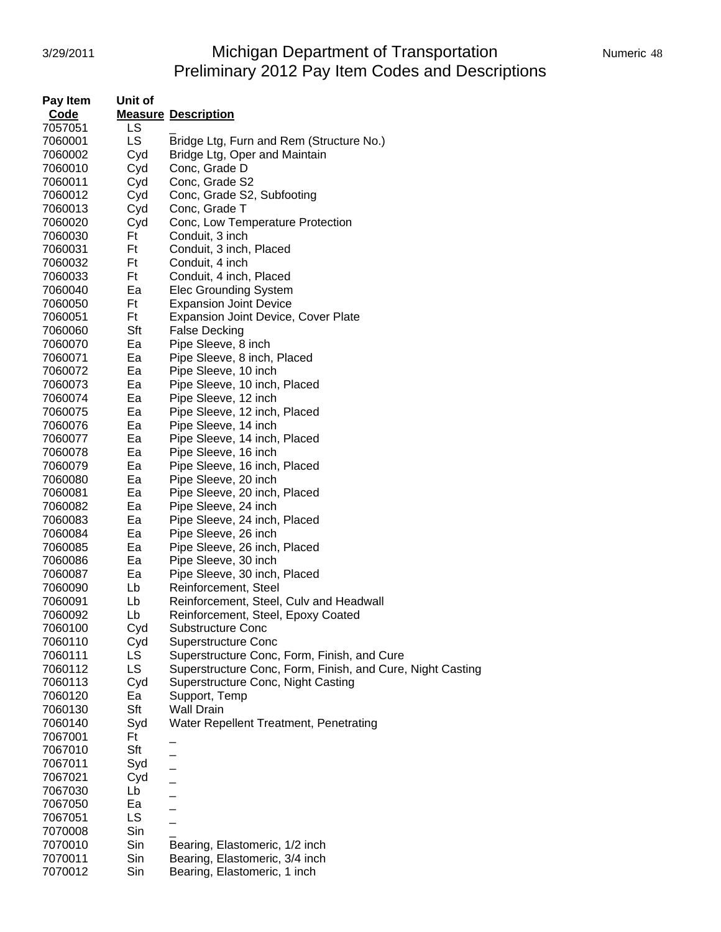# 3/29/2011 **Michigan Department of Transportation** Numeric 48 Preliminary 2012 Pay Item Codes and Descriptions

| Pay Item    | Unit of   |                                                            |
|-------------|-----------|------------------------------------------------------------|
| <b>Code</b> |           | <b>Measure Description</b>                                 |
| 7057051     | LS        |                                                            |
| 7060001     | LS        | Bridge Ltg, Furn and Rem (Structure No.)                   |
| 7060002     | Cyd       | Bridge Ltg, Oper and Maintain                              |
| 7060010     | Cyd       | Conc, Grade D                                              |
| 7060011     | Cyd       | Conc, Grade S2                                             |
| 7060012     | Cyd       | Conc, Grade S2, Subfooting                                 |
| 7060013     | Cyd       | Conc, Grade T                                              |
| 7060020     | Cyd       | Conc, Low Temperature Protection                           |
| 7060030     | Ft        | Conduit, 3 inch                                            |
| 7060031     | Ft        | Conduit, 3 inch, Placed                                    |
| 7060032     | Ft        | Conduit, 4 inch                                            |
| 7060033     | Ft        | Conduit, 4 inch, Placed                                    |
| 7060040     | Ea        | <b>Elec Grounding System</b>                               |
|             | Ft        |                                                            |
| 7060050     |           | <b>Expansion Joint Device</b>                              |
| 7060051     | Ft        | <b>Expansion Joint Device, Cover Plate</b>                 |
| 7060060     | Sft       | <b>False Decking</b>                                       |
| 7060070     | Ea        | Pipe Sleeve, 8 inch                                        |
| 7060071     | Ea        | Pipe Sleeve, 8 inch, Placed                                |
| 7060072     | Ea        | Pipe Sleeve, 10 inch                                       |
| 7060073     | Ea        | Pipe Sleeve, 10 inch, Placed                               |
| 7060074     | Ea        | Pipe Sleeve, 12 inch                                       |
| 7060075     | Ea        | Pipe Sleeve, 12 inch, Placed                               |
| 7060076     | Ea        | Pipe Sleeve, 14 inch                                       |
| 7060077     | Ea        | Pipe Sleeve, 14 inch, Placed                               |
| 7060078     | Ea        | Pipe Sleeve, 16 inch                                       |
| 7060079     | Ea        | Pipe Sleeve, 16 inch, Placed                               |
| 7060080     | Ea        | Pipe Sleeve, 20 inch                                       |
| 7060081     | Ea        | Pipe Sleeve, 20 inch, Placed                               |
| 7060082     | Ea        | Pipe Sleeve, 24 inch                                       |
| 7060083     | Ea        | Pipe Sleeve, 24 inch, Placed                               |
| 7060084     | Ea        | Pipe Sleeve, 26 inch                                       |
| 7060085     | Ea        | Pipe Sleeve, 26 inch, Placed                               |
| 7060086     | Ea        | Pipe Sleeve, 30 inch                                       |
| 7060087     | Ea        | Pipe Sleeve, 30 inch, Placed                               |
| 7060090     | Lb        | Reinforcement, Steel                                       |
| 7060091     | Lb        | Reinforcement, Steel, Culv and Headwall                    |
| 7060092     | Lb        | Reinforcement, Steel, Epoxy Coated                         |
| 7060100     | Cyd       | <b>Substructure Conc</b>                                   |
| 7060110     | Cyd       | <b>Superstructure Conc</b>                                 |
| 7060111     | LS.       | Superstructure Conc, Form, Finish, and Cure                |
| 7060112     | <b>LS</b> | Superstructure Conc, Form, Finish, and Cure, Night Casting |
| 7060113     | Cyd       | Superstructure Conc, Night Casting                         |
| 7060120     | Ea        | Support, Temp                                              |
| 7060130     | Sft       | <b>Wall Drain</b>                                          |
| 7060140     | Syd       | Water Repellent Treatment, Penetrating                     |
| 7067001     | Ft        |                                                            |
| 7067010     | Sft       |                                                            |
| 7067011     | Syd       |                                                            |
| 7067021     | Cyd       |                                                            |
| 7067030     | Lb        | $\overline{a}$                                             |
| 7067050     | Ea        |                                                            |
| 7067051     | <b>LS</b> |                                                            |
| 7070008     | Sin       |                                                            |
| 7070010     | Sin       | Bearing, Elastomeric, 1/2 inch                             |
| 7070011     | Sin       | Bearing, Elastomeric, 3/4 inch                             |
| 7070012     | Sin       | Bearing, Elastomeric, 1 inch                               |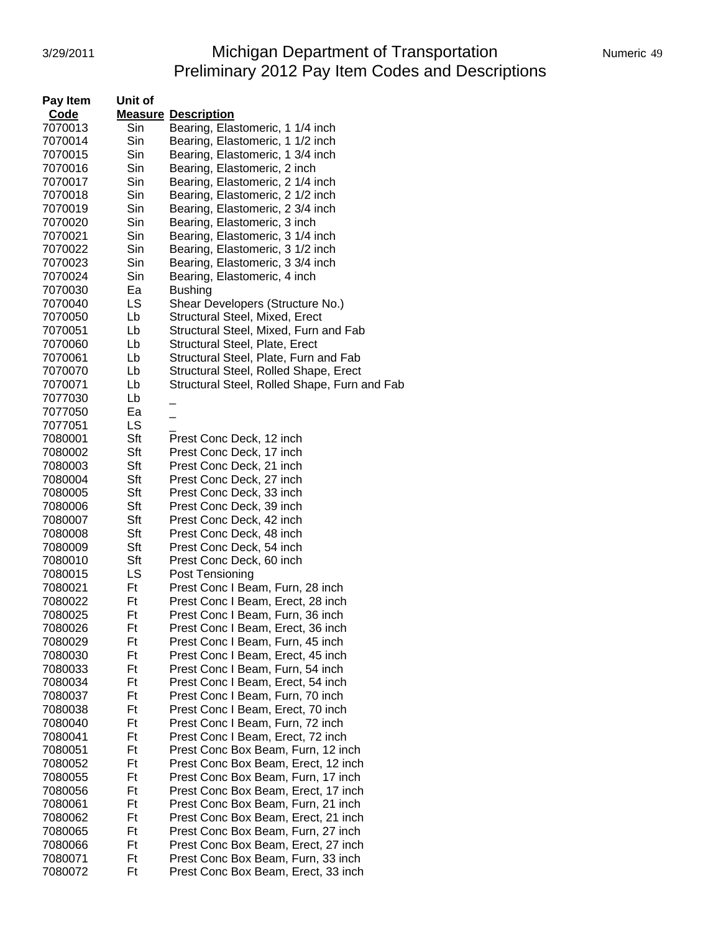# 3/29/2011 **Michigan Department of Transportation** Numeric 49 Preliminary 2012 Pay Item Codes and Descriptions

| Pay Item | Unit of |                                              |
|----------|---------|----------------------------------------------|
| Code     |         | <b>Measure Description</b>                   |
| 7070013  | Sin     | Bearing, Elastomeric, 1 1/4 inch             |
| 7070014  | Sin     | Bearing, Elastomeric, 1 1/2 inch             |
| 7070015  | Sin     | Bearing, Elastomeric, 1 3/4 inch             |
| 7070016  | Sin     | Bearing, Elastomeric, 2 inch                 |
| 7070017  | Sin     | Bearing, Elastomeric, 2 1/4 inch             |
| 7070018  | Sin     | Bearing, Elastomeric, 2 1/2 inch             |
| 7070019  | Sin     | Bearing, Elastomeric, 2 3/4 inch             |
| 7070020  | Sin     | Bearing, Elastomeric, 3 inch                 |
| 7070021  | Sin     | Bearing, Elastomeric, 3 1/4 inch             |
| 7070022  | Sin     | Bearing, Elastomeric, 3 1/2 inch             |
| 7070023  | Sin     | Bearing, Elastomeric, 3 3/4 inch             |
| 7070024  | Sin     | Bearing, Elastomeric, 4 inch                 |
| 7070030  | Ea      | <b>Bushing</b>                               |
| 7070040  | LS      | Shear Developers (Structure No.)             |
| 7070050  | Lb      | Structural Steel, Mixed, Erect               |
| 7070051  | Lb      | Structural Steel, Mixed, Furn and Fab        |
| 7070060  | Lb      | Structural Steel, Plate, Erect               |
| 7070061  | Lb      | Structural Steel, Plate, Furn and Fab        |
| 7070070  | Lb      | Structural Steel, Rolled Shape, Erect        |
| 7070071  | Lb      | Structural Steel, Rolled Shape, Furn and Fab |
| 7077030  | Lb      |                                              |
| 7077050  | Ea      |                                              |
| 7077051  | LS      |                                              |
| 7080001  | Sft     | Prest Conc Deck, 12 inch                     |
| 7080002  | Sft     | Prest Conc Deck, 17 inch                     |
| 7080003  | Sft     | Prest Conc Deck, 21 inch                     |
| 7080004  | Sft     | Prest Conc Deck, 27 inch                     |
| 7080005  | Sft     | Prest Conc Deck, 33 inch                     |
| 7080006  | Sft     | Prest Conc Deck, 39 inch                     |
| 7080007  | Sft     | Prest Conc Deck, 42 inch                     |
| 7080008  | Sft     | Prest Conc Deck, 48 inch                     |
| 7080009  | Sft     | Prest Conc Deck, 54 inch                     |
| 7080010  | Sft     | Prest Conc Deck, 60 inch                     |
| 7080015  | LS      | Post Tensioning                              |
| 7080021  | Ft      | Prest Conc I Beam, Furn, 28 inch             |
| 7080022  | Ft      | Prest Conc I Beam, Erect, 28 inch            |
| 7080025  | Ft      | Prest Conc I Beam. Furn. 36 inch             |
| 7080026  | Ft      | Prest Conc I Beam, Erect, 36 inch            |
| 7080029  | Ft      | Prest Conc I Beam, Furn, 45 inch             |
| 7080030  | Ft      | Prest Conc I Beam, Erect, 45 inch            |
| 7080033  | Ft      | Prest Conc I Beam, Furn, 54 inch             |
| 7080034  | Ft      | Prest Conc I Beam, Erect, 54 inch            |
| 7080037  | Ft      | Prest Conc I Beam, Furn, 70 inch             |
| 7080038  | Ft      | Prest Conc I Beam, Erect, 70 inch            |
| 7080040  | Ft      | Prest Conc I Beam, Furn, 72 inch             |
| 7080041  | Ft      | Prest Conc I Beam, Erect, 72 inch            |
| 7080051  | Ft      | Prest Conc Box Beam, Furn, 12 inch           |
| 7080052  | Ft      | Prest Conc Box Beam, Erect, 12 inch          |
| 7080055  | Ft      | Prest Conc Box Beam, Furn, 17 inch           |
| 7080056  | Ft      | Prest Conc Box Beam, Erect, 17 inch          |
| 7080061  | Ft      | Prest Conc Box Beam, Furn, 21 inch           |
| 7080062  | Ft      | Prest Conc Box Beam, Erect, 21 inch          |
| 7080065  | Ft      | Prest Conc Box Beam, Furn, 27 inch           |
| 7080066  | Ft      | Prest Conc Box Beam, Erect, 27 inch          |
| 7080071  | Ft      | Prest Conc Box Beam, Furn, 33 inch           |
| 7080072  | Ft      | Prest Conc Box Beam, Erect, 33 inch          |
|          |         |                                              |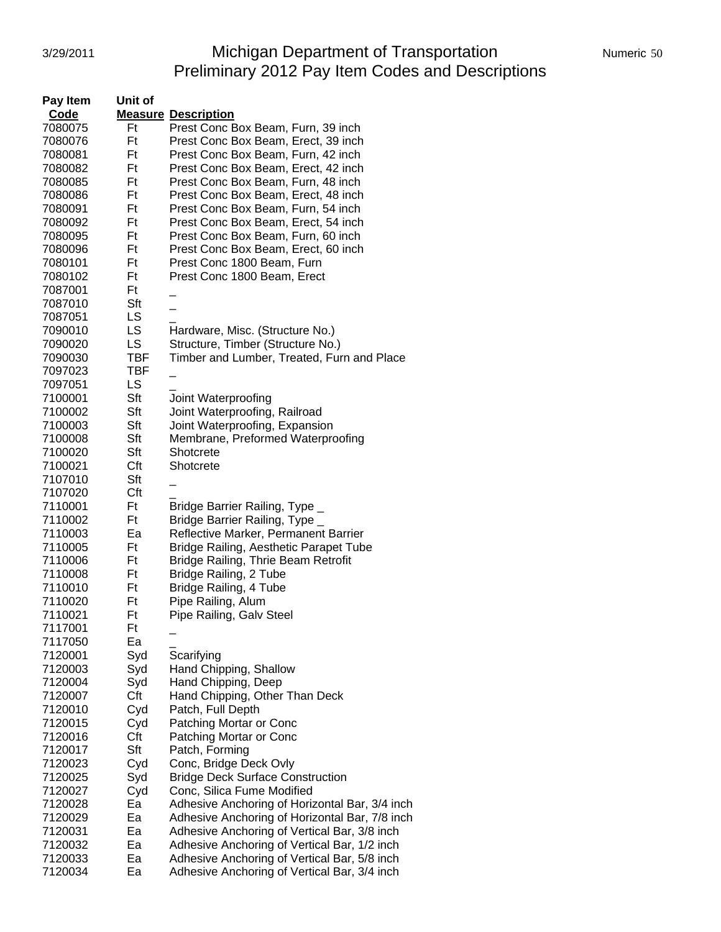# 3/29/2011 Michigan Department of Transportation Numeric 50 Preliminary 2012 Pay Item Codes and Descriptions

| Pay Item | Unit of    |                                                |
|----------|------------|------------------------------------------------|
| Code     |            | <b>Measure Description</b>                     |
| 7080075  | Ft         | Prest Conc Box Beam, Furn, 39 inch             |
| 7080076  | Ft         | Prest Conc Box Beam, Erect, 39 inch            |
| 7080081  | Ft         | Prest Conc Box Beam, Furn, 42 inch             |
| 7080082  | Ft         | Prest Conc Box Beam, Erect, 42 inch            |
| 7080085  | Ft         | Prest Conc Box Beam, Furn, 48 inch             |
| 7080086  | Ft         | Prest Conc Box Beam, Erect, 48 inch            |
| 7080091  | Ft         | Prest Conc Box Beam, Furn, 54 inch             |
| 7080092  | Ft         | Prest Conc Box Beam, Erect, 54 inch            |
| 7080095  | Ft         | Prest Conc Box Beam, Furn, 60 inch             |
| 7080096  | Ft         | Prest Conc Box Beam, Erect, 60 inch            |
| 7080101  | Ft         | Prest Conc 1800 Beam, Furn                     |
| 7080102  | Ft         | Prest Conc 1800 Beam, Erect                    |
| 7087001  | Ft         |                                                |
| 7087010  | Sft        |                                                |
| 7087051  | LS         |                                                |
| 7090010  | LS         | Hardware, Misc. (Structure No.)                |
| 7090020  | LS         | Structure, Timber (Structure No.)              |
| 7090030  | <b>TBF</b> | Timber and Lumber, Treated, Furn and Place     |
| 7097023  | <b>TBF</b> |                                                |
| 7097051  | LS         |                                                |
| 7100001  | Sft        | Joint Waterproofing                            |
| 7100002  | Sft        | Joint Waterproofing, Railroad                  |
| 7100003  | Sft        | Joint Waterproofing, Expansion                 |
| 7100008  | Sft        | Membrane, Preformed Waterproofing              |
| 7100020  | Sft        | Shotcrete                                      |
| 7100021  | Cft        | Shotcrete                                      |
| 7107010  | Sft        |                                                |
| 7107020  | Cft        |                                                |
| 7110001  | Ft         | Bridge Barrier Railing, Type _                 |
| 7110002  | Ft         | Bridge Barrier Railing, Type _                 |
| 7110003  | Ea         | Reflective Marker, Permanent Barrier           |
| 7110005  | Ft         | <b>Bridge Railing, Aesthetic Parapet Tube</b>  |
| 7110006  | Ft         | Bridge Railing, Thrie Beam Retrofit            |
| 7110008  | Ft         | Bridge Railing, 2 Tube                         |
| 7110010  | Ft         | Bridge Railing, 4 Tube                         |
| 7110020  | Ft         | Pipe Railing, Alum                             |
| 7110021  | Ft         | Pipe Railing, Galv Steel                       |
| 7117001  | Ft         |                                                |
| 7117050  | Ea         |                                                |
| 7120001  | Syd        | Scarifying                                     |
| 7120003  | Syd        | Hand Chipping, Shallow                         |
| 7120004  | Syd        | Hand Chipping, Deep                            |
| 7120007  | Cft        | Hand Chipping, Other Than Deck                 |
| 7120010  | Cyd        | Patch, Full Depth                              |
| 7120015  | Cyd        | Patching Mortar or Conc                        |
| 7120016  | Cft        | Patching Mortar or Conc                        |
| 7120017  | Sft        | Patch, Forming                                 |
| 7120023  | Cyd        | Conc, Bridge Deck Ovly                         |
| 7120025  | Syd        | <b>Bridge Deck Surface Construction</b>        |
| 7120027  | Cyd        | Conc, Silica Fume Modified                     |
| 7120028  | Ea         | Adhesive Anchoring of Horizontal Bar, 3/4 inch |
| 7120029  | Ea         | Adhesive Anchoring of Horizontal Bar, 7/8 inch |
| 7120031  | Ea         | Adhesive Anchoring of Vertical Bar, 3/8 inch   |
| 7120032  | Ea         | Adhesive Anchoring of Vertical Bar, 1/2 inch   |
| 7120033  | Ea         | Adhesive Anchoring of Vertical Bar, 5/8 inch   |
| 7120034  | Ea         | Adhesive Anchoring of Vertical Bar, 3/4 inch   |
|          |            |                                                |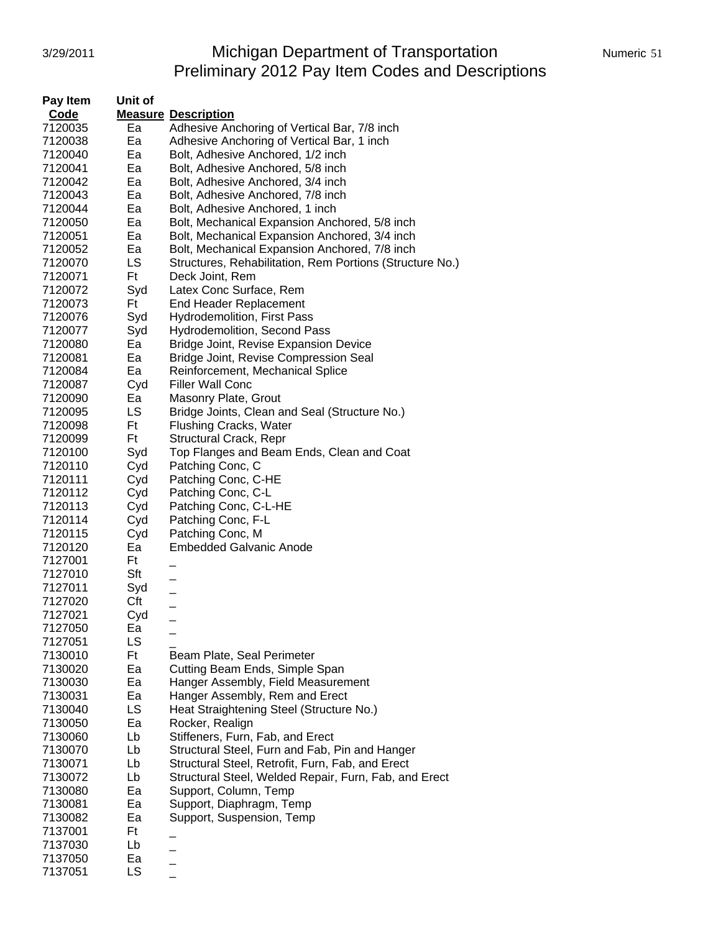# 3/29/2011 Michigan Department of Transportation Numeric 51 Preliminary 2012 Pay Item Codes and Descriptions

| Pay Item | Unit of |                                                          |
|----------|---------|----------------------------------------------------------|
| Code     |         | <b>Measure Description</b>                               |
| 7120035  | Ea      | Adhesive Anchoring of Vertical Bar, 7/8 inch             |
| 7120038  | Ea      | Adhesive Anchoring of Vertical Bar, 1 inch               |
| 7120040  | Ea      | Bolt, Adhesive Anchored, 1/2 inch                        |
| 7120041  | Ea      | Bolt, Adhesive Anchored, 5/8 inch                        |
| 7120042  | Ea      | Bolt, Adhesive Anchored, 3/4 inch                        |
| 7120043  | Ea      | Bolt, Adhesive Anchored, 7/8 inch                        |
| 7120044  | Ea      | Bolt, Adhesive Anchored, 1 inch                          |
| 7120050  | Ea      | Bolt, Mechanical Expansion Anchored, 5/8 inch            |
| 7120051  | Ea      | Bolt, Mechanical Expansion Anchored, 3/4 inch            |
| 7120052  | Ea      | Bolt, Mechanical Expansion Anchored, 7/8 inch            |
| 7120070  | LS      | Structures, Rehabilitation, Rem Portions (Structure No.) |
| 7120071  | Ft      | Deck Joint, Rem                                          |
| 7120072  | Syd     | Latex Conc Surface, Rem                                  |
| 7120073  | Ft      | <b>End Header Replacement</b>                            |
| 7120076  | Syd     | Hydrodemolition, First Pass                              |
| 7120077  | Syd     | <b>Hydrodemolition, Second Pass</b>                      |
| 7120080  | Ea      | <b>Bridge Joint, Revise Expansion Device</b>             |
| 7120081  | Ea      | Bridge Joint, Revise Compression Seal                    |
| 7120084  | Ea      | Reinforcement, Mechanical Splice                         |
| 7120087  | Cyd     | <b>Filler Wall Conc</b>                                  |
| 7120090  | Ea      | Masonry Plate, Grout                                     |
| 7120095  | LS      | Bridge Joints, Clean and Seal (Structure No.)            |
| 7120098  | Ft      | <b>Flushing Cracks, Water</b>                            |
| 7120099  | Ft      | Structural Crack, Repr                                   |
| 7120100  | Syd     | Top Flanges and Beam Ends, Clean and Coat                |
| 7120110  | Cyd     | Patching Conc, C                                         |
| 7120111  | Cyd     | Patching Conc, C-HE                                      |
| 7120112  | Cyd     | Patching Conc, C-L                                       |
| 7120113  | Cyd     | Patching Conc, C-L-HE                                    |
| 7120114  | Cyd     | Patching Conc, F-L                                       |
| 7120115  | Cyd     | Patching Conc, M                                         |
| 7120120  | Ea      | <b>Embedded Galvanic Anode</b>                           |
| 7127001  | Ft      |                                                          |
| 7127010  | Sft     |                                                          |
| 7127011  | Syd     |                                                          |
| 7127020  | Cft     |                                                          |
| 7127021  | Cyd     |                                                          |
| 7127050  | Ea      |                                                          |
| 7127051  | LS      |                                                          |
| 7130010  | Ft      | Beam Plate, Seal Perimeter                               |
| 7130020  | Ea      | Cutting Beam Ends, Simple Span                           |
| 7130030  | Ea      | Hanger Assembly, Field Measurement                       |
| 7130031  | Ea      | Hanger Assembly, Rem and Erect                           |
| 7130040  | LS      | Heat Straightening Steel (Structure No.)                 |
| 7130050  | Ea      | Rocker, Realign                                          |
| 7130060  | Lb      | Stiffeners, Furn, Fab, and Erect                         |
| 7130070  | Lb      | Structural Steel, Furn and Fab, Pin and Hanger           |
| 7130071  | Lb      | Structural Steel, Retrofit, Furn, Fab, and Erect         |
| 7130072  | Lb      | Structural Steel, Welded Repair, Furn, Fab, and Erect    |
| 7130080  | Ea      | Support, Column, Temp                                    |
| 7130081  | Ea      | Support, Diaphragm, Temp                                 |
| 7130082  | Ea      | Support, Suspension, Temp                                |
| 7137001  | Ft      |                                                          |
| 7137030  | Lb      |                                                          |
| 7137050  | Ea      |                                                          |
| 7137051  | LS      |                                                          |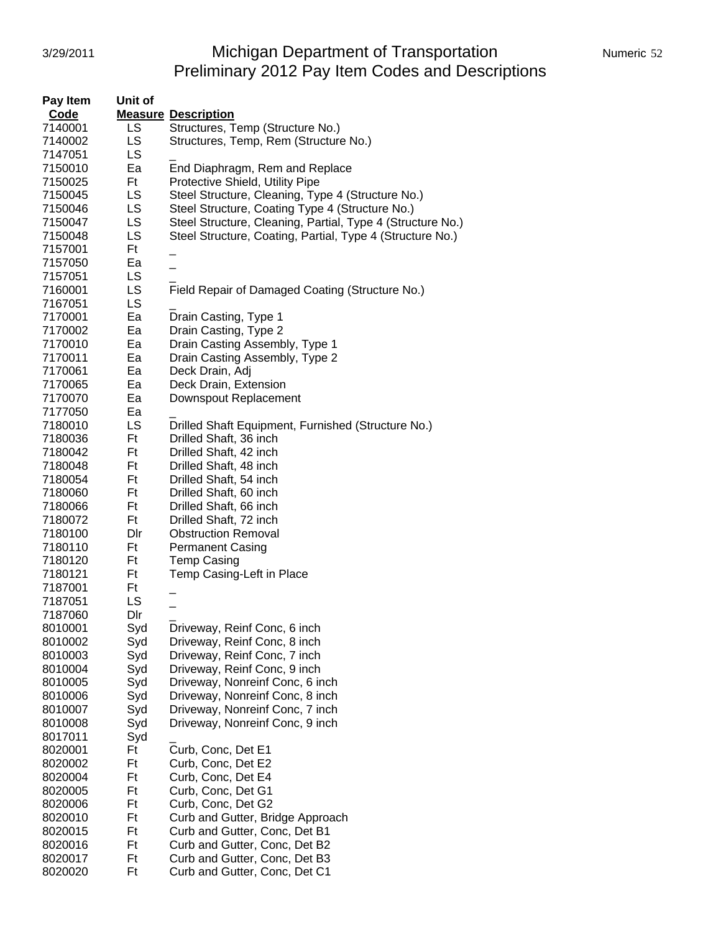## 3/29/2011 Michigan Department of Transportation Numeric 52 Preliminary 2012 Pay Item Codes and Descriptions

| Pay Item    | Unit of   |                                                            |
|-------------|-----------|------------------------------------------------------------|
| <b>Code</b> |           | <b>Measure Description</b>                                 |
| 7140001     | LS.       | Structures, Temp (Structure No.)                           |
| 7140002     | LS.       | Structures, Temp, Rem (Structure No.)                      |
| 7147051     | LS.       |                                                            |
| 7150010     | Ea        | End Diaphragm, Rem and Replace                             |
| 7150025     | Ft        | Protective Shield, Utility Pipe                            |
| 7150045     | LS.       | Steel Structure, Cleaning, Type 4 (Structure No.)          |
| 7150046     | <b>LS</b> | Steel Structure, Coating Type 4 (Structure No.)            |
| 7150047     | LS        | Steel Structure, Cleaning, Partial, Type 4 (Structure No.) |
| 7150048     | <b>LS</b> | Steel Structure, Coating, Partial, Type 4 (Structure No.)  |
| 7157001     | Ft        |                                                            |
| 7157050     | Ea        |                                                            |
|             | LS.       |                                                            |
| 7157051     | LS.       |                                                            |
| 7160001     |           | Field Repair of Damaged Coating (Structure No.)            |
| 7167051     | <b>LS</b> |                                                            |
| 7170001     | Ea        | Drain Casting, Type 1                                      |
| 7170002     | Ea        | Drain Casting, Type 2                                      |
| 7170010     | Ea        | Drain Casting Assembly, Type 1                             |
| 7170011     | Ea        | Drain Casting Assembly, Type 2                             |
| 7170061     | Ea        | Deck Drain, Adj                                            |
| 7170065     | Ea        | Deck Drain, Extension                                      |
| 7170070     | Ea        | Downspout Replacement                                      |
| 7177050     | Ea        |                                                            |
| 7180010     | LS        | Drilled Shaft Equipment, Furnished (Structure No.)         |
| 7180036     | Ft        | Drilled Shaft, 36 inch                                     |
| 7180042     | Ft        | Drilled Shaft, 42 inch                                     |
| 7180048     | Ft        | Drilled Shaft, 48 inch                                     |
| 7180054     | Ft        | Drilled Shaft, 54 inch                                     |
| 7180060     | Ft        | Drilled Shaft, 60 inch                                     |
| 7180066     | Ft        | Drilled Shaft, 66 inch                                     |
| 7180072     | Ft        | Drilled Shaft, 72 inch                                     |
| 7180100     | Dir       | <b>Obstruction Removal</b>                                 |
| 7180110     | Ft        | <b>Permanent Casing</b>                                    |
| 7180120     | Ft        | <b>Temp Casing</b>                                         |
| 7180121     | Ft        | Temp Casing-Left in Place                                  |
| 7187001     | Ft        |                                                            |
| 7187051     | LS        |                                                            |
| 7187060     | Dir       |                                                            |
| 8010001     | Syd       | Driveway, Reinf Conc, 6 inch                               |
| 8010002     | Syd       | Driveway, Reinf Conc, 8 inch                               |
| 8010003     | Syd       | Driveway, Reinf Conc, 7 inch                               |
| 8010004     | Syd       | Driveway, Reinf Conc, 9 inch                               |
| 8010005     | Syd       | Driveway, Nonreinf Conc, 6 inch                            |
| 8010006     | Syd       | Driveway, Nonreinf Conc, 8 inch                            |
| 8010007     | Syd       | Driveway, Nonreinf Conc, 7 inch                            |
| 8010008     | Syd       | Driveway, Nonreinf Conc, 9 inch                            |
| 8017011     | Syd       |                                                            |
| 8020001     | Ft        | Curb, Conc, Det E1                                         |
| 8020002     | Ft        | Curb, Conc, Det E2                                         |
| 8020004     | Ft        | Curb, Conc, Det E4                                         |
| 8020005     | Ft        | Curb, Conc, Det G1                                         |
| 8020006     | Ft        | Curb, Conc, Det G2                                         |
| 8020010     | Ft        | Curb and Gutter, Bridge Approach                           |
| 8020015     | Ft        | Curb and Gutter, Conc, Det B1                              |
| 8020016     | Ft        | Curb and Gutter, Conc, Det B2                              |
| 8020017     | Ft        | Curb and Gutter, Conc, Det B3                              |
| 8020020     | Ft        | Curb and Gutter, Conc, Det C1                              |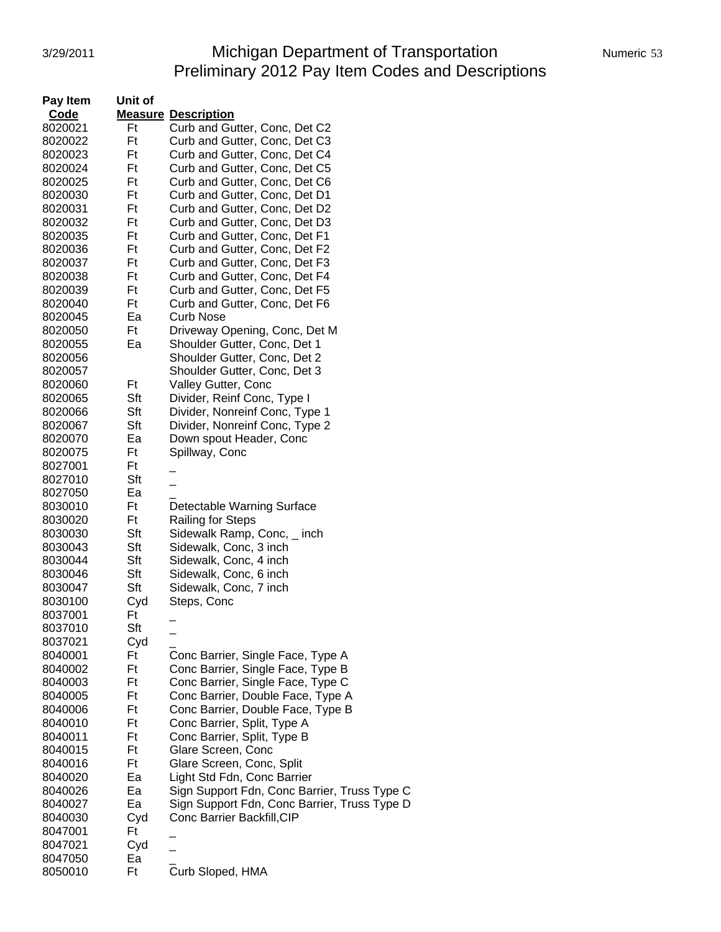# 3/29/2011 Michigan Department of Transportation Numeric 53 Preliminary 2012 Pay Item Codes and Descriptions

| Pay Item | Unit of |                                              |
|----------|---------|----------------------------------------------|
| Code     |         | <b>Measure Description</b>                   |
| 8020021  | Ft      | Curb and Gutter, Conc, Det C2                |
| 8020022  | Ft      | Curb and Gutter, Conc, Det C3                |
| 8020023  | Ft      | Curb and Gutter, Conc, Det C4                |
| 8020024  | Ft      | Curb and Gutter, Conc, Det C5                |
| 8020025  | Ft      | Curb and Gutter, Conc, Det C6                |
| 8020030  | Ft      | Curb and Gutter, Conc, Det D1                |
| 8020031  | Ft      | Curb and Gutter, Conc, Det D2                |
| 8020032  | Ft      | Curb and Gutter, Conc, Det D3                |
| 8020035  | Ft      | Curb and Gutter, Conc, Det F1                |
| 8020036  | Ft      | Curb and Gutter, Conc, Det F2                |
| 8020037  | Ft      | Curb and Gutter, Conc, Det F3                |
| 8020038  | Ft      | Curb and Gutter, Conc, Det F4                |
| 8020039  | Ft      | Curb and Gutter, Conc, Det F5                |
| 8020040  | Ft      | Curb and Gutter, Conc, Det F6                |
| 8020045  | Ea      | <b>Curb Nose</b>                             |
| 8020050  | Ft      | Driveway Opening, Conc, Det M                |
| 8020055  | Ea      | Shoulder Gutter, Conc, Det 1                 |
| 8020056  |         | Shoulder Gutter, Conc, Det 2                 |
| 8020057  |         | Shoulder Gutter, Conc, Det 3                 |
| 8020060  | Ft      | Valley Gutter, Conc                          |
| 8020065  | Sft     | Divider, Reinf Conc, Type I                  |
| 8020066  | Sft     | Divider, Nonreinf Conc, Type 1               |
| 8020067  | Sft     | Divider, Nonreinf Conc, Type 2               |
| 8020070  | Ea      | Down spout Header, Conc                      |
| 8020075  | Ft      | Spillway, Conc                               |
| 8027001  | Ft      |                                              |
| 8027010  | Sft     |                                              |
| 8027050  | Ea      |                                              |
| 8030010  | Ft      | Detectable Warning Surface                   |
| 8030020  | Ft      | <b>Railing for Steps</b>                     |
| 8030030  | Sft     | Sidewalk Ramp, Conc, _ inch                  |
| 8030043  | Sft     | Sidewalk, Conc, 3 inch                       |
| 8030044  | Sft     | Sidewalk, Conc, 4 inch                       |
| 8030046  | Sft     | Sidewalk, Conc, 6 inch                       |
| 8030047  | Sft     | Sidewalk, Conc, 7 inch                       |
| 8030100  | Cyd     | Steps, Conc                                  |
| 8037001  | Ft      |                                              |
| 8037010  | Sft     |                                              |
| 8037021  | Cyd     |                                              |
| 8040001  | Ft      | Conc Barrier, Single Face, Type A            |
| 8040002  | Ft      | Conc Barrier, Single Face, Type B            |
| 8040003  | Ft      | Conc Barrier, Single Face, Type C            |
| 8040005  | Ft      | Conc Barrier, Double Face, Type A            |
| 8040006  | Ft      | Conc Barrier, Double Face, Type B            |
| 8040010  | Ft      | Conc Barrier, Split, Type A                  |
| 8040011  | Ft      | Conc Barrier, Split, Type B                  |
| 8040015  | Ft      | Glare Screen, Conc                           |
| 8040016  | Ft      | Glare Screen, Conc, Split                    |
| 8040020  | Ea      | Light Std Fdn, Conc Barrier                  |
| 8040026  | Ea      | Sign Support Fdn, Conc Barrier, Truss Type C |
| 8040027  | Ea      | Sign Support Fdn, Conc Barrier, Truss Type D |
| 8040030  | Cyd     | Conc Barrier Backfill, CIP                   |
| 8047001  | Ft      |                                              |
| 8047021  | Cyd     |                                              |
| 8047050  | Ea      |                                              |
| 8050010  | Ft      | Curb Sloped, HMA                             |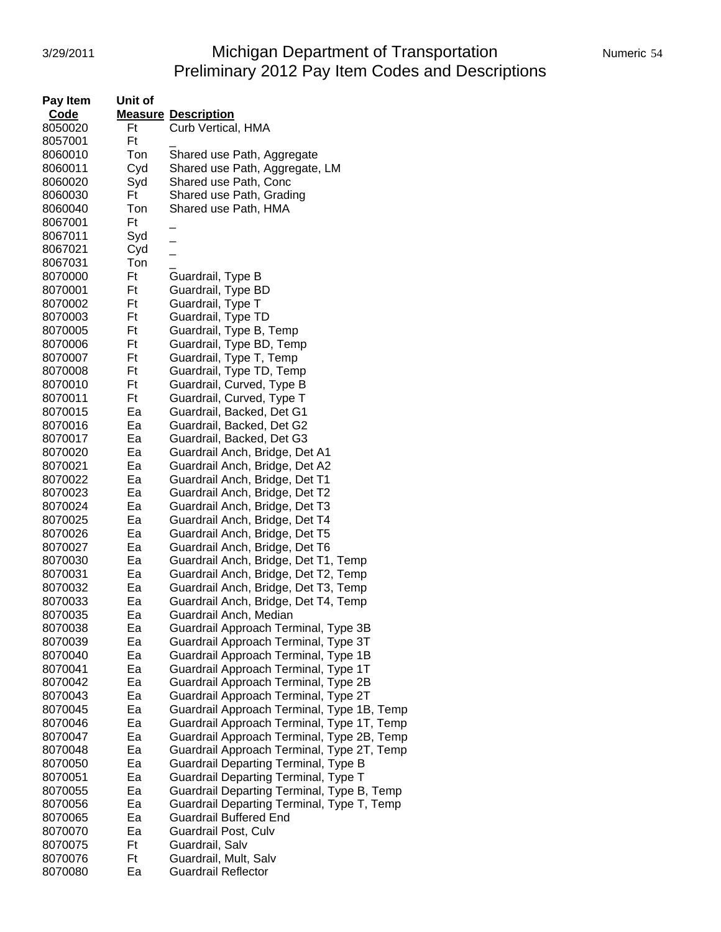## 3/29/2011 **Michigan Department of Transportation** Numeric 54 Preliminary 2012 Pay Item Codes and Descriptions

|  |  | Numeric 54 |
|--|--|------------|
|  |  |            |

| Pay Item | Unit of |                                             |
|----------|---------|---------------------------------------------|
| Code     |         | <b>Measure Description</b>                  |
| 8050020  | Ft      | Curb Vertical, HMA                          |
| 8057001  | Ft      |                                             |
| 8060010  | Ton     | Shared use Path, Aggregate                  |
| 8060011  | Cyd     | Shared use Path, Aggregate, LM              |
| 8060020  | Syd     | Shared use Path, Conc                       |
| 8060030  | Ft      | Shared use Path, Grading                    |
| 8060040  | Ton     | Shared use Path, HMA                        |
| 8067001  | Ft      |                                             |
| 8067011  | Syd     |                                             |
| 8067021  | Cyd     | $\overline{a}$                              |
| 8067031  | Ton     |                                             |
| 8070000  | Ft      | Guardrail, Type B                           |
| 8070001  | Ft      | Guardrail, Type BD                          |
| 8070002  | Ft      | Guardrail, Type T                           |
| 8070003  | Ft      | Guardrail, Type TD                          |
| 8070005  | Ft      | Guardrail, Type B, Temp                     |
| 8070006  | Ft      | Guardrail, Type BD, Temp                    |
| 8070007  | Ft      | Guardrail, Type T, Temp                     |
| 8070008  | Ft      | Guardrail, Type TD, Temp                    |
| 8070010  | Ft      | Guardrail, Curved, Type B                   |
| 8070011  | Ft      | Guardrail, Curved, Type T                   |
| 8070015  | Ea      | Guardrail, Backed, Det G1                   |
| 8070016  | Ea      | Guardrail, Backed, Det G2                   |
| 8070017  | Ea      | Guardrail, Backed, Det G3                   |
| 8070020  | Ea      | Guardrail Anch, Bridge, Det A1              |
| 8070021  | Ea      | Guardrail Anch, Bridge, Det A2              |
| 8070022  | Ea      | Guardrail Anch, Bridge, Det T1              |
| 8070023  | Ea      | Guardrail Anch, Bridge, Det T2              |
| 8070024  | Ea      | Guardrail Anch, Bridge, Det T3              |
| 8070025  | Ea      | Guardrail Anch, Bridge, Det T4              |
| 8070026  | Ea      | Guardrail Anch, Bridge, Det T5              |
| 8070027  | Ea      | Guardrail Anch, Bridge, Det T6              |
| 8070030  | Ea      | Guardrail Anch, Bridge, Det T1, Temp        |
| 8070031  | Ea      | Guardrail Anch, Bridge, Det T2, Temp        |
| 8070032  | Ea      | Guardrail Anch, Bridge, Det T3, Temp        |
| 8070033  | Ea      | Guardrail Anch, Bridge, Det T4, Temp        |
| 8070035  | Ea      | Guardrail Anch, Median                      |
| 8070038  | Ea      | Guardrail Approach Terminal, Type 3B        |
| 8070039  | Ea      | Guardrail Approach Terminal, Type 3T        |
| 8070040  | Ea      | Guardrail Approach Terminal, Type 1B        |
| 8070041  | Ea      | Guardrail Approach Terminal, Type 1T        |
| 8070042  | Ea      | Guardrail Approach Terminal, Type 2B        |
| 8070043  | Ea      | Guardrail Approach Terminal, Type 2T        |
| 8070045  | Ea      | Guardrail Approach Terminal, Type 1B, Temp  |
| 8070046  | Ea      | Guardrail Approach Terminal, Type 1T, Temp  |
| 8070047  | Ea      | Guardrail Approach Terminal, Type 2B, Temp  |
| 8070048  | Ea      | Guardrail Approach Terminal, Type 2T, Temp  |
| 8070050  | Ea      | <b>Guardrail Departing Terminal, Type B</b> |
| 8070051  | Ea      | Guardrail Departing Terminal, Type T        |
| 8070055  | Ea      | Guardrail Departing Terminal, Type B, Temp  |
| 8070056  | Ea      | Guardrail Departing Terminal, Type T, Temp  |
| 8070065  | Ea      | <b>Guardrail Buffered End</b>               |
| 8070070  | Ea      | Guardrail Post, Culv                        |
| 8070075  | Ft      | Guardrail, Salv                             |
| 8070076  | Ft      | Guardrail, Mult, Salv                       |
| 8070080  | Ea      | <b>Guardrail Reflector</b>                  |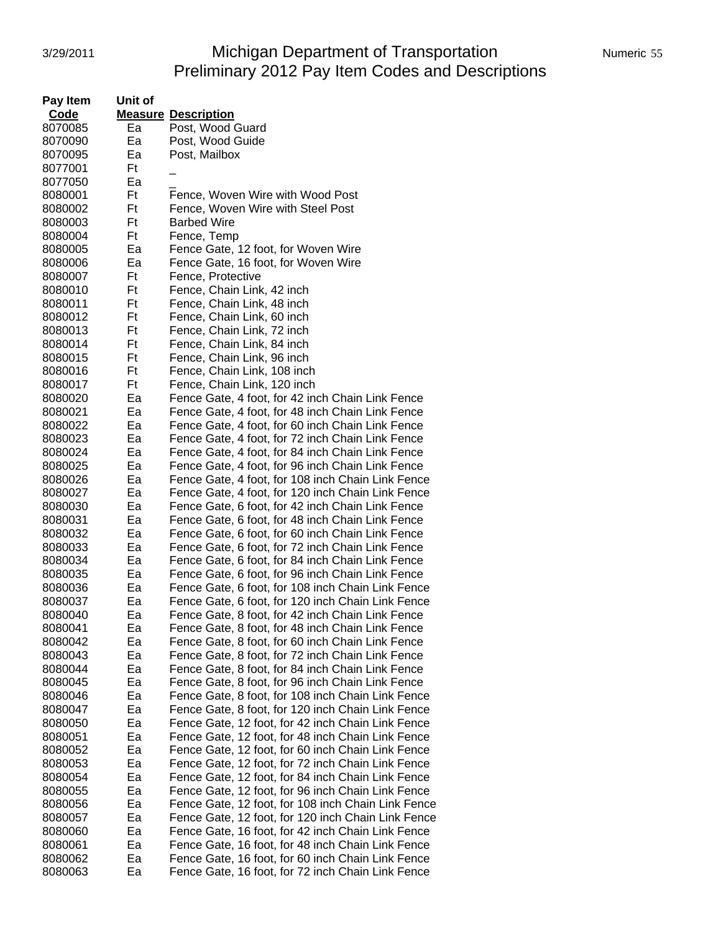# 3/29/2011 Michigan Department of Transportation Numeric 55 Preliminary 2012 Pay Item Codes and Descriptions

| Pay Item    | Unit of |                                                    |
|-------------|---------|----------------------------------------------------|
| <b>Code</b> |         | <b>Measure Description</b>                         |
| 8070085     | Ea      | Post, Wood Guard                                   |
| 8070090     | Ea      | Post, Wood Guide                                   |
| 8070095     | Ea      | Post, Mailbox                                      |
| 8077001     | Ft      |                                                    |
| 8077050     | Ea      |                                                    |
| 8080001     | Ft      | Fence, Woven Wire with Wood Post                   |
| 8080002     | Ft      | Fence, Woven Wire with Steel Post                  |
| 8080003     | Ft      | <b>Barbed Wire</b>                                 |
| 8080004     | Ft      | Fence, Temp                                        |
| 8080005     | Ea      | Fence Gate, 12 foot, for Woven Wire                |
| 8080006     | Ea      | Fence Gate, 16 foot, for Woven Wire                |
| 8080007     | Ft      | Fence, Protective                                  |
| 8080010     | Ft      | Fence, Chain Link, 42 inch                         |
| 8080011     | Ft      | Fence, Chain Link, 48 inch                         |
| 8080012     | Ft      | Fence, Chain Link, 60 inch                         |
| 8080013     | Ft      | Fence, Chain Link, 72 inch                         |
| 8080014     | Ft      | Fence, Chain Link, 84 inch                         |
| 8080015     | Ft      | Fence, Chain Link, 96 inch                         |
| 8080016     | Ft      | Fence, Chain Link, 108 inch                        |
| 8080017     | Ft      | Fence, Chain Link, 120 inch                        |
| 8080020     | Ea      | Fence Gate, 4 foot, for 42 inch Chain Link Fence   |
| 8080021     | Ea      | Fence Gate, 4 foot, for 48 inch Chain Link Fence   |
| 8080022     | Ea      | Fence Gate, 4 foot, for 60 inch Chain Link Fence   |
| 8080023     | Ea      | Fence Gate, 4 foot, for 72 inch Chain Link Fence   |
| 8080024     | Ea      | Fence Gate, 4 foot, for 84 inch Chain Link Fence   |
| 8080025     | Ea      | Fence Gate, 4 foot, for 96 inch Chain Link Fence   |
| 8080026     | Ea      | Fence Gate, 4 foot, for 108 inch Chain Link Fence  |
| 8080027     | Ea      | Fence Gate, 4 foot, for 120 inch Chain Link Fence  |
| 8080030     | Ea      | Fence Gate, 6 foot, for 42 inch Chain Link Fence   |
| 8080031     | Ea      | Fence Gate, 6 foot, for 48 inch Chain Link Fence   |
| 8080032     | Ea      | Fence Gate, 6 foot, for 60 inch Chain Link Fence   |
| 8080033     | Ea      | Fence Gate, 6 foot, for 72 inch Chain Link Fence   |
| 8080034     | Ea      | Fence Gate, 6 foot, for 84 inch Chain Link Fence   |
| 8080035     | Ea      | Fence Gate, 6 foot, for 96 inch Chain Link Fence   |
| 8080036     | Ea      | Fence Gate, 6 foot, for 108 inch Chain Link Fence  |
| 8080037     | Ea      | Fence Gate, 6 foot, for 120 inch Chain Link Fence  |
| 8080040     | Ea      | Fence Gate, 8 foot, for 42 inch Chain Link Fence   |
| 8080041     | Ea      | Fence Gate, 8 foot, for 48 inch Chain Link Fence   |
| 8080042     | Ea      | Fence Gate, 8 foot, for 60 inch Chain Link Fence   |
| 8080043     | Ea      | Fence Gate, 8 foot, for 72 inch Chain Link Fence   |
| 8080044     | Ea      | Fence Gate, 8 foot, for 84 inch Chain Link Fence   |
| 8080045     | Ea      | Fence Gate, 8 foot, for 96 inch Chain Link Fence   |
| 8080046     | Ea      | Fence Gate, 8 foot, for 108 inch Chain Link Fence  |
| 8080047     | Ea      | Fence Gate, 8 foot, for 120 inch Chain Link Fence  |
| 8080050     | Ea      | Fence Gate, 12 foot, for 42 inch Chain Link Fence  |
| 8080051     | Ea      | Fence Gate, 12 foot, for 48 inch Chain Link Fence  |
| 8080052     | Ea      | Fence Gate, 12 foot, for 60 inch Chain Link Fence  |
| 8080053     | Ea      | Fence Gate, 12 foot, for 72 inch Chain Link Fence  |
| 8080054     | Ea      | Fence Gate, 12 foot, for 84 inch Chain Link Fence  |
| 8080055     | Ea      | Fence Gate, 12 foot, for 96 inch Chain Link Fence  |
| 8080056     | Ea      | Fence Gate, 12 foot, for 108 inch Chain Link Fence |
| 8080057     | Ea      | Fence Gate, 12 foot, for 120 inch Chain Link Fence |
| 8080060     | Ea      | Fence Gate, 16 foot, for 42 inch Chain Link Fence  |
| 8080061     | Ea      | Fence Gate, 16 foot, for 48 inch Chain Link Fence  |
| 8080062     | Ea      | Fence Gate, 16 foot, for 60 inch Chain Link Fence  |
| 8080063     | Ea      | Fence Gate, 16 foot, for 72 inch Chain Link Fence  |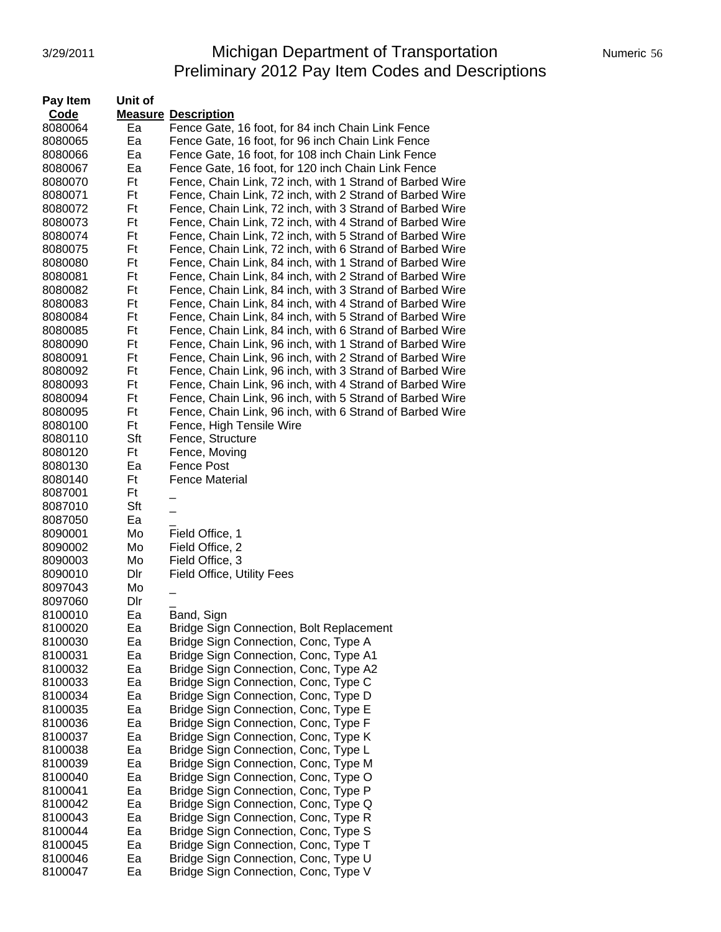# 3/29/2011 Michigan Department of Transportation Numeric 56 Preliminary 2012 Pay Item Codes and Descriptions

| Pay Item           | Unit of   |                                                                              |
|--------------------|-----------|------------------------------------------------------------------------------|
| Code               |           | <b>Measure Description</b>                                                   |
| 8080064            | Ea        | Fence Gate, 16 foot, for 84 inch Chain Link Fence                            |
| 8080065            | Ea        | Fence Gate, 16 foot, for 96 inch Chain Link Fence                            |
| 8080066            | Ea        | Fence Gate, 16 foot, for 108 inch Chain Link Fence                           |
| 8080067            | Ea        | Fence Gate, 16 foot, for 120 inch Chain Link Fence                           |
| 8080070            | Ft        | Fence, Chain Link, 72 inch, with 1 Strand of Barbed Wire                     |
| 8080071            | Ft        | Fence, Chain Link, 72 inch, with 2 Strand of Barbed Wire                     |
| 8080072            | Ft        | Fence, Chain Link, 72 inch, with 3 Strand of Barbed Wire                     |
| 8080073            | Ft        | Fence, Chain Link, 72 inch, with 4 Strand of Barbed Wire                     |
| 8080074            | Ft        | Fence, Chain Link, 72 inch, with 5 Strand of Barbed Wire                     |
| 8080075            | Ft        | Fence, Chain Link, 72 inch, with 6 Strand of Barbed Wire                     |
| 8080080            | Ft        | Fence, Chain Link, 84 inch, with 1 Strand of Barbed Wire                     |
| 8080081            | Ft        | Fence, Chain Link, 84 inch, with 2 Strand of Barbed Wire                     |
| 8080082            | Ft        | Fence, Chain Link, 84 inch, with 3 Strand of Barbed Wire                     |
| 8080083            | Ft        | Fence, Chain Link, 84 inch, with 4 Strand of Barbed Wire                     |
| 8080084            | Ft        | Fence, Chain Link, 84 inch, with 5 Strand of Barbed Wire                     |
| 8080085            | Ft        | Fence, Chain Link, 84 inch, with 6 Strand of Barbed Wire                     |
| 8080090            | Ft        | Fence, Chain Link, 96 inch, with 1 Strand of Barbed Wire                     |
| 8080091            | Ft        | Fence, Chain Link, 96 inch, with 2 Strand of Barbed Wire                     |
| 8080092            | Ft        | Fence, Chain Link, 96 inch, with 3 Strand of Barbed Wire                     |
| 8080093            | Ft        | Fence, Chain Link, 96 inch, with 4 Strand of Barbed Wire                     |
| 8080094            | Ft        | Fence, Chain Link, 96 inch, with 5 Strand of Barbed Wire                     |
| 8080095            | Ft        | Fence, Chain Link, 96 inch, with 6 Strand of Barbed Wire                     |
| 8080100            | Ft        | Fence, High Tensile Wire                                                     |
| 8080110<br>8080120 | Sft<br>Ft | Fence, Structure<br>Fence, Moving                                            |
| 8080130            | Ea        | Fence Post                                                                   |
| 8080140            | Ft        | <b>Fence Material</b>                                                        |
| 8087001            | Ft        |                                                                              |
| 8087010            | Sft       |                                                                              |
| 8087050            | Ea        |                                                                              |
| 8090001            | Mo        | Field Office, 1                                                              |
| 8090002            | Mo        | Field Office, 2                                                              |
| 8090003            | Mo        | Field Office, 3                                                              |
| 8090010            | Dir       | <b>Field Office, Utility Fees</b>                                            |
| 8097043            | Mo        |                                                                              |
| 8097060            | Dir       |                                                                              |
| 8100010            | Ea        | Band, Sign                                                                   |
| 8100020            | Ea        | Bridge Sign Connection, Bolt Replacement                                     |
| 8100030            | Ea        | Bridge Sign Connection, Conc, Type A                                         |
| 8100031            | Ea        | Bridge Sign Connection, Conc, Type A1                                        |
| 8100032            | Ea        | Bridge Sign Connection, Conc, Type A2                                        |
| 8100033            | Ea        | Bridge Sign Connection, Conc, Type C                                         |
| 8100034            | Ea        | Bridge Sign Connection, Conc, Type D                                         |
| 8100035            | Ea        | Bridge Sign Connection, Conc, Type E<br>Bridge Sign Connection, Conc, Type F |
| 8100036<br>8100037 | Ea<br>Ea  | Bridge Sign Connection, Conc, Type K                                         |
| 8100038            | Ea        | Bridge Sign Connection, Conc, Type L                                         |
| 8100039            | Ea        | Bridge Sign Connection, Conc, Type M                                         |
| 8100040            | Ea        | Bridge Sign Connection, Conc, Type O                                         |
| 8100041            | Ea        | Bridge Sign Connection, Conc, Type P                                         |
| 8100042            | Ea        | Bridge Sign Connection, Conc, Type Q                                         |
| 8100043            | Ea        | Bridge Sign Connection, Conc, Type R                                         |
| 8100044            | Ea        | Bridge Sign Connection, Conc, Type S                                         |
| 8100045            | Ea        | Bridge Sign Connection, Conc, Type T                                         |
| 8100046            | Ea        | Bridge Sign Connection, Conc, Type U                                         |
| 8100047            | Ea        | Bridge Sign Connection, Conc, Type V                                         |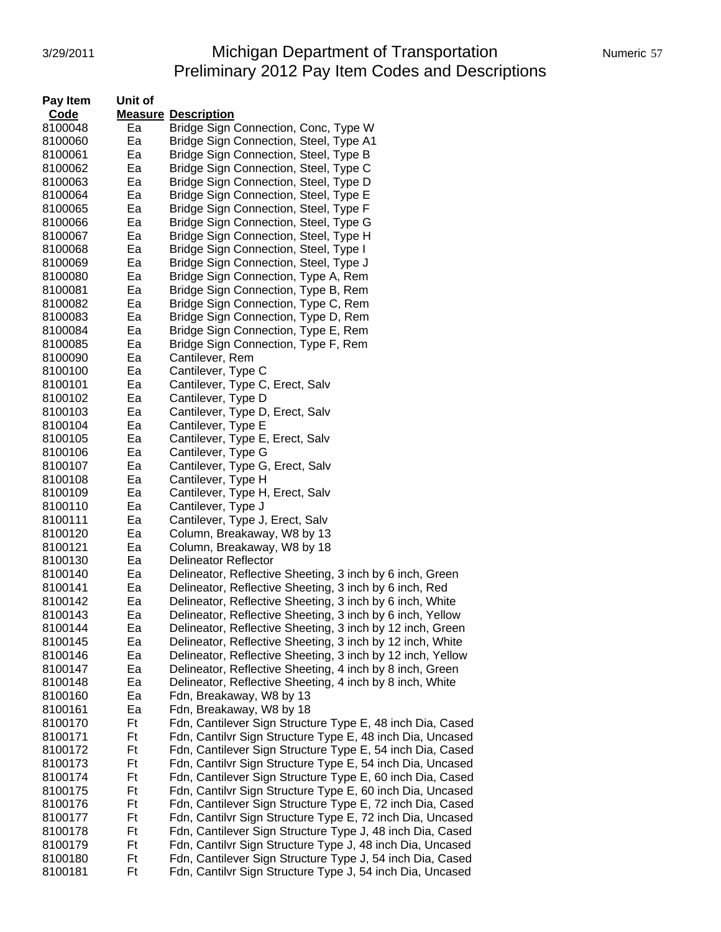### 3/29/2011 Michigan Department of Transportation Numeric 57 Preliminary 2012 Pay Item Codes and Descriptions

| Pay Item           | Unit of  |                                                                |
|--------------------|----------|----------------------------------------------------------------|
| <b>Code</b>        |          | <b>Measure Description</b>                                     |
| 8100048            | Ea       | Bridge Sign Connection, Conc, Type W                           |
| 8100060            | Ea       | Bridge Sign Connection, Steel, Type A1                         |
| 8100061            | Ea       | Bridge Sign Connection, Steel, Type B                          |
| 8100062            | Ea       | Bridge Sign Connection, Steel, Type C                          |
| 8100063            | Ea       | Bridge Sign Connection, Steel, Type D                          |
| 8100064            | Ea       | Bridge Sign Connection, Steel, Type E                          |
| 8100065            | Ea       | Bridge Sign Connection, Steel, Type F                          |
| 8100066            | Ea       | Bridge Sign Connection, Steel, Type G                          |
| 8100067            | Ea       | Bridge Sign Connection, Steel, Type H                          |
| 8100068            | Ea       | Bridge Sign Connection, Steel, Type I                          |
| 8100069            | Ea       | Bridge Sign Connection, Steel, Type J                          |
| 8100080            | Ea       | Bridge Sign Connection, Type A, Rem                            |
| 8100081            | Ea       | Bridge Sign Connection, Type B, Rem                            |
| 8100082            | Ea       | Bridge Sign Connection, Type C, Rem                            |
| 8100083            | Ea       | Bridge Sign Connection, Type D, Rem                            |
| 8100084            | Ea       | Bridge Sign Connection, Type E, Rem                            |
| 8100085            | Ea       | Bridge Sign Connection, Type F, Rem                            |
| 8100090            | Ea       | Cantilever, Rem                                                |
| 8100100            | Ea       | Cantilever, Type C                                             |
| 8100101            | Ea       | Cantilever, Type C, Erect, Salv                                |
| 8100102            | Ea       | Cantilever, Type D                                             |
| 8100103            | Ea       | Cantilever, Type D, Erect, Salv                                |
| 8100104            | Ea       | Cantilever, Type E                                             |
| 8100105<br>8100106 | Ea       | Cantilever, Type E, Erect, Salv                                |
|                    | Ea<br>Ea | Cantilever, Type G                                             |
| 8100107            | Ea       | Cantilever, Type G, Erect, Salv                                |
| 8100108            | Ea       | Cantilever, Type H                                             |
| 8100109            | Ea       | Cantilever, Type H, Erect, Salv                                |
| 8100110<br>8100111 |          | Cantilever, Type J                                             |
| 8100120            | Ea<br>Ea | Cantilever, Type J, Erect, Salv<br>Column, Breakaway, W8 by 13 |
| 8100121            | Ea       | Column, Breakaway, W8 by 18                                    |
| 8100130            | Ea       | <b>Delineator Reflector</b>                                    |
| 8100140            | Ea       | Delineator, Reflective Sheeting, 3 inch by 6 inch, Green       |
| 8100141            | Ea       | Delineator, Reflective Sheeting, 3 inch by 6 inch, Red         |
| 8100142            | Ea       | Delineator, Reflective Sheeting, 3 inch by 6 inch, White       |
| 8100143            | Ea       | Delineator, Reflective Sheeting, 3 inch by 6 inch, Yellow      |
| 8100144            | Ea       | Delineator, Reflective Sheeting, 3 inch by 12 inch, Green      |
| 8100145            | Ea       | Delineator, Reflective Sheeting, 3 inch by 12 inch, White      |
| 8100146            | Ea       | Delineator, Reflective Sheeting, 3 inch by 12 inch, Yellow     |
| 8100147            | Ea       | Delineator, Reflective Sheeting, 4 inch by 8 inch, Green       |
| 8100148            | Ea       | Delineator, Reflective Sheeting, 4 inch by 8 inch, White       |
| 8100160            | Ea       | Fdn, Breakaway, W8 by 13                                       |
| 8100161            | Ea       | Fdn, Breakaway, W8 by 18                                       |
| 8100170            | Ft       | Fdn, Cantilever Sign Structure Type E, 48 inch Dia, Cased      |
| 8100171            | Ft       | Fdn, Cantilvr Sign Structure Type E, 48 inch Dia, Uncased      |
| 8100172            | Ft       | Fdn, Cantilever Sign Structure Type E, 54 inch Dia, Cased      |
| 8100173            | Ft       | Fdn, Cantilvr Sign Structure Type E, 54 inch Dia, Uncased      |
| 8100174            | Ft       | Fdn, Cantilever Sign Structure Type E, 60 inch Dia, Cased      |
| 8100175            | Ft       | Fdn, Cantilvr Sign Structure Type E, 60 inch Dia, Uncased      |
| 8100176            | Ft       | Fdn, Cantilever Sign Structure Type E, 72 inch Dia, Cased      |
| 8100177            | Ft       | Fdn, Cantilvr Sign Structure Type E, 72 inch Dia, Uncased      |
| 8100178            | Ft       | Fdn, Cantilever Sign Structure Type J, 48 inch Dia, Cased      |
| 8100179            | Ft       | Fdn, Cantilvr Sign Structure Type J, 48 inch Dia, Uncased      |
| 8100180            | Ft       | Fdn, Cantilever Sign Structure Type J, 54 inch Dia, Cased      |
| 8100181            | Ft       | Fdn, Cantilvr Sign Structure Type J, 54 inch Dia, Uncased      |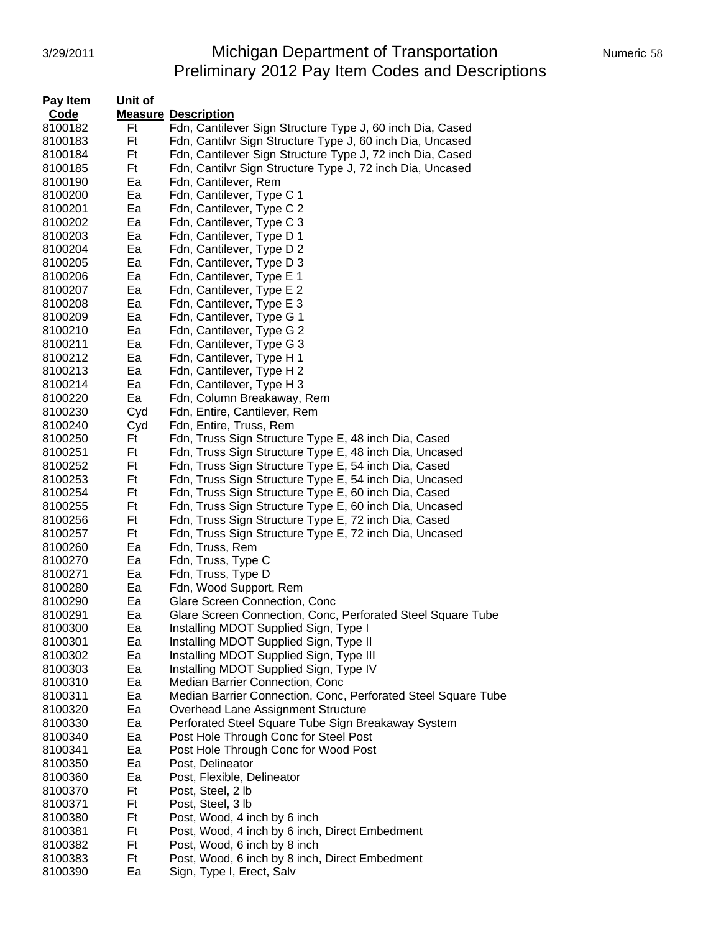# 3/29/2011 Michigan Department of Transportation Numeric 58 Preliminary 2012 Pay Item Codes and Descriptions

| Pay Item    | Unit of |                                                               |
|-------------|---------|---------------------------------------------------------------|
| <b>Code</b> |         | <b>Measure Description</b>                                    |
| 8100182     | Ft      | Fdn, Cantilever Sign Structure Type J, 60 inch Dia, Cased     |
| 8100183     | Ft      | Fdn, Cantilvr Sign Structure Type J, 60 inch Dia, Uncased     |
| 8100184     | Ft      | Fdn, Cantilever Sign Structure Type J, 72 inch Dia, Cased     |
| 8100185     | Ft      | Fdn, Cantilvr Sign Structure Type J, 72 inch Dia, Uncased     |
| 8100190     | Ea      | Fdn, Cantilever, Rem                                          |
| 8100200     | Ea      | Fdn, Cantilever, Type C 1                                     |
| 8100201     | Ea      | Fdn, Cantilever, Type C 2                                     |
| 8100202     | Ea      | Fdn, Cantilever, Type C 3                                     |
| 8100203     | Ea      | Fdn, Cantilever, Type D 1                                     |
| 8100204     | Ea      | Fdn, Cantilever, Type D 2                                     |
| 8100205     | Ea      | Fdn, Cantilever, Type D 3                                     |
| 8100206     | Ea      | Fdn, Cantilever, Type E 1                                     |
| 8100207     | Ea      | Fdn, Cantilever, Type E 2                                     |
| 8100208     | Ea      | Fdn, Cantilever, Type E 3                                     |
| 8100209     | Ea      | Fdn, Cantilever, Type G 1                                     |
| 8100210     | Ea      | Fdn, Cantilever, Type G 2                                     |
| 8100211     | Ea      | Fdn, Cantilever, Type G 3                                     |
| 8100212     | Ea      | Fdn, Cantilever, Type H 1                                     |
| 8100213     | Ea      | Fdn, Cantilever, Type H 2                                     |
| 8100214     | Ea      | Fdn, Cantilever, Type H 3                                     |
| 8100220     | Ea      | Fdn, Column Breakaway, Rem                                    |
| 8100230     | Cyd     | Fdn, Entire, Cantilever, Rem                                  |
| 8100240     | Cyd     | Fdn, Entire, Truss, Rem                                       |
| 8100250     | Ft      | Fdn, Truss Sign Structure Type E, 48 inch Dia, Cased          |
| 8100251     | Ft      | Fdn, Truss Sign Structure Type E, 48 inch Dia, Uncased        |
| 8100252     | Ft      | Fdn, Truss Sign Structure Type E, 54 inch Dia, Cased          |
| 8100253     | Ft      | Fdn, Truss Sign Structure Type E, 54 inch Dia, Uncased        |
| 8100254     | Ft      | Fdn, Truss Sign Structure Type E, 60 inch Dia, Cased          |
| 8100255     | Ft      | Fdn, Truss Sign Structure Type E, 60 inch Dia, Uncased        |
| 8100256     | Ft      | Fdn, Truss Sign Structure Type E, 72 inch Dia, Cased          |
| 8100257     | Ft      | Fdn, Truss Sign Structure Type E, 72 inch Dia, Uncased        |
| 8100260     | Ea      | Fdn, Truss, Rem                                               |
| 8100270     | Ea      | Fdn, Truss, Type C                                            |
| 8100271     | Ea      | Fdn, Truss, Type D                                            |
| 8100280     | Ea      | Fdn, Wood Support, Rem                                        |
| 8100290     | Ea      | Glare Screen Connection, Conc                                 |
| 8100291     | Ea      | Glare Screen Connection, Conc, Perforated Steel Square Tube   |
| 8100300     | Ea      | Installing MDOT Supplied Sign, Type I                         |
| 8100301     | Ea      | Installing MDOT Supplied Sign, Type II                        |
| 8100302     | Ea      | Installing MDOT Supplied Sign, Type III                       |
| 8100303     | Ea      | Installing MDOT Supplied Sign, Type IV                        |
| 8100310     | Ea      | Median Barrier Connection, Conc                               |
| 8100311     | Ea      | Median Barrier Connection, Conc, Perforated Steel Square Tube |
| 8100320     | Ea      | Overhead Lane Assignment Structure                            |
| 8100330     | Ea      | Perforated Steel Square Tube Sign Breakaway System            |
| 8100340     | Ea      | Post Hole Through Conc for Steel Post                         |
| 8100341     | Ea      | Post Hole Through Conc for Wood Post                          |
| 8100350     | Ea      | Post, Delineator                                              |
| 8100360     | Ea      | Post, Flexible, Delineator                                    |
| 8100370     | Ft      | Post, Steel, 2 lb                                             |
| 8100371     | Ft      | Post, Steel, 3 lb                                             |
| 8100380     | Ft      | Post, Wood, 4 inch by 6 inch                                  |
| 8100381     | Ft      | Post, Wood, 4 inch by 6 inch, Direct Embedment                |
| 8100382     | Ft      | Post, Wood, 6 inch by 8 inch                                  |
| 8100383     | Ft      | Post, Wood, 6 inch by 8 inch, Direct Embedment                |
| 8100390     | Ea      | Sign, Type I, Erect, Salv                                     |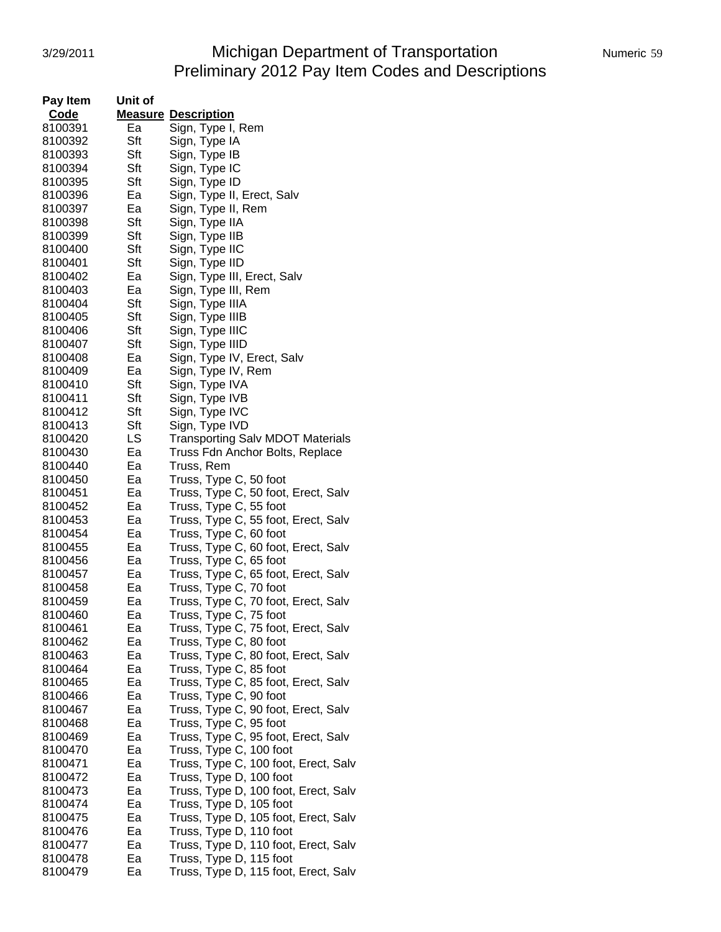# 3/29/2011 **Michigan Department of Transportation** Numeric 59 Preliminary 2012 Pay Item Codes and Descriptions

| Pay Item | Unit of |                                         |
|----------|---------|-----------------------------------------|
| Code     |         | <b>Measure Description</b>              |
| 8100391  | Ea      | Sign, Type I, Rem                       |
| 8100392  | Sft     | Sign, Type IA                           |
| 8100393  | Sft     | Sign, Type IB                           |
| 8100394  | Sft     | Sign, Type IC                           |
|          | Sft     |                                         |
| 8100395  |         | Sign, Type ID                           |
| 8100396  | Ea      | Sign, Type II, Erect, Salv              |
| 8100397  | Ea      | Sign, Type II, Rem                      |
| 8100398  | Sft     | Sign, Type IIA                          |
| 8100399  | Sft     | Sign, Type IIB                          |
| 8100400  | Sft     | Sign, Type IIC                          |
| 8100401  | Sft     | Sign, Type IID                          |
| 8100402  | Ea      | Sign, Type III, Erect, Salv             |
| 8100403  | Ea      | Sign, Type III, Rem                     |
| 8100404  | Sft     | Sign, Type IIIA                         |
| 8100405  | Sft     | Sign, Type IIIB                         |
| 8100406  | Sft     | Sign, Type IIIC                         |
|          | Sft     |                                         |
| 8100407  |         | Sign, Type IIID                         |
| 8100408  | Ea      | Sign, Type IV, Erect, Salv              |
| 8100409  | Ea      | Sign, Type IV, Rem                      |
| 8100410  | Sft     | Sign, Type IVA                          |
| 8100411  | Sft     | Sign, Type IVB                          |
| 8100412  | Sft     | Sign, Type IVC                          |
| 8100413  | Sft     | Sign, Type IVD                          |
| 8100420  | LS      | <b>Transporting Salv MDOT Materials</b> |
| 8100430  | Ea      | Truss Fdn Anchor Bolts, Replace         |
| 8100440  | Ea      | Truss, Rem                              |
| 8100450  | Ea      | Truss, Type C, 50 foot                  |
| 8100451  | Ea      | Truss, Type C, 50 foot, Erect, Salv     |
|          |         |                                         |
| 8100452  | Ea      | Truss, Type C, 55 foot                  |
| 8100453  | Ea      | Truss, Type C, 55 foot, Erect, Salv     |
| 8100454  | Ea      | Truss, Type C, 60 foot                  |
| 8100455  | Ea      | Truss, Type C, 60 foot, Erect, Salv     |
| 8100456  | Ea      | Truss, Type C, 65 foot                  |
| 8100457  | Ea      | Truss, Type C, 65 foot, Erect, Salv     |
| 8100458  | Ea      | Truss, Type C, 70 foot                  |
| 8100459  | Ea      | Truss, Type C, 70 foot, Erect, Salv     |
| 8100460  | Ea      | Truss, Type C, 75 foot                  |
| 8100461  | ьa      | Truss, Type C, 75 foot, Erect, Salv     |
| 8100462  | Ea      | Truss, Type C, 80 foot                  |
| 8100463  | Ea      | Truss, Type C, 80 foot, Erect, Salv     |
| 8100464  | Ea      | Truss, Type C, 85 foot                  |
| 8100465  |         |                                         |
|          | Ea      | Truss, Type C, 85 foot, Erect, Salv     |
| 8100466  | Ea      | Truss, Type C, 90 foot                  |
| 8100467  | Ea      | Truss, Type C, 90 foot, Erect, Salv     |
| 8100468  | Ea      | Truss, Type C, 95 foot                  |
| 8100469  | Ea      | Truss, Type C, 95 foot, Erect, Salv     |
| 8100470  | Ea      | Truss, Type C, 100 foot                 |
| 8100471  | Ea      | Truss, Type C, 100 foot, Erect, Salv    |
| 8100472  | Ea      | Truss, Type D, 100 foot                 |
| 8100473  | Ea      | Truss, Type D, 100 foot, Erect, Salv    |
| 8100474  | Ea      | Truss, Type D, 105 foot                 |
| 8100475  | Ea      | Truss, Type D, 105 foot, Erect, Salv    |
| 8100476  | Ea      | Truss, Type D, 110 foot                 |
| 8100477  | Ea      |                                         |
|          |         | Truss, Type D, 110 foot, Erect, Salv    |
| 8100478  | Ea      | Truss, Type D, 115 foot                 |
| 8100479  | Ea      | Truss, Type D, 115 foot, Erect, Salv    |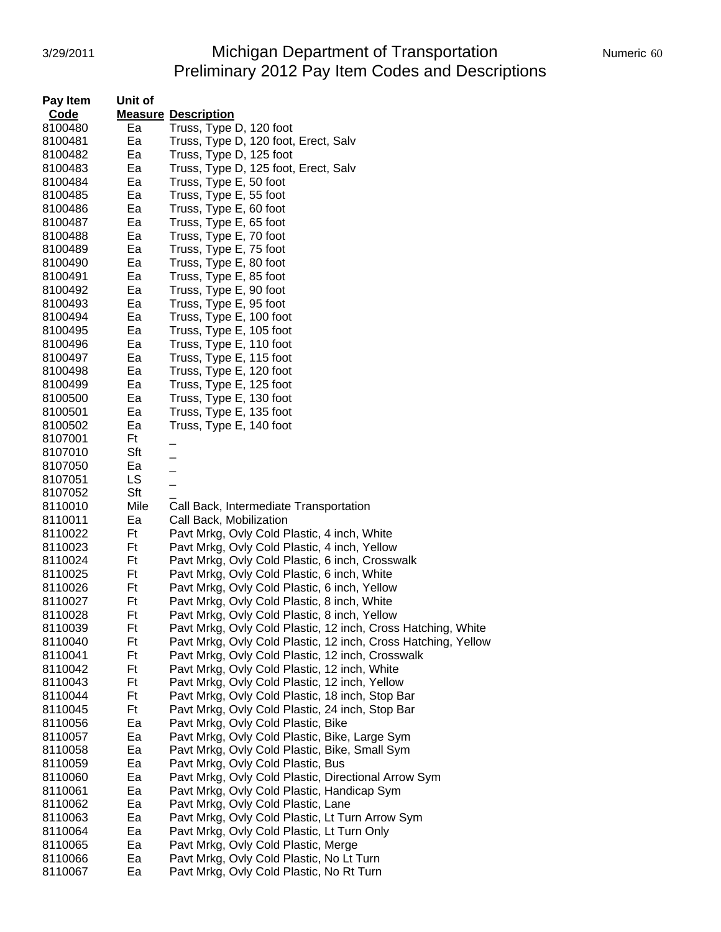## 3/29/2011 Michigan Department of Transportation Numeric 60 Preliminary 2012 Pay Item Codes and Descriptions

| Pay Item           | Unit of |                                                               |
|--------------------|---------|---------------------------------------------------------------|
| Code               |         | <b>Measure Description</b>                                    |
| 8100480            | Ea      | Truss, Type D, 120 foot                                       |
| 8100481            | Ea      | Truss, Type D, 120 foot, Erect, Salv                          |
| 8100482            | Ea      | Truss, Type D, 125 foot                                       |
| 8100483            | Ea      | Truss, Type D, 125 foot, Erect, Salv                          |
| 8100484            | Ea      | Truss, Type E, 50 foot                                        |
| 8100485            | Ea      | Truss, Type E, 55 foot                                        |
| 8100486            | Ea      | Truss, Type E, 60 foot                                        |
| 8100487            | Ea      | Truss, Type E, 65 foot                                        |
| 8100488            | Ea      | Truss, Type E, 70 foot                                        |
| 8100489            | Ea      | Truss, Type E, 75 foot                                        |
| 8100490            | Ea      | Truss, Type E, 80 foot                                        |
| 8100491            | Ea      | Truss, Type E, 85 foot                                        |
| 8100492            | Ea      | Truss, Type E, 90 foot                                        |
| 8100493            | Ea      | Truss, Type E, 95 foot                                        |
| 8100494            | Ea      | Truss, Type E, 100 foot                                       |
| 8100495            | Ea      | Truss, Type E, 105 foot                                       |
| 8100496            | Ea      | Truss, Type E, 110 foot                                       |
| 8100497            | Ea      | Truss, Type E, 115 foot                                       |
| 8100498            | Ea      | Truss, Type E, 120 foot                                       |
| 8100499            | Ea      | Truss, Type E, 125 foot                                       |
| 8100500            | Ea      | Truss, Type E, 130 foot                                       |
| 8100501            | Ea      | Truss, Type E, 135 foot                                       |
| 8100502            | Ea      | Truss, Type E, 140 foot                                       |
| 8107001            | Ft      |                                                               |
| 8107010            | Sft     |                                                               |
| 8107050            | Ea      | $\overline{a}$                                                |
| 8107051            | LS      |                                                               |
| 8107052            | Sft     |                                                               |
| 8110010            | Mile    | Call Back, Intermediate Transportation                        |
| 8110011            | Ea      | Call Back, Mobilization                                       |
| 8110022            | Ft      | Pavt Mrkg, Ovly Cold Plastic, 4 inch, White                   |
| 8110023            | Ft      | Pavt Mrkg, Ovly Cold Plastic, 4 inch, Yellow                  |
| 8110024            | Ft      | Pavt Mrkg, Ovly Cold Plastic, 6 inch, Crosswalk               |
| 8110025            | Ft      | Pavt Mrkg, Ovly Cold Plastic, 6 inch, White                   |
| 8110026            | Ft      | Pavt Mrkg, Ovly Cold Plastic, 6 inch, Yellow                  |
| 8110027            | Ft      | Pavt Mrkg, Ovly Cold Plastic, 8 inch, White                   |
| 8110028            | Ft      | Pavt Mrkg, Ovly Cold Plastic, 8 inch, Yellow                  |
| 8110039            | Ft      | Pavt Mrkg, Ovly Cold Plastic, 12 inch, Cross Hatching, White  |
| 8110040            | Ft      | Pavt Mrkg, Ovly Cold Plastic, 12 inch, Cross Hatching, Yellow |
| 8110041            | Ft      | Pavt Mrkg, Ovly Cold Plastic, 12 inch, Crosswalk              |
| 8110042            | Ft      | Pavt Mrkg, Ovly Cold Plastic, 12 inch, White                  |
| 8110043            | Ft      | Pavt Mrkg, Ovly Cold Plastic, 12 inch, Yellow                 |
| 8110044            | Ft      | Pavt Mrkg, Ovly Cold Plastic, 18 inch, Stop Bar               |
| 8110045            | Ft      | Pavt Mrkg, Ovly Cold Plastic, 24 inch, Stop Bar               |
| 8110056            | Ea      | Pavt Mrkg, Ovly Cold Plastic, Bike                            |
| 8110057            | Ea      | Pavt Mrkg, Ovly Cold Plastic, Bike, Large Sym                 |
| 8110058            | Ea      | Pavt Mrkg, Ovly Cold Plastic, Bike, Small Sym                 |
| 8110059            | Ea      | Pavt Mrkg, Ovly Cold Plastic, Bus                             |
| 8110060            | Ea      | Pavt Mrkg, Ovly Cold Plastic, Directional Arrow Sym           |
|                    | Ea      | Pavt Mrkg, Ovly Cold Plastic, Handicap Sym                    |
| 8110061<br>8110062 | Ea      | Pavt Mrkg, Ovly Cold Plastic, Lane                            |
| 8110063            | Ea      | Pavt Mrkg, Ovly Cold Plastic, Lt Turn Arrow Sym               |
|                    | Ea      | Pavt Mrkg, Ovly Cold Plastic, Lt Turn Only                    |
| 8110064<br>8110065 | Ea      | Pavt Mrkg, Ovly Cold Plastic, Merge                           |
| 8110066            | Ea      | Pavt Mrkg, Ovly Cold Plastic, No Lt Turn                      |
| 8110067            | Ea      | Pavt Mrkg, Ovly Cold Plastic, No Rt Turn                      |
|                    |         |                                                               |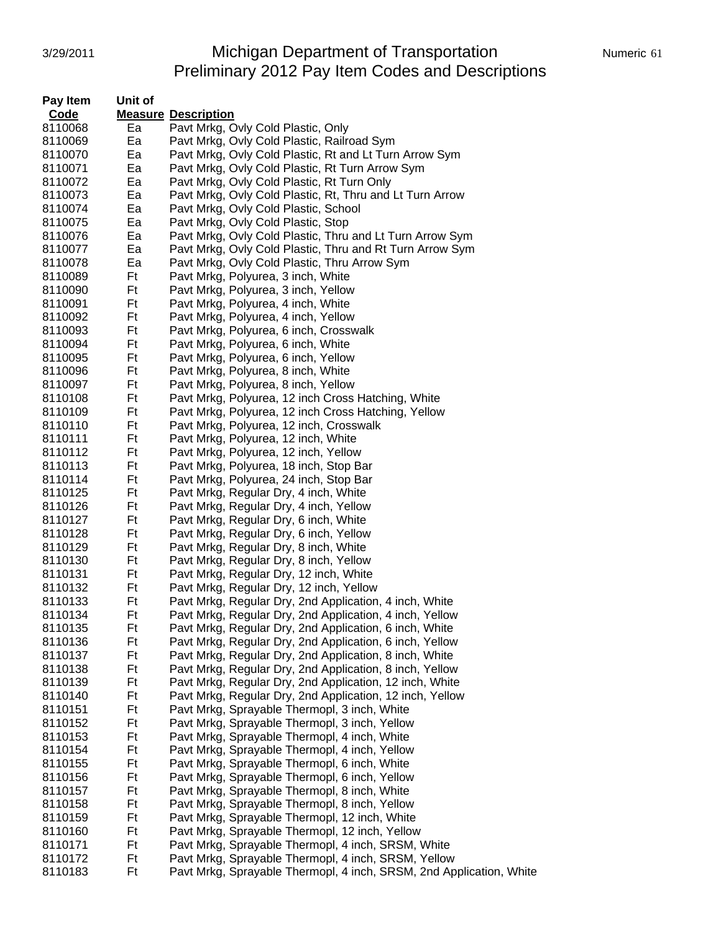### 3/29/2011 Michigan Department of Transportation Numeric 61 Preliminary 2012 Pay Item Codes and Descriptions

| Pay Item | Unit of |                                                                     |
|----------|---------|---------------------------------------------------------------------|
| Code     |         | <b>Measure Description</b>                                          |
| 8110068  | Ea      | Pavt Mrkg, Ovly Cold Plastic, Only                                  |
| 8110069  | Ea      | Pavt Mrkg, Ovly Cold Plastic, Railroad Sym                          |
| 8110070  | Ea      | Pavt Mrkg, Ovly Cold Plastic, Rt and Lt Turn Arrow Sym              |
| 8110071  | Ea      | Pavt Mrkg, Ovly Cold Plastic, Rt Turn Arrow Sym                     |
| 8110072  | Ea      | Pavt Mrkg, Ovly Cold Plastic, Rt Turn Only                          |
| 8110073  | Ea      | Pavt Mrkg, Ovly Cold Plastic, Rt, Thru and Lt Turn Arrow            |
| 8110074  | Ea      | Pavt Mrkg, Ovly Cold Plastic, School                                |
| 8110075  | Ea      | Pavt Mrkg, Ovly Cold Plastic, Stop                                  |
| 8110076  | Ea      | Pavt Mrkg, Ovly Cold Plastic, Thru and Lt Turn Arrow Sym            |
| 8110077  | Ea      | Pavt Mrkg, Ovly Cold Plastic, Thru and Rt Turn Arrow Sym            |
| 8110078  | Ea      | Pavt Mrkg, Ovly Cold Plastic, Thru Arrow Sym                        |
| 8110089  | Ft      | Pavt Mrkg, Polyurea, 3 inch, White                                  |
| 8110090  | Ft      | Pavt Mrkg, Polyurea, 3 inch, Yellow                                 |
| 8110091  | Ft      | Pavt Mrkg, Polyurea, 4 inch, White                                  |
| 8110092  | Ft      | Pavt Mrkg, Polyurea, 4 inch, Yellow                                 |
| 8110093  | Ft      | Pavt Mrkg, Polyurea, 6 inch, Crosswalk                              |
| 8110094  | Ft      | Pavt Mrkg, Polyurea, 6 inch, White                                  |
| 8110095  | Ft      | Pavt Mrkg, Polyurea, 6 inch, Yellow                                 |
| 8110096  | Ft      | Pavt Mrkg, Polyurea, 8 inch, White                                  |
| 8110097  | Ft      | Pavt Mrkg, Polyurea, 8 inch, Yellow                                 |
| 8110108  | Ft      | Pavt Mrkg, Polyurea, 12 inch Cross Hatching, White                  |
| 8110109  | Ft      | Pavt Mrkg, Polyurea, 12 inch Cross Hatching, Yellow                 |
| 8110110  | Ft      | Pavt Mrkg, Polyurea, 12 inch, Crosswalk                             |
| 8110111  | Ft      | Pavt Mrkg, Polyurea, 12 inch, White                                 |
| 8110112  | Ft      | Pavt Mrkg, Polyurea, 12 inch, Yellow                                |
| 8110113  | Ft      | Pavt Mrkg, Polyurea, 18 inch, Stop Bar                              |
| 8110114  | Ft      | Pavt Mrkg, Polyurea, 24 inch, Stop Bar                              |
| 8110125  | Ft      | Pavt Mrkg, Regular Dry, 4 inch, White                               |
| 8110126  | Ft      | Pavt Mrkg, Regular Dry, 4 inch, Yellow                              |
| 8110127  | Ft      | Pavt Mrkg, Regular Dry, 6 inch, White                               |
| 8110128  | Ft      | Pavt Mrkg, Regular Dry, 6 inch, Yellow                              |
| 8110129  | Ft      | Pavt Mrkg, Regular Dry, 8 inch, White                               |
| 8110130  | Ft      | Pavt Mrkg, Regular Dry, 8 inch, Yellow                              |
| 8110131  | Ft      | Pavt Mrkg, Regular Dry, 12 inch, White                              |
| 8110132  | Ft      | Pavt Mrkg, Regular Dry, 12 inch, Yellow                             |
| 8110133  | Ft      | Pavt Mrkg, Regular Dry, 2nd Application, 4 inch, White              |
| 8110134  | Ft      | Pavt Mrkg, Regular Dry, 2nd Application, 4 inch, Yellow             |
| 8110135  | Ft      | Pavt Mrkg, Regular Dry, 2nd Application, 6 inch, White              |
| 8110136  | Ft      | Pavt Mrkg, Regular Dry, 2nd Application, 6 inch, Yellow             |
| 8110137  | Ft      | Pavt Mrkg, Regular Dry, 2nd Application, 8 inch, White              |
| 8110138  | Ft      | Pavt Mrkg, Regular Dry, 2nd Application, 8 inch, Yellow             |
| 8110139  | Ft      | Pavt Mrkg, Regular Dry, 2nd Application, 12 inch, White             |
| 8110140  | Ft      | Pavt Mrkg, Regular Dry, 2nd Application, 12 inch, Yellow            |
| 8110151  | Ft      | Pavt Mrkg, Sprayable Thermopl, 3 inch, White                        |
| 8110152  | Ft      | Pavt Mrkg, Sprayable Thermopl, 3 inch, Yellow                       |
| 8110153  | Ft      | Pavt Mrkg, Sprayable Thermopl, 4 inch, White                        |
| 8110154  | Ft      | Pavt Mrkg, Sprayable Thermopl, 4 inch, Yellow                       |
| 8110155  | Ft      | Pavt Mrkg, Sprayable Thermopl, 6 inch, White                        |
| 8110156  | Ft      | Pavt Mrkg, Sprayable Thermopl, 6 inch, Yellow                       |
| 8110157  | Ft      | Pavt Mrkg, Sprayable Thermopl, 8 inch, White                        |
| 8110158  | Ft      | Pavt Mrkg, Sprayable Thermopl, 8 inch, Yellow                       |
| 8110159  | Ft      | Pavt Mrkg, Sprayable Thermopl, 12 inch, White                       |
| 8110160  | Ft      | Pavt Mrkg, Sprayable Thermopl, 12 inch, Yellow                      |
| 8110171  | Ft      | Pavt Mrkg, Sprayable Thermopl, 4 inch, SRSM, White                  |
| 8110172  | Ft      | Pavt Mrkg, Sprayable Thermopl, 4 inch, SRSM, Yellow                 |
| 8110183  | Ft      | Pavt Mrkg, Sprayable Thermopl, 4 inch, SRSM, 2nd Application, White |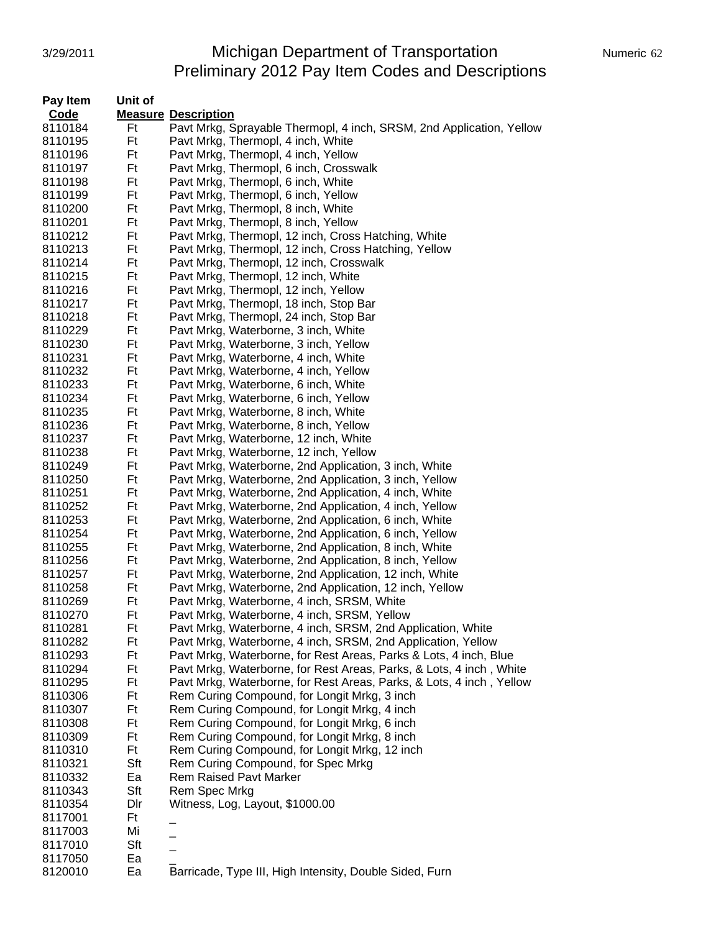### 3/29/2011 Michigan Department of Transportation Mumeric 62 Preliminary 2012 Pay Item Codes and Descriptions

| Pay Item           | Unit of   |                                                                      |
|--------------------|-----------|----------------------------------------------------------------------|
| <b>Code</b>        |           | <b>Measure Description</b>                                           |
| 8110184            | Ft        | Pavt Mrkg, Sprayable Thermopl, 4 inch, SRSM, 2nd Application, Yellow |
| 8110195            | Ft        | Pavt Mrkg, Thermopl, 4 inch, White                                   |
| 8110196            | Ft        | Pavt Mrkg, Thermopl, 4 inch, Yellow                                  |
| 8110197            | Ft        | Pavt Mrkg, Thermopl, 6 inch, Crosswalk                               |
| 8110198            | Ft        | Pavt Mrkg, Thermopl, 6 inch, White                                   |
| 8110199            | Ft        | Pavt Mrkg, Thermopl, 6 inch, Yellow                                  |
| 8110200            | Ft        | Pavt Mrkg, Thermopl, 8 inch, White                                   |
| 8110201            | Ft        | Pavt Mrkg, Thermopl, 8 inch, Yellow                                  |
| 8110212            | Ft        | Pavt Mrkg, Thermopl, 12 inch, Cross Hatching, White                  |
| 8110213            | Ft        | Pavt Mrkg, Thermopl, 12 inch, Cross Hatching, Yellow                 |
| 8110214            | Ft        | Pavt Mrkg, Thermopl, 12 inch, Crosswalk                              |
| 8110215            | Ft        | Pavt Mrkg, Thermopl, 12 inch, White                                  |
| 8110216            | Ft        | Pavt Mrkg, Thermopl, 12 inch, Yellow                                 |
| 8110217            | Ft        | Pavt Mrkg, Thermopl, 18 inch, Stop Bar                               |
| 8110218            | Ft        | Pavt Mrkg, Thermopl, 24 inch, Stop Bar                               |
| 8110229            | Ft        | Pavt Mrkg, Waterborne, 3 inch, White                                 |
| 8110230            | Ft        | Pavt Mrkg, Waterborne, 3 inch, Yellow                                |
| 8110231            | Ft        | Pavt Mrkg, Waterborne, 4 inch, White                                 |
| 8110232            | Ft        | Pavt Mrkg, Waterborne, 4 inch, Yellow                                |
| 8110233            | Ft        | Pavt Mrkg, Waterborne, 6 inch, White                                 |
| 8110234            | Ft        | Pavt Mrkg, Waterborne, 6 inch, Yellow                                |
| 8110235            | Ft        | Pavt Mrkg, Waterborne, 8 inch, White                                 |
| 8110236            | Ft        | Pavt Mrkg, Waterborne, 8 inch, Yellow                                |
| 8110237            | Ft        | Pavt Mrkg, Waterborne, 12 inch, White                                |
| 8110238            | Ft        | Pavt Mrkg, Waterborne, 12 inch, Yellow                               |
| 8110249            | Ft        | Pavt Mrkg, Waterborne, 2nd Application, 3 inch, White                |
| 8110250            | Ft        | Pavt Mrkg, Waterborne, 2nd Application, 3 inch, Yellow               |
| 8110251            | Ft        | Pavt Mrkg, Waterborne, 2nd Application, 4 inch, White                |
| 8110252            | Ft        | Pavt Mrkg, Waterborne, 2nd Application, 4 inch, Yellow               |
| 8110253            | Ft        | Pavt Mrkg, Waterborne, 2nd Application, 6 inch, White                |
| 8110254            | Ft        | Pavt Mrkg, Waterborne, 2nd Application, 6 inch, Yellow               |
| 8110255            | Ft        | Pavt Mrkg, Waterborne, 2nd Application, 8 inch, White                |
| 8110256            | Ft        | Pavt Mrkg, Waterborne, 2nd Application, 8 inch, Yellow               |
| 8110257            | Ft        | Pavt Mrkg, Waterborne, 2nd Application, 12 inch, White               |
| 8110258            | Ft        | Pavt Mrkg, Waterborne, 2nd Application, 12 inch, Yellow              |
| 8110269            | Ft        | Pavt Mrkg, Waterborne, 4 inch, SRSM, White                           |
| 8110270            | Ft        | Pavt Mrkg, Waterborne, 4 inch, SRSM, Yellow                          |
| 8110281            | Ft        | Pavt Mrkg, Waterborne, 4 inch, SRSM, 2nd Application, White          |
| 8110282            | Ft        | Pavt Mrkg, Waterborne, 4 inch, SRSM, 2nd Application, Yellow         |
| 8110293            | Ft        | Pavt Mrkg, Waterborne, for Rest Areas, Parks & Lots, 4 inch, Blue    |
| 8110294            | Ft        | Pavt Mrkg, Waterborne, for Rest Areas, Parks, & Lots, 4 inch, White  |
| 8110295            | Ft        | Pavt Mrkg, Waterborne, for Rest Areas, Parks, & Lots, 4 inch, Yellow |
| 8110306            | Ft        | Rem Curing Compound, for Longit Mrkg, 3 inch                         |
| 8110307            | Ft        | Rem Curing Compound, for Longit Mrkg, 4 inch                         |
| 8110308            | Ft        | Rem Curing Compound, for Longit Mrkg, 6 inch                         |
| 8110309            | Ft        | Rem Curing Compound, for Longit Mrkg, 8 inch                         |
| 8110310<br>8110321 | Ft<br>Sft | Rem Curing Compound, for Longit Mrkg, 12 inch                        |
| 8110332            | Ea        | Rem Curing Compound, for Spec Mrkg<br><b>Rem Raised Pavt Marker</b>  |
| 8110343            | Sft       | Rem Spec Mrkg                                                        |
|                    |           |                                                                      |
| 8110354<br>8117001 | Dlr<br>Ft | Witness, Log, Layout, \$1000.00                                      |
| 8117003            | Mi        |                                                                      |
| 8117010            | Sft       |                                                                      |
| 8117050            | Ea        |                                                                      |
| 8120010            | Ea        | Barricade, Type III, High Intensity, Double Sided, Furn              |
|                    |           |                                                                      |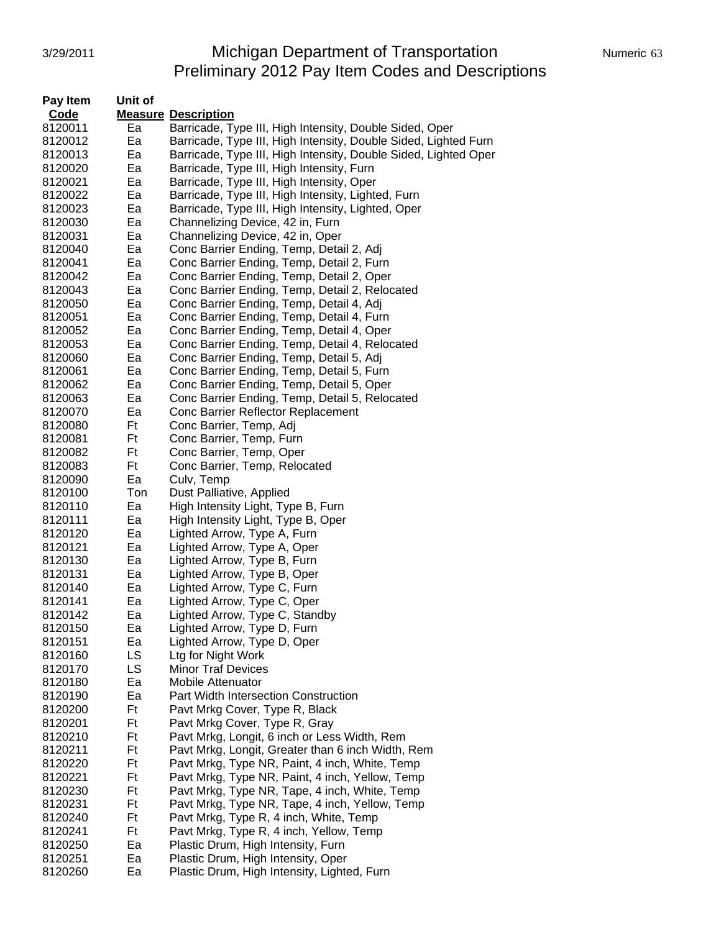# 3/29/2011 Michigan Department of Transportation Numeric 63 Preliminary 2012 Pay Item Codes and Descriptions

| Pay Item | Unit of |                                                                 |
|----------|---------|-----------------------------------------------------------------|
| Code     |         | <b>Measure Description</b>                                      |
| 8120011  | Ea      | Barricade, Type III, High Intensity, Double Sided, Oper         |
| 8120012  | Ea      | Barricade, Type III, High Intensity, Double Sided, Lighted Furn |
| 8120013  | Ea      | Barricade, Type III, High Intensity, Double Sided, Lighted Oper |
| 8120020  | Ea      | Barricade, Type III, High Intensity, Furn                       |
| 8120021  | Ea      | Barricade, Type III, High Intensity, Oper                       |
| 8120022  | Ea      | Barricade, Type III, High Intensity, Lighted, Furn              |
| 8120023  | Ea      | Barricade, Type III, High Intensity, Lighted, Oper              |
| 8120030  | Ea      | Channelizing Device, 42 in, Furn                                |
| 8120031  | Ea      | Channelizing Device, 42 in, Oper                                |
| 8120040  | Ea      | Conc Barrier Ending, Temp, Detail 2, Adj                        |
| 8120041  | Ea      | Conc Barrier Ending, Temp, Detail 2, Furn                       |
| 8120042  | Ea      | Conc Barrier Ending, Temp, Detail 2, Oper                       |
| 8120043  | Ea      | Conc Barrier Ending, Temp, Detail 2, Relocated                  |
| 8120050  | Ea      | Conc Barrier Ending, Temp, Detail 4, Adj                        |
| 8120051  | Ea      | Conc Barrier Ending, Temp, Detail 4, Furn                       |
| 8120052  | Ea      | Conc Barrier Ending, Temp, Detail 4, Oper                       |
| 8120053  | Ea      | Conc Barrier Ending, Temp, Detail 4, Relocated                  |
| 8120060  | Ea      | Conc Barrier Ending, Temp, Detail 5, Adj                        |
| 8120061  | Ea      | Conc Barrier Ending, Temp, Detail 5, Furn                       |
| 8120062  | Ea      | Conc Barrier Ending, Temp, Detail 5, Oper                       |
| 8120063  | Ea      | Conc Barrier Ending, Temp, Detail 5, Relocated                  |
| 8120070  | Ea      | Conc Barrier Reflector Replacement                              |
| 8120080  | Ft      | Conc Barrier, Temp, Adj                                         |
| 8120081  | Ft      | Conc Barrier, Temp, Furn                                        |
| 8120082  | Ft      | Conc Barrier, Temp, Oper                                        |
| 8120083  | Ft      | Conc Barrier, Temp, Relocated                                   |
| 8120090  | Ea      | Culv, Temp                                                      |
| 8120100  | Ton     | Dust Palliative, Applied                                        |
| 8120110  | Ea      | High Intensity Light, Type B, Furn                              |
| 8120111  | Ea      | High Intensity Light, Type B, Oper                              |
| 8120120  | Ea      | Lighted Arrow, Type A, Furn                                     |
| 8120121  | Ea      | Lighted Arrow, Type A, Oper                                     |
| 8120130  | Ea      | Lighted Arrow, Type B, Furn                                     |
| 8120131  | Ea      | Lighted Arrow, Type B, Oper                                     |
| 8120140  | Ea      | Lighted Arrow, Type C, Furn                                     |
| 8120141  | Ea      | Lighted Arrow, Type C, Oper                                     |
| 8120142  | Ea      | Lighted Arrow, Type C, Standby                                  |
| 8120150  | Ea      | Lighted Arrow, Type D, Furn                                     |
| 8120151  | Ea      | Lighted Arrow, Type D, Oper                                     |
| 8120160  | LS      | Ltg for Night Work                                              |
| 8120170  | LS      | <b>Minor Traf Devices</b>                                       |
| 8120180  | Ea      | <b>Mobile Attenuator</b>                                        |
| 8120190  | Ea      | <b>Part Width Intersection Construction</b>                     |
| 8120200  | Ft      | Pavt Mrkg Cover, Type R, Black                                  |
| 8120201  | Ft      | Pavt Mrkg Cover, Type R, Gray                                   |
| 8120210  | Ft      |                                                                 |
|          |         | Pavt Mrkg, Longit, 6 inch or Less Width, Rem                    |
| 8120211  | Ft      | Pavt Mrkg, Longit, Greater than 6 inch Width, Rem               |
| 8120220  | Ft      | Pavt Mrkg, Type NR, Paint, 4 inch, White, Temp                  |
| 8120221  | Ft      | Pavt Mrkg, Type NR, Paint, 4 inch, Yellow, Temp                 |
| 8120230  | Ft      | Pavt Mrkg, Type NR, Tape, 4 inch, White, Temp                   |
| 8120231  | Ft      | Pavt Mrkg, Type NR, Tape, 4 inch, Yellow, Temp                  |
| 8120240  | Ft      | Pavt Mrkg, Type R, 4 inch, White, Temp                          |
| 8120241  | Ft      | Pavt Mrkg, Type R, 4 inch, Yellow, Temp                         |
| 8120250  | Ea      | Plastic Drum, High Intensity, Furn                              |
| 8120251  | Ea      | Plastic Drum, High Intensity, Oper                              |
| 8120260  | Ea      | Plastic Drum, High Intensity, Lighted, Furn                     |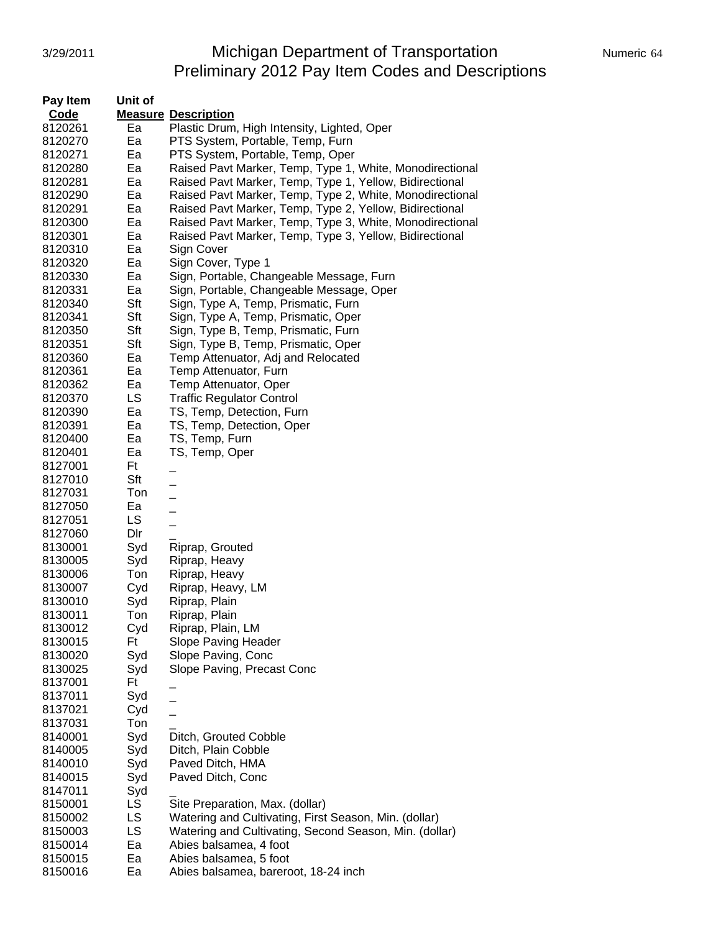## 3/29/2011 **Michigan Department of Transportation** Numeric 64 Preliminary 2012 Pay Item Codes and Descriptions

| Pay Item | Unit of |                                                          |
|----------|---------|----------------------------------------------------------|
| Code     |         | <b>Measure Description</b>                               |
| 8120261  | Ea      | Plastic Drum, High Intensity, Lighted, Oper              |
| 8120270  | Ea      | PTS System, Portable, Temp, Furn                         |
| 8120271  | Ea      | PTS System, Portable, Temp, Oper                         |
| 8120280  | Ea      | Raised Pavt Marker, Temp, Type 1, White, Monodirectional |
| 8120281  | Ea      | Raised Pavt Marker, Temp, Type 1, Yellow, Bidirectional  |
| 8120290  | Ea      | Raised Pavt Marker, Temp, Type 2, White, Monodirectional |
| 8120291  | Ea      | Raised Pavt Marker, Temp, Type 2, Yellow, Bidirectional  |
| 8120300  | Ea      | Raised Pavt Marker, Temp, Type 3, White, Monodirectional |
| 8120301  | Ea      | Raised Pavt Marker, Temp, Type 3, Yellow, Bidirectional  |
| 8120310  | Ea      | Sign Cover                                               |
| 8120320  | Ea      | Sign Cover, Type 1                                       |
| 8120330  | Ea      | Sign, Portable, Changeable Message, Furn                 |
|          |         |                                                          |
| 8120331  | Ea      | Sign, Portable, Changeable Message, Oper                 |
| 8120340  | Sft     | Sign, Type A, Temp, Prismatic, Furn                      |
| 8120341  | Sft     | Sign, Type A, Temp, Prismatic, Oper                      |
| 8120350  | Sft     | Sign, Type B, Temp, Prismatic, Furn                      |
| 8120351  | Sft     | Sign, Type B, Temp, Prismatic, Oper                      |
| 8120360  | Ea      | Temp Attenuator, Adj and Relocated                       |
| 8120361  | Ea      | Temp Attenuator, Furn                                    |
| 8120362  | Ea      | Temp Attenuator, Oper                                    |
| 8120370  | LS      | <b>Traffic Regulator Control</b>                         |
| 8120390  | Ea      | TS, Temp, Detection, Furn                                |
| 8120391  | Ea      | TS, Temp, Detection, Oper                                |
| 8120400  | Ea      | TS, Temp, Furn                                           |
| 8120401  | Ea      | TS, Temp, Oper                                           |
| 8127001  | Ft      |                                                          |
| 8127010  | Sft     |                                                          |
| 8127031  | Ton     |                                                          |
| 8127050  | Ea      |                                                          |
| 8127051  | LS      |                                                          |
| 8127060  | Dlr     |                                                          |
| 8130001  | Syd     | Riprap, Grouted                                          |
| 8130005  | Syd     | Riprap, Heavy                                            |
| 8130006  | Ton     | Riprap, Heavy                                            |
| 8130007  | Cyd     | Riprap, Heavy, LM                                        |
| 8130010  | Syd     | Riprap, Plain                                            |
| 8130011  | Ton     | Riprap, Plain                                            |
| 8130012  | Cyd     | Riprap, Plain, LM                                        |
| 8130015  | Ft      | Slope Paving Header                                      |
| 8130020  | Syd     | Slope Paving, Conc                                       |
| 8130025  | Syd     | Slope Paving, Precast Conc                               |
| 8137001  | Ft      |                                                          |
| 8137011  | Syd     |                                                          |
| 8137021  | Cyd     |                                                          |
| 8137031  | Ton     |                                                          |
| 8140001  | Syd     | Ditch, Grouted Cobble                                    |
| 8140005  | Syd     | Ditch, Plain Cobble                                      |
| 8140010  | Syd     | Paved Ditch, HMA                                         |
| 8140015  | Syd     | Paved Ditch, Conc                                        |
| 8147011  | Syd     |                                                          |
| 8150001  | LS.     | Site Preparation, Max. (dollar)                          |
| 8150002  | LS      | Watering and Cultivating, First Season, Min. (dollar)    |
| 8150003  | LS      | Watering and Cultivating, Second Season, Min. (dollar)   |
| 8150014  | Ea      | Abies balsamea, 4 foot                                   |
| 8150015  | Ea      | Abies balsamea, 5 foot                                   |
| 8150016  | Ea      | Abies balsamea, bareroot, 18-24 inch                     |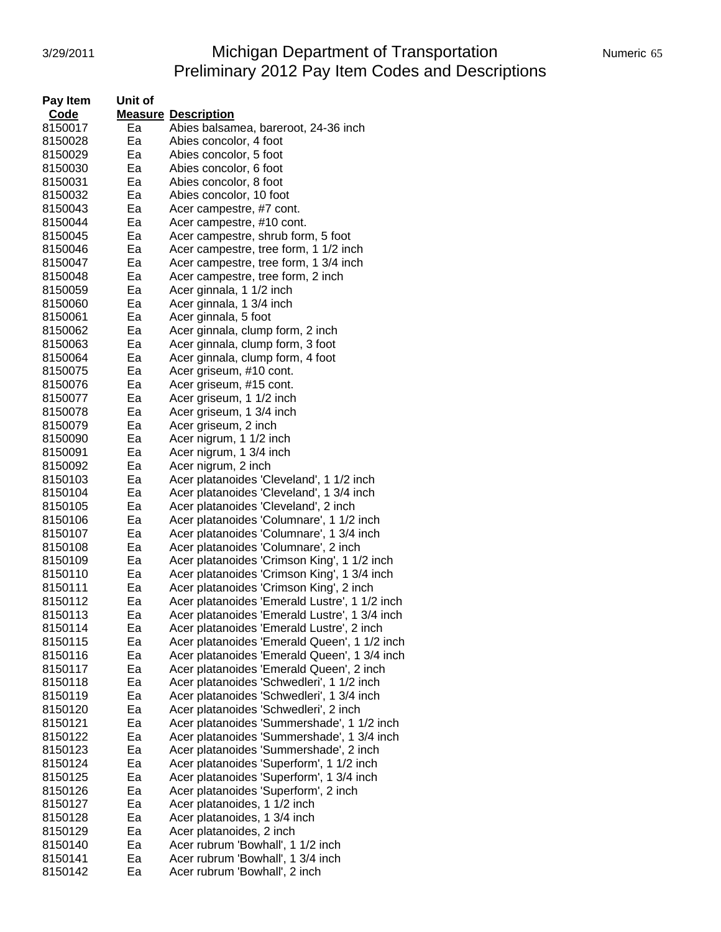# 3/29/2011 Michigan Department of Transportation Numeric 65 Preliminary 2012 Pay Item Codes and Descriptions

| Pay Item | Unit of |                                               |
|----------|---------|-----------------------------------------------|
| Code     |         | <b>Measure Description</b>                    |
| 8150017  | Eа      | Abies balsamea, bareroot, 24-36 inch          |
| 8150028  | Ea      | Abies concolor, 4 foot                        |
| 8150029  | Ea      | Abies concolor, 5 foot                        |
| 8150030  | Ea      | Abies concolor, 6 foot                        |
| 8150031  | Ea      | Abies concolor, 8 foot                        |
| 8150032  | Ea      | Abies concolor, 10 foot                       |
| 8150043  | Ea      | Acer campestre, #7 cont.                      |
| 8150044  | Ea      | Acer campestre, #10 cont.                     |
| 8150045  | Ea      | Acer campestre, shrub form, 5 foot            |
| 8150046  | Ea      | Acer campestre, tree form, 1 1/2 inch         |
| 8150047  | Ea      | Acer campestre, tree form, 1 3/4 inch         |
| 8150048  | Ea      | Acer campestre, tree form, 2 inch             |
| 8150059  | Ea      | Acer ginnala, 1 1/2 inch                      |
| 8150060  | Ea      | Acer ginnala, 1 3/4 inch                      |
| 8150061  | Ea      | Acer ginnala, 5 foot                          |
| 8150062  | Ea      | Acer ginnala, clump form, 2 inch              |
| 8150063  | Ea      | Acer ginnala, clump form, 3 foot              |
| 8150064  | Ea      | Acer ginnala, clump form, 4 foot              |
| 8150075  | Ea      | Acer griseum, #10 cont.                       |
| 8150076  | Ea      | Acer griseum, #15 cont.                       |
| 8150077  | Ea      | Acer griseum, 1 1/2 inch                      |
| 8150078  | Ea      | Acer griseum, 1 3/4 inch                      |
| 8150079  | Eа      | Acer griseum, 2 inch                          |
| 8150090  | Ea      | Acer nigrum, 1 1/2 inch                       |
| 8150091  | Ea      | Acer nigrum, 1 3/4 inch                       |
| 8150092  | Ea      | Acer nigrum, 2 inch                           |
| 8150103  | Ea      | Acer platanoides 'Cleveland', 1 1/2 inch      |
| 8150104  | Ea      | Acer platanoides 'Cleveland', 1 3/4 inch      |
| 8150105  | Ea      | Acer platanoides 'Cleveland', 2 inch          |
| 8150106  | Ea      | Acer platanoides 'Columnare', 1 1/2 inch      |
| 8150107  | Ea      | Acer platanoides 'Columnare', 1 3/4 inch      |
| 8150108  | Ea      | Acer platanoides 'Columnare', 2 inch          |
| 8150109  | Ea      | Acer platanoides 'Crimson King', 1 1/2 inch   |
| 8150110  | Ea      | Acer platanoides 'Crimson King', 1 3/4 inch   |
| 8150111  | Ea      | Acer platanoides 'Crimson King', 2 inch       |
| 8150112  | Ea      | Acer platanoides 'Emerald Lustre', 1 1/2 inch |
| 8150113  | Ea      | Acer platanoides 'Emerald Lustre', 1 3/4 inch |
| 8150114  | Ea      | Acer platanoides 'Emerald Lustre', 2 inch     |
| 8150115  | Ea      | Acer platanoides 'Emerald Queen', 1 1/2 inch  |
| 8150116  | Ea      | Acer platanoides 'Emerald Queen', 1 3/4 inch  |
| 8150117  | Ea      | Acer platanoides 'Emerald Queen', 2 inch      |
| 8150118  | Ea      | Acer platanoides 'Schwedleri', 1 1/2 inch     |
| 8150119  | Ea      | Acer platanoides 'Schwedleri', 1 3/4 inch     |
| 8150120  | Ea      | Acer platanoides 'Schwedleri', 2 inch         |
| 8150121  | Ea      | Acer platanoides 'Summershade', 1 1/2 inch    |
| 8150122  | Ea      | Acer platanoides 'Summershade', 1 3/4 inch    |
| 8150123  | Ea      | Acer platanoides 'Summershade', 2 inch        |
| 8150124  | Ea      | Acer platanoides 'Superform', 1 1/2 inch      |
| 8150125  | Ea      | Acer platanoides 'Superform', 1 3/4 inch      |
| 8150126  | Ea      | Acer platanoides 'Superform', 2 inch          |
| 8150127  | Ea      | Acer platanoides, 1 1/2 inch                  |
| 8150128  | Ea      | Acer platanoides, 1 3/4 inch                  |
| 8150129  | Ea      | Acer platanoides, 2 inch                      |
| 8150140  | Ea      | Acer rubrum 'Bowhall', 1 1/2 inch             |
| 8150141  | Ea      | Acer rubrum 'Bowhall', 1 3/4 inch             |
| 8150142  | Ea      | Acer rubrum 'Bowhall', 2 inch                 |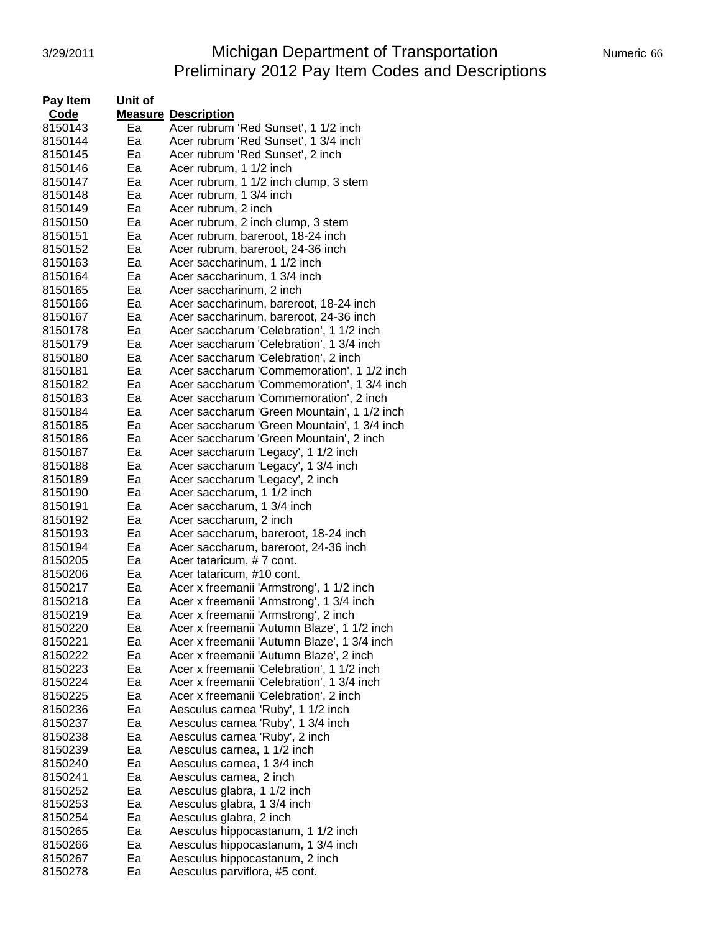# 3/29/2011 **Michigan Department of Transportation** Numeric 66 Preliminary 2012 Pay Item Codes and Descriptions

| Pay Item | Unit of |                                             |
|----------|---------|---------------------------------------------|
| Code     |         | <b>Measure Description</b>                  |
| 8150143  | Ea      | Acer rubrum 'Red Sunset', 1 1/2 inch        |
| 8150144  | Ea      | Acer rubrum 'Red Sunset', 1 3/4 inch        |
| 8150145  | Ea      | Acer rubrum 'Red Sunset', 2 inch            |
| 8150146  | Ea      | Acer rubrum, 1 1/2 inch                     |
| 8150147  | Ea      | Acer rubrum, 1 1/2 inch clump, 3 stem       |
| 8150148  | Ea      | Acer rubrum, 1 3/4 inch                     |
| 8150149  | Ea      | Acer rubrum, 2 inch                         |
| 8150150  | Ea      | Acer rubrum, 2 inch clump, 3 stem           |
| 8150151  | Ea      | Acer rubrum, bareroot, 18-24 inch           |
| 8150152  | Ea      | Acer rubrum, bareroot, 24-36 inch           |
| 8150163  | Ea      | Acer saccharinum, 1 1/2 inch                |
| 8150164  | Ea      | Acer saccharinum, 1 3/4 inch                |
| 8150165  | Ea      | Acer saccharinum, 2 inch                    |
| 8150166  | Ea      | Acer saccharinum, bareroot, 18-24 inch      |
| 8150167  | Ea      | Acer saccharinum, bareroot, 24-36 inch      |
| 8150178  | Ea      | Acer saccharum 'Celebration', 1 1/2 inch    |
| 8150179  | Ea      | Acer saccharum 'Celebration', 1 3/4 inch    |
| 8150180  | Ea      | Acer saccharum 'Celebration', 2 inch        |
| 8150181  | Ea      | Acer saccharum 'Commemoration', 1 1/2 inch  |
| 8150182  | Ea      | Acer saccharum 'Commemoration', 1 3/4 inch  |
| 8150183  | Ea      | Acer saccharum 'Commemoration', 2 inch      |
| 8150184  | Ea      | Acer saccharum 'Green Mountain', 1 1/2 inch |
| 8150185  | Ea      | Acer saccharum 'Green Mountain', 1 3/4 inch |
| 8150186  | Ea      | Acer saccharum 'Green Mountain', 2 inch     |
| 8150187  | Ea      | Acer saccharum 'Legacy', 1 1/2 inch         |
| 8150188  | Ea      | Acer saccharum 'Legacy', 1 3/4 inch         |
| 8150189  | Ea      | Acer saccharum 'Legacy', 2 inch             |
| 8150190  | Ea      | Acer saccharum, 1 1/2 inch                  |
| 8150191  | Ea      | Acer saccharum, 1 3/4 inch                  |
| 8150192  | Ea      | Acer saccharum, 2 inch                      |
| 8150193  | Ea      | Acer saccharum, bareroot, 18-24 inch        |
| 8150194  | Ea      | Acer saccharum, bareroot, 24-36 inch        |
| 8150205  | Ea      | Acer tataricum, #7 cont.                    |
| 8150206  | Ea      | Acer tataricum, #10 cont.                   |
| 8150217  | Ea      | Acer x freemanii 'Armstrong', 1 1/2 inch    |
| 8150218  | Ea      | Acer x freemanii 'Armstrong', 1 3/4 inch    |
| 8150219  | Ea      | Acer x freemanii 'Armstrong', 2 inch        |
| 8150220  | Ea      | Acer x freemanii 'Autumn Blaze', 1 1/2 inch |
| 8150221  | Ea      | Acer x freemanii 'Autumn Blaze', 1 3/4 inch |
| 8150222  | Ea      | Acer x freemanii 'Autumn Blaze', 2 inch     |
| 8150223  | Ea      | Acer x freemanii 'Celebration', 1 1/2 inch  |
| 8150224  | Ea      | Acer x freemanii 'Celebration', 1 3/4 inch  |
| 8150225  | Ea      | Acer x freemanii 'Celebration', 2 inch      |
| 8150236  | Ea      | Aesculus carnea 'Ruby', 1 1/2 inch          |
| 8150237  | Ea      | Aesculus carnea 'Ruby', 1 3/4 inch          |
| 8150238  | Ea      | Aesculus carnea 'Ruby', 2 inch              |
| 8150239  | Ea      | Aesculus carnea, 1 1/2 inch                 |
| 8150240  | Ea      | Aesculus carnea, 1 3/4 inch                 |
| 8150241  | Ea      | Aesculus carnea, 2 inch                     |
| 8150252  | Ea      | Aesculus glabra, 1 1/2 inch                 |
| 8150253  | Ea      | Aesculus glabra, 1 3/4 inch                 |
| 8150254  | Ea      | Aesculus glabra, 2 inch                     |
| 8150265  | Ea      | Aesculus hippocastanum, 1 1/2 inch          |
| 8150266  | Ea      | Aesculus hippocastanum, 1 3/4 inch          |
| 8150267  | Ea      | Aesculus hippocastanum, 2 inch              |
| 8150278  | Ea      | Aesculus parviflora, #5 cont.               |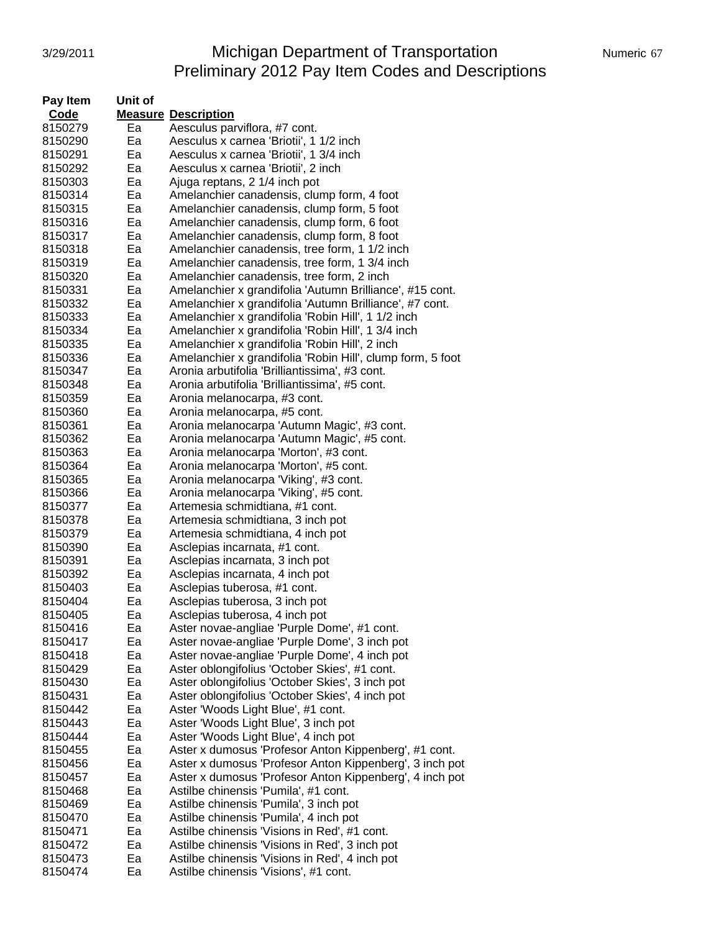# 3/29/2011 Michigan Department of Transportation Mumeric 67 Preliminary 2012 Pay Item Codes and Descriptions

| Pay Item | Unit of |                                                            |
|----------|---------|------------------------------------------------------------|
| Code     |         | <b>Measure Description</b>                                 |
| 8150279  | Ea      | Aesculus parviflora, #7 cont.                              |
| 8150290  | Ea      | Aesculus x carnea 'Briotii', 1 1/2 inch                    |
| 8150291  | Ea      | Aesculus x carnea 'Briotii', 1 3/4 inch                    |
| 8150292  | Ea      | Aesculus x carnea 'Briotii', 2 inch                        |
| 8150303  | Ea      | Ajuga reptans, 2 1/4 inch pot                              |
| 8150314  | Ea      | Amelanchier canadensis, clump form, 4 foot                 |
| 8150315  | Ea      | Amelanchier canadensis, clump form, 5 foot                 |
| 8150316  | Ea      | Amelanchier canadensis, clump form, 6 foot                 |
| 8150317  | Ea      | Amelanchier canadensis, clump form, 8 foot                 |
| 8150318  | Ea      | Amelanchier canadensis, tree form, 1 1/2 inch              |
| 8150319  | Ea      | Amelanchier canadensis, tree form, 1 3/4 inch              |
| 8150320  | Ea      | Amelanchier canadensis, tree form, 2 inch                  |
| 8150331  | Ea      | Amelanchier x grandifolia 'Autumn Brilliance', #15 cont.   |
| 8150332  | Ea      | Amelanchier x grandifolia 'Autumn Brilliance', #7 cont.    |
| 8150333  | Ea      | Amelanchier x grandifolia 'Robin Hill', 1 1/2 inch         |
| 8150334  | Eа      | Amelanchier x grandifolia 'Robin Hill', 1 3/4 inch         |
| 8150335  | Ea      | Amelanchier x grandifolia 'Robin Hill', 2 inch             |
| 8150336  | Ea      | Amelanchier x grandifolia 'Robin Hill', clump form, 5 foot |
| 8150347  | Ea      | Aronia arbutifolia 'Brilliantissima', #3 cont.             |
| 8150348  | Ea      | Aronia arbutifolia 'Brilliantissima', #5 cont.             |
| 8150359  | Ea      | Aronia melanocarpa, #3 cont.                               |
| 8150360  | Ea      | Aronia melanocarpa, #5 cont.                               |
| 8150361  | Ea      | Aronia melanocarpa 'Autumn Magic', #3 cont.                |
| 8150362  | Ea      | Aronia melanocarpa 'Autumn Magic', #5 cont.                |
| 8150363  | Ea      | Aronia melanocarpa 'Morton', #3 cont.                      |
| 8150364  | Ea      | Aronia melanocarpa 'Morton', #5 cont.                      |
| 8150365  | Ea      | Aronia melanocarpa 'Viking', #3 cont.                      |
| 8150366  | Ea      | Aronia melanocarpa 'Viking', #5 cont.                      |
| 8150377  | Ea      | Artemesia schmidtiana, #1 cont.                            |
| 8150378  | Ea      | Artemesia schmidtiana, 3 inch pot                          |
| 8150379  | Ea      | Artemesia schmidtiana, 4 inch pot                          |
| 8150390  | Ea      | Asclepias incarnata, #1 cont.                              |
| 8150391  | Ea      | Asclepias incarnata, 3 inch pot                            |
| 8150392  | Ea      | Asclepias incarnata, 4 inch pot                            |
| 8150403  | Ea      | Asclepias tuberosa, #1 cont.                               |
| 8150404  | Ea      | Asclepias tuberosa, 3 inch pot                             |
| 8150405  | Ea      | Asclepias tuberosa, 4 inch pot                             |
| 8150416  | Ea      | Aster novae-angliae 'Purple Dome', #1 cont.                |
| 8150417  | Ea      | Aster novae-angliae 'Purple Dome', 3 inch pot              |
| 8150418  | Ea      | Aster novae-angliae 'Purple Dome', 4 inch pot              |
| 8150429  | Ea      | Aster oblongifolius 'October Skies', #1 cont.              |
| 8150430  | Ea      | Aster oblongifolius 'October Skies', 3 inch pot            |
| 8150431  | Ea      | Aster oblongifolius 'October Skies', 4 inch pot            |
| 8150442  | Ea      | Aster 'Woods Light Blue', #1 cont.                         |
| 8150443  | Ea      | Aster 'Woods Light Blue', 3 inch pot                       |
| 8150444  | Ea      | Aster 'Woods Light Blue', 4 inch pot                       |
| 8150455  | Ea      | Aster x dumosus 'Profesor Anton Kippenberg', #1 cont.      |
| 8150456  | Ea      | Aster x dumosus 'Profesor Anton Kippenberg', 3 inch pot    |
| 8150457  | Ea      | Aster x dumosus 'Profesor Anton Kippenberg', 4 inch pot    |
| 8150468  | Ea      | Astilbe chinensis 'Pumila', #1 cont.                       |
| 8150469  | Ea      | Astilbe chinensis 'Pumila', 3 inch pot                     |
| 8150470  | Ea      | Astilbe chinensis 'Pumila', 4 inch pot                     |
| 8150471  | Ea      | Astilbe chinensis 'Visions in Red', #1 cont.               |
| 8150472  | Ea      | Astilbe chinensis 'Visions in Red', 3 inch pot             |
| 8150473  | Ea      | Astilbe chinensis 'Visions in Red', 4 inch pot             |
| 8150474  | Ea      | Astilbe chinensis 'Visions', #1 cont.                      |
|          |         |                                                            |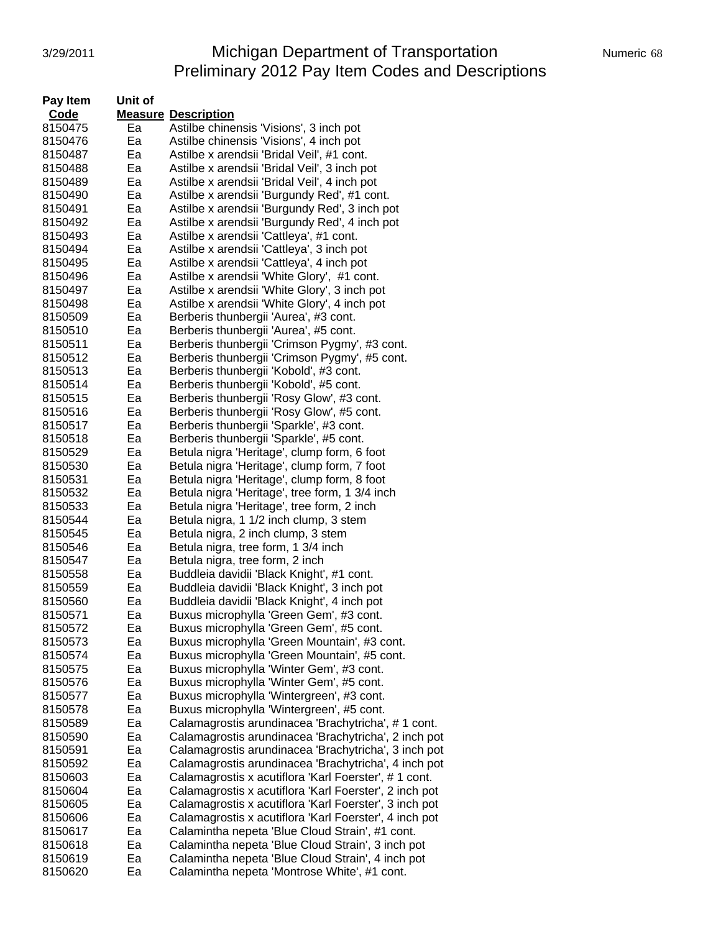# 3/29/2011 **Michigan Department of Transportation** Numeric 68 Preliminary 2012 Pay Item Codes and Descriptions

| Pay Item | Unit of |                                                        |
|----------|---------|--------------------------------------------------------|
| Code     |         | <b>Measure Description</b>                             |
| 8150475  | Ea      | Astilbe chinensis 'Visions', 3 inch pot                |
| 8150476  | Ea      | Astilbe chinensis 'Visions', 4 inch pot                |
| 8150487  | Ea      | Astilbe x arendsii 'Bridal Veil', #1 cont.             |
| 8150488  | Ea      | Astilbe x arendsii 'Bridal Veil', 3 inch pot           |
| 8150489  | Ea      | Astilbe x arendsii 'Bridal Veil', 4 inch pot           |
| 8150490  | Ea      | Astilbe x arendsii 'Burgundy Red', #1 cont.            |
| 8150491  | Ea      | Astilbe x arendsii 'Burgundy Red', 3 inch pot          |
| 8150492  | Ea      | Astilbe x arendsii 'Burgundy Red', 4 inch pot          |
| 8150493  | Ea      | Astilbe x arendsii 'Cattleya', #1 cont.                |
| 8150494  | Ea      | Astilbe x arendsii 'Cattleya', 3 inch pot              |
| 8150495  | Ea      | Astilbe x arendsii 'Cattleya', 4 inch pot              |
| 8150496  | Ea      | Astilbe x arendsii 'White Glory', #1 cont.             |
| 8150497  | Ea      | Astilbe x arendsii 'White Glory', 3 inch pot           |
| 8150498  | Ea      | Astilbe x arendsii 'White Glory', 4 inch pot           |
| 8150509  | Ea      | Berberis thunbergii 'Aurea', #3 cont.                  |
| 8150510  | Ea      | Berberis thunbergii 'Aurea', #5 cont.                  |
| 8150511  | Ea      | Berberis thunbergii 'Crimson Pygmy', #3 cont.          |
| 8150512  | Ea      | Berberis thunbergii 'Crimson Pygmy', #5 cont.          |
| 8150513  | Ea      | Berberis thunbergii 'Kobold', #3 cont.                 |
| 8150514  | Ea      | Berberis thunbergii 'Kobold', #5 cont.                 |
| 8150515  | Ea      | Berberis thunbergii 'Rosy Glow', #3 cont.              |
| 8150516  | Ea      | Berberis thunbergii 'Rosy Glow', #5 cont.              |
| 8150517  | Ea      | Berberis thunbergii 'Sparkle', #3 cont.                |
| 8150518  | Ea      | Berberis thunbergii 'Sparkle', #5 cont.                |
| 8150529  | Ea      | Betula nigra 'Heritage', clump form, 6 foot            |
| 8150530  | Ea      | Betula nigra 'Heritage', clump form, 7 foot            |
| 8150531  | Ea      | Betula nigra 'Heritage', clump form, 8 foot            |
| 8150532  | Ea      | Betula nigra 'Heritage', tree form, 1 3/4 inch         |
| 8150533  | Ea      | Betula nigra 'Heritage', tree form, 2 inch             |
| 8150544  | Ea      | Betula nigra, 1 1/2 inch clump, 3 stem                 |
| 8150545  | Ea      | Betula nigra, 2 inch clump, 3 stem                     |
| 8150546  | Ea      | Betula nigra, tree form, 1 3/4 inch                    |
| 8150547  | Ea      | Betula nigra, tree form, 2 inch                        |
| 8150558  | Ea      | Buddleia davidii 'Black Knight', #1 cont.              |
| 8150559  | Ea      | Buddleia davidii 'Black Knight', 3 inch pot            |
| 8150560  | Ea      | Buddleia davidii 'Black Knight', 4 inch pot            |
| 8150571  | Ea      | Buxus microphylla 'Green Gem', #3 cont.                |
| 8150572  | Ea      | Buxus microphylla 'Green Gem', #5 cont.                |
| 8150573  | Ea      | Buxus microphylla 'Green Mountain', #3 cont.           |
| 8150574  | Ea      | Buxus microphylla 'Green Mountain', #5 cont.           |
| 8150575  | Ea      | Buxus microphylla 'Winter Gem', #3 cont.               |
| 8150576  | Ea      | Buxus microphylla 'Winter Gem', #5 cont.               |
| 8150577  | Ea      | Buxus microphylla 'Wintergreen', #3 cont.              |
| 8150578  | Ea      | Buxus microphylla 'Wintergreen', #5 cont.              |
| 8150589  | Ea      | Calamagrostis arundinacea 'Brachytricha', #1 cont.     |
| 8150590  | Ea      | Calamagrostis arundinacea 'Brachytricha', 2 inch pot   |
| 8150591  | Ea      | Calamagrostis arundinacea 'Brachytricha', 3 inch pot   |
| 8150592  | Ea      | Calamagrostis arundinacea 'Brachytricha', 4 inch pot   |
| 8150603  | Ea      | Calamagrostis x acutiflora 'Karl Foerster', #1 cont.   |
| 8150604  | Ea      | Calamagrostis x acutiflora 'Karl Foerster', 2 inch pot |
| 8150605  | Ea      | Calamagrostis x acutiflora 'Karl Foerster', 3 inch pot |
| 8150606  | Ea      | Calamagrostis x acutiflora 'Karl Foerster', 4 inch pot |
| 8150617  | Ea      | Calamintha nepeta 'Blue Cloud Strain', #1 cont.        |
| 8150618  | Ea      | Calamintha nepeta 'Blue Cloud Strain', 3 inch pot      |
| 8150619  | Ea      | Calamintha nepeta 'Blue Cloud Strain', 4 inch pot      |
| 8150620  | Ea      | Calamintha nepeta 'Montrose White', #1 cont.           |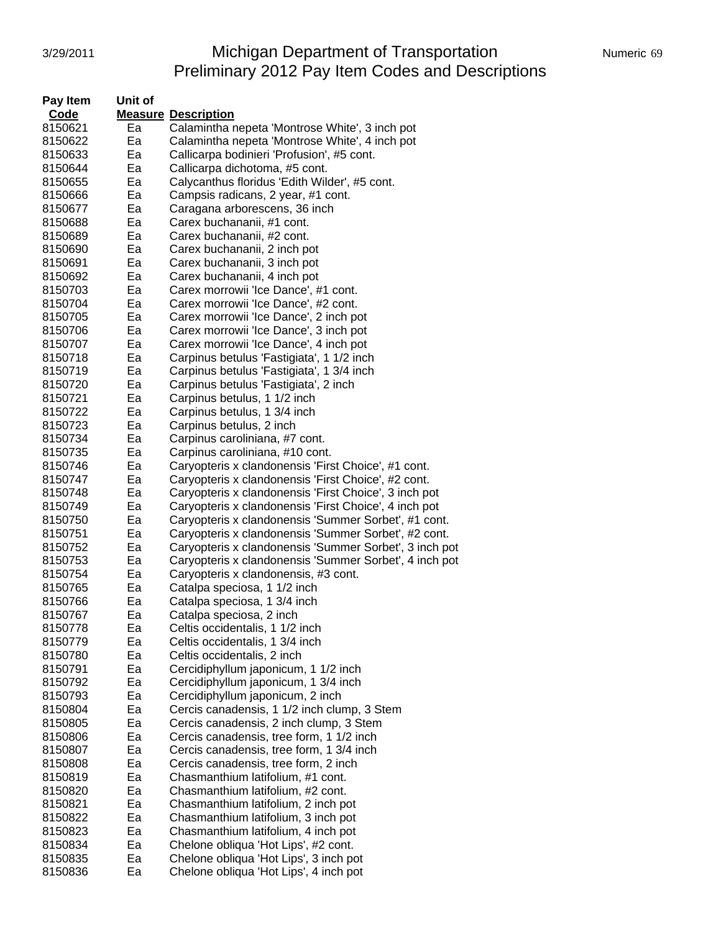# 3/29/2011 Michigan Department of Transportation Numeric 69 Preliminary 2012 Pay Item Codes and Descriptions

| Pay Item | Unit of |                                                        |
|----------|---------|--------------------------------------------------------|
| Code     |         | <b>Measure Description</b>                             |
| 8150621  | Ea      | Calamintha nepeta 'Montrose White', 3 inch pot         |
| 8150622  | Ea      | Calamintha nepeta 'Montrose White', 4 inch pot         |
| 8150633  | Ea      | Callicarpa bodinieri 'Profusion', #5 cont.             |
| 8150644  | Ea      | Callicarpa dichotoma, #5 cont.                         |
| 8150655  | Ea      | Calycanthus floridus 'Edith Wilder', #5 cont.          |
| 8150666  | Ea      | Campsis radicans, 2 year, #1 cont.                     |
| 8150677  | Ea      | Caragana arborescens, 36 inch                          |
| 8150688  | Ea      | Carex buchananii, #1 cont.                             |
| 8150689  | Ea      | Carex buchananii, #2 cont.                             |
| 8150690  | Ea      | Carex buchananii, 2 inch pot                           |
|          | Ea      |                                                        |
| 8150691  |         | Carex buchananii, 3 inch pot                           |
| 8150692  | Ea      | Carex buchananii, 4 inch pot                           |
| 8150703  | Ea      | Carex morrowii 'Ice Dance', #1 cont.                   |
| 8150704  | Ea      | Carex morrowii 'Ice Dance', #2 cont.                   |
| 8150705  | Ea      | Carex morrowii 'Ice Dance', 2 inch pot                 |
| 8150706  | Ea      | Carex morrowii 'Ice Dance', 3 inch pot                 |
| 8150707  | Ea      | Carex morrowii 'Ice Dance', 4 inch pot                 |
| 8150718  | Ea      | Carpinus betulus 'Fastigiata', 1 1/2 inch              |
| 8150719  | Ea      | Carpinus betulus 'Fastigiata', 1 3/4 inch              |
| 8150720  | Ea      | Carpinus betulus 'Fastigiata', 2 inch                  |
| 8150721  | Ea      | Carpinus betulus, 1 1/2 inch                           |
| 8150722  | Ea      | Carpinus betulus, 1 3/4 inch                           |
| 8150723  | Ea      | Carpinus betulus, 2 inch                               |
| 8150734  | Ea      | Carpinus caroliniana, #7 cont.                         |
| 8150735  | Ea      | Carpinus caroliniana, #10 cont.                        |
| 8150746  | Ea      | Caryopteris x clandonensis 'First Choice', #1 cont.    |
| 8150747  | Ea      | Caryopteris x clandonensis 'First Choice', #2 cont.    |
| 8150748  | Ea      | Caryopteris x clandonensis 'First Choice', 3 inch pot  |
| 8150749  | Ea      | Caryopteris x clandonensis 'First Choice', 4 inch pot  |
| 8150750  | Ea      | Caryopteris x clandonensis 'Summer Sorbet', #1 cont.   |
| 8150751  | Ea      | Caryopteris x clandonensis 'Summer Sorbet', #2 cont.   |
| 8150752  | Ea      | Caryopteris x clandonensis 'Summer Sorbet', 3 inch pot |
| 8150753  | Ea      | Caryopteris x clandonensis 'Summer Sorbet', 4 inch pot |
| 8150754  | Ea      | Caryopteris x clandonensis, #3 cont.                   |
|          | Ea      |                                                        |
| 8150765  |         | Catalpa speciosa, 1 1/2 inch                           |
| 8150766  | Ea      | Catalpa speciosa, 1 3/4 inch                           |
| 8150767  | Ea      | Catalpa speciosa, 2 inch                               |
| 8150778  | ьa      | Celtis occidentalis, 1 1/2 inch                        |
| 8150779  | Ea      | Celtis occidentalis, 1 3/4 inch                        |
| 8150780  | Ea      | Celtis occidentalis, 2 inch                            |
| 8150791  | Ea      | Cercidiphyllum japonicum, 1 1/2 inch                   |
| 8150792  | Ea      | Cercidiphyllum japonicum, 1 3/4 inch                   |
| 8150793  | Ea      | Cercidiphyllum japonicum, 2 inch                       |
| 8150804  | Ea      | Cercis canadensis, 1 1/2 inch clump, 3 Stem            |
| 8150805  | Ea      | Cercis canadensis, 2 inch clump, 3 Stem                |
| 8150806  | Ea      | Cercis canadensis, tree form, 1 1/2 inch               |
| 8150807  | Ea      | Cercis canadensis, tree form, 1 3/4 inch               |
| 8150808  | Ea      | Cercis canadensis, tree form, 2 inch                   |
| 8150819  | Ea      | Chasmanthium latifolium, #1 cont.                      |
| 8150820  | Ea      | Chasmanthium latifolium, #2 cont.                      |
| 8150821  | Ea      | Chasmanthium latifolium, 2 inch pot                    |
| 8150822  | Ea      | Chasmanthium latifolium, 3 inch pot                    |
| 8150823  | Ea      | Chasmanthium latifolium, 4 inch pot                    |
| 8150834  | Ea      | Chelone obliqua 'Hot Lips', #2 cont.                   |
| 8150835  | Ea      | Chelone obliqua 'Hot Lips', 3 inch pot                 |
| 8150836  | Ea      | Chelone obliqua 'Hot Lips', 4 inch pot                 |
|          |         |                                                        |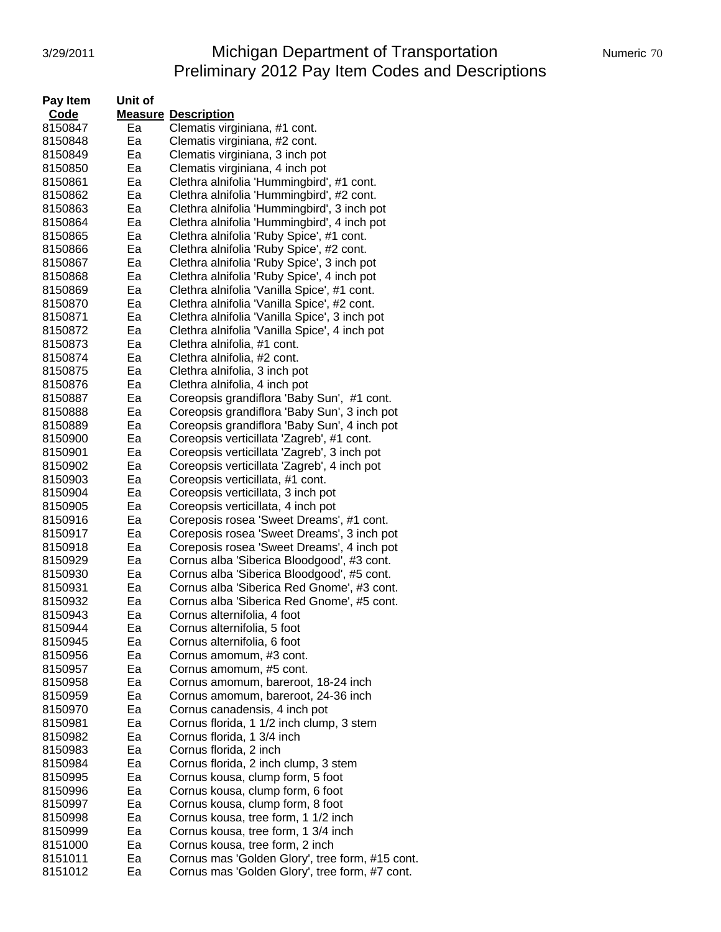# 3/29/2011 Michigan Department of Transportation Numeric 70 Preliminary 2012 Pay Item Codes and Descriptions

| Code<br><b>Measure Description</b><br>8150847<br>Clematis virginiana, #1 cont.<br>Ea<br>8150848<br>Ea<br>Clematis virginiana, #2 cont.<br>8150849<br>Ea<br>Clematis virginiana, 3 inch pot<br>Ea<br>Clematis virginiana, 4 inch pot<br>8150850<br>Ea<br>8150861<br>Clethra alnifolia 'Hummingbird', #1 cont.<br>8150862<br>Ea<br>Clethra alnifolia 'Hummingbird', #2 cont.<br>Clethra alnifolia 'Hummingbird', 3 inch pot<br>8150863<br>Ea<br>Clethra alnifolia 'Hummingbird', 4 inch pot<br>8150864<br>Ea<br>Clethra alnifolia 'Ruby Spice', #1 cont.<br>8150865<br>Ea<br>Clethra alnifolia 'Ruby Spice', #2 cont.<br>Ea<br>8150866<br>Clethra alnifolia 'Ruby Spice', 3 inch pot<br>8150867<br>Ea<br>Clethra alnifolia 'Ruby Spice', 4 inch pot<br>8150868<br>Ea<br>Clethra alnifolia 'Vanilla Spice', #1 cont.<br>Ea<br>8150869<br>8150870<br>Ea<br>Clethra alnifolia 'Vanilla Spice', #2 cont.<br>Ea<br>Clethra alnifolia 'Vanilla Spice', 3 inch pot<br>8150871<br>Ea<br>Clethra alnifolia 'Vanilla Spice', 4 inch pot<br>8150872<br>Ea<br>8150873<br>Clethra alnifolia, #1 cont.<br>Ea<br>8150874<br>Clethra alnifolia, #2 cont.<br>8150875<br>Ea<br>Clethra alnifolia, 3 inch pot<br>8150876<br>Ea<br>Clethra alnifolia, 4 inch pot<br>Coreopsis grandiflora 'Baby Sun', #1 cont.<br>8150887<br>Ea<br>Coreopsis grandiflora 'Baby Sun', 3 inch pot<br>Ea<br>8150888<br>Coreopsis grandiflora 'Baby Sun', 4 inch pot<br>8150889<br>Ea<br>Coreopsis verticillata 'Zagreb', #1 cont.<br>8150900<br>Ea<br>Coreopsis verticillata 'Zagreb', 3 inch pot<br>Ea<br>8150901<br>Coreopsis verticillata 'Zagreb', 4 inch pot<br>8150902<br>Ea<br>Coreopsis verticillata, #1 cont.<br>8150903<br>Ea<br>Ea<br>Coreopsis verticillata, 3 inch pot<br>8150904<br>Ea<br>Coreopsis verticillata, 4 inch pot<br>8150905<br>8150916<br>Ea<br>Coreposis rosea 'Sweet Dreams', #1 cont.<br>8150917<br>Coreposis rosea 'Sweet Dreams', 3 inch pot<br>Ea<br>8150918<br>Ea<br>Coreposis rosea 'Sweet Dreams', 4 inch pot<br>Cornus alba 'Siberica Bloodgood', #3 cont.<br>8150929<br>Ea<br>Cornus alba 'Siberica Bloodgood', #5 cont.<br>Ea<br>8150930<br>Cornus alba 'Siberica Red Gnome', #3 cont.<br>8150931<br>Ea<br>8150932<br>Cornus alba 'Siberica Red Gnome', #5 cont.<br>Ea<br>Ea<br>Cornus alternifolia, 4 foot<br>8150943<br>8150944<br>Cornus alternifolia, 5 foot<br>ьa<br>8150945<br>Ea<br>Cornus alternifolia, 6 foot<br>8150956<br>Ea<br>Cornus amomum, #3 cont.<br>8150957<br>Ea<br>Cornus amomum, #5 cont.<br>8150958<br>Ea<br>Cornus amomum, bareroot, 18-24 inch<br>8150959<br>Ea<br>Cornus amomum, bareroot, 24-36 inch<br>8150970<br>Ea<br>Cornus canadensis, 4 inch pot<br>Cornus florida, 1 1/2 inch clump, 3 stem<br>8150981<br>Ea<br>Cornus florida, 1 3/4 inch<br>Ea<br>8150982<br>Cornus florida, 2 inch<br>8150983<br>Ea<br>Ea | Pay Item | Unit of |                                                 |
|--------------------------------------------------------------------------------------------------------------------------------------------------------------------------------------------------------------------------------------------------------------------------------------------------------------------------------------------------------------------------------------------------------------------------------------------------------------------------------------------------------------------------------------------------------------------------------------------------------------------------------------------------------------------------------------------------------------------------------------------------------------------------------------------------------------------------------------------------------------------------------------------------------------------------------------------------------------------------------------------------------------------------------------------------------------------------------------------------------------------------------------------------------------------------------------------------------------------------------------------------------------------------------------------------------------------------------------------------------------------------------------------------------------------------------------------------------------------------------------------------------------------------------------------------------------------------------------------------------------------------------------------------------------------------------------------------------------------------------------------------------------------------------------------------------------------------------------------------------------------------------------------------------------------------------------------------------------------------------------------------------------------------------------------------------------------------------------------------------------------------------------------------------------------------------------------------------------------------------------------------------------------------------------------------------------------------------------------------------------------------------------------------------------------------------------------------------------------------------------------------------------------------------------------------------------------------------------------------------------------------------------------------------------------------------------------------------------------------------------------------------------------------------------------------------------------------------------------|----------|---------|-------------------------------------------------|
|                                                                                                                                                                                                                                                                                                                                                                                                                                                                                                                                                                                                                                                                                                                                                                                                                                                                                                                                                                                                                                                                                                                                                                                                                                                                                                                                                                                                                                                                                                                                                                                                                                                                                                                                                                                                                                                                                                                                                                                                                                                                                                                                                                                                                                                                                                                                                                                                                                                                                                                                                                                                                                                                                                                                                                                                                                            |          |         |                                                 |
|                                                                                                                                                                                                                                                                                                                                                                                                                                                                                                                                                                                                                                                                                                                                                                                                                                                                                                                                                                                                                                                                                                                                                                                                                                                                                                                                                                                                                                                                                                                                                                                                                                                                                                                                                                                                                                                                                                                                                                                                                                                                                                                                                                                                                                                                                                                                                                                                                                                                                                                                                                                                                                                                                                                                                                                                                                            |          |         |                                                 |
|                                                                                                                                                                                                                                                                                                                                                                                                                                                                                                                                                                                                                                                                                                                                                                                                                                                                                                                                                                                                                                                                                                                                                                                                                                                                                                                                                                                                                                                                                                                                                                                                                                                                                                                                                                                                                                                                                                                                                                                                                                                                                                                                                                                                                                                                                                                                                                                                                                                                                                                                                                                                                                                                                                                                                                                                                                            |          |         |                                                 |
|                                                                                                                                                                                                                                                                                                                                                                                                                                                                                                                                                                                                                                                                                                                                                                                                                                                                                                                                                                                                                                                                                                                                                                                                                                                                                                                                                                                                                                                                                                                                                                                                                                                                                                                                                                                                                                                                                                                                                                                                                                                                                                                                                                                                                                                                                                                                                                                                                                                                                                                                                                                                                                                                                                                                                                                                                                            |          |         |                                                 |
|                                                                                                                                                                                                                                                                                                                                                                                                                                                                                                                                                                                                                                                                                                                                                                                                                                                                                                                                                                                                                                                                                                                                                                                                                                                                                                                                                                                                                                                                                                                                                                                                                                                                                                                                                                                                                                                                                                                                                                                                                                                                                                                                                                                                                                                                                                                                                                                                                                                                                                                                                                                                                                                                                                                                                                                                                                            |          |         |                                                 |
|                                                                                                                                                                                                                                                                                                                                                                                                                                                                                                                                                                                                                                                                                                                                                                                                                                                                                                                                                                                                                                                                                                                                                                                                                                                                                                                                                                                                                                                                                                                                                                                                                                                                                                                                                                                                                                                                                                                                                                                                                                                                                                                                                                                                                                                                                                                                                                                                                                                                                                                                                                                                                                                                                                                                                                                                                                            |          |         |                                                 |
|                                                                                                                                                                                                                                                                                                                                                                                                                                                                                                                                                                                                                                                                                                                                                                                                                                                                                                                                                                                                                                                                                                                                                                                                                                                                                                                                                                                                                                                                                                                                                                                                                                                                                                                                                                                                                                                                                                                                                                                                                                                                                                                                                                                                                                                                                                                                                                                                                                                                                                                                                                                                                                                                                                                                                                                                                                            |          |         |                                                 |
|                                                                                                                                                                                                                                                                                                                                                                                                                                                                                                                                                                                                                                                                                                                                                                                                                                                                                                                                                                                                                                                                                                                                                                                                                                                                                                                                                                                                                                                                                                                                                                                                                                                                                                                                                                                                                                                                                                                                                                                                                                                                                                                                                                                                                                                                                                                                                                                                                                                                                                                                                                                                                                                                                                                                                                                                                                            |          |         |                                                 |
|                                                                                                                                                                                                                                                                                                                                                                                                                                                                                                                                                                                                                                                                                                                                                                                                                                                                                                                                                                                                                                                                                                                                                                                                                                                                                                                                                                                                                                                                                                                                                                                                                                                                                                                                                                                                                                                                                                                                                                                                                                                                                                                                                                                                                                                                                                                                                                                                                                                                                                                                                                                                                                                                                                                                                                                                                                            |          |         |                                                 |
|                                                                                                                                                                                                                                                                                                                                                                                                                                                                                                                                                                                                                                                                                                                                                                                                                                                                                                                                                                                                                                                                                                                                                                                                                                                                                                                                                                                                                                                                                                                                                                                                                                                                                                                                                                                                                                                                                                                                                                                                                                                                                                                                                                                                                                                                                                                                                                                                                                                                                                                                                                                                                                                                                                                                                                                                                                            |          |         |                                                 |
|                                                                                                                                                                                                                                                                                                                                                                                                                                                                                                                                                                                                                                                                                                                                                                                                                                                                                                                                                                                                                                                                                                                                                                                                                                                                                                                                                                                                                                                                                                                                                                                                                                                                                                                                                                                                                                                                                                                                                                                                                                                                                                                                                                                                                                                                                                                                                                                                                                                                                                                                                                                                                                                                                                                                                                                                                                            |          |         |                                                 |
|                                                                                                                                                                                                                                                                                                                                                                                                                                                                                                                                                                                                                                                                                                                                                                                                                                                                                                                                                                                                                                                                                                                                                                                                                                                                                                                                                                                                                                                                                                                                                                                                                                                                                                                                                                                                                                                                                                                                                                                                                                                                                                                                                                                                                                                                                                                                                                                                                                                                                                                                                                                                                                                                                                                                                                                                                                            |          |         |                                                 |
|                                                                                                                                                                                                                                                                                                                                                                                                                                                                                                                                                                                                                                                                                                                                                                                                                                                                                                                                                                                                                                                                                                                                                                                                                                                                                                                                                                                                                                                                                                                                                                                                                                                                                                                                                                                                                                                                                                                                                                                                                                                                                                                                                                                                                                                                                                                                                                                                                                                                                                                                                                                                                                                                                                                                                                                                                                            |          |         |                                                 |
|                                                                                                                                                                                                                                                                                                                                                                                                                                                                                                                                                                                                                                                                                                                                                                                                                                                                                                                                                                                                                                                                                                                                                                                                                                                                                                                                                                                                                                                                                                                                                                                                                                                                                                                                                                                                                                                                                                                                                                                                                                                                                                                                                                                                                                                                                                                                                                                                                                                                                                                                                                                                                                                                                                                                                                                                                                            |          |         |                                                 |
|                                                                                                                                                                                                                                                                                                                                                                                                                                                                                                                                                                                                                                                                                                                                                                                                                                                                                                                                                                                                                                                                                                                                                                                                                                                                                                                                                                                                                                                                                                                                                                                                                                                                                                                                                                                                                                                                                                                                                                                                                                                                                                                                                                                                                                                                                                                                                                                                                                                                                                                                                                                                                                                                                                                                                                                                                                            |          |         |                                                 |
|                                                                                                                                                                                                                                                                                                                                                                                                                                                                                                                                                                                                                                                                                                                                                                                                                                                                                                                                                                                                                                                                                                                                                                                                                                                                                                                                                                                                                                                                                                                                                                                                                                                                                                                                                                                                                                                                                                                                                                                                                                                                                                                                                                                                                                                                                                                                                                                                                                                                                                                                                                                                                                                                                                                                                                                                                                            |          |         |                                                 |
|                                                                                                                                                                                                                                                                                                                                                                                                                                                                                                                                                                                                                                                                                                                                                                                                                                                                                                                                                                                                                                                                                                                                                                                                                                                                                                                                                                                                                                                                                                                                                                                                                                                                                                                                                                                                                                                                                                                                                                                                                                                                                                                                                                                                                                                                                                                                                                                                                                                                                                                                                                                                                                                                                                                                                                                                                                            |          |         |                                                 |
|                                                                                                                                                                                                                                                                                                                                                                                                                                                                                                                                                                                                                                                                                                                                                                                                                                                                                                                                                                                                                                                                                                                                                                                                                                                                                                                                                                                                                                                                                                                                                                                                                                                                                                                                                                                                                                                                                                                                                                                                                                                                                                                                                                                                                                                                                                                                                                                                                                                                                                                                                                                                                                                                                                                                                                                                                                            |          |         |                                                 |
|                                                                                                                                                                                                                                                                                                                                                                                                                                                                                                                                                                                                                                                                                                                                                                                                                                                                                                                                                                                                                                                                                                                                                                                                                                                                                                                                                                                                                                                                                                                                                                                                                                                                                                                                                                                                                                                                                                                                                                                                                                                                                                                                                                                                                                                                                                                                                                                                                                                                                                                                                                                                                                                                                                                                                                                                                                            |          |         |                                                 |
|                                                                                                                                                                                                                                                                                                                                                                                                                                                                                                                                                                                                                                                                                                                                                                                                                                                                                                                                                                                                                                                                                                                                                                                                                                                                                                                                                                                                                                                                                                                                                                                                                                                                                                                                                                                                                                                                                                                                                                                                                                                                                                                                                                                                                                                                                                                                                                                                                                                                                                                                                                                                                                                                                                                                                                                                                                            |          |         |                                                 |
|                                                                                                                                                                                                                                                                                                                                                                                                                                                                                                                                                                                                                                                                                                                                                                                                                                                                                                                                                                                                                                                                                                                                                                                                                                                                                                                                                                                                                                                                                                                                                                                                                                                                                                                                                                                                                                                                                                                                                                                                                                                                                                                                                                                                                                                                                                                                                                                                                                                                                                                                                                                                                                                                                                                                                                                                                                            |          |         |                                                 |
|                                                                                                                                                                                                                                                                                                                                                                                                                                                                                                                                                                                                                                                                                                                                                                                                                                                                                                                                                                                                                                                                                                                                                                                                                                                                                                                                                                                                                                                                                                                                                                                                                                                                                                                                                                                                                                                                                                                                                                                                                                                                                                                                                                                                                                                                                                                                                                                                                                                                                                                                                                                                                                                                                                                                                                                                                                            |          |         |                                                 |
|                                                                                                                                                                                                                                                                                                                                                                                                                                                                                                                                                                                                                                                                                                                                                                                                                                                                                                                                                                                                                                                                                                                                                                                                                                                                                                                                                                                                                                                                                                                                                                                                                                                                                                                                                                                                                                                                                                                                                                                                                                                                                                                                                                                                                                                                                                                                                                                                                                                                                                                                                                                                                                                                                                                                                                                                                                            |          |         |                                                 |
|                                                                                                                                                                                                                                                                                                                                                                                                                                                                                                                                                                                                                                                                                                                                                                                                                                                                                                                                                                                                                                                                                                                                                                                                                                                                                                                                                                                                                                                                                                                                                                                                                                                                                                                                                                                                                                                                                                                                                                                                                                                                                                                                                                                                                                                                                                                                                                                                                                                                                                                                                                                                                                                                                                                                                                                                                                            |          |         |                                                 |
|                                                                                                                                                                                                                                                                                                                                                                                                                                                                                                                                                                                                                                                                                                                                                                                                                                                                                                                                                                                                                                                                                                                                                                                                                                                                                                                                                                                                                                                                                                                                                                                                                                                                                                                                                                                                                                                                                                                                                                                                                                                                                                                                                                                                                                                                                                                                                                                                                                                                                                                                                                                                                                                                                                                                                                                                                                            |          |         |                                                 |
|                                                                                                                                                                                                                                                                                                                                                                                                                                                                                                                                                                                                                                                                                                                                                                                                                                                                                                                                                                                                                                                                                                                                                                                                                                                                                                                                                                                                                                                                                                                                                                                                                                                                                                                                                                                                                                                                                                                                                                                                                                                                                                                                                                                                                                                                                                                                                                                                                                                                                                                                                                                                                                                                                                                                                                                                                                            |          |         |                                                 |
|                                                                                                                                                                                                                                                                                                                                                                                                                                                                                                                                                                                                                                                                                                                                                                                                                                                                                                                                                                                                                                                                                                                                                                                                                                                                                                                                                                                                                                                                                                                                                                                                                                                                                                                                                                                                                                                                                                                                                                                                                                                                                                                                                                                                                                                                                                                                                                                                                                                                                                                                                                                                                                                                                                                                                                                                                                            |          |         |                                                 |
|                                                                                                                                                                                                                                                                                                                                                                                                                                                                                                                                                                                                                                                                                                                                                                                                                                                                                                                                                                                                                                                                                                                                                                                                                                                                                                                                                                                                                                                                                                                                                                                                                                                                                                                                                                                                                                                                                                                                                                                                                                                                                                                                                                                                                                                                                                                                                                                                                                                                                                                                                                                                                                                                                                                                                                                                                                            |          |         |                                                 |
|                                                                                                                                                                                                                                                                                                                                                                                                                                                                                                                                                                                                                                                                                                                                                                                                                                                                                                                                                                                                                                                                                                                                                                                                                                                                                                                                                                                                                                                                                                                                                                                                                                                                                                                                                                                                                                                                                                                                                                                                                                                                                                                                                                                                                                                                                                                                                                                                                                                                                                                                                                                                                                                                                                                                                                                                                                            |          |         |                                                 |
|                                                                                                                                                                                                                                                                                                                                                                                                                                                                                                                                                                                                                                                                                                                                                                                                                                                                                                                                                                                                                                                                                                                                                                                                                                                                                                                                                                                                                                                                                                                                                                                                                                                                                                                                                                                                                                                                                                                                                                                                                                                                                                                                                                                                                                                                                                                                                                                                                                                                                                                                                                                                                                                                                                                                                                                                                                            |          |         |                                                 |
|                                                                                                                                                                                                                                                                                                                                                                                                                                                                                                                                                                                                                                                                                                                                                                                                                                                                                                                                                                                                                                                                                                                                                                                                                                                                                                                                                                                                                                                                                                                                                                                                                                                                                                                                                                                                                                                                                                                                                                                                                                                                                                                                                                                                                                                                                                                                                                                                                                                                                                                                                                                                                                                                                                                                                                                                                                            |          |         |                                                 |
|                                                                                                                                                                                                                                                                                                                                                                                                                                                                                                                                                                                                                                                                                                                                                                                                                                                                                                                                                                                                                                                                                                                                                                                                                                                                                                                                                                                                                                                                                                                                                                                                                                                                                                                                                                                                                                                                                                                                                                                                                                                                                                                                                                                                                                                                                                                                                                                                                                                                                                                                                                                                                                                                                                                                                                                                                                            |          |         |                                                 |
|                                                                                                                                                                                                                                                                                                                                                                                                                                                                                                                                                                                                                                                                                                                                                                                                                                                                                                                                                                                                                                                                                                                                                                                                                                                                                                                                                                                                                                                                                                                                                                                                                                                                                                                                                                                                                                                                                                                                                                                                                                                                                                                                                                                                                                                                                                                                                                                                                                                                                                                                                                                                                                                                                                                                                                                                                                            |          |         |                                                 |
|                                                                                                                                                                                                                                                                                                                                                                                                                                                                                                                                                                                                                                                                                                                                                                                                                                                                                                                                                                                                                                                                                                                                                                                                                                                                                                                                                                                                                                                                                                                                                                                                                                                                                                                                                                                                                                                                                                                                                                                                                                                                                                                                                                                                                                                                                                                                                                                                                                                                                                                                                                                                                                                                                                                                                                                                                                            |          |         |                                                 |
|                                                                                                                                                                                                                                                                                                                                                                                                                                                                                                                                                                                                                                                                                                                                                                                                                                                                                                                                                                                                                                                                                                                                                                                                                                                                                                                                                                                                                                                                                                                                                                                                                                                                                                                                                                                                                                                                                                                                                                                                                                                                                                                                                                                                                                                                                                                                                                                                                                                                                                                                                                                                                                                                                                                                                                                                                                            |          |         |                                                 |
|                                                                                                                                                                                                                                                                                                                                                                                                                                                                                                                                                                                                                                                                                                                                                                                                                                                                                                                                                                                                                                                                                                                                                                                                                                                                                                                                                                                                                                                                                                                                                                                                                                                                                                                                                                                                                                                                                                                                                                                                                                                                                                                                                                                                                                                                                                                                                                                                                                                                                                                                                                                                                                                                                                                                                                                                                                            |          |         |                                                 |
|                                                                                                                                                                                                                                                                                                                                                                                                                                                                                                                                                                                                                                                                                                                                                                                                                                                                                                                                                                                                                                                                                                                                                                                                                                                                                                                                                                                                                                                                                                                                                                                                                                                                                                                                                                                                                                                                                                                                                                                                                                                                                                                                                                                                                                                                                                                                                                                                                                                                                                                                                                                                                                                                                                                                                                                                                                            |          |         |                                                 |
|                                                                                                                                                                                                                                                                                                                                                                                                                                                                                                                                                                                                                                                                                                                                                                                                                                                                                                                                                                                                                                                                                                                                                                                                                                                                                                                                                                                                                                                                                                                                                                                                                                                                                                                                                                                                                                                                                                                                                                                                                                                                                                                                                                                                                                                                                                                                                                                                                                                                                                                                                                                                                                                                                                                                                                                                                                            |          |         |                                                 |
|                                                                                                                                                                                                                                                                                                                                                                                                                                                                                                                                                                                                                                                                                                                                                                                                                                                                                                                                                                                                                                                                                                                                                                                                                                                                                                                                                                                                                                                                                                                                                                                                                                                                                                                                                                                                                                                                                                                                                                                                                                                                                                                                                                                                                                                                                                                                                                                                                                                                                                                                                                                                                                                                                                                                                                                                                                            |          |         |                                                 |
|                                                                                                                                                                                                                                                                                                                                                                                                                                                                                                                                                                                                                                                                                                                                                                                                                                                                                                                                                                                                                                                                                                                                                                                                                                                                                                                                                                                                                                                                                                                                                                                                                                                                                                                                                                                                                                                                                                                                                                                                                                                                                                                                                                                                                                                                                                                                                                                                                                                                                                                                                                                                                                                                                                                                                                                                                                            |          |         |                                                 |
|                                                                                                                                                                                                                                                                                                                                                                                                                                                                                                                                                                                                                                                                                                                                                                                                                                                                                                                                                                                                                                                                                                                                                                                                                                                                                                                                                                                                                                                                                                                                                                                                                                                                                                                                                                                                                                                                                                                                                                                                                                                                                                                                                                                                                                                                                                                                                                                                                                                                                                                                                                                                                                                                                                                                                                                                                                            |          |         |                                                 |
|                                                                                                                                                                                                                                                                                                                                                                                                                                                                                                                                                                                                                                                                                                                                                                                                                                                                                                                                                                                                                                                                                                                                                                                                                                                                                                                                                                                                                                                                                                                                                                                                                                                                                                                                                                                                                                                                                                                                                                                                                                                                                                                                                                                                                                                                                                                                                                                                                                                                                                                                                                                                                                                                                                                                                                                                                                            |          |         |                                                 |
|                                                                                                                                                                                                                                                                                                                                                                                                                                                                                                                                                                                                                                                                                                                                                                                                                                                                                                                                                                                                                                                                                                                                                                                                                                                                                                                                                                                                                                                                                                                                                                                                                                                                                                                                                                                                                                                                                                                                                                                                                                                                                                                                                                                                                                                                                                                                                                                                                                                                                                                                                                                                                                                                                                                                                                                                                                            |          |         |                                                 |
|                                                                                                                                                                                                                                                                                                                                                                                                                                                                                                                                                                                                                                                                                                                                                                                                                                                                                                                                                                                                                                                                                                                                                                                                                                                                                                                                                                                                                                                                                                                                                                                                                                                                                                                                                                                                                                                                                                                                                                                                                                                                                                                                                                                                                                                                                                                                                                                                                                                                                                                                                                                                                                                                                                                                                                                                                                            |          |         |                                                 |
|                                                                                                                                                                                                                                                                                                                                                                                                                                                                                                                                                                                                                                                                                                                                                                                                                                                                                                                                                                                                                                                                                                                                                                                                                                                                                                                                                                                                                                                                                                                                                                                                                                                                                                                                                                                                                                                                                                                                                                                                                                                                                                                                                                                                                                                                                                                                                                                                                                                                                                                                                                                                                                                                                                                                                                                                                                            |          |         |                                                 |
|                                                                                                                                                                                                                                                                                                                                                                                                                                                                                                                                                                                                                                                                                                                                                                                                                                                                                                                                                                                                                                                                                                                                                                                                                                                                                                                                                                                                                                                                                                                                                                                                                                                                                                                                                                                                                                                                                                                                                                                                                                                                                                                                                                                                                                                                                                                                                                                                                                                                                                                                                                                                                                                                                                                                                                                                                                            |          |         |                                                 |
|                                                                                                                                                                                                                                                                                                                                                                                                                                                                                                                                                                                                                                                                                                                                                                                                                                                                                                                                                                                                                                                                                                                                                                                                                                                                                                                                                                                                                                                                                                                                                                                                                                                                                                                                                                                                                                                                                                                                                                                                                                                                                                                                                                                                                                                                                                                                                                                                                                                                                                                                                                                                                                                                                                                                                                                                                                            |          |         |                                                 |
|                                                                                                                                                                                                                                                                                                                                                                                                                                                                                                                                                                                                                                                                                                                                                                                                                                                                                                                                                                                                                                                                                                                                                                                                                                                                                                                                                                                                                                                                                                                                                                                                                                                                                                                                                                                                                                                                                                                                                                                                                                                                                                                                                                                                                                                                                                                                                                                                                                                                                                                                                                                                                                                                                                                                                                                                                                            |          |         |                                                 |
|                                                                                                                                                                                                                                                                                                                                                                                                                                                                                                                                                                                                                                                                                                                                                                                                                                                                                                                                                                                                                                                                                                                                                                                                                                                                                                                                                                                                                                                                                                                                                                                                                                                                                                                                                                                                                                                                                                                                                                                                                                                                                                                                                                                                                                                                                                                                                                                                                                                                                                                                                                                                                                                                                                                                                                                                                                            |          |         |                                                 |
|                                                                                                                                                                                                                                                                                                                                                                                                                                                                                                                                                                                                                                                                                                                                                                                                                                                                                                                                                                                                                                                                                                                                                                                                                                                                                                                                                                                                                                                                                                                                                                                                                                                                                                                                                                                                                                                                                                                                                                                                                                                                                                                                                                                                                                                                                                                                                                                                                                                                                                                                                                                                                                                                                                                                                                                                                                            | 8150984  |         | Cornus florida, 2 inch clump, 3 stem            |
| Ea<br>Cornus kousa, clump form, 5 foot<br>8150995                                                                                                                                                                                                                                                                                                                                                                                                                                                                                                                                                                                                                                                                                                                                                                                                                                                                                                                                                                                                                                                                                                                                                                                                                                                                                                                                                                                                                                                                                                                                                                                                                                                                                                                                                                                                                                                                                                                                                                                                                                                                                                                                                                                                                                                                                                                                                                                                                                                                                                                                                                                                                                                                                                                                                                                          |          |         |                                                 |
| 8150996<br>Ea<br>Cornus kousa, clump form, 6 foot                                                                                                                                                                                                                                                                                                                                                                                                                                                                                                                                                                                                                                                                                                                                                                                                                                                                                                                                                                                                                                                                                                                                                                                                                                                                                                                                                                                                                                                                                                                                                                                                                                                                                                                                                                                                                                                                                                                                                                                                                                                                                                                                                                                                                                                                                                                                                                                                                                                                                                                                                                                                                                                                                                                                                                                          |          |         |                                                 |
| 8150997<br>Ea<br>Cornus kousa, clump form, 8 foot                                                                                                                                                                                                                                                                                                                                                                                                                                                                                                                                                                                                                                                                                                                                                                                                                                                                                                                                                                                                                                                                                                                                                                                                                                                                                                                                                                                                                                                                                                                                                                                                                                                                                                                                                                                                                                                                                                                                                                                                                                                                                                                                                                                                                                                                                                                                                                                                                                                                                                                                                                                                                                                                                                                                                                                          |          |         |                                                 |
| Ea<br>8150998<br>Cornus kousa, tree form, 1 1/2 inch                                                                                                                                                                                                                                                                                                                                                                                                                                                                                                                                                                                                                                                                                                                                                                                                                                                                                                                                                                                                                                                                                                                                                                                                                                                                                                                                                                                                                                                                                                                                                                                                                                                                                                                                                                                                                                                                                                                                                                                                                                                                                                                                                                                                                                                                                                                                                                                                                                                                                                                                                                                                                                                                                                                                                                                       |          |         |                                                 |
| 8150999<br>Ea<br>Cornus kousa, tree form, 1 3/4 inch                                                                                                                                                                                                                                                                                                                                                                                                                                                                                                                                                                                                                                                                                                                                                                                                                                                                                                                                                                                                                                                                                                                                                                                                                                                                                                                                                                                                                                                                                                                                                                                                                                                                                                                                                                                                                                                                                                                                                                                                                                                                                                                                                                                                                                                                                                                                                                                                                                                                                                                                                                                                                                                                                                                                                                                       |          |         |                                                 |
| 8151000<br>Ea<br>Cornus kousa, tree form, 2 inch                                                                                                                                                                                                                                                                                                                                                                                                                                                                                                                                                                                                                                                                                                                                                                                                                                                                                                                                                                                                                                                                                                                                                                                                                                                                                                                                                                                                                                                                                                                                                                                                                                                                                                                                                                                                                                                                                                                                                                                                                                                                                                                                                                                                                                                                                                                                                                                                                                                                                                                                                                                                                                                                                                                                                                                           |          |         |                                                 |
| 8151011<br>Ea                                                                                                                                                                                                                                                                                                                                                                                                                                                                                                                                                                                                                                                                                                                                                                                                                                                                                                                                                                                                                                                                                                                                                                                                                                                                                                                                                                                                                                                                                                                                                                                                                                                                                                                                                                                                                                                                                                                                                                                                                                                                                                                                                                                                                                                                                                                                                                                                                                                                                                                                                                                                                                                                                                                                                                                                                              |          |         | Cornus mas 'Golden Glory', tree form, #15 cont. |
| 8151012<br>Ea<br>Cornus mas 'Golden Glory', tree form, #7 cont.                                                                                                                                                                                                                                                                                                                                                                                                                                                                                                                                                                                                                                                                                                                                                                                                                                                                                                                                                                                                                                                                                                                                                                                                                                                                                                                                                                                                                                                                                                                                                                                                                                                                                                                                                                                                                                                                                                                                                                                                                                                                                                                                                                                                                                                                                                                                                                                                                                                                                                                                                                                                                                                                                                                                                                            |          |         |                                                 |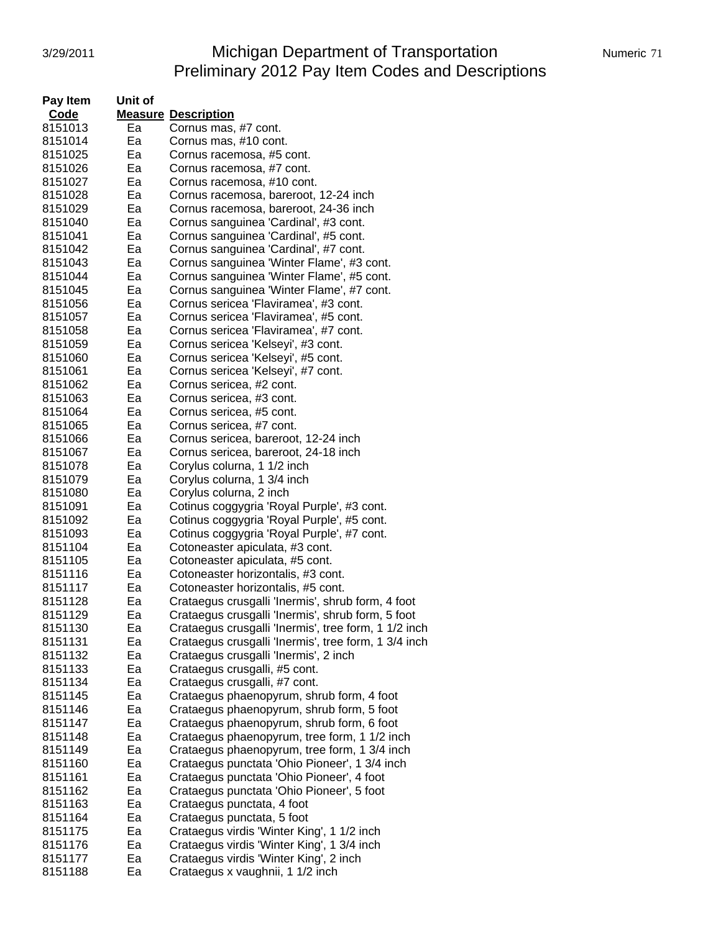# 3/29/2011 Michigan Department of Transportation Numeric 71 Preliminary 2012 Pay Item Codes and Descriptions

| Pay Item<br>Code | Unit of |                                                      |
|------------------|---------|------------------------------------------------------|
|                  |         | <b>Measure Description</b>                           |
| 8151013          | Ea      | Cornus mas, #7 cont.                                 |
| 8151014          | Ea      | Cornus mas, #10 cont.                                |
| 8151025          | Ea      | Cornus racemosa, #5 cont.                            |
| 8151026          | Ea      | Cornus racemosa, #7 cont.                            |
| 8151027          | Ea      | Cornus racemosa, #10 cont.                           |
| 8151028          | Ea      | Cornus racemosa, bareroot, 12-24 inch                |
| 8151029          | Ea      | Cornus racemosa, bareroot, 24-36 inch                |
| 8151040          | Ea      | Cornus sanguinea 'Cardinal', #3 cont.                |
| 8151041          | Ea      | Cornus sanguinea 'Cardinal', #5 cont.                |
| 8151042          | Ea      | Cornus sanguinea 'Cardinal', #7 cont.                |
| 8151043          | Ea      | Cornus sanguinea 'Winter Flame', #3 cont.            |
| 8151044          | Ea      | Cornus sanguinea 'Winter Flame', #5 cont.            |
| 8151045          | Ea      | Cornus sanguinea 'Winter Flame', #7 cont.            |
| 8151056          | Ea      | Cornus sericea 'Flaviramea', #3 cont.                |
| 8151057          | Ea      | Cornus sericea 'Flaviramea', #5 cont.                |
| 8151058          | Ea      | Cornus sericea 'Flaviramea', #7 cont.                |
| 8151059          | Ea      | Cornus sericea 'Kelseyi', #3 cont.                   |
| 8151060          | Ea      | Cornus sericea 'Kelseyi', #5 cont.                   |
| 8151061          | Ea      | Cornus sericea 'Kelseyi', #7 cont.                   |
| 8151062          | Ea      | Cornus sericea, #2 cont.                             |
| 8151063          | Ea      | Cornus sericea, #3 cont.                             |
| 8151064          | Ea      | Cornus sericea, #5 cont.                             |
| 8151065          | Ea      | Cornus sericea, #7 cont.                             |
| 8151066          | Ea      | Cornus sericea, bareroot, 12-24 inch                 |
| 8151067          | Ea      | Cornus sericea, bareroot, 24-18 inch                 |
| 8151078          | Ea      | Corylus colurna, 1 1/2 inch                          |
| 8151079          | Ea      | Corylus colurna, 1 3/4 inch                          |
| 8151080          | Ea      | Corylus colurna, 2 inch                              |
| 8151091          | Ea      | Cotinus coggygria 'Royal Purple', #3 cont.           |
| 8151092          | Ea      | Cotinus coggygria 'Royal Purple', #5 cont.           |
| 8151093          | Ea      | Cotinus coggygria 'Royal Purple', #7 cont.           |
| 8151104          | Ea      | Cotoneaster apiculata, #3 cont.                      |
| 8151105          | Ea      | Cotoneaster apiculata, #5 cont.                      |
| 8151116          | Ea      | Cotoneaster horizontalis, #3 cont.                   |
| 8151117          | Ea      | Cotoneaster horizontalis, #5 cont.                   |
| 8151128          | Ea      | Crataegus crusgalli 'Inermis', shrub form, 4 foot    |
| 8151129          | Ea      | Crataegus crusgalli 'Inermis', shrub form, 5 foot    |
| 8151130          | Ea      | Crataegus crusgalli 'Inermis', tree form, 1 1/2 inch |
| 8151131          | Ea      | Crataegus crusgalli 'Inermis', tree form, 1 3/4 inch |
| 8151132          | Ea      | Crataegus crusgalli 'Inermis', 2 inch                |
| 8151133          | Ea      | Crataegus crusgalli, #5 cont.                        |
| 8151134          | Ea      | Crataegus crusgalli, #7 cont.                        |
| 8151145          | Ea      | Crataegus phaenopyrum, shrub form, 4 foot            |
| 8151146          | Ea      | Crataegus phaenopyrum, shrub form, 5 foot            |
| 8151147          | Ea      | Crataegus phaenopyrum, shrub form, 6 foot            |
| 8151148          | Ea      | Crataegus phaenopyrum, tree form, 1 1/2 inch         |
| 8151149          | Ea      | Crataegus phaenopyrum, tree form, 1 3/4 inch         |
| 8151160          | Ea      | Crataegus punctata 'Ohio Pioneer', 1 3/4 inch        |
| 8151161          | Ea      | Crataegus punctata 'Ohio Pioneer', 4 foot            |
| 8151162          | Ea      | Crataegus punctata 'Ohio Pioneer', 5 foot            |
| 8151163          | Ea      | Crataegus punctata, 4 foot                           |
| 8151164          | Ea      | Crataegus punctata, 5 foot                           |
| 8151175          | Ea      | Crataegus virdis 'Winter King', 1 1/2 inch           |
| 8151176          | Ea      | Crataegus virdis 'Winter King', 1 3/4 inch           |
| 8151177          | Ea      | Crataegus virdis 'Winter King', 2 inch               |
| 8151188          | Ea      | Crataegus x vaughnii, 1 1/2 inch                     |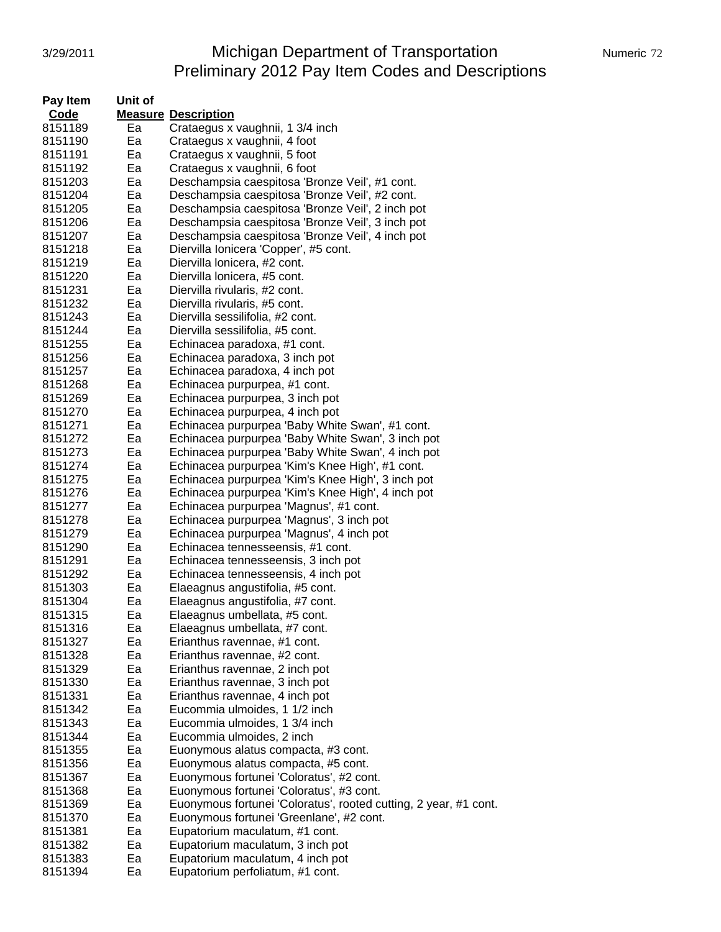# 3/29/2011 Michigan Department of Transportation Numeric 72 Preliminary 2012 Pay Item Codes and Descriptions

| Pay Item | Unit of |                                                                  |
|----------|---------|------------------------------------------------------------------|
| Code     |         | <b>Measure Description</b>                                       |
| 8151189  | Ea      | Crataegus x vaughnii, 1 3/4 inch                                 |
| 8151190  | Ea      | Crataegus x vaughnii, 4 foot                                     |
| 8151191  | Ea      | Crataegus x vaughnii, 5 foot                                     |
| 8151192  | Ea      | Crataegus x vaughnii, 6 foot                                     |
| 8151203  | Ea      | Deschampsia caespitosa 'Bronze Veil', #1 cont.                   |
| 8151204  | Ea      | Deschampsia caespitosa 'Bronze Veil', #2 cont.                   |
| 8151205  | Ea      | Deschampsia caespitosa 'Bronze Veil', 2 inch pot                 |
| 8151206  | Ea      | Deschampsia caespitosa 'Bronze Veil', 3 inch pot                 |
| 8151207  | Ea      | Deschampsia caespitosa 'Bronze Veil', 4 inch pot                 |
| 8151218  | Ea      | Diervilla Ionicera 'Copper', #5 cont.                            |
| 8151219  | Ea      | Diervilla lonicera, #2 cont.                                     |
| 8151220  | Ea      | Diervilla lonicera, #5 cont.                                     |
| 8151231  | Ea      | Diervilla rivularis, #2 cont.                                    |
| 8151232  | Ea      | Diervilla rivularis, #5 cont.                                    |
| 8151243  | Ea      | Diervilla sessilifolia, #2 cont.                                 |
| 8151244  | Ea      | Diervilla sessilifolia, #5 cont.                                 |
| 8151255  | Ea      | Echinacea paradoxa, #1 cont.                                     |
| 8151256  | Ea      | Echinacea paradoxa, 3 inch pot                                   |
| 8151257  | Ea      | Echinacea paradoxa, 4 inch pot                                   |
| 8151268  | Ea      | Echinacea purpurpea, #1 cont.                                    |
| 8151269  | Ea      | Echinacea purpurpea, 3 inch pot                                  |
| 8151270  | Ea      | Echinacea purpurpea, 4 inch pot                                  |
| 8151271  | Ea      | Echinacea purpurpea 'Baby White Swan', #1 cont.                  |
| 8151272  | Ea      | Echinacea purpurpea 'Baby White Swan', 3 inch pot                |
| 8151273  | Ea      | Echinacea purpurpea 'Baby White Swan', 4 inch pot                |
| 8151274  | Ea      | Echinacea purpurpea 'Kim's Knee High', #1 cont.                  |
| 8151275  | Ea      | Echinacea purpurpea 'Kim's Knee High', 3 inch pot                |
| 8151276  | Ea      | Echinacea purpurpea 'Kim's Knee High', 4 inch pot                |
| 8151277  | Ea      | Echinacea purpurpea 'Magnus', #1 cont.                           |
| 8151278  | Ea      | Echinacea purpurpea 'Magnus', 3 inch pot                         |
| 8151279  | Ea      | Echinacea purpurpea 'Magnus', 4 inch pot                         |
| 8151290  | Ea      | Echinacea tennesseensis, #1 cont.                                |
| 8151291  | Ea      | Echinacea tennesseensis, 3 inch pot                              |
| 8151292  | Ea      | Echinacea tennesseensis, 4 inch pot                              |
| 8151303  | Ea      | Elaeagnus angustifolia, #5 cont.                                 |
| 8151304  | Ea      | Elaeagnus angustifolia, #7 cont.                                 |
| 8151315  | Ea      | Elaeagnus umbellata, #5 cont.                                    |
| 8151316  | Ea      | Elaeagnus umbellata, #7 cont.                                    |
| 8151327  | Ea      | Erianthus ravennae, #1 cont.                                     |
| 8151328  | Ea      | Erianthus ravennae, #2 cont.                                     |
| 8151329  | Ea      | Erianthus ravennae, 2 inch pot                                   |
| 8151330  | Ea      | Erianthus ravennae, 3 inch pot                                   |
| 8151331  | Ea      | Erianthus ravennae, 4 inch pot                                   |
| 8151342  | Ea      | Eucommia ulmoides, 1 1/2 inch                                    |
| 8151343  | Ea      | Eucommia ulmoides, 1 3/4 inch                                    |
| 8151344  | Ea      | Eucommia ulmoides, 2 inch                                        |
| 8151355  | Ea      | Euonymous alatus compacta, #3 cont.                              |
| 8151356  | Ea      | Euonymous alatus compacta, #5 cont.                              |
| 8151367  | Ea      | Euonymous fortunei 'Coloratus', #2 cont.                         |
| 8151368  | Ea      | Euonymous fortunei 'Coloratus', #3 cont.                         |
| 8151369  | Ea      | Euonymous fortunei 'Coloratus', rooted cutting, 2 year, #1 cont. |
| 8151370  | Ea      | Euonymous fortunei 'Greenlane', #2 cont.                         |
| 8151381  | Ea      | Eupatorium maculatum, #1 cont.                                   |
| 8151382  | Ea      | Eupatorium maculatum, 3 inch pot                                 |
| 8151383  | Ea      | Eupatorium maculatum, 4 inch pot                                 |
| 8151394  | Ea      | Eupatorium perfoliatum, #1 cont.                                 |
|          |         |                                                                  |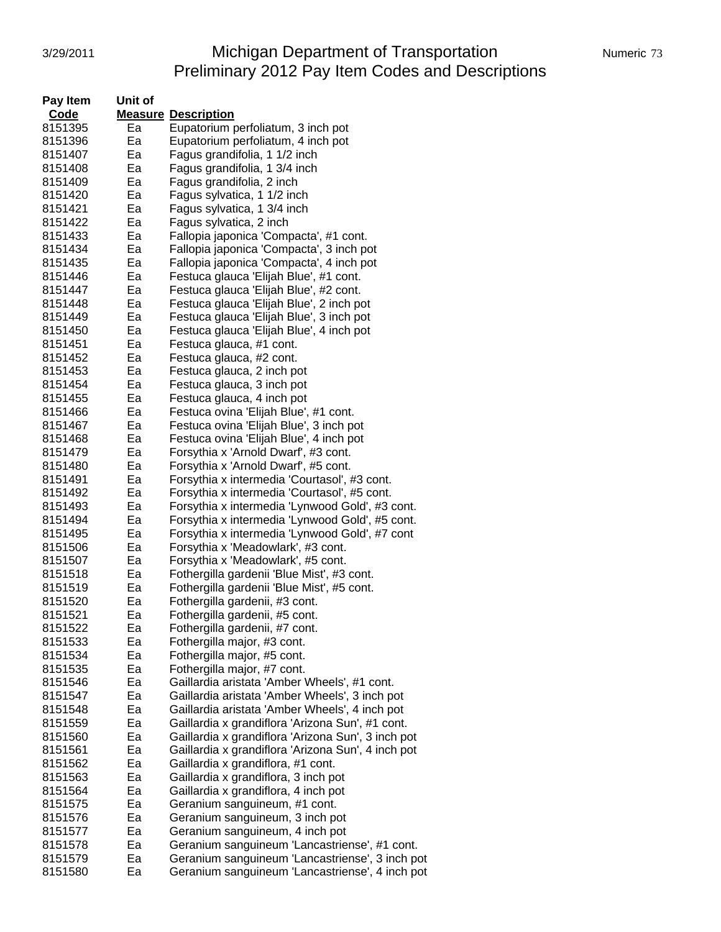# 3/29/2011 Michigan Department of Transportation Numeric 73 Preliminary 2012 Pay Item Codes and Descriptions

| Pay Item           | Unit of  |                                                                                                  |
|--------------------|----------|--------------------------------------------------------------------------------------------------|
| Code               |          | <b>Measure Description</b>                                                                       |
| 8151395            | Ea       | Eupatorium perfoliatum, 3 inch pot                                                               |
| 8151396            | Ea       | Eupatorium perfoliatum, 4 inch pot                                                               |
| 8151407            | Ea       | Fagus grandifolia, 1 1/2 inch                                                                    |
| 8151408            | Ea       | Fagus grandifolia, 1 3/4 inch                                                                    |
| 8151409            | Ea       | Fagus grandifolia, 2 inch                                                                        |
| 8151420            | Ea       | Fagus sylvatica, 1 1/2 inch                                                                      |
| 8151421            | Ea       | Fagus sylvatica, 1 3/4 inch                                                                      |
| 8151422            | Ea       | Fagus sylvatica, 2 inch                                                                          |
| 8151433            | Ea       | Fallopia japonica 'Compacta', #1 cont.                                                           |
| 8151434            | Ea       | Fallopia japonica 'Compacta', 3 inch pot                                                         |
| 8151435            | Ea       | Fallopia japonica 'Compacta', 4 inch pot                                                         |
| 8151446            | Ea       | Festuca glauca 'Elijah Blue', #1 cont.                                                           |
| 8151447            | Ea       | Festuca glauca 'Elijah Blue', #2 cont.                                                           |
| 8151448            | Ea       | Festuca glauca 'Elijah Blue', 2 inch pot                                                         |
| 8151449            | Ea       | Festuca glauca 'Elijah Blue', 3 inch pot                                                         |
| 8151450            | Ea       | Festuca glauca 'Elijah Blue', 4 inch pot                                                         |
| 8151451            | Ea       | Festuca glauca, #1 cont.                                                                         |
| 8151452            | Ea       | Festuca glauca, #2 cont.                                                                         |
| 8151453            | Ea       | Festuca glauca, 2 inch pot                                                                       |
| 8151454            | Ea       | Festuca glauca, 3 inch pot                                                                       |
| 8151455            | Ea       | Festuca glauca, 4 inch pot                                                                       |
| 8151466            | Ea       | Festuca ovina 'Elijah Blue', #1 cont.                                                            |
| 8151467            | Ea       | Festuca ovina 'Elijah Blue', 3 inch pot                                                          |
| 8151468            | Ea       | Festuca ovina 'Elijah Blue', 4 inch pot                                                          |
| 8151479            | Ea       | Forsythia x 'Arnold Dwarf', #3 cont.                                                             |
| 8151480            | Ea       | Forsythia x 'Arnold Dwarf', #5 cont.                                                             |
|                    |          |                                                                                                  |
| 8151491<br>8151492 | Ea<br>Ea | Forsythia x intermedia 'Courtasol', #3 cont.                                                     |
|                    |          | Forsythia x intermedia 'Courtasol', #5 cont.                                                     |
| 8151493            | Ea       | Forsythia x intermedia 'Lynwood Gold', #3 cont.                                                  |
| 8151494            | Ea<br>Ea | Forsythia x intermedia 'Lynwood Gold', #5 cont.                                                  |
| 8151495<br>8151506 | Ea       | Forsythia x intermedia 'Lynwood Gold', #7 cont<br>Forsythia x 'Meadowlark', #3 cont.             |
| 8151507            | Ea       | Forsythia x 'Meadowlark', #5 cont.                                                               |
| 8151518            | Ea       |                                                                                                  |
| 8151519            | Ea       | Fothergilla gardenii 'Blue Mist', #3 cont.<br>Fothergilla gardenii 'Blue Mist', #5 cont.         |
| 8151520            | Ea       | Fothergilla gardenii, #3 cont.                                                                   |
| 8151521            | Ea       | Fothergilla gardenii, #5 cont.                                                                   |
| 8151522            | Ea       |                                                                                                  |
| 8151533            | Ea       | Fothergilla gardenii, #7 cont.<br>Fothergilla major, #3 cont.                                    |
| 8151534            | Ea       | Fothergilla major, #5 cont.                                                                      |
| 8151535            | Ea       | Fothergilla major, #7 cont.                                                                      |
| 8151546            | Ea       | Gaillardia aristata 'Amber Wheels', #1 cont.                                                     |
| 8151547            | Ea       | Gaillardia aristata 'Amber Wheels', 3 inch pot                                                   |
| 8151548            | Ea       | Gaillardia aristata 'Amber Wheels', 4 inch pot                                                   |
| 8151559            | Ea       | Gaillardia x grandiflora 'Arizona Sun', #1 cont.                                                 |
| 8151560            | Ea       | Gaillardia x grandiflora 'Arizona Sun', 3 inch pot                                               |
| 8151561            | Ea       | Gaillardia x grandiflora 'Arizona Sun', 4 inch pot                                               |
| 8151562            | Ea       | Gaillardia x grandiflora, #1 cont.                                                               |
| 8151563            | Ea       | Gaillardia x grandiflora, 3 inch pot                                                             |
| 8151564            | Ea       | Gaillardia x grandiflora, 4 inch pot                                                             |
|                    |          |                                                                                                  |
| 8151575            | Ea       | Geranium sanguineum, #1 cont.                                                                    |
| 8151576            | Ea       | Geranium sanguineum, 3 inch pot                                                                  |
| 8151577            | Ea       | Geranium sanguineum, 4 inch pot                                                                  |
| 8151578<br>8151579 | Ea<br>Ea | Geranium sanguineum 'Lancastriense', #1 cont.<br>Geranium sanguineum 'Lancastriense', 3 inch pot |
|                    |          |                                                                                                  |
| 8151580            | Ea       | Geranium sanguineum 'Lancastriense', 4 inch pot                                                  |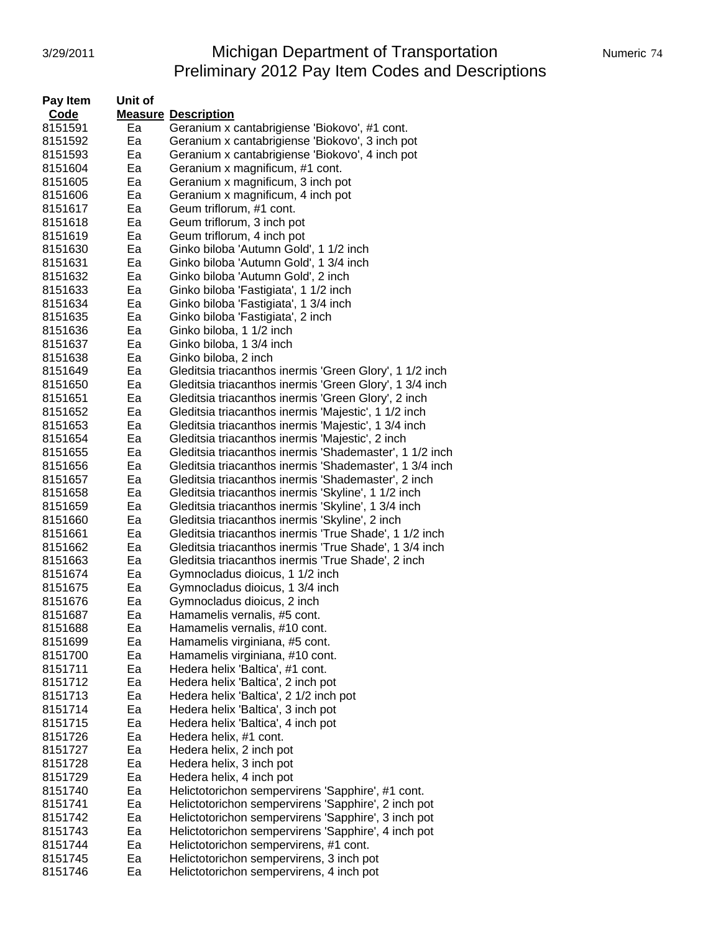## 3/29/2011 **Michigan Department of Transportation** Numeric 74 Preliminary 2012 Pay Item Codes and Descriptions

| Pay Item           | Unit of  |                                                         |
|--------------------|----------|---------------------------------------------------------|
| Code               |          | <b>Measure Description</b>                              |
| 8151591            | Ea       | Geranium x cantabrigiense 'Biokovo', #1 cont.           |
| 8151592            | Ea       | Geranium x cantabrigiense 'Biokovo', 3 inch pot         |
| 8151593            | Ea       | Geranium x cantabrigiense 'Biokovo', 4 inch pot         |
| 8151604            | Ea       | Geranium x magnificum, #1 cont.                         |
| 8151605            | Ea       | Geranium x magnificum, 3 inch pot                       |
| 8151606            | Ea       | Geranium x magnificum, 4 inch pot                       |
| 8151617            | Ea       | Geum triflorum, #1 cont.                                |
|                    | Ea       | Geum triflorum, 3 inch pot                              |
| 8151618            |          |                                                         |
| 8151619            | Ea       | Geum triflorum, 4 inch pot                              |
| 8151630            | Ea       | Ginko biloba 'Autumn Gold', 1 1/2 inch                  |
| 8151631            | Ea       | Ginko biloba 'Autumn Gold', 1 3/4 inch                  |
| 8151632            | Ea       | Ginko biloba 'Autumn Gold', 2 inch                      |
| 8151633            | Ea       | Ginko biloba 'Fastigiata', 1 1/2 inch                   |
| 8151634            | Ea       | Ginko biloba 'Fastigiata', 1 3/4 inch                   |
| 8151635            | Ea       | Ginko biloba 'Fastigiata', 2 inch                       |
| 8151636            | Ea       | Ginko biloba, 1 1/2 inch                                |
| 8151637            | Ea       | Ginko biloba, 1 3/4 inch                                |
| 8151638            | Ea       | Ginko biloba, 2 inch                                    |
| 8151649            | Ea       | Gleditsia triacanthos inermis 'Green Glory', 1 1/2 inch |
| 8151650            | Ea       | Gleditsia triacanthos inermis 'Green Glory', 1 3/4 inch |
| 8151651            | Ea       | Gleditsia triacanthos inermis 'Green Glory', 2 inch     |
| 8151652            | Ea       | Gleditsia triacanthos inermis 'Majestic', 1 1/2 inch    |
| 8151653            | Ea       | Gleditsia triacanthos inermis 'Majestic', 1 3/4 inch    |
| 8151654            | Ea       | Gleditsia triacanthos inermis 'Majestic', 2 inch        |
| 8151655            | Ea       | Gleditsia triacanthos inermis 'Shademaster', 1 1/2 inch |
| 8151656            | Ea       | Gleditsia triacanthos inermis 'Shademaster', 1 3/4 inch |
| 8151657            | Ea       | Gleditsia triacanthos inermis 'Shademaster', 2 inch     |
| 8151658            | Ea       | Gleditsia triacanthos inermis 'Skyline', 1 1/2 inch     |
| 8151659            | Ea       | Gleditsia triacanthos inermis 'Skyline', 1 3/4 inch     |
| 8151660            | Ea       | Gleditsia triacanthos inermis 'Skyline', 2 inch         |
| 8151661            | Ea       | Gleditsia triacanthos inermis 'True Shade', 1 1/2 inch  |
| 8151662            | Ea       | Gleditsia triacanthos inermis 'True Shade', 1 3/4 inch  |
| 8151663            | Ea       | Gleditsia triacanthos inermis 'True Shade', 2 inch      |
| 8151674            | Ea       | Gymnocladus dioicus, 1 1/2 inch                         |
| 8151675            | Ea       | Gymnocladus dioicus, 1 3/4 inch                         |
| 8151676            | Ea       | Gymnocladus dioicus, 2 inch                             |
| 8151687            | Eа       | Hamamelis vernalis, #5 cont.                            |
| 8151688            | ьa       | Hamamelis vernalis, #10 cont.                           |
| 8151699            | Ea       | Hamamelis virginiana, #5 cont.                          |
| 8151700            | Ea       | Hamamelis virginiana, #10 cont.                         |
| 8151711            | Ea       | Hedera helix 'Baltica', #1 cont.                        |
| 8151712            | Ea       | Hedera helix 'Baltica', 2 inch pot                      |
| 8151713            | Ea       | Hedera helix 'Baltica', 2 1/2 inch pot                  |
| 8151714            | Ea       | Hedera helix 'Baltica', 3 inch pot                      |
| 8151715            | Ea       | Hedera helix 'Baltica', 4 inch pot                      |
| 8151726            | Ea       | Hedera helix, #1 cont.                                  |
| 8151727            | Ea       | Hedera helix, 2 inch pot                                |
| 8151728            | Ea       | Hedera helix, 3 inch pot                                |
| 8151729            | Ea       | Hedera helix, 4 inch pot                                |
| 8151740            | Ea       |                                                         |
|                    |          | Helictotorichon sempervirens 'Sapphire', #1 cont.       |
| 8151741<br>8151742 | Ea<br>Ea | Helictotorichon sempervirens 'Sapphire', 2 inch pot     |
|                    |          | Helictotorichon sempervirens 'Sapphire', 3 inch pot     |
| 8151743            | Ea       | Helictotorichon sempervirens 'Sapphire', 4 inch pot     |
| 8151744            | Ea       | Helictotorichon sempervirens, #1 cont.                  |
| 8151745            | Ea       | Helictotorichon sempervirens, 3 inch pot                |
| 8151746            | Ea       | Helictotorichon sempervirens, 4 inch pot                |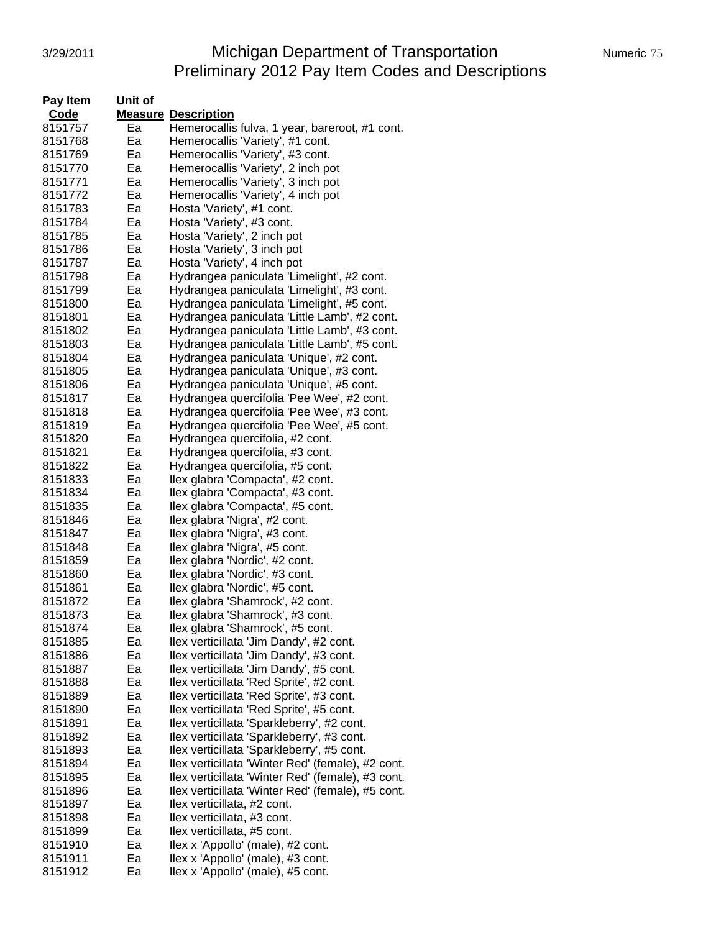# 3/29/2011 Michigan Department of Transportation Numeric 75 Preliminary 2012 Pay Item Codes and Descriptions

| Pay Item | Unit of |                                                   |
|----------|---------|---------------------------------------------------|
| Code     |         | <b>Measure Description</b>                        |
| 8151757  | Ea      | Hemerocallis fulva, 1 year, bareroot, #1 cont.    |
| 8151768  | Ea      | Hemerocallis 'Variety', #1 cont.                  |
| 8151769  | Ea      | Hemerocallis 'Variety', #3 cont.                  |
| 8151770  | Ea      | Hemerocallis 'Variety', 2 inch pot                |
| 8151771  | Ea      | Hemerocallis 'Variety', 3 inch pot                |
|          | Ea      |                                                   |
| 8151772  |         | Hemerocallis 'Variety', 4 inch pot                |
| 8151783  | Ea      | Hosta 'Variety', #1 cont.                         |
| 8151784  | Ea      | Hosta 'Variety', #3 cont.                         |
| 8151785  | Ea      | Hosta 'Variety', 2 inch pot                       |
| 8151786  | Ea      | Hosta 'Variety', 3 inch pot                       |
| 8151787  | Ea      | Hosta 'Variety', 4 inch pot                       |
| 8151798  | Ea      | Hydrangea paniculata 'Limelight', #2 cont.        |
| 8151799  | Ea      | Hydrangea paniculata 'Limelight', #3 cont.        |
| 8151800  | Ea      | Hydrangea paniculata 'Limelight', #5 cont.        |
| 8151801  | Ea      | Hydrangea paniculata 'Little Lamb', #2 cont.      |
| 8151802  | Ea      | Hydrangea paniculata 'Little Lamb', #3 cont.      |
| 8151803  | Ea      | Hydrangea paniculata 'Little Lamb', #5 cont.      |
| 8151804  | Ea      | Hydrangea paniculata 'Unique', #2 cont.           |
| 8151805  | Ea      | Hydrangea paniculata 'Unique', #3 cont.           |
| 8151806  | Ea      | Hydrangea paniculata 'Unique', #5 cont.           |
| 8151817  | Ea      | Hydrangea quercifolia 'Pee Wee', #2 cont.         |
| 8151818  | Ea      | Hydrangea quercifolia 'Pee Wee', #3 cont.         |
| 8151819  | Ea      |                                                   |
|          |         | Hydrangea quercifolia 'Pee Wee', #5 cont.         |
| 8151820  | Ea      | Hydrangea quercifolia, #2 cont.                   |
| 8151821  | Ea      | Hydrangea quercifolia, #3 cont.                   |
| 8151822  | Ea      | Hydrangea quercifolia, #5 cont.                   |
| 8151833  | Ea      | Ilex glabra 'Compacta', #2 cont.                  |
| 8151834  | Ea      | Ilex glabra 'Compacta', #3 cont.                  |
| 8151835  | Ea      | Ilex glabra 'Compacta', #5 cont.                  |
| 8151846  | Ea      | Ilex glabra 'Nigra', #2 cont.                     |
| 8151847  | Ea      | Ilex glabra 'Nigra', #3 cont.                     |
| 8151848  | Ea      | Ilex glabra 'Nigra', #5 cont.                     |
| 8151859  | Ea      | Ilex glabra 'Nordic', #2 cont.                    |
| 8151860  | Ea      | Ilex glabra 'Nordic', #3 cont.                    |
| 8151861  | Ea      | Ilex glabra 'Nordic', #5 cont.                    |
| 8151872  | Ea      | Ilex glabra 'Shamrock', #2 cont.                  |
| 8151873  | Ea      | Ilex glabra 'Shamrock', #3 cont.                  |
| 8151874  | ьa      | Ilex glabra 'Shamrock', #5 cont.                  |
| 8151885  | Ea      | Ilex verticillata 'Jim Dandy', #2 cont.           |
| 8151886  | Ea      | Ilex verticillata 'Jim Dandy', #3 cont.           |
| 8151887  | Ea      | Ilex verticillata 'Jim Dandy', #5 cont.           |
| 8151888  | Ea      | Ilex verticillata 'Red Sprite', #2 cont.          |
| 8151889  | Ea      | Ilex verticillata 'Red Sprite', #3 cont.          |
| 8151890  | Ea      | Ilex verticillata 'Red Sprite', #5 cont.          |
| 8151891  | Ea      | Ilex verticillata 'Sparkleberry', #2 cont.        |
| 8151892  | Ea      | Ilex verticillata 'Sparkleberry', #3 cont.        |
|          |         |                                                   |
| 8151893  | Ea      | Ilex verticillata 'Sparkleberry', #5 cont.        |
| 8151894  | Ea      | Ilex verticillata 'Winter Red' (female), #2 cont. |
| 8151895  | Ea      | Ilex verticillata 'Winter Red' (female), #3 cont. |
| 8151896  | Ea      | Ilex verticillata 'Winter Red' (female), #5 cont. |
| 8151897  | Ea      | llex verticillata, #2 cont.                       |
| 8151898  | Ea      | llex verticillata, #3 cont.                       |
| 8151899  | Ea      | llex verticillata, #5 cont.                       |
| 8151910  | Ea      | Ilex x 'Appollo' (male), #2 cont.                 |
| 8151911  | Ea      | Ilex x 'Appollo' (male), #3 cont.                 |
| 8151912  | Ea      | Ilex x 'Appollo' (male), #5 cont.                 |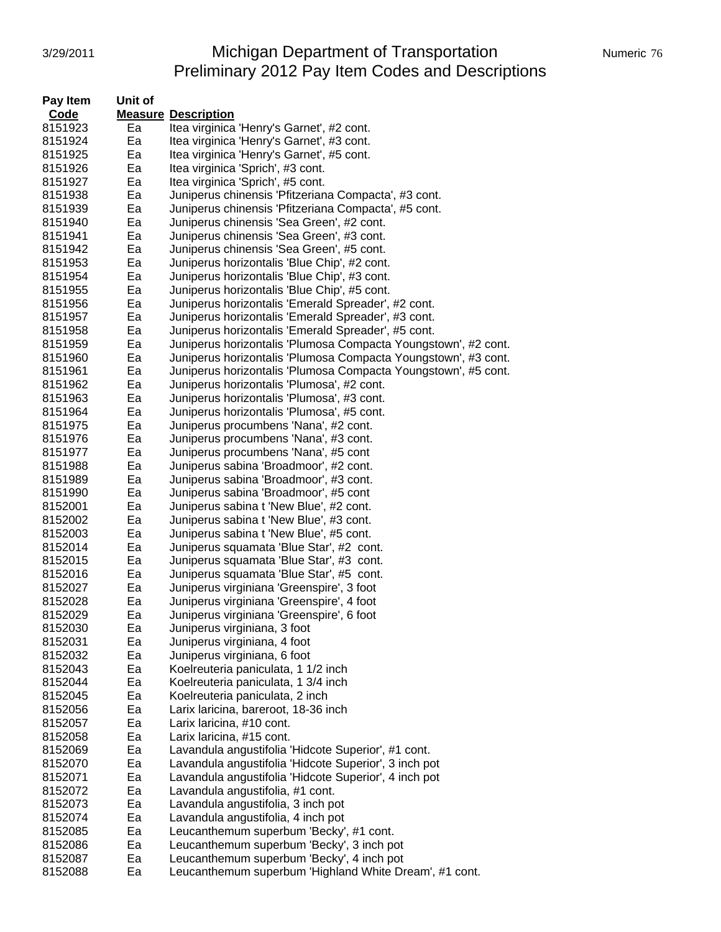#### 3/29/2011 Michigan Department of Transportation Mumeric 76 Preliminary 2012 Pay Item Codes and Descriptions

| Pay Item           | Unit of  |                                                                                      |
|--------------------|----------|--------------------------------------------------------------------------------------|
| Code               |          | <b>Measure Description</b>                                                           |
| 8151923            | Ea       | Itea virginica 'Henry's Garnet', #2 cont.                                            |
| 8151924            | Ea       | Itea virginica 'Henry's Garnet', #3 cont.                                            |
| 8151925            | Ea       | Itea virginica 'Henry's Garnet', #5 cont.                                            |
| 8151926            | Ea       | Itea virginica 'Sprich', #3 cont.                                                    |
| 8151927            | Ea       | Itea virginica 'Sprich', #5 cont.                                                    |
| 8151938            | Ea       | Juniperus chinensis 'Pfitzeriana Compacta', #3 cont.                                 |
| 8151939            | Ea       | Juniperus chinensis 'Pfitzeriana Compacta', #5 cont.                                 |
| 8151940            | Ea       | Juniperus chinensis 'Sea Green', #2 cont.                                            |
| 8151941            | Ea       | Juniperus chinensis 'Sea Green', #3 cont.                                            |
| 8151942            | Ea       | Juniperus chinensis 'Sea Green', #5 cont.                                            |
| 8151953            | Ea       | Juniperus horizontalis 'Blue Chip', #2 cont.                                         |
| 8151954            | Ea       | Juniperus horizontalis 'Blue Chip', #3 cont.                                         |
| 8151955            | Ea       | Juniperus horizontalis 'Blue Chip', #5 cont.                                         |
| 8151956            | Ea       | Juniperus horizontalis 'Emerald Spreader', #2 cont.                                  |
| 8151957            | Ea       | Juniperus horizontalis 'Emerald Spreader', #3 cont.                                  |
| 8151958            | Ea       | Juniperus horizontalis 'Emerald Spreader', #5 cont.                                  |
| 8151959            | Ea       | Juniperus horizontalis 'Plumosa Compacta Youngstown', #2 cont.                       |
| 8151960            | Ea       | Juniperus horizontalis 'Plumosa Compacta Youngstown', #3 cont.                       |
| 8151961            | Ea       | Juniperus horizontalis 'Plumosa Compacta Youngstown', #5 cont.                       |
| 8151962            | Ea       | Juniperus horizontalis 'Plumosa', #2 cont.                                           |
| 8151963            | Ea       | Juniperus horizontalis 'Plumosa', #3 cont.                                           |
| 8151964            | Ea       | Juniperus horizontalis 'Plumosa', #5 cont.                                           |
| 8151975            | Ea       | Juniperus procumbens 'Nana', #2 cont.                                                |
| 8151976            | Ea       | Juniperus procumbens 'Nana', #3 cont.                                                |
| 8151977            | Ea       | Juniperus procumbens 'Nana', #5 cont                                                 |
| 8151988            | Ea       | Juniperus sabina 'Broadmoor', #2 cont.                                               |
| 8151989            | Ea       | Juniperus sabina 'Broadmoor', #3 cont.                                               |
| 8151990            | Ea       | Juniperus sabina 'Broadmoor', #5 cont                                                |
| 8152001            | Ea       | Juniperus sabina t 'New Blue', #2 cont.                                              |
|                    |          |                                                                                      |
| 8152002<br>8152003 | Ea<br>Ea | Juniperus sabina t 'New Blue', #3 cont.                                              |
|                    |          | Juniperus sabina t 'New Blue', #5 cont.                                              |
| 8152014            | Ea       | Juniperus squamata 'Blue Star', #2 cont.<br>Juniperus squamata 'Blue Star', #3 cont. |
| 8152015            | Ea       |                                                                                      |
| 8152016            | Ea<br>Ea | Juniperus squamata 'Blue Star', #5 cont.                                             |
| 8152027            |          | Juniperus virginiana 'Greenspire', 3 foot                                            |
| 8152028            | Ea       | Juniperus virginiana 'Greenspire', 4 foot                                            |
| 8152029            | Ea       | Juniperus virginiana 'Greenspire', 6 foot                                            |
| 8152030            | Ea       | Juniperus virginiana, 3 foot                                                         |
| 8152031            | Ea       | Juniperus virginiana, 4 foot                                                         |
| 8152032            | Ea       | Juniperus virginiana, 6 foot                                                         |
| 8152043            | Ea       | Koelreuteria paniculata, 1 1/2 inch                                                  |
| 8152044            | Ea       | Koelreuteria paniculata, 1 3/4 inch                                                  |
| 8152045            | Ea       | Koelreuteria paniculata, 2 inch                                                      |
| 8152056            | Ea       | Larix laricina, bareroot, 18-36 inch                                                 |
| 8152057            | Ea       | Larix laricina, #10 cont.                                                            |
| 8152058            | Ea       | Larix laricina, #15 cont.                                                            |
| 8152069            | Ea       | Lavandula angustifolia 'Hidcote Superior', #1 cont.                                  |
| 8152070            | Ea       | Lavandula angustifolia 'Hidcote Superior', 3 inch pot                                |
| 8152071            | Ea       | Lavandula angustifolia 'Hidcote Superior', 4 inch pot                                |
| 8152072            | Ea       | Lavandula angustifolia, #1 cont.                                                     |
| 8152073            | Ea       | Lavandula angustifolia, 3 inch pot                                                   |
| 8152074            | Ea       | Lavandula angustifolia, 4 inch pot                                                   |
| 8152085            | Ea       | Leucanthemum superbum 'Becky', #1 cont.                                              |
| 8152086            | Ea       | Leucanthemum superbum 'Becky', 3 inch pot                                            |
| 8152087            | Ea       | Leucanthemum superbum 'Becky', 4 inch pot                                            |
| 8152088            | Ea       | Leucanthemum superbum 'Highland White Dream', #1 cont.                               |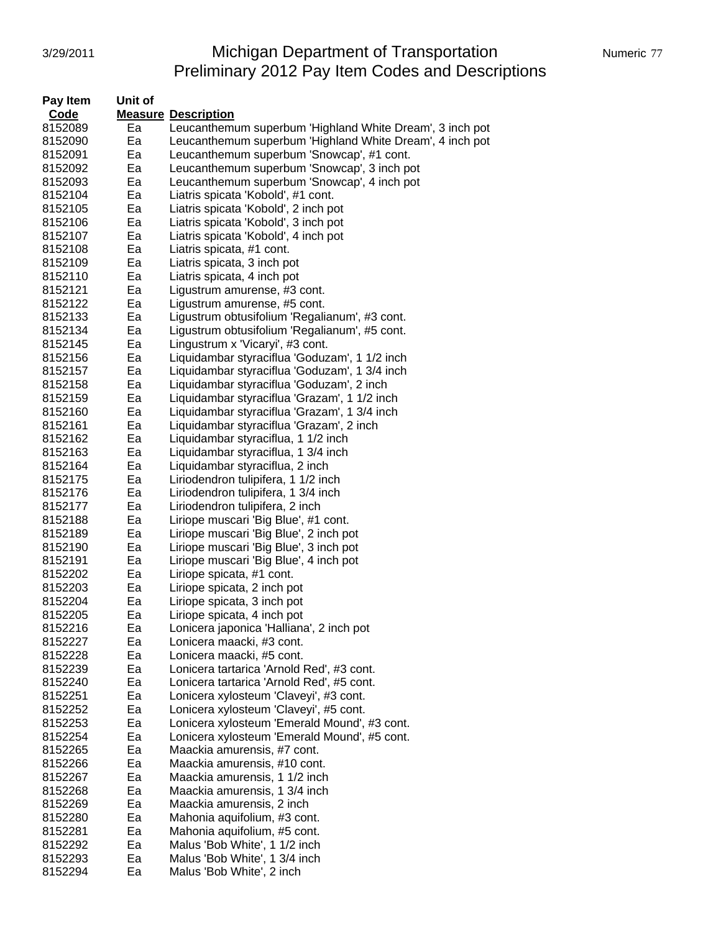# 3/29/2011 Michigan Department of Transportation Numeric 77 Preliminary 2012 Pay Item Codes and Descriptions

| Pay Item | Unit of |                                                          |
|----------|---------|----------------------------------------------------------|
| Code     |         | <b>Measure Description</b>                               |
| 8152089  | Ea      | Leucanthemum superbum 'Highland White Dream', 3 inch pot |
| 8152090  | Ea      | Leucanthemum superbum 'Highland White Dream', 4 inch pot |
| 8152091  | Ea      | Leucanthemum superbum 'Snowcap', #1 cont.                |
| 8152092  | Ea      | Leucanthemum superbum 'Snowcap', 3 inch pot              |
| 8152093  | Ea      | Leucanthemum superbum 'Snowcap', 4 inch pot              |
| 8152104  | Ea      | Liatris spicata 'Kobold', #1 cont.                       |
| 8152105  | Ea      | Liatris spicata 'Kobold', 2 inch pot                     |
| 8152106  | Ea      | Liatris spicata 'Kobold', 3 inch pot                     |
| 8152107  | Ea      | Liatris spicata 'Kobold', 4 inch pot                     |
| 8152108  | Ea      | Liatris spicata, #1 cont.                                |
| 8152109  | Ea      | Liatris spicata, 3 inch pot                              |
| 8152110  | Ea      | Liatris spicata, 4 inch pot                              |
| 8152121  | Ea      | Ligustrum amurense, #3 cont.                             |
| 8152122  | Ea      | Ligustrum amurense, #5 cont.                             |
| 8152133  | Ea      | Ligustrum obtusifolium 'Regalianum', #3 cont.            |
| 8152134  | Ea      | Ligustrum obtusifolium 'Regalianum', #5 cont.            |
| 8152145  | Ea      | Lingustrum x 'Vicaryi', #3 cont.                         |
| 8152156  | Ea      | Liquidambar styraciflua 'Goduzam', 1 1/2 inch            |
| 8152157  | Ea      | Liquidambar styraciflua 'Goduzam', 1 3/4 inch            |
| 8152158  | Ea      | Liquidambar styraciflua 'Goduzam', 2 inch                |
| 8152159  | Ea      | Liquidambar styraciflua 'Grazam', 1 1/2 inch             |
| 8152160  | Ea      | Liquidambar styraciflua 'Grazam', 1 3/4 inch             |
| 8152161  | Ea      | Liquidambar styraciflua 'Grazam', 2 inch                 |
| 8152162  | Ea      | Liquidambar styraciflua, 1 1/2 inch                      |
| 8152163  | Ea      | Liquidambar styraciflua, 1 3/4 inch                      |
| 8152164  | Ea      | Liquidambar styraciflua, 2 inch                          |
| 8152175  | Ea      | Liriodendron tulipifera, 1 1/2 inch                      |
| 8152176  | Ea      | Liriodendron tulipifera, 1 3/4 inch                      |
| 8152177  | Ea      | Liriodendron tulipifera, 2 inch                          |
| 8152188  | Ea      | Liriope muscari 'Big Blue', #1 cont.                     |
| 8152189  | Ea      | Liriope muscari 'Big Blue', 2 inch pot                   |
| 8152190  | Ea      | Liriope muscari 'Big Blue', 3 inch pot                   |
| 8152191  | Ea      | Liriope muscari 'Big Blue', 4 inch pot                   |
| 8152202  | Ea      | Liriope spicata, #1 cont.                                |
| 8152203  | Ea      | Liriope spicata, 2 inch pot                              |
| 8152204  | Ea      | Liriope spicata, 3 inch pot                              |
| 8152205  | Ea      | Liriope spicata, 4 inch pot                              |
| 8152216  | Ea      | Lonicera japonica 'Halliana', 2 inch pot                 |
| 8152227  | Ea      | Lonicera maacki, #3 cont.                                |
| 8152228  | Ea      | Lonicera maacki, #5 cont.                                |
| 8152239  | Ea      | Lonicera tartarica 'Arnold Red', #3 cont.                |
| 8152240  | Ea      | Lonicera tartarica 'Arnold Red', #5 cont.                |
| 8152251  | Ea      | Lonicera xylosteum 'Claveyi', #3 cont.                   |
| 8152252  | Ea      | Lonicera xylosteum 'Claveyi', #5 cont.                   |
| 8152253  | Ea      | Lonicera xylosteum 'Emerald Mound', #3 cont.             |
| 8152254  | Ea      | Lonicera xylosteum 'Emerald Mound', #5 cont.             |
| 8152265  | Ea      | Maackia amurensis, #7 cont.                              |
| 8152266  | Ea      | Maackia amurensis, #10 cont.                             |
| 8152267  | Ea      | Maackia amurensis, 1 1/2 inch                            |
| 8152268  | Ea      | Maackia amurensis, 1 3/4 inch                            |
| 8152269  | Ea      | Maackia amurensis, 2 inch                                |
| 8152280  | Ea      | Mahonia aquifolium, #3 cont.                             |
| 8152281  | Ea      | Mahonia aquifolium, #5 cont.                             |
| 8152292  | Ea      | Malus 'Bob White', 1 1/2 inch                            |
| 8152293  | Ea      | Malus 'Bob White', 1 3/4 inch                            |
| 8152294  | Ea      | Malus 'Bob White', 2 inch                                |
|          |         |                                                          |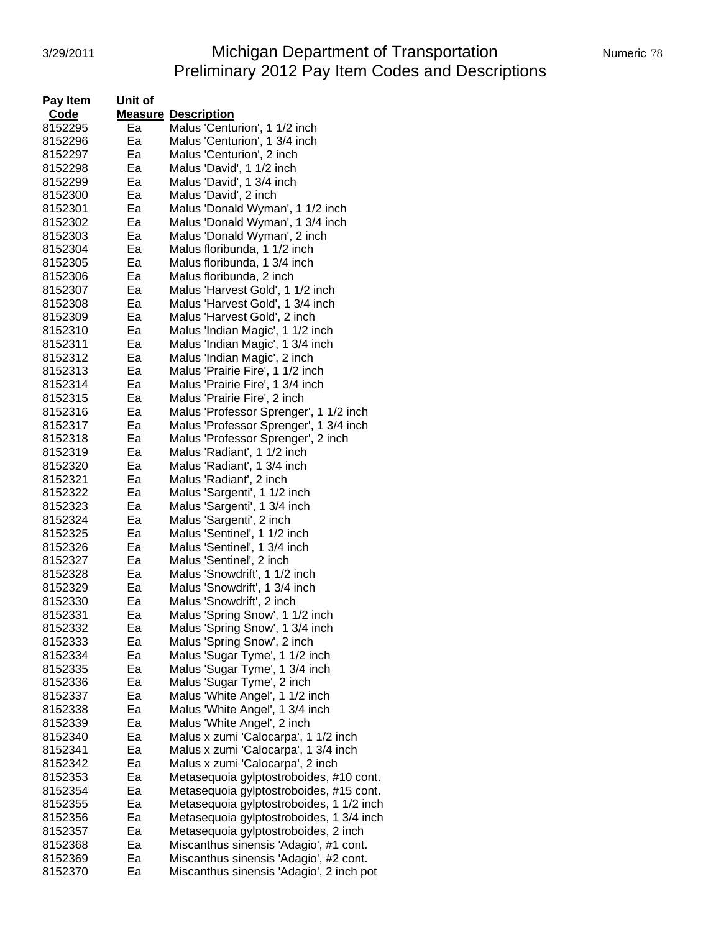# 3/29/2011 **Michigan Department of Transportation** Numeric 78 Preliminary 2012 Pay Item Codes and Descriptions

| Pay Item           | Unit of  |                                                                    |
|--------------------|----------|--------------------------------------------------------------------|
| Code               |          | <b>Measure Description</b>                                         |
| 8152295            | Ea       | Malus 'Centurion', 1 1/2 inch                                      |
| 8152296            | Ea       | Malus 'Centurion', 1 3/4 inch                                      |
| 8152297            | Ea       | Malus 'Centurion', 2 inch                                          |
| 8152298            | Ea       | Malus 'David', 1 1/2 inch                                          |
| 8152299            | Ea       | Malus 'David', 1 3/4 inch                                          |
| 8152300            | Ea       | Malus 'David', 2 inch                                              |
| 8152301            | Ea       | Malus 'Donald Wyman', 1 1/2 inch                                   |
| 8152302            | Ea       | Malus 'Donald Wyman', 1 3/4 inch                                   |
| 8152303            | Ea       | Malus 'Donald Wyman', 2 inch                                       |
| 8152304            | Ea       | Malus floribunda, 1 1/2 inch                                       |
| 8152305            | Ea       | Malus floribunda, 1 3/4 inch                                       |
| 8152306            | Ea       | Malus floribunda, 2 inch                                           |
| 8152307            | Ea       | Malus 'Harvest Gold', 1 1/2 inch                                   |
| 8152308            | Ea       | Malus 'Harvest Gold', 1 3/4 inch                                   |
| 8152309            | Ea       | Malus 'Harvest Gold', 2 inch                                       |
| 8152310            | Ea       | Malus 'Indian Magic', 1 1/2 inch                                   |
| 8152311            | Ea       | Malus 'Indian Magic', 1 3/4 inch                                   |
| 8152312            | Ea       | Malus 'Indian Magic', 2 inch                                       |
| 8152313            | Ea       | Malus 'Prairie Fire', 1 1/2 inch                                   |
| 8152314            | Ea       | Malus 'Prairie Fire', 1 3/4 inch                                   |
| 8152315            | Ea       | Malus 'Prairie Fire', 2 inch                                       |
| 8152316            | Ea       | Malus 'Professor Sprenger', 1 1/2 inch                             |
| 8152317            | Ea       | Malus 'Professor Sprenger', 1 3/4 inch                             |
| 8152318            | Ea       | Malus 'Professor Sprenger', 2 inch                                 |
| 8152319            | Ea       | Malus 'Radiant', 1 1/2 inch                                        |
| 8152320            | Ea       | Malus 'Radiant', 1 3/4 inch                                        |
| 8152321            | Ea       | Malus 'Radiant', 2 inch                                            |
| 8152322            | Ea       | Malus 'Sargenti', 1 1/2 inch                                       |
| 8152323            | Ea       | Malus 'Sargenti', 1 3/4 inch                                       |
| 8152324            | Ea       | Malus 'Sargenti', 2 inch                                           |
| 8152325            | Ea       | Malus 'Sentinel', 1 1/2 inch                                       |
| 8152326            | Ea       | Malus 'Sentinel', 1 3/4 inch                                       |
| 8152327            | Ea       | Malus 'Sentinel', 2 inch                                           |
| 8152328            | Ea<br>Ea | Malus 'Snowdrift', 1 1/2 inch<br>Malus 'Snowdrift', 1 3/4 inch     |
| 8152329<br>8152330 | Ea       | Malus 'Snowdrift', 2 inch                                          |
| 8152331            | Ea       |                                                                    |
| 8152332            | Eа       | Malus 'Spring Snow', 1 1/2 inch<br>Malus 'Spring Snow', 1 3/4 inch |
| 8152333            | Ea       | Malus 'Spring Snow', 2 inch                                        |
| 8152334            | Ea       | Malus 'Sugar Tyme', 1 1/2 inch                                     |
| 8152335            | Ea       | Malus 'Sugar Tyme', 1 3/4 inch                                     |
| 8152336            | Ea       | Malus 'Sugar Tyme', 2 inch                                         |
| 8152337            | Ea       | Malus 'White Angel', 1 1/2 inch                                    |
| 8152338            | Ea       | Malus 'White Angel', 1 3/4 inch                                    |
| 8152339            | Ea       | Malus 'White Angel', 2 inch                                        |
| 8152340            | Ea       | Malus x zumi 'Calocarpa', 1 1/2 inch                               |
| 8152341            | Ea       | Malus x zumi 'Calocarpa', 1 3/4 inch                               |
| 8152342            | Ea       | Malus x zumi 'Calocarpa', 2 inch                                   |
| 8152353            | Ea       | Metasequoia gylptostroboides, #10 cont.                            |
| 8152354            | Ea       | Metasequoia gylptostroboides, #15 cont.                            |
| 8152355            | Ea       | Metasequoia gylptostroboides, 1 1/2 inch                           |
| 8152356            | Ea       | Metasequoia gylptostroboides, 1 3/4 inch                           |
| 8152357            | Ea       | Metasequoia gylptostroboides, 2 inch                               |
| 8152368            | Ea       | Miscanthus sinensis 'Adagio', #1 cont.                             |
| 8152369            | Ea       | Miscanthus sinensis 'Adagio', #2 cont.                             |
| 8152370            | Ea       | Miscanthus sinensis 'Adagio', 2 inch pot                           |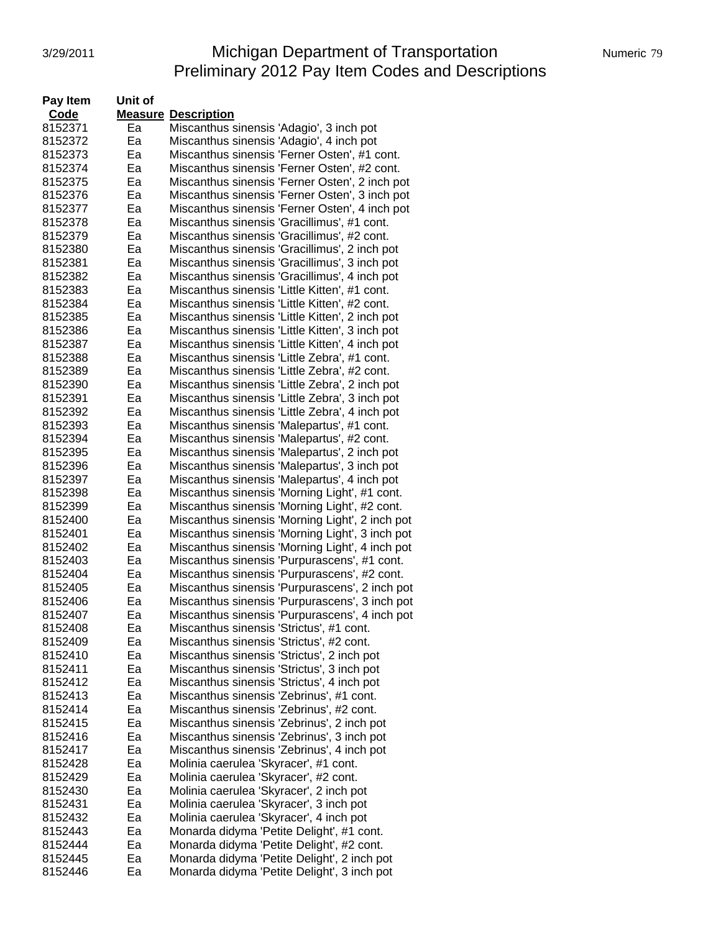#### 3/29/2011 **Michigan Department of Transportation** Numeric 79 Preliminary 2012 Pay Item Codes and Descriptions

| Pay Item | Unit of |                                                                                               |
|----------|---------|-----------------------------------------------------------------------------------------------|
| Code     |         | <b>Measure Description</b>                                                                    |
| 8152371  | Ea      | Miscanthus sinensis 'Adagio', 3 inch pot                                                      |
| 8152372  | Ea      | Miscanthus sinensis 'Adagio', 4 inch pot                                                      |
| 8152373  | Ea      | Miscanthus sinensis 'Ferner Osten', #1 cont.                                                  |
| 8152374  | Ea      | Miscanthus sinensis 'Ferner Osten', #2 cont.                                                  |
| 8152375  | Ea      | Miscanthus sinensis 'Ferner Osten', 2 inch pot                                                |
| 8152376  | Ea      | Miscanthus sinensis 'Ferner Osten', 3 inch pot                                                |
| 8152377  | Ea      |                                                                                               |
|          |         | Miscanthus sinensis 'Ferner Osten', 4 inch pot<br>Miscanthus sinensis 'Gracillimus', #1 cont. |
| 8152378  | Ea      |                                                                                               |
| 8152379  | Ea      | Miscanthus sinensis 'Gracillimus', #2 cont.                                                   |
| 8152380  | Ea      | Miscanthus sinensis 'Gracillimus', 2 inch pot                                                 |
| 8152381  | Ea      | Miscanthus sinensis 'Gracillimus', 3 inch pot                                                 |
| 8152382  | Eа      | Miscanthus sinensis 'Gracillimus', 4 inch pot                                                 |
| 8152383  | Ea      | Miscanthus sinensis 'Little Kitten', #1 cont.                                                 |
| 8152384  | Ea      | Miscanthus sinensis 'Little Kitten', #2 cont.                                                 |
| 8152385  | Ea      | Miscanthus sinensis 'Little Kitten', 2 inch pot                                               |
| 8152386  | Ea      | Miscanthus sinensis 'Little Kitten', 3 inch pot                                               |
| 8152387  | Ea      | Miscanthus sinensis 'Little Kitten', 4 inch pot                                               |
| 8152388  | Ea      | Miscanthus sinensis 'Little Zebra', #1 cont.                                                  |
| 8152389  | Ea      | Miscanthus sinensis 'Little Zebra', #2 cont.                                                  |
| 8152390  | Ea      | Miscanthus sinensis 'Little Zebra', 2 inch pot                                                |
| 8152391  | Ea      | Miscanthus sinensis 'Little Zebra', 3 inch pot                                                |
| 8152392  | Ea      | Miscanthus sinensis 'Little Zebra', 4 inch pot                                                |
| 8152393  | Ea      | Miscanthus sinensis 'Malepartus', #1 cont.                                                    |
| 8152394  | Ea      | Miscanthus sinensis 'Malepartus', #2 cont.                                                    |
| 8152395  | Ea      | Miscanthus sinensis 'Malepartus', 2 inch pot                                                  |
|          |         |                                                                                               |
| 8152396  | Ea      | Miscanthus sinensis 'Malepartus', 3 inch pot                                                  |
| 8152397  | Ea      | Miscanthus sinensis 'Malepartus', 4 inch pot                                                  |
| 8152398  | Ea      | Miscanthus sinensis 'Morning Light', #1 cont.                                                 |
| 8152399  | Ea      | Miscanthus sinensis 'Morning Light', #2 cont.                                                 |
| 8152400  | Ea      | Miscanthus sinensis 'Morning Light', 2 inch pot                                               |
| 8152401  | Ea      | Miscanthus sinensis 'Morning Light', 3 inch pot                                               |
| 8152402  | Ea      | Miscanthus sinensis 'Morning Light', 4 inch pot                                               |
| 8152403  | Ea      | Miscanthus sinensis 'Purpurascens', #1 cont.                                                  |
| 8152404  | Ea      | Miscanthus sinensis 'Purpurascens', #2 cont.                                                  |
| 8152405  | Ea      | Miscanthus sinensis 'Purpurascens', 2 inch pot                                                |
| 8152406  | Eа      | Miscanthus sinensis 'Purpurascens', 3 inch pot                                                |
| 8152407  | Ea      | Miscanthus sinensis 'Purpurascens', 4 inch pot                                                |
| 8152408  | ьa      | Miscanthus sinensis 'Strictus', #1 cont.                                                      |
| 8152409  | Ea      | Miscanthus sinensis 'Strictus', #2 cont.                                                      |
| 8152410  | Ea      | Miscanthus sinensis 'Strictus', 2 inch pot                                                    |
| 8152411  | Ea      | Miscanthus sinensis 'Strictus', 3 inch pot                                                    |
| 8152412  | Ea      | Miscanthus sinensis 'Strictus', 4 inch pot                                                    |
| 8152413  | Ea      | Miscanthus sinensis 'Zebrinus', #1 cont.                                                      |
| 8152414  | Ea      | Miscanthus sinensis 'Zebrinus', #2 cont.                                                      |
| 8152415  | Ea      | Miscanthus sinensis 'Zebrinus', 2 inch pot                                                    |
| 8152416  | Ea      | Miscanthus sinensis 'Zebrinus', 3 inch pot                                                    |
|          |         |                                                                                               |
| 8152417  | Ea      | Miscanthus sinensis 'Zebrinus', 4 inch pot                                                    |
| 8152428  | Ea      | Molinia caerulea 'Skyracer', #1 cont.                                                         |
| 8152429  | Ea      | Molinia caerulea 'Skyracer', #2 cont.                                                         |
| 8152430  | Ea      | Molinia caerulea 'Skyracer', 2 inch pot                                                       |
| 8152431  | Ea      | Molinia caerulea 'Skyracer', 3 inch pot                                                       |
| 8152432  | Ea      | Molinia caerulea 'Skyracer', 4 inch pot                                                       |
| 8152443  | Ea      | Monarda didyma 'Petite Delight', #1 cont.                                                     |
| 8152444  | Ea      | Monarda didyma 'Petite Delight', #2 cont.                                                     |
| 8152445  | Ea      | Monarda didyma 'Petite Delight', 2 inch pot                                                   |
| 8152446  | Ea      | Monarda didyma 'Petite Delight', 3 inch pot                                                   |
|          |         |                                                                                               |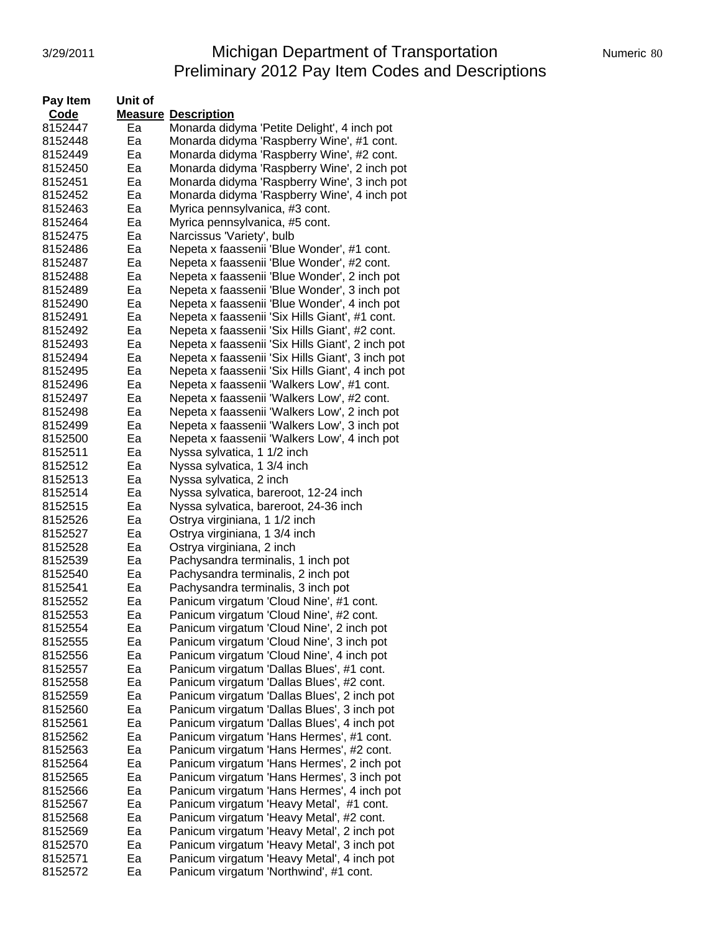### 3/29/2011 Michigan Department of Transportation Numeric 80 Preliminary 2012 Pay Item Codes and Descriptions

| Pay Item | Unit of |                                                  |
|----------|---------|--------------------------------------------------|
| Code     |         | <b>Measure Description</b>                       |
| 8152447  | Ea      | Monarda didyma 'Petite Delight', 4 inch pot      |
| 8152448  | Ea      | Monarda didyma 'Raspberry Wine', #1 cont.        |
| 8152449  | Ea      | Monarda didyma 'Raspberry Wine', #2 cont.        |
| 8152450  | Eа      | Monarda didyma 'Raspberry Wine', 2 inch pot      |
| 8152451  | Ea      | Monarda didyma 'Raspberry Wine', 3 inch pot      |
| 8152452  | Ea      | Monarda didyma 'Raspberry Wine', 4 inch pot      |
|          | Ea      |                                                  |
| 8152463  |         | Myrica pennsylvanica, #3 cont.                   |
| 8152464  | Ea      | Myrica pennsylvanica, #5 cont.                   |
| 8152475  | Ea      | Narcissus 'Variety', bulb                        |
| 8152486  | Ea      | Nepeta x faassenii 'Blue Wonder', #1 cont.       |
| 8152487  | Ea      | Nepeta x faassenii 'Blue Wonder', #2 cont.       |
| 8152488  | Eа      | Nepeta x faassenii 'Blue Wonder', 2 inch pot     |
| 8152489  | Ea      | Nepeta x faassenii 'Blue Wonder', 3 inch pot     |
| 8152490  | Eа      | Nepeta x faassenii 'Blue Wonder', 4 inch pot     |
| 8152491  | Ea      | Nepeta x faassenii 'Six Hills Giant', #1 cont.   |
| 8152492  | Ea      | Nepeta x faassenii 'Six Hills Giant', #2 cont.   |
| 8152493  | Ea      | Nepeta x faassenii 'Six Hills Giant', 2 inch pot |
| 8152494  | Ea      | Nepeta x faassenii 'Six Hills Giant', 3 inch pot |
| 8152495  | Ea      | Nepeta x faassenii 'Six Hills Giant', 4 inch pot |
| 8152496  | Ea      | Nepeta x faassenii 'Walkers Low', #1 cont.       |
| 8152497  | Ea      | Nepeta x faassenii 'Walkers Low', #2 cont.       |
| 8152498  | Ea      | Nepeta x faassenii 'Walkers Low', 2 inch pot     |
| 8152499  | Ea      | Nepeta x faassenii 'Walkers Low', 3 inch pot     |
| 8152500  | Ea      | Nepeta x faassenii 'Walkers Low', 4 inch pot     |
| 8152511  | Eа      | Nyssa sylvatica, 1 1/2 inch                      |
| 8152512  | Ea      | Nyssa sylvatica, 1 3/4 inch                      |
|          | Ea      |                                                  |
| 8152513  |         | Nyssa sylvatica, 2 inch                          |
| 8152514  | Ea      | Nyssa sylvatica, bareroot, 12-24 inch            |
| 8152515  | Ea      | Nyssa sylvatica, bareroot, 24-36 inch            |
| 8152526  | Ea      | Ostrya virginiana, 1 1/2 inch                    |
| 8152527  | Ea      | Ostrya virginiana, 1 3/4 inch                    |
| 8152528  | Ea      | Ostrya virginiana, 2 inch                        |
| 8152539  | Ea      | Pachysandra terminalis, 1 inch pot               |
| 8152540  | Ea      | Pachysandra terminalis, 2 inch pot               |
| 8152541  | Ea      | Pachysandra terminalis, 3 inch pot               |
| 8152552  | Ea      | Panicum virgatum 'Cloud Nine', #1 cont.          |
| 8152553  | Eа      | Panicum virgatum 'Cloud Nine', #2 cont.          |
| 8152554  | ьa      | Panicum virgatum 'Cloud Nine', 2 inch pot        |
| 8152555  | Ea      | Panicum virgatum 'Cloud Nine', 3 inch pot        |
| 8152556  | Ea      | Panicum virgatum 'Cloud Nine', 4 inch pot        |
| 8152557  | Ea      | Panicum virgatum 'Dallas Blues', #1 cont.        |
| 8152558  | Ea      | Panicum virgatum 'Dallas Blues', #2 cont.        |
| 8152559  | Ea      | Panicum virgatum 'Dallas Blues', 2 inch pot      |
| 8152560  | Ea      | Panicum virgatum 'Dallas Blues', 3 inch pot      |
| 8152561  | Ea      | Panicum virgatum 'Dallas Blues', 4 inch pot      |
| 8152562  | Ea      | Panicum virgatum 'Hans Hermes', #1 cont.         |
| 8152563  | Ea      | Panicum virgatum 'Hans Hermes', #2 cont.         |
| 8152564  | Ea      | Panicum virgatum 'Hans Hermes', 2 inch pot       |
| 8152565  | Ea      | Panicum virgatum 'Hans Hermes', 3 inch pot       |
| 8152566  | Ea      | Panicum virgatum 'Hans Hermes', 4 inch pot       |
| 8152567  | Ea      | Panicum virgatum 'Heavy Metal', #1 cont.         |
|          | Ea      |                                                  |
| 8152568  |         | Panicum virgatum 'Heavy Metal', #2 cont.         |
| 8152569  | Ea      | Panicum virgatum 'Heavy Metal', 2 inch pot       |
| 8152570  | Ea      | Panicum virgatum 'Heavy Metal', 3 inch pot       |
| 8152571  | Ea      | Panicum virgatum 'Heavy Metal', 4 inch pot       |
| 8152572  | Ea      | Panicum virgatum 'Northwind', #1 cont.           |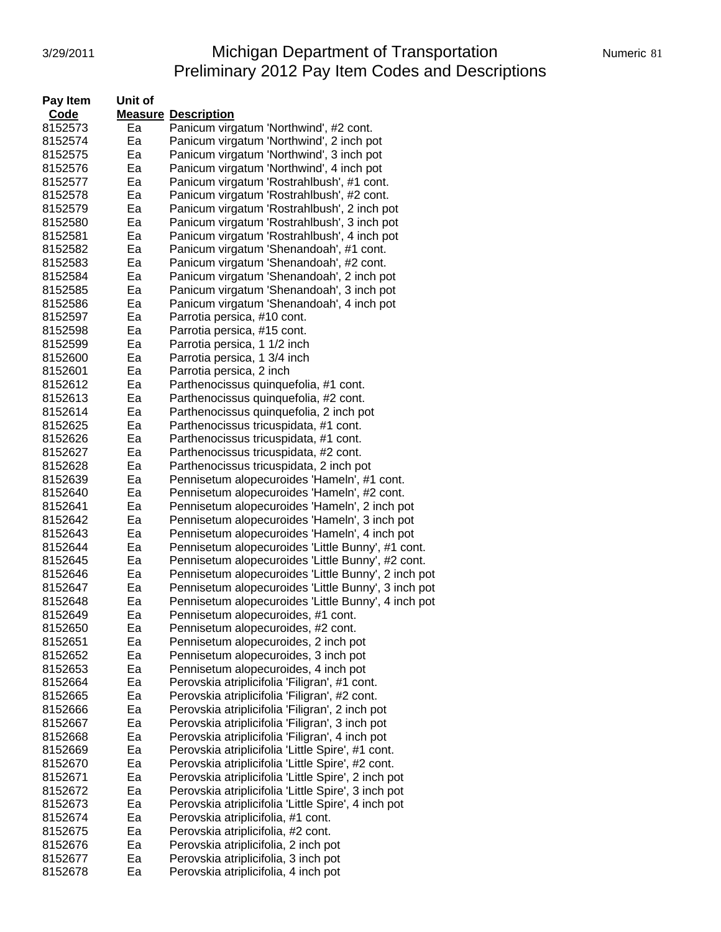# 3/29/2011 Michigan Department of Transportation Numeric 81 Preliminary 2012 Pay Item Codes and Descriptions

| Pay Item | Unit of |                                                     |
|----------|---------|-----------------------------------------------------|
| Code     |         | <b>Measure Description</b>                          |
| 8152573  | Ea      | Panicum virgatum 'Northwind', #2 cont.              |
| 8152574  | Ea      | Panicum virgatum 'Northwind', 2 inch pot            |
| 8152575  | Ea      | Panicum virgatum 'Northwind', 3 inch pot            |
| 8152576  | Ea      | Panicum virgatum 'Northwind', 4 inch pot            |
| 8152577  | Ea      | Panicum virgatum 'Rostrahlbush', #1 cont.           |
| 8152578  | Ea      | Panicum virgatum 'Rostrahlbush', #2 cont.           |
| 8152579  | Ea      | Panicum virgatum 'Rostrahlbush', 2 inch pot         |
| 8152580  | Ea      | Panicum virgatum 'Rostrahlbush', 3 inch pot         |
| 8152581  | Ea      | Panicum virgatum 'Rostrahlbush', 4 inch pot         |
| 8152582  | Ea      | Panicum virgatum 'Shenandoah', #1 cont.             |
| 8152583  | Ea      | Panicum virgatum 'Shenandoah', #2 cont.             |
|          | Ea      |                                                     |
| 8152584  | Ea      | Panicum virgatum 'Shenandoah', 2 inch pot           |
| 8152585  |         | Panicum virgatum 'Shenandoah', 3 inch pot           |
| 8152586  | Eа      | Panicum virgatum 'Shenandoah', 4 inch pot           |
| 8152597  | Ea      | Parrotia persica, #10 cont.                         |
| 8152598  | Ea      | Parrotia persica, #15 cont.                         |
| 8152599  | Ea      | Parrotia persica, 1 1/2 inch                        |
| 8152600  | Ea      | Parrotia persica, 1 3/4 inch                        |
| 8152601  | Ea      | Parrotia persica, 2 inch                            |
| 8152612  | Ea      | Parthenocissus quinquefolia, #1 cont.               |
| 8152613  | Ea      | Parthenocissus quinquefolia, #2 cont.               |
| 8152614  | Ea      | Parthenocissus quinquefolia, 2 inch pot             |
| 8152625  | Ea      | Parthenocissus tricuspidata, #1 cont.               |
| 8152626  | Ea      | Parthenocissus tricuspidata, #1 cont.               |
| 8152627  | Ea      | Parthenocissus tricuspidata, #2 cont.               |
| 8152628  | Ea      | Parthenocissus tricuspidata, 2 inch pot             |
| 8152639  | Ea      | Pennisetum alopecuroides 'Hameln', #1 cont.         |
| 8152640  | Ea      | Pennisetum alopecuroides 'Hameln', #2 cont.         |
| 8152641  | Ea      | Pennisetum alopecuroides 'Hameln', 2 inch pot       |
| 8152642  | Ea      | Pennisetum alopecuroides 'Hameln', 3 inch pot       |
| 8152643  | Ea      | Pennisetum alopecuroides 'Hameln', 4 inch pot       |
| 8152644  | Ea      | Pennisetum alopecuroides 'Little Bunny', #1 cont.   |
| 8152645  | Ea      | Pennisetum alopecuroides 'Little Bunny', #2 cont.   |
| 8152646  | Ea      | Pennisetum alopecuroides 'Little Bunny', 2 inch pot |
| 8152647  | Ea      | Pennisetum alopecuroides 'Little Bunny', 3 inch pot |
| 8152648  | Ea      | Pennisetum alopecuroides 'Little Bunny', 4 inch pot |
| 8152649  | Ea      | Pennisetum alopecuroides, #1 cont.                  |
| 8152650  | ьa      | Pennisetum alopecuroides, #2 cont.                  |
| 8152651  | Ea      | Pennisetum alopecuroides, 2 inch pot                |
| 8152652  | Ea      | Pennisetum alopecuroides, 3 inch pot                |
| 8152653  | Ea      | Pennisetum alopecuroides, 4 inch pot                |
| 8152664  | Ea      | Perovskia atriplicifolia 'Filigran', #1 cont.       |
| 8152665  | Ea      | Perovskia atriplicifolia 'Filigran', #2 cont.       |
| 8152666  | Ea      | Perovskia atriplicifolia 'Filigran', 2 inch pot     |
| 8152667  | Ea      | Perovskia atriplicifolia 'Filigran', 3 inch pot     |
| 8152668  | Ea      | Perovskia atriplicifolia 'Filigran', 4 inch pot     |
| 8152669  | Ea      | Perovskia atriplicifolia 'Little Spire', #1 cont.   |
| 8152670  | Ea      | Perovskia atriplicifolia 'Little Spire', #2 cont.   |
| 8152671  | Ea      | Perovskia atriplicifolia 'Little Spire', 2 inch pot |
| 8152672  | Ea      | Perovskia atriplicifolia 'Little Spire', 3 inch pot |
| 8152673  | Ea      | Perovskia atriplicifolia 'Little Spire', 4 inch pot |
| 8152674  | Ea      | Perovskia atriplicifolia, #1 cont.                  |
| 8152675  | Ea      | Perovskia atriplicifolia, #2 cont.                  |
| 8152676  | Ea      | Perovskia atriplicifolia, 2 inch pot                |
| 8152677  | Ea      | Perovskia atriplicifolia, 3 inch pot                |
| 8152678  | Ea      | Perovskia atriplicifolia, 4 inch pot                |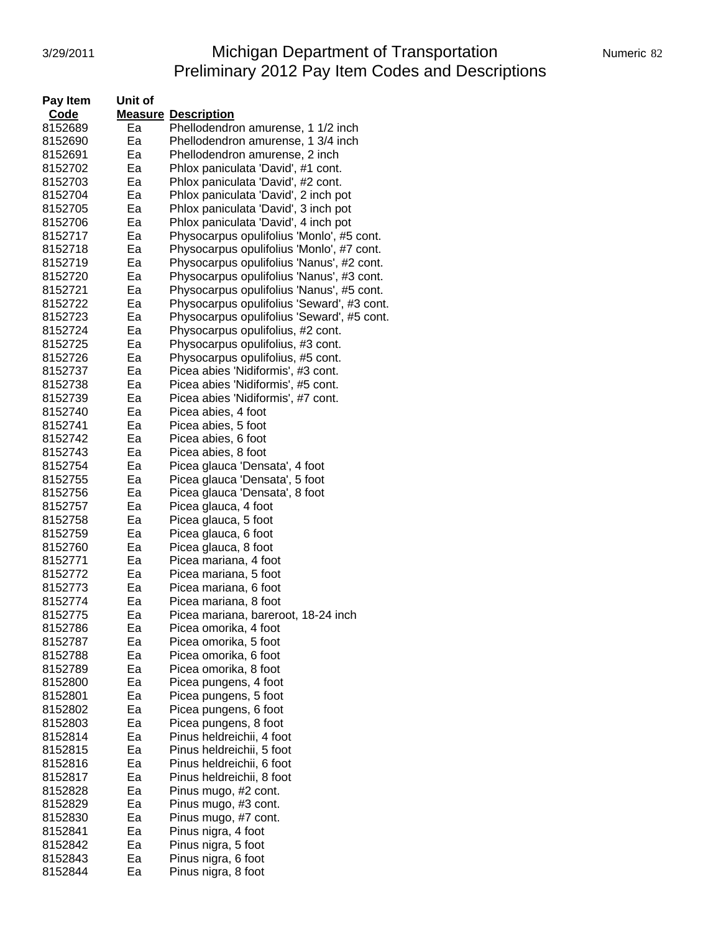# 3/29/2011 Michigan Department of Transportation Numeric 82 Preliminary 2012 Pay Item Codes and Descriptions

| Pay Item | Unit of |                                            |
|----------|---------|--------------------------------------------|
| Code     |         | <b>Measure Description</b>                 |
| 8152689  | Ea      | Phellodendron amurense, 1 1/2 inch         |
| 8152690  | Eа      | Phellodendron amurense, 1 3/4 inch         |
| 8152691  | Eа      | Phellodendron amurense, 2 inch             |
| 8152702  | Ea      | Phlox paniculata 'David', #1 cont.         |
| 8152703  | Ea      | Phlox paniculata 'David', #2 cont.         |
| 8152704  | Ea      | Phlox paniculata 'David', 2 inch pot       |
| 8152705  | Ea      | Phlox paniculata 'David', 3 inch pot       |
| 8152706  | Ea      | Phlox paniculata 'David', 4 inch pot       |
| 8152717  | Ea      | Physocarpus opulifolius 'Monlo', #5 cont.  |
|          | Ea      |                                            |
| 8152718  |         | Physocarpus opulifolius 'Monlo', #7 cont.  |
| 8152719  | Eа      | Physocarpus opulifolius 'Nanus', #2 cont.  |
| 8152720  | Eа      | Physocarpus opulifolius 'Nanus', #3 cont.  |
| 8152721  | Eа      | Physocarpus opulifolius 'Nanus', #5 cont.  |
| 8152722  | Eа      | Physocarpus opulifolius 'Seward', #3 cont. |
| 8152723  | Eа      | Physocarpus opulifolius 'Seward', #5 cont. |
| 8152724  | Ea      | Physocarpus opulifolius, #2 cont.          |
| 8152725  | Ea      | Physocarpus opulifolius, #3 cont.          |
| 8152726  | Ea      | Physocarpus opulifolius, #5 cont.          |
| 8152737  | Ea      | Picea abies 'Nidiformis', #3 cont.         |
| 8152738  | Ea      | Picea abies 'Nidiformis', #5 cont.         |
| 8152739  | Ea      | Picea abies 'Nidiformis', #7 cont.         |
| 8152740  | Ea      | Picea abies, 4 foot                        |
| 8152741  | Ea      | Picea abies, 5 foot                        |
| 8152742  | Eа      | Picea abies, 6 foot                        |
| 8152743  | Ea      | Picea abies, 8 foot                        |
| 8152754  | Ea      | Picea glauca 'Densata', 4 foot             |
| 8152755  | Ea      | Picea glauca 'Densata', 5 foot             |
| 8152756  | Ea      | Picea glauca 'Densata', 8 foot             |
| 8152757  | Ea      | Picea glauca, 4 foot                       |
| 8152758  | Ea      | Picea glauca, 5 foot                       |
| 8152759  | Ea      | Picea glauca, 6 foot                       |
| 8152760  | Ea      | Picea glauca, 8 foot                       |
| 8152771  | Ea      | Picea mariana, 4 foot                      |
| 8152772  | Ea      | Picea mariana, 5 foot                      |
| 8152773  | Ea      | Picea mariana, 6 foot                      |
| 8152774  | Ea      | Picea mariana, 8 foot                      |
| 8152775  | Ea      | Picea mariana, bareroot, 18-24 inch        |
| 8152786  | ьa      | Picea omorika, 4 foot                      |
| 8152787  | Ea      | Picea omorika, 5 foot                      |
| 8152788  | Ea      | Picea omorika, 6 foot                      |
| 8152789  | Ea      | Picea omorika, 8 foot                      |
| 8152800  | Ea      | Picea pungens, 4 foot                      |
| 8152801  | Ea      | Picea pungens, 5 foot                      |
| 8152802  | Ea      | Picea pungens, 6 foot                      |
| 8152803  | Ea      | Picea pungens, 8 foot                      |
| 8152814  | Ea      | Pinus heldreichii, 4 foot                  |
| 8152815  | Ea      | Pinus heldreichii, 5 foot                  |
| 8152816  | Ea      | Pinus heldreichii, 6 foot                  |
| 8152817  | Ea      | Pinus heldreichii, 8 foot                  |
| 8152828  | Ea      | Pinus mugo, #2 cont.                       |
| 8152829  | Ea      | Pinus mugo, #3 cont.                       |
| 8152830  | Ea      | Pinus mugo, #7 cont.                       |
| 8152841  | Ea      | Pinus nigra, 4 foot                        |
| 8152842  | Ea      | Pinus nigra, 5 foot                        |
| 8152843  | Ea      | Pinus nigra, 6 foot                        |
| 8152844  | Ea      | Pinus nigra, 8 foot                        |
|          |         |                                            |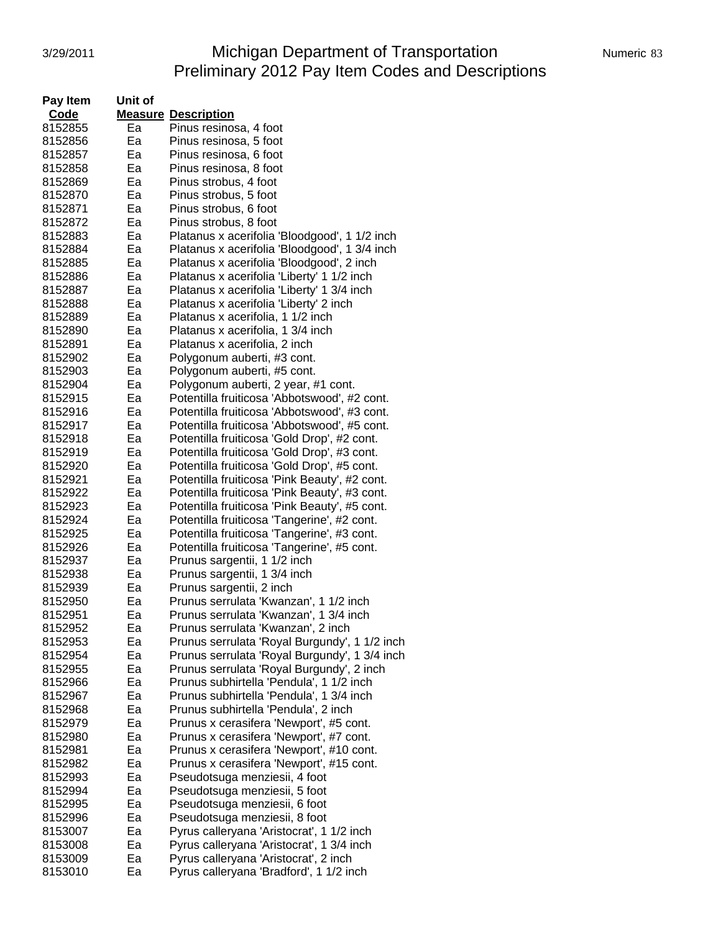## 3/29/2011 Michigan Department of Transportation Numeric 83 Preliminary 2012 Pay Item Codes and Descriptions

| Pay Item           | Unit of |                                               |
|--------------------|---------|-----------------------------------------------|
| Code               |         | <b>Measure Description</b>                    |
| 8152855            | Ea      | Pinus resinosa, 4 foot                        |
| 8152856            | Ea      | Pinus resinosa, 5 foot                        |
| 8152857            | Ea      | Pinus resinosa, 6 foot                        |
| 8152858            | Ea      | Pinus resinosa, 8 foot                        |
| 8152869            | Ea      | Pinus strobus, 4 foot                         |
| 8152870            | Ea      | Pinus strobus, 5 foot                         |
| 8152871            | Ea      | Pinus strobus, 6 foot                         |
| 8152872            | Ea      | Pinus strobus, 8 foot                         |
| 8152883            | Ea      |                                               |
|                    |         | Platanus x acerifolia 'Bloodgood', 1 1/2 inch |
| 8152884            | Ea      | Platanus x acerifolia 'Bloodgood', 1 3/4 inch |
| 8152885            | Eа      | Platanus x acerifolia 'Bloodgood', 2 inch     |
| 8152886            | Eа      | Platanus x acerifolia 'Liberty' 1 1/2 inch    |
| 8152887            | Ea      | Platanus x acerifolia 'Liberty' 1 3/4 inch    |
| 8152888            | Eа      | Platanus x acerifolia 'Liberty' 2 inch        |
| 8152889            | Ea      | Platanus x acerifolia, 1 1/2 inch             |
| 8152890            | Ea      | Platanus x acerifolia, 1 3/4 inch             |
| 8152891            | Ea      | Platanus x acerifolia, 2 inch                 |
| 8152902            | Ea      | Polygonum auberti, #3 cont.                   |
| 8152903            | Ea      | Polygonum auberti, #5 cont.                   |
| 8152904            | Ea      | Polygonum auberti, 2 year, #1 cont.           |
| 8152915            | Ea      | Potentilla fruiticosa 'Abbotswood', #2 cont.  |
| 8152916            | Ea      | Potentilla fruiticosa 'Abbotswood', #3 cont.  |
| 8152917            | Ea      | Potentilla fruiticosa 'Abbotswood', #5 cont.  |
| 8152918            | Eа      | Potentilla fruiticosa 'Gold Drop', #2 cont.   |
| 8152919            | Ea      | Potentilla fruiticosa 'Gold Drop', #3 cont.   |
| 8152920            | Ea      | Potentilla fruiticosa 'Gold Drop', #5 cont.   |
| 8152921            | Ea      | Potentilla fruiticosa 'Pink Beauty', #2 cont. |
| 8152922            | Ea      | Potentilla fruiticosa 'Pink Beauty', #3 cont. |
| 8152923            | Ea      | Potentilla fruiticosa 'Pink Beauty', #5 cont. |
| 8152924            | Ea      | Potentilla fruiticosa 'Tangerine', #2 cont.   |
| 8152925            | Ea      | Potentilla fruiticosa 'Tangerine', #3 cont.   |
| 8152926            | Ea      | Potentilla fruiticosa 'Tangerine', #5 cont.   |
| 8152937            | Ea      | Prunus sargentii, 1 1/2 inch                  |
| 8152938            | Ea      | Prunus sargentii, 1 3/4 inch                  |
| 8152939            | Ea      | Prunus sargentii, 2 inch                      |
| 8152950            | Eа      | Prunus serrulata 'Kwanzan', 1 1/2 inch        |
| 8152951            | Ea      | Prunus serrulata 'Kwanzan', 1 3/4 inch        |
| 8152952            | ьa      | Prunus serrulata 'Kwanzan', 2 inch            |
| 8152953            | Ea      | Prunus serrulata 'Royal Burgundy', 1 1/2 inch |
| 8152954            | Ea      | Prunus serrulata 'Royal Burgundy', 1 3/4 inch |
| 8152955            | Ea      | Prunus serrulata 'Royal Burgundy', 2 inch     |
| 8152966            | Ea      | Prunus subhirtella 'Pendula', 1 1/2 inch      |
| 8152967            | Ea      | Prunus subhirtella 'Pendula', 1 3/4 inch      |
| 8152968            | Ea      | Prunus subhirtella 'Pendula', 2 inch          |
| 8152979            | Ea      | Prunus x cerasifera 'Newport', #5 cont.       |
| 8152980            | Ea      | Prunus x cerasifera 'Newport', #7 cont.       |
| 8152981            | Ea      | Prunus x cerasifera 'Newport', #10 cont.      |
| 8152982            | Ea      | Prunus x cerasifera 'Newport', #15 cont.      |
| 8152993            | Ea      | Pseudotsuga menziesii, 4 foot                 |
| 8152994            | Ea      | Pseudotsuga menziesii, 5 foot                 |
|                    | Ea      |                                               |
| 8152995<br>8152996 | Ea      | Pseudotsuga menziesii, 6 foot                 |
|                    | Ea      | Pseudotsuga menziesii, 8 foot                 |
| 8153007            | Ea      | Pyrus calleryana 'Aristocrat', 1 1/2 inch     |
| 8153008            | Ea      | Pyrus calleryana 'Aristocrat', 1 3/4 inch     |
| 8153009            |         | Pyrus calleryana 'Aristocrat', 2 inch         |
| 8153010            | Ea      | Pyrus calleryana 'Bradford', 1 1/2 inch       |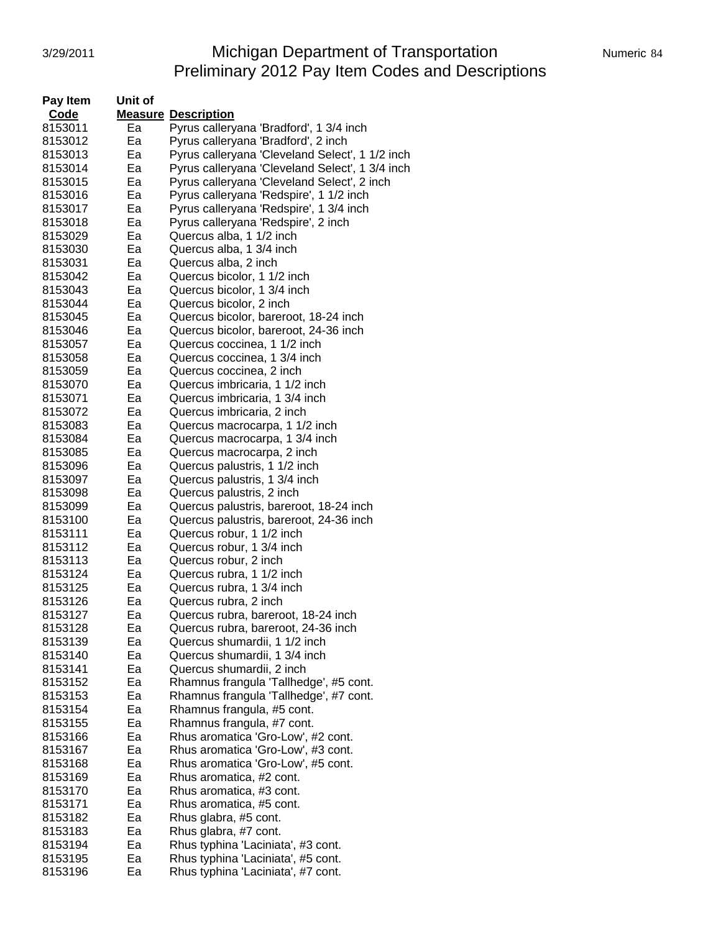# 3/29/2011 **Michigan Department of Transportation** Numeric 84 Preliminary 2012 Pay Item Codes and Descriptions

| Pay Item | Unit of |                                                 |
|----------|---------|-------------------------------------------------|
| Code     |         | <b>Measure Description</b>                      |
| 8153011  | Ea      | Pyrus calleryana 'Bradford', 1 3/4 inch         |
| 8153012  | Ea      | Pyrus calleryana 'Bradford', 2 inch             |
| 8153013  | Ea      | Pyrus calleryana 'Cleveland Select', 1 1/2 inch |
| 8153014  | Ea      | Pyrus calleryana 'Cleveland Select', 1 3/4 inch |
| 8153015  | Ea      | Pyrus calleryana 'Cleveland Select', 2 inch     |
| 8153016  | Ea      | Pyrus calleryana 'Redspire', 1 1/2 inch         |
| 8153017  | Ea      | Pyrus calleryana 'Redspire', 1 3/4 inch         |
| 8153018  | Ea      | Pyrus calleryana 'Redspire', 2 inch             |
| 8153029  | Ea      | Quercus alba, 1 1/2 inch                        |
| 8153030  | Ea      | Quercus alba, 1 3/4 inch                        |
|          | Ea      | Quercus alba, 2 inch                            |
| 8153031  |         |                                                 |
| 8153042  | Ea      | Quercus bicolor, 1 1/2 inch                     |
| 8153043  | Ea      | Quercus bicolor, 1 3/4 inch                     |
| 8153044  | Ea      | Quercus bicolor, 2 inch                         |
| 8153045  | Ea      | Quercus bicolor, bareroot, 18-24 inch           |
| 8153046  | Ea      | Quercus bicolor, bareroot, 24-36 inch           |
| 8153057  | Ea      | Quercus coccinea, 1 1/2 inch                    |
| 8153058  | Ea      | Quercus coccinea, 1 3/4 inch                    |
| 8153059  | Ea      | Quercus coccinea, 2 inch                        |
| 8153070  | Ea      | Quercus imbricaria, 1 1/2 inch                  |
| 8153071  | Ea      | Quercus imbricaria, 1 3/4 inch                  |
| 8153072  | Ea      | Quercus imbricaria, 2 inch                      |
| 8153083  | Ea      | Quercus macrocarpa, 1 1/2 inch                  |
| 8153084  | Ea      | Quercus macrocarpa, 1 3/4 inch                  |
| 8153085  | Ea      | Quercus macrocarpa, 2 inch                      |
| 8153096  | Ea      | Quercus palustris, 1 1/2 inch                   |
| 8153097  | Ea      | Quercus palustris, 1 3/4 inch                   |
| 8153098  | Ea      | Quercus palustris, 2 inch                       |
| 8153099  | Ea      | Quercus palustris, bareroot, 18-24 inch         |
| 8153100  | Ea      | Quercus palustris, bareroot, 24-36 inch         |
| 8153111  | Ea      | Quercus robur, 1 1/2 inch                       |
| 8153112  | Ea      | Quercus robur, 1 3/4 inch                       |
| 8153113  | Ea      | Quercus robur, 2 inch                           |
| 8153124  | Ea      | Quercus rubra, 1 1/2 inch                       |
| 8153125  | Ea      | Quercus rubra, 1 3/4 inch                       |
| 8153126  | Ea      | Quercus rubra, 2 inch                           |
| 8153127  | Eа      | Quercus rubra, bareroot, 18-24 inch             |
| 8153128  | ьa      | Quercus rubra, bareroot, 24-36 inch             |
| 8153139  | Ea      | Quercus shumardii, 1 1/2 inch                   |
| 8153140  | Ea      | Quercus shumardii, 1 3/4 inch                   |
| 8153141  | Ea      | Quercus shumardii, 2 inch                       |
| 8153152  | Ea      | Rhamnus frangula 'Tallhedge', #5 cont.          |
| 8153153  | Ea      | Rhamnus frangula 'Tallhedge', #7 cont.          |
| 8153154  | Ea      | Rhamnus frangula, #5 cont.                      |
| 8153155  | Ea      | Rhamnus frangula, #7 cont.                      |
| 8153166  | Ea      | Rhus aromatica 'Gro-Low', #2 cont.              |
| 8153167  | Ea      | Rhus aromatica 'Gro-Low', #3 cont.              |
| 8153168  | Ea      | Rhus aromatica 'Gro-Low', #5 cont.              |
| 8153169  | Ea      | Rhus aromatica, #2 cont.                        |
| 8153170  | Ea      | Rhus aromatica, #3 cont.                        |
| 8153171  | Ea      | Rhus aromatica, #5 cont.                        |
| 8153182  | Ea      | Rhus glabra, #5 cont.                           |
| 8153183  | Ea      | Rhus glabra, #7 cont.                           |
| 8153194  | Ea      | Rhus typhina 'Laciniata', #3 cont.              |
| 8153195  | Ea      | Rhus typhina 'Laciniata', #5 cont.              |
| 8153196  |         |                                                 |
|          | Ea      | Rhus typhina 'Laciniata', #7 cont.              |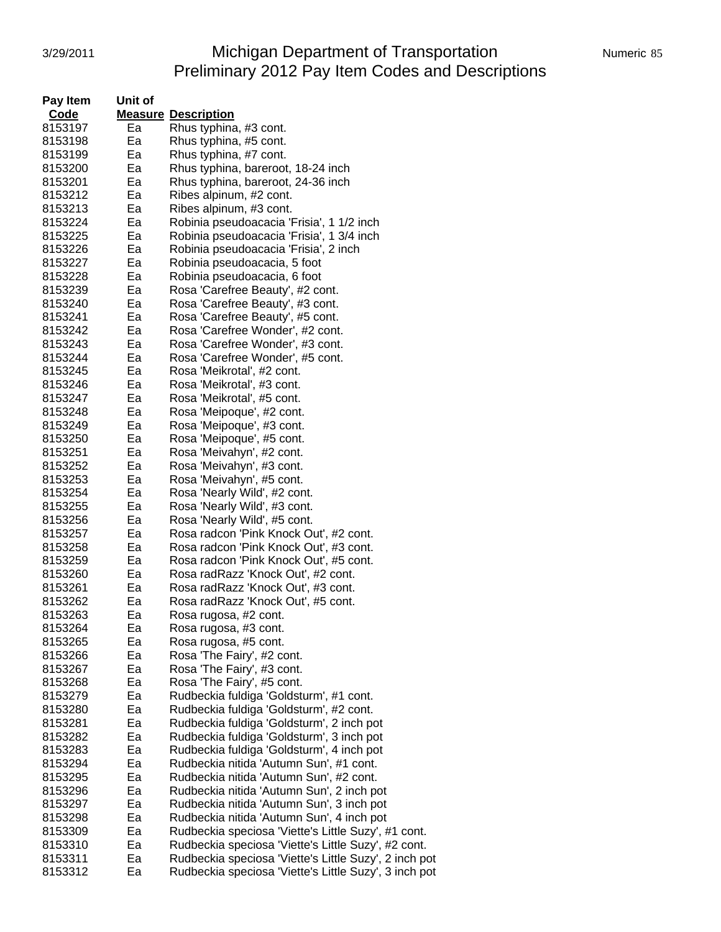#### 3/29/2011 Michigan Department of Transportation Numeric 85 Preliminary 2012 Pay Item Codes and Descriptions

| Pay Item | Unit of |                                                       |
|----------|---------|-------------------------------------------------------|
| Code     |         | <b>Measure Description</b>                            |
| 8153197  | Ea      | Rhus typhina, #3 cont.                                |
| 8153198  | Ea      | Rhus typhina, #5 cont.                                |
| 8153199  | Ea      | Rhus typhina, #7 cont.                                |
| 8153200  | Ea      | Rhus typhina, bareroot, 18-24 inch                    |
| 8153201  | Ea      | Rhus typhina, bareroot, 24-36 inch                    |
| 8153212  | Ea      |                                                       |
|          |         | Ribes alpinum, #2 cont.                               |
| 8153213  | Ea      | Ribes alpinum, #3 cont.                               |
| 8153224  | Ea      | Robinia pseudoacacia 'Frisia', 1 1/2 inch             |
| 8153225  | Ea      | Robinia pseudoacacia 'Frisia', 1 3/4 inch             |
| 8153226  | Ea      | Robinia pseudoacacia 'Frisia', 2 inch                 |
| 8153227  | Ea      | Robinia pseudoacacia, 5 foot                          |
| 8153228  | Ea      | Robinia pseudoacacia, 6 foot                          |
| 8153239  | Ea      | Rosa 'Carefree Beauty', #2 cont.                      |
| 8153240  | Ea      | Rosa 'Carefree Beauty', #3 cont.                      |
| 8153241  | Ea      | Rosa 'Carefree Beauty', #5 cont.                      |
| 8153242  | Ea      | Rosa 'Carefree Wonder', #2 cont.                      |
| 8153243  | Ea      | Rosa 'Carefree Wonder', #3 cont.                      |
| 8153244  | Ea      | Rosa 'Carefree Wonder', #5 cont.                      |
| 8153245  | Ea      | Rosa 'Meikrotal', #2 cont.                            |
| 8153246  | Ea      | Rosa 'Meikrotal', #3 cont.                            |
| 8153247  | Ea      | Rosa 'Meikrotal', #5 cont.                            |
| 8153248  | Ea      | Rosa 'Meipoque', #2 cont.                             |
| 8153249  | Ea      | Rosa 'Meipoque', #3 cont.                             |
| 8153250  | Ea      | Rosa 'Meipoque', #5 cont.                             |
| 8153251  | Ea      | Rosa 'Meivahyn', #2 cont.                             |
|          | Ea      |                                                       |
| 8153252  |         | Rosa 'Meivahyn', #3 cont.                             |
| 8153253  | Ea      | Rosa 'Meivahyn', #5 cont.                             |
| 8153254  | Ea      | Rosa 'Nearly Wild', #2 cont.                          |
| 8153255  | Ea      | Rosa 'Nearly Wild', #3 cont.                          |
| 8153256  | Ea      | Rosa 'Nearly Wild', #5 cont.                          |
| 8153257  | Ea      | Rosa radcon 'Pink Knock Out', #2 cont.                |
| 8153258  | Ea      | Rosa radcon 'Pink Knock Out', #3 cont.                |
| 8153259  | Ea      | Rosa radcon 'Pink Knock Out', #5 cont.                |
| 8153260  | Ea      | Rosa radRazz 'Knock Out', #2 cont.                    |
| 8153261  | Ea      | Rosa radRazz 'Knock Out', #3 cont.                    |
| 8153262  | Ea      | Rosa radRazz 'Knock Out', #5 cont.                    |
| 8153263  | Ea      | Rosa rugosa, #2 cont.                                 |
| 8153264  | ьa      | Rosa rugosa, #3 cont.                                 |
| 8153265  | Ea      | Rosa rugosa, #5 cont.                                 |
| 8153266  | Ea      | Rosa 'The Fairy', #2 cont.                            |
| 8153267  | Ea      | Rosa 'The Fairy', #3 cont.                            |
| 8153268  | Ea      | Rosa 'The Fairy', #5 cont.                            |
| 8153279  | Ea      | Rudbeckia fuldiga 'Goldsturm', #1 cont.               |
| 8153280  | Ea      | Rudbeckia fuldiga 'Goldsturm', #2 cont.               |
| 8153281  | Ea      | Rudbeckia fuldiga 'Goldsturm', 2 inch pot             |
| 8153282  | Ea      | Rudbeckia fuldiga 'Goldsturm', 3 inch pot             |
| 8153283  | Ea      | Rudbeckia fuldiga 'Goldsturm', 4 inch pot             |
| 8153294  | Ea      | Rudbeckia nitida 'Autumn Sun', #1 cont.               |
|          |         |                                                       |
| 8153295  | Ea      | Rudbeckia nitida 'Autumn Sun', #2 cont.               |
| 8153296  | Ea      | Rudbeckia nitida 'Autumn Sun', 2 inch pot             |
| 8153297  | Ea      | Rudbeckia nitida 'Autumn Sun', 3 inch pot             |
| 8153298  | Ea      | Rudbeckia nitida 'Autumn Sun', 4 inch pot             |
| 8153309  | Ea      | Rudbeckia speciosa 'Viette's Little Suzy', #1 cont.   |
| 8153310  | Ea      | Rudbeckia speciosa 'Viette's Little Suzy', #2 cont.   |
| 8153311  | Ea      | Rudbeckia speciosa 'Viette's Little Suzy', 2 inch pot |
| 8153312  | Ea      | Rudbeckia speciosa 'Viette's Little Suzy', 3 inch pot |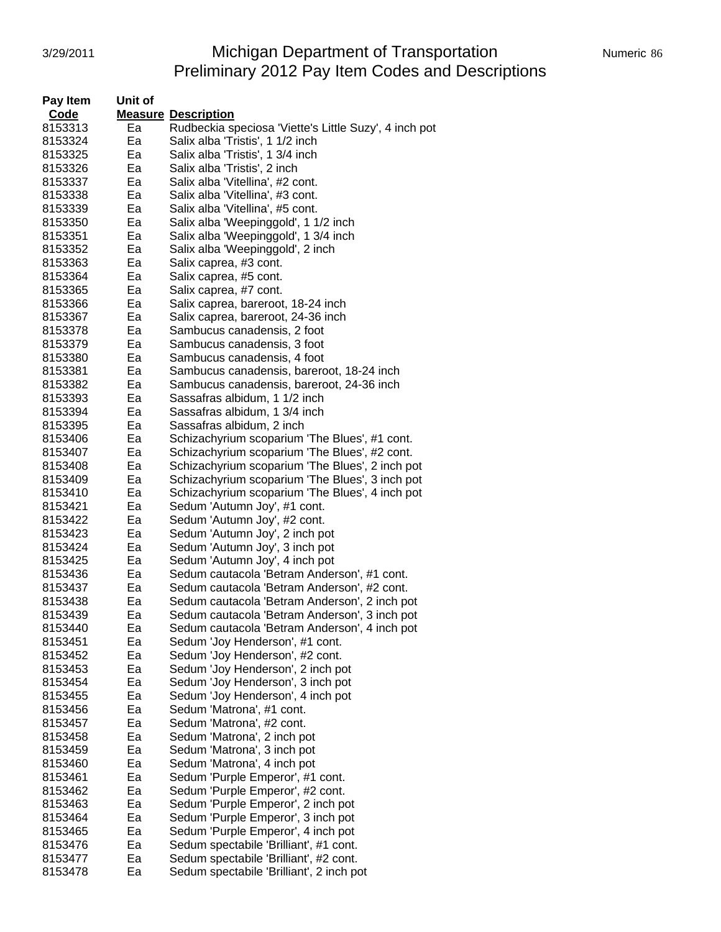#### 3/29/2011 **Michigan Department of Transportation** Numeric 86 Preliminary 2012 Pay Item Codes and Descriptions

| Pay Item | Unit of |                                                       |
|----------|---------|-------------------------------------------------------|
| Code     |         | <b>Measure Description</b>                            |
| 8153313  | Ea      | Rudbeckia speciosa 'Viette's Little Suzy', 4 inch pot |
| 8153324  | Ea      | Salix alba 'Tristis', 1 1/2 inch                      |
| 8153325  | Ea      | Salix alba 'Tristis', 1 3/4 inch                      |
| 8153326  | Ea      | Salix alba 'Tristis', 2 inch                          |
| 8153337  | Ea      | Salix alba 'Vitellina', #2 cont.                      |
| 8153338  | Ea      | Salix alba 'Vitellina', #3 cont.                      |
| 8153339  | Ea      | Salix alba 'Vitellina', #5 cont.                      |
| 8153350  | Ea      | Salix alba 'Weepinggold', 1 1/2 inch                  |
| 8153351  | Ea      | Salix alba 'Weepinggold', 1 3/4 inch                  |
| 8153352  | Ea      | Salix alba 'Weepinggold', 2 inch                      |
| 8153363  | Ea      | Salix caprea, #3 cont.                                |
| 8153364  | Ea      | Salix caprea, #5 cont.                                |
| 8153365  | Ea      | Salix caprea, #7 cont.                                |
| 8153366  | Ea      | Salix caprea, bareroot, 18-24 inch                    |
| 8153367  | Ea      | Salix caprea, bareroot, 24-36 inch                    |
| 8153378  | Ea      | Sambucus canadensis, 2 foot                           |
| 8153379  | Ea      | Sambucus canadensis, 3 foot                           |
| 8153380  | Ea      | Sambucus canadensis, 4 foot                           |
| 8153381  | Ea      | Sambucus canadensis, bareroot, 18-24 inch             |
| 8153382  | Ea      | Sambucus canadensis, bareroot, 24-36 inch             |
| 8153393  | Ea      | Sassafras albidum, 1 1/2 inch                         |
| 8153394  | Ea      | Sassafras albidum, 1 3/4 inch                         |
| 8153395  | Ea      | Sassafras albidum, 2 inch                             |
| 8153406  | Ea      | Schizachyrium scoparium 'The Blues', #1 cont.         |
| 8153407  | Ea      | Schizachyrium scoparium 'The Blues', #2 cont.         |
| 8153408  | Ea      | Schizachyrium scoparium 'The Blues', 2 inch pot       |
| 8153409  | Ea      | Schizachyrium scoparium 'The Blues', 3 inch pot       |
| 8153410  | Ea      | Schizachyrium scoparium 'The Blues', 4 inch pot       |
| 8153421  | Ea      | Sedum 'Autumn Joy', #1 cont.                          |
| 8153422  | Ea      | Sedum 'Autumn Joy', #2 cont.                          |
| 8153423  | Ea      | Sedum 'Autumn Joy', 2 inch pot                        |
| 8153424  | Ea      | Sedum 'Autumn Joy', 3 inch pot                        |
| 8153425  | Ea      | Sedum 'Autumn Joy', 4 inch pot                        |
| 8153436  | Ea      | Sedum cautacola 'Betram Anderson', #1 cont.           |
| 8153437  | Ea      | Sedum cautacola 'Betram Anderson', #2 cont.           |
| 8153438  | Ea      | Sedum cautacola 'Betram Anderson', 2 inch pot         |
| 8153439  | Ea      | Sedum cautacola 'Betram Anderson', 3 inch pot         |
| 8153440  | Ea      | Sedum cautacola 'Betram Anderson', 4 inch pot         |
| 8153451  | Ea      | Sedum 'Joy Henderson', #1 cont.                       |
| 8153452  | Ea      | Sedum 'Joy Henderson', #2 cont.                       |
| 8153453  | Ea      | Sedum 'Joy Henderson', 2 inch pot                     |
| 8153454  | Ea      | Sedum 'Joy Henderson', 3 inch pot                     |
| 8153455  | Ea      | Sedum 'Joy Henderson', 4 inch pot                     |
| 8153456  | Ea      | Sedum 'Matrona', #1 cont.                             |
| 8153457  | Ea      | Sedum 'Matrona', #2 cont.                             |
| 8153458  | Ea      | Sedum 'Matrona', 2 inch pot                           |
| 8153459  | Ea      | Sedum 'Matrona', 3 inch pot                           |
| 8153460  | Ea      | Sedum 'Matrona', 4 inch pot                           |
| 8153461  | Ea      | Sedum 'Purple Emperor', #1 cont.                      |
| 8153462  | Ea      | Sedum 'Purple Emperor', #2 cont.                      |
| 8153463  | Ea      | Sedum 'Purple Emperor', 2 inch pot                    |
| 8153464  | Ea      | Sedum 'Purple Emperor', 3 inch pot                    |
| 8153465  | Ea      | Sedum 'Purple Emperor', 4 inch pot                    |
| 8153476  | Ea      | Sedum spectabile 'Brilliant', #1 cont.                |
| 8153477  | Ea      | Sedum spectabile 'Brilliant', #2 cont.                |
| 8153478  | Ea      | Sedum spectabile 'Brilliant', 2 inch pot              |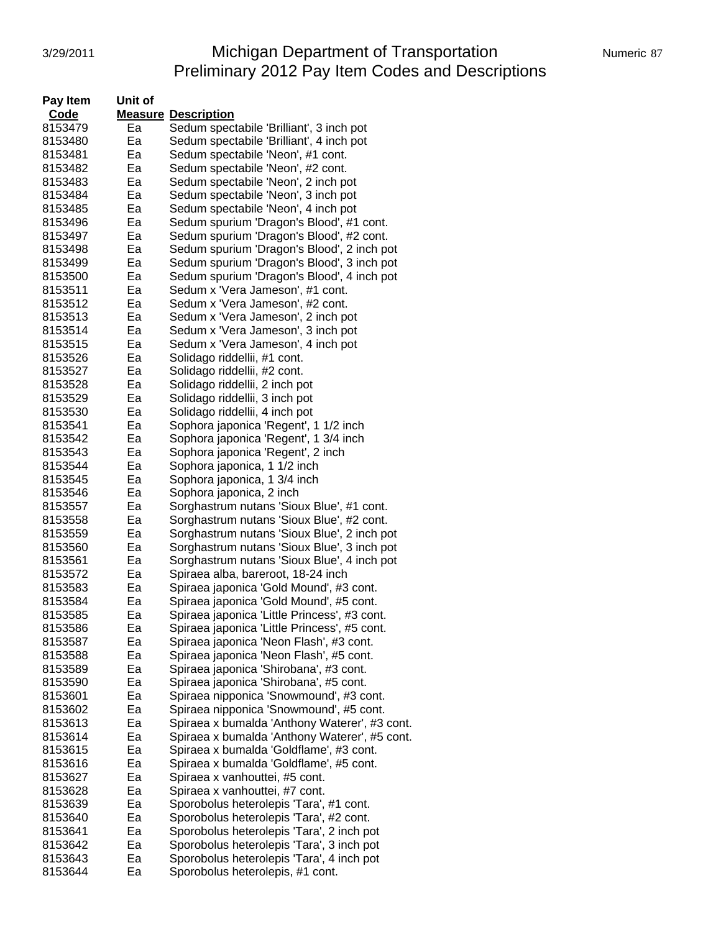### 3/29/2011 Michigan Department of Transportation Numeric 87 Preliminary 2012 Pay Item Codes and Descriptions

| Pay Item | Unit of |                                               |
|----------|---------|-----------------------------------------------|
| Code     |         | <b>Measure Description</b>                    |
| 8153479  | Ea      | Sedum spectabile 'Brilliant', 3 inch pot      |
| 8153480  | Ea      | Sedum spectabile 'Brilliant', 4 inch pot      |
| 8153481  | Ea      | Sedum spectabile 'Neon', #1 cont.             |
| 8153482  | Ea      | Sedum spectabile 'Neon', #2 cont.             |
| 8153483  | Ea      | Sedum spectabile 'Neon', 2 inch pot           |
| 8153484  | Ea      | Sedum spectabile 'Neon', 3 inch pot           |
| 8153485  | Ea      | Sedum spectabile 'Neon', 4 inch pot           |
| 8153496  | Ea      | Sedum spurium 'Dragon's Blood', #1 cont.      |
| 8153497  | Ea      | Sedum spurium 'Dragon's Blood', #2 cont.      |
| 8153498  | Ea      | Sedum spurium 'Dragon's Blood', 2 inch pot    |
| 8153499  | Ea      | Sedum spurium 'Dragon's Blood', 3 inch pot    |
| 8153500  | Ea      | Sedum spurium 'Dragon's Blood', 4 inch pot    |
| 8153511  | Ea      | Sedum x 'Vera Jameson', #1 cont.              |
| 8153512  | Ea      | Sedum x 'Vera Jameson', #2 cont.              |
| 8153513  | Ea      | Sedum x 'Vera Jameson', 2 inch pot            |
| 8153514  | Ea      | Sedum x 'Vera Jameson', 3 inch pot            |
| 8153515  | Ea      | Sedum x 'Vera Jameson', 4 inch pot            |
| 8153526  | Ea      | Solidago riddellii, #1 cont.                  |
| 8153527  | Ea      | Solidago riddellii, #2 cont.                  |
| 8153528  | Ea      | Solidago riddellii, 2 inch pot                |
| 8153529  | Ea      | Solidago riddellii, 3 inch pot                |
| 8153530  | Ea      | Solidago riddellii, 4 inch pot                |
| 8153541  | Ea      | Sophora japonica 'Regent', 1 1/2 inch         |
| 8153542  | Ea      | Sophora japonica 'Regent', 1 3/4 inch         |
| 8153543  | Ea      | Sophora japonica 'Regent', 2 inch             |
| 8153544  | Ea      | Sophora japonica, 1 1/2 inch                  |
| 8153545  | Ea      | Sophora japonica, 1 3/4 inch                  |
| 8153546  | Ea      | Sophora japonica, 2 inch                      |
| 8153557  | Ea      | Sorghastrum nutans 'Sioux Blue', #1 cont.     |
| 8153558  | Ea      | Sorghastrum nutans 'Sioux Blue', #2 cont.     |
| 8153559  | Ea      | Sorghastrum nutans 'Sioux Blue', 2 inch pot   |
| 8153560  | Ea      | Sorghastrum nutans 'Sioux Blue', 3 inch pot   |
| 8153561  | Ea      | Sorghastrum nutans 'Sioux Blue', 4 inch pot   |
| 8153572  | Ea      | Spiraea alba, bareroot, 18-24 inch            |
| 8153583  | Ea      | Spiraea japonica 'Gold Mound', #3 cont.       |
| 8153584  | Ea      | Spiraea japonica 'Gold Mound', #5 cont.       |
| 8153585  | Ea      | Spiraea japonica 'Little Princess', #3 cont.  |
| 8153586  | Ea      | Spiraea japonica 'Little Princess', #5 cont.  |
| 8153587  | Ea      | Spiraea japonica 'Neon Flash', #3 cont.       |
| 8153588  | Ea      | Spiraea japonica 'Neon Flash', #5 cont.       |
| 8153589  | Ea      | Spiraea japonica 'Shirobana', #3 cont.        |
| 8153590  | Ea      | Spiraea japonica 'Shirobana', #5 cont.        |
| 8153601  | Ea      | Spiraea nipponica 'Snowmound', #3 cont.       |
| 8153602  | Ea      | Spiraea nipponica 'Snowmound', #5 cont.       |
| 8153613  | Ea      | Spiraea x bumalda 'Anthony Waterer', #3 cont. |
| 8153614  | Ea      | Spiraea x bumalda 'Anthony Waterer', #5 cont. |
| 8153615  | Ea      | Spiraea x bumalda 'Goldflame', #3 cont.       |
| 8153616  | Ea      | Spiraea x bumalda 'Goldflame', #5 cont.       |
| 8153627  | Ea      | Spiraea x vanhouttei, #5 cont.                |
| 8153628  | Ea      | Spiraea x vanhouttei, #7 cont.                |
| 8153639  | Ea      | Sporobolus heterolepis 'Tara', #1 cont.       |
| 8153640  | Ea      | Sporobolus heterolepis 'Tara', #2 cont.       |
| 8153641  | Ea      | Sporobolus heterolepis 'Tara', 2 inch pot     |
| 8153642  | Ea      | Sporobolus heterolepis 'Tara', 3 inch pot     |
| 8153643  | Ea      | Sporobolus heterolepis 'Tara', 4 inch pot     |
| 8153644  | Ea      | Sporobolus heterolepis, #1 cont.              |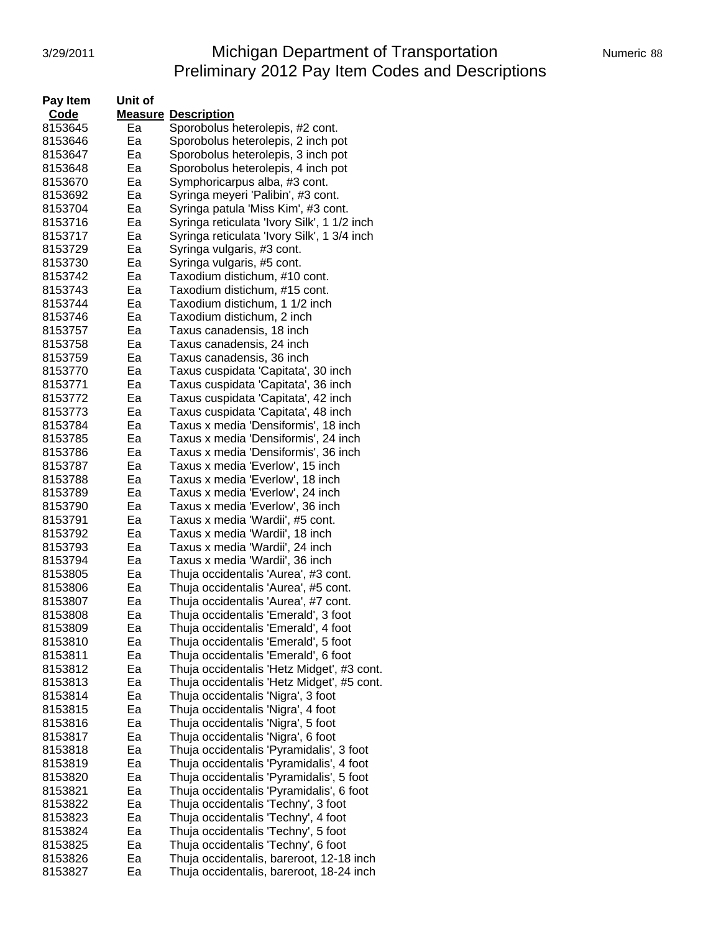# 3/29/2011 **Michigan Department of Transportation** Numeric 88 Preliminary 2012 Pay Item Codes and Descriptions

| Pay Item           | Unit of  |                                                                            |
|--------------------|----------|----------------------------------------------------------------------------|
| Code               |          | <b>Measure Description</b>                                                 |
| 8153645            | Ea       | Sporobolus heterolepis, #2 cont.                                           |
| 8153646            | Ea       | Sporobolus heterolepis, 2 inch pot                                         |
| 8153647            | Ea       | Sporobolus heterolepis, 3 inch pot                                         |
| 8153648            | Ea       | Sporobolus heterolepis, 4 inch pot                                         |
| 8153670            | Ea       | Symphoricarpus alba, #3 cont.                                              |
| 8153692            | Ea       | Syringa meyeri 'Palibin', #3 cont.                                         |
| 8153704            | Ea       | Syringa patula 'Miss Kim', #3 cont.                                        |
| 8153716            | Ea       | Syringa reticulata 'Ivory Silk', 1 1/2 inch                                |
| 8153717            | Ea       | Syringa reticulata 'Ivory Silk', 1 3/4 inch                                |
| 8153729            | Ea       | Syringa vulgaris, #3 cont.                                                 |
| 8153730            | Ea       | Syringa vulgaris, #5 cont.                                                 |
| 8153742            | Ea       | Taxodium distichum, #10 cont.                                              |
| 8153743            | Ea       | Taxodium distichum, #15 cont.                                              |
| 8153744            | Ea       | Taxodium distichum, 1 1/2 inch                                             |
| 8153746            | Ea       | Taxodium distichum, 2 inch                                                 |
| 8153757            | Ea       | Taxus canadensis, 18 inch                                                  |
| 8153758            | Ea       | Taxus canadensis, 24 inch                                                  |
| 8153759            | Ea       | Taxus canadensis, 36 inch                                                  |
| 8153770            | Ea       | Taxus cuspidata 'Capitata', 30 inch                                        |
| 8153771            | Ea       | Taxus cuspidata 'Capitata', 36 inch                                        |
| 8153772            | Ea       | Taxus cuspidata 'Capitata', 42 inch                                        |
| 8153773            | Ea       | Taxus cuspidata 'Capitata', 48 inch                                        |
| 8153784            | Ea       | Taxus x media 'Densiformis', 18 inch                                       |
| 8153785            | Eа       | Taxus x media 'Densiformis', 24 inch                                       |
| 8153786            | Ea       | Taxus x media 'Densiformis', 36 inch                                       |
| 8153787            | Ea       | Taxus x media 'Everlow', 15 inch                                           |
| 8153788            | Ea       | Taxus x media 'Everlow', 18 inch                                           |
| 8153789            | Ea       | Taxus x media 'Everlow', 24 inch                                           |
| 8153790            | Ea       | Taxus x media 'Everlow', 36 inch                                           |
| 8153791<br>8153792 | Ea<br>Ea | Taxus x media 'Wardii', #5 cont.<br>Taxus x media 'Wardii', 18 inch        |
| 8153793            | Ea       | Taxus x media 'Wardii', 24 inch                                            |
| 8153794            | Ea       | Taxus x media 'Wardii', 36 inch                                            |
| 8153805            | Ea       | Thuja occidentalis 'Aurea', #3 cont.                                       |
| 8153806            | Ea       | Thuja occidentalis 'Aurea', #5 cont.                                       |
| 8153807            | Ea       | Thuja occidentalis 'Aurea', #7 cont.                                       |
| 8153808            | Ea       | Thuja occidentalis 'Emerald', 3 foot                                       |
| 8153809            | Ea       | Thuja occidentalis 'Emerald', 4 foot                                       |
| 8153810            | Ea       | Thuja occidentalis 'Emerald', 5 foot                                       |
| 8153811            | Ea       | Thuja occidentalis 'Emerald', 6 foot                                       |
| 8153812            | Ea       | Thuja occidentalis 'Hetz Midget', #3 cont.                                 |
| 8153813            | Ea       | Thuja occidentalis 'Hetz Midget', #5 cont.                                 |
| 8153814            | Ea       | Thuja occidentalis 'Nigra', 3 foot                                         |
| 8153815            | Ea       | Thuja occidentalis 'Nigra', 4 foot                                         |
| 8153816            | Ea       | Thuja occidentalis 'Nigra', 5 foot                                         |
| 8153817            | Ea       | Thuja occidentalis 'Nigra', 6 foot                                         |
| 8153818            | Ea       | Thuja occidentalis 'Pyramidalis', 3 foot                                   |
| 8153819            | Ea       | Thuja occidentalis 'Pyramidalis', 4 foot                                   |
| 8153820            | Ea       | Thuja occidentalis 'Pyramidalis', 5 foot                                   |
| 8153821            | Ea       | Thuja occidentalis 'Pyramidalis', 6 foot                                   |
| 8153822<br>8153823 | Ea<br>Ea | Thuja occidentalis 'Techny', 3 foot                                        |
| 8153824            | Ea       | Thuja occidentalis 'Techny', 4 foot<br>Thuja occidentalis 'Techny', 5 foot |
| 8153825            | Ea       | Thuja occidentalis 'Techny', 6 foot                                        |
| 8153826            | Ea       | Thuja occidentalis, bareroot, 12-18 inch                                   |
| 8153827            | Ea       | Thuja occidentalis, bareroot, 18-24 inch                                   |
|                    |          |                                                                            |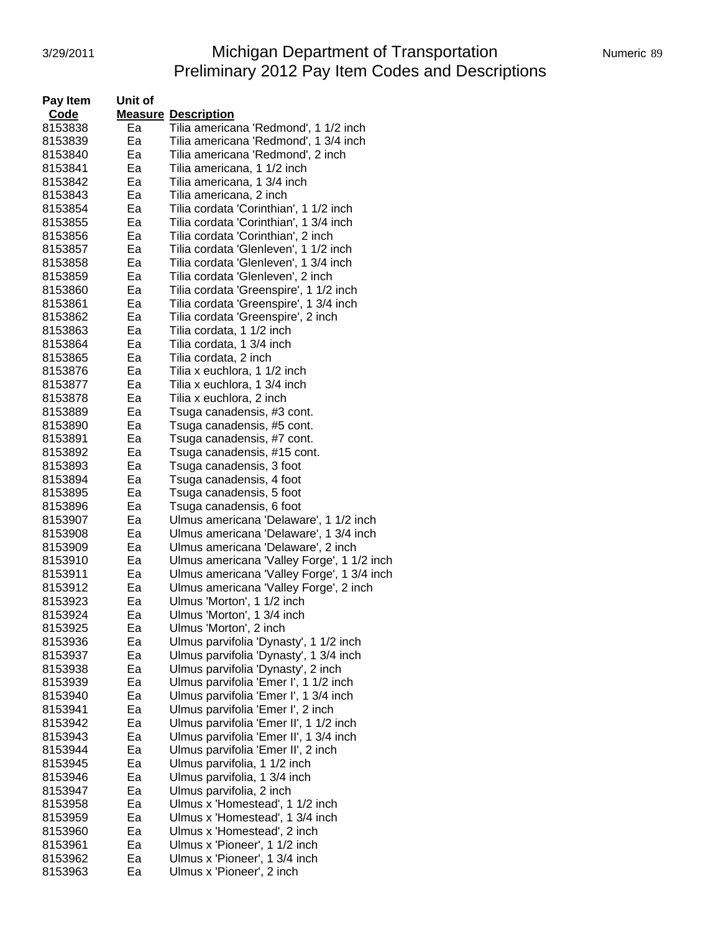# 3/29/2011 **Michigan Department of Transportation** Numeric 89 Preliminary 2012 Pay Item Codes and Descriptions

| Pay Item | Unit of |                                            |
|----------|---------|--------------------------------------------|
| Code     |         | <b>Measure Description</b>                 |
| 8153838  | Ea      | Tilia americana 'Redmond', 1 1/2 inch      |
| 8153839  | Ea      | Tilia americana 'Redmond', 1 3/4 inch      |
| 8153840  | Ea      | Tilia americana 'Redmond', 2 inch          |
| 8153841  | Ea      | Tilia americana, 1 1/2 inch                |
| 8153842  | Ea      | Tilia americana, 1 3/4 inch                |
| 8153843  | Ea      | Tilia americana, 2 inch                    |
| 8153854  | Ea      | Tilia cordata 'Corinthian', 1 1/2 inch     |
| 8153855  | Ea      | Tilia cordata 'Corinthian', 1 3/4 inch     |
| 8153856  | Ea      | Tilia cordata 'Corinthian', 2 inch         |
| 8153857  | Ea      | Tilia cordata 'Glenleven', 1 1/2 inch      |
| 8153858  | Ea      | Tilia cordata 'Glenleven', 1 3/4 inch      |
| 8153859  | Ea      | Tilia cordata 'Glenleven', 2 inch          |
| 8153860  | Ea      | Tilia cordata 'Greenspire', 1 1/2 inch     |
| 8153861  | Ea      | Tilia cordata 'Greenspire', 1 3/4 inch     |
| 8153862  | Ea      | Tilia cordata 'Greenspire', 2 inch         |
| 8153863  | Ea      | Tilia cordata, 1 1/2 inch                  |
| 8153864  | Ea      | Tilia cordata, 1 3/4 inch                  |
| 8153865  | Ea      | Tilia cordata, 2 inch                      |
| 8153876  | Ea      | Tilia x euchlora, 1 1/2 inch               |
| 8153877  | Ea      | Tilia x euchlora, 1 3/4 inch               |
| 8153878  | Ea      | Tilia x euchlora, 2 inch                   |
| 8153889  | Ea      | Tsuga canadensis, #3 cont.                 |
| 8153890  | Ea      | Tsuga canadensis, #5 cont.                 |
| 8153891  | Ea      | Tsuga canadensis, #7 cont.                 |
| 8153892  | Ea      | Tsuga canadensis, #15 cont.                |
| 8153893  | Eа      | Tsuga canadensis, 3 foot                   |
| 8153894  | Ea      | Tsuga canadensis, 4 foot                   |
| 8153895  | Ea      | Tsuga canadensis, 5 foot                   |
| 8153896  | Ea      | Tsuga canadensis, 6 foot                   |
| 8153907  | Ea      | Ulmus americana 'Delaware', 1 1/2 inch     |
| 8153908  | Ea      | Ulmus americana 'Delaware', 1 3/4 inch     |
| 8153909  | Ea      | Ulmus americana 'Delaware', 2 inch         |
| 8153910  | Ea      | Ulmus americana 'Valley Forge', 1 1/2 inch |
| 8153911  | Ea      | Ulmus americana 'Valley Forge', 1 3/4 inch |
| 8153912  | Ea      | Ulmus americana 'Valley Forge', 2 inch     |
| 8153923  | Ea      | Ulmus 'Morton', 1 1/2 inch                 |
| 8153924  | Ea      | Ulmus 'Morton', 1 3/4 inch                 |
| 8153925  | Ea      | Ulmus 'Morton', 2 inch                     |
| 8153936  | Ea      | Ulmus parvifolia 'Dynasty', 1 1/2 inch     |
| 8153937  | Ea      | Ulmus parvifolia 'Dynasty', 1 3/4 inch     |
| 8153938  | Ea      | Ulmus parvifolia 'Dynasty', 2 inch         |
| 8153939  | Ea      | Ulmus parvifolia 'Emer I', 1 1/2 inch      |
| 8153940  | Ea      | Ulmus parvifolia 'Emer I', 1 3/4 inch      |
| 8153941  | Ea      | Ulmus parvifolia 'Emer I', 2 inch          |
| 8153942  | Ea      | Ulmus parvifolia 'Emer II', 1 1/2 inch     |
| 8153943  | Ea      | Ulmus parvifolia 'Emer II', 1 3/4 inch     |
| 8153944  | Ea      | Ulmus parvifolia 'Emer II', 2 inch         |
| 8153945  | Ea      | Ulmus parvifolia, 1 1/2 inch               |
| 8153946  | Ea      | Ulmus parvifolia, 1 3/4 inch               |
| 8153947  | Ea      | Ulmus parvifolia, 2 inch                   |
| 8153958  | Ea      | Ulmus x 'Homestead', 1 1/2 inch            |
| 8153959  | Ea      | Ulmus x 'Homestead', 1 3/4 inch            |
| 8153960  | Ea      | Ulmus x 'Homestead', 2 inch                |
| 8153961  | Ea      | Ulmus x 'Pioneer', 1 1/2 inch              |
| 8153962  | Ea      | Ulmus x 'Pioneer', 1 3/4 inch              |
| 8153963  | Ea      | Ulmus x 'Pioneer', 2 inch                  |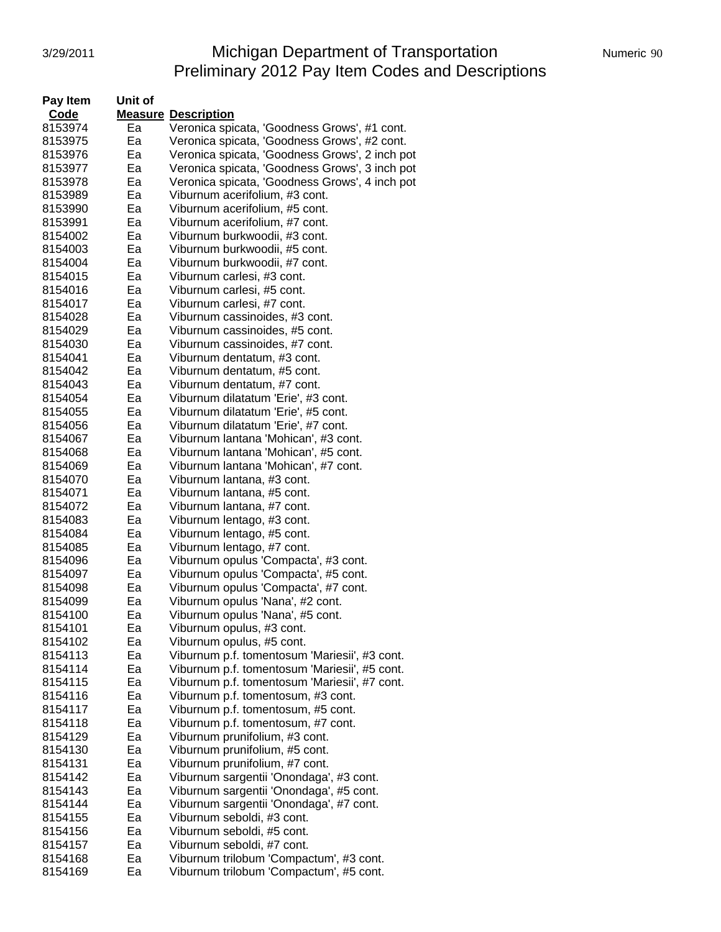## 3/29/2011 Michigan Department of Transportation Numeric 90 Preliminary 2012 Pay Item Codes and Descriptions

| Pay Item | Unit of |                                                |
|----------|---------|------------------------------------------------|
| Code     |         | <b>Measure Description</b>                     |
| 8153974  | Ea      | Veronica spicata, 'Goodness Grows', #1 cont.   |
| 8153975  | Ea      | Veronica spicata, 'Goodness Grows', #2 cont.   |
| 8153976  | Ea      | Veronica spicata, 'Goodness Grows', 2 inch pot |
| 8153977  | Ea      | Veronica spicata, 'Goodness Grows', 3 inch pot |
| 8153978  | Ea      | Veronica spicata, 'Goodness Grows', 4 inch pot |
| 8153989  | Ea      | Viburnum acerifolium, #3 cont.                 |
| 8153990  | Ea      | Viburnum acerifolium, #5 cont.                 |
| 8153991  | Ea      | Viburnum acerifolium, #7 cont.                 |
|          | Ea      |                                                |
| 8154002  |         | Viburnum burkwoodii, #3 cont.                  |
| 8154003  | Ea      | Viburnum burkwoodii, #5 cont.                  |
| 8154004  | Ea      | Viburnum burkwoodii, #7 cont.                  |
| 8154015  | Ea      | Viburnum carlesi, #3 cont.                     |
| 8154016  | Ea      | Viburnum carlesi, #5 cont.                     |
| 8154017  | Ea      | Viburnum carlesi, #7 cont.                     |
| 8154028  | Ea      | Viburnum cassinoides, #3 cont.                 |
| 8154029  | Ea      | Viburnum cassinoides, #5 cont.                 |
| 8154030  | Ea      | Viburnum cassinoides, #7 cont.                 |
| 8154041  | Ea      | Viburnum dentatum, #3 cont.                    |
| 8154042  | Ea      | Viburnum dentatum, #5 cont.                    |
| 8154043  | Ea      | Viburnum dentatum, #7 cont.                    |
| 8154054  | Ea      | Viburnum dilatatum 'Erie', #3 cont.            |
| 8154055  | Ea      | Viburnum dilatatum 'Erie', #5 cont.            |
| 8154056  | Ea      | Viburnum dilatatum 'Erie', #7 cont.            |
| 8154067  | Ea      | Viburnum lantana 'Mohican', #3 cont.           |
| 8154068  | Ea      | Viburnum lantana 'Mohican', #5 cont.           |
| 8154069  | Ea      | Viburnum lantana 'Mohican', #7 cont.           |
| 8154070  | Ea      | Viburnum lantana, #3 cont.                     |
| 8154071  | Ea      | Viburnum lantana, #5 cont.                     |
| 8154072  | Ea      | Viburnum lantana, #7 cont.                     |
| 8154083  | Ea      | Viburnum lentago, #3 cont.                     |
| 8154084  | Ea      | Viburnum lentago, #5 cont.                     |
| 8154085  | Ea      | Viburnum lentago, #7 cont.                     |
| 8154096  | Ea      | Viburnum opulus 'Compacta', #3 cont.           |
| 8154097  | Ea      | Viburnum opulus 'Compacta', #5 cont.           |
| 8154098  | Ea      | Viburnum opulus 'Compacta', #7 cont.           |
| 8154099  | Ea      | Viburnum opulus 'Nana', #2 cont.               |
| 8154100  | Ea      | Viburnum opulus 'Nana', #5 cont.               |
| 8154101  | ьa      | Viburnum opulus, #3 cont.                      |
| 8154102  | Ea      | Viburnum opulus, #5 cont.                      |
| 8154113  | Ea      | Viburnum p.f. tomentosum 'Mariesii', #3 cont.  |
| 8154114  | Ea      | Viburnum p.f. tomentosum 'Mariesii', #5 cont.  |
| 8154115  | Ea      | Viburnum p.f. tomentosum 'Mariesii', #7 cont.  |
| 8154116  | Ea      | Viburnum p.f. tomentosum, #3 cont.             |
| 8154117  | Ea      | Viburnum p.f. tomentosum, #5 cont.             |
| 8154118  | Ea      | Viburnum p.f. tomentosum, #7 cont.             |
| 8154129  | Ea      | Viburnum prunifolium, #3 cont.                 |
| 8154130  | Ea      | Viburnum prunifolium, #5 cont.                 |
| 8154131  | Ea      | Viburnum prunifolium, #7 cont.                 |
| 8154142  | Ea      | Viburnum sargentii 'Onondaga', #3 cont.        |
| 8154143  | Ea      | Viburnum sargentii 'Onondaga', #5 cont.        |
| 8154144  | Ea      | Viburnum sargentii 'Onondaga', #7 cont.        |
| 8154155  | Ea      | Viburnum seboldi, #3 cont.                     |
| 8154156  | Ea      | Viburnum seboldi, #5 cont.                     |
| 8154157  | Ea      | Viburnum seboldi, #7 cont.                     |
| 8154168  | Ea      | Viburnum trilobum 'Compactum', #3 cont.        |
| 8154169  | Ea      | Viburnum trilobum 'Compactum', #5 cont.        |
|          |         |                                                |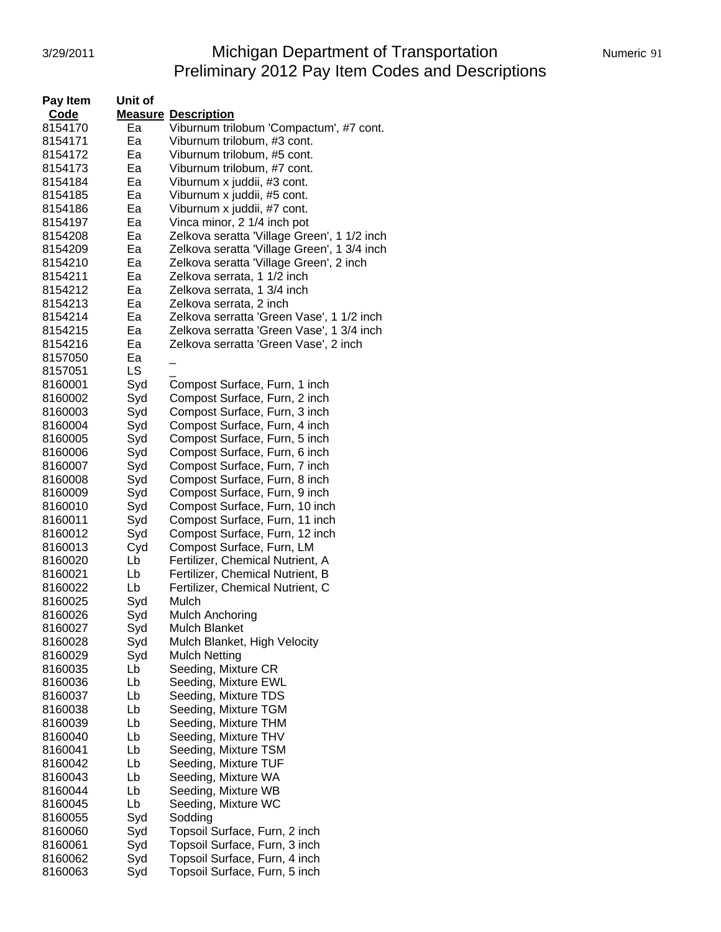### 3/29/2011 Michigan Department of Transportation Numeric 91 Preliminary 2012 Pay Item Codes and Descriptions

| Pay Item<br>Unit of |                            |                                             |
|---------------------|----------------------------|---------------------------------------------|
| Code                | <b>Measure Description</b> |                                             |
| 8154170<br>Ea       |                            | Viburnum trilobum 'Compactum', #7 cont.     |
| 8154171<br>Ea       |                            | Viburnum trilobum, #3 cont.                 |
| 8154172<br>Ea       |                            | Viburnum trilobum, #5 cont.                 |
| 8154173<br>Ea       |                            | Viburnum trilobum, #7 cont.                 |
| Ea<br>8154184       |                            | Viburnum x juddii, #3 cont.                 |
|                     |                            |                                             |
| Ea<br>8154185       |                            | Viburnum x juddii, #5 cont.                 |
| 8154186<br>Ea       |                            | Viburnum x juddii, #7 cont.                 |
| 8154197<br>Ea       |                            | Vinca minor, 2 1/4 inch pot                 |
| 8154208<br>Ea       |                            | Zelkova seratta 'Village Green', 1 1/2 inch |
| 8154209<br>Ea       |                            | Zelkova seratta 'Village Green', 1 3/4 inch |
| 8154210<br>Ea       |                            | Zelkova seratta 'Village Green', 2 inch     |
| 8154211<br>Eа       |                            | Zelkova serrata, 1 1/2 inch                 |
| 8154212<br>Eа       |                            | Zelkova serrata, 1 3/4 inch                 |
| 8154213<br>Eа       |                            | Zelkova serrata, 2 inch                     |
| 8154214<br>Ea       |                            | Zelkova serratta 'Green Vase', 1 1/2 inch   |
| Ea<br>8154215       |                            | Zelkova serratta 'Green Vase', 1 3/4 inch   |
| 8154216<br>Ea       |                            | Zelkova serratta 'Green Vase', 2 inch       |
| 8157050<br>Ea       |                            |                                             |
| LS<br>8157051       |                            |                                             |
| 8160001<br>Syd      |                            | Compost Surface, Furn, 1 inch               |
| 8160002<br>Syd      |                            | Compost Surface, Furn, 2 inch               |
| Syd<br>8160003      |                            | Compost Surface, Furn, 3 inch               |
|                     |                            |                                             |
| 8160004<br>Syd      |                            | Compost Surface, Furn, 4 inch               |
| 8160005<br>Syd      |                            | Compost Surface, Furn, 5 inch               |
| 8160006<br>Syd      |                            | Compost Surface, Furn, 6 inch               |
| Syd<br>8160007      |                            | Compost Surface, Furn, 7 inch               |
| 8160008<br>Syd      |                            | Compost Surface, Furn, 8 inch               |
| 8160009<br>Syd      |                            | Compost Surface, Furn, 9 inch               |
| 8160010<br>Syd      |                            | Compost Surface, Furn, 10 inch              |
| Syd<br>8160011      |                            | Compost Surface, Furn, 11 inch              |
| Syd<br>8160012      |                            | Compost Surface, Furn, 12 inch              |
| 8160013<br>Cyd      |                            | Compost Surface, Furn, LM                   |
| Lb<br>8160020       |                            | Fertilizer, Chemical Nutrient, A            |
| Lb<br>8160021       |                            | Fertilizer, Chemical Nutrient, B            |
| Lb<br>8160022       |                            | Fertilizer, Chemical Nutrient, C            |
| Syd<br>8160025      | Mulch                      |                                             |
| 8160026<br>Syd      |                            | Mulch Anchoring                             |
| 8160027<br>Syd      | Mulch Blanket              |                                             |
| 8160028<br>Syd      |                            | Mulch Blanket, High Velocity                |
| Syd<br>8160029      | <b>Mulch Netting</b>       |                                             |
| Lb<br>8160035       |                            | Seeding, Mixture CR                         |
| Lb<br>8160036       |                            | Seeding, Mixture EWL                        |
| Lb<br>8160037       |                            | Seeding, Mixture TDS                        |
| Lb<br>8160038       |                            | Seeding, Mixture TGM                        |
|                     |                            |                                             |
| 8160039<br>Lb       |                            | Seeding, Mixture THM                        |
| Lb<br>8160040       |                            | Seeding, Mixture THV                        |
| 8160041<br>Lb       |                            | Seeding, Mixture TSM                        |
| 8160042<br>Lb       |                            | Seeding, Mixture TUF                        |
| Lb<br>8160043       |                            | Seeding, Mixture WA                         |
| Lb<br>8160044       |                            | Seeding, Mixture WB                         |
| Lb<br>8160045       |                            | Seeding, Mixture WC                         |
| Syd<br>8160055      | Sodding                    |                                             |
| Syd<br>8160060      |                            | Topsoil Surface, Furn, 2 inch               |
| Syd<br>8160061      |                            | Topsoil Surface, Furn, 3 inch               |
| Syd<br>8160062      |                            | Topsoil Surface, Furn, 4 inch               |
| Syd<br>8160063      |                            | Topsoil Surface, Furn, 5 inch               |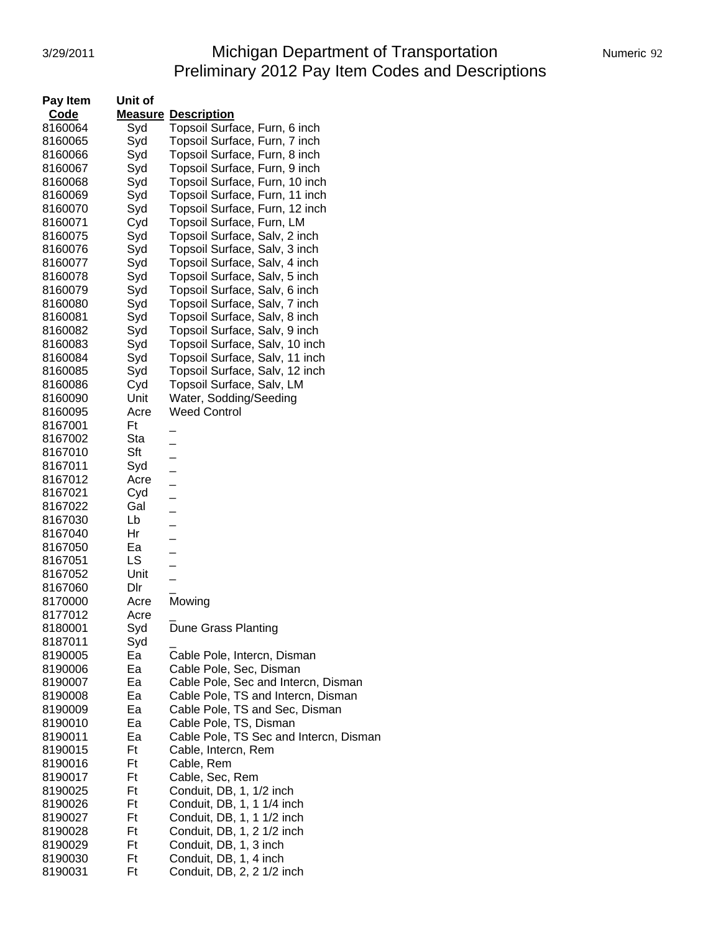# 3/29/2011 Michigan Department of Transportation Numeric 92 Preliminary 2012 Pay Item Codes and Descriptions

| Pay Item           | Unit of        |                                                      |
|--------------------|----------------|------------------------------------------------------|
| <b>Code</b>        | <u>Measure</u> | <b>Description</b>                                   |
| 8160064            | Syd            | Topsoil Surface, Furn, 6 inch                        |
| 8160065            | Syd            | Topsoil Surface, Furn, 7 inch                        |
| 8160066            | Syd            | Topsoil Surface, Furn, 8 inch                        |
| 8160067            | Syd            | Topsoil Surface, Furn, 9 inch                        |
| 8160068            | Syd            | Topsoil Surface, Furn, 10 inch                       |
| 8160069            | Syd            | Topsoil Surface, Furn, 11 inch                       |
| 8160070            | Syd            | Topsoil Surface, Furn, 12 inch                       |
| 8160071            | Cyd            | Topsoil Surface, Furn, LM                            |
| 8160075            | Syd            | Topsoil Surface, Salv, 2 inch                        |
| 8160076            | Syd            | Topsoil Surface, Salv, 3 inch                        |
| 8160077            | Syd            | Topsoil Surface, Salv, 4 inch                        |
| 8160078            | Syd            | Topsoil Surface, Salv, 5 inch                        |
| 8160079            | Syd            | Topsoil Surface, Salv, 6 inch                        |
| 8160080            | Syd            | Topsoil Surface, Salv, 7 inch                        |
| 8160081            | Syd            | Topsoil Surface, Salv, 8 inch                        |
| 8160082            | Syd            | Topsoil Surface, Salv, 9 inch                        |
| 8160083            | Syd            | Topsoil Surface, Salv, 10 inch                       |
| 8160084            | Syd            | Topsoil Surface, Salv, 11 inch                       |
| 8160085            | Syd            | Topsoil Surface, Salv, 12 inch                       |
| 8160086            | Cyd            | Topsoil Surface, Salv, LM                            |
| 8160090            | Unit           | Water, Sodding/Seeding                               |
| 8160095            | Acre           | <b>Weed Control</b>                                  |
| 8167001            | Ft             |                                                      |
| 8167002            | Sta            | -                                                    |
| 8167010            | Sft            |                                                      |
| 8167011            | Syd            | $\overline{a}$                                       |
| 8167012            | Acre           |                                                      |
| 8167021<br>8167022 | Cyd<br>Gal     |                                                      |
| 8167030            | Lb             | $\overline{\phantom{0}}$                             |
| 8167040            | Hr             | <u>.</u>                                             |
| 8167050            | Ea             | $\overline{\phantom{0}}$                             |
| 8167051            | LS             |                                                      |
| 8167052            | Unit           |                                                      |
| 8167060            | Dlr            |                                                      |
| 8170000            | Acre           | Mowing                                               |
| 8177012            | Acre           |                                                      |
| 8180001            | Syd            | Dune Grass Planting                                  |
| 8187011            | Syd            |                                                      |
| 8190005            | Ea             | Cable Pole, Intercn, Disman                          |
| 8190006            | Ea             | Cable Pole, Sec, Disman                              |
| 8190007            | Ea             | Cable Pole, Sec and Intercn, Disman                  |
| 8190008            | Ea             | Cable Pole, TS and Intercn, Disman                   |
| 8190009            | Ea             | Cable Pole, TS and Sec, Disman                       |
| 8190010            | Ea             | Cable Pole, TS, Disman                               |
| 8190011            | Ea             | Cable Pole, TS Sec and Intercn, Disman               |
| 8190015            | Ft             | Cable, Intercn, Rem                                  |
| 8190016            | Ft             | Cable, Rem                                           |
| 8190017            | Ft             | Cable, Sec, Rem                                      |
| 8190025            | Ft             | Conduit, DB, 1, 1/2 inch                             |
| 8190026            | Ft             | Conduit, DB, 1, 1 1/4 inch                           |
| 8190027            | Ft             | Conduit, DB, 1, 1 1/2 inch                           |
| 8190028<br>8190029 | Ft<br>Ft       | Conduit, DB, 1, 2 1/2 inch<br>Conduit, DB, 1, 3 inch |
| 8190030            | Ft             | Conduit, DB, 1, 4 inch                               |
| 8190031            | Ft             | Conduit, DB, 2, 2 1/2 inch                           |
|                    |                |                                                      |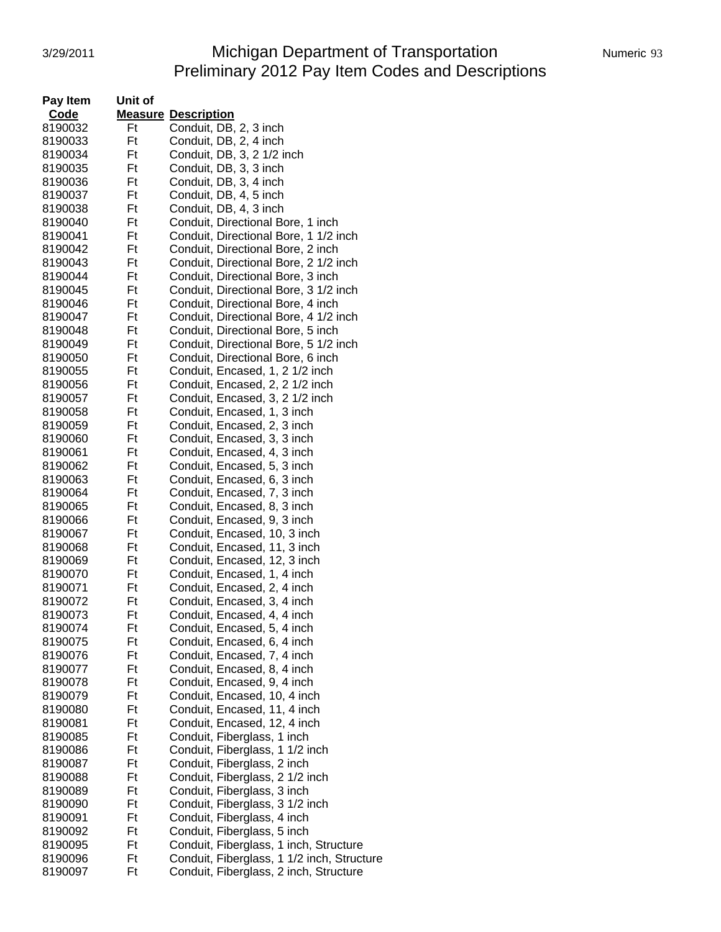# 3/29/2011 Michigan Department of Transportation Numeric 93 Preliminary 2012 Pay Item Codes and Descriptions

| Numeric 93 |  |
|------------|--|
|            |  |

| Pay Item | Unit of |                                            |
|----------|---------|--------------------------------------------|
| Code     |         | <b>Measure Description</b>                 |
| 8190032  | Ft      | Conduit, DB, 2, 3 inch                     |
| 8190033  | Ft      | Conduit, DB, 2, 4 inch                     |
| 8190034  | Ft      | Conduit, DB, 3, 2 1/2 inch                 |
| 8190035  | Ft      | Conduit, DB, 3, 3 inch                     |
| 8190036  | Ft      | Conduit, DB, 3, 4 inch                     |
| 8190037  | Ft      | Conduit, DB, 4, 5 inch                     |
| 8190038  | Ft      | Conduit, DB, 4, 3 inch                     |
| 8190040  | Ft      | Conduit, Directional Bore, 1 inch          |
| 8190041  | Ft      | Conduit, Directional Bore, 1 1/2 inch      |
| 8190042  | Ft      | Conduit, Directional Bore, 2 inch          |
| 8190043  | Ft      | Conduit, Directional Bore, 2 1/2 inch      |
| 8190044  | Ft      | Conduit, Directional Bore, 3 inch          |
| 8190045  | Ft      | Conduit, Directional Bore, 3 1/2 inch      |
| 8190046  | Ft      | Conduit, Directional Bore, 4 inch          |
| 8190047  | Ft      | Conduit, Directional Bore, 4 1/2 inch      |
| 8190048  | Ft      | Conduit, Directional Bore, 5 inch          |
| 8190049  | Ft      | Conduit, Directional Bore, 5 1/2 inch      |
| 8190050  | Ft      | Conduit, Directional Bore, 6 inch          |
| 8190055  | Ft      | Conduit, Encased, 1, 2 1/2 inch            |
| 8190056  | Ft      | Conduit, Encased, 2, 2 1/2 inch            |
| 8190057  | Ft      | Conduit, Encased, 3, 2 1/2 inch            |
| 8190058  | Ft      | Conduit, Encased, 1, 3 inch                |
| 8190059  | Ft      | Conduit, Encased, 2, 3 inch                |
| 8190060  | Ft      | Conduit, Encased, 3, 3 inch                |
| 8190061  | Ft      | Conduit, Encased, 4, 3 inch                |
| 8190062  | Ft      | Conduit, Encased, 5, 3 inch                |
| 8190063  | Ft      | Conduit, Encased, 6, 3 inch                |
| 8190064  | Ft      | Conduit, Encased, 7, 3 inch                |
| 8190065  | Ft      | Conduit, Encased, 8, 3 inch                |
| 8190066  | Ft      | Conduit, Encased, 9, 3 inch                |
| 8190067  | Ft      | Conduit, Encased, 10, 3 inch               |
| 8190068  | Ft      | Conduit, Encased, 11, 3 inch               |
| 8190069  | Ft      | Conduit, Encased, 12, 3 inch               |
| 8190070  | Ft      | Conduit, Encased, 1, 4 inch                |
| 8190071  | Ft      | Conduit, Encased, 2, 4 inch                |
| 8190072  | Ft      | Conduit, Encased, 3, 4 inch                |
| 8190073  | Ft      | Conduit, Encased, 4, 4 inch                |
| 8190074  | Ft      | Conduit, Encased, 5, 4 inch                |
| 8190075  | Ft      | Conduit, Encased, 6, 4 inch                |
| 8190076  | Ft      | Conduit, Encased, 7, 4 inch                |
| 8190077  | Ft      | Conduit, Encased, 8, 4 inch                |
| 8190078  | Ft      | Conduit, Encased, 9, 4 inch                |
| 8190079  | Ft      | Conduit, Encased, 10, 4 inch               |
| 8190080  | Ft      | Conduit, Encased, 11, 4 inch               |
| 8190081  | Ft      | Conduit, Encased, 12, 4 inch               |
| 8190085  | Ft      | Conduit, Fiberglass, 1 inch                |
| 8190086  | Ft      | Conduit, Fiberglass, 1 1/2 inch            |
| 8190087  | Ft      | Conduit, Fiberglass, 2 inch                |
| 8190088  | Ft      | Conduit, Fiberglass, 2 1/2 inch            |
| 8190089  | Ft      | Conduit, Fiberglass, 3 inch                |
| 8190090  | Ft      | Conduit, Fiberglass, 3 1/2 inch            |
| 8190091  | Ft      | Conduit, Fiberglass, 4 inch                |
| 8190092  | Ft      | Conduit, Fiberglass, 5 inch                |
| 8190095  | Ft      | Conduit, Fiberglass, 1 inch, Structure     |
| 8190096  | Ft      | Conduit, Fiberglass, 1 1/2 inch, Structure |
| 8190097  | Ft      | Conduit, Fiberglass, 2 inch, Structure     |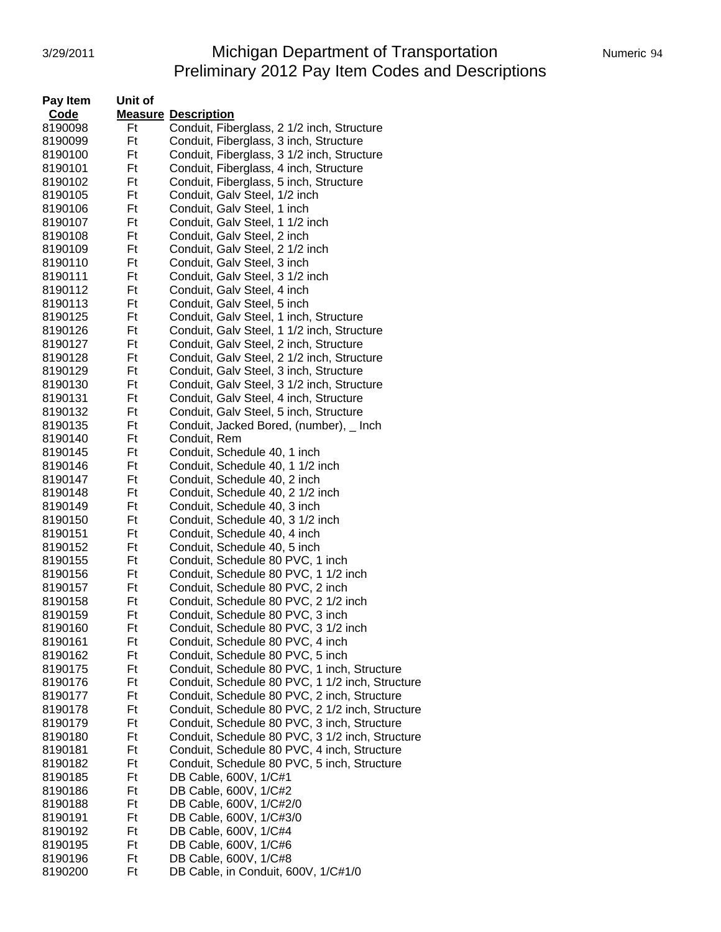# 3/29/2011 **Michigan Department of Transportation** Numeric 94 Preliminary 2012 Pay Item Codes and Descriptions

| Pay Item | Unit of |                                                 |
|----------|---------|-------------------------------------------------|
| Code     |         | <b>Measure Description</b>                      |
| 8190098  | Ft      | Conduit, Fiberglass, 2 1/2 inch, Structure      |
| 8190099  | Ft      | Conduit, Fiberglass, 3 inch, Structure          |
| 8190100  | Ft      | Conduit, Fiberglass, 3 1/2 inch, Structure      |
| 8190101  | Ft      | Conduit, Fiberglass, 4 inch, Structure          |
| 8190102  | Ft      | Conduit, Fiberglass, 5 inch, Structure          |
| 8190105  | Ft      | Conduit, Galv Steel, 1/2 inch                   |
| 8190106  | Ft      | Conduit, Galv Steel, 1 inch                     |
| 8190107  | Ft      | Conduit, Galv Steel, 1 1/2 inch                 |
| 8190108  | Ft      | Conduit, Galv Steel, 2 inch                     |
| 8190109  | Ft      | Conduit, Galv Steel, 2 1/2 inch                 |
| 8190110  | Ft      | Conduit, Galv Steel, 3 inch                     |
| 8190111  | Ft      | Conduit, Galv Steel, 3 1/2 inch                 |
| 8190112  | Ft      | Conduit, Galv Steel, 4 inch                     |
| 8190113  | Ft      | Conduit, Galv Steel, 5 inch                     |
| 8190125  | Ft      | Conduit, Galv Steel, 1 inch, Structure          |
| 8190126  | Ft      | Conduit, Galv Steel, 1 1/2 inch, Structure      |
| 8190127  | Ft      | Conduit, Galv Steel, 2 inch, Structure          |
| 8190128  | Ft      | Conduit, Galv Steel, 2 1/2 inch, Structure      |
| 8190129  | Ft      | Conduit, Galv Steel, 3 inch, Structure          |
| 8190130  | Ft      | Conduit, Galv Steel, 3 1/2 inch, Structure      |
| 8190131  | Ft      | Conduit, Galv Steel, 4 inch, Structure          |
| 8190132  | Ft      | Conduit, Galv Steel, 5 inch, Structure          |
| 8190135  | Ft      | Conduit, Jacked Bored, (number), _ Inch         |
| 8190140  | Ft      | Conduit, Rem                                    |
| 8190145  | Ft      | Conduit, Schedule 40, 1 inch                    |
| 8190146  | Ft      | Conduit, Schedule 40, 1 1/2 inch                |
| 8190147  | Ft      | Conduit, Schedule 40, 2 inch                    |
| 8190148  | Ft      | Conduit, Schedule 40, 2 1/2 inch                |
| 8190149  | Ft      | Conduit, Schedule 40, 3 inch                    |
| 8190150  | Ft      | Conduit, Schedule 40, 3 1/2 inch                |
| 8190151  | Ft      | Conduit, Schedule 40, 4 inch                    |
| 8190152  | Ft      | Conduit, Schedule 40, 5 inch                    |
| 8190155  | Ft      | Conduit, Schedule 80 PVC, 1 inch                |
| 8190156  | Ft      | Conduit, Schedule 80 PVC, 1 1/2 inch            |
| 8190157  | Ft      | Conduit, Schedule 80 PVC, 2 inch                |
| 8190158  | Ft      | Conduit, Schedule 80 PVC, 2 1/2 inch            |
| 8190159  | Ft      | Conduit, Schedule 80 PVC, 3 inch                |
| 8190160  | Ft      | Conduit, Schedule 80 PVC, 3 1/2 inch            |
| 8190161  | Ft      | Conduit, Schedule 80 PVC, 4 inch                |
| 8190162  | Ft      | Conduit, Schedule 80 PVC, 5 inch                |
| 8190175  | Ft      | Conduit, Schedule 80 PVC, 1 inch, Structure     |
| 8190176  | Ft      | Conduit, Schedule 80 PVC, 1 1/2 inch, Structure |
| 8190177  | Ft      | Conduit, Schedule 80 PVC, 2 inch, Structure     |
| 8190178  | Ft      | Conduit, Schedule 80 PVC, 2 1/2 inch, Structure |
| 8190179  | Ft      | Conduit, Schedule 80 PVC, 3 inch, Structure     |
| 8190180  | Ft      | Conduit, Schedule 80 PVC, 3 1/2 inch, Structure |
| 8190181  | Ft      | Conduit, Schedule 80 PVC, 4 inch, Structure     |
| 8190182  | Ft      | Conduit, Schedule 80 PVC, 5 inch, Structure     |
| 8190185  | Ft      | DB Cable, 600V, 1/C#1                           |
| 8190186  | Ft      | DB Cable, 600V, 1/C#2                           |
| 8190188  | Ft      | DB Cable, 600V, 1/C#2/0                         |
| 8190191  | Ft      | DB Cable, 600V, 1/C#3/0                         |
| 8190192  | Ft      | DB Cable, 600V, 1/C#4                           |
| 8190195  | Ft      | DB Cable, 600V, 1/C#6                           |
| 8190196  | Ft      | DB Cable, 600V, 1/C#8                           |
| 8190200  | Ft      | DB Cable, in Conduit, 600V, 1/C#1/0             |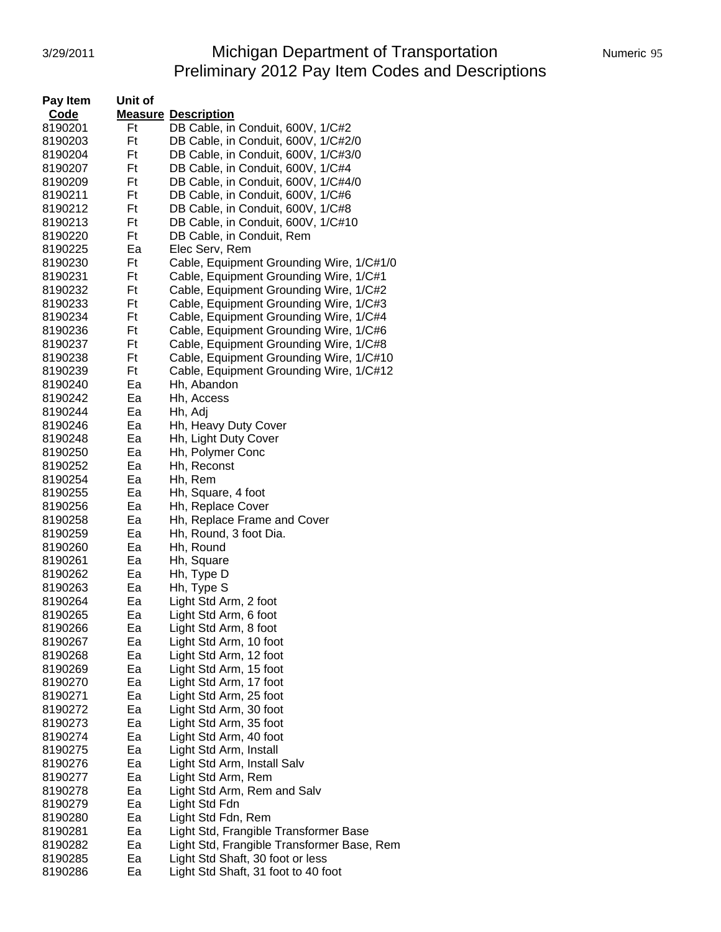# 3/29/2011 Michigan Department of Transportation Numeric 95 Preliminary 2012 Pay Item Codes and Descriptions

| Numeric 95 |  |
|------------|--|
|            |  |

| Pay Item | Unit of |                                            |
|----------|---------|--------------------------------------------|
| Code     |         | <b>Measure Description</b>                 |
| 8190201  | Ft      | DB Cable, in Conduit, 600V, 1/C#2          |
| 8190203  | Ft      | DB Cable, in Conduit, 600V, 1/C#2/0        |
| 8190204  | Ft      | DB Cable, in Conduit, 600V, 1/C#3/0        |
| 8190207  | Ft      | DB Cable, in Conduit, 600V, 1/C#4          |
| 8190209  | Ft      | DB Cable, in Conduit, 600V, 1/C#4/0        |
| 8190211  | Ft      | DB Cable, in Conduit, 600V, 1/C#6          |
| 8190212  | Ft      | DB Cable, in Conduit, 600V, 1/C#8          |
| 8190213  | Ft      | DB Cable, in Conduit, 600V, 1/C#10         |
| 8190220  | Ft      | DB Cable, in Conduit, Rem                  |
| 8190225  | Ea      | Elec Serv, Rem                             |
| 8190230  | Ft      | Cable, Equipment Grounding Wire, 1/C#1/0   |
| 8190231  | Ft      | Cable, Equipment Grounding Wire, 1/C#1     |
| 8190232  | Ft      | Cable, Equipment Grounding Wire, 1/C#2     |
| 8190233  | Ft      | Cable, Equipment Grounding Wire, 1/C#3     |
| 8190234  | Ft      | Cable, Equipment Grounding Wire, 1/C#4     |
| 8190236  | Ft      | Cable, Equipment Grounding Wire, 1/C#6     |
| 8190237  | Ft      | Cable, Equipment Grounding Wire, 1/C#8     |
| 8190238  | Ft      | Cable, Equipment Grounding Wire, 1/C#10    |
|          | Ft      |                                            |
| 8190239  |         | Cable, Equipment Grounding Wire, 1/C#12    |
| 8190240  | Ea      | Hh, Abandon                                |
| 8190242  | Ea      | Hh, Access                                 |
| 8190244  | Ea      | Hh, Adj                                    |
| 8190246  | Ea      | Hh, Heavy Duty Cover                       |
| 8190248  | Ea      | Hh, Light Duty Cover                       |
| 8190250  | Ea      | Hh, Polymer Conc                           |
| 8190252  | Ea      | Hh, Reconst                                |
| 8190254  | Ea      | Hh, Rem                                    |
| 8190255  | Ea      | Hh, Square, 4 foot                         |
| 8190256  | Ea      | Hh, Replace Cover                          |
| 8190258  | Ea      | Hh, Replace Frame and Cover                |
| 8190259  | Ea      | Hh, Round, 3 foot Dia.                     |
| 8190260  | Ea      | Hh, Round                                  |
| 8190261  | Ea      | Hh, Square                                 |
| 8190262  | Ea      | Hh, Type D                                 |
| 8190263  | Ea      | Hh, Type S                                 |
| 8190264  | Ea      | Light Std Arm, 2 foot                      |
| 8190265  | Ea      | Light Std Arm, 6 foot                      |
| 8190266  | ьa      | Light Std Arm, 8 foot                      |
| 8190267  | Ea      | Light Std Arm, 10 foot                     |
| 8190268  | Ea      | Light Std Arm, 12 foot                     |
| 8190269  | Ea      | Light Std Arm, 15 foot                     |
| 8190270  | Ea      | Light Std Arm, 17 foot                     |
| 8190271  | Ea      | Light Std Arm, 25 foot                     |
| 8190272  | Ea      | Light Std Arm, 30 foot                     |
| 8190273  | Ea      | Light Std Arm, 35 foot                     |
| 8190274  | Ea      | Light Std Arm, 40 foot                     |
| 8190275  | Ea      | Light Std Arm, Install                     |
| 8190276  | Ea      | Light Std Arm, Install Salv                |
| 8190277  | Ea      | Light Std Arm, Rem                         |
| 8190278  | Ea      | Light Std Arm, Rem and Salv                |
| 8190279  | Ea      | Light Std Fdn                              |
| 8190280  | Ea      | Light Std Fdn, Rem                         |
| 8190281  | Ea      | Light Std, Frangible Transformer Base      |
| 8190282  | Ea      | Light Std, Frangible Transformer Base, Rem |
| 8190285  | Ea      | Light Std Shaft, 30 foot or less           |
| 8190286  | Ea      | Light Std Shaft, 31 foot to 40 foot        |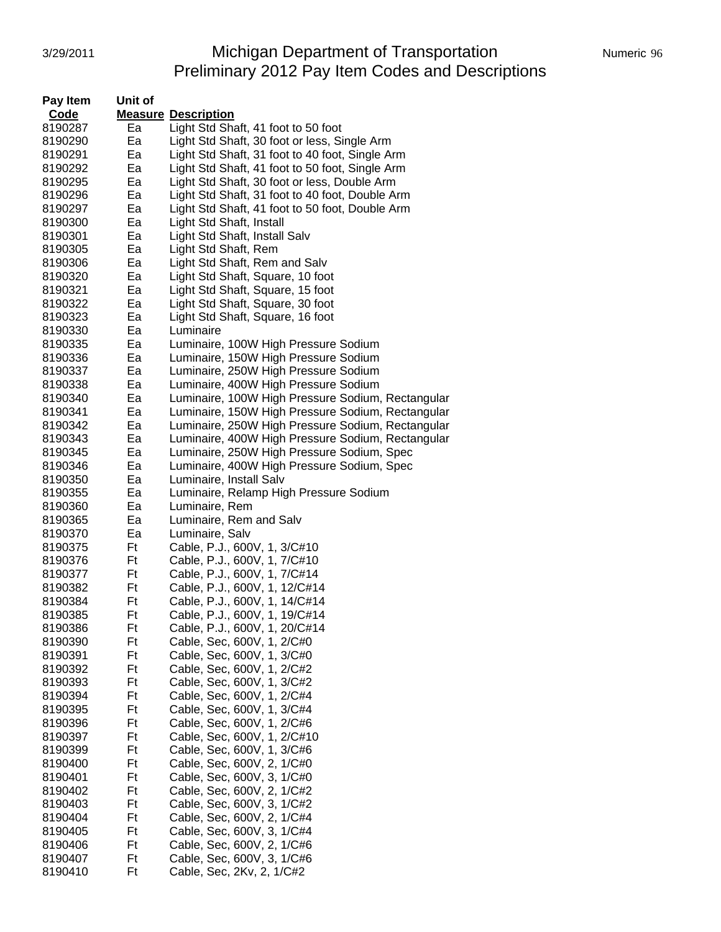# 3/29/2011 Michigan Department of Transportation Numeric 96 Preliminary 2012 Pay Item Codes and Descriptions

| Pay Item | Unit of |                                                   |  |  |
|----------|---------|---------------------------------------------------|--|--|
| Code     |         | <b>Measure Description</b>                        |  |  |
| 8190287  | Ea      | Light Std Shaft, 41 foot to 50 foot               |  |  |
| 8190290  | Ea      | Light Std Shaft, 30 foot or less, Single Arm      |  |  |
| 8190291  | Ea      | Light Std Shaft, 31 foot to 40 foot, Single Arm   |  |  |
| 8190292  | Ea      | Light Std Shaft, 41 foot to 50 foot, Single Arm   |  |  |
| 8190295  | Ea      | Light Std Shaft, 30 foot or less, Double Arm      |  |  |
| 8190296  | Ea      | Light Std Shaft, 31 foot to 40 foot, Double Arm   |  |  |
| 8190297  | Ea      | Light Std Shaft, 41 foot to 50 foot, Double Arm   |  |  |
| 8190300  | Ea      | Light Std Shaft, Install                          |  |  |
| 8190301  | Ea      | Light Std Shaft, Install Salv                     |  |  |
| 8190305  | Ea      | Light Std Shaft, Rem                              |  |  |
| 8190306  | Ea      | Light Std Shaft, Rem and Salv                     |  |  |
| 8190320  | Ea      | Light Std Shaft, Square, 10 foot                  |  |  |
| 8190321  | Ea      | Light Std Shaft, Square, 15 foot                  |  |  |
| 8190322  | Ea      | Light Std Shaft, Square, 30 foot                  |  |  |
| 8190323  | Ea      | Light Std Shaft, Square, 16 foot                  |  |  |
| 8190330  | Ea      | Luminaire                                         |  |  |
| 8190335  | Ea      | Luminaire, 100W High Pressure Sodium              |  |  |
| 8190336  | Ea      | Luminaire, 150W High Pressure Sodium              |  |  |
| 8190337  | Ea      | Luminaire, 250W High Pressure Sodium              |  |  |
| 8190338  | Ea      | Luminaire, 400W High Pressure Sodium              |  |  |
| 8190340  | Ea      | Luminaire, 100W High Pressure Sodium, Rectangular |  |  |
| 8190341  | Ea      | Luminaire, 150W High Pressure Sodium, Rectangular |  |  |
| 8190342  | Ea      | Luminaire, 250W High Pressure Sodium, Rectangular |  |  |
| 8190343  | Ea      | Luminaire, 400W High Pressure Sodium, Rectangular |  |  |
| 8190345  | Ea      | Luminaire, 250W High Pressure Sodium, Spec        |  |  |
| 8190346  | Ea      | Luminaire, 400W High Pressure Sodium, Spec        |  |  |
| 8190350  | Ea      | Luminaire, Install Salv                           |  |  |
| 8190355  | Ea      | Luminaire, Relamp High Pressure Sodium            |  |  |
| 8190360  | Ea      | Luminaire, Rem                                    |  |  |
| 8190365  | Ea      | Luminaire, Rem and Salv                           |  |  |
| 8190370  | Ea      | Luminaire, Salv                                   |  |  |
| 8190375  | Ft      | Cable, P.J., 600V, 1, 3/C#10                      |  |  |
| 8190376  | Ft      | Cable, P.J., 600V, 1, 7/C#10                      |  |  |
| 8190377  | Ft      | Cable, P.J., 600V, 1, 7/C#14                      |  |  |
| 8190382  | Ft      | Cable, P.J., 600V, 1, 12/C#14                     |  |  |
| 8190384  | Ft      | Cable, P.J., 600V, 1, 14/C#14                     |  |  |
| 8190385  | Ft      | Cable, P.J., 600V, 1, 19/C#14                     |  |  |
| 8190386  | Ft      | Cable, P.J., 600V, 1, 20/C#14                     |  |  |
| 8190390  | Ft      | Cable, Sec, 600V, 1, 2/C#0                        |  |  |
| 8190391  | Ft      | Cable, Sec, 600V, 1, 3/C#0                        |  |  |
| 8190392  | Ft      | Cable, Sec, 600V, 1, 2/C#2                        |  |  |
| 8190393  | Ft      | Cable, Sec, 600V, 1, 3/C#2                        |  |  |
| 8190394  | Ft      | Cable, Sec, 600V, 1, 2/C#4                        |  |  |
| 8190395  | Ft      | Cable, Sec, 600V, 1, 3/C#4                        |  |  |
| 8190396  | Ft      | Cable, Sec, 600V, 1, 2/C#6                        |  |  |
| 8190397  | Ft      | Cable, Sec, 600V, 1, 2/C#10                       |  |  |
| 8190399  | Ft      | Cable, Sec, 600V, 1, 3/C#6                        |  |  |
| 8190400  | Ft      | Cable, Sec, 600V, 2, 1/C#0                        |  |  |
| 8190401  | Ft      | Cable, Sec, 600V, 3, 1/C#0                        |  |  |
| 8190402  | Ft      | Cable, Sec, 600V, 2, 1/C#2                        |  |  |
| 8190403  | Ft      | Cable, Sec, 600V, 3, 1/C#2                        |  |  |
| 8190404  | Ft      | Cable, Sec, 600V, 2, 1/C#4                        |  |  |
| 8190405  | Ft      | Cable, Sec, 600V, 3, 1/C#4                        |  |  |
| 8190406  | Ft      | Cable, Sec, 600V, 2, 1/C#6                        |  |  |
| 8190407  | Ft      | Cable, Sec, 600V, 3, 1/C#6                        |  |  |
| 8190410  | Ft      | Cable, Sec, 2Kv, 2, 1/C#2                         |  |  |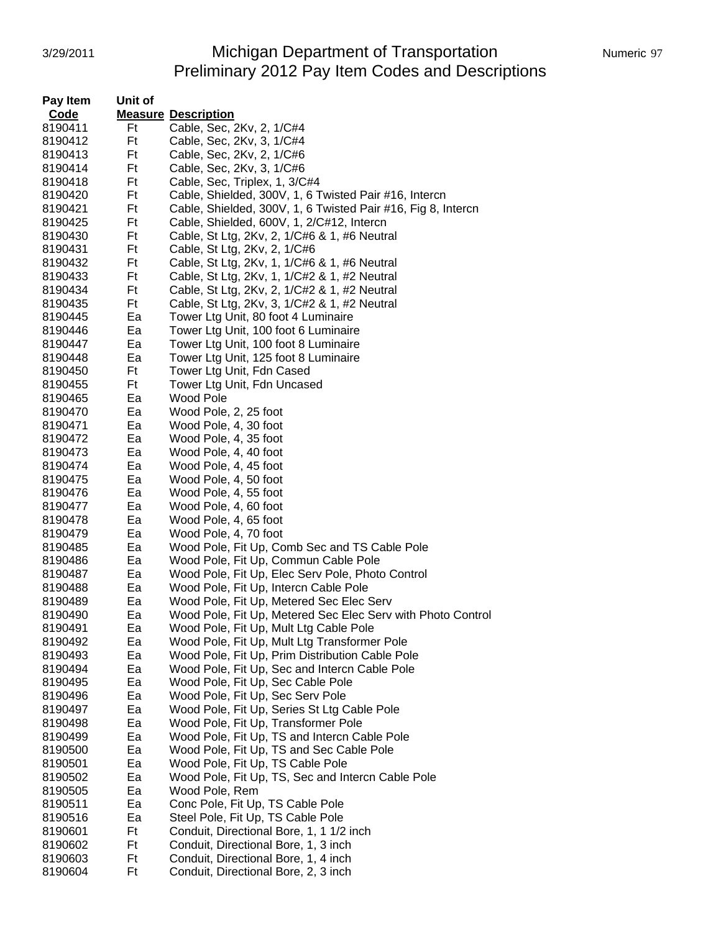# 3/29/2011 Michigan Department of Transportation Numeric 97 Preliminary 2012 Pay Item Codes and Descriptions

| Pay Item | Unit of |                                                              |
|----------|---------|--------------------------------------------------------------|
| Code     |         | <b>Measure Description</b>                                   |
| 8190411  | Ft      | Cable, Sec, 2Kv, 2, 1/C#4                                    |
| 8190412  | Ft      | Cable, Sec, 2Kv, 3, 1/C#4                                    |
| 8190413  | Ft      | Cable, Sec, 2Kv, 2, 1/C#6                                    |
| 8190414  | Ft      | Cable, Sec, 2Kv, 3, 1/C#6                                    |
| 8190418  | Ft      | Cable, Sec, Triplex, 1, 3/C#4                                |
| 8190420  | Ft      | Cable, Shielded, 300V, 1, 6 Twisted Pair #16, Intercn        |
| 8190421  | Ft      | Cable, Shielded, 300V, 1, 6 Twisted Pair #16, Fig 8, Intercn |
| 8190425  | Ft      | Cable, Shielded, 600V, 1, 2/C#12, Intercn                    |
| 8190430  | Ft      | Cable, St Ltg, 2Kv, 2, 1/C#6 & 1, #6 Neutral                 |
| 8190431  | Ft      | Cable, St Ltg, 2Kv, 2, 1/C#6                                 |
| 8190432  | Ft      | Cable, St Ltg, 2Kv, 1, 1/C#6 & 1, #6 Neutral                 |
| 8190433  | Ft      | Cable, St Ltg, 2Kv, 1, 1/C#2 & 1, #2 Neutral                 |
| 8190434  | Ft      | Cable, St Ltg, 2Kv, 2, 1/C#2 & 1, #2 Neutral                 |
| 8190435  | Ft      | Cable, St Ltg, 2Kv, 3, 1/C#2 & 1, #2 Neutral                 |
| 8190445  | Ea      | Tower Ltg Unit, 80 foot 4 Luminaire                          |
| 8190446  | Ea      | Tower Ltg Unit, 100 foot 6 Luminaire                         |
| 8190447  | Ea      | Tower Ltg Unit, 100 foot 8 Luminaire                         |
| 8190448  | Ea      | Tower Ltg Unit, 125 foot 8 Luminaire                         |
| 8190450  | Ft      | Tower Ltg Unit, Fdn Cased                                    |
| 8190455  | Ft      | Tower Ltg Unit, Fdn Uncased                                  |
| 8190465  | Ea      | Wood Pole                                                    |
| 8190470  | Ea      | Wood Pole, 2, 25 foot                                        |
| 8190471  | Ea      | Wood Pole, 4, 30 foot                                        |
| 8190472  | Ea      | Wood Pole, 4, 35 foot                                        |
| 8190473  | Ea      | Wood Pole, 4, 40 foot                                        |
| 8190474  | Ea      | Wood Pole, 4, 45 foot                                        |
| 8190475  | Ea      | Wood Pole, 4, 50 foot                                        |
| 8190476  | Ea      | Wood Pole, 4, 55 foot                                        |
| 8190477  | Ea      | Wood Pole, 4, 60 foot                                        |
| 8190478  | Ea      | Wood Pole, 4, 65 foot                                        |
| 8190479  | Ea      | Wood Pole, 4, 70 foot                                        |
| 8190485  | Ea      | Wood Pole, Fit Up, Comb Sec and TS Cable Pole                |
| 8190486  | Ea      | Wood Pole, Fit Up, Commun Cable Pole                         |
| 8190487  | Ea      | Wood Pole, Fit Up, Elec Serv Pole, Photo Control             |
| 8190488  | Ea      | Wood Pole, Fit Up, Intercn Cable Pole                        |
| 8190489  | Ea      | Wood Pole, Fit Up, Metered Sec Elec Serv                     |
| 8190490  | Ea      | Wood Pole, Fit Up, Metered Sec Elec Serv with Photo Control  |
| 8190491  | ьa      | Wood Pole, Fit Up, Mult Ltg Cable Pole                       |
| 8190492  | Ea      | Wood Pole, Fit Up, Mult Ltg Transformer Pole                 |
| 8190493  | Ea      | Wood Pole, Fit Up, Prim Distribution Cable Pole              |
| 8190494  | Ea      | Wood Pole, Fit Up, Sec and Intercn Cable Pole                |
| 8190495  | Ea      | Wood Pole, Fit Up, Sec Cable Pole                            |
| 8190496  | Ea      | Wood Pole, Fit Up, Sec Serv Pole                             |
| 8190497  | Ea      | Wood Pole, Fit Up, Series St Ltg Cable Pole                  |
| 8190498  | Ea      | Wood Pole, Fit Up, Transformer Pole                          |
| 8190499  | Ea      | Wood Pole, Fit Up, TS and Intercn Cable Pole                 |
| 8190500  | Ea      | Wood Pole, Fit Up, TS and Sec Cable Pole                     |
| 8190501  | Ea      | Wood Pole, Fit Up, TS Cable Pole                             |
| 8190502  | Ea      | Wood Pole, Fit Up, TS, Sec and Intercn Cable Pole            |
|          |         |                                                              |
| 8190505  | Ea      | Wood Pole, Rem                                               |
| 8190511  | Ea      | Conc Pole, Fit Up, TS Cable Pole                             |
| 8190516  | Ea      | Steel Pole, Fit Up, TS Cable Pole                            |
| 8190601  | Ft      | Conduit, Directional Bore, 1, 1 1/2 inch                     |
| 8190602  | Ft      | Conduit, Directional Bore, 1, 3 inch                         |
| 8190603  | Ft      | Conduit, Directional Bore, 1, 4 inch                         |
| 8190604  | Ft      | Conduit, Directional Bore, 2, 3 inch                         |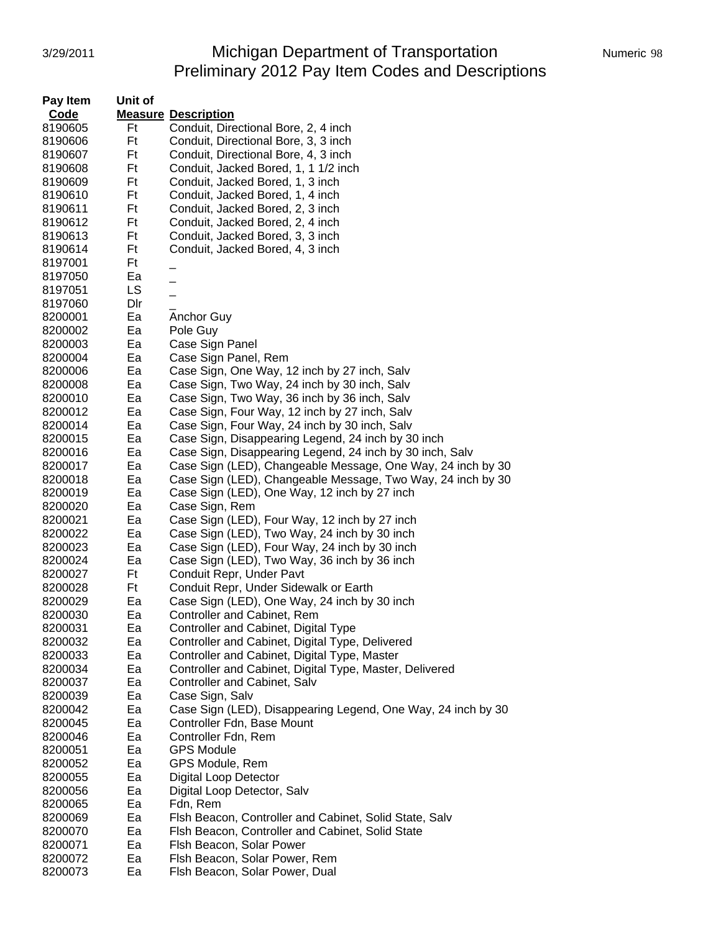# 3/29/2011 **Michigan Department of Transportation** Numeric 98 Preliminary 2012 Pay Item Codes and Descriptions

| Pay Item | Unit of |                                                              |
|----------|---------|--------------------------------------------------------------|
| Code     |         | <b>Measure Description</b>                                   |
| 8190605  | Ft      | Conduit, Directional Bore, 2, 4 inch                         |
| 8190606  | Ft      | Conduit, Directional Bore, 3, 3 inch                         |
| 8190607  | Ft      | Conduit, Directional Bore, 4, 3 inch                         |
| 8190608  | Ft      | Conduit, Jacked Bored, 1, 1 1/2 inch                         |
| 8190609  | Ft      | Conduit, Jacked Bored, 1, 3 inch                             |
| 8190610  | Ft      | Conduit, Jacked Bored, 1, 4 inch                             |
| 8190611  | Ft      | Conduit, Jacked Bored, 2, 3 inch                             |
| 8190612  | Ft      | Conduit, Jacked Bored, 2, 4 inch                             |
| 8190613  | Ft      | Conduit, Jacked Bored, 3, 3 inch                             |
| 8190614  | Ft      | Conduit, Jacked Bored, 4, 3 inch                             |
| 8197001  | Ft      |                                                              |
| 8197050  | Ea      |                                                              |
| 8197051  | LS      |                                                              |
| 8197060  | Dir     |                                                              |
| 8200001  | Ea      | <b>Anchor Guy</b>                                            |
| 8200002  | Ea      | Pole Guy                                                     |
| 8200003  | Ea      | Case Sign Panel                                              |
| 8200004  | Ea      | Case Sign Panel, Rem                                         |
| 8200006  | Ea      | Case Sign, One Way, 12 inch by 27 inch, Salv                 |
| 8200008  | Ea      | Case Sign, Two Way, 24 inch by 30 inch, Salv                 |
| 8200010  | Ea      | Case Sign, Two Way, 36 inch by 36 inch, Salv                 |
| 8200012  | Ea      | Case Sign, Four Way, 12 inch by 27 inch, Salv                |
| 8200014  | Ea      | Case Sign, Four Way, 24 inch by 30 inch, Salv                |
| 8200015  | Ea      | Case Sign, Disappearing Legend, 24 inch by 30 inch           |
| 8200016  | Ea      | Case Sign, Disappearing Legend, 24 inch by 30 inch, Salv     |
| 8200017  | Ea      | Case Sign (LED), Changeable Message, One Way, 24 inch by 30  |
| 8200018  | Ea      | Case Sign (LED), Changeable Message, Two Way, 24 inch by 30  |
| 8200019  | Ea      | Case Sign (LED), One Way, 12 inch by 27 inch                 |
| 8200020  | Ea      | Case Sign, Rem                                               |
| 8200021  | Ea      | Case Sign (LED), Four Way, 12 inch by 27 inch                |
| 8200022  | Ea      | Case Sign (LED), Two Way, 24 inch by 30 inch                 |
| 8200023  | Ea      | Case Sign (LED), Four Way, 24 inch by 30 inch                |
| 8200024  | Ea      | Case Sign (LED), Two Way, 36 inch by 36 inch                 |
| 8200027  | Ft      | Conduit Repr, Under Pavt                                     |
| 8200028  | Ft      | Conduit Repr, Under Sidewalk or Earth                        |
| 8200029  | Ea      | Case Sign (LED), One Way, 24 inch by 30 inch                 |
| 8200030  | Ea      | Controller and Cabinet, Rem                                  |
| 8200031  | Ea      | Controller and Cabinet, Digital Type                         |
| 8200032  | Ea      | Controller and Cabinet, Digital Type, Delivered              |
| 8200033  | Ea      | Controller and Cabinet, Digital Type, Master                 |
| 8200034  | Ea      | Controller and Cabinet, Digital Type, Master, Delivered      |
| 8200037  | Ea      | Controller and Cabinet, Salv                                 |
| 8200039  | Ea      | Case Sign, Salv                                              |
| 8200042  | Ea      | Case Sign (LED), Disappearing Legend, One Way, 24 inch by 30 |
| 8200045  | Ea      | Controller Fdn, Base Mount                                   |
| 8200046  | Ea      | Controller Fdn, Rem                                          |
| 8200051  | Ea      | <b>GPS Module</b>                                            |
| 8200052  | Ea      | GPS Module, Rem                                              |
| 8200055  | Ea      | <b>Digital Loop Detector</b>                                 |
| 8200056  | Ea      | Digital Loop Detector, Salv                                  |
| 8200065  | Ea      | Fdn, Rem                                                     |
| 8200069  | Ea      | Flsh Beacon, Controller and Cabinet, Solid State, Salv       |
| 8200070  | Ea      | Fish Beacon, Controller and Cabinet, Solid State             |
| 8200071  | Ea      | Flsh Beacon, Solar Power                                     |
| 8200072  | Ea      | Flsh Beacon, Solar Power, Rem                                |
| 8200073  | Ea      | Flsh Beacon, Solar Power, Dual                               |
|          |         |                                                              |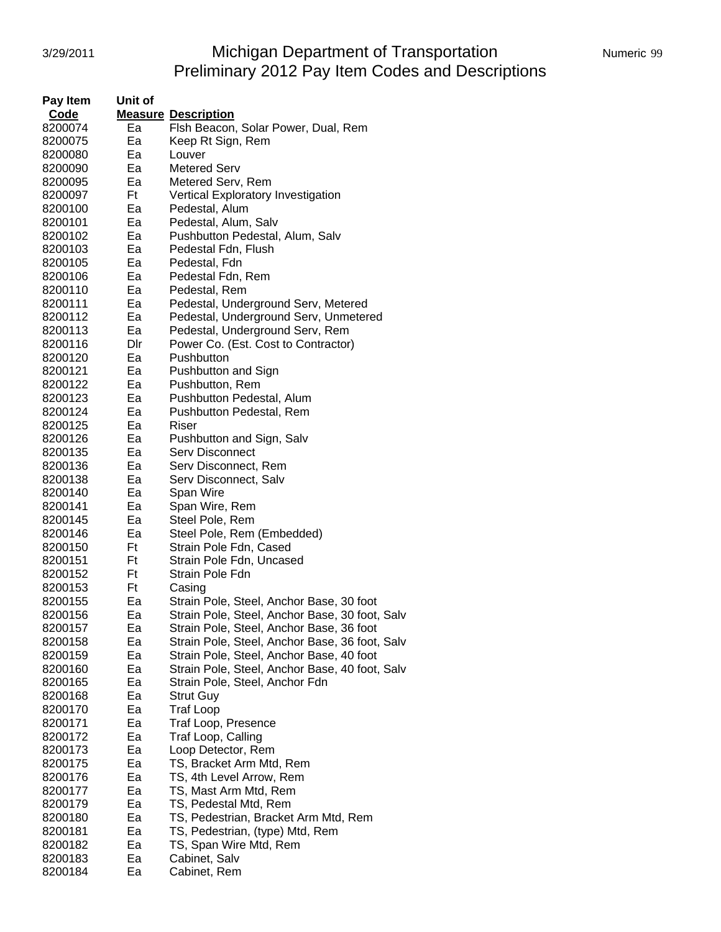# 3/29/2011 **Michigan Department of Transportation** Numeric 99 Preliminary 2012 Pay Item Codes and Descriptions

| Pay Item           | Unit of |                                                |  |  |
|--------------------|---------|------------------------------------------------|--|--|
| Code               |         | <b>Measure Description</b>                     |  |  |
| 8200074            | Ea      | Flsh Beacon, Solar Power, Dual, Rem            |  |  |
| 8200075            | Ea      | Keep Rt Sign, Rem                              |  |  |
| 8200080            | Ea      | Louver                                         |  |  |
| 8200090            | Ea      | <b>Metered Serv</b>                            |  |  |
| 8200095            | Ea      | Metered Serv, Rem                              |  |  |
| 8200097            | Ft      | <b>Vertical Exploratory Investigation</b>      |  |  |
| 8200100            | Ea      | Pedestal, Alum                                 |  |  |
| 8200101            | Ea      | Pedestal, Alum, Salv                           |  |  |
| 8200102            | Ea      | Pushbutton Pedestal, Alum, Salv                |  |  |
| 8200103            | Ea      | Pedestal Fdn, Flush                            |  |  |
| 8200105            | Ea      | Pedestal, Fdn                                  |  |  |
| 8200106            | Ea      | Pedestal Fdn, Rem                              |  |  |
| 8200110            | Ea      | Pedestal, Rem                                  |  |  |
| 8200111            | Eа      | Pedestal, Underground Serv, Metered            |  |  |
| 8200112            | Ea      | Pedestal, Underground Serv, Unmetered          |  |  |
| 8200113            | Ea      | Pedestal, Underground Serv, Rem                |  |  |
|                    | Dir     | Power Co. (Est. Cost to Contractor)            |  |  |
| 8200116            | Ea      | Pushbutton                                     |  |  |
| 8200120<br>8200121 | Ea      |                                                |  |  |
|                    |         | Pushbutton and Sign                            |  |  |
| 8200122            | Ea      | Pushbutton, Rem                                |  |  |
| 8200123            | Ea      | Pushbutton Pedestal, Alum                      |  |  |
| 8200124            | Ea      | Pushbutton Pedestal, Rem                       |  |  |
| 8200125            | Ea      | Riser                                          |  |  |
| 8200126            | Ea      | Pushbutton and Sign, Salv                      |  |  |
| 8200135            | Ea      | <b>Serv Disconnect</b>                         |  |  |
| 8200136            | Ea      | Serv Disconnect, Rem                           |  |  |
| 8200138            | Ea      | Serv Disconnect, Salv                          |  |  |
| 8200140            | Ea      | Span Wire                                      |  |  |
| 8200141            | Ea      | Span Wire, Rem                                 |  |  |
| 8200145            | Ea      | Steel Pole, Rem                                |  |  |
| 8200146            | Ea      | Steel Pole, Rem (Embedded)                     |  |  |
| 8200150            | Ft      | Strain Pole Fdn, Cased                         |  |  |
| 8200151            | Ft      | Strain Pole Fdn, Uncased                       |  |  |
| 8200152            | Ft      | Strain Pole Fdn                                |  |  |
| 8200153            | Ft      | Casing                                         |  |  |
| 8200155            | Ea      | Strain Pole, Steel, Anchor Base, 30 foot       |  |  |
| 8200156            | Ea      | Strain Pole, Steel, Anchor Base, 30 foot, Salv |  |  |
| 8200157            | Ea      | Strain Pole, Steel, Anchor Base, 36 foot       |  |  |
| 8200158            | Ea      | Strain Pole, Steel, Anchor Base, 36 foot, Salv |  |  |
| 8200159            | Ea      | Strain Pole, Steel, Anchor Base, 40 foot       |  |  |
| 8200160            | Ea      | Strain Pole, Steel, Anchor Base, 40 foot, Salv |  |  |
| 8200165            | Ea      | Strain Pole, Steel, Anchor Fdn                 |  |  |
| 8200168            | Ea      | Strut Guy                                      |  |  |
| 8200170            | Ea      | <b>Traf Loop</b>                               |  |  |
| 8200171            | Ea      | Traf Loop, Presence                            |  |  |
| 8200172            | Ea      | Traf Loop, Calling                             |  |  |
| 8200173            | Ea      | Loop Detector, Rem                             |  |  |
| 8200175            | Ea      | TS, Bracket Arm Mtd, Rem                       |  |  |
| 8200176            | Ea      | TS, 4th Level Arrow, Rem                       |  |  |
| 8200177            | Ea      | TS, Mast Arm Mtd, Rem                          |  |  |
| 8200179            | Ea      | TS, Pedestal Mtd, Rem                          |  |  |
| 8200180            | Ea      | TS, Pedestrian, Bracket Arm Mtd, Rem           |  |  |
| 8200181            | Ea      | TS, Pedestrian, (type) Mtd, Rem                |  |  |
| 8200182            | Ea      | TS, Span Wire Mtd, Rem                         |  |  |
| 8200183            | Ea      | Cabinet, Salv                                  |  |  |
| 8200184            | Ea      | Cabinet, Rem                                   |  |  |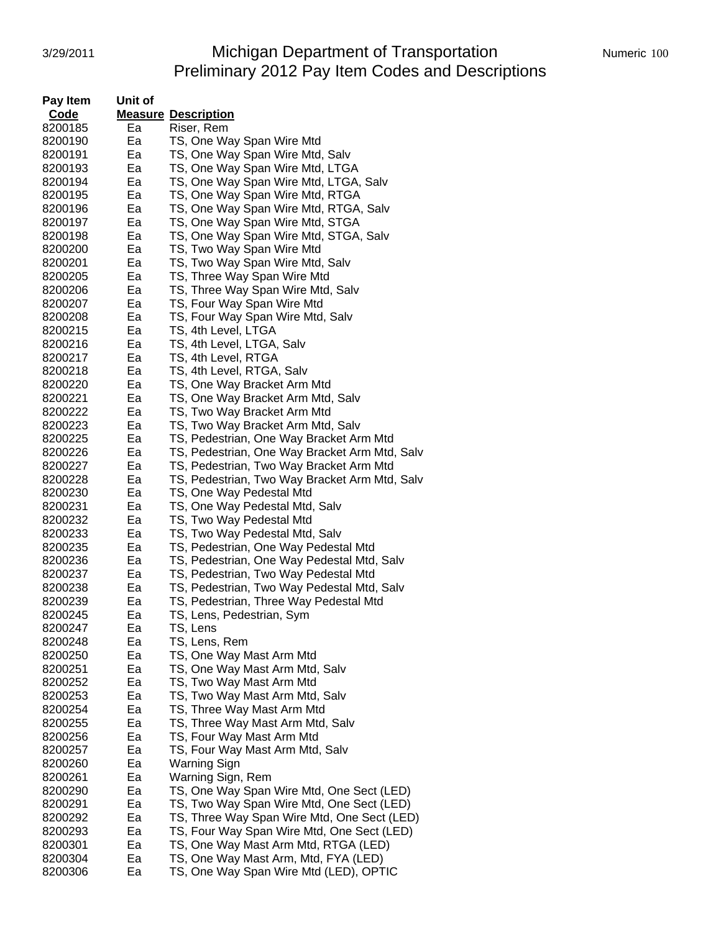#### 3/29/2011 Michigan Department of Transportation Numeric 100 Preliminary 2012 Pay Item Codes and Descriptions

| Pay Item | Unit of |                                               |
|----------|---------|-----------------------------------------------|
| Code     |         | <b>Measure Description</b>                    |
| 8200185  | Ea      | Riser, Rem                                    |
| 8200190  | Ea      | TS, One Way Span Wire Mtd                     |
| 8200191  | Ea      | TS, One Way Span Wire Mtd, Salv               |
| 8200193  | Ea      | TS, One Way Span Wire Mtd, LTGA               |
| 8200194  | Ea      | TS, One Way Span Wire Mtd, LTGA, Salv         |
| 8200195  | Ea      | TS, One Way Span Wire Mtd, RTGA               |
| 8200196  | Ea      | TS, One Way Span Wire Mtd, RTGA, Salv         |
| 8200197  | Ea      | TS, One Way Span Wire Mtd, STGA               |
| 8200198  | Ea      | TS, One Way Span Wire Mtd, STGA, Salv         |
| 8200200  | Ea      | TS, Two Way Span Wire Mtd                     |
| 8200201  | Ea      | TS, Two Way Span Wire Mtd, Salv               |
| 8200205  | Ea      | TS, Three Way Span Wire Mtd                   |
| 8200206  | Ea      | TS, Three Way Span Wire Mtd, Salv             |
| 8200207  | Ea      | TS, Four Way Span Wire Mtd                    |
| 8200208  | Ea      | TS, Four Way Span Wire Mtd, Salv              |
| 8200215  | Ea      | TS, 4th Level, LTGA                           |
| 8200216  | Ea      | TS, 4th Level, LTGA, Salv                     |
| 8200217  | Ea      | TS, 4th Level, RTGA                           |
| 8200218  | Ea      | TS, 4th Level, RTGA, Salv                     |
| 8200220  | Ea      | TS, One Way Bracket Arm Mtd                   |
| 8200221  | Ea      | TS, One Way Bracket Arm Mtd, Salv             |
| 8200222  | Ea      | TS, Two Way Bracket Arm Mtd                   |
| 8200223  | Ea      | TS, Two Way Bracket Arm Mtd, Salv             |
| 8200225  | Ea      | TS, Pedestrian, One Way Bracket Arm Mtd       |
| 8200226  | Ea      | TS, Pedestrian, One Way Bracket Arm Mtd, Salv |
| 8200227  | Ea      | TS, Pedestrian, Two Way Bracket Arm Mtd       |
| 8200228  | Ea      | TS, Pedestrian, Two Way Bracket Arm Mtd, Salv |
| 8200230  | Ea      | TS, One Way Pedestal Mtd                      |
| 8200231  | Ea      | TS, One Way Pedestal Mtd, Salv                |
| 8200232  | Ea      | TS, Two Way Pedestal Mtd                      |
| 8200233  | Ea      | TS, Two Way Pedestal Mtd, Salv                |
| 8200235  | Ea      | TS, Pedestrian, One Way Pedestal Mtd          |
| 8200236  | Ea      | TS, Pedestrian, One Way Pedestal Mtd, Salv    |
| 8200237  | Ea      | TS, Pedestrian, Two Way Pedestal Mtd          |
| 8200238  | Ea      | TS, Pedestrian, Two Way Pedestal Mtd, Salv    |
| 8200239  | Ea      | TS, Pedestrian, Three Way Pedestal Mtd        |
| 8200245  | Ea      | TS, Lens, Pedestrian, Sym                     |
| 8200247  | Ea      | TS, Lens                                      |
| 8200248  | Ea      | TS, Lens, Rem                                 |
| 8200250  | Ea      | TS, One Way Mast Arm Mtd                      |
| 8200251  | Ea      | TS, One Way Mast Arm Mtd, Salv                |
| 8200252  | Ea      | TS, Two Way Mast Arm Mtd                      |
| 8200253  | Ea      | TS, Two Way Mast Arm Mtd, Salv                |
| 8200254  | Ea      | TS, Three Way Mast Arm Mtd                    |
| 8200255  | Ea      | TS, Three Way Mast Arm Mtd, Salv              |
| 8200256  | Ea      | TS, Four Way Mast Arm Mtd                     |
| 8200257  | Ea      | TS, Four Way Mast Arm Mtd, Salv               |
| 8200260  | Ea      | Warning Sign                                  |
| 8200261  | Ea      | Warning Sign, Rem                             |
| 8200290  | Ea      | TS, One Way Span Wire Mtd, One Sect (LED)     |
| 8200291  | Ea      | TS, Two Way Span Wire Mtd, One Sect (LED)     |
| 8200292  | Ea      | TS, Three Way Span Wire Mtd, One Sect (LED)   |
| 8200293  | Ea      | TS, Four Way Span Wire Mtd, One Sect (LED)    |
| 8200301  | Ea      | TS, One Way Mast Arm Mtd, RTGA (LED)          |
| 8200304  | Ea      | TS, One Way Mast Arm, Mtd, FYA (LED)          |
| 8200306  | Ea      | TS, One Way Span Wire Mtd (LED), OPTIC        |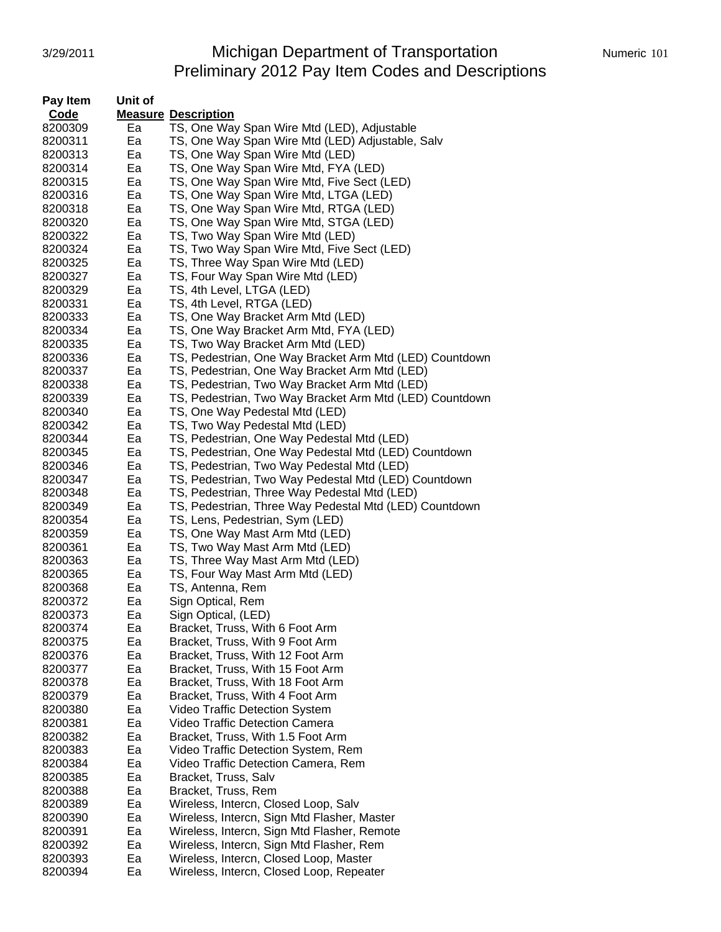## 3/29/2011 Michigan Department of Transportation Numeric 101 Preliminary 2012 Pay Item Codes and Descriptions

| Pay Item | Unit of |                                                         |
|----------|---------|---------------------------------------------------------|
| Code     |         | <b>Measure Description</b>                              |
| 8200309  | Ea      | TS, One Way Span Wire Mtd (LED), Adjustable             |
| 8200311  | Ea      | TS, One Way Span Wire Mtd (LED) Adjustable, Salv        |
| 8200313  | Ea      | TS, One Way Span Wire Mtd (LED)                         |
| 8200314  | Ea      | TS, One Way Span Wire Mtd, FYA (LED)                    |
| 8200315  | Ea      | TS, One Way Span Wire Mtd, Five Sect (LED)              |
| 8200316  | Ea      | TS, One Way Span Wire Mtd, LTGA (LED)                   |
| 8200318  | Ea      | TS, One Way Span Wire Mtd, RTGA (LED)                   |
| 8200320  | Ea      | TS, One Way Span Wire Mtd, STGA (LED)                   |
| 8200322  | Ea      | TS, Two Way Span Wire Mtd (LED)                         |
| 8200324  | Ea      | TS, Two Way Span Wire Mtd, Five Sect (LED)              |
| 8200325  | Ea      | TS, Three Way Span Wire Mtd (LED)                       |
| 8200327  | Ea      | TS, Four Way Span Wire Mtd (LED)                        |
| 8200329  | Ea      | TS, 4th Level, LTGA (LED)                               |
| 8200331  | Ea      | TS, 4th Level, RTGA (LED)                               |
| 8200333  | Ea      | TS, One Way Bracket Arm Mtd (LED)                       |
| 8200334  | Ea      | TS, One Way Bracket Arm Mtd, FYA (LED)                  |
| 8200335  | Ea      | TS, Two Way Bracket Arm Mtd (LED)                       |
| 8200336  | Ea      | TS, Pedestrian, One Way Bracket Arm Mtd (LED) Countdown |
| 8200337  | Ea      | TS, Pedestrian, One Way Bracket Arm Mtd (LED)           |
| 8200338  | Ea      | TS, Pedestrian, Two Way Bracket Arm Mtd (LED)           |
| 8200339  | Ea      | TS, Pedestrian, Two Way Bracket Arm Mtd (LED) Countdown |
| 8200340  | Ea      | TS, One Way Pedestal Mtd (LED)                          |
| 8200342  | Ea      | TS, Two Way Pedestal Mtd (LED)                          |
| 8200344  | Ea      | TS, Pedestrian, One Way Pedestal Mtd (LED)              |
| 8200345  | Ea      | TS, Pedestrian, One Way Pedestal Mtd (LED) Countdown    |
| 8200346  | Ea      | TS, Pedestrian, Two Way Pedestal Mtd (LED)              |
| 8200347  | Ea      | TS, Pedestrian, Two Way Pedestal Mtd (LED) Countdown    |
| 8200348  | Ea      | TS, Pedestrian, Three Way Pedestal Mtd (LED)            |
| 8200349  | Ea      | TS, Pedestrian, Three Way Pedestal Mtd (LED) Countdown  |
| 8200354  | Ea      | TS, Lens, Pedestrian, Sym (LED)                         |
| 8200359  | Ea      | TS, One Way Mast Arm Mtd (LED)                          |
| 8200361  | Ea      | TS, Two Way Mast Arm Mtd (LED)                          |
| 8200363  | Ea      | TS, Three Way Mast Arm Mtd (LED)                        |
| 8200365  | Ea      | TS, Four Way Mast Arm Mtd (LED)                         |
| 8200368  | Ea      | TS, Antenna, Rem                                        |
| 8200372  | Ea      | Sign Optical, Rem                                       |
| 8200373  | Ea      | Sign Optical, (LED)                                     |
| 8200374  | Ea      | Bracket, Truss, With 6 Foot Arm                         |
| 8200375  | Ea      | Bracket, Truss, With 9 Foot Arm                         |
| 8200376  | Ea      | Bracket, Truss, With 12 Foot Arm                        |
| 8200377  | Ea      | Bracket, Truss, With 15 Foot Arm                        |
| 8200378  | Ea      | Bracket, Truss, With 18 Foot Arm                        |
| 8200379  | Ea      | Bracket, Truss, With 4 Foot Arm                         |
| 8200380  | Ea      | Video Traffic Detection System                          |
| 8200381  | Ea      | Video Traffic Detection Camera                          |
| 8200382  | Ea      | Bracket, Truss, With 1.5 Foot Arm                       |
| 8200383  | Ea      | Video Traffic Detection System, Rem                     |
| 8200384  | Ea      | Video Traffic Detection Camera, Rem                     |
| 8200385  | Ea      | Bracket, Truss, Salv                                    |
| 8200388  | Ea      | Bracket, Truss, Rem                                     |
| 8200389  | Ea      | Wireless, Intercn, Closed Loop, Salv                    |
| 8200390  | Ea      | Wireless, Intercn, Sign Mtd Flasher, Master             |
| 8200391  | Ea      | Wireless, Intercn, Sign Mtd Flasher, Remote             |
| 8200392  | Ea      | Wireless, Intercn, Sign Mtd Flasher, Rem                |
| 8200393  | Ea      | Wireless, Intercn, Closed Loop, Master                  |
| 8200394  | Ea      | Wireless, Intercn, Closed Loop, Repeater                |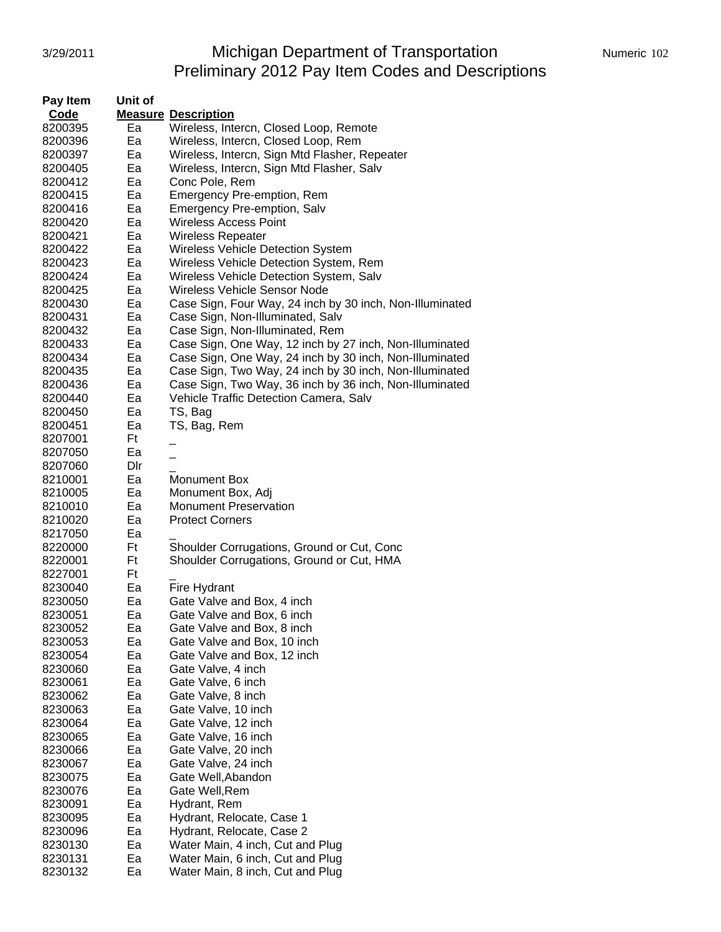# 3/29/2011 Michigan Department of Transportation Mumeric 102 Preliminary 2012 Pay Item Codes and Descriptions

| Pay Item | Unit of |                                                          |  |  |
|----------|---------|----------------------------------------------------------|--|--|
| Code     |         | <b>Measure Description</b>                               |  |  |
| 8200395  | Ea      | Wireless, Intercn, Closed Loop, Remote                   |  |  |
| 8200396  | Ea      | Wireless, Intercn, Closed Loop, Rem                      |  |  |
| 8200397  | Ea      | Wireless, Intercn, Sign Mtd Flasher, Repeater            |  |  |
| 8200405  | Ea      | Wireless, Intercn, Sign Mtd Flasher, Salv                |  |  |
| 8200412  | Ea      | Conc Pole, Rem                                           |  |  |
| 8200415  | Ea      | Emergency Pre-emption, Rem                               |  |  |
| 8200416  | Ea      | Emergency Pre-emption, Salv                              |  |  |
| 8200420  | Ea      | <b>Wireless Access Point</b>                             |  |  |
| 8200421  | Ea      | Wireless Repeater                                        |  |  |
| 8200422  | Ea      | <b>Wireless Vehicle Detection System</b>                 |  |  |
| 8200423  | Ea      | Wireless Vehicle Detection System, Rem                   |  |  |
| 8200424  | Ea      | Wireless Vehicle Detection System, Salv                  |  |  |
| 8200425  | Ea      | Wireless Vehicle Sensor Node                             |  |  |
| 8200430  | Ea      | Case Sign, Four Way, 24 inch by 30 inch, Non-Illuminated |  |  |
| 8200431  | Ea      | Case Sign, Non-Illuminated, Salv                         |  |  |
| 8200432  | Ea      | Case Sign, Non-Illuminated, Rem                          |  |  |
| 8200433  | Ea      | Case Sign, One Way, 12 inch by 27 inch, Non-Illuminated  |  |  |
| 8200434  | Ea      | Case Sign, One Way, 24 inch by 30 inch, Non-Illuminated  |  |  |
| 8200435  | Ea      | Case Sign, Two Way, 24 inch by 30 inch, Non-Illuminated  |  |  |
| 8200436  | Ea      | Case Sign, Two Way, 36 inch by 36 inch, Non-Illuminated  |  |  |
| 8200440  | Ea      | Vehicle Traffic Detection Camera, Salv                   |  |  |
| 8200450  | Ea      | TS, Bag                                                  |  |  |
| 8200451  | Ea      | TS, Bag, Rem                                             |  |  |
| 8207001  | Ft      |                                                          |  |  |
| 8207050  | Ea      |                                                          |  |  |
| 8207060  | Dir     |                                                          |  |  |
| 8210001  | Ea      | Monument Box                                             |  |  |
| 8210005  | Ea      | Monument Box, Adj                                        |  |  |
| 8210010  | Ea      | <b>Monument Preservation</b>                             |  |  |
| 8210020  | Ea      | <b>Protect Corners</b>                                   |  |  |
| 8217050  | Ea      |                                                          |  |  |
| 8220000  | Ft      | Shoulder Corrugations, Ground or Cut, Conc               |  |  |
| 8220001  | Ft      | Shoulder Corrugations, Ground or Cut, HMA                |  |  |
| 8227001  | Ft      |                                                          |  |  |
| 8230040  | Ea      | Fire Hydrant                                             |  |  |
| 8230050  | Ea      | Gate Valve and Box, 4 inch                               |  |  |
| 8230051  | Ea      | Gate Valve and Box, 6 inch                               |  |  |
| 8230052  | Ea      | Gate Valve and Box, 8 inch                               |  |  |
| 8230053  | Ea      | Gate Valve and Box, 10 inch                              |  |  |
| 8230054  | Ea      | Gate Valve and Box, 12 inch                              |  |  |
| 8230060  | Ea      | Gate Valve, 4 inch                                       |  |  |
| 8230061  | Ea      | Gate Valve, 6 inch                                       |  |  |
| 8230062  | Ea      | Gate Valve, 8 inch                                       |  |  |
| 8230063  | Ea      | Gate Valve, 10 inch                                      |  |  |
| 8230064  | Ea      | Gate Valve, 12 inch                                      |  |  |
| 8230065  | Ea      | Gate Valve, 16 inch                                      |  |  |
| 8230066  | Ea      | Gate Valve, 20 inch                                      |  |  |
| 8230067  | Ea      | Gate Valve, 24 inch                                      |  |  |
| 8230075  | Ea      | Gate Well, Abandon                                       |  |  |
| 8230076  | Ea      | Gate Well, Rem                                           |  |  |
| 8230091  | Ea      | Hydrant, Rem                                             |  |  |
| 8230095  | Ea      | Hydrant, Relocate, Case 1                                |  |  |
| 8230096  | Ea      | Hydrant, Relocate, Case 2                                |  |  |
| 8230130  | Ea      | Water Main, 4 inch, Cut and Plug                         |  |  |
| 8230131  | Ea      | Water Main, 6 inch, Cut and Plug                         |  |  |
| 8230132  | Ea      | Water Main, 8 inch, Cut and Plug                         |  |  |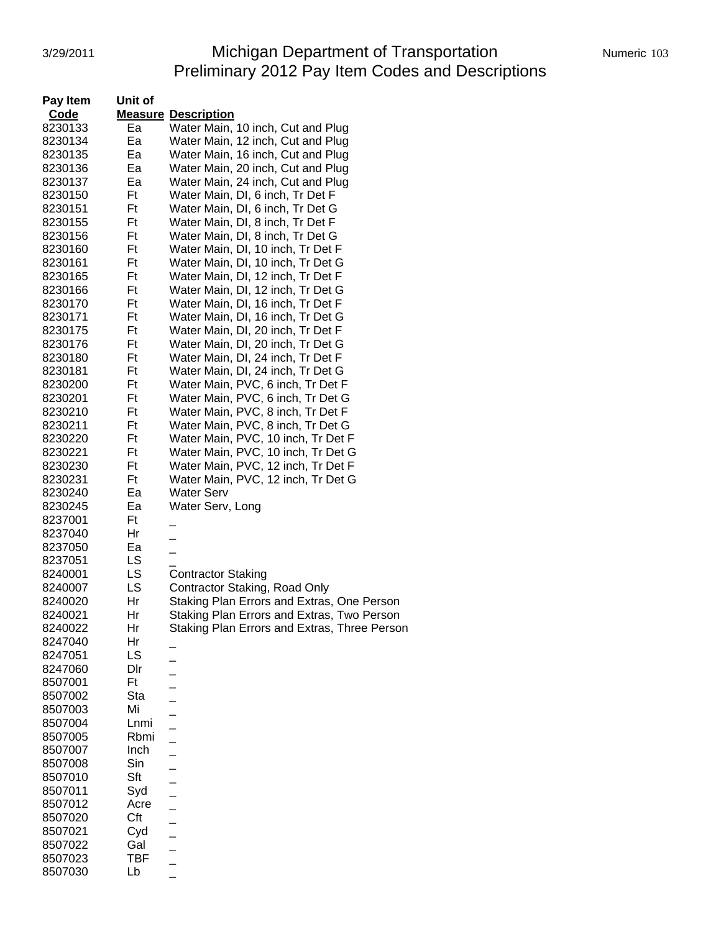# 3/29/2011 Michigan Department of Transportation Mumeric 103 Preliminary 2012 Pay Item Codes and Descriptions

| Pay Item | Unit of    |                                              |
|----------|------------|----------------------------------------------|
| Code     |            | <b>Measure Description</b>                   |
| 8230133  | Ea         | Water Main, 10 inch, Cut and Plug            |
| 8230134  | Ea         | Water Main, 12 inch, Cut and Plug            |
| 8230135  | Ea         | Water Main, 16 inch, Cut and Plug            |
| 8230136  | Ea         | Water Main, 20 inch, Cut and Plug            |
| 8230137  | Ea         | Water Main, 24 inch, Cut and Plug            |
| 8230150  | Ft         | Water Main, DI, 6 inch, Tr Det F             |
| 8230151  | Ft         | Water Main, DI, 6 inch, Tr Det G             |
| 8230155  | Ft         | Water Main, DI, 8 inch, Tr Det F             |
| 8230156  | Ft         | Water Main, DI, 8 inch, Tr Det G             |
| 8230160  | Ft         | Water Main, DI, 10 inch, Tr Det F            |
| 8230161  | Ft         | Water Main, DI, 10 inch, Tr Det G            |
| 8230165  | Ft         | Water Main, DI, 12 inch, Tr Det F            |
| 8230166  | Ft         | Water Main, DI, 12 inch, Tr Det G            |
| 8230170  | Ft         | Water Main, DI, 16 inch, Tr Det F            |
| 8230171  | Ft         | Water Main, DI, 16 inch, Tr Det G            |
| 8230175  | Ft         | Water Main, DI, 20 inch, Tr Det F            |
| 8230176  | Ft         | Water Main, DI, 20 inch, Tr Det G            |
| 8230180  | Ft         | Water Main, DI, 24 inch, Tr Det F            |
| 8230181  | Ft         | Water Main, DI, 24 inch, Tr Det G            |
| 8230200  | Ft         | Water Main, PVC, 6 inch, Tr Det F            |
| 8230201  | Ft         | Water Main, PVC, 6 inch, Tr Det G            |
| 8230210  | Ft         | Water Main, PVC, 8 inch, Tr Det F            |
| 8230211  | Ft         | Water Main, PVC, 8 inch, Tr Det G            |
| 8230220  | Ft         | Water Main, PVC, 10 inch, Tr Det F           |
| 8230221  | Ft         | Water Main, PVC, 10 inch, Tr Det G           |
| 8230230  | Ft         | Water Main, PVC, 12 inch, Tr Det F           |
|          | Ft         | Water Main, PVC, 12 inch, Tr Det G           |
| 8230231  |            |                                              |
| 8230240  | Ea         | <b>Water Serv</b>                            |
| 8230245  | Ea         | Water Serv, Long                             |
| 8237001  | Ft         |                                              |
| 8237040  | Hr         |                                              |
| 8237050  | Ea         |                                              |
| 8237051  | LS         |                                              |
| 8240001  | LS         | <b>Contractor Staking</b>                    |
| 8240007  | LS         | Contractor Staking, Road Only                |
| 8240020  | Hr         | Staking Plan Errors and Extras, One Person   |
| 8240021  | Hr         | Staking Plan Errors and Extras, Two Person   |
| 8240022  | Hr         | Staking Plan Errors and Extras, Three Person |
| 8247040  | Hr         |                                              |
| 8247051  | LS         |                                              |
| 8247060  | Dir        |                                              |
| 8507001  | Ft         |                                              |
| 8507002  | Sta        |                                              |
| 8507003  | Mi         |                                              |
| 8507004  | Lnmi       |                                              |
| 8507005  | Rbmi       |                                              |
| 8507007  | Inch       |                                              |
| 8507008  | Sin        |                                              |
| 8507010  | Sft        |                                              |
| 8507011  | Syd        |                                              |
| 8507012  | Acre       |                                              |
| 8507020  | Cft        |                                              |
| 8507021  | Cyd        |                                              |
| 8507022  | Gal        |                                              |
| 8507023  | <b>TBF</b> |                                              |
| 8507030  | Lb         |                                              |